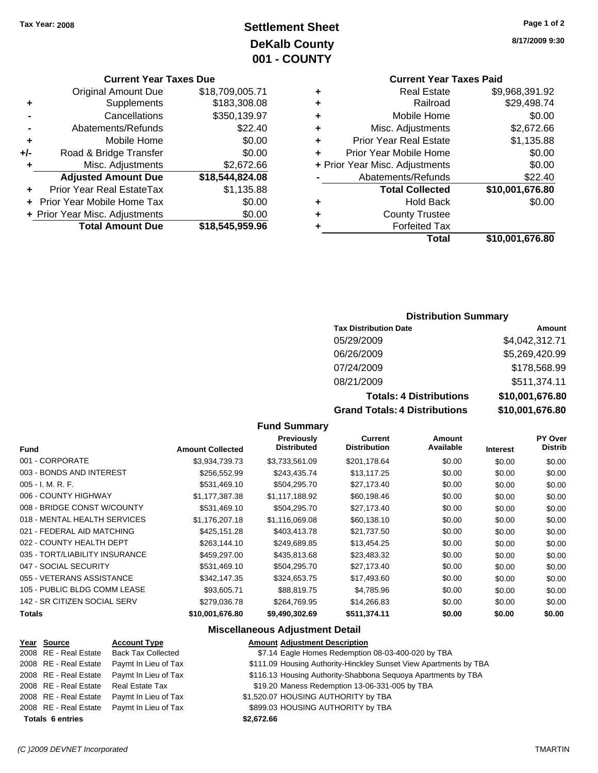### **Settlement Sheet Tax Year: 2008 Page 1 of 2 DeKalb County 001 - COUNTY**

#### **Current Year Taxes Due**

|       | <b>Original Amount Due</b>        | \$18,709,005.71 |
|-------|-----------------------------------|-----------------|
| ٠     | Supplements                       | \$183,308.08    |
|       | Cancellations                     | \$350,139.97    |
|       | Abatements/Refunds                | \$22.40         |
| ٠     | Mobile Home                       | \$0.00          |
| $+/-$ | Road & Bridge Transfer            | \$0.00          |
| ٠     | Misc. Adjustments                 | \$2,672.66      |
|       | <b>Adjusted Amount Due</b>        | \$18,544,824.08 |
|       | Prior Year Real EstateTax         | \$1,135.88      |
|       | <b>Prior Year Mobile Home Tax</b> | \$0.00          |
|       | + Prior Year Misc. Adjustments    | \$0.00          |
|       | <b>Total Amount Due</b>           | \$18,545,959.96 |

### **8/17/2009 9:30**

|   | <b>Current Year Taxes Paid</b> |                 |
|---|--------------------------------|-----------------|
| ٠ | <b>Real Estate</b>             | \$9,968,391.92  |
| ٠ | Railroad                       | \$29,498.74     |
| ٠ | Mobile Home                    | \$0.00          |
| ٠ | Misc. Adjustments              | \$2,672.66      |
| ٠ | <b>Prior Year Real Estate</b>  | \$1,135.88      |
| ٠ | Prior Year Mobile Home         | \$0.00          |
|   | + Prior Year Misc. Adjustments | \$0.00          |
|   | Abatements/Refunds             | \$22.40         |
|   | <b>Total Collected</b>         | \$10,001,676.80 |
| ٠ | <b>Hold Back</b>               | \$0.00          |
|   | <b>County Trustee</b>          |                 |
|   | <b>Forfeited Tax</b>           |                 |
|   | Total                          | \$10,001,676.80 |

#### **Distribution Summary**

| <b>Tax Distribution Date</b>         | Amount          |
|--------------------------------------|-----------------|
| 05/29/2009                           | \$4,042,312.71  |
| 06/26/2009                           | \$5,269,420.99  |
| 07/24/2009                           | \$178,568.99    |
| 08/21/2009                           | \$511,374.11    |
| <b>Totals: 4 Distributions</b>       | \$10,001,676.80 |
| <b>Grand Totals: 4 Distributions</b> | \$10,001,676.80 |

#### **Fund Summary**

| <b>Fund</b>                    | <b>Amount Collected</b> | Previously<br><b>Distributed</b> | Current<br><b>Distribution</b> | Amount<br>Available | <b>Interest</b> | <b>PY Over</b><br><b>Distrib</b> |
|--------------------------------|-------------------------|----------------------------------|--------------------------------|---------------------|-----------------|----------------------------------|
| 001 - CORPORATE                | \$3,934,739.73          | \$3,733,561.09                   | \$201,178.64                   | \$0.00              | \$0.00          | \$0.00                           |
| 003 - BONDS AND INTEREST       | \$256,552.99            | \$243,435.74                     | \$13,117.25                    | \$0.00              | \$0.00          | \$0.00                           |
| $005 - I. M. R. F.$            | \$531,469.10            | \$504,295.70                     | \$27,173.40                    | \$0.00              | \$0.00          | \$0.00                           |
| 006 - COUNTY HIGHWAY           | \$1,177,387.38          | \$1,117,188.92                   | \$60,198.46                    | \$0.00              | \$0.00          | \$0.00                           |
| 008 - BRIDGE CONST W/COUNTY    | \$531,469.10            | \$504,295.70                     | \$27,173.40                    | \$0.00              | \$0.00          | \$0.00                           |
| 018 - MENTAL HEALTH SERVICES   | \$1.176.207.18          | \$1.116.069.08                   | \$60,138.10                    | \$0.00              | \$0.00          | \$0.00                           |
| 021 - FEDERAL AID MATCHING     | \$425,151.28            | \$403,413.78                     | \$21,737.50                    | \$0.00              | \$0.00          | \$0.00                           |
| 022 - COUNTY HEALTH DEPT       | \$263,144.10            | \$249,689.85                     | \$13,454.25                    | \$0.00              | \$0.00          | \$0.00                           |
| 035 - TORT/LIABILITY INSURANCE | \$459,297.00            | \$435,813.68                     | \$23,483.32                    | \$0.00              | \$0.00          | \$0.00                           |
| 047 - SOCIAL SECURITY          | \$531,469.10            | \$504,295.70                     | \$27,173.40                    | \$0.00              | \$0.00          | \$0.00                           |
| 055 - VETERANS ASSISTANCE      | \$342,147.35            | \$324.653.75                     | \$17,493.60                    | \$0.00              | \$0.00          | \$0.00                           |
| 105 - PUBLIC BLDG COMM LEASE   | \$93.605.71             | \$88,819.75                      | \$4,785.96                     | \$0.00              | \$0.00          | \$0.00                           |
| 142 - SR CITIZEN SOCIAL SERV   | \$279,036.78            | \$264.769.95                     | \$14,266.83                    | \$0.00              | \$0.00          | \$0.00                           |
| Totals                         | \$10,001,676.80         | \$9,490,302.69                   | \$511,374.11                   | \$0.00              | \$0.00          | \$0.00                           |

#### **Miscellaneous Adjustment Detail**

### **Year Source Account Type Amount Adjustment Description** 2008 RE - Real Estate Back Tax Collected \$7.14 Eagle Homes Redemption 08-03-400-020 by TBA 2008 RE - Real Estate Paymt In Lieu of Tax \$111.09 Housing Authority-Hinckley Sunset View Apartments by TBA 2008 RE - Real Estate Paymt In Lieu of Tax \$116.13 Housing Authority-Shabbona Sequoya Apartments by TBA 2008 RE - Real Estate Real Estate Tax St19.20 Maness Redemption 13-06-331-005 by TBA 2008 RE - Real Estate Paymt In Lieu of Tax  $$1,520.07$  HOUSING AUTHORITY by TBA 2008 RE - Real Estate Paymt In Lieu of Tax S899.03 HOUSING AUTHORITY by TBA **Totals \$2,672.66 6 entries**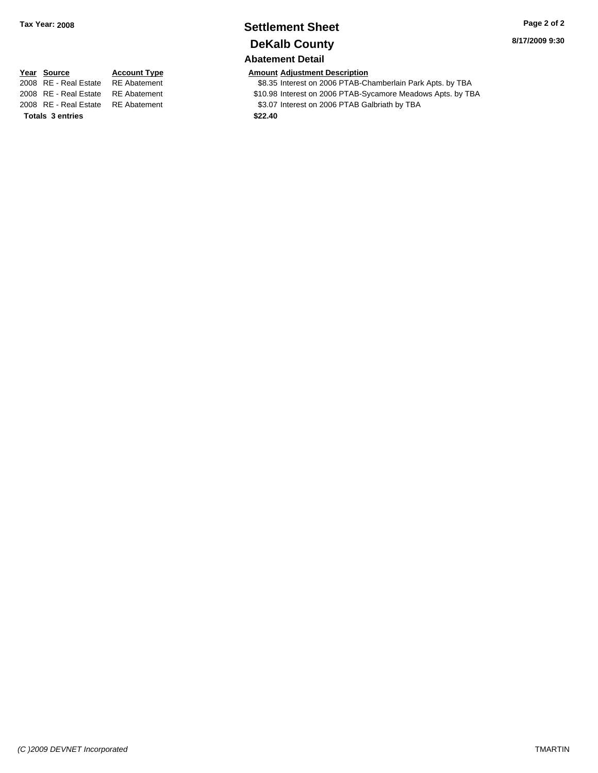### **Settlement Sheet Tax Year: 2008 Page 2 of 2 DeKalb County Abatement Detail**

2008 RE - Real Estate RE Abatement \$8.35 Interest on 2006 PTAB-Chamberlain Park Apts. by TBA 2008 RE - Real Estate RE Abatement **\$10.98** Interest on 2006 PTAB-Sycamore Meadows Apts. by TBA

2008 RE - Real Estate RE Abatement S3.07 Interest on 2006 PTAB Galbriath by TBA

**Totals \$22.40 3 entries**

**8/17/2009 9:30**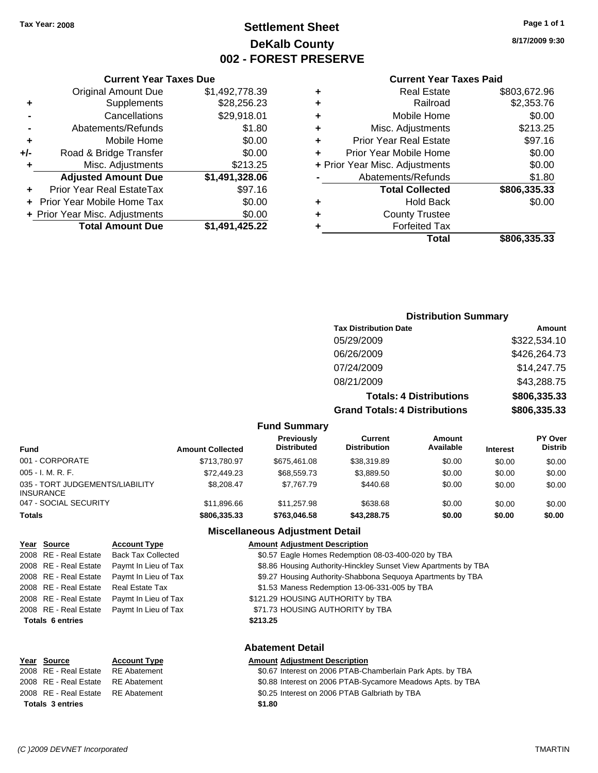**Original Amount Due** 

**Adjusted Amount Due** 

**Total Amount Due** 

**+** Supplements **-** Cancellations **-** Abatements/Refunds **+** Mobile Home **+/-** Road & Bridge Transfer **+** Misc. Adjustments

**+** Prior Year Real EstateTax **+** Prior Year Mobile Home Tax **+ Prior Year Misc. Adjustments** 

### **Settlement Sheet Tax Year: 2008 Page 1 of 1 DeKalb County 002 - FOREST PRESERVE**

**8/17/2009 9:30**

### **Current Year Taxes Paid**

| <b>Current Year Taxes Due</b> |                |           | <b>Current Year Taxes Paid</b> |                    |  |  |
|-------------------------------|----------------|-----------|--------------------------------|--------------------|--|--|
| ıl Amount Due                 | \$1,492,778.39 | ٠         | <b>Real Estate</b>             | \$803,672.96       |  |  |
| Supplements                   | \$28,256.23    | ٠         | Railroad                       | \$2,353.76         |  |  |
| Cancellations                 | \$29,918.01    | ÷         | Mobile Home                    | \$0.00             |  |  |
| าents/Refunds                 | \$1.80         | ÷         | Misc. Adjustments              | \$213.25           |  |  |
| Mobile Home                   | \$0.00         | ÷         | <b>Prior Year Real Estate</b>  | \$97.16            |  |  |
| ridge Transfer                | \$0.00         | $\ddot{}$ | Prior Year Mobile Home         | \$0.00             |  |  |
| . Adjustments                 | \$213.25       |           | + Prior Year Misc. Adjustments | \$0.00             |  |  |
| <b>Amount Due</b>             | \$1,491,328.06 |           | Abatements/Refunds             | \$1.80             |  |  |
| eal EstateTax                 | \$97.16        |           | <b>Total Collected</b>         | \$806,335.33       |  |  |
| pile Home Tax                 | \$0.00         | ٠         | <b>Hold Back</b>               | \$0.00             |  |  |
| . Adjustments                 | \$0.00         | ٠         | <b>County Trustee</b>          |                    |  |  |
| <b>Amount Due</b>             | \$1,491,425.22 |           | <b>Forfeited Tax</b>           |                    |  |  |
|                               |                |           | Total                          | <b>CRUE 335 33</b> |  |  |

# **Total \$806,335.33**

### **Distribution Summary Tax Distribution Date Amount** 05/29/2009 \$322,534.10 06/26/2009 \$426,264.73 07/24/2009 \$14,247.75 08/21/2009 \$43,288.75 **Totals: 4 Distributions \$806,335.33 Grand Totals: 4 Distributions \$806,335.33**

**Fund Summary**

| <b>Fund</b>                                         | <b>Amount Collected</b> | <b>Previously</b><br><b>Distributed</b> | Current<br><b>Distribution</b> | Amount<br>Available | <b>Interest</b> | <b>PY Over</b><br><b>Distrib</b> |
|-----------------------------------------------------|-------------------------|-----------------------------------------|--------------------------------|---------------------|-----------------|----------------------------------|
| 001 - CORPORATE                                     | \$713.780.97            | \$675.461.08                            | \$38,319.89                    | \$0.00              | \$0.00          | \$0.00                           |
| 005 - I. M. R. F.                                   | \$72,449.23             | \$68,559,73                             | \$3.889.50                     | \$0.00              | \$0.00          | \$0.00                           |
| 035 - TORT JUDGEMENTS/LIABILITY<br><b>INSURANCE</b> | \$8.208.47              | \$7.767.79                              | \$440.68                       | \$0.00              | \$0.00          | \$0.00                           |
| 047 - SOCIAL SECURITY                               | \$11,896.66             | \$11.257.98                             | \$638.68                       | \$0.00              | \$0.00          | \$0.00                           |
| Totals                                              | \$806.335.33            | \$763,046,58                            | \$43,288,75                    | \$0.00              | \$0.00          | \$0.00                           |

#### **Miscellaneous Adjustment Detail**

**Abatement Detail**

#### **Year Source Account Type Amount Adjustment Description**

2008 RE - Real Estate Back Tax Collected \$0.57 Eagle Homes Redemption 08-03-400-020 by TBA 2008 RE - Real Estate Paymt In Lieu of Tax \$8.86 Housing Authority-Hinckley Sunset View Apartments by TBA 2008 RE - Real Estate Paymt In Lieu of Tax \$9.27 Housing Authority-Shabbona Sequoya Apartments by TBA 2008 RE - Real Estate Real Estate Tax S1.53 Maness Redemption 13-06-331-005 by TBA 2008 RE - Real Estate Paymt In Lieu of Tax S121.29 HOUSING AUTHORITY by TBA 2008 RE - Real Estate Paymt In Lieu of Tax **Fig. 2008 RE - Real Estate Paymt In Lieu of Tax** Paymt In Lieu of Tax **Totals \$213.25 6 entries**

| Year Source             | <b>Account Type</b> | <b>Amount Adjustment Description</b>                       |
|-------------------------|---------------------|------------------------------------------------------------|
| 2008 RE - Real Estate   | RE Abatement        | \$0.67 Interest on 2006 PTAB-Chamberlain Park Apts. by TBA |
| 2008 RE - Real Estate   | RE Abatement        | \$0.88 Interest on 2006 PTAB-Sycamore Meadows Apts. by TBA |
| 2008 RE - Real Estate   | RE Abatement        | \$0.25 Interest on 2006 PTAB Galbriath by TBA              |
| <b>Totals 3 entries</b> |                     | \$1.80                                                     |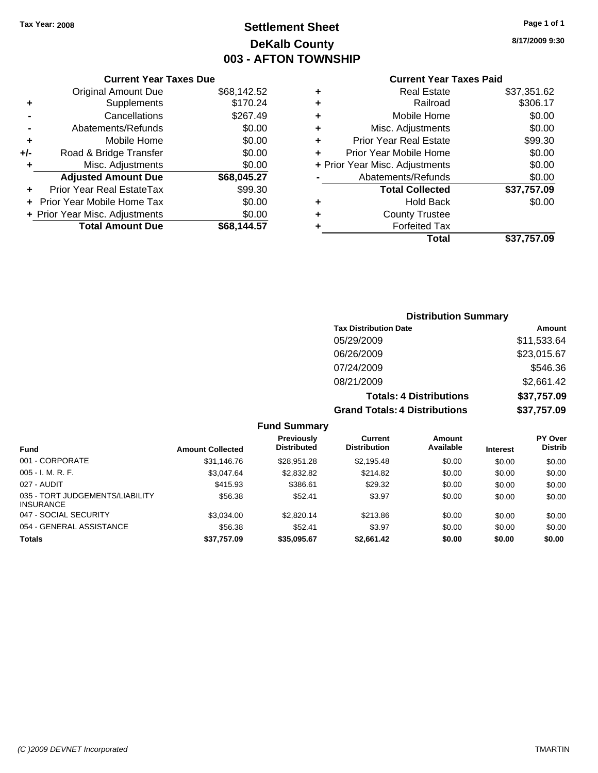### **Settlement Sheet Tax Year: 2008 Page 1 of 1 DeKalb County 003 - AFTON TOWNSHIP**

**8/17/2009 9:30**

### **Current Year Taxes Paid**

|     | <b>Current Year Taxes Due</b>  |             |  |
|-----|--------------------------------|-------------|--|
|     | <b>Original Amount Due</b>     | \$68,142.52 |  |
| ٠   | Supplements                    | \$170.24    |  |
|     | Cancellations                  | \$267.49    |  |
|     | Abatements/Refunds             | \$0.00      |  |
| ٠   | Mobile Home                    | \$0.00      |  |
| +/- | Road & Bridge Transfer         | \$0.00      |  |
| ٠   | Misc. Adjustments              | \$0.00      |  |
|     | <b>Adjusted Amount Due</b>     | \$68,045.27 |  |
| ٠   | Prior Year Real EstateTax      | \$99.30     |  |
|     | Prior Year Mobile Home Tax     | \$0.00      |  |
|     | + Prior Year Misc. Adjustments | \$0.00      |  |
|     | <b>Total Amount Due</b>        | \$68.144.57 |  |
|     |                                |             |  |

| \$37,351.62<br><b>Real Estate</b>        |
|------------------------------------------|
| \$306.17<br>Railroad                     |
| \$0.00<br>Mobile Home                    |
| \$0.00<br>Misc. Adjustments              |
| \$99.30<br><b>Prior Year Real Estate</b> |
| \$0.00<br>Prior Year Mobile Home         |
| \$0.00<br>+ Prior Year Misc. Adjustments |
| \$0.00<br>Abatements/Refunds             |
| \$37,757.09<br><b>Total Collected</b>    |
| \$0.00<br>Hold Back                      |
| <b>County Trustee</b>                    |
| <b>Forfeited Tax</b>                     |
| \$37,757.09<br>Total                     |
|                                          |

### **Distribution Summary Tax Distribution Date Amount** 05/29/2009 \$11,533.64 06/26/2009 \$23,015.67 07/24/2009 \$546.36 08/21/2009 \$2,661.42 **Totals: 4 Distributions \$37,757.09 Grand Totals: 4 Distributions \$37,757.09**

#### **Fund Summary**

| <b>Fund</b>                                         | <b>Amount Collected</b> | <b>Previously</b><br><b>Distributed</b> | Current<br><b>Distribution</b> | Amount<br>Available | <b>Interest</b> | <b>PY Over</b><br><b>Distrib</b> |
|-----------------------------------------------------|-------------------------|-----------------------------------------|--------------------------------|---------------------|-----------------|----------------------------------|
| 001 - CORPORATE                                     | \$31,146.76             | \$28.951.28                             | \$2.195.48                     | \$0.00              | \$0.00          | \$0.00                           |
| $005 - I. M. R. F.$                                 | \$3,047.64              | \$2,832.82                              | \$214.82                       | \$0.00              | \$0.00          | \$0.00                           |
| 027 - AUDIT                                         | \$415.93                | \$386.61                                | \$29.32                        | \$0.00              | \$0.00          | \$0.00                           |
| 035 - TORT JUDGEMENTS/LIABILITY<br><b>INSURANCE</b> | \$56.38                 | \$52.41                                 | \$3.97                         | \$0.00              | \$0.00          | \$0.00                           |
| 047 - SOCIAL SECURITY                               | \$3,034.00              | \$2,820.14                              | \$213.86                       | \$0.00              | \$0.00          | \$0.00                           |
| 054 - GENERAL ASSISTANCE                            | \$56.38                 | \$52.41                                 | \$3.97                         | \$0.00              | \$0.00          | \$0.00                           |
| <b>Totals</b>                                       | \$37,757.09             | \$35,095.67                             | \$2,661.42                     | \$0.00              | \$0.00          | \$0.00                           |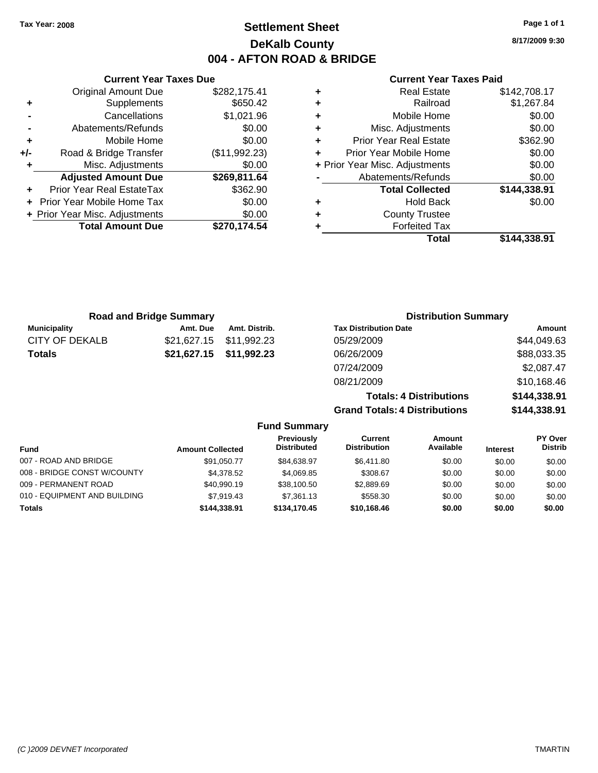### **Current Year Taxes Paid**

|   | <b>Real Estate</b>             | \$142,708.17 |
|---|--------------------------------|--------------|
| ٠ | Railroad                       | \$1,267.84   |
| ٠ | Mobile Home                    | \$0.00       |
| ٠ | Misc. Adjustments              | \$0.00       |
| ٠ | <b>Prior Year Real Estate</b>  | \$362.90     |
| ÷ | Prior Year Mobile Home         | \$0.00       |
|   | + Prior Year Misc. Adjustments | \$0.00       |
|   | Abatements/Refunds             | \$0.00       |
|   | <b>Total Collected</b>         | \$144,338.91 |
| ٠ | <b>Hold Back</b>               | \$0.00       |
| ٠ | <b>County Trustee</b>          |              |
|   | <b>Forfeited Tax</b>           |              |
|   | Total                          | \$144.338.91 |

|     | <b>Current Year Taxes Due</b>  |               |  |  |  |  |
|-----|--------------------------------|---------------|--|--|--|--|
|     | <b>Original Amount Due</b>     | \$282,175.41  |  |  |  |  |
| ٠   | Supplements                    | \$650.42      |  |  |  |  |
|     | Cancellations                  | \$1,021.96    |  |  |  |  |
|     | Abatements/Refunds             | \$0.00        |  |  |  |  |
| ٠   | Mobile Home                    | \$0.00        |  |  |  |  |
| +/- | Road & Bridge Transfer         | (\$11,992.23) |  |  |  |  |
| ٠   | Misc. Adjustments              | \$0.00        |  |  |  |  |
|     | <b>Adjusted Amount Due</b>     | \$269,811.64  |  |  |  |  |
|     | Prior Year Real EstateTax      | \$362.90      |  |  |  |  |
|     | Prior Year Mobile Home Tax     | \$0.00        |  |  |  |  |
|     | + Prior Year Misc. Adjustments | \$0.00        |  |  |  |  |
|     | <b>Total Amount Due</b>        | \$270,174.54  |  |  |  |  |
|     |                                |               |  |  |  |  |

| <b>Road and Bridge Summary</b> |             |               | <b>Distribution Summary</b>          |              |  |
|--------------------------------|-------------|---------------|--------------------------------------|--------------|--|
| <b>Municipality</b>            | Amt. Due    | Amt. Distrib. | <b>Tax Distribution Date</b>         | Amount       |  |
| <b>CITY OF DEKALB</b>          | \$21,627.15 | \$11,992.23   | 05/29/2009                           | \$44,049.63  |  |
| <b>Totals</b>                  | \$21,627.15 | \$11,992.23   | 06/26/2009                           | \$88,033.35  |  |
|                                |             |               | 07/24/2009                           | \$2,087.47   |  |
|                                |             |               | 08/21/2009                           | \$10,168.46  |  |
|                                |             |               | <b>Totals: 4 Distributions</b>       | \$144,338.91 |  |
|                                |             |               | <b>Grand Totals: 4 Distributions</b> | \$144,338.91 |  |

|                              |                         | <b>Fund Summary</b>              |                                |                     |                 |                                  |
|------------------------------|-------------------------|----------------------------------|--------------------------------|---------------------|-----------------|----------------------------------|
| <b>Fund</b>                  | <b>Amount Collected</b> | Previously<br><b>Distributed</b> | Current<br><b>Distribution</b> | Amount<br>Available | <b>Interest</b> | <b>PY Over</b><br><b>Distrib</b> |
| 007 - ROAD AND BRIDGE        | \$91,050.77             | \$84,638,97                      | \$6,411.80                     | \$0.00              | \$0.00          | \$0.00                           |
| 008 - BRIDGE CONST W/COUNTY  | \$4,378.52              | \$4,069.85                       | \$308.67                       | \$0.00              | \$0.00          | \$0.00                           |
| 009 - PERMANENT ROAD         | \$40,990.19             | \$38,100.50                      | \$2,889.69                     | \$0.00              | \$0.00          | \$0.00                           |
| 010 - EQUIPMENT AND BUILDING | \$7,919.43              | \$7.361.13                       | \$558.30                       | \$0.00              | \$0.00          | \$0.00                           |
| <b>Totals</b>                | \$144,338.91            | \$134,170,45                     | \$10,168.46                    | \$0.00              | \$0.00          | \$0.00                           |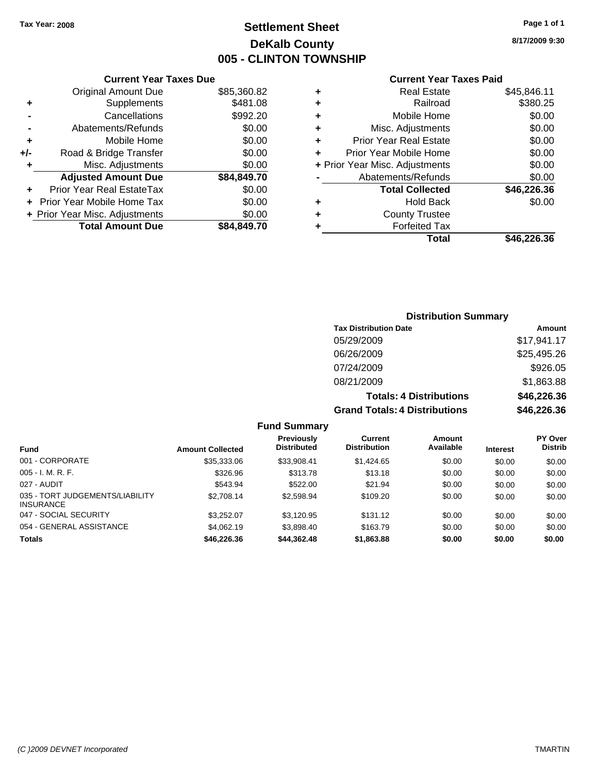### **Settlement Sheet Tax Year: 2008 Page 1 of 1 DeKalb County 005 - CLINTON TOWNSHIP**

**8/17/2009 9:30**

#### **Current Year Taxes Paid**

|   | Total                          | \$46,226.36 |
|---|--------------------------------|-------------|
| ٠ | <b>Forfeited Tax</b>           |             |
| ٠ | <b>County Trustee</b>          |             |
| ٠ | <b>Hold Back</b>               | \$0.00      |
|   | <b>Total Collected</b>         | \$46,226.36 |
|   | Abatements/Refunds             | \$0.00      |
|   | + Prior Year Misc. Adjustments | \$0.00      |
| ÷ | Prior Year Mobile Home         | \$0.00      |
| ٠ | <b>Prior Year Real Estate</b>  | \$0.00      |
| ٠ | Misc. Adjustments              | \$0.00      |
| ٠ | Mobile Home                    | \$0.00      |
| ٠ | Railroad                       | \$380.25    |
| ٠ | <b>Real Estate</b>             | \$45,846.11 |
|   |                                |             |

### **Current Year Taxes Due** Original Amount Due \$85,360.82 **+** Supplements \$481.08 **-** Cancellations \$992.20 **-** Abatements/Refunds \$0.00 **+** Mobile Home \$0.00 **+/-** Road & Bridge Transfer \$0.00 **+** Misc. Adjustments \$0.00 **Adjusted Amount Due \$84,849.70 +** Prior Year Real EstateTax \$0.00 **+** Prior Year Mobile Home Tax \$0.00

**+ Prior Year Misc. Adjustments**  $$0.00$ 

**Total Amount Due \$84,849.70**

### **Distribution Summary**

| <b>Tax Distribution Date</b>         | Amount      |
|--------------------------------------|-------------|
| 05/29/2009                           | \$17,941.17 |
| 06/26/2009                           | \$25,495.26 |
| 07/24/2009                           | \$926.05    |
| 08/21/2009                           | \$1,863.88  |
| <b>Totals: 4 Distributions</b>       | \$46,226.36 |
| <b>Grand Totals: 4 Distributions</b> | \$46,226.36 |

#### **Fund Summary**

| <b>Fund</b>                                         | <b>Amount Collected</b> | <b>Previously</b><br><b>Distributed</b> | Current<br><b>Distribution</b> | Amount<br>Available | <b>Interest</b> | <b>PY Over</b><br><b>Distrib</b> |
|-----------------------------------------------------|-------------------------|-----------------------------------------|--------------------------------|---------------------|-----------------|----------------------------------|
| 001 - CORPORATE                                     | \$35,333,06             | \$33.908.41                             | \$1,424.65                     | \$0.00              | \$0.00          | \$0.00                           |
| $005 - I. M. R. F.$                                 | \$326.96                | \$313.78                                | \$13.18                        | \$0.00              | \$0.00          | \$0.00                           |
| 027 - AUDIT                                         | \$543.94                | \$522.00                                | \$21.94                        | \$0.00              | \$0.00          | \$0.00                           |
| 035 - TORT JUDGEMENTS/LIABILITY<br><b>INSURANCE</b> | \$2,708.14              | \$2,598.94                              | \$109.20                       | \$0.00              | \$0.00          | \$0.00                           |
| 047 - SOCIAL SECURITY                               | \$3.252.07              | \$3,120.95                              | \$131.12                       | \$0.00              | \$0.00          | \$0.00                           |
| 054 - GENERAL ASSISTANCE                            | \$4,062.19              | \$3.898.40                              | \$163.79                       | \$0.00              | \$0.00          | \$0.00                           |
| <b>Totals</b>                                       | \$46,226.36             | \$44,362.48                             | \$1,863.88                     | \$0.00              | \$0.00          | \$0.00                           |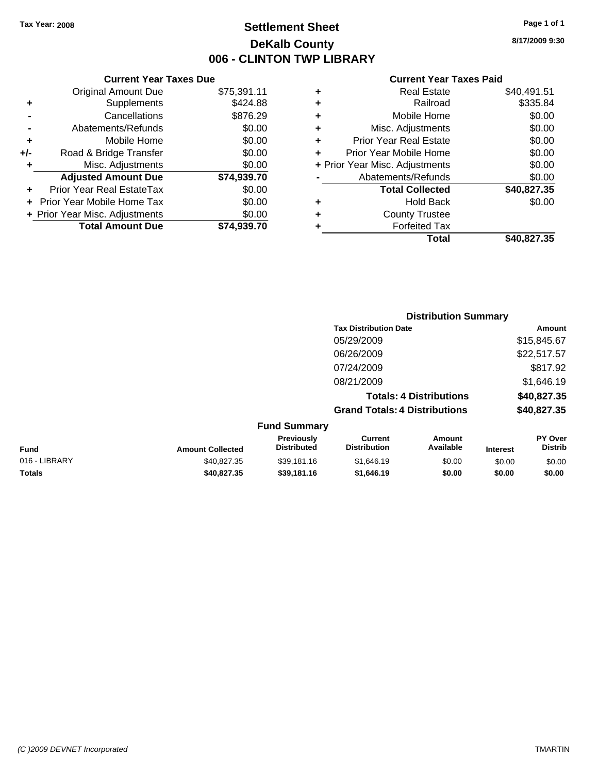### **Settlement Sheet Tax Year: 2008 Page 1 of 1 DeKalb County 006 - CLINTON TWP LIBRARY**

### **Current Year Taxes Due**

|       | <b>Original Amount Due</b>        | \$75,391.11 |
|-------|-----------------------------------|-------------|
| ٠     | Supplements                       | \$424.88    |
|       | Cancellations                     | \$876.29    |
|       | Abatements/Refunds                | \$0.00      |
| ٠     | Mobile Home                       | \$0.00      |
| $+/-$ | Road & Bridge Transfer            | \$0.00      |
| ٠     | Misc. Adjustments                 | \$0.00      |
|       | <b>Adjusted Amount Due</b>        | \$74,939.70 |
|       | <b>Prior Year Real EstateTax</b>  | \$0.00      |
|       |                                   |             |
|       | <b>Prior Year Mobile Home Tax</b> | \$0.00      |
|       | + Prior Year Misc. Adjustments    | \$0.00      |
|       | <b>Total Amount Due</b>           | \$74.939.70 |

#### **Current Year Taxes Paid**

|   | <b>Real Estate</b>             | \$40,491.51 |
|---|--------------------------------|-------------|
| ٠ | Railroad                       | \$335.84    |
| ٠ | Mobile Home                    | \$0.00      |
| ٠ | Misc. Adjustments              | \$0.00      |
| ٠ | <b>Prior Year Real Estate</b>  | \$0.00      |
|   | Prior Year Mobile Home         | \$0.00      |
|   | + Prior Year Misc. Adjustments | \$0.00      |
|   | Abatements/Refunds             | \$0.00      |
|   | <b>Total Collected</b>         | \$40,827.35 |
| ٠ | Hold Back                      | \$0.00      |
| ٠ | <b>County Trustee</b>          |             |
| ٠ | <b>Forfeited Tax</b>           |             |
|   | Total                          | \$40,827.35 |
|   |                                |             |

#### **Distribution Summary Tax Distribution Date Amount** 05/29/2009 \$15,845.67 06/26/2009 \$22,517.57 07/24/2009 \$817.92 08/21/2009 \$1,646.19 **Totals: 4 Distributions \$40,827.35 Grand Totals: 4 Distributions \$40,827.35 Fund Summary PY O Amount**  $\overline{c}$ **Previously**

| <b>Fund</b>   | <b>Amount Collected</b> | <b>Previously</b><br><b>Distributed</b> | Current<br><b>Distribution</b> | Amount<br>Available | <b>Interest</b> | <b>PY Over</b><br>Distrib |
|---------------|-------------------------|-----------------------------------------|--------------------------------|---------------------|-----------------|---------------------------|
| 016 - LIBRARY | \$40.827.35             | \$39,181.16                             | \$1.646.19                     | \$0.00              | \$0.00          | \$0.00                    |
| <b>Totals</b> | \$40.827.35             | \$39,181,16                             | \$1,646.19                     | \$0.00              | \$0.00          | \$0.00                    |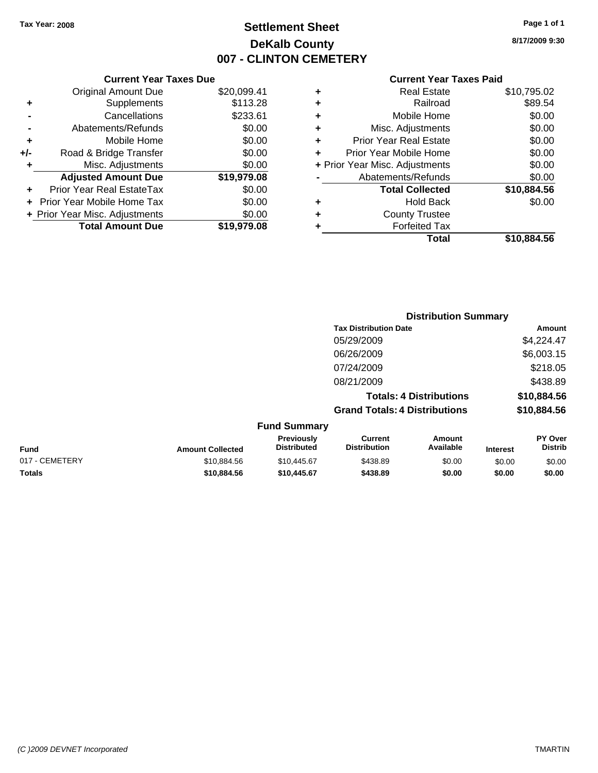### **Settlement Sheet Tax Year: 2008 Page 1 of 1 DeKalb County 007 - CLINTON CEMETERY**

**8/17/2009 9:30**

| <b>Current Year Taxes Paid</b> |  |  |
|--------------------------------|--|--|
|                                |  |  |

|     | <b>Current Year Taxes Due</b>  |             |
|-----|--------------------------------|-------------|
|     | <b>Original Amount Due</b>     | \$20,099.41 |
| ٠   | Supplements                    | \$113.28    |
|     | Cancellations                  | \$233.61    |
|     | Abatements/Refunds             | \$0.00      |
| ٠   | Mobile Home                    | \$0.00      |
| +/- | Road & Bridge Transfer         | \$0.00      |
| ٠   | Misc. Adjustments              | \$0.00      |
|     | <b>Adjusted Amount Due</b>     | \$19,979.08 |
|     | Prior Year Real EstateTax      | \$0.00      |
|     | Prior Year Mobile Home Tax     | \$0.00      |
|     | + Prior Year Misc. Adjustments | \$0.00      |
|     | <b>Total Amount Due</b>        | \$19,979.08 |
|     |                                |             |

| ٠ | <b>Real Estate</b>             | \$10,795.02 |
|---|--------------------------------|-------------|
| ٠ | Railroad                       | \$89.54     |
| ٠ | Mobile Home                    | \$0.00      |
| ٠ | Misc. Adjustments              | \$0.00      |
| ÷ | <b>Prior Year Real Estate</b>  | \$0.00      |
| ÷ | Prior Year Mobile Home         | \$0.00      |
|   | + Prior Year Misc. Adjustments | \$0.00      |
|   | Abatements/Refunds             | \$0.00      |
|   | <b>Total Collected</b>         | \$10,884.56 |
| ٠ | <b>Hold Back</b>               | \$0.00      |
| ٠ | <b>County Trustee</b>          |             |
| ٠ | <b>Forfeited Tax</b>           |             |
|   | Total                          | \$10,884.56 |

|                         |                                         |                                       | <b>Distribution Summary</b>    |                 |                                  |
|-------------------------|-----------------------------------------|---------------------------------------|--------------------------------|-----------------|----------------------------------|
|                         |                                         | <b>Tax Distribution Date</b>          |                                |                 | <b>Amount</b>                    |
|                         |                                         | 05/29/2009                            |                                |                 | \$4,224.47                       |
|                         |                                         | 06/26/2009                            |                                |                 | \$6,003.15                       |
|                         |                                         | 07/24/2009                            |                                |                 | \$218.05                         |
|                         |                                         | 08/21/2009                            |                                |                 | \$438.89                         |
|                         |                                         |                                       | <b>Totals: 4 Distributions</b> |                 | \$10,884.56                      |
|                         |                                         | <b>Grand Totals: 4 Distributions</b>  |                                |                 | \$10,884.56                      |
|                         | <b>Fund Summary</b>                     |                                       |                                |                 |                                  |
| <b>Amount Collected</b> | <b>Previously</b><br><b>Distributed</b> | <b>Current</b><br><b>Distribution</b> | Amount<br>Available            | <b>Interest</b> | <b>PY Over</b><br><b>Distrib</b> |
|                         |                                         |                                       | $\cdots$                       | ----            | ----                             |

| <b>Fund</b>    | <b>Amount Collected</b> | <b>Previously</b><br><b>Distributed</b> | Current<br><b>Distribution</b> | Amount<br>Available | <b>Interest</b> | PY Over<br>Distrib |
|----------------|-------------------------|-----------------------------------------|--------------------------------|---------------------|-----------------|--------------------|
| 017 - CEMETERY | \$10.884.56             | \$10,445.67                             | \$438.89                       | \$0.00              | \$0.00          | \$0.00             |
| <b>Totals</b>  | \$10.884.56             | \$10,445.67                             | \$438.89                       | \$0.00              | \$0.00          | \$0.00             |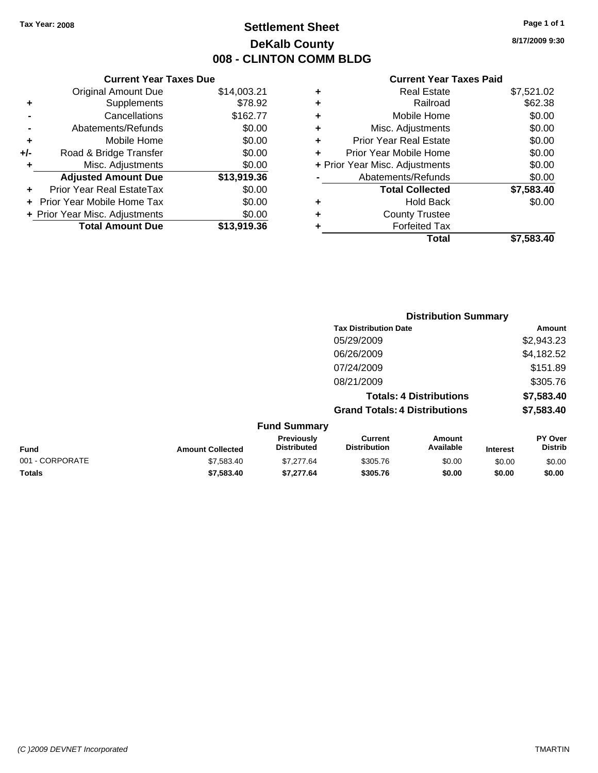### **Settlement Sheet Tax Year: 2008 Page 1 of 1 DeKalb County 008 - CLINTON COMM BLDG**

**8/17/2009 9:30**

#### **Current Year Taxes Paid**

|       | <b>Current Year Taxes Due</b>  |             |  |  |
|-------|--------------------------------|-------------|--|--|
|       | <b>Original Amount Due</b>     | \$14,003.21 |  |  |
| ٠     | Supplements                    | \$78.92     |  |  |
|       | Cancellations                  | \$162.77    |  |  |
|       | Abatements/Refunds             | \$0.00      |  |  |
| ٠     | Mobile Home                    | \$0.00      |  |  |
| $+/-$ | Road & Bridge Transfer         | \$0.00      |  |  |
|       | Misc. Adjustments<br>\$0.00    |             |  |  |
|       | <b>Adjusted Amount Due</b>     | \$13,919.36 |  |  |
|       | Prior Year Real EstateTax      | \$0.00      |  |  |
|       | Prior Year Mobile Home Tax     | \$0.00      |  |  |
|       | + Prior Year Misc. Adjustments | \$0.00      |  |  |
|       | <b>Total Amount Due</b>        | \$13,919.36 |  |  |
|       |                                |             |  |  |

| ٠ | <b>Real Estate</b>             | \$7,521.02 |
|---|--------------------------------|------------|
| ٠ | Railroad                       | \$62.38    |
| ٠ | Mobile Home                    | \$0.00     |
| ٠ | Misc. Adjustments              | \$0.00     |
| ÷ | Prior Year Real Estate         | \$0.00     |
|   | Prior Year Mobile Home         | \$0.00     |
|   | + Prior Year Misc. Adjustments | \$0.00     |
|   | Abatements/Refunds             | \$0.00     |
|   | <b>Total Collected</b>         | \$7,583.40 |
| ٠ | <b>Hold Back</b>               | \$0.00     |
| ٠ | <b>County Trustee</b>          |            |
| ٠ | <b>Forfeited Tax</b>           |            |
|   | Total                          | \$7,583.40 |
|   |                                |            |

|                 |                         |                                  |                                       | <b>Distribution Summary</b>    |                 |                           |
|-----------------|-------------------------|----------------------------------|---------------------------------------|--------------------------------|-----------------|---------------------------|
|                 |                         |                                  | <b>Tax Distribution Date</b>          |                                |                 | Amount                    |
|                 |                         |                                  | 05/29/2009                            |                                |                 | \$2,943.23                |
|                 |                         |                                  | 06/26/2009                            |                                |                 | \$4,182.52                |
|                 |                         |                                  | 07/24/2009                            |                                |                 | \$151.89                  |
|                 |                         |                                  | 08/21/2009                            |                                |                 | \$305.76                  |
|                 |                         |                                  |                                       | <b>Totals: 4 Distributions</b> |                 | \$7,583.40                |
|                 |                         |                                  | <b>Grand Totals: 4 Distributions</b>  |                                |                 | \$7,583.40                |
|                 |                         | <b>Fund Summary</b>              |                                       |                                |                 |                           |
| <b>Fund</b>     | <b>Amount Collected</b> | Previously<br><b>Distributed</b> | <b>Current</b><br><b>Distribution</b> | Amount<br>Available            | <b>Interest</b> | PY Over<br><b>Distrib</b> |
| 001 - CORPORATE | \$7,583.40              | \$7,277.64                       | \$305.76                              | \$0.00                         | \$0.00          | \$0.00                    |

**Totals \$7,583.40 \$7,277.64 \$305.76 \$0.00 \$0.00 \$0.00**

#### *(C )2009 DEVNET Incorporated* TMARTIN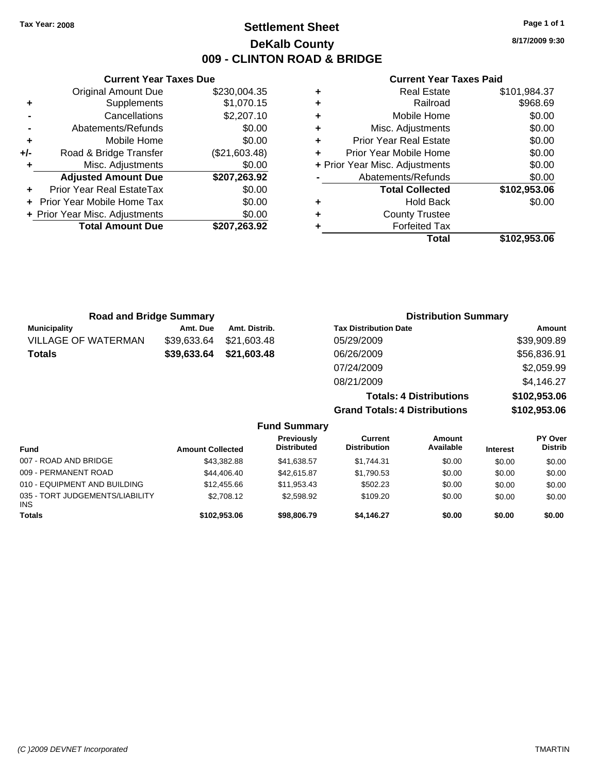**Current Year Taxes Due** Original Amount Due \$230,004.35

**Adjusted Amount Due \$207,263.92**

**Total Amount Due \$207,263.92**

**+** Supplements \$1,070.15 **-** Cancellations \$2,207.10 **-** Abatements/Refunds \$0.00 **+** Mobile Home \$0.00 **+/-** Road & Bridge Transfer (\$21,603.48) **+** Misc. Adjustments \$0.00

**+** Prior Year Real EstateTax \$0.00 **+** Prior Year Mobile Home Tax \$0.00 **+ Prior Year Misc. Adjustments**  $$0.00$ 

### **Settlement Sheet Tax Year: 2008 Page 1 of 1 DeKalb County 009 - CLINTON ROAD & BRIDGE**

**8/17/2009 9:30**

#### **Current Year Taxes Paid**

| ٠ | <b>Real Estate</b>             | \$101,984.37 |
|---|--------------------------------|--------------|
| ٠ | Railroad                       | \$968.69     |
| ٠ | Mobile Home                    | \$0.00       |
| ٠ | Misc. Adjustments              | \$0.00       |
| ÷ | <b>Prior Year Real Estate</b>  | \$0.00       |
| ÷ | Prior Year Mobile Home         | \$0.00       |
|   | + Prior Year Misc. Adjustments | \$0.00       |
|   | Abatements/Refunds             | \$0.00       |
|   | <b>Total Collected</b>         | \$102,953.06 |
|   | <b>Hold Back</b>               | \$0.00       |
| ٠ | <b>County Trustee</b>          |              |
|   | <b>Forfeited Tax</b>           |              |
|   | Total                          | \$102.953.06 |

| <b>Road and Bridge Summary</b> |             |                     | <b>Distribution Summary</b>          |              |
|--------------------------------|-------------|---------------------|--------------------------------------|--------------|
| <b>Municipality</b>            | Amt. Due    | Amt. Distrib.       | <b>Tax Distribution Date</b>         | Amount       |
| <b>VILLAGE OF WATERMAN</b>     | \$39,633.64 | \$21,603.48         | 05/29/2009                           | \$39,909.89  |
| <b>Totals</b>                  | \$39,633.64 | \$21,603.48         | 06/26/2009                           | \$56,836.91  |
|                                |             |                     | 07/24/2009                           | \$2,059.99   |
|                                |             |                     | 08/21/2009                           | \$4,146.27   |
|                                |             |                     | <b>Totals: 4 Distributions</b>       | \$102,953.06 |
|                                |             |                     | <b>Grand Totals: 4 Distributions</b> | \$102,953.06 |
|                                |             | <b>Fund Summary</b> |                                      |              |

| <b>Fund</b>                                   | <b>Amount Collected</b> | Previously<br><b>Distributed</b> | Current<br><b>Distribution</b> | Amount<br>Available | <b>Interest</b> | <b>PY Over</b><br><b>Distrib</b> |
|-----------------------------------------------|-------------------------|----------------------------------|--------------------------------|---------------------|-----------------|----------------------------------|
| 007 - ROAD AND BRIDGE                         | \$43,382.88             | \$41.638.57                      | \$1.744.31                     | \$0.00              | \$0.00          | \$0.00                           |
| 009 - PERMANENT ROAD                          | \$44,406,40             | \$42,615.87                      | \$1.790.53                     | \$0.00              | \$0.00          | \$0.00                           |
| 010 - EQUIPMENT AND BUILDING                  | \$12,455.66             | \$11,953.43                      | \$502.23                       | \$0.00              | \$0.00          | \$0.00                           |
| 035 - TORT JUDGEMENTS/LIABILITY<br><b>INS</b> | \$2,708.12              | \$2,598.92                       | \$109.20                       | \$0.00              | \$0.00          | \$0.00                           |
| <b>Totals</b>                                 | \$102.953.06            | \$98,806.79                      | \$4.146.27                     | \$0.00              | \$0.00          | \$0.00                           |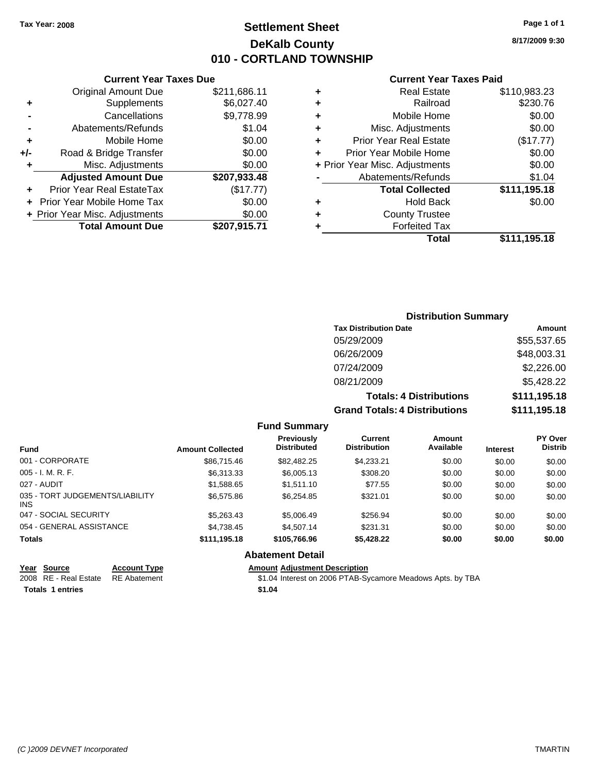### **Settlement Sheet Tax Year: 2008 Page 1 of 1 DeKalb County 010 - CORTLAND TOWNSHIP**

**8/17/2009 9:30**

#### **Current Year Taxes Paid**

|     | <b>Total Amount Due</b>        | \$207,915.71 |
|-----|--------------------------------|--------------|
|     | + Prior Year Misc. Adjustments | \$0.00       |
|     | Prior Year Mobile Home Tax     | \$0.00       |
|     | Prior Year Real EstateTax      | (\$17.77)    |
|     | <b>Adjusted Amount Due</b>     | \$207,933.48 |
| ٠   | Misc. Adjustments              | \$0.00       |
| +/- | Road & Bridge Transfer         | \$0.00       |
| ٠   | Mobile Home                    | \$0.00       |
|     | Abatements/Refunds             | \$1.04       |
|     | Cancellations                  | \$9,778.99   |
| ٠   | Supplements                    | \$6,027.40   |
|     | <b>Original Amount Due</b>     | \$211,686.11 |
|     |                                |              |

**Current Year Taxes Due**

| ٠ | <b>Real Estate</b>             | \$110,983.23 |
|---|--------------------------------|--------------|
| ٠ | Railroad                       | \$230.76     |
| ٠ | Mobile Home                    | \$0.00       |
| ٠ | Misc. Adjustments              | \$0.00       |
| ٠ | <b>Prior Year Real Estate</b>  | (\$17.77)    |
| ٠ | Prior Year Mobile Home         | \$0.00       |
|   | + Prior Year Misc. Adjustments | \$0.00       |
|   | Abatements/Refunds             | \$1.04       |
|   | <b>Total Collected</b>         | \$111,195.18 |
| ٠ | <b>Hold Back</b>               | \$0.00       |
| ٠ | <b>County Trustee</b>          |              |
| ٠ | <b>Forfeited Tax</b>           |              |
|   | Total                          | \$111,195.18 |
|   |                                |              |

### **Distribution Summary Tax Distribution Date Amount** 05/29/2009 \$55,537.65 06/26/2009 \$48,003.31 07/24/2009 \$2,226.00 08/21/2009 \$5,428.22 **Totals: 4 Distributions \$111,195.18 Grand Totals: 4 Distributions \$111,195.18**

#### **Fund Summary**

| <b>Fund</b>                             | <b>Amount Collected</b> | <b>Previously</b><br><b>Distributed</b> | Current<br><b>Distribution</b> | Amount<br>Available | <b>Interest</b> | <b>PY Over</b><br><b>Distrib</b> |
|-----------------------------------------|-------------------------|-----------------------------------------|--------------------------------|---------------------|-----------------|----------------------------------|
| 001 - CORPORATE                         | \$86,715.46             | \$82,482.25                             | \$4,233.21                     | \$0.00              | \$0.00          | \$0.00                           |
| 005 - I. M. R. F.                       | \$6,313.33              | \$6,005.13                              | \$308.20                       | \$0.00              | \$0.00          | \$0.00                           |
| 027 - AUDIT                             | \$1,588.65              | \$1,511.10                              | \$77.55                        | \$0.00              | \$0.00          | \$0.00                           |
| 035 - TORT JUDGEMENTS/LIABILITY<br>INS. | \$6,575.86              | \$6,254.85                              | \$321.01                       | \$0.00              | \$0.00          | \$0.00                           |
| 047 - SOCIAL SECURITY                   | \$5,263,43              | \$5,006.49                              | \$256.94                       | \$0.00              | \$0.00          | \$0.00                           |
| 054 - GENERAL ASSISTANCE                | \$4,738.45              | \$4,507.14                              | \$231.31                       | \$0.00              | \$0.00          | \$0.00                           |
| Totals                                  | \$111,195.18            | \$105,766.96                            | \$5,428.22                     | \$0.00              | \$0.00          | \$0.00                           |
|                                         |                         |                                         |                                |                     |                 |                                  |

### **Abatement Detail**

| Year Source                        | <b>Account Type</b> | <b>Amount Adiustment Description</b>                       |
|------------------------------------|---------------------|------------------------------------------------------------|
| 2008 RE - Real Estate RE Abatement |                     | \$1.04 Interest on 2006 PTAB-Sycamore Meadows Apts. by TBA |
| <b>Totals 1 entries</b>            |                     | \$1.04                                                     |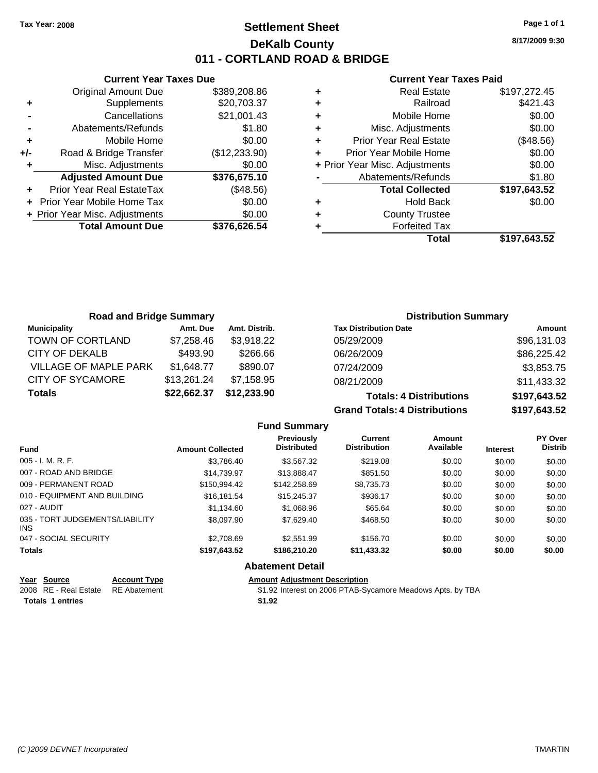### **Settlement Sheet Tax Year: 2008 Page 1 of 1 DeKalb County 011 - CORTLAND ROAD & BRIDGE**

**Current Year Taxes Due** Original Amount Due \$389,208.86 **+** Supplements \$20,703.37 **-** Cancellations \$21,001.43 **-** Abatements/Refunds \$1.80 **+** Mobile Home \$0.00 **+/-** Road & Bridge Transfer (\$12,233.90) **+** Misc. Adjustments \$0.00 **Adjusted Amount Due \$376,675.10 +** Prior Year Real EstateTax (\$48.56) **+** Prior Year Mobile Home Tax \$0.00 **+ Prior Year Misc. Adjustments**  $$0.00$ **Total Amount Due \$376,626.54**

#### **Current Year Taxes Paid**

| ٠ | <b>Real Estate</b>             | \$197,272.45 |
|---|--------------------------------|--------------|
| ٠ | Railroad                       | \$421.43     |
| ٠ | Mobile Home                    | \$0.00       |
| ٠ | Misc. Adjustments              | \$0.00       |
| ٠ | <b>Prior Year Real Estate</b>  | (\$48.56)    |
|   | Prior Year Mobile Home         | \$0.00       |
|   | + Prior Year Misc. Adjustments | \$0.00       |
|   | Abatements/Refunds             | \$1.80       |
|   | <b>Total Collected</b>         | \$197,643.52 |
| ٠ | <b>Hold Back</b>               | \$0.00       |
|   | <b>County Trustee</b>          |              |
|   | <b>Forfeited Tax</b>           |              |
|   | Total                          | \$197,643.52 |
|   |                                |              |

| <b>Road and Bridge Summary</b> |             |               | <b>Distribution Summary</b>          |              |
|--------------------------------|-------------|---------------|--------------------------------------|--------------|
| <b>Municipality</b>            | Amt. Due    | Amt. Distrib. | <b>Tax Distribution Date</b>         | Amount       |
| TOWN OF CORTLAND               | \$7,258.46  | \$3,918.22    | 05/29/2009                           | \$96,131.03  |
| CITY OF DEKALB                 | \$493.90    | \$266.66      | 06/26/2009                           | \$86,225.42  |
| VILLAGE OF MAPLE PARK          | \$1,648.77  | \$890.07      | 07/24/2009                           | \$3,853.75   |
| CITY OF SYCAMORE               | \$13,261.24 | \$7,158.95    | 08/21/2009                           | \$11,433.32  |
| <b>Totals</b>                  | \$22,662.37 | \$12,233.90   | <b>Totals: 4 Distributions</b>       | \$197,643.52 |
|                                |             |               | <b>Grand Totals: 4 Distributions</b> | \$197,643.52 |

|                                         |                         | <b>Fund Summary</b>                     |                                       |                     |                 |                                  |
|-----------------------------------------|-------------------------|-----------------------------------------|---------------------------------------|---------------------|-----------------|----------------------------------|
| <b>Fund</b>                             | <b>Amount Collected</b> | <b>Previously</b><br><b>Distributed</b> | <b>Current</b><br><b>Distribution</b> | Amount<br>Available | <b>Interest</b> | <b>PY Over</b><br><b>Distrib</b> |
| $005 - I. M. R. F.$                     | \$3.786.40              | \$3.567.32                              | \$219.08                              | \$0.00              | \$0.00          | \$0.00                           |
| 007 - ROAD AND BRIDGE                   | \$14.739.97             | \$13,888,47                             | \$851.50                              | \$0.00              | \$0.00          | \$0.00                           |
| 009 - PERMANENT ROAD                    | \$150.994.42            | \$142,258.69                            | \$8,735.73                            | \$0.00              | \$0.00          | \$0.00                           |
| 010 - EQUIPMENT AND BUILDING            | \$16.181.54             | \$15,245,37                             | \$936.17                              | \$0.00              | \$0.00          | \$0.00                           |
| 027 - AUDIT                             | \$1.134.60              | \$1,068.96                              | \$65.64                               | \$0.00              | \$0.00          | \$0.00                           |
| 035 - TORT JUDGEMENTS/LIABILITY<br>INS. | \$8,097.90              | \$7.629.40                              | \$468.50                              | \$0.00              | \$0.00          | \$0.00                           |
| 047 - SOCIAL SECURITY                   | \$2,708.69              | \$2,551.99                              | \$156.70                              | \$0.00              | \$0.00          | \$0.00                           |
| <b>Totals</b>                           | \$197,643.52            | \$186,210.20                            | \$11,433.32                           | \$0.00              | \$0.00          | \$0.00                           |
|                                         |                         | <b>Abatement Detail</b>                 |                                       |                     |                 |                                  |

| Year Source                        | <b>Account Type</b> | <b>Amount Adiustment Description</b>                       |
|------------------------------------|---------------------|------------------------------------------------------------|
| 2008 RE - Real Estate RE Abatement |                     | \$1.92 Interest on 2006 PTAB-Sycamore Meadows Apts. by TBA |
| <b>Totals 1 entries</b>            |                     | \$1.92                                                     |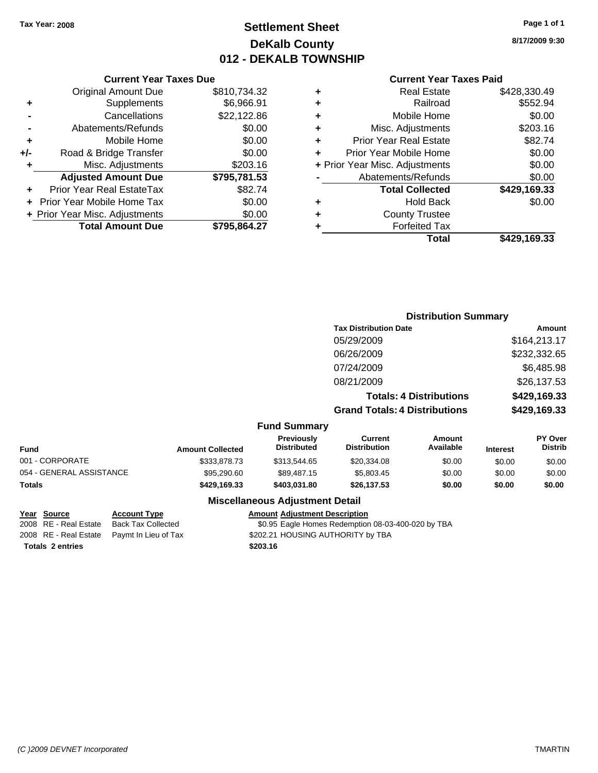### **Settlement Sheet Tax Year: 2008 Page 1 of 1 DeKalb County 012 - DEKALB TOWNSHIP**

**8/17/2009 9:30**

#### **Current Year Taxes Paid**

|     | <b>Current Year Taxes Due</b>  |              |        |
|-----|--------------------------------|--------------|--------|
|     | <b>Original Amount Due</b>     | \$810,734.32 | ٠      |
|     | Supplements                    | \$6,966.91   | ٠      |
|     | Cancellations                  | \$22,122.86  | ٠      |
|     | Abatements/Refunds             | \$0.00       | ٠      |
|     | Mobile Home                    | \$0.00       |        |
| +/- | Road & Bridge Transfer         | \$0.00       |        |
|     | Misc. Adjustments              | \$203.16     | + Prio |
|     | <b>Adjusted Amount Due</b>     | \$795,781.53 |        |
|     | Prior Year Real EstateTax      | \$82.74      |        |
|     | Prior Year Mobile Home Tax     | \$0.00       | ٠      |
|     | + Prior Year Misc. Adjustments | \$0.00       |        |
|     | <b>Total Amount Due</b>        | \$795,864.27 |        |
|     |                                |              |        |

|   | <b>Real Estate</b>             | \$428,330.49 |
|---|--------------------------------|--------------|
| ٠ | Railroad                       | \$552.94     |
| ٠ | Mobile Home                    | \$0.00       |
| ٠ | Misc. Adjustments              | \$203.16     |
| ٠ | Prior Year Real Estate         | \$82.74      |
| ÷ | Prior Year Mobile Home         | \$0.00       |
|   | + Prior Year Misc. Adjustments | \$0.00       |
|   | Abatements/Refunds             | \$0.00       |
|   | <b>Total Collected</b>         | \$429,169.33 |
| ٠ | <b>Hold Back</b>               | \$0.00       |
| ٠ | <b>County Trustee</b>          |              |
| ٠ | <b>Forfeited Tax</b>           |              |
|   | Total                          | \$429,169.33 |
|   |                                |              |

#### **Distribution Summary Tax Distribution Date Amount** 05/29/2009 \$164,213.17 06/26/2009 \$232,332.65 07/24/2009 \$6,485.98 08/21/2009 \$26,137.53 **Totals: 4 Distributions \$429,169.33 Grand Totals: 4 Distributions \$429,169.33 Fund Summary Fund Interest Amount Collected Distributed PY Over Distrib Amount Available Current Distribution Previously** 001 - CORPORATE \$333,878.73 \$313,544.65 \$20,334.08 \$0.00 \$0.00 \$0.00 054 - GENERAL ASSISTANCE \$95,290.60 \$89,487.15 \$5,803.45 \$0.00 \$0.00 \$0.00

#### **Miscellaneous Adjustment Detail**

#### **Year Source Account Type Amount Adjustment Description**

**Totals \$429,169.33 \$403,031.80 \$26,137.53 \$0.00 \$0.00 \$0.00**

2008 RE - Real Estate Back Tax Collected \$0.95 Eagle Homes Redemption 08-03-400-020 by TBA 2008 RE - Real Estate Paymt In Lieu of Tax S202.21 HOUSING AUTHORITY by TBA

**Totals \$203.16 2 entries**

*(C )2009 DEVNET Incorporated* TMARTIN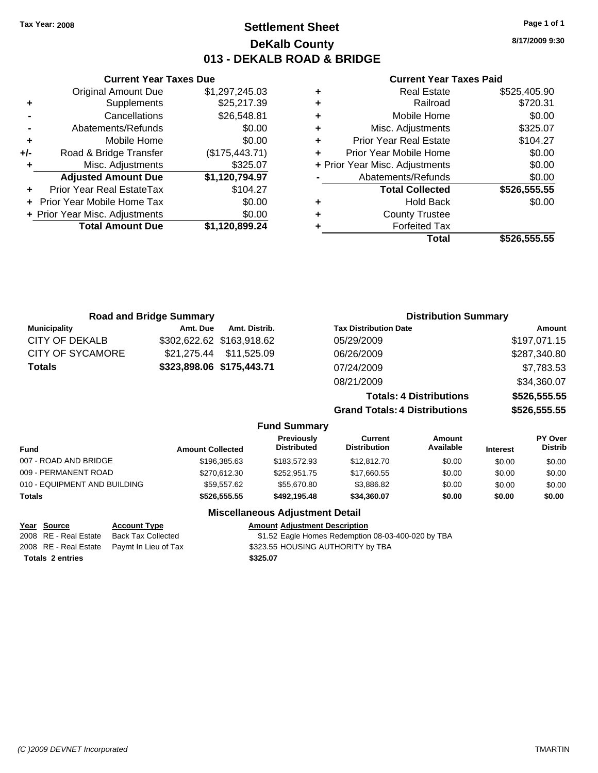### **Settlement Sheet Tax Year: 2008 Page 1 of 1 DeKalb County 013 - DEKALB ROAD & BRIDGE**

**8/17/2009 9:30**

#### **Current Year Taxes Paid**

|   | <b>Real Estate</b>             | \$525,405.90 |
|---|--------------------------------|--------------|
| ٠ | Railroad                       | \$720.31     |
| ٠ | Mobile Home                    | \$0.00       |
| ٠ | Misc. Adjustments              | \$325.07     |
| ٠ | <b>Prior Year Real Estate</b>  | \$104.27     |
| ÷ | Prior Year Mobile Home         | \$0.00       |
|   | + Prior Year Misc. Adjustments | \$0.00       |
|   | Abatements/Refunds             | \$0.00       |
|   | <b>Total Collected</b>         | \$526,555.55 |
| ٠ | <b>Hold Back</b>               | \$0.00       |
| ٠ | <b>County Trustee</b>          |              |
|   | <b>Forfeited Tax</b>           |              |
|   | Total                          | \$526.555.55 |

|                              | <b>Road and Bridge Summary</b> |                                         |                                       | <b>Distribution Summary</b>    |                 |                                  |
|------------------------------|--------------------------------|-----------------------------------------|---------------------------------------|--------------------------------|-----------------|----------------------------------|
| <b>Municipality</b>          | Amt. Due<br>Amt. Distrib.      |                                         | <b>Tax Distribution Date</b>          |                                |                 | Amount                           |
| <b>CITY OF DEKALB</b>        | \$302,622.62 \$163,918.62      |                                         | 05/29/2009                            |                                |                 | \$197,071.15                     |
| <b>CITY OF SYCAMORE</b>      | \$11,525.09<br>\$21,275.44     |                                         | 06/26/2009                            |                                |                 | \$287,340.80                     |
| Totals                       | \$323,898.06 \$175,443.71      |                                         | 07/24/2009                            |                                |                 | \$7,783.53                       |
|                              |                                |                                         | 08/21/2009                            |                                |                 | \$34,360.07                      |
|                              |                                |                                         |                                       | <b>Totals: 4 Distributions</b> |                 | \$526,555.55                     |
|                              |                                |                                         | <b>Grand Totals: 4 Distributions</b>  |                                |                 | \$526,555.55                     |
|                              |                                | <b>Fund Summary</b>                     |                                       |                                |                 |                                  |
| Fund                         | <b>Amount Collected</b>        | <b>Previously</b><br><b>Distributed</b> | <b>Current</b><br><b>Distribution</b> | Amount<br>Available            | <b>Interest</b> | <b>PY Over</b><br><b>Distrib</b> |
| 007 - ROAD AND BRIDGE        | \$196,385.63                   | \$183,572.93                            | \$12,812.70                           | \$0.00                         | \$0.00          | \$0.00                           |
| 009 - PERMANENT ROAD         | \$270,612.30                   | \$252,951.75                            | \$17,660.55                           | \$0.00                         | \$0.00          | \$0.00                           |
| 010 - EQUIPMENT AND BUILDING | \$59,557.62                    | \$55,670.80                             | \$3,886.82                            | \$0.00                         | \$0.00          | \$0.00                           |
| Totals                       | \$526,555.55                   | \$492,195.48                            | \$34,360.07                           | \$0.00                         | \$0.00          | \$0.00                           |
|                              |                                | Missellanessen, Adioatorent Batail      |                                       |                                |                 |                                  |

#### **Miscellaneous Adjustment Detail Year Source Account Type Amount Adjustment Description**

**Totals \$325.07 2 entries**

**Current Year Taxes Due** Original Amount Due \$1,297,245.03

**Adjusted Amount Due \$1,120,794.97**

**Total Amount Due \$1,120,899.24**

**+** Supplements \$25,217.39 **-** Cancellations \$26,548.81 **-** Abatements/Refunds \$0.00 **+** Mobile Home \$0.00 **+/-** Road & Bridge Transfer (\$175,443.71) **+** Misc. Adjustments \$325.07

**+** Prior Year Real EstateTax \$104.27 **+** Prior Year Mobile Home Tax \$0.00 **+ Prior Year Misc. Adjustments**  $$0.00$ 

2008 RE - Real Estate Back Tax Collected \$1.52 Eagle Homes Redemption 08-03-400-020 by TBA 2008 RE - Real Estate Paymt In Lieu of Tax \$323.55 HOUSING AUTHORITY by TBA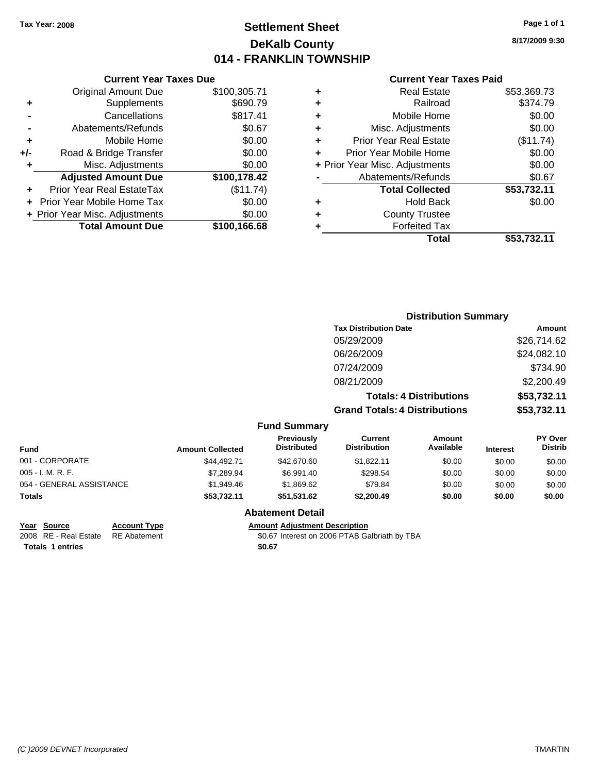### **Settlement Sheet Tax Year: 2008 Page 1 of 1 DeKalb County 014 - FRANKLIN TOWNSHIP**

**8/17/2009 9:30**

#### **Current Year Taxes Paid**

|     | <b>Current Year Taxes Due</b>  |              |         |
|-----|--------------------------------|--------------|---------|
|     | <b>Original Amount Due</b>     | \$100,305.71 | ٠       |
|     | Supplements                    | \$690.79     | ٠       |
|     | Cancellations                  | \$817.41     | ٠       |
|     | Abatements/Refunds             | \$0.67       | ٠       |
|     | Mobile Home                    | \$0.00       |         |
| +/- | Road & Bridge Transfer         | \$0.00       | F       |
|     | Misc. Adjustments              | \$0.00       | + Prior |
|     | <b>Adjusted Amount Due</b>     | \$100,178.42 |         |
|     | Prior Year Real EstateTax      | (\$11.74)    |         |
|     | Prior Year Mobile Home Tax     | \$0.00       | ٠       |
|     | + Prior Year Misc. Adjustments | \$0.00       |         |
|     | <b>Total Amount Due</b>        | \$100,166.68 |         |
|     |                                |              |         |

|   | <b>Real Estate</b>             | \$53,369.73 |
|---|--------------------------------|-------------|
| ٠ | Railroad                       | \$374.79    |
| ٠ | Mobile Home                    | \$0.00      |
| ٠ | Misc. Adjustments              | \$0.00      |
| ٠ | <b>Prior Year Real Estate</b>  | (\$11.74)   |
|   | Prior Year Mobile Home         | \$0.00      |
|   | + Prior Year Misc. Adjustments | \$0.00      |
|   | Abatements/Refunds             | \$0.67      |
|   | <b>Total Collected</b>         | \$53,732.11 |
| ٠ | <b>Hold Back</b>               | \$0.00      |
| ٠ | <b>County Trustee</b>          |             |
|   | <b>Forfeited Tax</b>           |             |
|   | <b>Total</b>                   | \$53,732.11 |
|   |                                |             |

|                          |                         |                                  |                                       | <b>Distribution Summary</b>    |                 |                           |
|--------------------------|-------------------------|----------------------------------|---------------------------------------|--------------------------------|-----------------|---------------------------|
|                          |                         |                                  | <b>Tax Distribution Date</b>          |                                |                 | Amount                    |
|                          |                         |                                  | 05/29/2009                            |                                |                 | \$26,714.62               |
|                          |                         |                                  | 06/26/2009                            |                                |                 | \$24,082.10               |
|                          |                         |                                  | 07/24/2009                            |                                |                 | \$734.90                  |
|                          |                         |                                  | 08/21/2009                            |                                |                 | \$2,200.49                |
|                          |                         |                                  |                                       | <b>Totals: 4 Distributions</b> |                 | \$53,732.11               |
|                          |                         |                                  | <b>Grand Totals: 4 Distributions</b>  |                                |                 | \$53,732.11               |
|                          |                         | <b>Fund Summary</b>              |                                       |                                |                 |                           |
| <b>Fund</b>              | <b>Amount Collected</b> | Previously<br><b>Distributed</b> | <b>Current</b><br><b>Distribution</b> | Amount<br>Available            | <b>Interest</b> | PY Over<br><b>Distrib</b> |
| 001 - CORPORATE          | \$44,492.71             | \$42,670.60                      | \$1,822.11                            | \$0.00                         | \$0.00          | \$0.00                    |
| 005 - I. M. R. F.        | \$7,289.94              | \$6,991.40                       | \$298.54                              | \$0.00                         | \$0.00          | \$0.00                    |
| 054 - GENERAL ASSISTANCE | \$1,949.46              | \$1,869.62                       | \$79.84                               | \$0.00                         | \$0.00          | \$0.00                    |
| Totals                   | \$53,732.11             | \$51,531.62                      | \$2,200.49                            | \$0.00                         | \$0.00          | \$0.00                    |
|                          |                         |                                  |                                       |                                |                 |                           |

### **Abatement Detail**

**Year Source Account Type Amount Adjustment Description**<br>2008 RE - Real Estate RE Abatement **1998 Amount** 1906 **Adjustment** COOS PTAB Gas \$0.67 Interest on 2006 PTAB Galbriath by TBA

Totals 1 entries \$0.67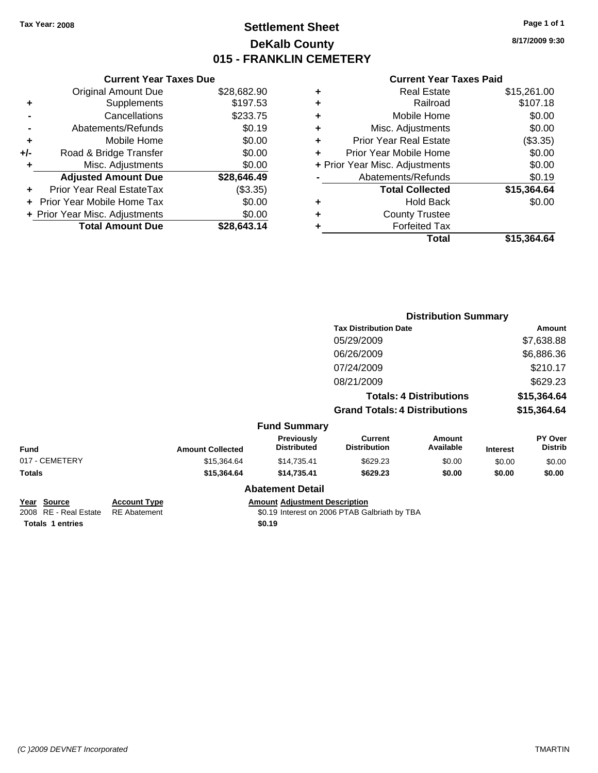### **Settlement Sheet Tax Year: 2008 Page 1 of 1 DeKalb County 015 - FRANKLIN CEMETERY**

**8/17/2009 9:30**

|  | <b>Current Year Taxes Paid</b> |  |  |  |
|--|--------------------------------|--|--|--|
|--|--------------------------------|--|--|--|

|       | <b>Current Year Taxes Due</b>  |             |
|-------|--------------------------------|-------------|
|       | <b>Original Amount Due</b>     | \$28,682.90 |
| ٠     | Supplements                    | \$197.53    |
|       | Cancellations                  | \$233.75    |
|       | Abatements/Refunds             | \$0.19      |
| ٠     | Mobile Home                    | \$0.00      |
| $+/-$ | Road & Bridge Transfer         | \$0.00      |
|       | Misc. Adjustments              | \$0.00      |
|       | <b>Adjusted Amount Due</b>     | \$28,646.49 |
|       | Prior Year Real EstateTax      | (\$3.35)    |
|       | Prior Year Mobile Home Tax     | \$0.00      |
|       | + Prior Year Misc. Adjustments | \$0.00      |
|       | <b>Total Amount Due</b>        | \$28,643.14 |
|       |                                |             |

| <b>Real Estate</b>             | \$15,261.00 |
|--------------------------------|-------------|
| Railroad                       | \$107.18    |
| Mobile Home                    | \$0.00      |
| Misc. Adjustments              | \$0.00      |
| <b>Prior Year Real Estate</b>  | (\$3.35)    |
| Prior Year Mobile Home         | \$0.00      |
| + Prior Year Misc. Adjustments | \$0.00      |
| Abatements/Refunds             | \$0.19      |
| <b>Total Collected</b>         | \$15,364.64 |
| <b>Hold Back</b>               | \$0.00      |
| <b>County Trustee</b>          |             |
| <b>Forfeited Tax</b>           |             |
| Total                          | \$15,364.64 |
|                                |             |

|                |                         |                                  | <b>Distribution Summary</b>          |                                |                 |                           |
|----------------|-------------------------|----------------------------------|--------------------------------------|--------------------------------|-----------------|---------------------------|
|                |                         |                                  | <b>Tax Distribution Date</b>         | Amount                         |                 |                           |
|                |                         |                                  | 05/29/2009                           |                                |                 | \$7,638.88                |
|                |                         |                                  | 06/26/2009                           |                                |                 | \$6,886.36                |
|                |                         |                                  | 07/24/2009                           |                                |                 | \$210.17                  |
|                |                         |                                  | 08/21/2009                           |                                |                 | \$629.23                  |
|                |                         |                                  |                                      | <b>Totals: 4 Distributions</b> |                 | \$15,364.64               |
|                |                         |                                  | <b>Grand Totals: 4 Distributions</b> |                                |                 | \$15,364.64               |
|                |                         | <b>Fund Summary</b>              |                                      |                                |                 |                           |
| <b>Fund</b>    | <b>Amount Collected</b> | Previously<br><b>Distributed</b> | Current<br><b>Distribution</b>       | Amount<br>Available            | <b>Interest</b> | PY Over<br><b>Distrib</b> |
| 017 - CEMETERY | \$15,364.64             | \$14,735.41                      | \$629.23                             | \$0.00                         | \$0.00          | \$0.00                    |
| Totals         | \$15,364.64             | \$14,735.41                      | \$629.23                             | \$0.00                         | \$0.00          | \$0.00                    |
|                |                         | <b>Abatement Detail</b>          |                                      |                                |                 |                           |

| Year Source                        | <b>Account Type</b> | Amount |
|------------------------------------|---------------------|--------|
| 2008 RE - Real Estate RE Abatement |                     | \$0.19 |
| <b>Totals 1 entries</b>            |                     | \$0.19 |

|  | Year Source | <b>Account Type</b> | <b>Amount Adiustment Description</b> |
|--|-------------|---------------------|--------------------------------------|
|--|-------------|---------------------|--------------------------------------|

E Amount Adjustment Description<br>
2006 PTAB Galbriath by TBA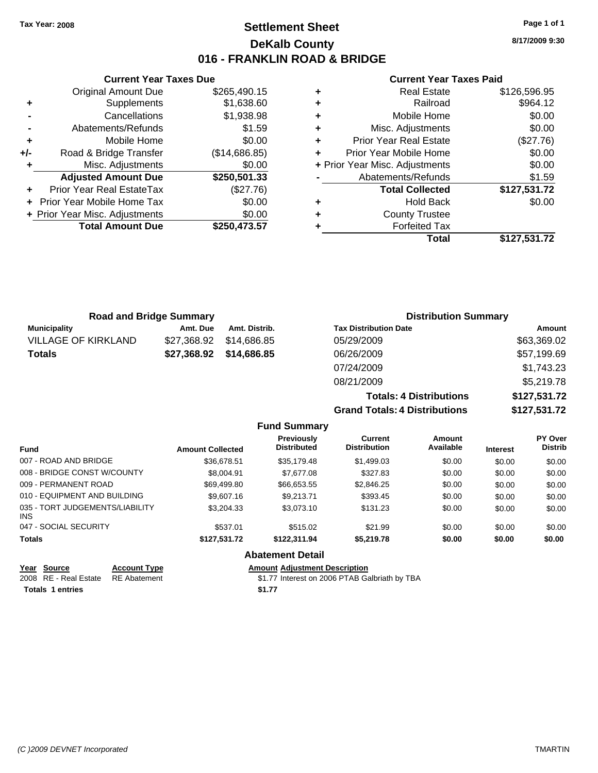### **Settlement Sheet Tax Year: 2008 Page 1 of 1 DeKalb County 016 - FRANKLIN ROAD & BRIDGE**

**8/17/2009 9:30**

#### **Current Year Taxes Paid**

**Grand Totals: 4 Distributions \$127,531.72**

|   | Total                          | \$127,531.72 |
|---|--------------------------------|--------------|
|   | <b>Forfeited Tax</b>           |              |
| ٠ | <b>County Trustee</b>          |              |
| ٠ | Hold Back                      | \$0.00       |
|   | <b>Total Collected</b>         | \$127,531.72 |
|   | Abatements/Refunds             | \$1.59       |
|   | + Prior Year Misc. Adjustments | \$0.00       |
| ÷ | Prior Year Mobile Home         | \$0.00       |
| ٠ | <b>Prior Year Real Estate</b>  | (\$27.76)    |
| ٠ | Misc. Adjustments              | \$0.00       |
| ÷ | Mobile Home                    | \$0.00       |
| ÷ | Railroad                       | \$964.12     |
| ٠ | <b>Real Estate</b>             | \$126,596.95 |

|                            | <b>Road and Bridge Summary</b> |               | <b>Distribution Summary</b>    |              |
|----------------------------|--------------------------------|---------------|--------------------------------|--------------|
| <b>Municipality</b>        | Amt. Due                       | Amt. Distrib. | <b>Tax Distribution Date</b>   | Amount       |
| <b>VILLAGE OF KIRKLAND</b> | \$27,368.92                    | \$14,686.85   | 05/29/2009                     | \$63,369.02  |
| Totals                     | \$27,368.92                    | \$14,686.85   | 06/26/2009                     | \$57,199.69  |
|                            |                                |               | 07/24/2009                     | \$1,743.23   |
|                            |                                |               | 08/21/2009                     | \$5,219.78   |
|                            |                                |               | <b>Totals: 4 Distributions</b> | \$127,531.72 |

|                                         |                         | <b>Fund Summary</b>                     |                                       |                     |                 |                                  |
|-----------------------------------------|-------------------------|-----------------------------------------|---------------------------------------|---------------------|-----------------|----------------------------------|
| <b>Fund</b>                             | <b>Amount Collected</b> | <b>Previously</b><br><b>Distributed</b> | <b>Current</b><br><b>Distribution</b> | Amount<br>Available | <b>Interest</b> | <b>PY Over</b><br><b>Distrib</b> |
| 007 - ROAD AND BRIDGE                   | \$36,678.51             | \$35.179.48                             | \$1,499.03                            | \$0.00              | \$0.00          | \$0.00                           |
| 008 - BRIDGE CONST W/COUNTY             | \$8,004.91              | \$7,677,08                              | \$327.83                              | \$0.00              | \$0.00          | \$0.00                           |
| 009 - PERMANENT ROAD                    | \$69,499.80             | \$66,653.55                             | \$2,846.25                            | \$0.00              | \$0.00          | \$0.00                           |
| 010 - EQUIPMENT AND BUILDING            | \$9,607.16              | \$9.213.71                              | \$393.45                              | \$0.00              | \$0.00          | \$0.00                           |
| 035 - TORT JUDGEMENTS/LIABILITY<br>INS. | \$3.204.33              | \$3,073.10                              | \$131.23                              | \$0.00              | \$0.00          | \$0.00                           |
| 047 - SOCIAL SECURITY                   | \$537.01                | \$515.02                                | \$21.99                               | \$0.00              | \$0.00          | \$0.00                           |
| <b>Totals</b>                           | \$127.531.72            | \$122.311.94                            | \$5.219.78                            | \$0.00              | \$0.00          | \$0.00                           |
|                                         |                         | <b>Abatement Detail</b>                 |                                       |                     |                 |                                  |

| Year Source                        | <b>Account Type</b> | Amount |
|------------------------------------|---------------------|--------|
| 2008 RE - Real Estate RE Abatement |                     | \$1.77 |
| <b>Totals 1 entries</b>            |                     | \$1.77 |

**Current Year Taxes Due** Original Amount Due \$265,490.15

**Adjusted Amount Due \$250,501.33**

**Total Amount Due \$250,473.57**

**+** Supplements \$1,638.60 **-** Cancellations \$1,938.98 **-** Abatements/Refunds \$1.59 **+** Mobile Home \$0.00 **+/-** Road & Bridge Transfer (\$14,686.85) **+** Misc. Adjustments \$0.00

**+** Prior Year Real EstateTax (\$27.76) **+** Prior Year Mobile Home Tax \$0.00 **+ Prior Year Misc. Adjustments**  $$0.00$ 

> **Year Source Account Type Amount Adjustment Description** 7 Interest on 2006 PTAB Galbriath by TBA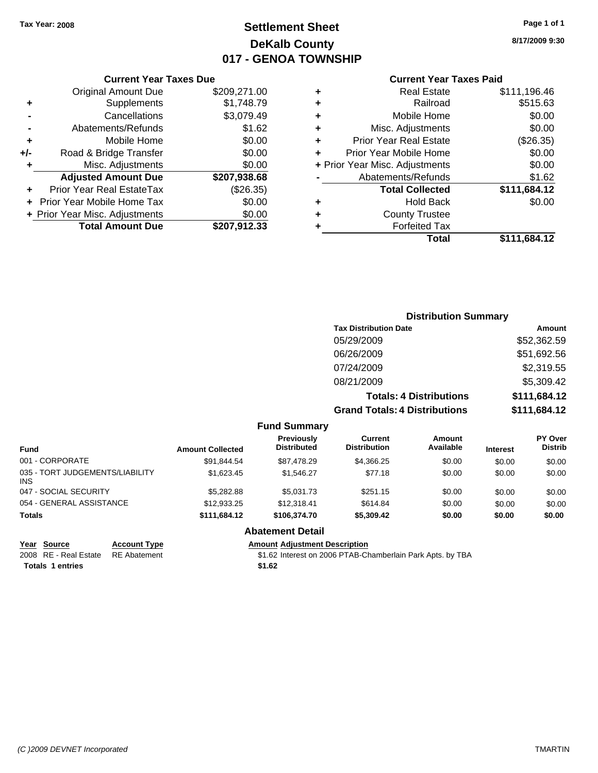### **Settlement Sheet Tax Year: 2008 Page 1 of 1 DeKalb County 017 - GENOA TOWNSHIP**

**8/17/2009 9:30**

### **Current Year Taxes Paid**

| Cuı                  |   |              | <b>Current Year Taxes Due</b>  |       |
|----------------------|---|--------------|--------------------------------|-------|
| Б                    | ٠ | \$209,271.00 | <b>Original Amount Due</b>     |       |
|                      | ٠ | \$1,748.79   | <b>Supplements</b>             | ٠     |
| Mc                   | ٠ | \$3,079.49   | Cancellations                  |       |
| Misc. A              |   | \$1.62       | Abatements/Refunds             |       |
| Prior Year R         |   | \$0.00       | Mobile Home                    |       |
| Prior Year Mo        |   | \$0.00       | Road & Bridge Transfer         | $+/-$ |
| + Prior Year Misc. A |   | \$0.00       | Misc. Adjustments              |       |
| Abatement            |   | \$207,938.68 | <b>Adjusted Amount Due</b>     |       |
| <b>Total</b>         |   | (\$26.35)    | Prior Year Real EstateTax      |       |
|                      |   | \$0.00       | + Prior Year Mobile Home Tax   |       |
| Cour                 |   | \$0.00       | + Prior Year Misc. Adjustments |       |
| Fo                   |   | \$207,912.33 | <b>Total Amount Due</b>        |       |
|                      |   |              |                                |       |

| ٠ | <b>Real Estate</b>             | \$111,196.46 |
|---|--------------------------------|--------------|
|   | Railroad                       | \$515.63     |
| ٠ | Mobile Home                    | \$0.00       |
| ٠ | Misc. Adjustments              | \$0.00       |
| ٠ | <b>Prior Year Real Estate</b>  | (\$26.35)    |
| ÷ | Prior Year Mobile Home         | \$0.00       |
|   | + Prior Year Misc. Adjustments | \$0.00       |
|   | Abatements/Refunds             | \$1.62       |
|   | <b>Total Collected</b>         | \$111,684.12 |
|   | <b>Hold Back</b>               | \$0.00       |
|   | <b>County Trustee</b>          |              |
| ÷ |                                |              |
|   | <b>Forfeited Tax</b>           |              |
|   | Total                          | \$111,684.12 |

|                                         |                         |                                         |                                                                        | <b>Distribution Summary</b> |                              |                                  |
|-----------------------------------------|-------------------------|-----------------------------------------|------------------------------------------------------------------------|-----------------------------|------------------------------|----------------------------------|
|                                         |                         |                                         | <b>Tax Distribution Date</b>                                           |                             | <b>Amount</b>                |                                  |
|                                         |                         |                                         | 05/29/2009                                                             |                             |                              | \$52,362.59                      |
|                                         |                         |                                         | 06/26/2009                                                             |                             |                              | \$51,692.56                      |
|                                         |                         |                                         | 07/24/2009                                                             |                             |                              | \$2,319.55                       |
|                                         |                         |                                         | 08/21/2009                                                             |                             |                              | \$5,309.42                       |
|                                         |                         |                                         | <b>Totals: 4 Distributions</b><br><b>Grand Totals: 4 Distributions</b> |                             | \$111,684.12<br>\$111,684.12 |                                  |
|                                         |                         |                                         |                                                                        |                             |                              |                                  |
|                                         |                         | <b>Fund Summary</b>                     |                                                                        |                             |                              |                                  |
| <b>Fund</b>                             | <b>Amount Collected</b> | <b>Previously</b><br><b>Distributed</b> | Current<br><b>Distribution</b>                                         | <b>Amount</b><br>Available  | <b>Interest</b>              | <b>PY Over</b><br><b>Distrib</b> |
| 001 - CORPORATE                         | \$91,844.54             | \$87,478.29                             | \$4,366.25                                                             | \$0.00                      | \$0.00                       | \$0.00                           |
| 035 - TORT JUDGEMENTS/LIABILITY<br>INS. | \$1,623.45              | \$1,546.27                              | \$77.18                                                                | \$0.00                      | \$0.00                       | \$0.00                           |
| 047 - SOCIAL SECURITY                   | \$5,282.88              | \$5,031.73                              | \$251.15                                                               | \$0.00                      | \$0.00                       | \$0.00                           |
| 054 - GENERAL ASSISTANCE                | \$12,933.25             | \$12,318.41                             | \$614.84                                                               | \$0.00                      | \$0.00                       | \$0.00                           |
| <b>Totals</b>                           | \$111,684.12            | \$106,374.70                            | \$5,309.42                                                             | \$0.00                      | \$0.00                       | \$0.00                           |
|                                         |                         | <b>Abatement Detail</b>                 |                                                                        |                             |                              |                                  |

Totals 1 entries \$1.62

**Year Source Account Type Amount Adjustment Description**

2008 RE - Real Estate RE Abatement **\$1.62** Interest on 2006 PTAB-Chamberlain Park Apts. by TBA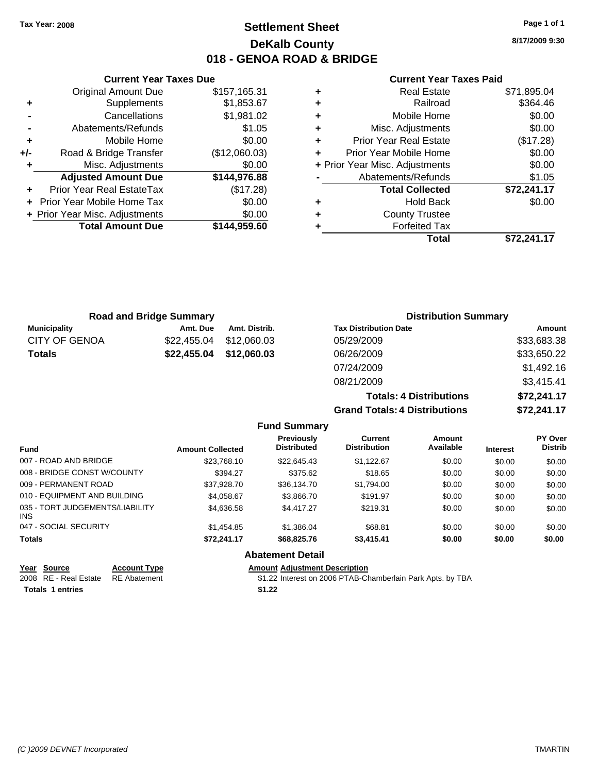### **Settlement Sheet Tax Year: 2008 Page 1 of 1 DeKalb County 018 - GENOA ROAD & BRIDGE**

**8/17/2009 9:30**

#### **Current Year Taxes Paid**

|     | <b>Current Year Taxes Due</b>  |               |  |
|-----|--------------------------------|---------------|--|
|     | <b>Original Amount Due</b>     | \$157,165.31  |  |
| ٠   | Supplements                    | \$1,853.67    |  |
|     | Cancellations                  | \$1,981.02    |  |
|     | Abatements/Refunds             | \$1.05        |  |
| ٠   | Mobile Home                    | \$0.00        |  |
| +/- | Road & Bridge Transfer         | (\$12,060.03) |  |
| ٠   | Misc. Adjustments              | \$0.00        |  |
|     | <b>Adjusted Amount Due</b>     | \$144,976.88  |  |
|     | Prior Year Real EstateTax      | (\$17.28)     |  |
|     | Prior Year Mobile Home Tax     | \$0.00        |  |
|     | + Prior Year Misc. Adjustments | \$0.00        |  |
|     | <b>Total Amount Due</b>        | \$144,959.60  |  |
|     |                                |               |  |

| <b>Real Estate</b>             | \$71,895.04 |
|--------------------------------|-------------|
| Railroad                       | \$364.46    |
| Mobile Home                    | \$0.00      |
| Misc. Adjustments              | \$0.00      |
| <b>Prior Year Real Estate</b>  | (\$17.28)   |
| Prior Year Mobile Home         | \$0.00      |
| + Prior Year Misc. Adjustments | \$0.00      |
| Abatements/Refunds             | \$1.05      |
| <b>Total Collected</b>         | \$72,241.17 |
| <b>Hold Back</b>               | \$0.00      |
| <b>County Trustee</b>          |             |
| <b>Forfeited Tax</b>           |             |
| Total                          | \$72,241.17 |
|                                |             |

| <b>Road and Bridge Summary</b> |             |               | <b>Distribution Summary</b>          |             |  |
|--------------------------------|-------------|---------------|--------------------------------------|-------------|--|
| <b>Municipality</b>            | Amt. Due    | Amt. Distrib. | <b>Tax Distribution Date</b>         | Amount      |  |
| <b>CITY OF GENOA</b>           | \$22,455.04 | \$12,060.03   | 05/29/2009                           | \$33,683.38 |  |
| <b>Totals</b>                  | \$22,455.04 | \$12,060.03   | 06/26/2009                           | \$33,650.22 |  |
|                                |             |               | 07/24/2009                           | \$1,492.16  |  |
|                                |             |               | 08/21/2009                           | \$3,415.41  |  |
|                                |             |               | <b>Totals: 4 Distributions</b>       | \$72,241.17 |  |
|                                |             |               | <b>Grand Totals: 4 Distributions</b> | \$72,241.17 |  |

|                                         |                         | <b>Fund Summary</b>              |                                       |                     |                 |                                  |
|-----------------------------------------|-------------------------|----------------------------------|---------------------------------------|---------------------|-----------------|----------------------------------|
| <b>Fund</b>                             | <b>Amount Collected</b> | Previously<br><b>Distributed</b> | <b>Current</b><br><b>Distribution</b> | Amount<br>Available | <b>Interest</b> | <b>PY Over</b><br><b>Distrib</b> |
| 007 - ROAD AND BRIDGE                   | \$23.768.10             | \$22,645.43                      | \$1.122.67                            | \$0.00              | \$0.00          | \$0.00                           |
| 008 - BRIDGE CONST W/COUNTY             | \$394.27                | \$375.62                         | \$18.65                               | \$0.00              | \$0.00          | \$0.00                           |
| 009 - PERMANENT ROAD                    | \$37.928.70             | \$36.134.70                      | \$1.794.00                            | \$0.00              | \$0.00          | \$0.00                           |
| 010 - EQUIPMENT AND BUILDING            | \$4.058.67              | \$3,866.70                       | \$191.97                              | \$0.00              | \$0.00          | \$0.00                           |
| 035 - TORT JUDGEMENTS/LIABILITY<br>INS. | \$4,636,58              | \$4,417.27                       | \$219.31                              | \$0.00              | \$0.00          | \$0.00                           |
| 047 - SOCIAL SECURITY                   | \$1,454.85              | \$1.386.04                       | \$68.81                               | \$0.00              | \$0.00          | \$0.00                           |
| <b>Totals</b>                           | \$72.241.17             | \$68,825.76                      | \$3.415.41                            | \$0.00              | \$0.00          | \$0.00                           |
|                                         |                         | <b>Abatement Detail</b>          |                                       |                     |                 |                                  |

| Year Source                        | <b>Account Type</b> | Amount |
|------------------------------------|---------------------|--------|
| 2008 RE - Real Estate RE Abatement |                     | \$1.22 |
| <b>Totals 1 entries</b>            |                     | \$1.22 |

**Amount Adjustment Description** \$1.22 Interest on 2006 PTAB-Chamberlain Park Apts. by TBA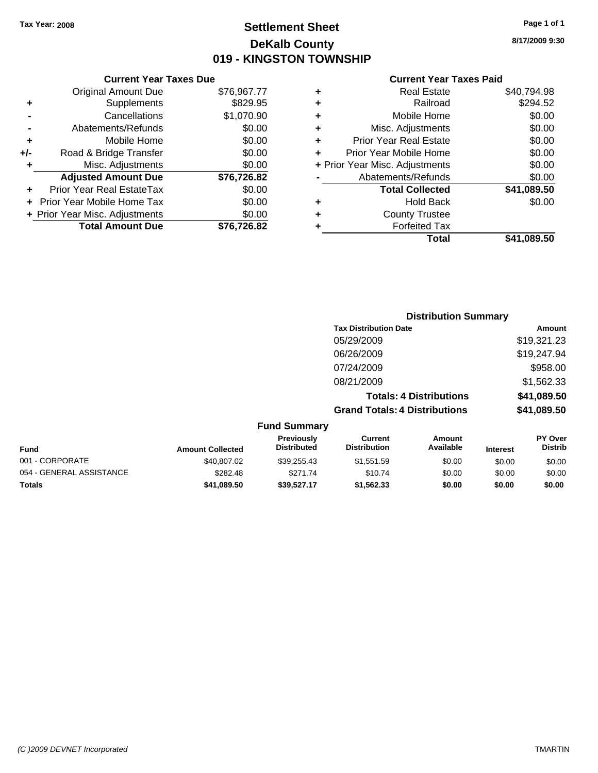### **Settlement Sheet Tax Year: 2008 Page 1 of 1 DeKalb County 019 - KINGSTON TOWNSHIP**

### **8/17/2009 9:30**

|     | <b>Current Year Taxes Due</b>  |             |
|-----|--------------------------------|-------------|
|     | <b>Original Amount Due</b>     | \$76,967.77 |
| ٠   | Supplements                    | \$829.95    |
|     | Cancellations                  | \$1,070.90  |
|     | Abatements/Refunds             | \$0.00      |
| ٠   | Mobile Home                    | \$0.00      |
| +/- | Road & Bridge Transfer         | \$0.00      |
| ٠   | Misc. Adjustments              | \$0.00      |
|     | <b>Adjusted Amount Due</b>     | \$76,726.82 |
|     | Prior Year Real EstateTax      | \$0.00      |
|     | Prior Year Mobile Home Tax     | \$0.00      |
|     | + Prior Year Misc. Adjustments | \$0.00      |
|     | <b>Total Amount Due</b>        | \$76.726.82 |

| ٠ | <b>Real Estate</b>             | \$40,794.98 |
|---|--------------------------------|-------------|
| ٠ | Railroad                       | \$294.52    |
| ٠ | Mobile Home                    | \$0.00      |
| ٠ | Misc. Adjustments              | \$0.00      |
| ÷ | <b>Prior Year Real Estate</b>  | \$0.00      |
| ÷ | Prior Year Mobile Home         | \$0.00      |
|   | + Prior Year Misc. Adjustments | \$0.00      |
|   | Abatements/Refunds             | \$0.00      |
|   | <b>Total Collected</b>         | \$41,089.50 |
| ٠ | <b>Hold Back</b>               | \$0.00      |
| ٠ | <b>County Trustee</b>          |             |
| ٠ | <b>Forfeited Tax</b>           |             |
|   | Total                          | \$41,089.50 |

|                         |                                         |                                      | <b>Distribution Summary</b>    |                                                     |
|-------------------------|-----------------------------------------|--------------------------------------|--------------------------------|-----------------------------------------------------|
|                         |                                         | <b>Tax Distribution Date</b>         |                                | Amount                                              |
|                         |                                         | 05/29/2009                           |                                | \$19,321.23                                         |
|                         |                                         | 06/26/2009                           |                                | \$19,247.94                                         |
|                         |                                         | 07/24/2009                           |                                | \$958.00                                            |
|                         |                                         | 08/21/2009                           |                                | \$1,562.33                                          |
|                         |                                         |                                      | <b>Totals: 4 Distributions</b> | \$41,089.50                                         |
|                         |                                         | <b>Grand Totals: 4 Distributions</b> |                                | \$41,089.50                                         |
|                         | <b>Fund Summary</b>                     |                                      |                                |                                                     |
| <b>Amount Collected</b> | <b>Previously</b><br><b>Distributed</b> | Current<br><b>Distribution</b>       | Amount<br>Available            | <b>PY Over</b><br><b>Distrib</b><br><b>Interest</b> |

| <b>Fund</b>              | <b>Amount Collected</b> | <b>Previously</b><br><b>Distributed</b> | current<br><b>Distribution</b> | AMOUNT<br>Available | <b>Interest</b> | <b>PT OVER</b><br><b>Distrib</b> |
|--------------------------|-------------------------|-----------------------------------------|--------------------------------|---------------------|-----------------|----------------------------------|
| 001 - CORPORATE          | \$40,807.02             | \$39.255.43                             | \$1.551.59                     | \$0.00              | \$0.00          | \$0.00                           |
| 054 - GENERAL ASSISTANCE | \$282.48                | \$271.74                                | \$10.74                        | \$0.00              | \$0.00          | \$0.00                           |
| <b>Totals</b>            | \$41.089.50             | \$39.527.17                             | \$1,562.33                     | \$0.00              | \$0.00          | \$0.00                           |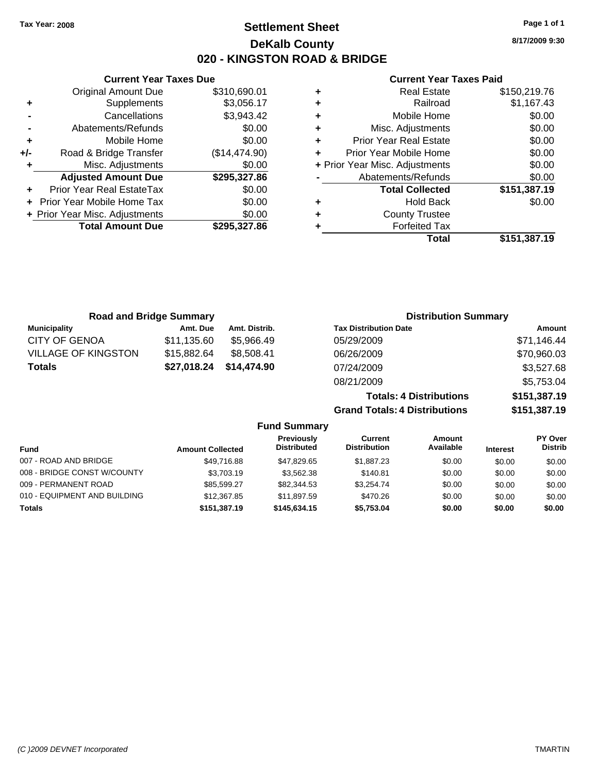### **Settlement Sheet Tax Year: 2008 Page 1 of 1 DeKalb County 020 - KINGSTON ROAD & BRIDGE**

**8/17/2009 9:30**

**+** Real Estate \$150,219.76 **+** Railroad \$1,167.43 **+** Mobile Home \$0.00  $$0.00$  $$0.00$  $$0.00$ **+** Prior Year Misc. Adjustments \$0.00  $$0.00$ **Total Collected \$151,387.19 +** Hold Back \$0.00

**Total \$151,387.19**

### **Current Year Taxes Paid**

| <b>Current Year Taxes Due</b> |               | <b>Current Year Taxes P</b>        |  |
|-------------------------------|---------------|------------------------------------|--|
| ıl Amount Due                 | \$310,690.01  | <b>Real Estate</b><br>٠            |  |
| Supplements                   | \$3,056.17    | Railroad<br>٠                      |  |
| Cancellations                 | \$3,943.42    | Mobile Home<br>٠                   |  |
| าents/Refunds                 | \$0.00        | Misc. Adjustments<br>٠             |  |
| Mobile Home                   | \$0.00        | <b>Prior Year Real Estate</b><br>٠ |  |
| ridge Transfer                | (\$14,474.90) | Prior Year Mobile Home<br>٠        |  |
| . Adjustments                 | \$0.00        | + Prior Year Misc. Adjustments     |  |
| <b>Amount Due</b>             | \$295,327.86  | Abatements/Refunds                 |  |
| eal EstateTax                 | \$0.00        | <b>Total Collected</b>             |  |
| pile Home Tax                 | \$0.00        | <b>Hold Back</b><br>٠              |  |
| . Adjustments                 | \$0.00        | <b>County Trustee</b><br>٠         |  |
| <b>Amount Due</b>             | \$295,327.86  | <b>Forfeited Tax</b>               |  |
|                               |               | Total                              |  |

|     | <b>Total Amount Due</b>        | \$295,327.86  |   |
|-----|--------------------------------|---------------|---|
|     | + Prior Year Misc. Adjustments | \$0.00        | ٠ |
|     | + Prior Year Mobile Home Tax   | \$0.00        | ٠ |
|     | Prior Year Real EstateTax      | \$0.00        |   |
|     | <b>Adjusted Amount Due</b>     | \$295,327.86  |   |
| ٠   | Misc. Adjustments              | \$0.00        | ٠ |
| +/- | Road & Bridge Transfer         | (\$14,474.90) | ٠ |
| ٠   | Mobile Home                    | \$0.00        | ٠ |
|     | Abatements/Refunds             | \$0.00        | ٠ |
|     | Cancellations                  | \$3,943.42    | ٠ |
|     |                                |               |   |

**Original Amount Due** 

**+** Supplements

| <b>Road and Bridge Summary</b> |             |               | <b>Distribution Summary</b>    |              |  |
|--------------------------------|-------------|---------------|--------------------------------|--------------|--|
| <b>Municipality</b>            | Amt. Due    | Amt. Distrib. | <b>Tax Distribution Date</b>   | Amount       |  |
| CITY OF GENOA                  | \$11,135.60 | \$5,966.49    | 05/29/2009                     | \$71,146.44  |  |
| <b>VILLAGE OF KINGSTON</b>     | \$15,882.64 | \$8,508.41    | 06/26/2009                     | \$70,960.03  |  |
| Totals                         | \$27,018.24 | \$14,474.90   | 07/24/2009                     | \$3,527.68   |  |
|                                |             |               | 08/21/2009                     | \$5,753.04   |  |
|                                |             |               | <b>Totals: 4 Distributions</b> | \$151,387.19 |  |

**Grand Totals: 4 Distributions \$151,387.19**

|                              |                         | <b>Fund Summary</b>                     |                                |                     |                 |                                  |
|------------------------------|-------------------------|-----------------------------------------|--------------------------------|---------------------|-----------------|----------------------------------|
| Fund                         | <b>Amount Collected</b> | <b>Previously</b><br><b>Distributed</b> | Current<br><b>Distribution</b> | Amount<br>Available | <b>Interest</b> | <b>PY Over</b><br><b>Distrib</b> |
| 007 - ROAD AND BRIDGE        | \$49.716.88             | \$47.829.65                             | \$1.887.23                     | \$0.00              | \$0.00          | \$0.00                           |
| 008 - BRIDGE CONST W/COUNTY  | \$3,703.19              | \$3,562.38                              | \$140.81                       | \$0.00              | \$0.00          | \$0.00                           |
| 009 - PERMANENT ROAD         | \$85,599.27             | \$82,344.53                             | \$3.254.74                     | \$0.00              | \$0.00          | \$0.00                           |
| 010 - EQUIPMENT AND BUILDING | \$12,367.85             | \$11.897.59                             | \$470.26                       | \$0.00              | \$0.00          | \$0.00                           |
| <b>Totals</b>                | \$151,387.19            | \$145,634,15                            | \$5,753.04                     | \$0.00              | \$0.00          | \$0.00                           |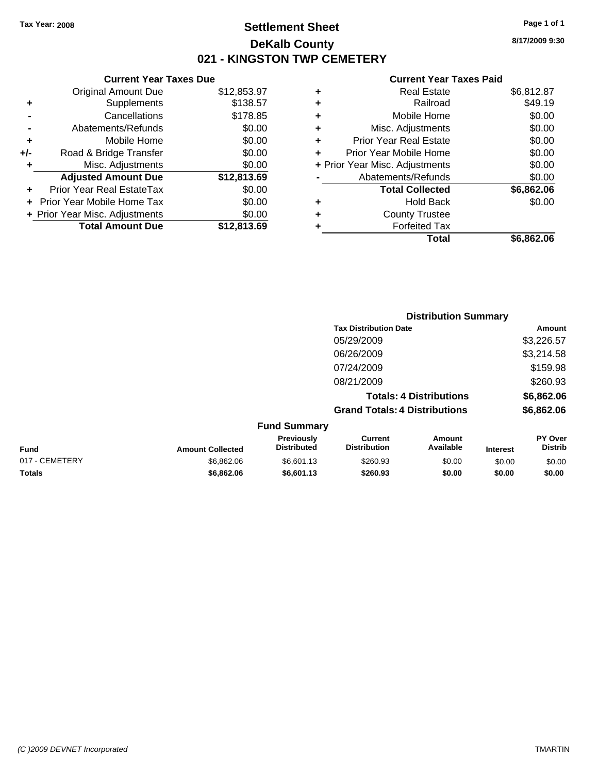### **Settlement Sheet Tax Year: 2008 Page 1 of 1 DeKalb County 021 - KINGSTON TWP CEMETERY**

### **Current Year Taxes Due**

|       | <b>Original Amount Due</b>       | \$12,853.97 |
|-------|----------------------------------|-------------|
| ٠     | Supplements                      | \$138.57    |
|       | Cancellations                    | \$178.85    |
|       | Abatements/Refunds               | \$0.00      |
| ٠     | Mobile Home                      | \$0.00      |
| $+/-$ | Road & Bridge Transfer           | \$0.00      |
| ٠     | Misc. Adjustments                | \$0.00      |
|       | <b>Adjusted Amount Due</b>       | \$12,813.69 |
|       | <b>Prior Year Real EstateTax</b> | \$0.00      |
|       | Prior Year Mobile Home Tax       | \$0.00      |
|       | + Prior Year Misc. Adjustments   | \$0.00      |
|       | <b>Total Amount Due</b>          | \$12,813.69 |

### **Current Year Taxes Paid**

| ٠ | Real Estate                    | \$6,812.87 |
|---|--------------------------------|------------|
| ٠ | Railroad                       | \$49.19    |
| ٠ | Mobile Home                    | \$0.00     |
| ٠ | Misc. Adjustments              | \$0.00     |
| ÷ | <b>Prior Year Real Estate</b>  | \$0.00     |
|   | Prior Year Mobile Home         | \$0.00     |
|   | + Prior Year Misc. Adjustments | \$0.00     |
|   | Abatements/Refunds             | \$0.00     |
|   | <b>Total Collected</b>         | \$6,862.06 |
| ٠ | Hold Back                      | \$0.00     |
| ٠ | <b>County Trustee</b>          |            |
|   | <b>Forfeited Tax</b>           |            |
|   | Total                          | \$6,862.06 |
|   |                                |            |

|                |                         |                                  |                                       | <b>Distribution Summary</b>    |                 |                           |
|----------------|-------------------------|----------------------------------|---------------------------------------|--------------------------------|-----------------|---------------------------|
|                |                         |                                  | <b>Tax Distribution Date</b>          |                                |                 | Amount                    |
|                |                         |                                  | 05/29/2009                            |                                |                 | \$3,226.57                |
|                |                         |                                  | 06/26/2009                            |                                |                 | \$3,214.58                |
|                |                         |                                  | 07/24/2009                            |                                |                 | \$159.98                  |
|                |                         |                                  | 08/21/2009                            |                                |                 | \$260.93                  |
|                |                         |                                  |                                       | <b>Totals: 4 Distributions</b> |                 | \$6,862.06                |
|                |                         |                                  | <b>Grand Totals: 4 Distributions</b>  |                                |                 | \$6,862.06                |
|                |                         | <b>Fund Summary</b>              |                                       |                                |                 |                           |
| <b>Fund</b>    | <b>Amount Collected</b> | Previously<br><b>Distributed</b> | <b>Current</b><br><b>Distribution</b> | Amount<br>Available            | <b>Interest</b> | PY Over<br><b>Distrib</b> |
| 017 - CEMETERY | \$6,862.06              | \$6,601.13                       | \$260.93                              | \$0.00                         | \$0.00          | \$0.00                    |

**Totals \$6,862.06 \$6,601.13 \$260.93 \$0.00 \$0.00 \$0.00**

**8/17/2009 9:30**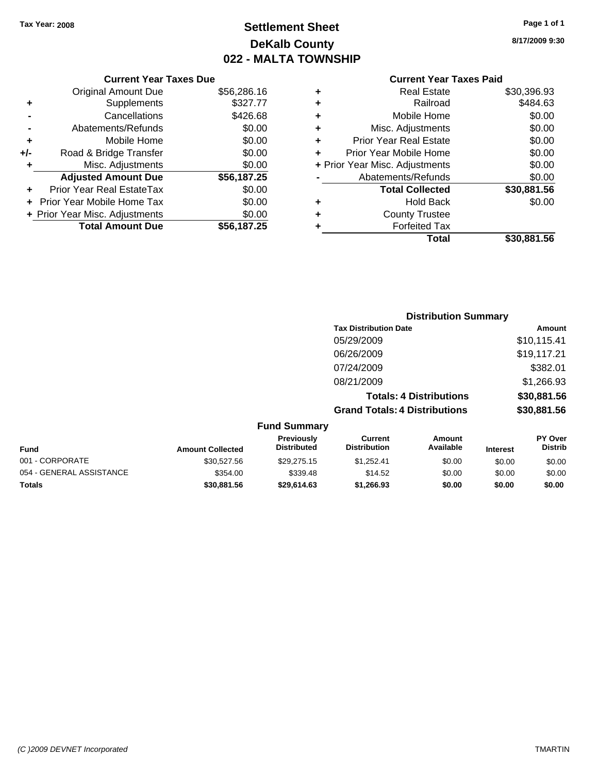### **Settlement Sheet Tax Year: 2008 Page 1 of 1 DeKalb County 022 - MALTA TOWNSHIP**

#### **Current Year Taxes Due**

|     | <b>Original Amount Due</b>        | \$56,286.16 |
|-----|-----------------------------------|-------------|
| ٠   | Supplements                       | \$327.77    |
|     | Cancellations                     | \$426.68    |
|     | Abatements/Refunds                | \$0.00      |
| ÷   | Mobile Home                       | \$0.00      |
| +/- | Road & Bridge Transfer            | \$0.00      |
| ٠   | Misc. Adjustments                 | \$0.00      |
|     | <b>Adjusted Amount Due</b>        | \$56,187.25 |
|     | <b>Prior Year Real EstateTax</b>  | \$0.00      |
|     | <b>Prior Year Mobile Home Tax</b> | \$0.00      |
|     | + Prior Year Misc. Adjustments    | \$0.00      |
|     | <b>Total Amount Due</b>           | \$56.187.25 |

### **Current Year Taxes Paid**

|   | <b>Real Estate</b>             | \$30,396.93 |
|---|--------------------------------|-------------|
| ٠ | Railroad                       | \$484.63    |
| ٠ | Mobile Home                    | \$0.00      |
| ٠ | Misc. Adjustments              | \$0.00      |
| ٠ | Prior Year Real Estate         | \$0.00      |
|   | Prior Year Mobile Home         | \$0.00      |
|   | + Prior Year Misc. Adjustments | \$0.00      |
|   | Abatements/Refunds             | \$0.00      |
|   | <b>Total Collected</b>         | \$30,881.56 |
| ٠ | <b>Hold Back</b>               | \$0.00      |
| ٠ | <b>County Trustee</b>          |             |
| ٠ | <b>Forfeited Tax</b>           |             |
|   | Total                          | \$30,881.56 |

### **Distribution Summary Tax Distribution Date Amount** 05/29/2009 \$10,115.41 06/26/2009 \$19,117.21 07/24/2009 \$382.01 08/21/2009 \$1,266.93 **Totals: 4 Distributions \$30,881.56**

**Grand Totals: 4 Distributions \$30,881.56**

| <b>Fund Summary</b>      |                         |                                  |                                |                     |                 |                           |
|--------------------------|-------------------------|----------------------------------|--------------------------------|---------------------|-----------------|---------------------------|
| Fund                     | <b>Amount Collected</b> | Previously<br><b>Distributed</b> | Current<br><b>Distribution</b> | Amount<br>Available | <b>Interest</b> | PY Over<br><b>Distrib</b> |
| 001 - CORPORATE          | \$30.527.56             | \$29,275.15                      | \$1.252.41                     | \$0.00              | \$0.00          | \$0.00                    |
| 054 - GENERAL ASSISTANCE | \$354.00                | \$339.48                         | \$14.52                        | \$0.00              | \$0.00          | \$0.00                    |
| Totals                   | \$30,881.56             | \$29,614.63                      | \$1,266,93                     | \$0.00              | \$0.00          | \$0.00                    |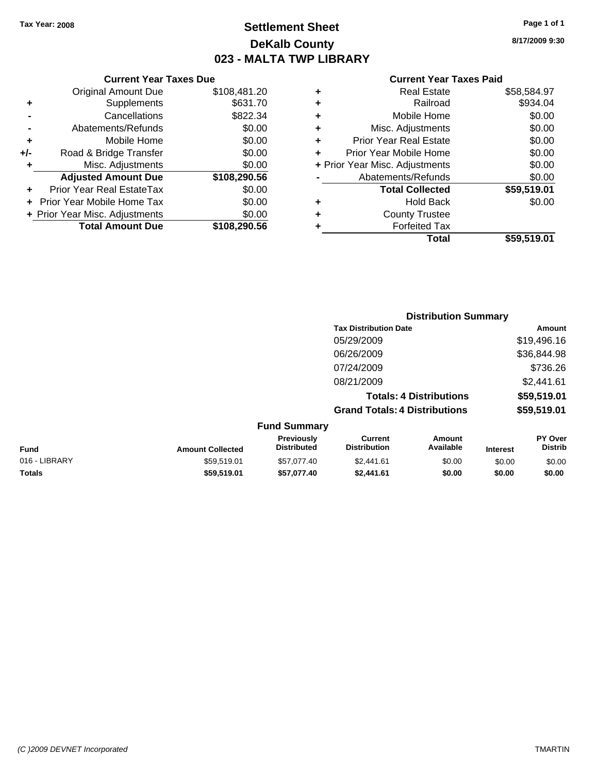### **Settlement Sheet Tax Year: 2008 Page 1 of 1 DeKalb County 023 - MALTA TWP LIBRARY**

**8/17/2009 9:30**

#### **Current Year Taxes Paid**

|     | <b>Current Year Taxes Due</b>  |              |  |  |  |  |  |
|-----|--------------------------------|--------------|--|--|--|--|--|
|     | <b>Original Amount Due</b>     | \$108,481.20 |  |  |  |  |  |
| ٠   | Supplements                    | \$631.70     |  |  |  |  |  |
|     | Cancellations                  | \$822.34     |  |  |  |  |  |
|     | Abatements/Refunds             | \$0.00       |  |  |  |  |  |
| ٠   | Mobile Home                    | \$0.00       |  |  |  |  |  |
| +/- | Road & Bridge Transfer         | \$0.00       |  |  |  |  |  |
| ٠   | Misc. Adjustments              | \$0.00       |  |  |  |  |  |
|     | <b>Adjusted Amount Due</b>     | \$108,290.56 |  |  |  |  |  |
| ٠   | Prior Year Real EstateTax      | \$0.00       |  |  |  |  |  |
|     | Prior Year Mobile Home Tax     | \$0.00       |  |  |  |  |  |
|     | + Prior Year Misc. Adjustments | \$0.00       |  |  |  |  |  |
|     | <b>Total Amount Due</b>        | \$108,290.56 |  |  |  |  |  |

|   | <b>Real Estate</b>             | \$58,584.97 |
|---|--------------------------------|-------------|
| ٠ | Railroad                       | \$934.04    |
| ٠ | Mobile Home                    | \$0.00      |
| ٠ | Misc. Adjustments              | \$0.00      |
| ٠ | <b>Prior Year Real Estate</b>  | \$0.00      |
| ٠ | Prior Year Mobile Home         | \$0.00      |
|   | + Prior Year Misc. Adjustments | \$0.00      |
|   | Abatements/Refunds             | \$0.00      |
|   | <b>Total Collected</b>         | \$59,519.01 |
| ٠ | <b>Hold Back</b>               | \$0.00      |
| ٠ | <b>County Trustee</b>          |             |
|   | <b>Forfeited Tax</b>           |             |
|   | Total                          | \$59,519.01 |
|   |                                |             |

|               |                         |                                  | <b>Distribution Summary</b>           |                                |                 |                                  |
|---------------|-------------------------|----------------------------------|---------------------------------------|--------------------------------|-----------------|----------------------------------|
|               |                         |                                  | <b>Tax Distribution Date</b>          |                                |                 | Amount                           |
|               |                         |                                  | 05/29/2009                            |                                |                 | \$19,496.16                      |
|               |                         |                                  | 06/26/2009                            |                                |                 | \$36,844.98                      |
|               |                         |                                  | 07/24/2009                            |                                |                 | \$736.26                         |
|               |                         |                                  | 08/21/2009                            |                                |                 | \$2,441.61                       |
|               |                         |                                  |                                       | <b>Totals: 4 Distributions</b> |                 | \$59,519.01                      |
|               |                         |                                  | <b>Grand Totals: 4 Distributions</b>  |                                |                 | \$59,519.01                      |
|               |                         | <b>Fund Summary</b>              |                                       |                                |                 |                                  |
| Fund          | <b>Amount Collected</b> | Previously<br><b>Distributed</b> | <b>Current</b><br><b>Distribution</b> | Amount<br>Available            | <b>Interest</b> | <b>PY Over</b><br><b>Distrib</b> |
| 016 - LIBRARY | \$59.519.01             | \$57.077.40                      | \$2.441.61                            | \$0.00                         | \$0.00          | \$0.00                           |

**Totals \$59,519.01 \$57,077.40 \$2,441.61 \$0.00 \$0.00 \$0.00**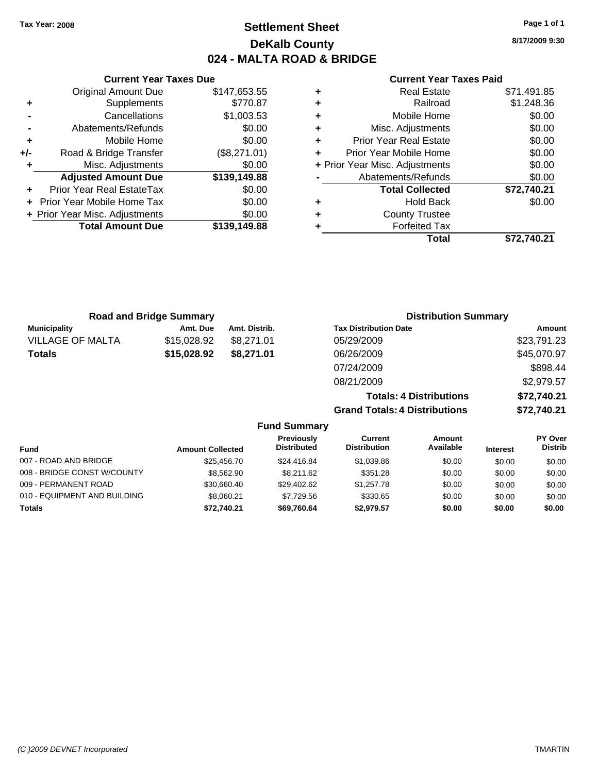### **Settlement Sheet Tax Year: 2008 Page 1 of 1 DeKalb County 024 - MALTA ROAD & BRIDGE**

**8/17/2009 9:30**

#### **Current Year Taxes Paid**

|     | 7911 VIII TUUT TUNGU DUG       |              |
|-----|--------------------------------|--------------|
|     | <b>Original Amount Due</b>     | \$147,653.55 |
| ٠   | <b>Supplements</b>             | \$770.87     |
|     | Cancellations                  | \$1,003.53   |
|     | Abatements/Refunds             | \$0.00       |
| ٠   | Mobile Home                    | \$0.00       |
| +/- | Road & Bridge Transfer         | (\$8,271.01) |
| ٠   | Misc. Adjustments              | \$0.00       |
|     | <b>Adjusted Amount Due</b>     | \$139,149.88 |
| ٠   | Prior Year Real EstateTax      | \$0.00       |
|     | Prior Year Mobile Home Tax     | \$0.00       |
|     | + Prior Year Misc. Adjustments | \$0.00       |
|     | <b>Total Amount Due</b>        | \$139,149.88 |
|     |                                |              |

**Current Year Taxes Due**

| <b>Real Estate</b>            | \$71,491.85                    |
|-------------------------------|--------------------------------|
| Railroad                      | \$1,248.36                     |
| Mobile Home                   | \$0.00                         |
| Misc. Adjustments             | \$0.00                         |
| <b>Prior Year Real Estate</b> | \$0.00                         |
| Prior Year Mobile Home        | \$0.00                         |
|                               | \$0.00                         |
| Abatements/Refunds            | \$0.00                         |
| <b>Total Collected</b>        | \$72,740.21                    |
| <b>Hold Back</b>              | \$0.00                         |
| <b>County Trustee</b>         |                                |
| <b>Forfeited Tax</b>          |                                |
| Total                         | \$72,740.21                    |
|                               | + Prior Year Misc. Adjustments |

**Grand Totals: 4 Distributions \$72,740.21**

|                         | <b>Road and Bridge Summary</b> |               | <b>Distribution Summary</b>    |             |
|-------------------------|--------------------------------|---------------|--------------------------------|-------------|
| <b>Municipality</b>     | Amt. Due                       | Amt. Distrib. | <b>Tax Distribution Date</b>   | Amount      |
| <b>VILLAGE OF MALTA</b> | \$15,028.92                    | \$8.271.01    | 05/29/2009                     | \$23,791.23 |
| <b>Totals</b>           | \$15,028.92                    | \$8,271.01    | 06/26/2009                     | \$45,070.97 |
|                         |                                |               | 07/24/2009                     | \$898.44    |
|                         |                                |               | 08/21/2009                     | \$2,979.57  |
|                         |                                |               | <b>Totals: 4 Distributions</b> | \$72,740.21 |

**Fund Summary Fund Interest Amount Collected Distributed PY Over Distrib Amount Available Current Distribution Previously** 007 - ROAD AND BRIDGE 60.00 \$25,456.70 \$24,416.84 \$1,039.86 \$0.00 \$0.00 \$0.00 \$0.00 008 - BRIDGE CONST W/COUNTY  $$8,562.90$   $$8,211.62$   $$351.28$   $$0.00$   $$0.00$   $$0.00$ 009 - PERMANENT ROAD \$30,660.40 \$29,402.62 \$1,257.78 \$0.00 \$0.00 \$0.00 \$0.00 010 - EQUIPMENT AND BUILDING \$8,060.21 \$7,729.56 \$330.65 \$0.00 \$0.00 \$0.00 \$0.00 **Totals \$72,740.21 \$69,760.64 \$2,979.57 \$0.00 \$0.00 \$0.00**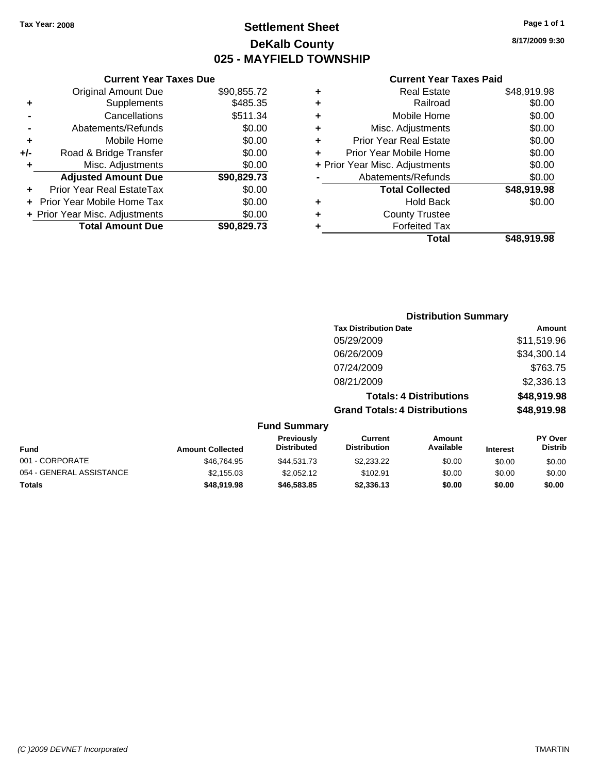### **Settlement Sheet Tax Year: 2008 Page 1 of 1 DeKalb County 025 - MAYFIELD TOWNSHIP**

**8/17/2009 9:30**

### **Current Year Taxes Paid**

| ٠ | <b>Real Estate</b>             | \$48,919.98 |
|---|--------------------------------|-------------|
| ٠ | Railroad                       | \$0.00      |
| ٠ | Mobile Home                    | \$0.00      |
| ÷ | Misc. Adjustments              | \$0.00      |
| ٠ | <b>Prior Year Real Estate</b>  | \$0.00      |
| ÷ | Prior Year Mobile Home         | \$0.00      |
|   | + Prior Year Misc. Adjustments | \$0.00      |
|   | Abatements/Refunds             | \$0.00      |
|   | <b>Total Collected</b>         | \$48,919.98 |
| ٠ | <b>Hold Back</b>               | \$0.00      |
| ٠ | <b>County Trustee</b>          |             |
|   | <b>Forfeited Tax</b>           |             |
|   | Total                          | \$48.919.98 |

|     | <b>Current Year Taxes Due</b>  |             |
|-----|--------------------------------|-------------|
|     | <b>Original Amount Due</b>     | \$90,855.72 |
| ٠   | Supplements                    | \$485.35    |
|     | Cancellations                  | \$511.34    |
|     | Abatements/Refunds             | \$0.00      |
| ٠   | Mobile Home                    | \$0.00      |
| +/- | Road & Bridge Transfer         | \$0.00      |
| ٠   | Misc. Adjustments              | \$0.00      |
|     | <b>Adjusted Amount Due</b>     | \$90,829.73 |
|     | Prior Year Real EstateTax      | \$0.00      |
|     | Prior Year Mobile Home Tax     | \$0.00      |
|     | + Prior Year Misc. Adjustments | \$0.00      |
|     | <b>Total Amount Due</b>        | \$90,829.73 |

|                     | <b>Distribution Summary</b>          |             |
|---------------------|--------------------------------------|-------------|
|                     | <b>Tax Distribution Date</b>         | Amount      |
|                     | 05/29/2009                           | \$11,519.96 |
|                     | 06/26/2009                           | \$34,300.14 |
|                     | 07/24/2009                           | \$763.75    |
|                     | 08/21/2009                           | \$2,336.13  |
|                     | <b>Totals: 4 Distributions</b>       | \$48,919.98 |
|                     | <b>Grand Totals: 4 Distributions</b> | \$48,919.98 |
| <b>Fund Summary</b> |                                      |             |

| <b>Amount Collected</b> | <b>Previously</b><br><b>Distributed</b> | Current<br><b>Distribution</b> | Amount<br>Available | <b>Interest</b> | <b>PY Over</b><br><b>Distrib</b> |
|-------------------------|-----------------------------------------|--------------------------------|---------------------|-----------------|----------------------------------|
| \$46,764.95             | \$44,531.73                             | \$2,233,22                     | \$0.00              | \$0.00          | \$0.00                           |
| \$2,155.03              | \$2.052.12                              | \$102.91                       | \$0.00              | \$0.00          | \$0.00                           |
| \$48,919,98             | \$46,583,85                             | \$2,336,13                     | \$0.00              | \$0.00          | \$0.00                           |
|                         |                                         |                                |                     |                 |                                  |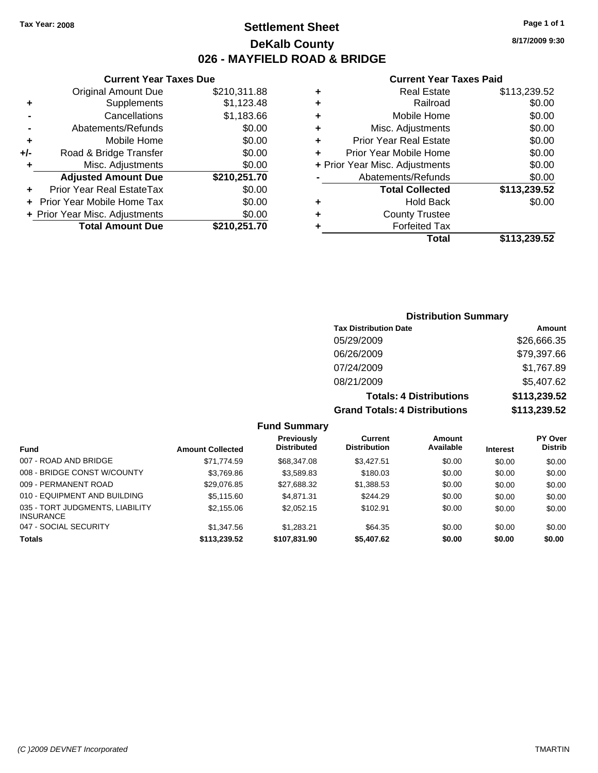### **Settlement Sheet Tax Year: 2008 Page 1 of 1 DeKalb County 026 - MAYFIELD ROAD & BRIDGE**

**8/17/2009 9:30**

### **Current Year Taxes Paid**

|   | Total                          | \$113,239.52 |
|---|--------------------------------|--------------|
|   | <b>Forfeited Tax</b>           |              |
|   | <b>County Trustee</b>          |              |
|   | <b>Hold Back</b>               | \$0.00       |
|   | <b>Total Collected</b>         | \$113,239.52 |
|   | Abatements/Refunds             | \$0.00       |
|   | + Prior Year Misc. Adjustments | \$0.00       |
|   | Prior Year Mobile Home         | \$0.00       |
|   | <b>Prior Year Real Estate</b>  | \$0.00       |
| ٠ | Misc. Adjustments              | \$0.00       |
| ٠ | Mobile Home                    | \$0.00       |
| ٠ | Railroad                       | \$0.00       |
| ٠ | <b>Real Estate</b>             | \$113,239.52 |
|   |                                |              |

### **Current Year Taxes Due**

|     | <b>Original Amount Due</b>       | \$210,311.88 |
|-----|----------------------------------|--------------|
| ٠   | Supplements                      | \$1,123.48   |
|     | Cancellations                    | \$1,183.66   |
|     | Abatements/Refunds               | \$0.00       |
| ٠   | Mobile Home                      | \$0.00       |
| +/- | Road & Bridge Transfer           | \$0.00       |
|     | Misc. Adjustments                | \$0.00       |
|     | <b>Adjusted Amount Due</b>       | \$210,251.70 |
|     | <b>Prior Year Real EstateTax</b> | \$0.00       |
|     | Prior Year Mobile Home Tax       | \$0.00       |
|     | + Prior Year Misc. Adjustments   | \$0.00       |
|     | <b>Total Amount Due</b>          | \$210,251.70 |

### **Distribution Summary**

| <b>Tax Distribution Date</b>         | Amount       |
|--------------------------------------|--------------|
| 05/29/2009                           | \$26,666.35  |
| 06/26/2009                           | \$79,397.66  |
| 07/24/2009                           | \$1,767.89   |
| 08/21/2009                           | \$5,407.62   |
| <b>Totals: 4 Distributions</b>       | \$113,239.52 |
| <b>Grand Totals: 4 Distributions</b> | \$113,239.52 |

#### **Fund Summary**

|                                                     |                         | <b>Previously</b><br><b>Distributed</b> | Current<br><b>Distribution</b> | Amount<br>Available |                 | <b>PY Over</b><br><b>Distrib</b> |
|-----------------------------------------------------|-------------------------|-----------------------------------------|--------------------------------|---------------------|-----------------|----------------------------------|
| <b>Fund</b>                                         | <b>Amount Collected</b> |                                         |                                |                     | <b>Interest</b> |                                  |
| 007 - ROAD AND BRIDGE                               | \$71.774.59             | \$68,347.08                             | \$3.427.51                     | \$0.00              | \$0.00          | \$0.00                           |
| 008 - BRIDGE CONST W/COUNTY                         | \$3,769.86              | \$3.589.83                              | \$180.03                       | \$0.00              | \$0.00          | \$0.00                           |
| 009 - PERMANENT ROAD                                | \$29.076.85             | \$27.688.32                             | \$1,388.53                     | \$0.00              | \$0.00          | \$0.00                           |
| 010 - EQUIPMENT AND BUILDING                        | \$5,115,60              | \$4,871,31                              | \$244.29                       | \$0.00              | \$0.00          | \$0.00                           |
| 035 - TORT JUDGMENTS, LIABILITY<br><b>INSURANCE</b> | \$2,155.06              | \$2,052.15                              | \$102.91                       | \$0.00              | \$0.00          | \$0.00                           |
| 047 - SOCIAL SECURITY                               | \$1,347.56              | \$1.283.21                              | \$64.35                        | \$0.00              | \$0.00          | \$0.00                           |
| <b>Totals</b>                                       | \$113,239.52            | \$107,831.90                            | \$5,407.62                     | \$0.00              | \$0.00          | \$0.00                           |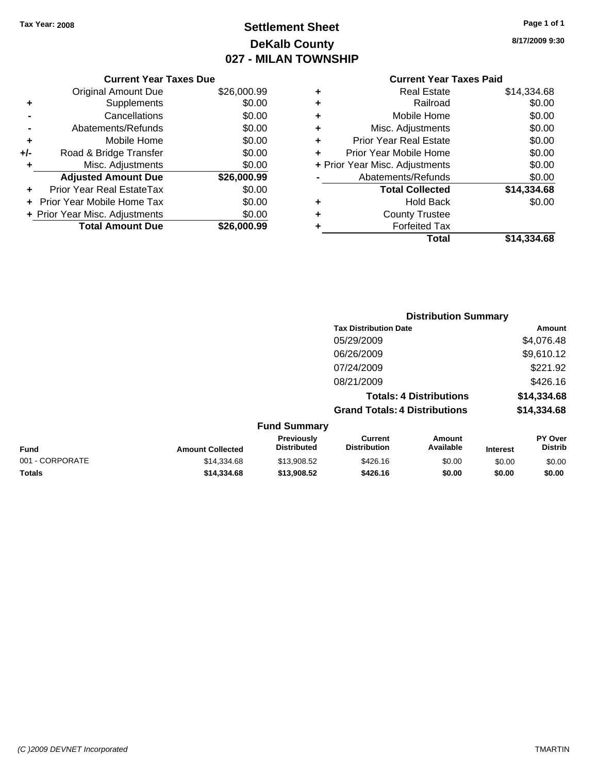### **Settlement Sheet Tax Year: 2008 Page 1 of 1 DeKalb County 027 - MILAN TOWNSHIP**

**8/17/2009 9:30**

| <b>Current Year Taxes Paid</b> |  |  |  |
|--------------------------------|--|--|--|
|--------------------------------|--|--|--|

|     | <b>Current Year Taxes Due</b>     |             |  |  |  |
|-----|-----------------------------------|-------------|--|--|--|
|     | <b>Original Amount Due</b>        | \$26,000.99 |  |  |  |
| ٠   | Supplements                       | \$0.00      |  |  |  |
|     | Cancellations                     | \$0.00      |  |  |  |
|     | Abatements/Refunds                | \$0.00      |  |  |  |
| ٠   | Mobile Home                       | \$0.00      |  |  |  |
| +/- | Road & Bridge Transfer            | \$0.00      |  |  |  |
| ٠   | Misc. Adjustments                 | \$0.00      |  |  |  |
|     | <b>Adjusted Amount Due</b>        | \$26,000.99 |  |  |  |
|     | Prior Year Real EstateTax         | \$0.00      |  |  |  |
|     | <b>Prior Year Mobile Home Tax</b> | \$0.00      |  |  |  |
|     | + Prior Year Misc. Adjustments    | \$0.00      |  |  |  |
|     | <b>Total Amount Due</b>           | \$26,000.99 |  |  |  |
|     |                                   |             |  |  |  |

| ٠ | <b>Real Estate</b>             | \$14,334.68 |
|---|--------------------------------|-------------|
| ٠ | Railroad                       | \$0.00      |
| ٠ | Mobile Home                    | \$0.00      |
| ٠ | Misc. Adjustments              | \$0.00      |
| ٠ | <b>Prior Year Real Estate</b>  | \$0.00      |
| ٠ | Prior Year Mobile Home         | \$0.00      |
|   | + Prior Year Misc. Adjustments | \$0.00      |
|   | Abatements/Refunds             | \$0.00      |
|   | <b>Total Collected</b>         | \$14,334.68 |
| ٠ | <b>Hold Back</b>               | \$0.00      |
| ٠ | <b>County Trustee</b>          |             |
| ٠ | <b>Forfeited Tax</b>           |             |
|   | Total                          | \$14,334.68 |

|                 |                         |                                  | <b>Distribution Summary</b>           |                                |                 |                                  |
|-----------------|-------------------------|----------------------------------|---------------------------------------|--------------------------------|-----------------|----------------------------------|
|                 |                         |                                  | <b>Tax Distribution Date</b>          |                                |                 | Amount                           |
|                 |                         |                                  | 05/29/2009                            |                                |                 | \$4,076.48                       |
|                 |                         |                                  | 06/26/2009                            |                                |                 | \$9,610.12                       |
|                 |                         |                                  | 07/24/2009                            |                                |                 | \$221.92                         |
|                 |                         |                                  | 08/21/2009                            |                                |                 | \$426.16                         |
|                 |                         |                                  |                                       | <b>Totals: 4 Distributions</b> |                 | \$14,334.68                      |
|                 |                         |                                  | <b>Grand Totals: 4 Distributions</b>  |                                |                 | \$14,334.68                      |
|                 |                         | <b>Fund Summary</b>              |                                       |                                |                 |                                  |
| Fund            | <b>Amount Collected</b> | Previously<br><b>Distributed</b> | <b>Current</b><br><b>Distribution</b> | Amount<br>Available            | <b>Interest</b> | <b>PY Over</b><br><b>Distrib</b> |
| 001 - CORPORATE | \$14,334.68             | \$13,908.52                      | \$426.16                              | \$0.00                         | \$0.00          | \$0.00                           |
| Totals          | \$14,334.68             | \$13,908.52                      | \$426.16                              | \$0.00                         | \$0.00          | \$0.00                           |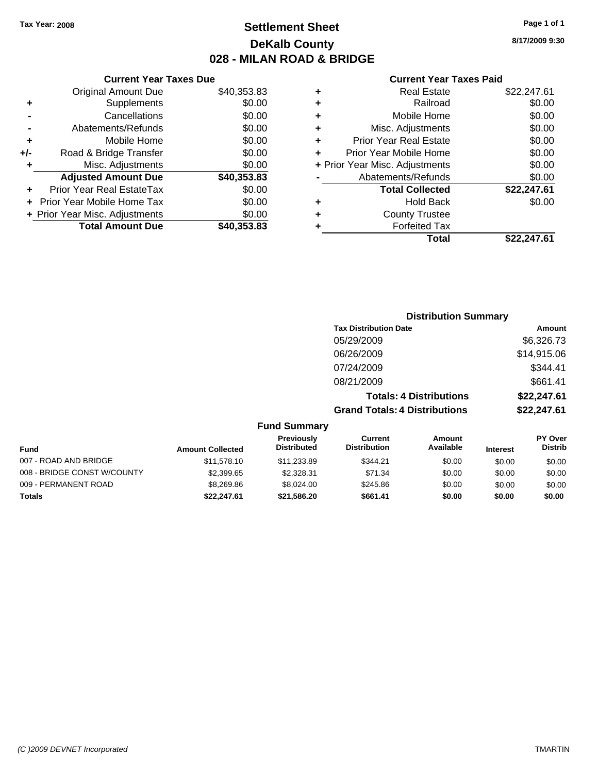### **Settlement Sheet Tax Year: 2008 Page 1 of 1 DeKalb County 028 - MILAN ROAD & BRIDGE**

**8/17/2009 9:30**

#### **Current Year Taxes Paid**

|     | <b>Current Year Taxes Due</b>  |             |  |
|-----|--------------------------------|-------------|--|
|     | <b>Original Amount Due</b>     | \$40,353.83 |  |
| ٠   | Supplements                    | \$0.00      |  |
|     | Cancellations                  | \$0.00      |  |
|     | Abatements/Refunds             | \$0.00      |  |
| ٠   | Mobile Home                    | \$0.00      |  |
| +/- | Road & Bridge Transfer         | \$0.00      |  |
| ٠   | Misc. Adjustments              | \$0.00      |  |
|     | <b>Adjusted Amount Due</b>     | \$40,353.83 |  |
| ÷   | Prior Year Real EstateTax      | \$0.00      |  |
|     | Prior Year Mobile Home Tax     | \$0.00      |  |
|     | + Prior Year Misc. Adjustments | \$0.00      |  |
|     | <b>Total Amount Due</b>        | \$40,353.83 |  |
|     |                                |             |  |

|   | <b>Real Estate</b>             | \$22,247.61 |
|---|--------------------------------|-------------|
| ٠ | Railroad                       | \$0.00      |
| ٠ | Mobile Home                    | \$0.00      |
| ٠ | Misc. Adjustments              | \$0.00      |
| ٠ | <b>Prior Year Real Estate</b>  | \$0.00      |
|   | Prior Year Mobile Home         | \$0.00      |
|   | + Prior Year Misc. Adjustments | \$0.00      |
|   | Abatements/Refunds             | \$0.00      |
|   | <b>Total Collected</b>         | \$22,247.61 |
| ٠ | <b>Hold Back</b>               | \$0.00      |
|   | <b>County Trustee</b>          |             |
| ٠ | <b>Forfeited Tax</b>           |             |
|   | Total                          | \$22,247.61 |
|   |                                |             |

|                             |                         |                                         | <b>Distribution Summary</b>           |                                |                 |                                  |
|-----------------------------|-------------------------|-----------------------------------------|---------------------------------------|--------------------------------|-----------------|----------------------------------|
|                             |                         |                                         | <b>Tax Distribution Date</b>          |                                |                 | Amount                           |
|                             |                         |                                         | 05/29/2009                            |                                |                 | \$6,326.73                       |
|                             |                         |                                         | 06/26/2009                            |                                |                 | \$14,915.06                      |
|                             |                         |                                         | 07/24/2009                            |                                |                 | \$344.41                         |
|                             |                         |                                         | 08/21/2009                            |                                |                 | \$661.41                         |
|                             |                         |                                         |                                       | <b>Totals: 4 Distributions</b> |                 | \$22,247.61                      |
|                             |                         |                                         | <b>Grand Totals: 4 Distributions</b>  |                                |                 | \$22,247.61                      |
|                             |                         | <b>Fund Summary</b>                     |                                       |                                |                 |                                  |
| <b>Fund</b>                 | <b>Amount Collected</b> | <b>Previously</b><br><b>Distributed</b> | <b>Current</b><br><b>Distribution</b> | Amount<br>Available            | <b>Interest</b> | <b>PY Over</b><br><b>Distrib</b> |
| 007 - ROAD AND BRIDGE       | \$11,578.10             | \$11,233.89                             | \$344.21                              | \$0.00                         | \$0.00          | \$0.00                           |
| 008 - BRIDGE CONST W/COUNTY | \$2,399.65              | \$2,328.31                              | \$71.34                               | \$0.00                         | \$0.00          | \$0.00                           |
| 009 - PERMANENT ROAD        | \$8,269.86              | \$8,024.00                              | \$245.86                              | \$0.00                         | \$0.00          | \$0.00                           |

**Totals \$22,247.61 \$21,586.20 \$661.41 \$0.00 \$0.00 \$0.00**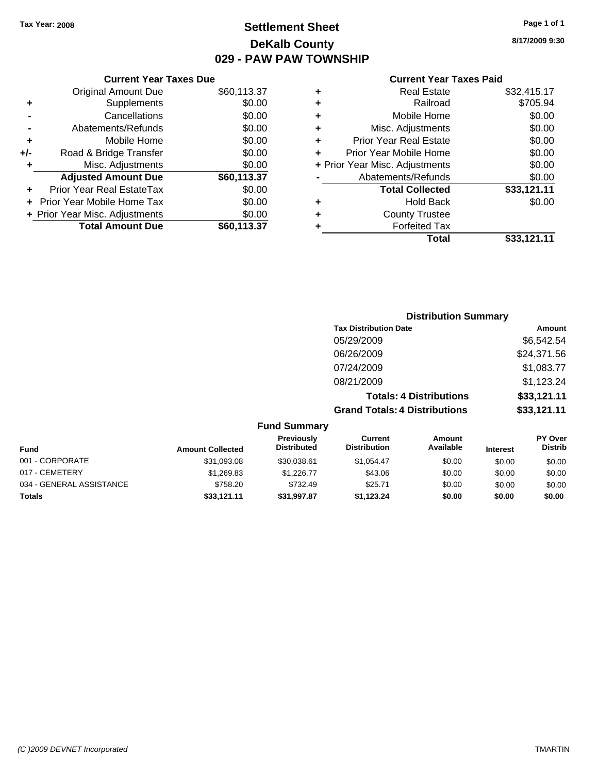### **Settlement Sheet Tax Year: 2008 Page 1 of 1 DeKalb County 029 - PAW PAW TOWNSHIP**

**8/17/2009 9:30**

#### **Current Year Taxes Paid**

|       | <b>Current Year Taxes Due</b>  |             |
|-------|--------------------------------|-------------|
|       | <b>Original Amount Due</b>     | \$60,113.37 |
| ٠     | Supplements                    | \$0.00      |
|       | Cancellations                  | \$0.00      |
|       | Abatements/Refunds             | \$0.00      |
| ٠     | Mobile Home                    | \$0.00      |
| $+/-$ | Road & Bridge Transfer         | \$0.00      |
|       | Misc. Adjustments              | \$0.00      |
|       | <b>Adjusted Amount Due</b>     | \$60,113.37 |
|       | Prior Year Real EstateTax      | \$0.00      |
|       | Prior Year Mobile Home Tax     | \$0.00      |
|       | + Prior Year Misc. Adjustments | \$0.00      |
|       | <b>Total Amount Due</b>        | \$60,113.37 |
|       |                                |             |

| ٠ | <b>Real Estate</b>             | \$32,415.17 |
|---|--------------------------------|-------------|
| ٠ | Railroad                       | \$705.94    |
| ٠ | Mobile Home                    | \$0.00      |
| ٠ | Misc. Adjustments              | \$0.00      |
| ٠ | <b>Prior Year Real Estate</b>  | \$0.00      |
| ÷ | Prior Year Mobile Home         | \$0.00      |
|   | + Prior Year Misc. Adjustments | \$0.00      |
|   | Abatements/Refunds             | \$0.00      |
|   | <b>Total Collected</b>         | \$33,121.11 |
| ٠ | <b>Hold Back</b>               | \$0.00      |
| ٠ | <b>County Trustee</b>          |             |
| ٠ | <b>Forfeited Tax</b>           |             |
|   | Total                          | \$33,121.11 |
|   |                                |             |

#### **Distribution Summary Tax Distribution Date Amount** 05/29/2009 \$6,542.54 06/26/2009 \$24,371.56 07/24/2009 \$1,083.77 08/21/2009 \$1,123.24 **Totals: 4 Distributions \$33,121.11 Grand Totals: 4 Distributions \$33,121.11 Fund Summary PY Over Distrib Amount Available Current Distribution Previously Amount Collected Distributed**

| <b>Fund</b>              | <b>Amount Collected</b> | <b>Previously</b><br><b>Distributed</b> | current<br><b>Distribution</b> | Amount<br>Available | <b>Interest</b> | <b>PT OVER</b><br><b>Distrib</b> |
|--------------------------|-------------------------|-----------------------------------------|--------------------------------|---------------------|-----------------|----------------------------------|
| 001 - CORPORATE          | \$31,093.08             | \$30.038.61                             | \$1.054.47                     | \$0.00              | \$0.00          | \$0.00                           |
| 017 - CEMETERY           | \$1,269.83              | \$1,226,77                              | \$43.06                        | \$0.00              | \$0.00          | \$0.00                           |
| 034 - GENERAL ASSISTANCE | \$758.20                | \$732.49                                | \$25.71                        | \$0.00              | \$0.00          | \$0.00                           |
| Totals                   | \$33.121.11             | \$31,997.87                             | \$1.123.24                     | \$0.00              | \$0.00          | \$0.00                           |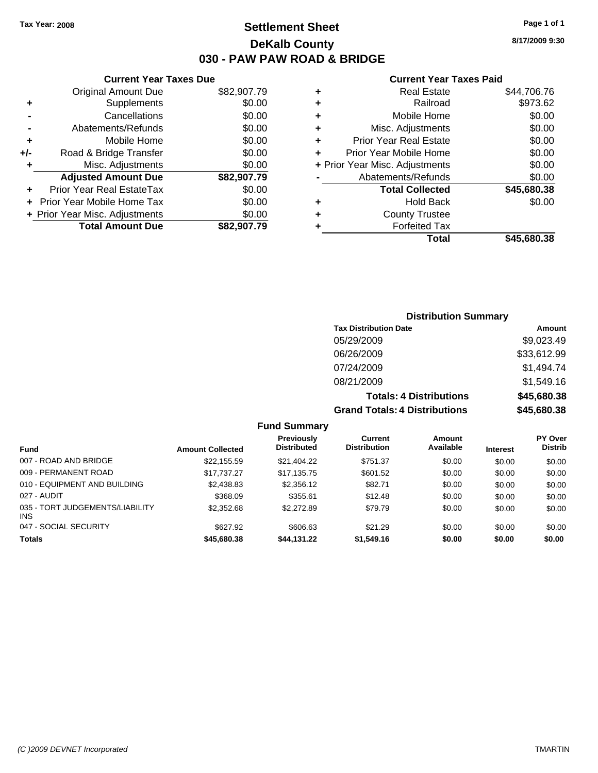**8/17/2009 9:30**

#### **Current Year Taxes Paid**

|   | Total                          | \$45.680.38 |
|---|--------------------------------|-------------|
|   | <b>Forfeited Tax</b>           |             |
| ٠ | <b>County Trustee</b>          |             |
|   | <b>Hold Back</b>               | \$0.00      |
|   | <b>Total Collected</b>         | \$45,680.38 |
|   | Abatements/Refunds             | \$0.00      |
|   | + Prior Year Misc. Adjustments | \$0.00      |
| ÷ | Prior Year Mobile Home         | \$0.00      |
| ÷ | <b>Prior Year Real Estate</b>  | \$0.00      |
| ÷ | Misc. Adjustments              | \$0.00      |
| ٠ | Mobile Home                    | \$0.00      |
| ٠ | Railroad                       | \$973.62    |
| ٠ | <b>Real Estate</b>             | \$44,706.76 |
|   |                                |             |

|     | <b>Current Year Taxes Due</b>    |             |
|-----|----------------------------------|-------------|
|     | <b>Original Amount Due</b>       | \$82,907.79 |
| ٠   | Supplements                      | \$0.00      |
|     | Cancellations                    | \$0.00      |
|     | Abatements/Refunds               | \$0.00      |
| ٠   | Mobile Home                      | \$0.00      |
| +/- | Road & Bridge Transfer           | \$0.00      |
| ٠   | Misc. Adjustments                | \$0.00      |
|     | <b>Adjusted Amount Due</b>       | \$82,907.79 |
|     | <b>Prior Year Real EstateTax</b> | \$0.00      |
|     | Prior Year Mobile Home Tax       | \$0.00      |
|     | + Prior Year Misc. Adjustments   | \$0.00      |
|     | <b>Total Amount Due</b>          | \$82,907.79 |

### **Distribution Summary**

| <b>Tax Distribution Date</b>         | Amount      |
|--------------------------------------|-------------|
| 05/29/2009                           | \$9,023.49  |
| 06/26/2009                           | \$33,612.99 |
| 07/24/2009                           | \$1,494.74  |
| 08/21/2009                           | \$1,549.16  |
| <b>Totals: 4 Distributions</b>       | \$45,680.38 |
| <b>Grand Totals: 4 Distributions</b> | \$45,680.38 |

### **Fund Summary**

| <b>Fund</b>                                   | <b>Amount Collected</b> | <b>Previously</b><br><b>Distributed</b> | Current<br><b>Distribution</b> | Amount<br>Available | <b>Interest</b> | <b>PY Over</b><br><b>Distrib</b> |
|-----------------------------------------------|-------------------------|-----------------------------------------|--------------------------------|---------------------|-----------------|----------------------------------|
| 007 - ROAD AND BRIDGE                         | \$22,155.59             | \$21,404.22                             | \$751.37                       | \$0.00              | \$0.00          | \$0.00                           |
| 009 - PERMANENT ROAD                          | \$17.737.27             | \$17.135.75                             | \$601.52                       | \$0.00              | \$0.00          | \$0.00                           |
| 010 - EQUIPMENT AND BUILDING                  | \$2,438.83              | \$2,356.12                              | \$82.71                        | \$0.00              | \$0.00          | \$0.00                           |
| 027 - AUDIT                                   | \$368.09                | \$355.61                                | \$12.48                        | \$0.00              | \$0.00          | \$0.00                           |
| 035 - TORT JUDGEMENTS/LIABILITY<br><b>INS</b> | \$2,352.68              | \$2,272.89                              | \$79.79                        | \$0.00              | \$0.00          | \$0.00                           |
| 047 - SOCIAL SECURITY                         | \$627.92                | \$606.63                                | \$21.29                        | \$0.00              | \$0.00          | \$0.00                           |
| <b>Totals</b>                                 | \$45,680.38             | \$44,131.22                             | \$1,549.16                     | \$0.00              | \$0.00          | \$0.00                           |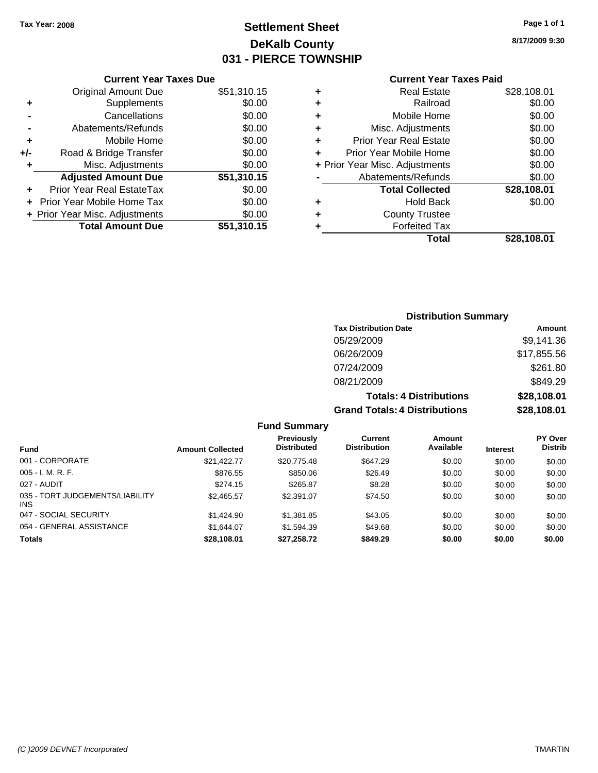### **Settlement Sheet Tax Year: 2008 Page 1 of 1 DeKalb County 031 - PIERCE TOWNSHIP**

**8/17/2009 9:30**

| <b>Current Year Taxes Paid</b> |  |  |  |
|--------------------------------|--|--|--|
|--------------------------------|--|--|--|

| <b>Current Year Taxes Due</b>  |             |
|--------------------------------|-------------|
| <b>Original Amount Due</b>     | \$51,310.15 |
| Supplements                    | \$0.00      |
| Cancellations                  | \$0.00      |
| Abatements/Refunds             | \$0.00      |
| Mobile Home                    | \$0.00      |
| Road & Bridge Transfer         | \$0.00      |
| Misc. Adjustments              | \$0.00      |
|                                |             |
| <b>Adjusted Amount Due</b>     | \$51,310.15 |
| Prior Year Real EstateTax      | \$0.00      |
| Prior Year Mobile Home Tax     | \$0.00      |
| + Prior Year Misc. Adjustments | \$0.00      |
|                                |             |

| ٠ | <b>Real Estate</b>             | \$28,108.01 |
|---|--------------------------------|-------------|
| ٠ | Railroad                       | \$0.00      |
| ٠ | Mobile Home                    | \$0.00      |
| ٠ | Misc. Adjustments              | \$0.00      |
| ٠ | Prior Year Real Estate         | \$0.00      |
| ÷ | Prior Year Mobile Home         | \$0.00      |
|   | + Prior Year Misc. Adjustments | \$0.00      |
|   | Abatements/Refunds             | \$0.00      |
|   | <b>Total Collected</b>         | \$28,108.01 |
| ٠ | <b>Hold Back</b>               | \$0.00      |
| ٠ | <b>County Trustee</b>          |             |
| ٠ | <b>Forfeited Tax</b>           |             |
|   | Total                          | \$28,108.01 |
|   |                                |             |

### **Distribution Summary Tax Distribution Date Amount** 05/29/2009 \$9,141.36 06/26/2009 \$17,855.56 07/24/2009 \$261.80 08/21/2009 \$849.29 **Totals: 4 Distributions \$28,108.01 Grand Totals: 4 Distributions \$28,108.01**

#### **Fund Summary**

| <b>Fund</b>                             | <b>Amount Collected</b> | <b>Previously</b><br><b>Distributed</b> | Current<br><b>Distribution</b> | Amount<br>Available | <b>Interest</b> | <b>PY Over</b><br><b>Distrib</b> |
|-----------------------------------------|-------------------------|-----------------------------------------|--------------------------------|---------------------|-----------------|----------------------------------|
| 001 - CORPORATE                         | \$21.422.77             | \$20,775.48                             | \$647.29                       | \$0.00              | \$0.00          | \$0.00                           |
| $005 - I. M. R. F.$                     | \$876.55                | \$850.06                                | \$26.49                        | \$0.00              | \$0.00          | \$0.00                           |
| 027 - AUDIT                             | \$274.15                | \$265.87                                | \$8.28                         | \$0.00              | \$0.00          | \$0.00                           |
| 035 - TORT JUDGEMENTS/LIABILITY<br>INS. | \$2,465.57              | \$2,391.07                              | \$74.50                        | \$0.00              | \$0.00          | \$0.00                           |
| 047 - SOCIAL SECURITY                   | \$1,424.90              | \$1,381.85                              | \$43.05                        | \$0.00              | \$0.00          | \$0.00                           |
| 054 - GENERAL ASSISTANCE                | \$1.644.07              | \$1.594.39                              | \$49.68                        | \$0.00              | \$0.00          | \$0.00                           |
| <b>Totals</b>                           | \$28,108.01             | \$27,258.72                             | \$849.29                       | \$0.00              | \$0.00          | \$0.00                           |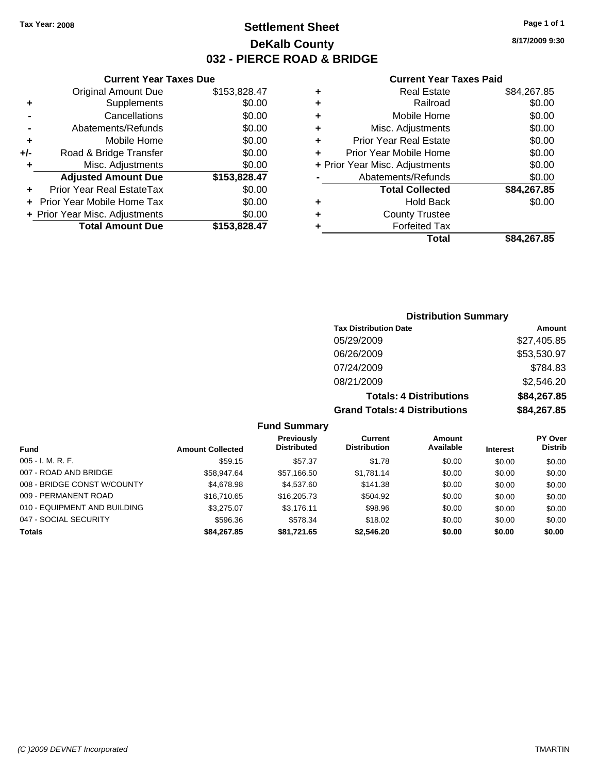### **Settlement Sheet Tax Year: 2008 Page 1 of 1 DeKalb County 032 - PIERCE ROAD & BRIDGE**

**8/17/2009 9:30**

### **Current Year Taxes Paid**

|     | <b>Current Year Taxes Due</b>  |              |         |
|-----|--------------------------------|--------------|---------|
|     | <b>Original Amount Due</b>     | \$153,828.47 | ٠       |
|     | Supplements                    | \$0.00       | ٠       |
|     | Cancellations                  | \$0.00       | ٠       |
|     | Abatements/Refunds             | \$0.00       | ٠       |
|     | Mobile Home                    | \$0.00       | ٠       |
| +/- | Road & Bridge Transfer         | \$0.00       | ٠       |
|     | Misc. Adjustments              | \$0.00       | + Prior |
|     | <b>Adjusted Amount Due</b>     | \$153,828.47 |         |
|     | Prior Year Real EstateTax      | \$0.00       |         |
|     | Prior Year Mobile Home Tax     | \$0.00       | ٠       |
|     | + Prior Year Misc. Adjustments | \$0.00       | ٠       |
|     | <b>Total Amount Due</b>        | \$153,828.47 |         |
|     |                                |              |         |

| ٠ | <b>Real Estate</b>             | \$84,267.85 |
|---|--------------------------------|-------------|
| ٠ | Railroad                       | \$0.00      |
| ٠ | Mobile Home                    | \$0.00      |
| ٠ | Misc. Adjustments              | \$0.00      |
| ٠ | <b>Prior Year Real Estate</b>  | \$0.00      |
| ÷ | Prior Year Mobile Home         | \$0.00      |
|   | + Prior Year Misc. Adjustments | \$0.00      |
|   | Abatements/Refunds             | \$0.00      |
|   | <b>Total Collected</b>         | \$84,267.85 |
| ٠ | <b>Hold Back</b>               | \$0.00      |
| ٠ | <b>County Trustee</b>          |             |
|   | <b>Forfeited Tax</b>           |             |
|   | Total                          | \$84,267.85 |

### **Distribution Summary Tax Distribution Date Amount** 05/29/2009 \$27,405.85 06/26/2009 \$53,530.97 07/24/2009 \$784.83 08/21/2009 \$2,546.20 **Totals: 4 Distributions \$84,267.85**

| 1 YUU 7 F PRITING 1911               | $V^{\text{t}}$ |
|--------------------------------------|----------------|
| <b>Grand Totals: 4 Distributions</b> | \$84,267.85    |
|                                      |                |

| <b>Fund Summary</b> |  |
|---------------------|--|
|---------------------|--|

| <b>Fund</b>                  | <b>Amount Collected</b> | <b>Previously</b><br><b>Distributed</b> | Current<br><b>Distribution</b> | Amount<br>Available | <b>Interest</b> | <b>PY Over</b><br><b>Distrib</b> |
|------------------------------|-------------------------|-----------------------------------------|--------------------------------|---------------------|-----------------|----------------------------------|
| $005 - I. M. R. F.$          | \$59.15                 | \$57.37                                 | \$1.78                         | \$0.00              | \$0.00          | \$0.00                           |
| 007 - ROAD AND BRIDGE        | \$58.947.64             | \$57.166.50                             | \$1.781.14                     | \$0.00              | \$0.00          | \$0.00                           |
| 008 - BRIDGE CONST W/COUNTY  | \$4,678.98              | \$4,537.60                              | \$141.38                       | \$0.00              | \$0.00          | \$0.00                           |
| 009 - PERMANENT ROAD         | \$16,710.65             | \$16,205.73                             | \$504.92                       | \$0.00              | \$0.00          | \$0.00                           |
| 010 - EQUIPMENT AND BUILDING | \$3,275.07              | \$3.176.11                              | \$98.96                        | \$0.00              | \$0.00          | \$0.00                           |
| 047 - SOCIAL SECURITY        | \$596.36                | \$578.34                                | \$18.02                        | \$0.00              | \$0.00          | \$0.00                           |
| <b>Totals</b>                | \$84,267.85             | \$81,721.65                             | \$2,546.20                     | \$0.00              | \$0.00          | \$0.00                           |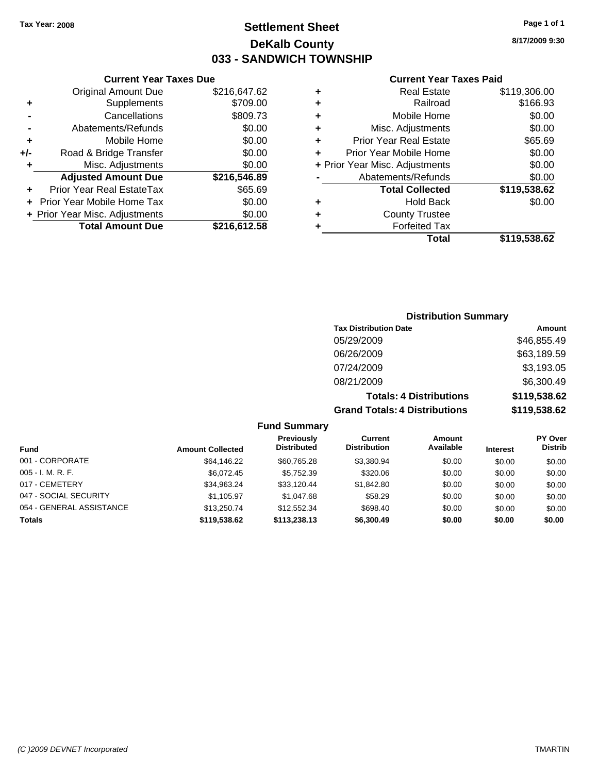**Current Year Taxes Due** Original Amount Due \$216,647.62

**Adjusted Amount Due \$216,546.89**

**Total Amount Due \$216,612.58**

**+** Supplements \$709.00 **-** Cancellations \$809.73 **-** Abatements/Refunds \$0.00 **+** Mobile Home \$0.00 **+/-** Road & Bridge Transfer \$0.00 **+** Misc. Adjustments \$0.00

**+** Prior Year Real EstateTax \$65.69 **+** Prior Year Mobile Home Tax \$0.00 **+ Prior Year Misc. Adjustments**  $$0.00$ 

### **Settlement Sheet Tax Year: 2008 Page 1 of 1 DeKalb County 033 - SANDWICH TOWNSHIP**

**8/17/2009 9:30**

#### **Current Year Taxes Paid**

|   | <b>Real Estate</b>             | \$119,306.00 |
|---|--------------------------------|--------------|
| ٠ | Railroad                       | \$166.93     |
| ÷ | Mobile Home                    | \$0.00       |
| ÷ | Misc. Adjustments              | \$0.00       |
| ٠ | <b>Prior Year Real Estate</b>  | \$65.69      |
| ÷ | Prior Year Mobile Home         | \$0.00       |
|   | + Prior Year Misc. Adjustments | \$0.00       |
|   | Abatements/Refunds             | \$0.00       |
|   | <b>Total Collected</b>         | \$119,538.62 |
| ٠ | <b>Hold Back</b>               | \$0.00       |
| ٠ | <b>County Trustee</b>          |              |
|   | <b>Forfeited Tax</b>           |              |
|   | Total                          | \$119,538.62 |
|   |                                |              |

## **Distribution Summary Tax Distribution Date Amount**

| <b>Grand Totals: 4 Distributions</b> | \$119,538.62 |
|--------------------------------------|--------------|
| <b>Totals: 4 Distributions</b>       | \$119,538.62 |
| 08/21/2009                           | \$6,300.49   |
| 07/24/2009                           | \$3,193.05   |
| 06/26/2009                           | \$63,189.59  |
| 05/29/2009                           | \$46,855.49  |

#### **Fund Summary**

| <b>Fund</b>              | <b>Amount Collected</b> | Previously<br><b>Distributed</b> | Current<br><b>Distribution</b> | Amount<br>Available | <b>Interest</b> | <b>PY Over</b><br><b>Distrib</b> |
|--------------------------|-------------------------|----------------------------------|--------------------------------|---------------------|-----------------|----------------------------------|
| 001 - CORPORATE          | \$64,146.22             | \$60.765.28                      | \$3,380.94                     | \$0.00              | \$0.00          | \$0.00                           |
| $005 - I. M. R. F.$      | \$6.072.45              | \$5.752.39                       | \$320.06                       | \$0.00              | \$0.00          | \$0.00                           |
| 017 - CEMETERY           | \$34,963.24             | \$33.120.44                      | \$1,842.80                     | \$0.00              | \$0.00          | \$0.00                           |
| 047 - SOCIAL SECURITY    | \$1,105.97              | \$1.047.68                       | \$58.29                        | \$0.00              | \$0.00          | \$0.00                           |
| 054 - GENERAL ASSISTANCE | \$13,250.74             | \$12,552,34                      | \$698.40                       | \$0.00              | \$0.00          | \$0.00                           |
| Totals                   | \$119,538,62            | \$113,238.13                     | \$6,300.49                     | \$0.00              | \$0.00          | \$0.00                           |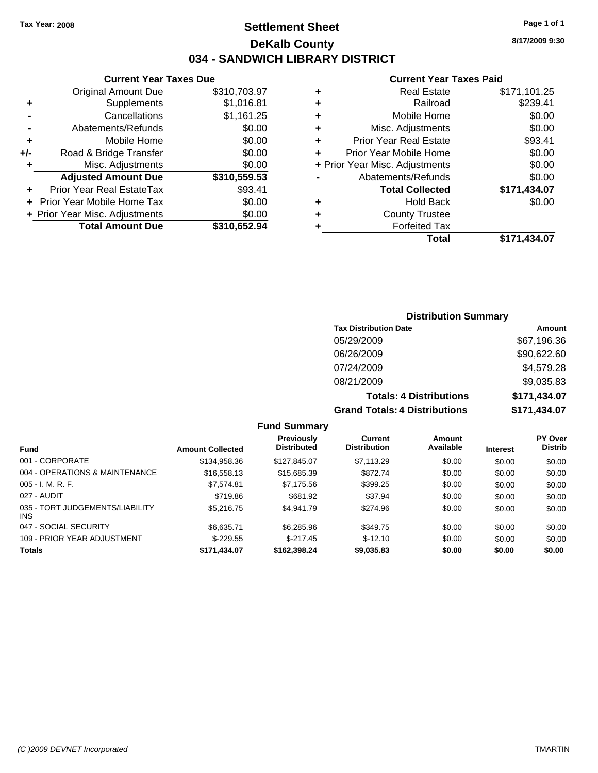### **Settlement Sheet Tax Year: 2008 Page 1 of 1 DeKalb County 034 - SANDWICH LIBRARY DISTRICT**

**8/17/2009 9:30**

### **Current Year Taxes Paid**

|     | <b>Current Year Taxes Due</b>     |              |  |  |  |
|-----|-----------------------------------|--------------|--|--|--|
|     | Original Amount Due               | \$310,703.97 |  |  |  |
| ٠   | Supplements                       | \$1,016.81   |  |  |  |
|     | Cancellations                     | \$1,161.25   |  |  |  |
|     | Abatements/Refunds                | \$0.00       |  |  |  |
| ٠   | Mobile Home                       | \$0.00       |  |  |  |
| +/- | Road & Bridge Transfer            | \$0.00       |  |  |  |
| ٠   | Misc. Adjustments                 | \$0.00       |  |  |  |
|     | <b>Adjusted Amount Due</b>        | \$310,559.53 |  |  |  |
|     | Prior Year Real EstateTax         | \$93.41      |  |  |  |
|     | <b>Prior Year Mobile Home Tax</b> | \$0.00       |  |  |  |
|     | + Prior Year Misc. Adjustments    | \$0.00       |  |  |  |
|     | <b>Total Amount Due</b>           | \$310,652.94 |  |  |  |
|     |                                   |              |  |  |  |

| ٠ | <b>Real Estate</b>             | \$171,101.25 |
|---|--------------------------------|--------------|
| ٠ | Railroad                       | \$239.41     |
| ٠ | Mobile Home                    | \$0.00       |
| ٠ | Misc. Adjustments              | \$0.00       |
| ٠ | <b>Prior Year Real Estate</b>  | \$93.41      |
| ÷ | Prior Year Mobile Home         | \$0.00       |
|   | + Prior Year Misc. Adjustments | \$0.00       |
|   | Abatements/Refunds             | \$0.00       |
|   | <b>Total Collected</b>         | \$171,434.07 |
| ٠ | Hold Back                      | \$0.00       |
| ٠ | <b>County Trustee</b>          |              |
|   | <b>Forfeited Tax</b>           |              |
|   | Total                          | \$171,434.07 |

## **Distribution Summary**

| <b>Tax Distribution Date</b>         | Amount       |
|--------------------------------------|--------------|
| 05/29/2009                           | \$67,196.36  |
| 06/26/2009                           | \$90,622.60  |
| 07/24/2009                           | \$4,579.28   |
| 08/21/2009                           | \$9,035.83   |
| <b>Totals: 4 Distributions</b>       | \$171,434.07 |
| <b>Grand Totals: 4 Distributions</b> | \$171,434.07 |

### **Fund Summary**

|                                               |                         | <b>Previously</b><br><b>Distributed</b> | Current<br><b>Distribution</b> | Amount<br>Available |                 | <b>PY Over</b><br><b>Distrib</b> |
|-----------------------------------------------|-------------------------|-----------------------------------------|--------------------------------|---------------------|-----------------|----------------------------------|
| <b>Fund</b>                                   | <b>Amount Collected</b> |                                         |                                |                     | <b>Interest</b> |                                  |
| 001 - CORPORATE                               | \$134,958.36            | \$127,845.07                            | \$7,113.29                     | \$0.00              | \$0.00          | \$0.00                           |
| 004 - OPERATIONS & MAINTENANCE                | \$16,558.13             | \$15,685.39                             | \$872.74                       | \$0.00              | \$0.00          | \$0.00                           |
| $005 - I. M. R. F.$                           | \$7,574.81              | \$7,175.56                              | \$399.25                       | \$0.00              | \$0.00          | \$0.00                           |
| 027 - AUDIT                                   | \$719.86                | \$681.92                                | \$37.94                        | \$0.00              | \$0.00          | \$0.00                           |
| 035 - TORT JUDGEMENTS/LIABILITY<br><b>INS</b> | \$5,216,75              | \$4.941.79                              | \$274.96                       | \$0.00              | \$0.00          | \$0.00                           |
| 047 - SOCIAL SECURITY                         | \$6,635.71              | \$6,285.96                              | \$349.75                       | \$0.00              | \$0.00          | \$0.00                           |
| 109 - PRIOR YEAR ADJUSTMENT                   | $$-229.55$              | $$-217.45$                              | $$-12.10$                      | \$0.00              | \$0.00          | \$0.00                           |
| <b>Totals</b>                                 | \$171,434.07            | \$162,398.24                            | \$9,035.83                     | \$0.00              | \$0.00          | \$0.00                           |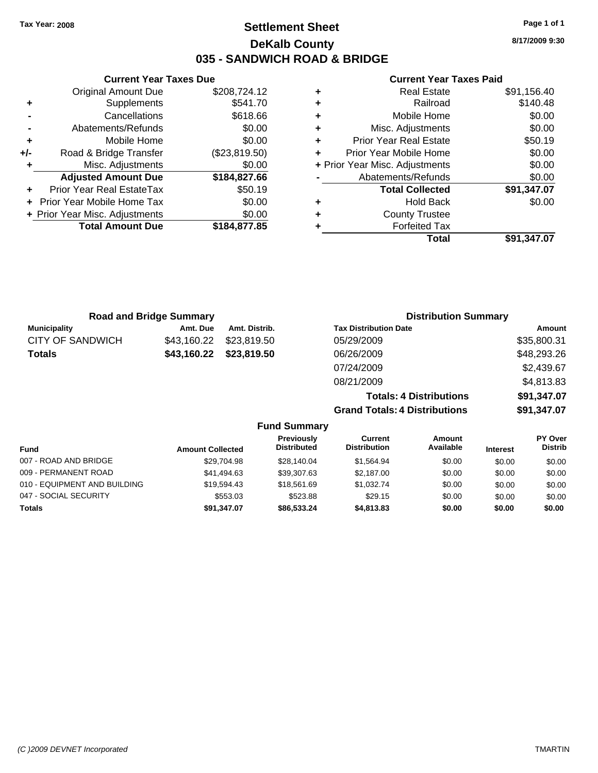**Current Year Taxes Due** Original Amount Due \$208,724.12

**Adjusted Amount Due \$184,827.66**

**Total Amount Due \$184,877.85**

**+** Supplements \$541.70 **-** Cancellations \$618.66 **-** Abatements/Refunds \$0.00 **+** Mobile Home \$0.00 **+/-** Road & Bridge Transfer (\$23,819.50) **+** Misc. Adjustments \$0.00

**+** Prior Year Real EstateTax \$50.19 **+** Prior Year Mobile Home Tax \$0.00 **+ Prior Year Misc. Adjustments**  $$0.00$ 

### **Settlement Sheet Tax Year: 2008 Page 1 of 1 DeKalb County 035 - SANDWICH ROAD & BRIDGE**

**8/17/2009 9:30**

#### **Current Year Taxes Paid**

|   | Total                          | \$91,347.07 |
|---|--------------------------------|-------------|
| ٠ | <b>Forfeited Tax</b>           |             |
| ٠ | <b>County Trustee</b>          |             |
| ٠ | <b>Hold Back</b>               | \$0.00      |
|   | <b>Total Collected</b>         | \$91,347.07 |
|   | Abatements/Refunds             | \$0.00      |
|   | + Prior Year Misc. Adjustments | \$0.00      |
| ٠ | Prior Year Mobile Home         | \$0.00      |
| ٠ | <b>Prior Year Real Estate</b>  | \$50.19     |
| ٠ | Misc. Adjustments              | \$0.00      |
| ٠ | Mobile Home                    | \$0.00      |
| ٠ | Railroad                       | \$140.48    |
| ٠ | <b>Real Estate</b>             | \$91,156.40 |
|   |                                |             |

| <b>Road and Bridge Summary</b> |               | <b>Distribution Summary</b>          |             |  |  |
|--------------------------------|---------------|--------------------------------------|-------------|--|--|
| Amt. Due                       | Amt. Distrib. | <b>Tax Distribution Date</b>         | Amount      |  |  |
| \$43,160.22                    | \$23,819.50   | 05/29/2009                           | \$35,800.31 |  |  |
| \$43,160.22                    | \$23,819.50   | 06/26/2009                           | \$48,293.26 |  |  |
|                                |               | 07/24/2009                           | \$2,439.67  |  |  |
|                                |               | 08/21/2009                           | \$4,813.83  |  |  |
|                                |               | <b>Totals: 4 Distributions</b>       | \$91,347.07 |  |  |
|                                |               | <b>Grand Totals: 4 Distributions</b> | \$91,347.07 |  |  |
|                                |               |                                      |             |  |  |

| <b>Fund</b>                  | <b>Amount Collected</b> | <b>Previously</b><br><b>Distributed</b> | Current<br><b>Distribution</b> | Amount<br>Available | <b>Interest</b> | <b>PY Over</b><br><b>Distrib</b> |
|------------------------------|-------------------------|-----------------------------------------|--------------------------------|---------------------|-----------------|----------------------------------|
| 007 - ROAD AND BRIDGE        | \$29.704.98             | \$28,140.04                             | \$1.564.94                     | \$0.00              | \$0.00          | \$0.00                           |
| 009 - PERMANENT ROAD         | \$41,494.63             | \$39,307.63                             | \$2,187.00                     | \$0.00              | \$0.00          | \$0.00                           |
| 010 - EQUIPMENT AND BUILDING | \$19.594.43             | \$18,561.69                             | \$1,032.74                     | \$0.00              | \$0.00          | \$0.00                           |
| 047 - SOCIAL SECURITY        | \$553.03                | \$523.88                                | \$29.15                        | \$0.00              | \$0.00          | \$0.00                           |
| <b>Totals</b>                | \$91.347.07             | \$86,533,24                             | \$4,813,83                     | \$0.00              | \$0.00          | \$0.00                           |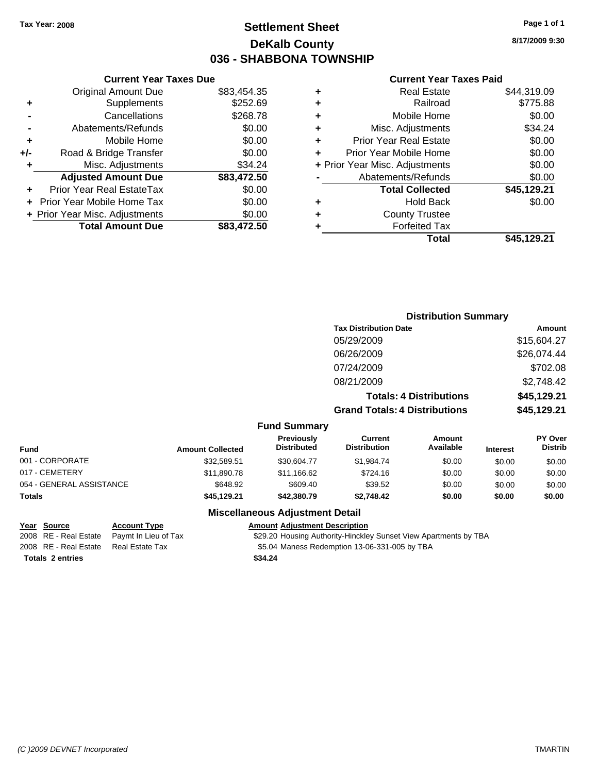## **Settlement Sheet Tax Year: 2008 Page 1 of 1 DeKalb County 036 - SHABBONA TOWNSHIP**

**8/17/2009 9:30**

### **Current Year Taxes Paid**

|     | <b>Current Year Taxes Due</b>  |             |
|-----|--------------------------------|-------------|
|     | <b>Original Amount Due</b>     | \$83,454.35 |
| ÷   | Supplements                    | \$252.69    |
|     | Cancellations                  | \$268.78    |
|     | Abatements/Refunds             | \$0.00      |
| ٠   | Mobile Home                    | \$0.00      |
| +/- | Road & Bridge Transfer         | \$0.00      |
|     | Misc. Adjustments              | \$34.24     |
|     | <b>Adjusted Amount Due</b>     | \$83,472.50 |
|     | Prior Year Real EstateTax      | \$0.00      |
|     | Prior Year Mobile Home Tax     | \$0.00      |
|     | + Prior Year Misc. Adjustments | \$0.00      |
|     | <b>Total Amount Due</b>        | \$83,472.50 |
|     |                                |             |

| ٠ | <b>Real Estate</b>             | \$44,319.09 |
|---|--------------------------------|-------------|
| ٠ | Railroad                       | \$775.88    |
| ٠ | Mobile Home                    | \$0.00      |
| ٠ | Misc. Adjustments              | \$34.24     |
| ÷ | Prior Year Real Estate         | \$0.00      |
|   | Prior Year Mobile Home         | \$0.00      |
|   | + Prior Year Misc. Adjustments | \$0.00      |
|   | Abatements/Refunds             | \$0.00      |
|   | <b>Total Collected</b>         | \$45,129.21 |
| ٠ | <b>Hold Back</b>               | \$0.00      |
| ٠ | <b>County Trustee</b>          |             |
| ٠ | <b>Forfeited Tax</b>           |             |
|   | Total                          | \$45,129.21 |
|   |                                |             |

|                          |                         |                                  | <b>Distribution Summary</b>           |                                |                 |                           |
|--------------------------|-------------------------|----------------------------------|---------------------------------------|--------------------------------|-----------------|---------------------------|
|                          |                         |                                  | <b>Tax Distribution Date</b>          |                                |                 | <b>Amount</b>             |
|                          |                         |                                  | 05/29/2009                            |                                |                 | \$15,604.27               |
|                          |                         |                                  | 06/26/2009                            |                                |                 | \$26,074.44               |
|                          |                         |                                  | 07/24/2009                            |                                |                 | \$702.08                  |
|                          |                         |                                  | 08/21/2009                            |                                |                 | \$2,748.42                |
|                          |                         |                                  |                                       | <b>Totals: 4 Distributions</b> |                 | \$45,129.21               |
|                          |                         |                                  | <b>Grand Totals: 4 Distributions</b>  |                                |                 | \$45,129.21               |
|                          |                         | <b>Fund Summary</b>              |                                       |                                |                 |                           |
| <b>Fund</b>              | <b>Amount Collected</b> | Previously<br><b>Distributed</b> | <b>Current</b><br><b>Distribution</b> | Amount<br>Available            | <b>Interest</b> | PY Over<br><b>Distrib</b> |
| 001 - CORPORATE          | \$32,589.51             | \$30,604.77                      | \$1,984.74                            | \$0.00                         | \$0.00          | \$0.00                    |
| 017 - CEMETERY           | \$11,890.78             | \$11,166.62                      | \$724.16                              | \$0.00                         | \$0.00          | \$0.00                    |
| 054 - GENERAL ASSISTANCE | \$648.92                | \$609.40                         | \$39.52                               | \$0.00                         | \$0.00          | \$0.00                    |
|                          |                         |                                  |                                       |                                |                 |                           |

#### **Totals \$45,129.21 \$42,380.79 \$2,748.42 \$0.00 \$0.00 \$0.00**

**Totals \$34.24 2 entries**

**Year Source Account Type Amount Adjustment Description** 2008 RE - Real Estate Paymt In Lieu of Tax \$29.20 Housing Authority-Hinckley Sunset View Apartments by TBA

2008 RE - Real Estate Real Estate Tax S5.04 Maness Redemption 13-06-331-005 by TBA

**Miscellaneous Adjustment Detail**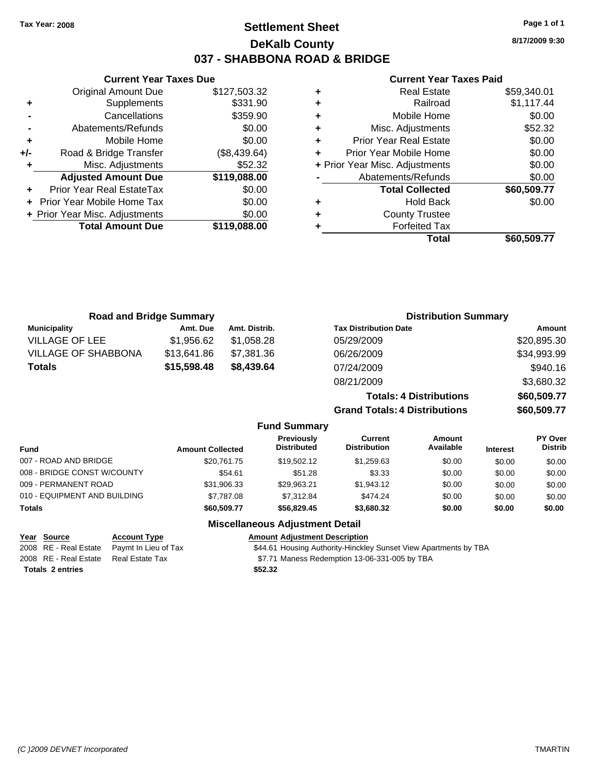## **Settlement Sheet Tax Year: 2008 Page 1 of 1 DeKalb County 037 - SHABBONA ROAD & BRIDGE**

**8/17/2009 9:30**

## **Current Year Taxes Paid**

|   | Total                          | \$60,509.77 |
|---|--------------------------------|-------------|
| ٠ | <b>Forfeited Tax</b>           |             |
| ٠ | <b>County Trustee</b>          |             |
| ٠ | <b>Hold Back</b>               | \$0.00      |
|   | <b>Total Collected</b>         | \$60,509.77 |
|   | Abatements/Refunds             | \$0.00      |
|   | + Prior Year Misc. Adjustments | \$0.00      |
| ÷ | Prior Year Mobile Home         | \$0.00      |
| ÷ | <b>Prior Year Real Estate</b>  | \$0.00      |
| ÷ | Misc. Adjustments              | \$52.32     |
| ÷ | Mobile Home                    | \$0.00      |
| ٠ | Railroad                       | \$1,117.44  |
| ٠ | <b>Real Estate</b>             | \$59,340.01 |

|       | <b>Current Year Taxes Due</b>  |              |
|-------|--------------------------------|--------------|
|       | <b>Original Amount Due</b>     | \$127,503.32 |
| ٠     | Supplements                    | \$331.90     |
|       | Cancellations                  | \$359.90     |
|       | Abatements/Refunds             | \$0.00       |
| ٠     | Mobile Home                    | \$0.00       |
| $+/-$ | Road & Bridge Transfer         | (\$8,439.64) |
| ٠     | Misc. Adjustments              | \$52.32      |
|       | <b>Adjusted Amount Due</b>     | \$119,088.00 |
|       | Prior Year Real EstateTax      | \$0.00       |
|       | Prior Year Mobile Home Tax     | \$0.00       |
|       | + Prior Year Misc. Adjustments | \$0.00       |
|       | <b>Total Amount Due</b>        | \$119,088.00 |
|       |                                |              |

| <b>Road and Bridge Summary</b> |             |                     | <b>Distribution Summary</b>          |             |
|--------------------------------|-------------|---------------------|--------------------------------------|-------------|
| <b>Municipality</b>            | Amt. Due    | Amt. Distrib.       | <b>Tax Distribution Date</b>         | Amount      |
| <b>VILLAGE OF LEE</b>          | \$1,956.62  | \$1,058.28          | 05/29/2009                           | \$20,895.30 |
| <b>VILLAGE OF SHABBONA</b>     | \$13,641.86 | \$7,381.36          | 06/26/2009                           | \$34,993.99 |
| <b>Totals</b>                  | \$15,598.48 | \$8,439.64          | 07/24/2009                           | \$940.16    |
|                                |             |                     | 08/21/2009                           | \$3,680.32  |
|                                |             |                     | <b>Totals: 4 Distributions</b>       | \$60,509.77 |
|                                |             |                     | <b>Grand Totals: 4 Distributions</b> | \$60,509.77 |
|                                |             | <b>Fund Summary</b> |                                      |             |
|                                |             |                     |                                      |             |

| <b>Fund</b>                  | <b>Amount Collected</b> | Previously<br><b>Distributed</b> | Current<br><b>Distribution</b> | Amount<br>Available | <b>Interest</b> | <b>PY Over</b><br><b>Distrib</b> |
|------------------------------|-------------------------|----------------------------------|--------------------------------|---------------------|-----------------|----------------------------------|
| 007 - ROAD AND BRIDGE        | \$20.761.75             | \$19.502.12                      | \$1,259.63                     | \$0.00              | \$0.00          | \$0.00                           |
| 008 - BRIDGE CONST W/COUNTY  | \$54.61                 | \$51.28                          | \$3.33                         | \$0.00              | \$0.00          | \$0.00                           |
| 009 - PERMANENT ROAD         | \$31,906.33             | \$29.963.21                      | \$1,943.12                     | \$0.00              | \$0.00          | \$0.00                           |
| 010 - EQUIPMENT AND BUILDING | \$7.787.08              | \$7.312.84                       | \$474.24                       | \$0.00              | \$0.00          | \$0.00                           |
| <b>Totals</b>                | \$60,509.77             | \$56,829.45                      | \$3,680.32                     | \$0.00              | \$0.00          | \$0.00                           |

## **Miscellaneous Adjustment Detail**

| Year Source                           | <b>Account Type</b>                        | <b>Amount Adjustment Description</b>                             |
|---------------------------------------|--------------------------------------------|------------------------------------------------------------------|
|                                       | 2008 RE - Real Estate Paymt In Lieu of Tax | \$44.61 Housing Authority-Hinckley Sunset View Apartments by TBA |
| 2008 RE - Real Estate Real Estate Tax |                                            | \$7.71 Maness Redemption 13-06-331-005 by TBA                    |
| <b>Totals 2 entries</b>               |                                            | \$52.32                                                          |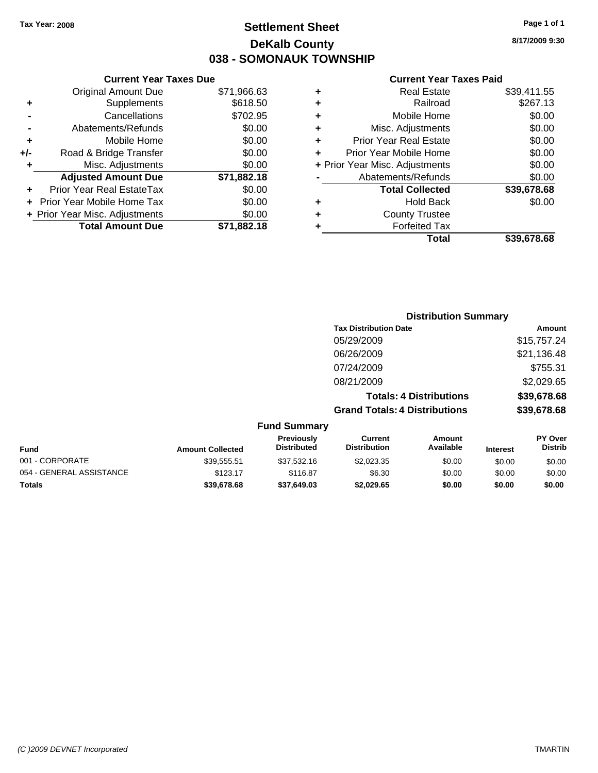## **Settlement Sheet Tax Year: 2008 Page 1 of 1 DeKalb County 038 - SOMONAUK TOWNSHIP**

**8/17/2009 9:30**

### **Current Year Taxes Paid**

| <b>Original Amount Due</b>        | \$71,966.63                                                     |
|-----------------------------------|-----------------------------------------------------------------|
| Supplements                       | \$618.50                                                        |
| Cancellations                     | \$702.95                                                        |
| Abatements/Refunds                | \$0.00                                                          |
| Mobile Home                       | \$0.00                                                          |
| Road & Bridge Transfer            | \$0.00                                                          |
| Misc. Adjustments                 | \$0.00                                                          |
| <b>Adjusted Amount Due</b>        | \$71,882.18                                                     |
| Prior Year Real EstateTax         | \$0.00                                                          |
| <b>Prior Year Mobile Home Tax</b> | \$0.00                                                          |
|                                   | \$0.00                                                          |
| <b>Total Amount Due</b>           | \$71.882.18                                                     |
|                                   | <b>Current Year Taxes Due</b><br>+ Prior Year Misc. Adjustments |

|   | <b>Real Estate</b>             | \$39,411.55 |
|---|--------------------------------|-------------|
| ٠ | Railroad                       | \$267.13    |
| ٠ | Mobile Home                    | \$0.00      |
| ٠ | Misc. Adjustments              | \$0.00      |
| ÷ | <b>Prior Year Real Estate</b>  | \$0.00      |
| ٠ | Prior Year Mobile Home         | \$0.00      |
|   | + Prior Year Misc. Adjustments | \$0.00      |
|   | Abatements/Refunds             | \$0.00      |
|   | <b>Total Collected</b>         | \$39,678.68 |
| ٠ | Hold Back                      | \$0.00      |
| ٠ | <b>County Trustee</b>          |             |
| ٠ | <b>Forfeited Tax</b>           |             |
|   | Total                          | \$39,678.68 |
|   |                                |             |

|                         |                                         | <b>Distribution Summary</b>          |                                |                 |                                  |
|-------------------------|-----------------------------------------|--------------------------------------|--------------------------------|-----------------|----------------------------------|
|                         |                                         | <b>Tax Distribution Date</b>         |                                |                 | Amount                           |
|                         |                                         | 05/29/2009                           |                                |                 | \$15,757.24                      |
|                         |                                         | 06/26/2009                           |                                |                 | \$21,136.48                      |
|                         |                                         | 07/24/2009                           |                                |                 | \$755.31                         |
|                         |                                         | 08/21/2009                           |                                |                 | \$2,029.65                       |
|                         |                                         |                                      | <b>Totals: 4 Distributions</b> |                 | \$39,678.68                      |
|                         |                                         | <b>Grand Totals: 4 Distributions</b> |                                |                 | \$39,678.68                      |
|                         | <b>Fund Summary</b>                     |                                      |                                |                 |                                  |
| <b>Amount Collected</b> | <b>Previously</b><br><b>Distributed</b> | Current<br><b>Distribution</b>       | Amount<br>Available            | <b>Interest</b> | <b>PY Over</b><br><b>Distrib</b> |

| <b>Fund</b>              | <b>Amount Collected</b> | <b>Previously</b><br><b>Distributed</b> | Current<br><b>Distribution</b> | Amount<br>Available | <b>Interest</b> | <b>PY Over</b><br><b>Distrib</b> |
|--------------------------|-------------------------|-----------------------------------------|--------------------------------|---------------------|-----------------|----------------------------------|
| 001 - CORPORATE          | \$39.555.51             | \$37.532.16                             | \$2,023.35                     | \$0.00              | \$0.00          | \$0.00                           |
| 054 - GENERAL ASSISTANCE | \$123.17                | \$116.87                                | \$6.30                         | \$0.00              | \$0.00          | \$0.00                           |
| <b>Totals</b>            | \$39.678.68             | \$37,649.03                             | \$2.029.65                     | \$0.00              | \$0.00          | \$0.00                           |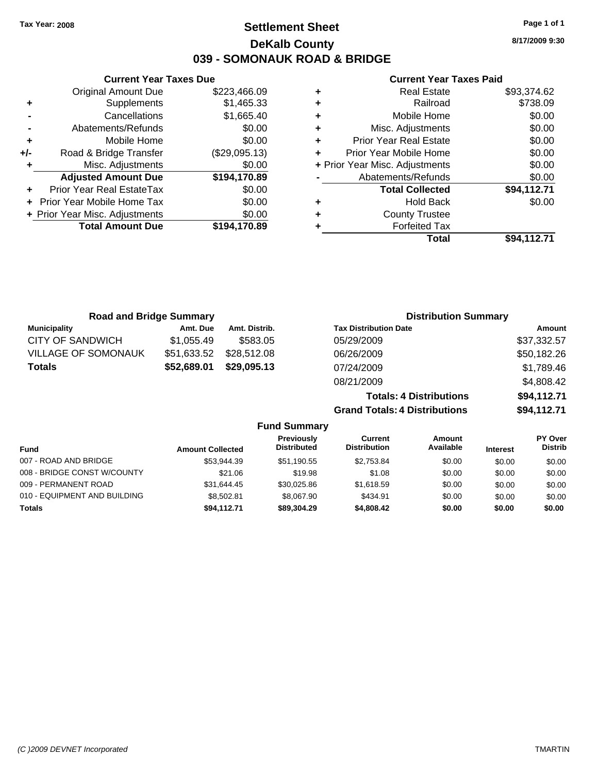**Current Year Taxes Due** Original Amount Due \$223,466.09

**Adjusted Amount Due \$194,170.89**

**Total Amount Due \$194,170.89**

**+** Supplements \$1,465.33 **-** Cancellations \$1,665.40 **-** Abatements/Refunds \$0.00 **+** Mobile Home \$0.00 **+/-** Road & Bridge Transfer (\$29,095.13) **+** Misc. Adjustments \$0.00

**+** Prior Year Real EstateTax \$0.00 **+** Prior Year Mobile Home Tax \$0.00 **+ Prior Year Misc. Adjustments**  $$0.00$ 

## **Settlement Sheet Tax Year: 2008 Page 1 of 1 DeKalb County 039 - SOMONAUK ROAD & BRIDGE**

**8/17/2009 9:30**

### **Current Year Taxes Paid**

| ٠ | Real Estate                    | \$93,374.62 |
|---|--------------------------------|-------------|
| ٠ | Railroad                       | \$738.09    |
| ٠ | Mobile Home                    | \$0.00      |
| ٠ | Misc. Adjustments              | \$0.00      |
| ٠ | <b>Prior Year Real Estate</b>  | \$0.00      |
| ٠ | Prior Year Mobile Home         | \$0.00      |
|   | + Prior Year Misc. Adjustments | \$0.00      |
|   | Abatements/Refunds             | \$0.00      |
|   | <b>Total Collected</b>         | \$94,112.71 |
|   | <b>Hold Back</b>               | \$0.00      |
| ÷ | <b>County Trustee</b>          |             |
|   | <b>Forfeited Tax</b>           |             |
|   | Total                          | \$94.112.71 |

| <b>Road and Bridge Summary</b> |             |                     | <b>Distribution Summary</b>          |             |
|--------------------------------|-------------|---------------------|--------------------------------------|-------------|
| <b>Municipality</b>            | Amt. Due    | Amt. Distrib.       | <b>Tax Distribution Date</b>         | Amount      |
| CITY OF SANDWICH               | \$1,055.49  | \$583.05            | 05/29/2009                           | \$37,332.57 |
| <b>VILLAGE OF SOMONAUK</b>     | \$51,633.52 | \$28,512.08         | 06/26/2009                           | \$50,182.26 |
| <b>Totals</b>                  | \$52,689.01 | \$29,095.13         | 07/24/2009                           | \$1,789.46  |
|                                |             |                     | 08/21/2009                           | \$4,808.42  |
|                                |             |                     | <b>Totals: 4 Distributions</b>       | \$94,112.71 |
|                                |             |                     | <b>Grand Totals: 4 Distributions</b> | \$94,112.71 |
|                                |             | <b>Fund Summary</b> |                                      |             |

| <b>Fund</b>                  | <b>Amount Collected</b> | Previously<br><b>Distributed</b> | Current<br><b>Distribution</b> | Amount<br>Available | <b>Interest</b> | <b>PY Over</b><br><b>Distrib</b> |  |
|------------------------------|-------------------------|----------------------------------|--------------------------------|---------------------|-----------------|----------------------------------|--|
| 007 - ROAD AND BRIDGE        | \$53.944.39             | \$51.190.55                      | \$2.753.84                     | \$0.00              | \$0.00          | \$0.00                           |  |
| 008 - BRIDGE CONST W/COUNTY  | \$21.06                 | \$19.98                          | \$1.08                         | \$0.00              | \$0.00          | \$0.00                           |  |
| 009 - PERMANENT ROAD         | \$31.644.45             | \$30.025.86                      | \$1.618.59                     | \$0.00              | \$0.00          | \$0.00                           |  |
| 010 - EQUIPMENT AND BUILDING | \$8,502.81              | \$8.067.90                       | \$434.91                       | \$0.00              | \$0.00          | \$0.00                           |  |
| <b>Totals</b>                | \$94.112.71             | \$89,304.29                      | \$4,808,42                     | \$0.00              | \$0.00          | \$0.00                           |  |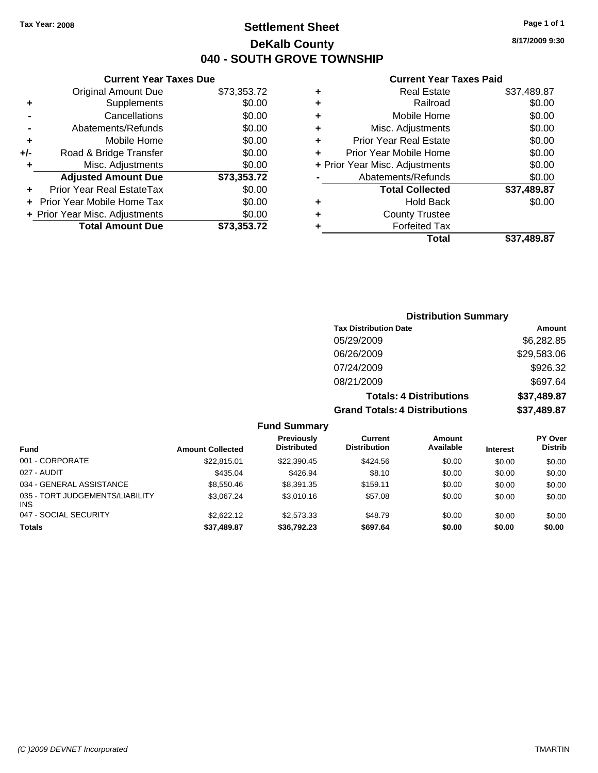## **Settlement Sheet Tax Year: 2008 Page 1 of 1 DeKalb County 040 - SOUTH GROVE TOWNSHIP**

**8/17/2009 9:30**

### **Current Year Taxes Paid**

| \$37.489.87 | Total                          |
|-------------|--------------------------------|
|             | <b>Forfeited Tax</b>           |
|             | <b>County Trustee</b>          |
| \$0.00      | <b>Hold Back</b>               |
| \$37,489.87 | <b>Total Collected</b>         |
| \$0.00      | Abatements/Refunds             |
| \$0.00      | + Prior Year Misc. Adjustments |
| \$0.00      | Prior Year Mobile Home         |
| \$0.00      | <b>Prior Year Real Estate</b>  |
| \$0.00      | Misc. Adjustments              |
| \$0.00      | Mobile Home                    |
| \$0.00      | Railroad                       |
| \$37,489.87 | <b>Real Estate</b>             |
|             |                                |

|     | <b>Current Year Taxes Due</b>    |             |
|-----|----------------------------------|-------------|
|     | <b>Original Amount Due</b>       | \$73,353.72 |
| ٠   | Supplements                      | \$0.00      |
|     | Cancellations                    | \$0.00      |
|     | Abatements/Refunds               | \$0.00      |
| ÷   | Mobile Home                      | \$0.00      |
| +/- | Road & Bridge Transfer           | \$0.00      |
| ٠   | Misc. Adjustments                | \$0.00      |
|     | <b>Adjusted Amount Due</b>       | \$73,353.72 |
|     | <b>Prior Year Real EstateTax</b> | \$0.00      |
|     | Prior Year Mobile Home Tax       | \$0.00      |
|     | + Prior Year Misc. Adjustments   | \$0.00      |
|     | <b>Total Amount Due</b>          | \$73,353.72 |

## **Distribution Summary Tax Distribution Date Amount** 05/29/2009 \$6,282.85 06/26/2009 \$29,583.06

| 07/24/2009                           | \$926.32    |
|--------------------------------------|-------------|
| 08/21/2009                           | \$697.64    |
| <b>Totals: 4 Distributions</b>       | \$37,489.87 |
| <b>Grand Totals: 4 Distributions</b> | \$37,489.87 |

### **Fund Summary**

| <b>Fund</b>                                   | <b>Amount Collected</b> | <b>Previously</b><br><b>Distributed</b> | Current<br><b>Distribution</b> | Amount<br>Available | <b>Interest</b> | <b>PY Over</b><br><b>Distrib</b> |
|-----------------------------------------------|-------------------------|-----------------------------------------|--------------------------------|---------------------|-----------------|----------------------------------|
| 001 - CORPORATE                               | \$22,815.01             | \$22,390.45                             | \$424.56                       | \$0.00              | \$0.00          | \$0.00                           |
| 027 - AUDIT                                   | \$435.04                | \$426.94                                | \$8.10                         | \$0.00              | \$0.00          | \$0.00                           |
| 034 - GENERAL ASSISTANCE                      | \$8,550.46              | \$8.391.35                              | \$159.11                       | \$0.00              | \$0.00          | \$0.00                           |
| 035 - TORT JUDGEMENTS/LIABILITY<br><b>INS</b> | \$3.067.24              | \$3,010.16                              | \$57.08                        | \$0.00              | \$0.00          | \$0.00                           |
| 047 - SOCIAL SECURITY                         | \$2,622.12              | \$2.573.33                              | \$48.79                        | \$0.00              | \$0.00          | \$0.00                           |
| <b>Totals</b>                                 | \$37,489.87             | \$36.792.23                             | \$697.64                       | \$0.00              | \$0.00          | \$0.00                           |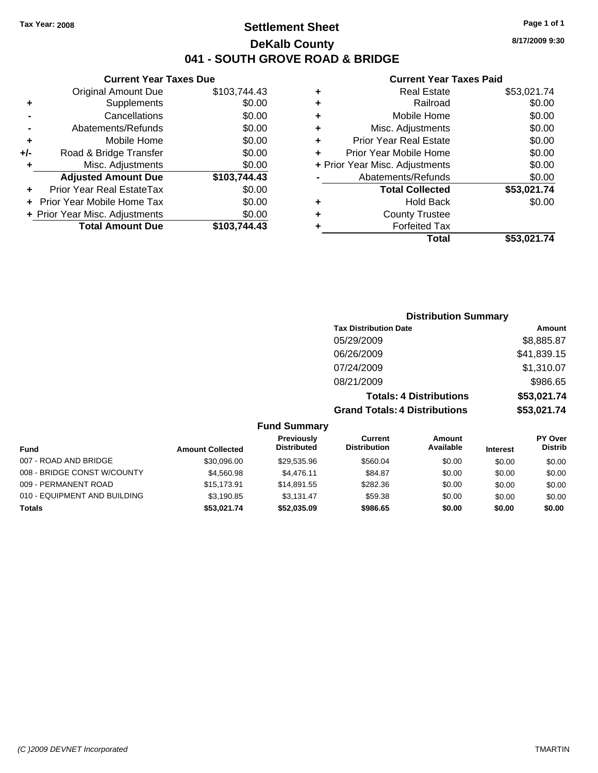## **Settlement Sheet Tax Year: 2008 Page 1 of 1 DeKalb County 041 - SOUTH GROVE ROAD & BRIDGE**

**Current Year Taxes Due**

|     | <b>Original Amount Due</b>     | \$103,744.43 |
|-----|--------------------------------|--------------|
| ٠   | Supplements                    | \$0.00       |
|     | Cancellations                  | \$0.00       |
|     | Abatements/Refunds             | \$0.00       |
| ٠   | Mobile Home                    | \$0.00       |
| +/- | Road & Bridge Transfer         | \$0.00       |
| ٠   | Misc. Adjustments              | \$0.00       |
|     | <b>Adjusted Amount Due</b>     | \$103,744.43 |
| ÷   | Prior Year Real EstateTax      | \$0.00       |
|     | Prior Year Mobile Home Tax     | \$0.00       |
|     | + Prior Year Misc. Adjustments | \$0.00       |
|     | <b>Total Amount Due</b>        | \$103,744.43 |
|     |                                |              |

### **Current Year Taxes Paid**

| ٠ | <b>Real Estate</b>             | \$53,021.74 |
|---|--------------------------------|-------------|
| ٠ | Railroad                       | \$0.00      |
| ٠ | Mobile Home                    | \$0.00      |
| ٠ | Misc. Adjustments              | \$0.00      |
| ٠ | <b>Prior Year Real Estate</b>  | \$0.00      |
| ٠ | Prior Year Mobile Home         | \$0.00      |
|   | + Prior Year Misc. Adjustments | \$0.00      |
|   | Abatements/Refunds             | \$0.00      |
|   | <b>Total Collected</b>         | \$53,021.74 |
| ٠ | <b>Hold Back</b>               | \$0.00      |
| ٠ | <b>County Trustee</b>          |             |
| ٠ | <b>Forfeited Tax</b>           |             |
|   | Total                          | \$53,021.74 |
|   |                                |             |

## **Distribution Summary Tax Distribution Date Amount** 05/29/2009 \$8,885.87 06/26/2009 \$41,839.15 07/24/2009 \$1,310.07 08/21/2009 \$986.65 **Totals: 4 Distributions \$53,021.74 Grand Totals: 4 Distributions \$53,021.74**

### **Fund Summary**

|                              |                         | <b>Previously</b><br><b>Distributed</b> | Current<br><b>Distribution</b> | Amount<br>Available |                 | <b>PY Over</b><br><b>Distrib</b> |
|------------------------------|-------------------------|-----------------------------------------|--------------------------------|---------------------|-----------------|----------------------------------|
| <b>Fund</b>                  | <b>Amount Collected</b> |                                         |                                |                     | <b>Interest</b> |                                  |
| 007 - ROAD AND BRIDGE        | \$30,096.00             | \$29,535.96                             | \$560.04                       | \$0.00              | \$0.00          | \$0.00                           |
| 008 - BRIDGE CONST W/COUNTY  | \$4,560.98              | \$4,476.11                              | \$84.87                        | \$0.00              | \$0.00          | \$0.00                           |
| 009 - PERMANENT ROAD         | \$15,173.91             | \$14.891.55                             | \$282.36                       | \$0.00              | \$0.00          | \$0.00                           |
| 010 - EQUIPMENT AND BUILDING | \$3.190.85              | \$3.131.47                              | \$59.38                        | \$0.00              | \$0.00          | \$0.00                           |
| Totals                       | \$53.021.74             | \$52,035.09                             | \$986.65                       | \$0.00              | \$0.00          | \$0.00                           |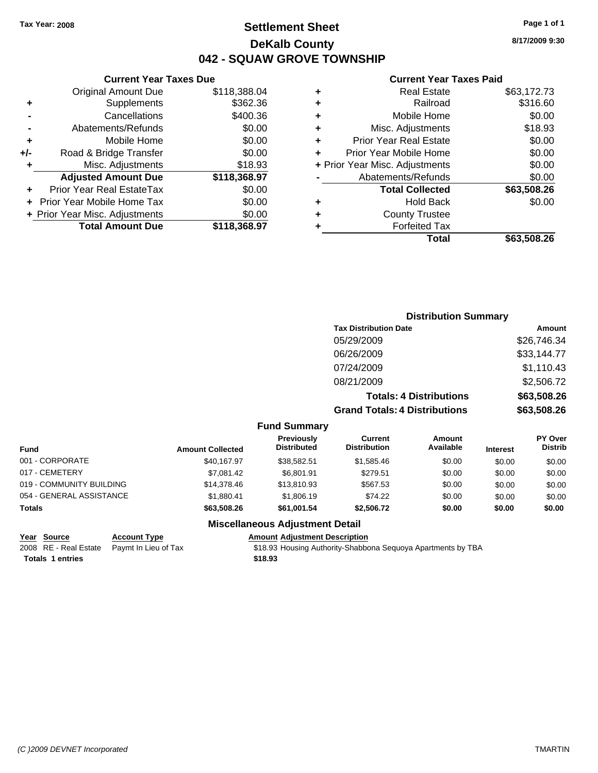## **Settlement Sheet Tax Year: 2008 Page 1 of 1 DeKalb County 042 - SQUAW GROVE TOWNSHIP**

## **Current Year Taxes Due**

|     | <b>Original Amount Due</b>     | \$118,388.04 |
|-----|--------------------------------|--------------|
| ٠   | Supplements                    | \$362.36     |
|     | Cancellations                  | \$400.36     |
|     | Abatements/Refunds             | \$0.00       |
| ٠   | Mobile Home                    | \$0.00       |
| +/- | Road & Bridge Transfer         | \$0.00       |
| ٠   | Misc. Adjustments              | \$18.93      |
|     | <b>Adjusted Amount Due</b>     | \$118,368.97 |
|     | Prior Year Real EstateTax      | \$0.00       |
|     | Prior Year Mobile Home Tax     | \$0.00       |
|     | + Prior Year Misc. Adjustments | \$0.00       |
|     | <b>Total Amount Due</b>        | \$118,368.97 |

### **Current Year Taxes Paid**

|   | <b>Real Estate</b>             | \$63,172.73 |
|---|--------------------------------|-------------|
| ٠ | Railroad                       | \$316.60    |
| ÷ | Mobile Home                    | \$0.00      |
| ٠ | Misc. Adjustments              | \$18.93     |
| ٠ | <b>Prior Year Real Estate</b>  | \$0.00      |
|   | Prior Year Mobile Home         | \$0.00      |
|   | + Prior Year Misc. Adjustments | \$0.00      |
|   | Abatements/Refunds             | \$0.00      |
|   | <b>Total Collected</b>         | \$63,508.26 |
| ٠ | <b>Hold Back</b>               | \$0.00      |
|   | <b>County Trustee</b>          |             |
|   | <b>Forfeited Tax</b>           |             |
|   | Total                          | \$63,508.26 |
|   |                                |             |

| <b>Distribution Summary</b>          |             |
|--------------------------------------|-------------|
| <b>Tax Distribution Date</b>         | Amount      |
| 05/29/2009                           | \$26,746.34 |
| 06/26/2009                           | \$33,144.77 |
| 07/24/2009                           | \$1,110.43  |
| 08/21/2009                           | \$2,506.72  |
| <b>Totals: 4 Distributions</b>       | \$63,508.26 |
| <b>Grand Totals: 4 Distributions</b> | \$63,508.26 |

## **Fund Summary**

| <b>Fund</b>              | <b>Amount Collected</b> | Previously<br><b>Distributed</b> | Current<br><b>Distribution</b> | Amount<br>Available | <b>Interest</b> | <b>PY Over</b><br><b>Distrib</b> |
|--------------------------|-------------------------|----------------------------------|--------------------------------|---------------------|-----------------|----------------------------------|
| 001 - CORPORATE          | \$40,167.97             | \$38.582.51                      | \$1.585.46                     | \$0.00              | \$0.00          | \$0.00                           |
| 017 - CEMETERY           | \$7.081.42              | \$6.801.91                       | \$279.51                       | \$0.00              | \$0.00          | \$0.00                           |
| 019 - COMMUNITY BUILDING | \$14,378.46             | \$13,810.93                      | \$567.53                       | \$0.00              | \$0.00          | \$0.00                           |
| 054 - GENERAL ASSISTANCE | \$1,880.41              | \$1,806.19                       | \$74.22                        | \$0.00              | \$0.00          | \$0.00                           |
| Totals                   | \$63,508,26             | \$61.001.54                      | \$2,506.72                     | \$0.00              | \$0.00          | \$0.00                           |

## **Miscellaneous Adjustment Detail**

| Year Source                                | <b>Account Type</b> | Amount  |
|--------------------------------------------|---------------------|---------|
| 2008 RE - Real Estate Paymt In Lieu of Tax |                     | \$18.93 |
| <b>Totals 1 entries</b>                    |                     | \$18.93 |

**<u>Kanaant</u> Adjustment Description</u>** \$18.93 Housing Authority-Shabbona Sequoya Apartments by TBA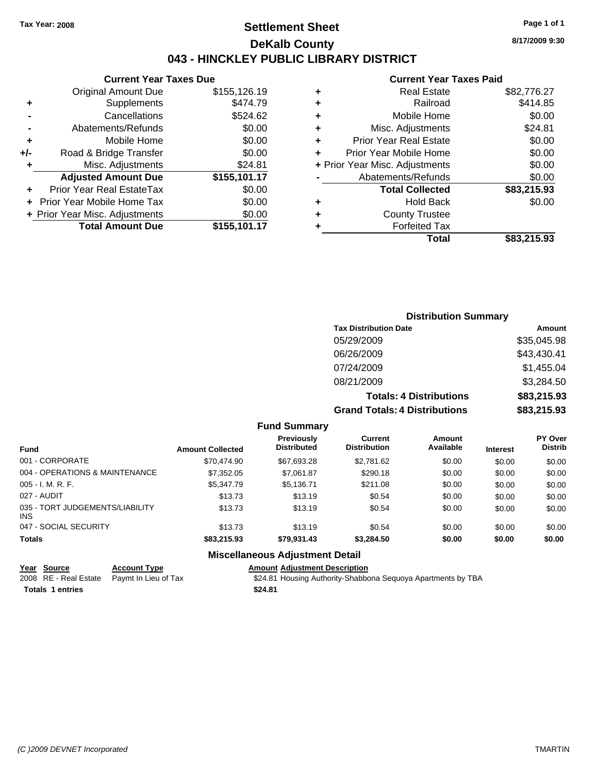## **Settlement Sheet Tax Year: 2008 Page 1 of 1 DeKalb County 043 - HINCKLEY PUBLIC LIBRARY DISTRICT**

**8/17/2009 9:30**

### **Current Year Taxes Paid**

|     | <b>Current Year Taxes Due</b>              |              |  |  |  |  |  |
|-----|--------------------------------------------|--------------|--|--|--|--|--|
|     | \$155,126.19<br><b>Original Amount Due</b> |              |  |  |  |  |  |
| ٠   | Supplements                                | \$474.79     |  |  |  |  |  |
|     | Cancellations                              | \$524.62     |  |  |  |  |  |
|     | Abatements/Refunds                         | \$0.00       |  |  |  |  |  |
| ٠   | Mobile Home                                | \$0.00       |  |  |  |  |  |
| +/- | Road & Bridge Transfer                     | \$0.00       |  |  |  |  |  |
| ٠   | Misc. Adjustments<br>\$24.81               |              |  |  |  |  |  |
|     | <b>Adjusted Amount Due</b>                 | \$155,101.17 |  |  |  |  |  |
|     | Prior Year Real EstateTax                  | \$0.00       |  |  |  |  |  |
|     | Prior Year Mobile Home Tax                 | \$0.00       |  |  |  |  |  |
|     | \$0.00<br>+ Prior Year Misc. Adjustments   |              |  |  |  |  |  |
|     | <b>Total Amount Due</b>                    | \$155,101.17 |  |  |  |  |  |
|     |                                            |              |  |  |  |  |  |

|   | <b>Real Estate</b>             | \$82,776.27 |
|---|--------------------------------|-------------|
| ٠ | Railroad                       | \$414.85    |
| ٠ | Mobile Home                    | \$0.00      |
| ٠ | Misc. Adjustments              | \$24.81     |
| ÷ | <b>Prior Year Real Estate</b>  | \$0.00      |
| ٠ | Prior Year Mobile Home         | \$0.00      |
|   | + Prior Year Misc. Adjustments | \$0.00      |
|   | Abatements/Refunds             | \$0.00      |
|   | <b>Total Collected</b>         | \$83,215.93 |
| ٠ | <b>Hold Back</b>               | \$0.00      |
|   | <b>County Trustee</b>          |             |
| ٠ | <b>Forfeited Tax</b>           |             |
|   | Total                          | \$83,215.93 |
|   |                                |             |

## **Distribution Summary Tax Distribution Date Amount** 05/29/2009 \$35,045.98 06/26/2009 \$43,430.41 07/24/2009 \$1,455.04 08/21/2009 \$3,284.50 **Totals: 4 Distributions \$83,215.93 Grand Totals: 4 Distributions \$83,215.93**

### **Fund Summary**

| <b>Fund</b>                                   | <b>Amount Collected</b> | Previously<br><b>Distributed</b> | Current<br><b>Distribution</b> | Amount<br>Available | <b>Interest</b> | <b>PY Over</b><br><b>Distrib</b> |
|-----------------------------------------------|-------------------------|----------------------------------|--------------------------------|---------------------|-----------------|----------------------------------|
| 001 - CORPORATE                               | \$70,474.90             | \$67,693.28                      | \$2,781.62                     | \$0.00              | \$0.00          | \$0.00                           |
| 004 - OPERATIONS & MAINTENANCE                | \$7,352.05              | \$7,061.87                       | \$290.18                       | \$0.00              | \$0.00          | \$0.00                           |
| $005 - I. M. R. F.$                           | \$5,347.79              | \$5,136.71                       | \$211.08                       | \$0.00              | \$0.00          | \$0.00                           |
| 027 - AUDIT                                   | \$13.73                 | \$13.19                          | \$0.54                         | \$0.00              | \$0.00          | \$0.00                           |
| 035 - TORT JUDGEMENTS/LIABILITY<br><b>INS</b> | \$13.73                 | \$13.19                          | \$0.54                         | \$0.00              | \$0.00          | \$0.00                           |
| 047 - SOCIAL SECURITY                         | \$13.73                 | \$13.19                          | \$0.54                         | \$0.00              | \$0.00          | \$0.00                           |
| <b>Totals</b>                                 | \$83,215.93             | \$79,931.43                      | \$3,284.50                     | \$0.00              | \$0.00          | \$0.00                           |

## **Miscellaneous Adjustment Detail**

| Year Source                                | <b>Account Type</b> | <b>Amount Adiustment Description</b>                         |
|--------------------------------------------|---------------------|--------------------------------------------------------------|
| 2008 RE - Real Estate Paymt In Lieu of Tax |                     | \$24.81 Housing Authority-Shabbona Seguoya Apartments by TBA |
| <b>Totals 1 entries</b>                    |                     | \$24.81                                                      |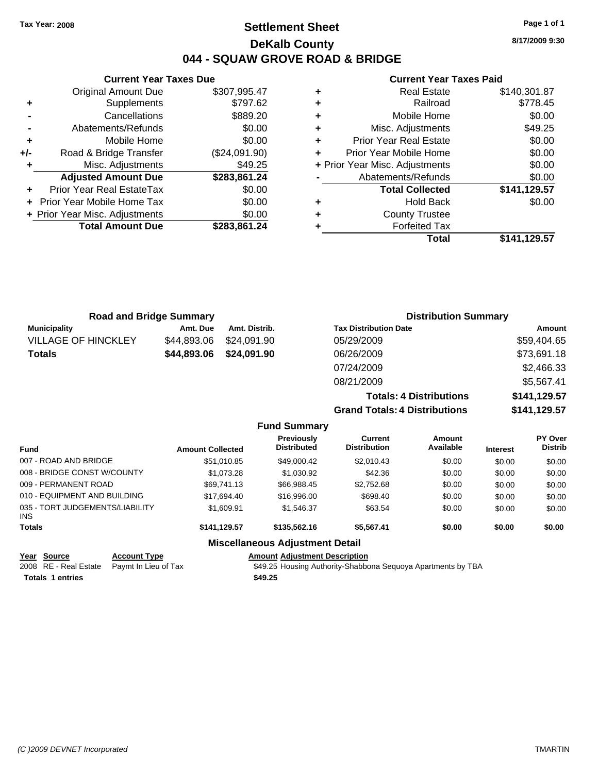## **Settlement Sheet Tax Year: 2008 Page 1 of 1 DeKalb County 044 - SQUAW GROVE ROAD & BRIDGE**

**8/17/2009 9:30**

### **Current Year Taxes Paid**

| ٠ | <b>Real Estate</b>             | \$140,301.87 |
|---|--------------------------------|--------------|
| ٠ | Railroad                       | \$778.45     |
| ٠ | Mobile Home                    | \$0.00       |
| ٠ | Misc. Adjustments              | \$49.25      |
| ٠ | <b>Prior Year Real Estate</b>  | \$0.00       |
|   | Prior Year Mobile Home         | \$0.00       |
|   | + Prior Year Misc. Adjustments | \$0.00       |
|   | Abatements/Refunds             | \$0.00       |
|   | <b>Total Collected</b>         | \$141,129.57 |
| ٠ | <b>Hold Back</b>               | \$0.00       |
| ٠ | <b>County Trustee</b>          |              |
|   | <b>Forfeited Tax</b>           |              |
|   | Total                          | \$141.129.57 |

|     | <b>Current Year Taxes Due</b>            |               |  |  |  |  |
|-----|------------------------------------------|---------------|--|--|--|--|
|     | <b>Original Amount Due</b>               | \$307,995.47  |  |  |  |  |
| ٠   | Supplements                              | \$797.62      |  |  |  |  |
|     | Cancellations                            | \$889.20      |  |  |  |  |
|     | \$0.00<br>Abatements/Refunds             |               |  |  |  |  |
| ٠   | Mobile Home                              | \$0.00        |  |  |  |  |
| +/- | Road & Bridge Transfer                   | (\$24,091.90) |  |  |  |  |
|     | Misc. Adjustments                        | \$49.25       |  |  |  |  |
|     | <b>Adjusted Amount Due</b>               | \$283,861.24  |  |  |  |  |
|     | Prior Year Real EstateTax                | \$0.00        |  |  |  |  |
|     | Prior Year Mobile Home Tax               | \$0.00        |  |  |  |  |
|     | \$0.00<br>+ Prior Year Misc. Adjustments |               |  |  |  |  |
|     | <b>Total Amount Due</b>                  | \$283,861.24  |  |  |  |  |
|     |                                          |               |  |  |  |  |

| <b>Road and Bridge Summary</b> |             |               | <b>Distribution Summary</b>          |              |  |
|--------------------------------|-------------|---------------|--------------------------------------|--------------|--|
| <b>Municipality</b>            | Amt. Due    | Amt. Distrib. | <b>Tax Distribution Date</b>         | Amount       |  |
| <b>VILLAGE OF HINCKLEY</b>     | \$44,893.06 | \$24.091.90   | 05/29/2009                           | \$59,404.65  |  |
| <b>Totals</b>                  | \$44,893.06 | \$24,091.90   | 06/26/2009                           | \$73,691.18  |  |
|                                |             |               | 07/24/2009                           | \$2,466.33   |  |
|                                |             |               | 08/21/2009                           | \$5,567.41   |  |
|                                |             |               | <b>Totals: 4 Distributions</b>       | \$141,129.57 |  |
|                                |             |               | <b>Grand Totals: 4 Distributions</b> | \$141,129.57 |  |

|                                         |                         | <b>Fund Summary</b>                    |                                |                     |                 |                                  |
|-----------------------------------------|-------------------------|----------------------------------------|--------------------------------|---------------------|-----------------|----------------------------------|
| <b>Fund</b>                             | <b>Amount Collected</b> | Previously<br><b>Distributed</b>       | Current<br><b>Distribution</b> | Amount<br>Available | <b>Interest</b> | <b>PY Over</b><br><b>Distrib</b> |
| 007 - ROAD AND BRIDGE                   | \$51,010.85             | \$49,000.42                            | \$2,010.43                     | \$0.00              | \$0.00          | \$0.00                           |
| 008 - BRIDGE CONST W/COUNTY             | \$1,073.28              | \$1,030.92                             | \$42.36                        | \$0.00              | \$0.00          | \$0.00                           |
| 009 - PERMANENT ROAD                    | \$69,741.13             | \$66,988.45                            | \$2,752.68                     | \$0.00              | \$0.00          | \$0.00                           |
| 010 - EQUIPMENT AND BUILDING            | \$17.694.40             | \$16,996,00                            | \$698.40                       | \$0.00              | \$0.00          | \$0.00                           |
| 035 - TORT JUDGEMENTS/LIABILITY<br>INS. | \$1,609.91              | \$1.546.37                             | \$63.54                        | \$0.00              | \$0.00          | \$0.00                           |
| <b>Totals</b>                           | \$141,129.57            | \$135,562.16                           | \$5.567.41                     | \$0.00              | \$0.00          | \$0.00                           |
|                                         |                         | <b>Miscellaneous Adjustment Detail</b> |                                |                     |                 |                                  |

## **Year Source Account Type Amount Adjustment Description**

|                         | .                                          |                                                              |
|-------------------------|--------------------------------------------|--------------------------------------------------------------|
|                         | 2008 RE - Real Estate Paymt In Lieu of Tax | \$49.25 Housing Authority-Shabbona Sequoya Apartments by TBA |
| <b>Totals 1 entries</b> |                                            | \$49.25                                                      |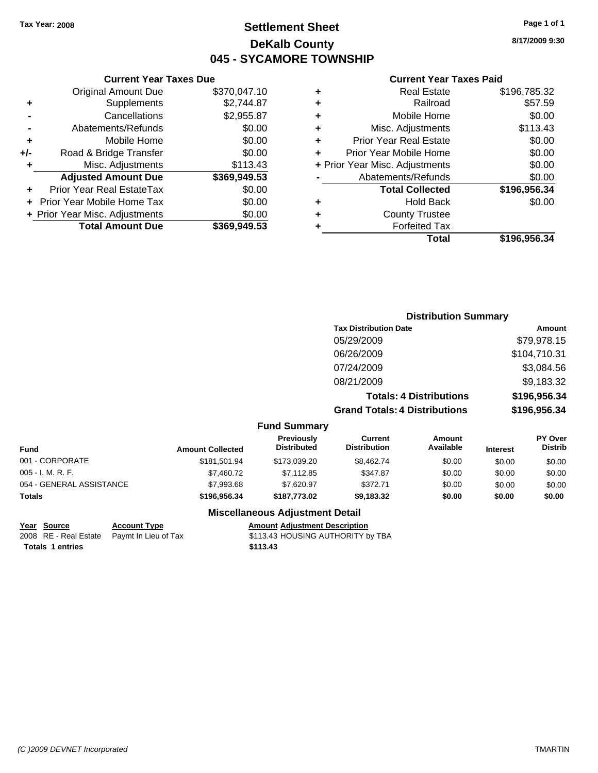## **Settlement Sheet Tax Year: 2008 Page 1 of 1 DeKalb County 045 - SYCAMORE TOWNSHIP**

## **Current Year Taxes Due**

|       | <b>Original Amount Due</b>     | \$370,047.10 |
|-------|--------------------------------|--------------|
| ٠     | Supplements                    | \$2,744.87   |
|       | Cancellations                  | \$2,955.87   |
|       | Abatements/Refunds             | \$0.00       |
| ٠     | Mobile Home                    | \$0.00       |
| $+/-$ | Road & Bridge Transfer         | \$0.00       |
|       | Misc. Adjustments              | \$113.43     |
|       | <b>Adjusted Amount Due</b>     | \$369,949.53 |
|       | Prior Year Real EstateTax      | \$0.00       |
|       | Prior Year Mobile Home Tax     | \$0.00       |
|       | + Prior Year Misc. Adjustments | \$0.00       |
|       | <b>Total Amount Due</b>        | \$369,949.53 |

### **Current Year Taxes Paid**

|   | <b>Real Estate</b>             | \$196,785.32 |
|---|--------------------------------|--------------|
| ٠ | Railroad                       | \$57.59      |
| ٠ | Mobile Home                    | \$0.00       |
| ٠ | Misc. Adjustments              | \$113.43     |
| ٠ | Prior Year Real Estate         | \$0.00       |
|   | Prior Year Mobile Home         | \$0.00       |
|   | + Prior Year Misc. Adjustments | \$0.00       |
|   | Abatements/Refunds             | \$0.00       |
|   | <b>Total Collected</b>         | \$196,956.34 |
| ٠ | <b>Hold Back</b>               | \$0.00       |
| ٠ | <b>County Trustee</b>          |              |
| ٠ | <b>Forfeited Tax</b>           |              |
|   | Total                          | \$196,956.34 |
|   |                                |              |

## **Distribution Summary Tax Distribution Date Amount** 05/29/2009 \$79,978.15 06/26/2009 \$104,710.31 07/24/2009 \$3,084.56 08/21/2009 \$9,183.32 **Totals: 4 Distributions \$196,956.34**

**Grand Totals: 4 Distributions \$196,956.34**

### **Fund Summary**

| Fund                     | <b>Amount Collected</b> | <b>Previously</b><br><b>Distributed</b> | Current<br><b>Distribution</b> | Amount<br>Available | <b>Interest</b> | <b>PY Over</b><br><b>Distrib</b> |
|--------------------------|-------------------------|-----------------------------------------|--------------------------------|---------------------|-----------------|----------------------------------|
| 001 - CORPORATE          | \$181.501.94            | \$173,039.20                            | \$8.462.74                     | \$0.00              | \$0.00          | \$0.00                           |
| 005 - I. M. R. F.        | \$7.460.72              | \$7.112.85                              | \$347.87                       | \$0.00              | \$0.00          | \$0.00                           |
| 054 - GENERAL ASSISTANCE | \$7,993.68              | \$7.620.97                              | \$372.71                       | \$0.00              | \$0.00          | \$0.00                           |
| Totals                   | \$196,956,34            | \$187,773,02                            | \$9,183.32                     | \$0.00              | \$0.00          | \$0.00                           |

### **Miscellaneous Adjustment Detail**

### **Year Source Account Type Amount Adjustment Description**

2008 RE - Real Estate Paymt In Lieu of Tax S113.43 HOUSING AUTHORITY by TBA **Totals \$113.43 1 entries**

**8/17/2009 9:30**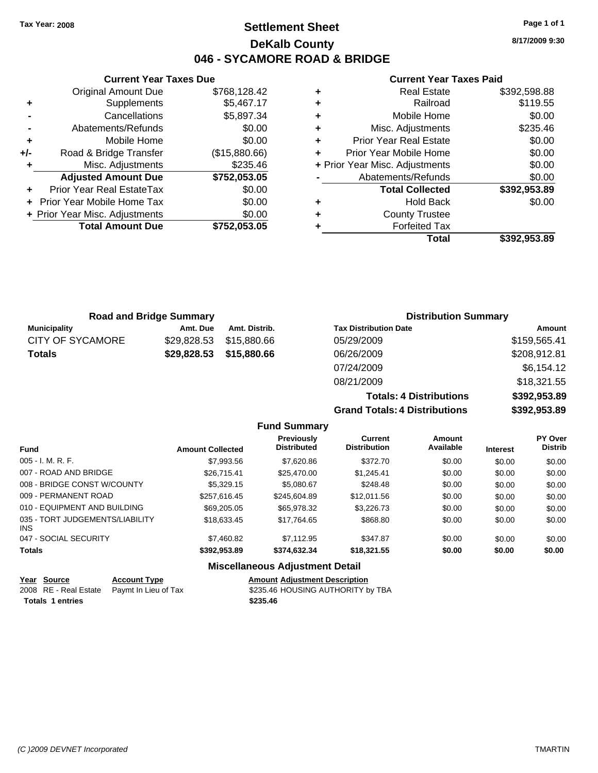## **Settlement Sheet Tax Year: 2008 Page 1 of 1 DeKalb County 046 - SYCAMORE ROAD & BRIDGE**

**8/17/2009 9:30**

**Totals: 4 Distributions \$392,953.89 Grand Totals: 4 Distributions \$392,953.89**

### **Current Year Taxes Paid**

|     | <b>Current Year Taxes Due</b>     |               |              |       |
|-----|-----------------------------------|---------------|--------------|-------|
|     | <b>Original Amount Due</b>        | \$768,128.42  |              |       |
|     | <b>Supplements</b>                | \$5,467.17    | ٠            |       |
|     | Cancellations                     | \$5,897.34    | ٠            |       |
|     | Abatements/Refunds                | \$0.00        |              |       |
|     | Mobile Home                       | \$0.00        |              | Pric  |
| +/- | Road & Bridge Transfer            | (\$15,880.66) |              | Prior |
|     | Misc. Adjustments                 | \$235.46      | + Prior Year |       |
|     | <b>Adjusted Amount Due</b>        | \$752,053.05  |              | Αł    |
|     | Prior Year Real EstateTax         | \$0.00        |              |       |
|     | <b>Prior Year Mobile Home Tax</b> | \$0.00        |              |       |
|     | + Prior Year Misc. Adjustments    | \$0.00        |              |       |
|     | <b>Total Amount Due</b>           | \$752,053.05  |              |       |
|     |                                   |               |              |       |

|   | Total                          | \$392,953.89 |
|---|--------------------------------|--------------|
|   | <b>Forfeited Tax</b>           |              |
| ٠ | <b>County Trustee</b>          |              |
| ٠ | <b>Hold Back</b>               | \$0.00       |
|   | <b>Total Collected</b>         | \$392,953.89 |
|   | Abatements/Refunds             | \$0.00       |
|   | + Prior Year Misc. Adjustments | \$0.00       |
|   | Prior Year Mobile Home         | \$0.00       |
| ٠ | <b>Prior Year Real Estate</b>  | \$0.00       |
| ٠ | Misc. Adjustments              | \$235.46     |
| ٠ | Mobile Home                    | \$0.00       |
|   | Railroad                       | \$119.55     |
|   | <b>Real Estate</b>             | \$392,598.88 |

| <b>Road and Bridge Summary</b> |             |               | <b>Distribution Summary</b>  |              |
|--------------------------------|-------------|---------------|------------------------------|--------------|
| <b>Municipality</b>            | Amt. Due    | Amt. Distrib. | <b>Tax Distribution Date</b> | Amount       |
| <b>CITY OF SYCAMORE</b>        | \$29,828.53 | \$15,880.66   | 05/29/2009                   | \$159,565.41 |
| <b>Totals</b>                  | \$29,828.53 | \$15,880.66   | 06/26/2009                   | \$208,912.81 |
|                                |             |               | 07/24/2009                   | \$6,154.12   |
|                                |             |               | 08/21/2009                   | \$18,321.55  |

| 07/24/2009                           |  |
|--------------------------------------|--|
| 08/21/2009                           |  |
| <b>Totals: 4 Distributions</b>       |  |
| <b>Grand Totals: 4 Distributions</b> |  |

|                                         |                         | <b>Fund Summary</b>              |                                       |                     |                 |                           |
|-----------------------------------------|-------------------------|----------------------------------|---------------------------------------|---------------------|-----------------|---------------------------|
| <b>Fund</b>                             | <b>Amount Collected</b> | Previously<br><b>Distributed</b> | <b>Current</b><br><b>Distribution</b> | Amount<br>Available | <b>Interest</b> | PY Over<br><b>Distrib</b> |
| $005 - I. M. R. F.$                     | \$7,993.56              | \$7,620.86                       | \$372.70                              | \$0.00              | \$0.00          | \$0.00                    |
| 007 - ROAD AND BRIDGE                   | \$26,715.41             | \$25,470.00                      | \$1,245.41                            | \$0.00              | \$0.00          | \$0.00                    |
| 008 - BRIDGE CONST W/COUNTY             | \$5,329.15              | \$5.080.67                       | \$248.48                              | \$0.00              | \$0.00          | \$0.00                    |
| 009 - PERMANENT ROAD                    | \$257.616.45            | \$245,604.89                     | \$12,011.56                           | \$0.00              | \$0.00          | \$0.00                    |
| 010 - EQUIPMENT AND BUILDING            | \$69,205,05             | \$65,978,32                      | \$3,226,73                            | \$0.00              | \$0.00          | \$0.00                    |
| 035 - TORT JUDGEMENTS/LIABILITY<br>INS. | \$18.633.45             | \$17.764.65                      | \$868.80                              | \$0.00              | \$0.00          | \$0.00                    |
| 047 - SOCIAL SECURITY                   | \$7,460.82              | \$7.112.95                       | \$347.87                              | \$0.00              | \$0.00          | \$0.00                    |
| <b>Totals</b>                           | \$392.953.89            | \$374,632,34                     | \$18,321.55                           | \$0.00              | \$0.00          | \$0.00                    |

## **Miscellaneous Adjustment Detail**

| Year Source             | <b>Account Type</b>                        | <b>Amount Adiustment Description</b> |
|-------------------------|--------------------------------------------|--------------------------------------|
|                         | 2008 RE - Real Estate Paymt In Lieu of Tax | \$235.46 HOUSING AUTHORITY by TBA    |
| <b>Totals 1 entries</b> |                                            | \$235.46                             |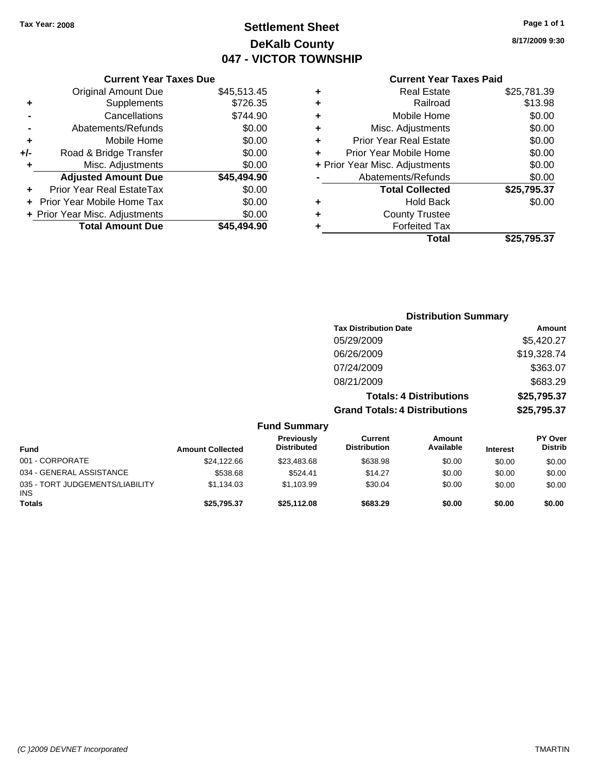## **Settlement Sheet Tax Year: 2008 Page 1 of 1 DeKalb County 047 - VICTOR TOWNSHIP**

**8/17/2009 9:30**

## **Current Year Taxes Paid**

|     | <b>Current Year Taxes Due</b>  |             |
|-----|--------------------------------|-------------|
|     | <b>Original Amount Due</b>     | \$45,513.45 |
| ٠   | Supplements                    | \$726.35    |
|     | Cancellations                  | \$744.90    |
|     | Abatements/Refunds             | \$0.00      |
| ٠   | Mobile Home                    | \$0.00      |
| +/- | Road & Bridge Transfer         | \$0.00      |
| ٠   | Misc. Adjustments              | \$0.00      |
|     | <b>Adjusted Amount Due</b>     | \$45,494.90 |
| ٠   | Prior Year Real EstateTax      | \$0.00      |
|     | Prior Year Mobile Home Tax     | \$0.00      |
|     | + Prior Year Misc. Adjustments | \$0.00      |
|     | <b>Total Amount Due</b>        | \$45,494.90 |
|     |                                |             |

|   | <b>Real Estate</b>             | \$25,781.39 |
|---|--------------------------------|-------------|
| ٠ | Railroad                       | \$13.98     |
| ٠ | Mobile Home                    | \$0.00      |
| ٠ | Misc. Adjustments              | \$0.00      |
| ÷ | <b>Prior Year Real Estate</b>  | \$0.00      |
| ٠ | Prior Year Mobile Home         | \$0.00      |
|   | + Prior Year Misc. Adjustments | \$0.00      |
|   | Abatements/Refunds             | \$0.00      |
|   | <b>Total Collected</b>         | \$25,795.37 |
| ٠ | Hold Back                      | \$0.00      |
| ٠ | <b>County Trustee</b>          |             |
| ٠ | <b>Forfeited Tax</b>           |             |
|   | Total                          | \$25,795.37 |
|   |                                |             |

#### **Distribution Summary Tax Distribution Date Amount** 05/29/2009 \$5,420.27 06/26/2009 \$19,328.74 07/24/2009 \$363.07 08/21/2009 \$683.29 **Totals: 4 Distributions \$25,795.37 Grand Totals: 4 Distributions \$25,795.37 Fund Summary Fund Interest Amount Collected Distributed PY Over Distrib Amount Available Current Distribution Previously** 001 - CORPORATE \$24,122.66 \$23,483.68 \$638.98 \$0.00 \$0.00 \$0.00 034 - GENERAL ASSISTANCE \$538.68 \$524.41 \$14.27 \$0.00 \$0.00 \$0.00

**Totals \$25,795.37 \$25,112.08 \$683.29 \$0.00 \$0.00 \$0.00**

\$1,134.03 \$1,103.99 \$30.04 \$0.00 \$0.00 \$0.00

035 - TORT JUDGEMENTS/LIABILITY

INS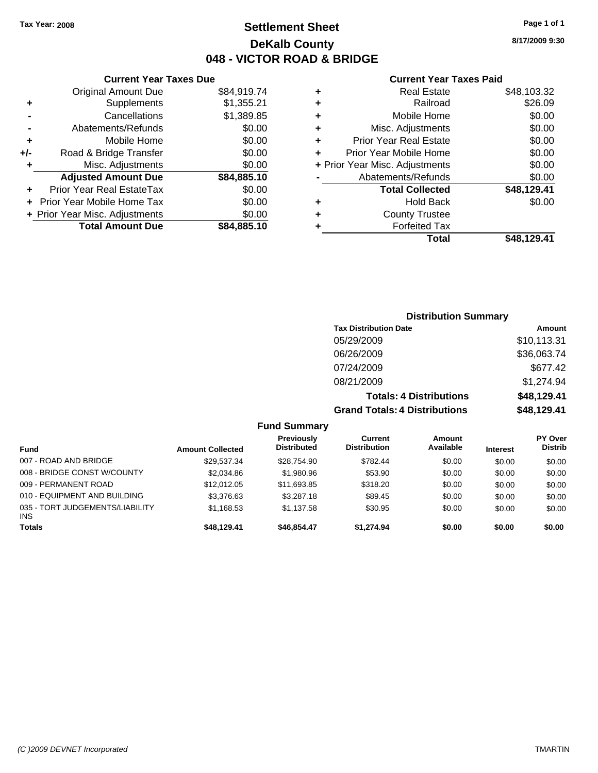## **Settlement Sheet Tax Year: 2008 Page 1 of 1 DeKalb County 048 - VICTOR ROAD & BRIDGE**

### **Current Year Taxes Due**

|       | <b>Total Amount Due</b>        | \$84,885.10 |
|-------|--------------------------------|-------------|
|       | + Prior Year Misc. Adjustments | \$0.00      |
|       | Prior Year Mobile Home Tax     | \$0.00      |
|       | Prior Year Real EstateTax      | \$0.00      |
|       | <b>Adjusted Amount Due</b>     | \$84,885.10 |
| ٠     | Misc. Adjustments              | \$0.00      |
| $+/-$ | Road & Bridge Transfer         | \$0.00      |
| ÷     | Mobile Home                    | \$0.00      |
|       | Abatements/Refunds             | \$0.00      |
|       | Cancellations                  | \$1,389.85  |
| ٠     | Supplements                    | \$1,355.21  |
|       | <b>Original Amount Due</b>     | \$84,919.74 |
|       |                                |             |

### **Current Year Taxes Paid**

| ٠ | <b>Real Estate</b>             | \$48,103.32 |
|---|--------------------------------|-------------|
| ٠ | Railroad                       | \$26.09     |
| ٠ | Mobile Home                    | \$0.00      |
| ٠ | Misc. Adjustments              | \$0.00      |
| ÷ | Prior Year Real Estate         | \$0.00      |
|   | Prior Year Mobile Home         | \$0.00      |
|   | + Prior Year Misc. Adjustments | \$0.00      |
|   | Abatements/Refunds             | \$0.00      |
|   | <b>Total Collected</b>         | \$48,129.41 |
| ٠ | <b>Hold Back</b>               | \$0.00      |
| ٠ | <b>County Trustee</b>          |             |
| ٠ | <b>Forfeited Tax</b>           |             |
|   | Total                          | \$48.129.41 |
|   |                                |             |

## **Distribution Summary Tax Distribution Date Amount** 05/29/2009 \$10,113.31 06/26/2009 \$36,063.74 07/24/2009 \$677.42 08/21/2009 \$1,274.94 **Totals: 4 Distributions \$48,129.41 Grand Totals: 4 Distributions \$48,129.41**

**Fund Summary**

| <b>Fund</b>                                   | <b>Amount Collected</b> | Previously<br><b>Distributed</b> | Current<br><b>Distribution</b> | Amount<br>Available | <b>Interest</b> | PY Over<br><b>Distrib</b> |
|-----------------------------------------------|-------------------------|----------------------------------|--------------------------------|---------------------|-----------------|---------------------------|
| 007 - ROAD AND BRIDGE                         | \$29.537.34             | \$28.754.90                      | \$782.44                       | \$0.00              | \$0.00          | \$0.00                    |
| 008 - BRIDGE CONST W/COUNTY                   | \$2,034.86              | \$1,980.96                       | \$53.90                        | \$0.00              | \$0.00          | \$0.00                    |
| 009 - PERMANENT ROAD                          | \$12.012.05             | \$11,693.85                      | \$318.20                       | \$0.00              | \$0.00          | \$0.00                    |
| 010 - EQUIPMENT AND BUILDING                  | \$3,376.63              | \$3,287.18                       | \$89.45                        | \$0.00              | \$0.00          | \$0.00                    |
| 035 - TORT JUDGEMENTS/LIABILITY<br><b>INS</b> | \$1.168.53              | \$1.137.58                       | \$30.95                        | \$0.00              | \$0.00          | \$0.00                    |
| <b>Totals</b>                                 | \$48.129.41             | \$46.854.47                      | \$1.274.94                     | \$0.00              | \$0.00          | \$0.00                    |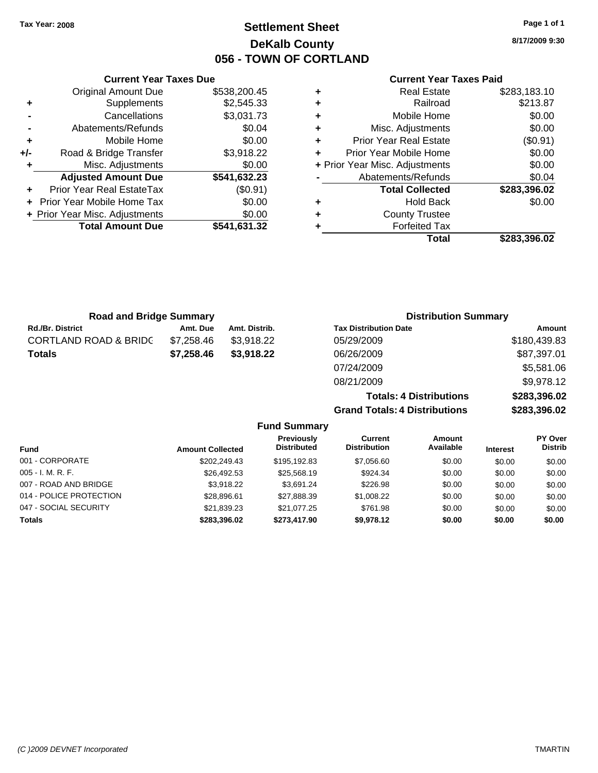## **Settlement Sheet Tax Year: 2008 Page 1 of 1 DeKalb County 056 - TOWN OF CORTLAND**

**8/17/2009 9:30**

### **Current Year Taxes Paid**

**Totals: 4 Distributions \$283,396.02**

**Grand Totals: 4 Distributions \$283,396.02**

|     | <b>Current Year Taxes Due</b>  |              |                                | <b>Current Year Taxes Paid</b> |              |
|-----|--------------------------------|--------------|--------------------------------|--------------------------------|--------------|
|     | <b>Original Amount Due</b>     | \$538,200.45 | <b>Real Estate</b><br>٠        |                                | \$283,183.10 |
| ٠   | Supplements                    | \$2,545.33   | ٠                              | Railroad                       | \$213.87     |
|     | Cancellations                  | \$3,031.73   | ٠                              | Mobile Home                    | \$0.00       |
|     | Abatements/Refunds             | \$0.04       | ٠                              | Misc. Adjustments              | \$0.00       |
| ٠   | Mobile Home                    | \$0.00       | ÷                              | <b>Prior Year Real Estate</b>  | (\$0.91)     |
| +/- | Road & Bridge Transfer         | \$3,918.22   | ٠                              | Prior Year Mobile Home         | \$0.00       |
|     | Misc. Adjustments              | \$0.00       | + Prior Year Misc. Adjustments |                                | \$0.00       |
|     | <b>Adjusted Amount Due</b>     | \$541,632.23 |                                | Abatements/Refunds             | \$0.04       |
| ٠   | Prior Year Real EstateTax      | $(\$0.91)$   |                                | <b>Total Collected</b>         | \$283,396.02 |
|     | + Prior Year Mobile Home Tax   | \$0.00       | ٠                              | <b>Hold Back</b>               | \$0.00       |
|     | + Prior Year Misc. Adjustments | \$0.00       |                                | <b>County Trustee</b>          |              |
|     | <b>Total Amount Due</b>        | \$541,631.32 |                                | <b>Forfeited Tax</b>           |              |
|     |                                |              |                                | <b>Total</b>                   | \$283,396.02 |

| <b>Road and Bridge Summary</b>   |            |               | <b>Distribution Summary</b>  |              |
|----------------------------------|------------|---------------|------------------------------|--------------|
| <b>Rd./Br. District</b>          | Amt. Due   | Amt. Distrib. | <b>Tax Distribution Date</b> | Amount       |
| <b>CORTLAND ROAD &amp; BRIDC</b> | \$7,258.46 | \$3,918.22    | 05/29/2009                   | \$180,439.83 |
| <b>Totals</b>                    | \$7,258.46 | \$3,918.22    | 06/26/2009                   | \$87,397.01  |
|                                  |            |               | 07/24/2009                   | \$5,581.06   |
|                                  |            |               | 08/21/2009                   | \$9,978.12   |

| <b>Fund Summary</b>     |                         |                                  |                                |                            |                 |                                  |
|-------------------------|-------------------------|----------------------------------|--------------------------------|----------------------------|-----------------|----------------------------------|
| <b>Fund</b>             | <b>Amount Collected</b> | Previously<br><b>Distributed</b> | Current<br><b>Distribution</b> | <b>Amount</b><br>Available | <b>Interest</b> | <b>PY Over</b><br><b>Distrib</b> |
| 001 - CORPORATE         | \$202.249.43            | \$195.192.83                     | \$7,056.60                     | \$0.00                     | \$0.00          | \$0.00                           |
| $005 - I. M. R. F.$     | \$26.492.53             | \$25,568.19                      | \$924.34                       | \$0.00                     | \$0.00          | \$0.00                           |
| 007 - ROAD AND BRIDGE   | \$3.918.22              | \$3.691.24                       | \$226.98                       | \$0.00                     | \$0.00          | \$0.00                           |
| 014 - POLICE PROTECTION | \$28,896.61             | \$27,888.39                      | \$1,008.22                     | \$0.00                     | \$0.00          | \$0.00                           |
| 047 - SOCIAL SECURITY   | \$21.839.23             | \$21,077.25                      | \$761.98                       | \$0.00                     | \$0.00          | \$0.00                           |
| <b>Totals</b>           | \$283,396.02            | \$273,417.90                     | \$9,978.12                     | \$0.00                     | \$0.00          | \$0.00                           |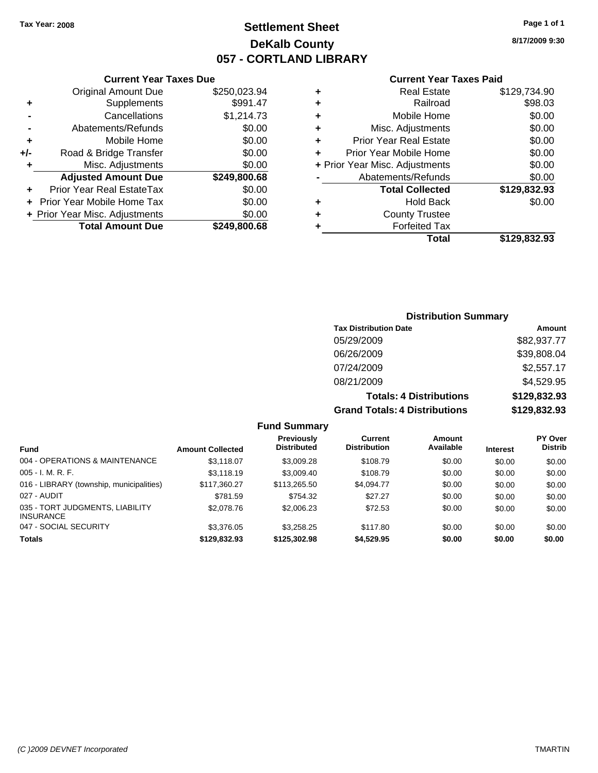## **Settlement Sheet Tax Year: 2008 Page 1 of 1 DeKalb County 057 - CORTLAND LIBRARY**

**8/17/2009 9:30**

### **Current Year Taxes Paid**

|      |   | Total                          | \$129,832.93 |
|------|---|--------------------------------|--------------|
| 0.68 | ٠ | <b>Forfeited Tax</b>           |              |
| 0.00 | ٠ | <b>County Trustee</b>          |              |
| 0.00 | ٠ | <b>Hold Back</b>               | \$0.00       |
| 0.00 |   | <b>Total Collected</b>         | \$129,832.93 |
| 0.68 |   | Abatements/Refunds             | \$0.00       |
| 0.00 |   | + Prior Year Misc. Adjustments | \$0.00       |
| 0.00 | ÷ | Prior Year Mobile Home         | \$0.00       |
| 0.00 | ÷ | <b>Prior Year Real Estate</b>  | \$0.00       |
| 0.00 | ٠ | Misc. Adjustments              | \$0.00       |
| 4.73 | ÷ | Mobile Home                    | \$0.00       |
| 1.47 | ÷ | Railroad                       | \$98.03      |
| 3.94 | ٠ | <b>Real Estate</b>             | \$129,734.90 |
|      |   |                                |              |

## **Current Year Taxes Due**

|       | <b>Total Amount Due</b>           | \$249,800.68 |
|-------|-----------------------------------|--------------|
|       | + Prior Year Misc. Adjustments    | \$0.00       |
|       | <b>Prior Year Mobile Home Tax</b> | \$0.00       |
|       | <b>Prior Year Real EstateTax</b>  | \$0.00       |
|       | <b>Adjusted Amount Due</b>        | \$249,800.68 |
| ٠     | Misc. Adjustments                 | \$0.00       |
| $+/-$ | Road & Bridge Transfer            | \$0.00       |
| ÷     | Mobile Home                       | \$0.00       |
|       | Abatements/Refunds                | \$0.00       |
|       | Cancellations                     | \$1,214.73   |
| ٠     | Supplements                       | \$991.47     |
|       | <b>Original Amount Due</b>        | \$250,023.94 |
|       |                                   |              |

## **Distribution Summary**

| <b>Tax Distribution Date</b>         | Amount       |
|--------------------------------------|--------------|
| 05/29/2009                           | \$82,937.77  |
| 06/26/2009                           | \$39,808.04  |
| 07/24/2009                           | \$2,557.17   |
| 08/21/2009                           | \$4,529.95   |
| <b>Totals: 4 Distributions</b>       | \$129,832.93 |
| <b>Grand Totals: 4 Distributions</b> | \$129,832.93 |

### **Fund Summary**

|                                                     |                         | <b>Previously</b>  | Current             | Amount    |                 | <b>PY Over</b> |  |
|-----------------------------------------------------|-------------------------|--------------------|---------------------|-----------|-----------------|----------------|--|
| <b>Fund</b>                                         | <b>Amount Collected</b> | <b>Distributed</b> | <b>Distribution</b> | Available | <b>Interest</b> | <b>Distrib</b> |  |
| 004 - OPERATIONS & MAINTENANCE                      | \$3.118.07              | \$3,009.28         | \$108.79            | \$0.00    | \$0.00          | \$0.00         |  |
| $005 - I. M. R. F.$                                 | \$3,118,19              | \$3,009.40         | \$108.79            | \$0.00    | \$0.00          | \$0.00         |  |
| 016 - LIBRARY (township, municipalities)            | \$117,360.27            | \$113,265.50       | \$4,094.77          | \$0.00    | \$0.00          | \$0.00         |  |
| 027 - AUDIT                                         | \$781.59                | \$754.32           | \$27.27             | \$0.00    | \$0.00          | \$0.00         |  |
| 035 - TORT JUDGMENTS, LIABILITY<br><b>INSURANCE</b> | \$2,078.76              | \$2,006.23         | \$72.53             | \$0.00    | \$0.00          | \$0.00         |  |
| 047 - SOCIAL SECURITY                               | \$3,376.05              | \$3.258.25         | \$117.80            | \$0.00    | \$0.00          | \$0.00         |  |
| <b>Totals</b>                                       | \$129.832.93            | \$125,302.98       | \$4,529.95          | \$0.00    | \$0.00          | \$0.00         |  |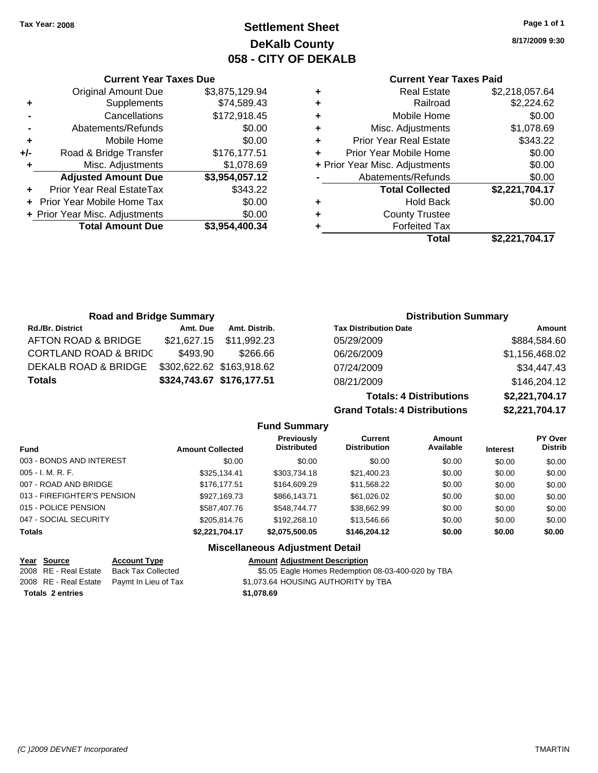## **Settlement Sheet Tax Year: 2008 Page 1 of 1 DeKalb County 058 - CITY OF DEKALB**

**8/17/2009 9:30**

## **Current Year Taxes Paid**

**Grand Totals: 4 Distributions \$2,221,704.17**

| <b>Real Estate</b>            | \$2,218,057.64                 |  |
|-------------------------------|--------------------------------|--|
| Railroad                      | \$2,224.62                     |  |
| Mobile Home                   | \$0.00                         |  |
| Misc. Adjustments             | \$1,078.69                     |  |
| <b>Prior Year Real Estate</b> | \$343.22                       |  |
| Prior Year Mobile Home        | \$0.00                         |  |
|                               | \$0.00                         |  |
| Abatements/Refunds            | \$0.00                         |  |
| <b>Total Collected</b>        | \$2,221,704.17                 |  |
| <b>Hold Back</b>              | \$0.00                         |  |
| <b>County Trustee</b>         |                                |  |
| <b>Forfeited Tax</b>          |                                |  |
| Total                         | \$2,221,704.17                 |  |
|                               | + Prior Year Misc. Adjustments |  |

| <b>Road and Bridge Summary</b>   |          |                           | <b>Distribution Summary</b>    |                |
|----------------------------------|----------|---------------------------|--------------------------------|----------------|
| <b>Rd./Br. District</b>          | Amt. Due | Amt. Distrib.             | <b>Tax Distribution Date</b>   | Amount         |
| AFTON ROAD & BRIDGE              |          | \$21,627.15 \$11,992.23   | 05/29/2009                     | \$884,584.60   |
| <b>CORTLAND ROAD &amp; BRIDC</b> | \$493.90 | \$266.66                  | 06/26/2009                     | \$1,156,468.02 |
| DEKALB ROAD & BRIDGE             |          | \$302,622.62 \$163,918.62 | 07/24/2009                     | \$34,447.43    |
| <b>Totals</b>                    |          | \$324,743.67 \$176,177.51 | 08/21/2009                     | \$146,204.12   |
|                                  |          |                           | <b>Totals: 4 Distributions</b> | \$2,221,704.17 |

**Fund Summary Fund Interest Amount Collected Distributed PY Over Distrib Amount Available Current Distribution Previously** 003 - BONDS AND INTEREST  $$0.00$   $$0.00$   $$0.00$   $$0.00$   $$0.00$   $$0.00$   $$0.00$   $$0.00$ 005 - I. M. R. F. \$325,134.41 \$303,734.18 \$21,400.23 \$0.00 \$0.00 \$0.00 007 - ROAD AND BRIDGE 6 \$176,177.51 \$164,609.29 \$11,568.22 \$0.00 \$0.00 \$0.00 013 - FIREFIGHTER'S PENSION \$927,169.73 \$866,143.71 \$61,026.02 \$0.00 \$0.00 \$0.00 015 - POLICE PENSION \$587,407.76 \$587,407.76 \$548.744.77 \$38.662.99 \$0.00 \$0.00 \$0.00 047 - SOCIAL SECURITY 6 \$205,814.76 \$192,268.10 \$13,546.66 \$0.00 \$0.00 \$0.00 \$0.00 **Totals \$2,221,704.17 \$2,075,500.05 \$146,204.12 \$0.00 \$0.00 \$0.00 Miscellaneous Adjustment Detail**

## **Year Source Account Type Amount Adjustment Description** 2008 RE - Real Estate Paymt In Lieu of Tax \$1,073.64 HOUSING AUTHORITY by TBA **Totals \$1,078.69 2 entries**

**Current Year Taxes Due** Original Amount Due \$3,875,129.94

**Adjusted Amount Due \$3,954,057.12**

**Total Amount Due \$3,954,400.34**

**+** Supplements \$74,589.43 **-** Cancellations \$172,918.45 **-** Abatements/Refunds \$0.00 **+** Mobile Home \$0.00 **+/-** Road & Bridge Transfer \$176,177.51 **+** Misc. Adjustments \$1,078.69

**+** Prior Year Real EstateTax \$343.22 **+** Prior Year Mobile Home Tax \$0.00 **+** Prior Year Misc. Adjustments  $$0.00$ 

2008 RE - Real Estate Back Tax Collected \$5.05 Eagle Homes Redemption 08-03-400-020 by TBA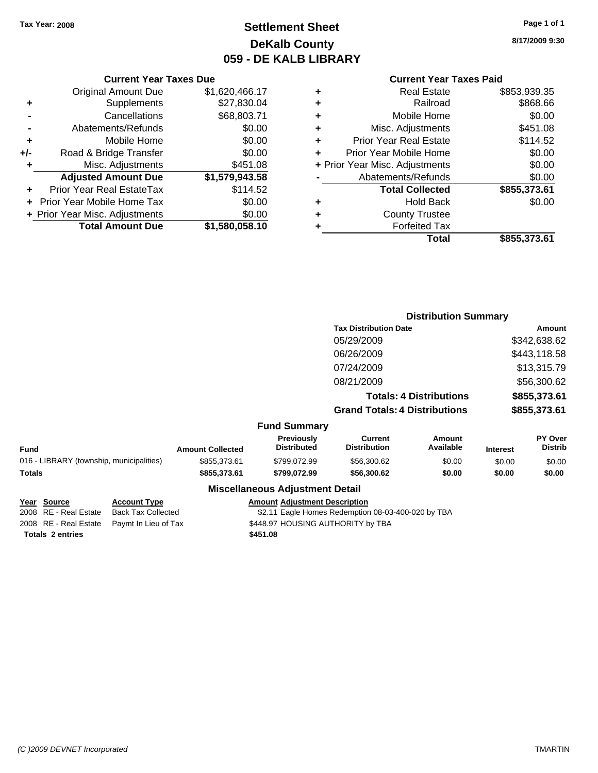## **Settlement Sheet Tax Year: 2008 Page 1 of 1 DeKalb County 059 - DE KALB LIBRARY**

**8/17/2009 9:30**

### **Current Year Taxes Paid**

|                      | ٠ | \$1,620,466.17 | <b>Original Amount Due</b>     |       |
|----------------------|---|----------------|--------------------------------|-------|
|                      | ٠ | \$27,830.04    | <b>Supplements</b>             |       |
| M                    | ٠ | \$68,803.71    | Cancellations                  |       |
| Misc. /              | ٠ | \$0.00         | Abatements/Refunds             |       |
| Prior Year           | ٠ | \$0.00         | Mobile Home                    | ٠     |
| Prior Year M         |   | \$0.00         | Road & Bridge Transfer         | $+/-$ |
| + Prior Year Misc. A |   | \$451.08       | Misc. Adjustments              |       |
| Abatemer             |   | \$1,579,943.58 | <b>Adjusted Amount Due</b>     |       |
| Tota                 |   | \$114.52       | Prior Year Real EstateTax      |       |
|                      | ٠ | \$0.00         | + Prior Year Mobile Home Tax   |       |
| Cou                  | ٠ | \$0.00         | + Prior Year Misc. Adjustments |       |
| F)                   |   | \$1,580,058.10 | <b>Total Amount Due</b>        |       |
|                      |   |                |                                |       |

**Current Year Taxes Due**

|   | <b>Real Estate</b>             | \$853,939.35 |
|---|--------------------------------|--------------|
| ÷ | Railroad                       | \$868.66     |
| ٠ | Mobile Home                    | \$0.00       |
| ٠ | Misc. Adjustments              | \$451.08     |
|   | <b>Prior Year Real Estate</b>  | \$114.52     |
|   | Prior Year Mobile Home         | \$0.00       |
|   | + Prior Year Misc. Adjustments | \$0.00       |
|   | Abatements/Refunds             | \$0.00       |
|   | <b>Total Collected</b>         | \$855,373.61 |
|   | <b>Hold Back</b>               | \$0.00       |
| ÷ | <b>County Trustee</b>          |              |
|   | <b>Forfeited Tax</b>           |              |
|   | Total                          | \$855,373.61 |
|   |                                |              |

#### **Distribution Summary Tax Distribution Date Amount** 05/29/2009 \$342,638.62 06/26/2009 \$443,118.58 07/24/2009 \$13,315.79 08/21/2009 \$56,300.62 **Totals: 4 Distributions \$855,373.61 Grand Totals: 4 Distributions \$855,373.61 Fund Summary Fund Interest Amount Collected Distributed PY Over Distrib Amount Available Current Distribution Previously** 016 - LIBRARY (township, municipalities)  $$855,373.61$   $$799,072.99$   $$56,300.62$  \$0.00 \$0.00 \$0.00 **Totals \$855,373.61 \$799,072.99 \$56,300.62 \$0.00 \$0.00 \$0.00 Miscellaneous Adjustment Detail**

|                         | Year Source           | <b>Account Type</b>                        | <b>Amount Adjustment Description</b>               |
|-------------------------|-----------------------|--------------------------------------------|----------------------------------------------------|
|                         | 2008 RE - Real Estate | Back Tax Collected                         | \$2.11 Eagle Homes Redemption 08-03-400-020 by TBA |
|                         |                       | 2008 RE - Real Estate Paymt In Lieu of Tax | \$448.97 HOUSING AUTHORITY by TBA                  |
| <b>Totals 2 entries</b> |                       |                                            | \$451.08                                           |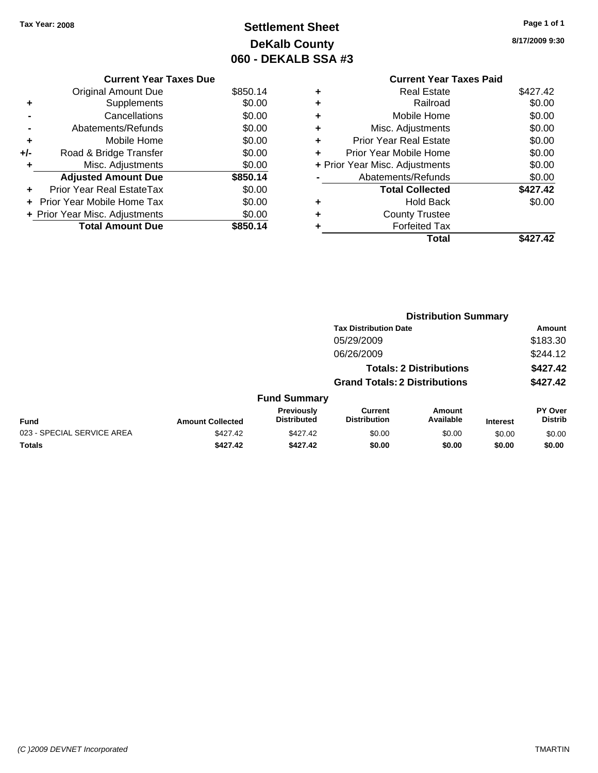## **Settlement Sheet Tax Year: 2008 Page 1 of 1 DeKalb County 060 - DEKALB SSA #3**

**8/17/2009 9:30**

|   | Total                          | \$427.42 |
|---|--------------------------------|----------|
| ٠ | <b>Forfeited Tax</b>           |          |
| ٠ | <b>County Trustee</b>          |          |
| ٠ | <b>Hold Back</b>               | \$0.00   |
|   | <b>Total Collected</b>         | \$427.42 |
|   | Abatements/Refunds             | \$0.00   |
|   | + Prior Year Misc. Adjustments | \$0.00   |
| ٠ | Prior Year Mobile Home         | \$0.00   |
| ÷ | <b>Prior Year Real Estate</b>  | \$0.00   |
| ÷ | Misc. Adjustments              | \$0.00   |
| ÷ | Mobile Home                    | \$0.00   |
| ÷ | Railroad                       | \$0.00   |
| ÷ | <b>Real Estate</b>             | \$427.42 |
|   | <b>Current Year Taxes Paid</b> |          |
|   | טית השט                        |          |

|     | <b>Current Year Taxes Due</b>  |          |
|-----|--------------------------------|----------|
|     | <b>Original Amount Due</b>     | \$850.14 |
| ٠   | Supplements                    | \$0.00   |
|     | Cancellations                  | \$0.00   |
|     | Abatements/Refunds             | \$0.00   |
| ٠   | Mobile Home                    | \$0.00   |
| +/- | Road & Bridge Transfer         | \$0.00   |
| ٠   | Misc. Adjustments              | \$0.00   |
|     | <b>Adjusted Amount Due</b>     | \$850.14 |
|     | Prior Year Real EstateTax      | \$0.00   |
|     | Prior Year Mobile Home Tax     | \$0.00   |
|     | + Prior Year Misc. Adjustments | \$0.00   |
|     | <b>Total Amount Due</b>        | \$850.14 |

|                            |                         |                                         | <b>Distribution Summary</b>           |                                |                 |                                  |  |
|----------------------------|-------------------------|-----------------------------------------|---------------------------------------|--------------------------------|-----------------|----------------------------------|--|
|                            |                         |                                         | <b>Tax Distribution Date</b>          |                                |                 | Amount                           |  |
|                            |                         |                                         | 05/29/2009                            |                                |                 | \$183.30                         |  |
|                            |                         |                                         | 06/26/2009                            |                                |                 | \$244.12                         |  |
|                            |                         |                                         |                                       | <b>Totals: 2 Distributions</b> |                 | \$427.42                         |  |
|                            |                         |                                         | <b>Grand Totals: 2 Distributions</b>  |                                |                 | \$427.42                         |  |
|                            |                         | <b>Fund Summary</b>                     |                                       |                                |                 |                                  |  |
| Fund                       | <b>Amount Collected</b> | <b>Previously</b><br><b>Distributed</b> | <b>Current</b><br><b>Distribution</b> | Amount<br>Available            | <b>Interest</b> | <b>PY Over</b><br><b>Distrib</b> |  |
| 023 - SPECIAL SERVICE AREA | \$427.42                | \$427.42                                | \$0.00                                | \$0.00                         | \$0.00          | \$0.00                           |  |
| Totals                     | \$427.42                | \$427.42                                | \$0.00                                | \$0.00                         | \$0.00          | \$0.00                           |  |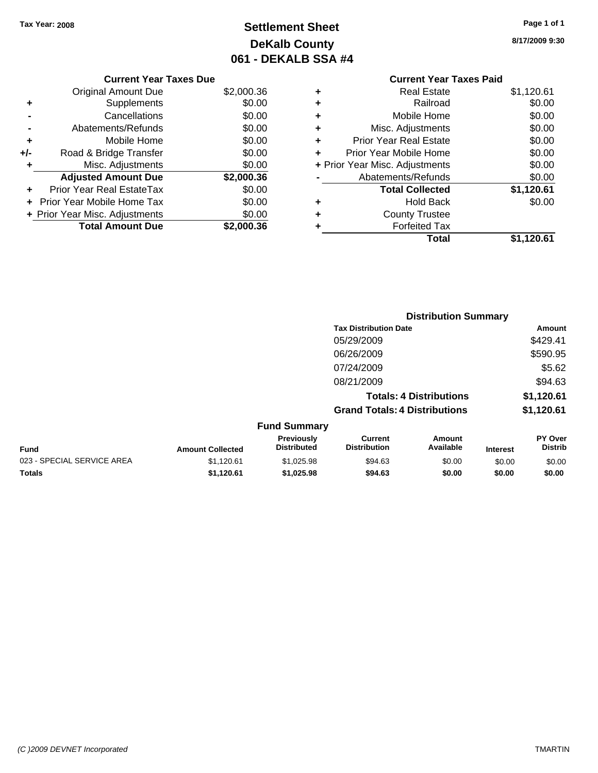## **Settlement Sheet Tax Year: 2008 Page 1 of 1 DeKalb County 061 - DEKALB SSA #4**

**8/17/2009 9:30**

|     | <b>Current Year Taxes Due</b>  |            |   |
|-----|--------------------------------|------------|---|
|     | Original Amount Due            | \$2,000.36 |   |
| ٠   | Supplements                    | \$0.00     |   |
|     | Cancellations                  | \$0.00     |   |
|     | Abatements/Refunds             | \$0.00     | ٠ |
|     | Mobile Home                    | \$0.00     | ٠ |
| +/- | Road & Bridge Transfer         | \$0.00     |   |
|     | Misc. Adjustments              | \$0.00     |   |
|     | <b>Adjusted Amount Due</b>     | \$2,000.36 |   |
|     | Prior Year Real EstateTax      | \$0.00     |   |
|     | Prior Year Mobile Home Tax     | \$0.00     |   |
|     | + Prior Year Misc. Adjustments | \$0.00     |   |
|     | <b>Total Amount Due</b>        | \$2,000.36 |   |
|     |                                |            |   |

## **Current Year Taxes Paid +** Real Estate \$1,120.61 **+** Railroad \$0.00 **Mobile Home**  $$0.00$ **Misc. Adjustments** \$0.00 **Prior Year Real Estate \$0.00 Prior Year Mobile Home**  $$0.00$ **Prior Year Misc. Adjustments** \$0.00 Abatements/Refunds \$0.00 **Total Collected \$1,120.61 +** Hold Back \$0.00 **+** County Trustee **+** Forfeited Tax **Total \$1,120.61**

**Distribution Summary**

|                            |                         |                                  |                                       | <b>PISUIMULIOII VUIIIIIIUI V</b> |                 |                                  |
|----------------------------|-------------------------|----------------------------------|---------------------------------------|----------------------------------|-----------------|----------------------------------|
|                            |                         |                                  | <b>Tax Distribution Date</b>          |                                  |                 | Amount                           |
|                            |                         |                                  | 05/29/2009                            |                                  |                 | \$429.41                         |
|                            |                         |                                  | 06/26/2009                            |                                  |                 | \$590.95                         |
|                            |                         |                                  | 07/24/2009                            |                                  |                 | \$5.62                           |
|                            |                         |                                  | 08/21/2009                            |                                  |                 | \$94.63                          |
|                            |                         |                                  |                                       | <b>Totals: 4 Distributions</b>   |                 | \$1,120.61                       |
|                            |                         |                                  | <b>Grand Totals: 4 Distributions</b>  |                                  |                 | \$1,120.61                       |
|                            |                         | <b>Fund Summary</b>              |                                       |                                  |                 |                                  |
| <b>Fund</b>                | <b>Amount Collected</b> | Previously<br><b>Distributed</b> | <b>Current</b><br><b>Distribution</b> | Amount<br>Available              | <b>Interest</b> | <b>PY Over</b><br><b>Distrib</b> |
| 023 - SPECIAL SERVICE AREA | \$1,120.61              | \$1,025.98                       | \$94.63                               | \$0.00                           | \$0.00          | \$0.00                           |
| Totals                     | \$1,120.61              | \$1,025.98                       | \$94.63                               | \$0.00                           | \$0.00          | \$0.00                           |
|                            |                         |                                  |                                       |                                  |                 |                                  |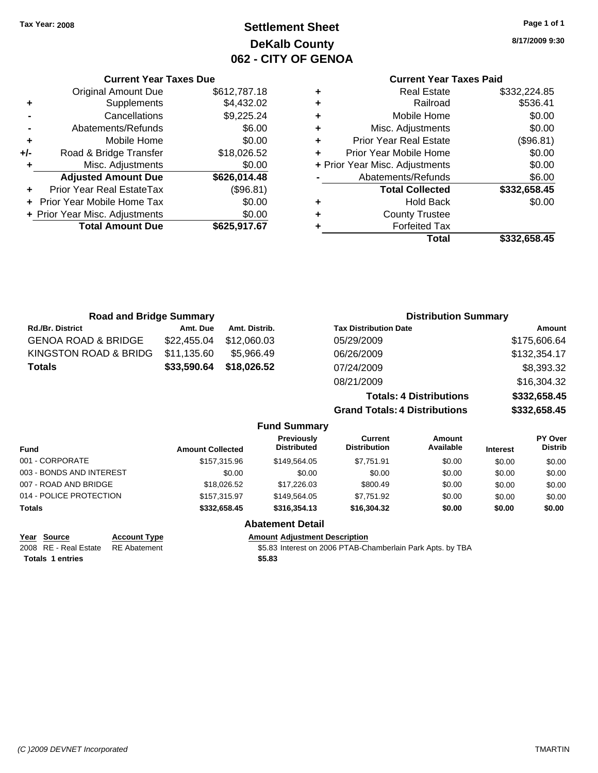## **Settlement Sheet Tax Year: 2008 Page 1 of 1 DeKalb County 062 - CITY OF GENOA**

**8/17/2009 9:30**

## **Current Year Taxes Paid**

| <b>Real Estate</b>             | \$332,224.85 |  |
|--------------------------------|--------------|--|
| Railroad                       | \$536.41     |  |
| Mobile Home                    | \$0.00       |  |
| Misc. Adjustments              | \$0.00       |  |
| <b>Prior Year Real Estate</b>  | (\$96.81)    |  |
| Prior Year Mobile Home         | \$0.00       |  |
| + Prior Year Misc. Adjustments |              |  |
| Abatements/Refunds             | \$6.00       |  |
| <b>Total Collected</b>         | \$332,658.45 |  |
| <b>Hold Back</b>               | \$0.00       |  |
| <b>County Trustee</b>          |              |  |
| <b>Forfeited Tax</b>           |              |  |
| Total                          | \$332,658.45 |  |
|                                |              |  |

|     | <b>Current Year Taxes Due</b>  |              |
|-----|--------------------------------|--------------|
|     | <b>Original Amount Due</b>     | \$612,787.18 |
| ٠   | Supplements                    | \$4,432.02   |
|     | Cancellations                  | \$9,225.24   |
|     | Abatements/Refunds             | \$6.00       |
| ٠   | Mobile Home                    | \$0.00       |
| +/- | Road & Bridge Transfer         | \$18,026.52  |
| ٠   | Misc. Adjustments              | \$0.00       |
|     | <b>Adjusted Amount Due</b>     | \$626,014.48 |
|     | Prior Year Real EstateTax      | (\$96.81)    |
|     | Prior Year Mobile Home Tax     | \$0.00       |
|     | + Prior Year Misc. Adjustments | \$0.00       |
|     | <b>Total Amount Due</b>        | \$625,917.67 |
|     |                                |              |

| <b>Road and Bridge Summary</b> |                         |               |                                         | <b>Distribution Summary</b>           |                                |                 |                           |  |
|--------------------------------|-------------------------|---------------|-----------------------------------------|---------------------------------------|--------------------------------|-----------------|---------------------------|--|
| <b>Rd./Br. District</b>        | Amt. Due                | Amt. Distrib. |                                         | <b>Tax Distribution Date</b>          |                                |                 | <b>Amount</b>             |  |
| <b>GENOA ROAD &amp; BRIDGE</b> | \$22,455.04             | \$12,060.03   |                                         | 05/29/2009                            |                                |                 | \$175,606.64              |  |
| KINGSTON ROAD & BRIDG          | \$11,135.60             | \$5,966.49    |                                         | 06/26/2009                            |                                |                 | \$132,354.17              |  |
| <b>Totals</b>                  | \$33,590.64             | \$18,026.52   |                                         | 07/24/2009                            |                                |                 | \$8,393.32                |  |
|                                |                         |               |                                         | 08/21/2009                            |                                |                 | \$16,304.32               |  |
|                                |                         |               |                                         |                                       | <b>Totals: 4 Distributions</b> |                 | \$332,658.45              |  |
|                                |                         |               |                                         | <b>Grand Totals: 4 Distributions</b>  |                                |                 | \$332,658.45              |  |
|                                |                         |               | <b>Fund Summary</b>                     |                                       |                                |                 |                           |  |
| <b>Fund</b>                    | <b>Amount Collected</b> |               | <b>Previously</b><br><b>Distributed</b> | <b>Current</b><br><b>Distribution</b> | Amount<br>Available            | <b>Interest</b> | PY Over<br><b>Distrib</b> |  |
| 001 - CORPORATE                |                         | \$157,315.96  | \$149,564.05                            | \$7,751.91                            | \$0.00                         | \$0.00          | \$0.00                    |  |
| 003 - BONDS AND INTEREST       |                         | \$0.00        | \$0.00                                  | \$0.00                                | \$0.00                         | \$0.00          | \$0.00                    |  |
| 007 - ROAD AND BRIDGE          |                         | \$18,026.52   | \$17,226.03                             | \$800.49                              | \$0.00                         | \$0.00          | \$0.00                    |  |
| 014 - POLICE PROTECTION        |                         | \$157,315.97  | \$149,564.05                            | \$7,751.92                            | \$0.00                         | \$0.00          | \$0.00                    |  |
| Totals                         |                         | \$332,658.45  | \$316,354.13                            | \$16,304.32                           | \$0.00                         | \$0.00          | \$0.00                    |  |
|                                |                         |               |                                         |                                       |                                |                 |                           |  |

### **Abatement Detail**

**Year Source Account Type Amount Amount Adjustment Description**<br>2008 RE - Real Estate RE Abatement **Adjustment** \$5.83 Interest on 2006 PTAB-CH \$5.83 Interest on 2006 PTAB-Chamberlain Park Apts. by TBA **Totals \$5.83 1 entries**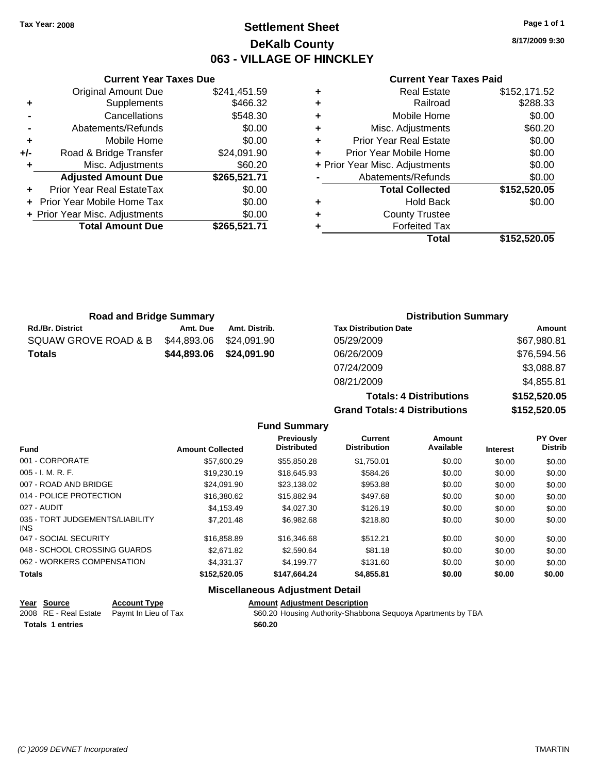## **Settlement Sheet Tax Year: 2008 Page 1 of 1 DeKalb County 063 - VILLAGE OF HINCKLEY**

**8/17/2009 9:30**

### **Current Year Taxes Paid**

|     | <b>Current Year Taxes Due</b>  |              |
|-----|--------------------------------|--------------|
|     | <b>Original Amount Due</b>     | \$241,451.59 |
| ٠   | Supplements                    | \$466.32     |
|     | Cancellations                  | \$548.30     |
|     | Abatements/Refunds             | \$0.00       |
| ٠   | Mobile Home                    | \$0.00       |
| +/- | Road & Bridge Transfer         | \$24,091.90  |
| ٠   | Misc. Adjustments              | \$60.20      |
|     | <b>Adjusted Amount Due</b>     | \$265,521.71 |
| ÷   | Prior Year Real EstateTax      | \$0.00       |
|     | Prior Year Mobile Home Tax     | \$0.00       |
|     | + Prior Year Misc. Adjustments | \$0.00       |
|     | <b>Total Amount Due</b>        | \$265,521.71 |

| <b>Road and Bridge Summary</b> |             |               | <b>Distribution Summary</b>  |               |  |
|--------------------------------|-------------|---------------|------------------------------|---------------|--|
| <b>Rd./Br. District</b>        | Amt. Due    | Amt. Distrib. | <b>Tax Distribution Date</b> | <b>Amount</b> |  |
| SQUAW GROVE ROAD & B           | \$44,893.06 | \$24,091.90   | 05/29/2009                   | \$67,980.81   |  |
| <b>Totals</b>                  | \$44,893.06 | \$24,091.90   | 06/26/2009                   | \$76,594.56   |  |
|                                |             |               | 07/24/2009                   | \$3,088.87    |  |
|                                |             |               | 08/21/2009                   | \$4,855.81    |  |

**Totals: 4 Distrib Grand Totals: 4 Distrib** 

|         | י ט.טט.דש    |
|---------|--------------|
| outions | \$152,520.05 |
| งutions | \$152,520.05 |

| <b>Fund</b>                             | <b>Amount Collected</b> | <b>Previously</b><br><b>Distributed</b> | Current<br><b>Distribution</b> | Amount<br>Available | <b>Interest</b> | PY Over<br><b>Distrib</b> |
|-----------------------------------------|-------------------------|-----------------------------------------|--------------------------------|---------------------|-----------------|---------------------------|
| 001 - CORPORATE                         | \$57,600.29             | \$55,850.28                             | \$1,750.01                     | \$0.00              | \$0.00          | \$0.00                    |
| $005 - I. M. R. F.$                     | \$19,230.19             | \$18,645.93                             | \$584.26                       | \$0.00              | \$0.00          | \$0.00                    |
| 007 - ROAD AND BRIDGE                   | \$24.091.90             | \$23,138.02                             | \$953.88                       | \$0.00              | \$0.00          | \$0.00                    |
| 014 - POLICE PROTECTION                 | \$16,380.62             | \$15,882.94                             | \$497.68                       | \$0.00              | \$0.00          | \$0.00                    |
| 027 - AUDIT                             | \$4,153.49              | \$4,027.30                              | \$126.19                       | \$0.00              | \$0.00          | \$0.00                    |
| 035 - TORT JUDGEMENTS/LIABILITY<br>INS. | \$7,201.48              | \$6,982.68                              | \$218.80                       | \$0.00              | \$0.00          | \$0.00                    |
| 047 - SOCIAL SECURITY                   | \$16,858.89             | \$16,346.68                             | \$512.21                       | \$0.00              | \$0.00          | \$0.00                    |
| 048 - SCHOOL CROSSING GUARDS            | \$2,671.82              | \$2,590.64                              | \$81.18                        | \$0.00              | \$0.00          | \$0.00                    |
| 062 - WORKERS COMPENSATION              | \$4,331,37              | \$4.199.77                              | \$131.60                       | \$0.00              | \$0.00          | \$0.00                    |
| <b>Totals</b>                           | \$152,520.05            | \$147.664.24                            | \$4,855.81                     | \$0.00              | \$0.00          | \$0.00                    |
|                                         |                         | <b>Miscellaneous Adiustment Detail</b>  |                                |                     |                 |                           |

**Fund Summary**

| Year Source             | <b>Account Type</b>                        | <b>Amount Adjustment Description</b>                         |
|-------------------------|--------------------------------------------|--------------------------------------------------------------|
|                         | 2008 RE - Real Estate Paymt In Lieu of Tax | \$60.20 Housing Authority-Shabbona Sequoya Apartments by TBA |
| <b>Totals 1 entries</b> |                                            | \$60.20                                                      |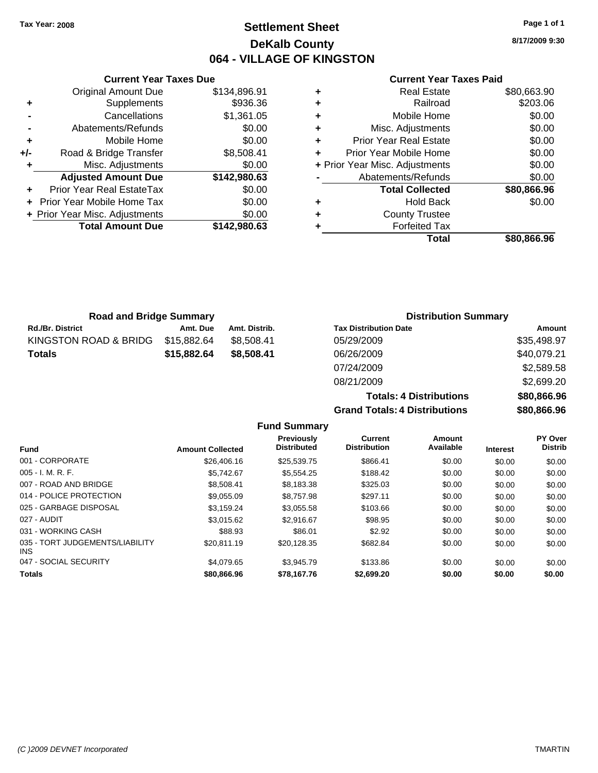## **Settlement Sheet Tax Year: 2008 Page 1 of 1 DeKalb County 064 - VILLAGE OF KINGSTON**

**Totals: 4 Distributions \$80,866.96**

**Grand Totals: 4 Distributions \$80,866.96**

|   | <b>Current Year Taxes Paid</b> |             |
|---|--------------------------------|-------------|
| ٠ | <b>Real Estate</b>             | \$80,663.90 |
| ٠ | Railroad                       | \$203.06    |
| ٠ | Mobile Home                    | \$0.00      |
| ٠ | Misc. Adjustments              | \$0.00      |
| ٠ | <b>Prior Year Real Estate</b>  | \$0.00      |
| ÷ | Prior Year Mobile Home         | \$0.00      |
|   | + Prior Year Misc. Adjustments | \$0.00      |
|   | Abatements/Refunds             | \$0.00      |
|   | <b>Total Collected</b>         | \$80,866.96 |
| ٠ | <b>Hold Back</b>               | \$0.00      |
| ٠ | <b>County Trustee</b>          |             |
| ٠ | <b>Forfeited Tax</b>           |             |
|   | Total                          | \$80,866,96 |

|     | <b>Current Year Taxes Due</b>  |              |  |  |  |
|-----|--------------------------------|--------------|--|--|--|
|     | <b>Original Amount Due</b>     | \$134,896.91 |  |  |  |
|     | Supplements                    | \$936.36     |  |  |  |
|     | Cancellations                  | \$1,361.05   |  |  |  |
|     | Abatements/Refunds             | \$0.00       |  |  |  |
| ٠   | Mobile Home                    | \$0.00       |  |  |  |
| +/- | Road & Bridge Transfer         | \$8,508.41   |  |  |  |
|     | Misc. Adjustments              | \$0.00       |  |  |  |
|     | <b>Adjusted Amount Due</b>     | \$142,980.63 |  |  |  |
|     | Prior Year Real EstateTax      | \$0.00       |  |  |  |
|     | Prior Year Mobile Home Tax     | \$0.00       |  |  |  |
|     | + Prior Year Misc. Adjustments | \$0.00       |  |  |  |
|     | <b>Total Amount Due</b>        | \$142,980.63 |  |  |  |
|     |                                |              |  |  |  |

| <b>Road and Bridge Summary</b> |             |               | <b>Distribution Summary</b>  |             |  |
|--------------------------------|-------------|---------------|------------------------------|-------------|--|
| <b>Rd./Br. District</b>        | Amt. Due    | Amt. Distrib. | <b>Tax Distribution Date</b> | Amount      |  |
| KINGSTON ROAD & BRIDG          | \$15,882.64 | \$8.508.41    | 05/29/2009                   | \$35,498.97 |  |
| <b>Totals</b>                  | \$15,882.64 | \$8,508,41    | 06/26/2009                   | \$40,079.21 |  |
|                                |             |               | 07/24/2009                   | \$2,589.58  |  |
|                                |             |               | 08/21/2009                   | \$2,699.20  |  |

| <b>Fund</b>                                   | <b>Amount Collected</b> | <b>Previously</b><br><b>Distributed</b> | Current<br><b>Distribution</b> | Amount<br>Available | <b>Interest</b> | PY Over<br><b>Distrib</b> |
|-----------------------------------------------|-------------------------|-----------------------------------------|--------------------------------|---------------------|-----------------|---------------------------|
| 001 - CORPORATE                               | \$26,406.16             | \$25.539.75                             | \$866.41                       | \$0.00              | \$0.00          | \$0.00                    |
| $005 - I. M. R. F.$                           | \$5.742.67              | \$5,554.25                              | \$188.42                       | \$0.00              | \$0.00          | \$0.00                    |
| 007 - ROAD AND BRIDGE                         | \$8.508.41              | \$8,183.38                              | \$325.03                       | \$0.00              | \$0.00          | \$0.00                    |
| 014 - POLICE PROTECTION                       | \$9.055.09              | \$8,757.98                              | \$297.11                       | \$0.00              | \$0.00          | \$0.00                    |
| 025 - GARBAGE DISPOSAL                        | \$3,159.24              | \$3,055.58                              | \$103.66                       | \$0.00              | \$0.00          | \$0.00                    |
| 027 - AUDIT                                   | \$3.015.62              | \$2.916.67                              | \$98.95                        | \$0.00              | \$0.00          | \$0.00                    |
| 031 - WORKING CASH                            | \$88.93                 | \$86.01                                 | \$2.92                         | \$0.00              | \$0.00          | \$0.00                    |
| 035 - TORT JUDGEMENTS/LIABILITY<br><b>INS</b> | \$20.811.19             | \$20.128.35                             | \$682.84                       | \$0.00              | \$0.00          | \$0.00                    |
| 047 - SOCIAL SECURITY                         | \$4.079.65              | \$3.945.79                              | \$133.86                       | \$0.00              | \$0.00          | \$0.00                    |
| <b>Totals</b>                                 | \$80,866,96             | \$78.167.76                             | \$2.699.20                     | \$0.00              | \$0.00          | \$0.00                    |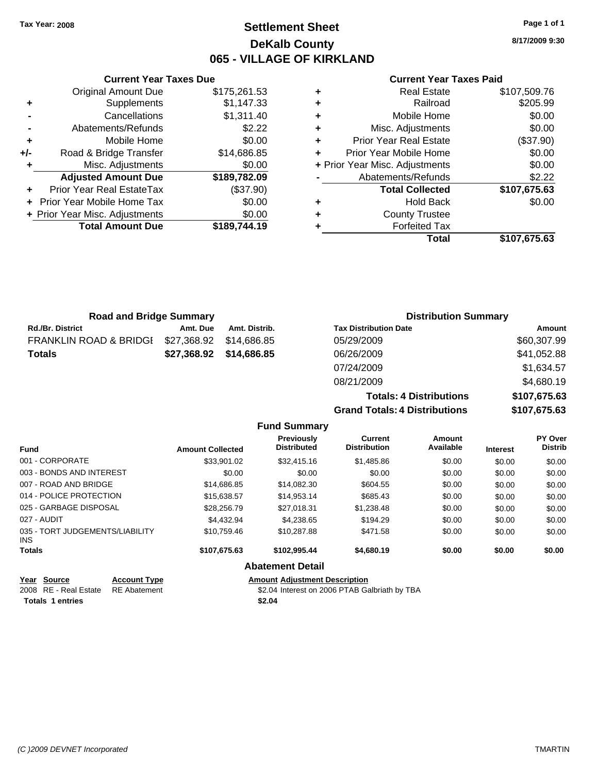## **Settlement Sheet Tax Year: 2008 Page 1 of 1 DeKalb County 065 - VILLAGE OF KIRKLAND**

**8/17/2009 9:30**

## **Current Year Taxes Paid**

|     | <b>Current Year Taxes Due</b>  |              |  |
|-----|--------------------------------|--------------|--|
|     | <b>Original Amount Due</b>     | \$175,261.53 |  |
| ٠   | Supplements                    | \$1,147.33   |  |
|     | Cancellations                  | \$1,311.40   |  |
|     | Abatements/Refunds             | \$2.22       |  |
| ÷   | Mobile Home                    | \$0.00       |  |
| +/- | Road & Bridge Transfer         | \$14,686.85  |  |
| ٠   | Misc. Adjustments              | \$0.00       |  |
|     | <b>Adjusted Amount Due</b>     | \$189,782.09 |  |
|     | Prior Year Real EstateTax      | (\$37.90)    |  |
|     | Prior Year Mobile Home Tax     | \$0.00       |  |
|     | + Prior Year Misc. Adjustments | \$0.00       |  |
|     | <b>Total Amount Due</b>        | \$189,744.19 |  |
|     |                                |              |  |

| ٠ | <b>Real Estate</b>             | \$107,509.76 |
|---|--------------------------------|--------------|
| ÷ | Railroad                       | \$205.99     |
| ٠ | Mobile Home                    | \$0.00       |
| ٠ | Misc. Adjustments              | \$0.00       |
| ٠ | Prior Year Real Estate         | (\$37.90)    |
| ٠ | Prior Year Mobile Home         | \$0.00       |
|   | + Prior Year Misc. Adjustments | \$0.00       |
|   | Abatements/Refunds             | \$2.22       |
|   | <b>Total Collected</b>         | \$107,675.63 |
| ٠ | <b>Hold Back</b>               | \$0.00       |
| ٠ | <b>County Trustee</b>          |              |
| ٠ | <b>Forfeited Tax</b>           |              |
|   | Total                          | \$107,675.63 |
|   |                                |              |

| <b>Road and Bridge Summary</b>    |             |               | <b>Distribution Summary</b>    |              |  |
|-----------------------------------|-------------|---------------|--------------------------------|--------------|--|
| <b>Rd./Br. District</b>           | Amt. Due    | Amt. Distrib. | <b>Tax Distribution Date</b>   | Amount       |  |
| <b>FRANKLIN ROAD &amp; BRIDGI</b> | \$27,368.92 | \$14.686.85   | 05/29/2009                     | \$60,307.99  |  |
| <b>Totals</b>                     | \$27,368.92 | \$14,686.85   | 06/26/2009                     | \$41,052.88  |  |
|                                   |             |               | 07/24/2009                     | \$1,634.57   |  |
|                                   |             |               | 08/21/2009                     | \$4,680.19   |  |
|                                   |             |               | <b>Totals: 4 Distributions</b> | \$107,675.63 |  |

**Grand Totals: 4 Disti** 

| tributions | \$107,675.63 |
|------------|--------------|
| ributions  | \$107,675.63 |

| <b>Fund</b>                             |                 | <b>Amount Collected</b> | Previously<br><b>Distributed</b> | Current<br><b>Distribution</b> | Amount<br>Available | <b>Interest</b> | PY Over<br><b>Distrib</b> |
|-----------------------------------------|-----------------|-------------------------|----------------------------------|--------------------------------|---------------------|-----------------|---------------------------|
| 001 - CORPORATE                         |                 | \$33,901.02             | \$32,415.16                      | \$1,485.86                     | \$0.00              | \$0.00          | \$0.00                    |
| 003 - BONDS AND INTEREST                |                 | \$0.00                  | \$0.00                           | \$0.00                         | \$0.00              | \$0.00          | \$0.00                    |
| 007 - ROAD AND BRIDGE                   |                 | \$14,686.85             | \$14,082.30                      | \$604.55                       | \$0.00              | \$0.00          | \$0.00                    |
| 014 - POLICE PROTECTION                 |                 | \$15,638.57             | \$14,953.14                      | \$685.43                       | \$0.00              | \$0.00          | \$0.00                    |
| 025 - GARBAGE DISPOSAL                  |                 | \$28,256.79             | \$27,018.31                      | \$1,238.48                     | \$0.00              | \$0.00          | \$0.00                    |
| 027 - AUDIT                             |                 | \$4,432.94              | \$4.238.65                       | \$194.29                       | \$0.00              | \$0.00          | \$0.00                    |
| 035 - TORT JUDGEMENTS/LIABILITY<br>INS. |                 | \$10.759.46             | \$10.287.88                      | \$471.58                       | \$0.00              | \$0.00          | \$0.00                    |
| <b>Totals</b>                           |                 | \$107.675.63            | \$102.995.44                     | \$4,680.19                     | \$0.00              | \$0.00          | \$0.00                    |
|                                         |                 |                         | <b>Abatement Detail</b>          |                                |                     |                 |                           |
| $V_{\text{max}}$ $R_{\text{max}}$       | $A - 1 - 1 = 1$ |                         | American Additional Benediction  |                                |                     |                 |                           |

**Fund Summary**

| Year Source                        | <b>Account Type</b> | <b>Amount Adjustment Description</b>          |
|------------------------------------|---------------------|-----------------------------------------------|
| 2008 RE - Real Estate RE Abatement |                     | \$2.04 Interest on 2006 PTAB Galbriath by TBA |
| Totals 1 entries                   |                     | \$2.04                                        |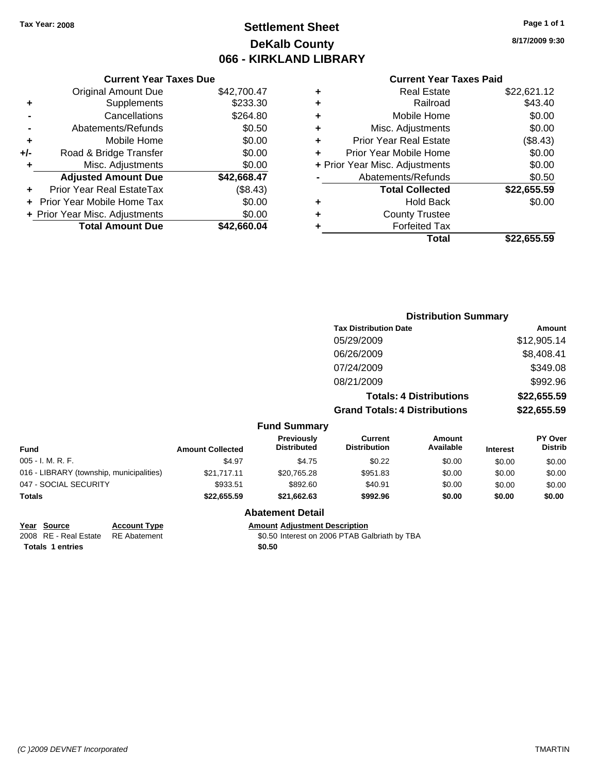## **Settlement Sheet Tax Year: 2008 Page 1 of 1 DeKalb County 066 - KIRKLAND LIBRARY**

**8/17/2009 9:30**

## **Current Year Taxes Paid**

| Curre                    |   |             | <b>Current Year Taxes Due</b>  |       |
|--------------------------|---|-------------|--------------------------------|-------|
| Rea                      | ٠ | \$42,700.47 | Original Amount Due            |       |
|                          | ٠ | \$233.30    | Supplements                    | ٠     |
| Mobil                    | ٠ | \$264.80    | Cancellations                  |       |
| Misc. Adjus              | ٠ | \$0.50      | Abatements/Refunds             |       |
| Prior Year Rea           | ٠ | \$0.00      | Mobile Home                    | ٠     |
| <b>Prior Year Mobile</b> |   | \$0.00      | Road & Bridge Transfer         | $+/-$ |
| + Prior Year Misc. Adjus |   | \$0.00      | Misc. Adjustments              | ٠     |
| Abatements/F             |   | \$42,668.47 | <b>Adjusted Amount Due</b>     |       |
| <b>Total Co</b>          |   | (\$8.43)    | Prior Year Real EstateTax      |       |
| Ho                       | ٠ | \$0.00      | + Prior Year Mobile Home Tax   |       |
| County                   | ٠ | \$0.00      | + Prior Year Misc. Adjustments |       |
| Forfei                   |   | \$42,660.04 | <b>Total Amount Due</b>        |       |
|                          |   |             |                                |       |

| ٠<br>٠ | <b>County Trustee</b><br><b>Forfeited Tax</b> |                       |
|--------|-----------------------------------------------|-----------------------|
| ٠      | <b>Total Collected</b><br><b>Hold Back</b>    | \$22,655.59<br>\$0.00 |
|        | Abatements/Refunds                            | \$0.50                |
|        | + Prior Year Misc. Adjustments                | \$0.00                |
| ٠      | Prior Year Mobile Home                        | \$0.00                |
| ٠      | <b>Prior Year Real Estate</b>                 | (\$8.43)              |
| ٠      | Misc. Adjustments                             | \$0.00                |
| ٠      | Mobile Home                                   | \$0.00                |
| ٠      | Railroad                                      | \$43.40               |
| ٠      | Real Estate                                   | \$22,621.12           |

|                                          |                         |                                         |                                      | <b>Distribution Summary</b>    |                 |                           |
|------------------------------------------|-------------------------|-----------------------------------------|--------------------------------------|--------------------------------|-----------------|---------------------------|
|                                          |                         |                                         | <b>Tax Distribution Date</b>         |                                |                 | Amount                    |
|                                          |                         |                                         | 05/29/2009                           |                                |                 | \$12,905.14               |
|                                          |                         |                                         | 06/26/2009                           |                                |                 | \$8,408.41                |
|                                          |                         |                                         | 07/24/2009                           |                                |                 | \$349.08                  |
|                                          |                         |                                         | 08/21/2009                           |                                |                 | \$992.96                  |
|                                          |                         |                                         |                                      | <b>Totals: 4 Distributions</b> |                 | \$22,655.59               |
|                                          |                         |                                         | <b>Grand Totals: 4 Distributions</b> |                                |                 | \$22,655.59               |
|                                          |                         | <b>Fund Summary</b>                     |                                      |                                |                 |                           |
| <b>Fund</b>                              | <b>Amount Collected</b> | <b>Previously</b><br><b>Distributed</b> | Current<br><b>Distribution</b>       | Amount<br>Available            | <b>Interest</b> | PY Over<br><b>Distrib</b> |
| 005 - I. M. R. F.                        | \$4.97                  | \$4.75                                  | \$0.22                               | \$0.00                         | \$0.00          | \$0.00                    |
| 016 - LIBRARY (township, municipalities) | \$21,717.11             | \$20,765.28                             | \$951.83                             | \$0.00                         | \$0.00          | \$0.00                    |
| 047 - SOCIAL SECURITY                    | \$933.51                | \$892.60                                | \$40.91                              | \$0.00                         | \$0.00          | \$0.00                    |
| Totals                                   | \$22,655.59             | \$21,662.63                             | \$992.96                             | \$0.00                         | \$0.00          | \$0.00                    |
|                                          |                         |                                         |                                      |                                |                 |                           |

## **Abatement Detail**

**Year Source Account Type Amount Adjustment Description**

2008 RE - Real Estate \$0.50 Interest on 2006 PTAB Galbriath by TBA RE Abatement

Totals 1 entries \$0.50

*(C )2009 DEVNET Incorporated* TMARTIN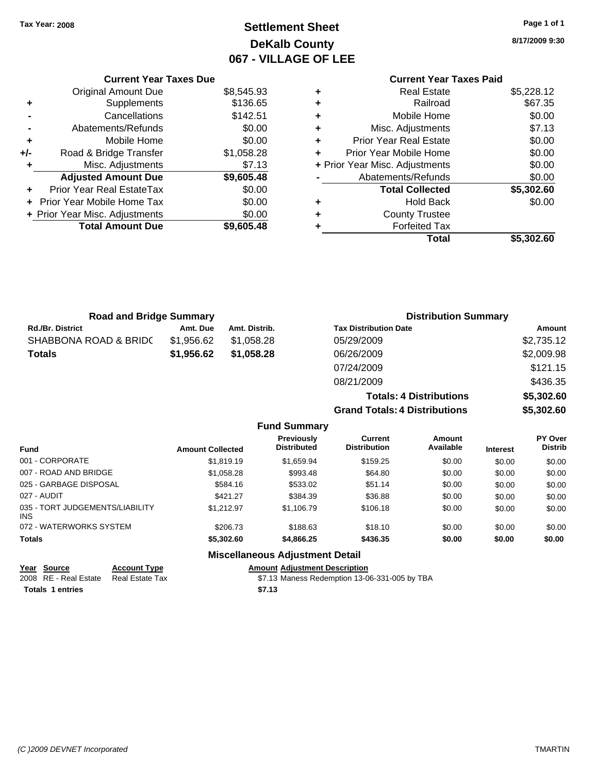## **Settlement Sheet Tax Year: 2008 Page 1 of 1 DeKalb County 067 - VILLAGE OF LEE**

**8/17/2009 9:30**

# **Current Year Taxes Paid**

|     | <b>Current Year Taxes Due</b>  |            |
|-----|--------------------------------|------------|
|     | <b>Original Amount Due</b>     | \$8,545.93 |
|     | Supplements                    | \$136.65   |
|     | Cancellations                  | \$142.51   |
|     | Abatements/Refunds             | \$0.00     |
| ٠   | Mobile Home                    | \$0.00     |
| +/- | Road & Bridge Transfer         | \$1,058.28 |
|     | Misc. Adjustments              | \$7.13     |
|     | <b>Adjusted Amount Due</b>     | \$9,605.48 |
|     | Prior Year Real EstateTax      | \$0.00     |
|     | Prior Year Mobile Home Tax     | \$0.00     |
|     | + Prior Year Misc. Adjustments | \$0.00     |
|     | <b>Total Amount Due</b>        | \$9,605.48 |
|     |                                |            |

| ٠ | <b>Real Estate</b>             | \$5,228.12 |
|---|--------------------------------|------------|
| ٠ | Railroad                       | \$67.35    |
| ٠ | Mobile Home                    | \$0.00     |
| ٠ | Misc. Adjustments              | \$7.13     |
| ٠ | <b>Prior Year Real Estate</b>  | \$0.00     |
| ÷ | Prior Year Mobile Home         | \$0.00     |
|   | + Prior Year Misc. Adjustments | \$0.00     |
|   | Abatements/Refunds             | \$0.00     |
|   | <b>Total Collected</b>         | \$5,302.60 |
| ٠ | <b>Hold Back</b>               | \$0.00     |
| ÷ | <b>County Trustee</b>          |            |
| ٠ | <b>Forfeited Tax</b>           |            |
|   | <b>Total</b>                   | \$5,302.60 |
|   |                                |            |

**Totals: 4 Distributions \$5,302.60**

**Grand Totals: 4 Distributions \$5,302.60**

| <b>Road and Bridge Summary</b> |            |               | <b>Distribution Summary</b>  |            |  |
|--------------------------------|------------|---------------|------------------------------|------------|--|
| <b>Rd./Br. District</b>        | Amt. Due   | Amt. Distrib. | <b>Tax Distribution Date</b> | Amount     |  |
| SHABBONA ROAD & BRIDC          | \$1.956.62 | \$1.058.28    | 05/29/2009                   | \$2,735.12 |  |
| <b>Totals</b>                  | \$1.956.62 | \$1,058.28    | 06/26/2009                   | \$2,009.98 |  |
|                                |            |               | 07/24/2009                   | \$121.15   |  |
|                                |            |               | 08/21/2009                   | \$436.35   |  |

**Fund Summary Fund Interest Amount Collected Distributed PY Over Distrib Amount Available Current Distribution Previously** 001 - CORPORATE 6 \$1,819.19 \$1,659.94 \$159.25 \$0.00 \$0.00 \$0.00 \$0.00 \$0.00 \$0.00 \$0.00 \$0.00 \$0.00 \$0.00 007 - ROAD AND BRIDGE 60.00 \$1,058.28 \$1,058.28 \$993.48 \$64.80 \$0.00 \$0.00 \$0.00 \$0.00 025 - GARBAGE DISPOSAL \$584.16 \$533.02 \$0.00 \$0.00 \$0.00 \$0.00 \$0.00 027 - AUDIT \$421.27 \$384.39 \$36.88 \$0.00 \$0.00 \$0.00 035 - TORT JUDGEMENTS/LIABILITY INS \$1,212.97 \$1,106.79 \$106.18 \$0.00 \$0.00 \$0.00 072 - WATERWORKS SYSTEM \$206.73 \$188.63 \$18.10 \$0.00 \$0.00 \$0.00 **Totals \$5,302.60 \$4,866.25 \$436.35 \$0.00 \$0.00 \$0.00**

## **Miscellaneous Adjustment Detail**

| Year Source                           | <b>Account Type</b> |        | <b>Amount Adiustment Description</b>          |
|---------------------------------------|---------------------|--------|-----------------------------------------------|
| 2008 RE - Real Estate Real Estate Tax |                     |        | \$7.13 Maness Redemption 13-06-331-005 by TBA |
| <b>Totals 1 entries</b>               |                     | \$7.13 |                                               |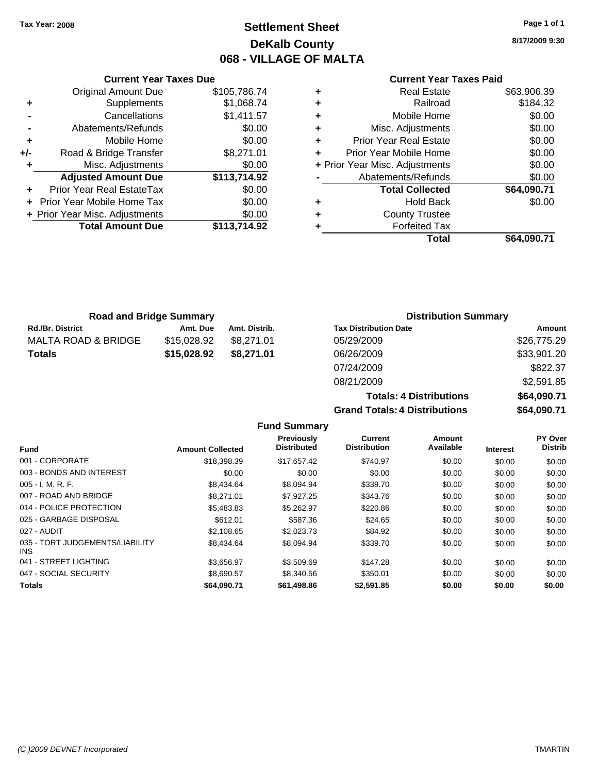## **Settlement Sheet Tax Year: 2008 Page 1 of 1 DeKalb County 068 - VILLAGE OF MALTA**

**8/17/2009 9:30**

## **Current Year Taxes Paid**

|   | Total                          | \$64.090.71 |
|---|--------------------------------|-------------|
| ٠ | <b>Forfeited Tax</b>           |             |
| ٠ | <b>County Trustee</b>          |             |
| ٠ | <b>Hold Back</b>               | \$0.00      |
|   | <b>Total Collected</b>         | \$64,090.71 |
|   | Abatements/Refunds             | \$0.00      |
|   | + Prior Year Misc. Adjustments | \$0.00      |
| ٠ | Prior Year Mobile Home         | \$0.00      |
| ٠ | <b>Prior Year Real Estate</b>  | \$0.00      |
| ٠ | Misc. Adjustments              | \$0.00      |
| ٠ | Mobile Home                    | \$0.00      |
| ٠ | Railroad                       | \$184.32    |
| ٠ | <b>Real Estate</b>             | \$63,906.39 |

|                    | <b>Current Year Taxes Due</b>            |              |  |  |
|--------------------|------------------------------------------|--------------|--|--|
|                    | <b>Original Amount Due</b>               | \$105,786.74 |  |  |
| ٠                  | Supplements                              | \$1,068.74   |  |  |
|                    | Cancellations                            | \$1,411.57   |  |  |
| Abatements/Refunds |                                          |              |  |  |
| ٠                  | Mobile Home                              | \$0.00       |  |  |
| +/-                | Road & Bridge Transfer                   | \$8,271.01   |  |  |
| ٠                  | Misc. Adjustments                        | \$0.00       |  |  |
|                    | <b>Adjusted Amount Due</b>               | \$113,714.92 |  |  |
|                    | Prior Year Real EstateTax                | \$0.00       |  |  |
|                    | Prior Year Mobile Home Tax               | \$0.00       |  |  |
|                    | \$0.00<br>+ Prior Year Misc. Adjustments |              |  |  |
|                    | <b>Total Amount Due</b>                  | \$113,714.92 |  |  |
|                    |                                          |              |  |  |

| <b>Road and Bridge Summary</b> |             |               | <b>Distribution Summary</b>  |                    |  |
|--------------------------------|-------------|---------------|------------------------------|--------------------|--|
| <b>Rd./Br. District</b>        | Amt. Due    | Amt. Distrib. | <b>Tax Distribution Date</b> | Amount             |  |
| MALTA ROAD & BRIDGE            | \$15,028.92 | \$8.271.01    | 05/29/2009                   | \$26,775.29        |  |
| Totals                         | \$15,028.92 | \$8,271.01    | 06/26/2009                   | \$33,901.20        |  |
|                                |             |               | 07/24/2009                   | \$822.37           |  |
|                                |             |               | <b>00/21/2000</b>            | $CD$ $E$ $01$ $9E$ |  |

| 07/24/2009                           | \$822.37    |
|--------------------------------------|-------------|
| 08/21/2009                           | \$2,591.85  |
| <b>Totals: 4 Distributions</b>       | \$64,090.71 |
| <b>Grand Totals: 4 Distributions</b> | \$64,090.71 |

|                                         |                         | <b>Fund Summary</b>              |                                |                     |                 |                                  |
|-----------------------------------------|-------------------------|----------------------------------|--------------------------------|---------------------|-----------------|----------------------------------|
| <b>Fund</b>                             | <b>Amount Collected</b> | Previously<br><b>Distributed</b> | Current<br><b>Distribution</b> | Amount<br>Available | <b>Interest</b> | <b>PY Over</b><br><b>Distrib</b> |
| 001 - CORPORATE                         | \$18,398.39             | \$17.657.42                      | \$740.97                       | \$0.00              | \$0.00          | \$0.00                           |
| 003 - BONDS AND INTEREST                | \$0.00                  | \$0.00                           | \$0.00                         | \$0.00              | \$0.00          | \$0.00                           |
| $005 - I. M. R. F.$                     | \$8,434.64              | \$8,094.94                       | \$339.70                       | \$0.00              | \$0.00          | \$0.00                           |
| 007 - ROAD AND BRIDGE                   | \$8,271.01              | \$7,927.25                       | \$343.76                       | \$0.00              | \$0.00          | \$0.00                           |
| 014 - POLICE PROTECTION                 | \$5,483.83              | \$5.262.97                       | \$220.86                       | \$0.00              | \$0.00          | \$0.00                           |
| 025 - GARBAGE DISPOSAL                  | \$612.01                | \$587.36                         | \$24.65                        | \$0.00              | \$0.00          | \$0.00                           |
| 027 - AUDIT                             | \$2,108.65              | \$2,023.73                       | \$84.92                        | \$0.00              | \$0.00          | \$0.00                           |
| 035 - TORT JUDGEMENTS/LIABILITY<br>INS. | \$8,434,64              | \$8,094.94                       | \$339.70                       | \$0.00              | \$0.00          | \$0.00                           |
| 041 - STREET LIGHTING                   | \$3,656.97              | \$3,509.69                       | \$147.28                       | \$0.00              | \$0.00          | \$0.00                           |
| 047 - SOCIAL SECURITY                   | \$8,690.57              | \$8,340.56                       | \$350.01                       | \$0.00              | \$0.00          | \$0.00                           |
| <b>Totals</b>                           | \$64,090.71             | \$61,498.86                      | \$2,591.85                     | \$0.00              | \$0.00          | \$0.00                           |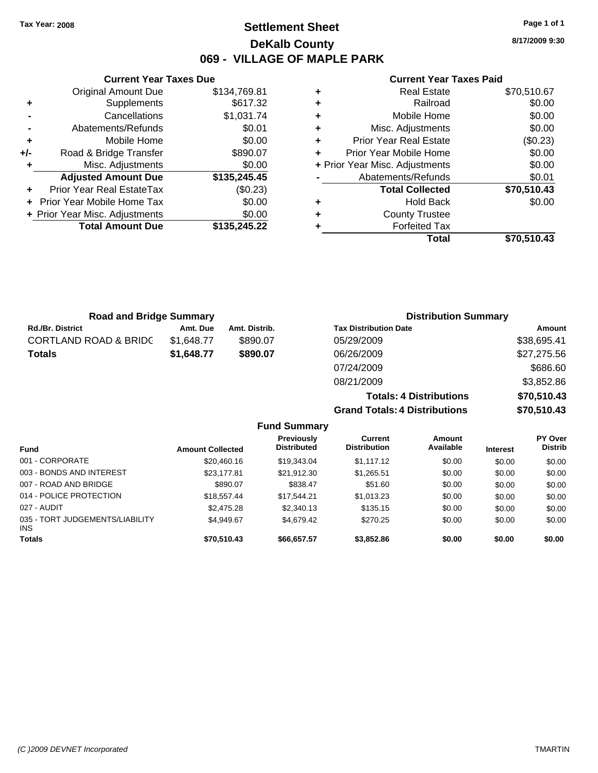**Current Year Taxes Due** Original Amount Due \$134,769.81

**Adjusted Amount Due \$135,245.45**

**Total Amount Due \$135,245.22**

**+** Supplements \$617.32 **-** Cancellations \$1,031.74 **-** Abatements/Refunds \$0.01 **+** Mobile Home \$0.00 **+/-** Road & Bridge Transfer \$890.07 **+** Misc. Adjustments \$0.00

**+** Prior Year Real EstateTax (\$0.23) **+** Prior Year Mobile Home Tax \$0.00 **+ Prior Year Misc. Adjustments**  $$0.00$ 

## **Settlement Sheet Tax Year: 2008 Page 1 of 1 DeKalb County 069 - VILLAGE OF MAPLE PARK**

**8/17/2009 9:30**

### **Current Year Taxes Paid**

| <b>Real Estate</b>             | \$70,510.67 |
|--------------------------------|-------------|
| Railroad                       | \$0.00      |
| Mobile Home                    | \$0.00      |
| Misc. Adjustments              | \$0.00      |
| <b>Prior Year Real Estate</b>  | (\$0.23)    |
| Prior Year Mobile Home         | \$0.00      |
| + Prior Year Misc. Adjustments | \$0.00      |
| Abatements/Refunds             | \$0.01      |
| <b>Total Collected</b>         | \$70,510.43 |
| <b>Hold Back</b>               | \$0.00      |
| <b>County Trustee</b>          |             |
| <b>Forfeited Tax</b>           |             |
| Total                          | \$70.510.43 |
|                                |             |

| <b>Road and Bridge Summary</b>   |            |               | <b>Distribution Summary</b>    |             |
|----------------------------------|------------|---------------|--------------------------------|-------------|
| <b>Rd./Br. District</b>          | Amt. Due   | Amt. Distrib. | <b>Tax Distribution Date</b>   | Amount      |
| <b>CORTLAND ROAD &amp; BRIDC</b> | \$1,648.77 | \$890.07      | 05/29/2009                     | \$38,695.41 |
| <b>Totals</b>                    | \$1,648.77 | \$890.07      | 06/26/2009                     | \$27,275.56 |
|                                  |            |               | 07/24/2009                     | \$686.60    |
|                                  |            |               | 08/21/2009                     | \$3,852.86  |
|                                  |            |               | <b>Totals: 4 Distributions</b> | \$70,510.43 |

**Grand Totals: 4 Distributions \$70,510.43 Fund Summary Fund Interest Amount Collected Distributed PY Over Distrib Amount Available Current Distribution Previously** 001 - CORPORATE \$20,460.16 \$19,343.04 \$1,117.12 \$0.00 \$0.00 \$0.00 003 - BONDS AND INTEREST 623,177.81 \$21,912.30 \$1,265.51 \$0.00 \$0.00 \$0.00 007 - ROAD AND BRIDGE \$890.07 \$838.47 \$51.60 \$0.00 \$0.00 \$0.00 014 - POLICE PROTECTION \$18,557.44 \$17,544.21 \$1,013.23 \$0.00 \$0.00 \$0.00 \$0.00 027 - AUDIT \$2,475.28 \$2,340.13 \$135.15 \$0.00 \$0.00 \$0.00 035 - TORT JUDGEMENTS/LIABILITY INS \$4,949.67 \$4,679.42 \$270.25 \$0.00 \$0.00 \$0.00 **Totals \$70,510.43 \$66,657.57 \$3,852.86 \$0.00 \$0.00 \$0.00**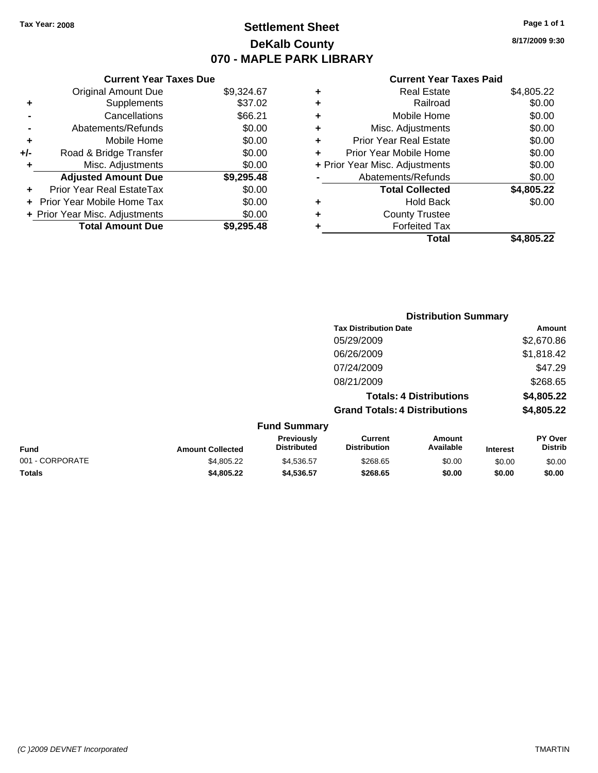## **Settlement Sheet Tax Year: 2008 Page 1 of 1 DeKalb County 070 - MAPLE PARK LIBRARY**

**8/17/2009 9:30**

### **Current Year Taxes Paid**

|   | Total                          | \$4,805.22 |  |  |  |
|---|--------------------------------|------------|--|--|--|
|   | <b>Forfeited Tax</b>           |            |  |  |  |
| ٠ | <b>County Trustee</b>          |            |  |  |  |
| ٠ | <b>Hold Back</b>               | \$0.00     |  |  |  |
|   | <b>Total Collected</b>         | \$4,805.22 |  |  |  |
|   | Abatements/Refunds             | \$0.00     |  |  |  |
|   | + Prior Year Misc. Adjustments | \$0.00     |  |  |  |
| ٠ | Prior Year Mobile Home         | \$0.00     |  |  |  |
| ٠ | <b>Prior Year Real Estate</b>  | \$0.00     |  |  |  |
| ٠ | Misc. Adjustments              | \$0.00     |  |  |  |
| ٠ | Mobile Home                    | \$0.00     |  |  |  |
| ٠ | Railroad                       |            |  |  |  |
| ٠ | <b>Real Estate</b>             | \$4,805.22 |  |  |  |
|   |                                |            |  |  |  |

|                 |                         |                                  |                                       | <b>Distribution Summary</b>    |                 |                                  |
|-----------------|-------------------------|----------------------------------|---------------------------------------|--------------------------------|-----------------|----------------------------------|
|                 |                         |                                  | <b>Tax Distribution Date</b>          |                                |                 | Amount                           |
|                 |                         |                                  | 05/29/2009                            |                                |                 | \$2,670.86                       |
|                 |                         |                                  | 06/26/2009                            |                                |                 | \$1,818.42                       |
|                 |                         |                                  | 07/24/2009                            |                                |                 | \$47.29                          |
|                 |                         |                                  | 08/21/2009                            |                                |                 | \$268.65                         |
|                 |                         |                                  |                                       | <b>Totals: 4 Distributions</b> |                 | \$4,805.22                       |
|                 |                         |                                  | <b>Grand Totals: 4 Distributions</b>  |                                |                 | \$4,805.22                       |
|                 |                         | <b>Fund Summary</b>              |                                       |                                |                 |                                  |
| <b>Fund</b>     | <b>Amount Collected</b> | Previously<br><b>Distributed</b> | <b>Current</b><br><b>Distribution</b> | <b>Amount</b><br>Available     | <b>Interest</b> | <b>PY Over</b><br><b>Distrib</b> |
| 001 - CORPORATE | \$4,805.22              | \$4,536.57                       | \$268.65                              | \$0.00                         | \$0.00          | \$0.00                           |
|                 |                         |                                  |                                       |                                |                 |                                  |

**Totals \$4,805.22 \$4,536.57 \$268.65 \$0.00 \$0.00 \$0.00**

|       |                                  | UIU - WAFL |
|-------|----------------------------------|------------|
|       | <b>Current Year Taxes Due</b>    |            |
|       | Original Amount Due              | \$9,324.67 |
| ٠     | Supplements                      | \$37.02    |
|       | Cancellations                    | \$66.21    |
|       | Abatements/Refunds               | \$0.00     |
| ٠     | Mobile Home                      | \$0.00     |
| $+/-$ | Road & Bridge Transfer           | \$0.00     |
| ٠     | Misc. Adjustments                | \$0.00     |
|       | <b>Adjusted Amount Due</b>       | \$9,295.48 |
| ٠     | <b>Prior Year Real EstateTax</b> | \$0.00     |
|       | Prior Year Mobile Home Tax       | \$0.00     |
|       | + Prior Year Misc. Adjustments   | \$0.00     |
|       | <b>Total Amount Due</b>          | \$9,295.48 |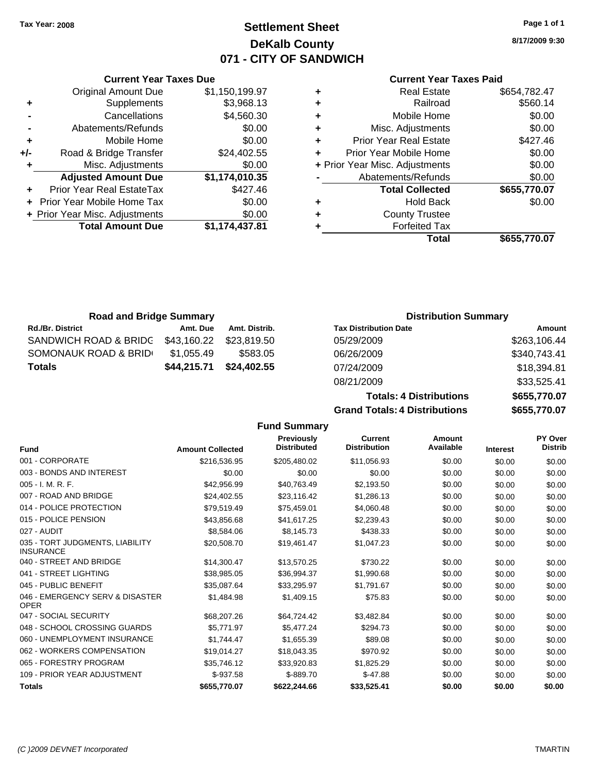## **Settlement Sheet Tax Year: 2008 Page 1 of 1 DeKalb County 071 - CITY OF SANDWICH**

**8/17/2009 9:30**

### **Current Year Taxes Paid**

|   | Total                          | \$655,770.07 |
|---|--------------------------------|--------------|
|   | <b>Forfeited Tax</b>           |              |
| ٠ | <b>County Trustee</b>          |              |
| ٠ | <b>Hold Back</b>               | \$0.00       |
|   | <b>Total Collected</b>         | \$655,770.07 |
|   | Abatements/Refunds             | \$0.00       |
|   | + Prior Year Misc. Adjustments | \$0.00       |
| ٠ | Prior Year Mobile Home         | \$0.00       |
| ٠ | <b>Prior Year Real Estate</b>  | \$427.46     |
| ٠ | Misc. Adjustments              | \$0.00       |
| ٠ | Mobile Home                    | \$0.00       |
| ٠ | Railroad                       | \$560.14     |
|   | <b>Real Estate</b>             | \$654,782.47 |

|     | Supplements                    | \$3,968.13     |   |
|-----|--------------------------------|----------------|---|
|     | Cancellations                  | \$4,560.30     | ٠ |
|     | Abatements/Refunds             | \$0.00         | ٠ |
| ÷   | Mobile Home                    | \$0.00         |   |
| +/- | Road & Bridge Transfer         | \$24,402.55    | ٠ |
| ٠   | Misc. Adjustments              | \$0.00         | ٠ |
|     | <b>Adjusted Amount Due</b>     | \$1,174,010.35 |   |
|     | Prior Year Real EstateTax      | \$427.46       |   |
|     | + Prior Year Mobile Home Tax   | \$0.00         |   |
|     | + Prior Year Misc. Adjustments | \$0.00         | ٠ |
|     | <b>Total Amount Due</b>        | \$1,174,437.81 |   |
|     |                                |                |   |

**Current Year Taxes Due** Original Amount Due \$1,150,199.97

| <b>Road and Bridge Summary</b> |             |               | <b>Distribution Summary</b>  |              |  |
|--------------------------------|-------------|---------------|------------------------------|--------------|--|
| <b>Rd./Br. District</b>        | Amt. Due    | Amt. Distrib. | <b>Tax Distribution Date</b> | Amount       |  |
| SANDWICH ROAD & BRIDG          | \$43,160.22 | \$23.819.50   | 05/29/2009                   | \$263,106.44 |  |
| SOMONAUK ROAD & BRID           | \$1,055.49  | \$583.05      | 06/26/2009                   | \$340,743.41 |  |
| Totals                         | \$44,215.71 | \$24,402.55   | 07/24/2009                   | \$18,394.81  |  |
|                                |             |               | 08/21/2009                   | \$33,525.41  |  |

**Totals: 4 Dist Grand Totals: 4 Dist** 

|            | <b>JUULUAT</b> |
|------------|----------------|
| tributions | \$655,770.07   |
| ributions  | \$655,770.07   |

#### **Fund Summary Fund Interest Amount Collected Distributed PY Over Distrib Amount Available Current Distribution Previously** 001 - CORPORATE \$216,536.95 \$205,480.02 \$11,056.93 \$0.00 \$0.00 \$0.00 003 - BONDS AND INTEREST  $$0.00$   $$0.00$   $$0.00$   $$0.00$   $$0.00$   $$0.00$   $$0.00$   $$0.00$ 005 - I. M. R. F. \$42,956.99 \$40,763.49 \$2,193.50 \$0.00 \$0.00 \$0.00 007 - ROAD AND BRIDGE 60.00 \$24,402.55 \$23,116.42 \$1,286.13 \$0.00 \$0.00 \$0.00 \$0.00 014 - POLICE PROTECTION \$79,519.49 \$75,459.01 \$4,060.48 \$0,00 \$0,00 \$0,00 \$0,00 015 - POLICE PENSION \$43,856.68 \$41,617.25 \$2,239.43 \$0.00 \$0.00 \$0.00 \$0.00 \$0.00 \$0.00 \$0.00 \$0. 027 - AUDIT \$8,584.06 \$8,145.73 \$438.33 \$0.00 \$0.00 \$0.00 035 - TORT JUDGMENTS, LIABILITY INSURANCE \$20,508.70 \$19,461.47 \$1,047.23 \$0.00 \$0.00 \$0.00 040 - STREET AND BRIDGE 6 14.300.47 \$13,570.25 \$730.22 \$0.00 \$0.00 \$0.00 \$0.00 041 - STREET LIGHTING \$38,985.05 \$36,994.37 \$1,990.68 \$0.00 \$0.00 \$0.00 045 - PUBLIC BENEFIT 6 .00 \$0.00 \$15,087.64 \$33,295.97 \$1,791.67 \$0.00 \$0.00 \$0.00 \$0.00 046 - EMERGENCY SERV & DISASTER OPER \$1,484.98 \$1,409.15 \$75.83 \$0.00 \$0.00 \$0.00 047 - SOCIAL SECURITY \$68,207.26 \$64,724.42 \$3,482.84 \$0.00 \$0.00 \$0.00 048 - SCHOOL CROSSING GUARDS \$5,771.97 \$5,477.24 \$294.73 \$0.00 \$0.00 \$0.00 060 - UNEMPLOYMENT INSURANCE  $$1,744.47$   $$1,655.39$   $$89.08$   $$0.00$   $$0.00$   $$0.00$ 062 - WORKERS COMPENSATION \$19,014.27 \$18,043.35 \$970.92 \$0.00 \$0.00 \$0.00 \$0.00 065 - FORESTRY PROGRAM \$35,746.12 \$33,920.83 \$1,825.29 \$0.00 \$0.00 \$0.00 109 - PRIOR YEAR ADJUSTMENT  $$-937.58$   $$-889.70$   $$-47.88$   $$0.00$   $$0.00$   $$0.00$ **Totals \$655,770.07 \$622,244.66 \$33,525.41 \$0.00 \$0.00 \$0.00**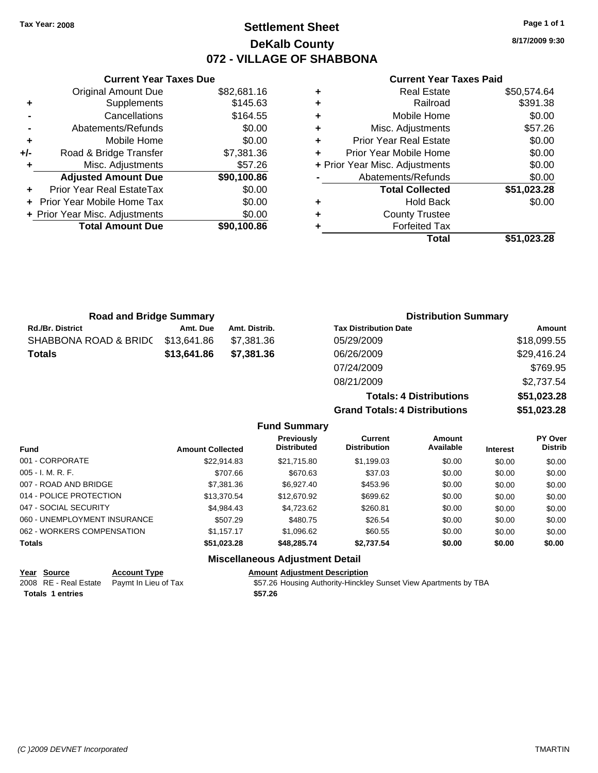## **Settlement Sheet Tax Year: 2008 Page 1 of 1 DeKalb County 072 - VILLAGE OF SHABBONA**

**8/17/2009 9:30**

### **Current Year Taxes Paid**

|     | <b>Current Year Taxes Due</b>    |             |
|-----|----------------------------------|-------------|
|     | <b>Original Amount Due</b>       | \$82,681.16 |
| ٠   | Supplements                      | \$145.63    |
|     | Cancellations                    | \$164.55    |
|     | Abatements/Refunds               | \$0.00      |
| ٠   | Mobile Home                      | \$0.00      |
| +/- | Road & Bridge Transfer           | \$7,381.36  |
| ٠   | Misc. Adjustments                | \$57.26     |
|     | <b>Adjusted Amount Due</b>       | \$90,100.86 |
|     | <b>Prior Year Real EstateTax</b> | \$0.00      |
|     | Prior Year Mobile Home Tax       | \$0.00      |
|     | + Prior Year Misc. Adjustments   | \$0.00      |
|     | <b>Total Amount Due</b>          | \$90,100.86 |
|     |                                  |             |

|   | <b>Real Estate</b>             | \$50,574.64 |
|---|--------------------------------|-------------|
| ÷ | Railroad                       | \$391.38    |
| ٠ | Mobile Home                    | \$0.00      |
| ٠ | Misc. Adjustments              | \$57.26     |
| ٠ | <b>Prior Year Real Estate</b>  | \$0.00      |
| ÷ | Prior Year Mobile Home         | \$0.00      |
|   | + Prior Year Misc. Adjustments | \$0.00      |
|   | Abatements/Refunds             | \$0.00      |
|   | <b>Total Collected</b>         | \$51,023.28 |
| ٠ | <b>Hold Back</b>               | \$0.00      |
| ٠ | <b>County Trustee</b>          |             |
|   | <b>Forfeited Tax</b>           |             |
|   | Total                          | \$51,023.28 |
|   |                                |             |

**Grand Totals: 4 Distributions \$51,023.28**

| <b>Road and Bridge Summary</b> |             |               | <b>Distribution Summary</b>    |             |  |
|--------------------------------|-------------|---------------|--------------------------------|-------------|--|
| <b>Rd./Br. District</b>        | Amt. Due    | Amt. Distrib. | <b>Tax Distribution Date</b>   | Amount      |  |
| SHABBONA ROAD & BRIDC          | \$13,641.86 | \$7,381.36    | 05/29/2009                     | \$18,099.55 |  |
| <b>Totals</b>                  | \$13,641.86 | \$7,381.36    | 06/26/2009                     | \$29,416.24 |  |
|                                |             |               | 07/24/2009                     | \$769.95    |  |
|                                |             |               | 08/21/2009                     | \$2,737.54  |  |
|                                |             |               | <b>Totals: 4 Distributions</b> | \$51,023.28 |  |

**Fund Summary Fund Interest Amount Collected Distributed PY Over Distrib Amount Available Current Distribution Previously** 001 - CORPORATE \$22,914.83 \$21,715.80 \$1,199.03 \$0.00 \$0.00 \$0.00 005 - I. M. R. F. Charles Communication (State State State State State State State State State State State Sta 007 - ROAD AND BRIDGE 60.00 \$7,381.36 \$6,927.40 \$453.96 \$0.00 \$0.00 \$0.00 \$0.00 014 - POLICE PROTECTION \$13,370.54 \$12,670.92 \$699.62 \$0.00 \$0.00 \$0.00 047 - SOCIAL SECURITY \$4,984.43 \$4,723.62 \$260.81 \$0.00 \$0.00 \$0.00 060 - UNEMPLOYMENT INSURANCE \$507.29 \$480.75 \$26.54 \$0.00 \$0.00 \$0.00 062 - WORKERS COMPENSATION \$1,157.17 \$1,096.62 \$60.55 \$0.00 \$0.00 \$0.00 \$0.00 **Totals \$51,023.28 \$48,285.74 \$2,737.54 \$0.00 \$0.00 \$0.00 Miscellaneous Adjustment Detail**

| <u> Year Source </u>    | <b>Account Type</b>                        | <b>Amount Adjustment Description</b>                             |
|-------------------------|--------------------------------------------|------------------------------------------------------------------|
|                         | 2008 RE - Real Estate Paymt In Lieu of Tax | \$57.26 Housing Authority-Hinckley Sunset View Apartments by TBA |
| <b>Totals 1 entries</b> |                                            | \$57.26                                                          |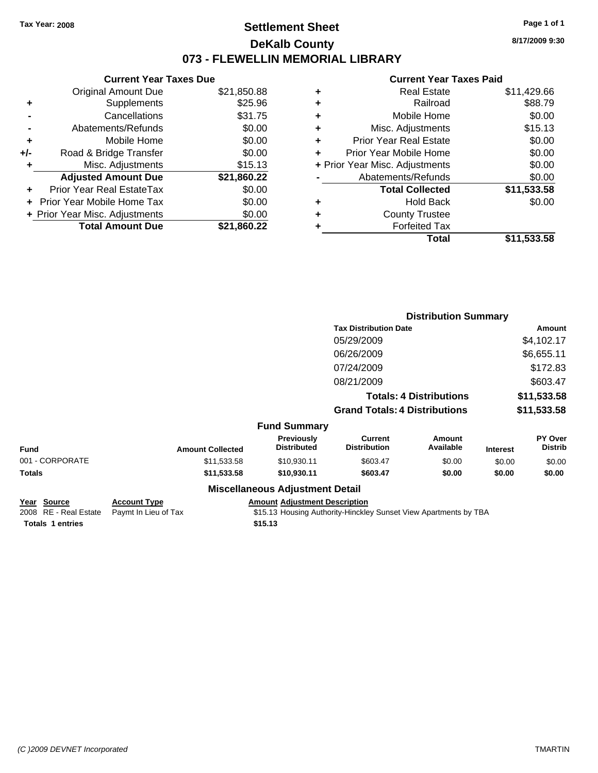## **Settlement Sheet Tax Year: 2008 Page 1 of 1 DeKalb County 073 - FLEWELLIN MEMORIAL LIBRARY**

**8/17/2009 9:30**

### **Current Year Taxes Paid**

|     | <b>Current Year Taxes Due</b>  |             |   |
|-----|--------------------------------|-------------|---|
|     | <b>Original Amount Due</b>     | \$21,850.88 |   |
| ٠   | Supplements                    | \$25.96     | ٠ |
|     | Cancellations                  | \$31.75     |   |
|     | Abatements/Refunds             | \$0.00      |   |
| ٠   | Mobile Home                    | \$0.00      |   |
| +/- | Road & Bridge Transfer         | \$0.00      | ٠ |
| ٠   | Misc. Adjustments              | \$15.13     |   |
|     | <b>Adjusted Amount Due</b>     | \$21,860.22 |   |
|     | Prior Year Real EstateTax      | \$0.00      |   |
|     | Prior Year Mobile Home Tax     | \$0.00      |   |
|     | + Prior Year Misc. Adjustments | \$0.00      |   |
|     | <b>Total Amount Due</b>        | \$21,860.22 |   |
|     |                                |             |   |

| ٠ | <b>Real Estate</b>             | \$11,429.66 |
|---|--------------------------------|-------------|
| ٠ | Railroad                       | \$88.79     |
| ÷ | Mobile Home                    | \$0.00      |
| ٠ | Misc. Adjustments              | \$15.13     |
| ٠ | <b>Prior Year Real Estate</b>  | \$0.00      |
| ٠ | Prior Year Mobile Home         | \$0.00      |
|   | + Prior Year Misc. Adjustments | \$0.00      |
|   | Abatements/Refunds             | \$0.00      |
|   | <b>Total Collected</b>         | \$11,533.58 |
| ٠ | <b>Hold Back</b>               | \$0.00      |
| ٠ | <b>County Trustee</b>          |             |
| ٠ | <b>Forfeited Tax</b>           |             |
|   | Total                          | \$11,533.58 |
|   |                                |             |

|                 |                         |                                  | <b>Distribution Summary</b>           |                                |                 |                           |
|-----------------|-------------------------|----------------------------------|---------------------------------------|--------------------------------|-----------------|---------------------------|
|                 |                         |                                  | <b>Tax Distribution Date</b>          |                                |                 | Amount                    |
|                 |                         |                                  | 05/29/2009                            |                                |                 | \$4,102.17                |
|                 |                         |                                  | 06/26/2009                            |                                |                 | \$6,655.11                |
|                 |                         |                                  | 07/24/2009                            |                                |                 | \$172.83                  |
|                 |                         |                                  | 08/21/2009                            |                                |                 | \$603.47                  |
|                 |                         |                                  |                                       | <b>Totals: 4 Distributions</b> |                 | \$11,533.58               |
|                 |                         |                                  | <b>Grand Totals: 4 Distributions</b>  |                                |                 | \$11,533.58               |
|                 |                         | <b>Fund Summary</b>              |                                       |                                |                 |                           |
| <b>Fund</b>     | <b>Amount Collected</b> | Previously<br><b>Distributed</b> | <b>Current</b><br><b>Distribution</b> | Amount<br>Available            | <b>Interest</b> | PY Over<br><b>Distrib</b> |
| 001 - CORPORATE | \$11,533.58             | \$10,930.11                      | \$603.47                              | \$0.00                         | \$0.00          | \$0.00                    |
| Totals          | \$11,533.58             | \$10,930.11                      | \$603.47                              | \$0.00                         | \$0.00          | \$0.00                    |
|                 |                         | Miccellenceus Adjustment Detail  |                                       |                                |                 |                           |

### **Miscellaneous Adjustment Detail**

| Year Source                                | <b>Account Type</b> | <b>Amount Adjustment Description</b>                             |
|--------------------------------------------|---------------------|------------------------------------------------------------------|
| 2008 RE - Real Estate Paymt In Lieu of Tax |                     | \$15.13 Housing Authority-Hinckley Sunset View Apartments by TBA |
| Totals 1 entries                           |                     | \$15.13                                                          |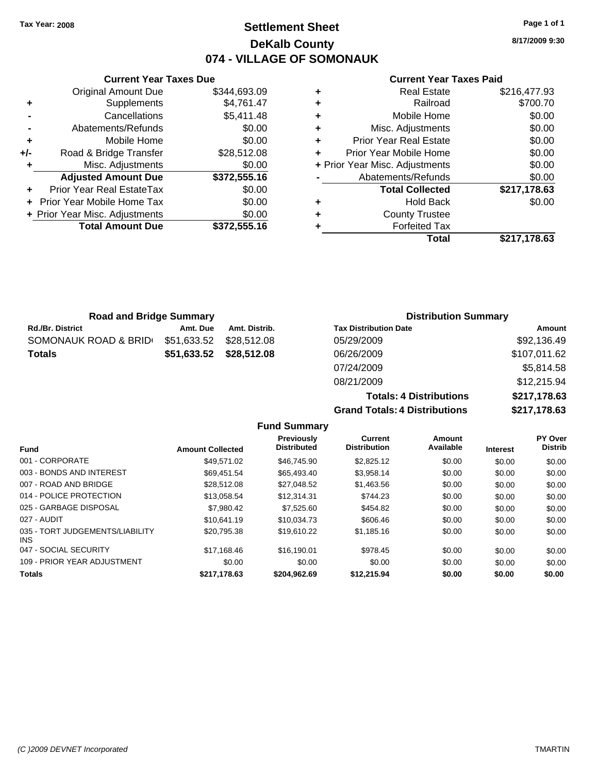## **Settlement Sheet Tax Year: 2008 Page 1 of 1 DeKalb County 074 - VILLAGE OF SOMONAUK**

**8/17/2009 9:30**

### **Current Year Taxes Paid**

|     | <b>Current Year Taxes Due</b>  |              |
|-----|--------------------------------|--------------|
|     | <b>Original Amount Due</b>     | \$344,693.09 |
| ٠   | Supplements                    | \$4,761.47   |
|     | Cancellations                  | \$5,411.48   |
|     | Abatements/Refunds             | \$0.00       |
| ٠   | Mobile Home                    | \$0.00       |
| +/- | Road & Bridge Transfer         | \$28,512.08  |
| ٠   | Misc. Adjustments              | \$0.00       |
|     | <b>Adjusted Amount Due</b>     | \$372,555.16 |
| ٠   | Prior Year Real EstateTax      | \$0.00       |
|     | Prior Year Mobile Home Tax     | \$0.00       |
|     | + Prior Year Misc. Adjustments | \$0.00       |
|     | <b>Total Amount Due</b>        | \$372,555.16 |
|     |                                |              |

| ٠ | <b>Real Estate</b>             | \$216,477.93 |
|---|--------------------------------|--------------|
| ÷ | Railroad                       | \$700.70     |
| ٠ | Mobile Home                    | \$0.00       |
| ٠ | Misc. Adjustments              | \$0.00       |
| ٠ | <b>Prior Year Real Estate</b>  | \$0.00       |
| ٠ | Prior Year Mobile Home         | \$0.00       |
|   | + Prior Year Misc. Adjustments | \$0.00       |
|   | Abatements/Refunds             | \$0.00       |
|   | <b>Total Collected</b>         | \$217,178.63 |
| ٠ | <b>Hold Back</b>               | \$0.00       |
| ٠ | <b>County Trustee</b>          |              |
| ٠ | <b>Forfeited Tax</b>           |              |
|   | Total                          | \$217,178.63 |
|   |                                |              |

| <b>Road and Bridge Summary</b> |             |                         |                              | <b>Distribution Summary</b> |
|--------------------------------|-------------|-------------------------|------------------------------|-----------------------------|
| <b>Rd./Br. District</b>        | Amt. Due    | Amt. Distrib.           | <b>Tax Distribution Date</b> | Amount                      |
| SOMONAUK ROAD & BRID           | \$51,633.52 | \$28.512.08             | 05/29/2009                   | \$92,136.49                 |
| <b>Totals</b>                  |             | \$51.633.52 \$28.512.08 | 06/26/2009                   | \$107,011.62                |
|                                |             |                         | 07/24/2009                   | \$5,814.58                  |

| 08/21/2009                           | \$12,215.94  |
|--------------------------------------|--------------|
| <b>Totals: 4 Distributions</b>       | \$217,178.63 |
| <b>Grand Totals: 4 Distributions</b> | \$217,178.63 |

|                                         |                         | <b>Fund Summary</b>              |                                |                     |                 |                           |
|-----------------------------------------|-------------------------|----------------------------------|--------------------------------|---------------------|-----------------|---------------------------|
| <b>Fund</b>                             | <b>Amount Collected</b> | Previously<br><b>Distributed</b> | Current<br><b>Distribution</b> | Amount<br>Available | <b>Interest</b> | PY Over<br><b>Distrib</b> |
| 001 - CORPORATE                         | \$49.571.02             | \$46,745.90                      | \$2,825.12                     | \$0.00              | \$0.00          | \$0.00                    |
| 003 - BONDS AND INTEREST                | \$69.451.54             | \$65,493,40                      | \$3,958.14                     | \$0.00              | \$0.00          | \$0.00                    |
| 007 - ROAD AND BRIDGE                   | \$28,512.08             | \$27.048.52                      | \$1,463.56                     | \$0.00              | \$0.00          | \$0.00                    |
| 014 - POLICE PROTECTION                 | \$13,058.54             | \$12,314.31                      | \$744.23                       | \$0.00              | \$0.00          | \$0.00                    |
| 025 - GARBAGE DISPOSAL                  | \$7,980.42              | \$7,525.60                       | \$454.82                       | \$0.00              | \$0.00          | \$0.00                    |
| 027 - AUDIT                             | \$10.641.19             | \$10.034.73                      | \$606.46                       | \$0.00              | \$0.00          | \$0.00                    |
| 035 - TORT JUDGEMENTS/LIABILITY<br>INS. | \$20.795.38             | \$19,610.22                      | \$1,185.16                     | \$0.00              | \$0.00          | \$0.00                    |
| 047 - SOCIAL SECURITY                   | \$17.168.46             | \$16,190.01                      | \$978.45                       | \$0.00              | \$0.00          | \$0.00                    |
| 109 - PRIOR YEAR ADJUSTMENT             | \$0.00                  | \$0.00                           | \$0.00                         | \$0.00              | \$0.00          | \$0.00                    |
| Totals                                  | \$217,178.63            | \$204,962.69                     | \$12,215.94                    | \$0.00              | \$0.00          | \$0.00                    |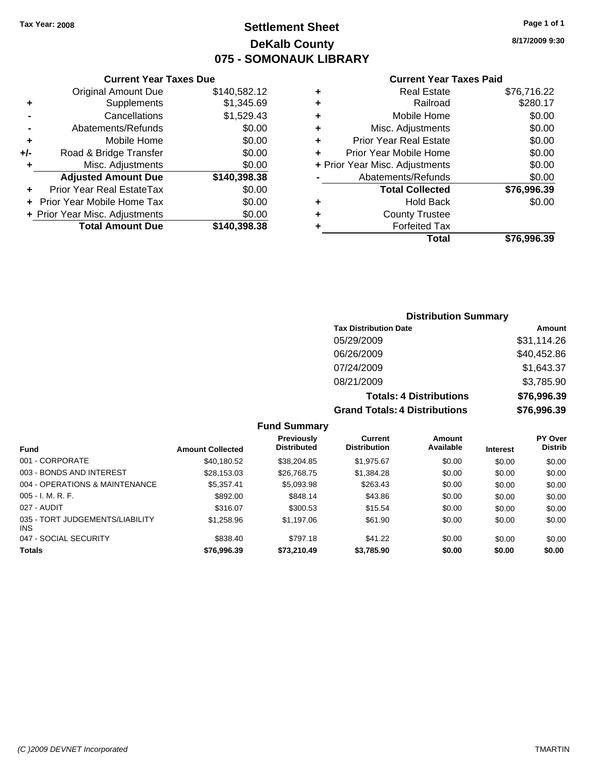## **Settlement Sheet Tax Year: 2008 Page 1 of 1 DeKalb County 075 - SOMONAUK LIBRARY**

**8/17/2009 9:30**

### **Current Year Taxes Paid**

|     | <b>Current Year Taxes Due</b>  |              |  |  |  |  |
|-----|--------------------------------|--------------|--|--|--|--|
|     | <b>Original Amount Due</b>     | \$140,582.12 |  |  |  |  |
| ٠   | Supplements                    | \$1,345.69   |  |  |  |  |
|     | Cancellations                  | \$1,529.43   |  |  |  |  |
|     | Abatements/Refunds             | \$0.00       |  |  |  |  |
| ٠   | Mobile Home                    | \$0.00       |  |  |  |  |
| +/- | Road & Bridge Transfer         | \$0.00       |  |  |  |  |
| ٠   | Misc. Adjustments              | \$0.00       |  |  |  |  |
|     | <b>Adjusted Amount Due</b>     | \$140,398.38 |  |  |  |  |
| ٠   | Prior Year Real EstateTax      | \$0.00       |  |  |  |  |
|     | Prior Year Mobile Home Tax     | \$0.00       |  |  |  |  |
|     | + Prior Year Misc. Adjustments | \$0.00       |  |  |  |  |
|     | <b>Total Amount Due</b>        | \$140,398.38 |  |  |  |  |
|     |                                |              |  |  |  |  |

|   | Total                          | \$76,996.39 |
|---|--------------------------------|-------------|
|   | <b>Forfeited Tax</b>           |             |
| ٠ | <b>County Trustee</b>          |             |
| ٠ | <b>Hold Back</b>               | \$0.00      |
|   | <b>Total Collected</b>         | \$76,996.39 |
|   | Abatements/Refunds             | \$0.00      |
|   | + Prior Year Misc. Adjustments | \$0.00      |
| ٠ | Prior Year Mobile Home         | \$0.00      |
| ÷ | <b>Prior Year Real Estate</b>  | \$0.00      |
| ٠ | Misc. Adjustments              | \$0.00      |
| ÷ | Mobile Home                    | \$0.00      |
| ÷ | Railroad                       | \$280.17    |
| ٠ | <b>Real Estate</b>             | \$76,716.22 |
|   |                                |             |

## **Distribution Summary**

| <b>Tax Distribution Date</b>         | Amount      |
|--------------------------------------|-------------|
| 05/29/2009                           | \$31,114.26 |
| 06/26/2009                           | \$40,452.86 |
| 07/24/2009                           | \$1,643.37  |
| 08/21/2009                           | \$3,785.90  |
| <b>Totals: 4 Distributions</b>       | \$76,996.39 |
| <b>Grand Totals: 4 Distributions</b> | \$76,996.39 |

## **Fund Summary**

| <b>Fund</b>                             | <b>Amount Collected</b> | <b>Previously</b><br><b>Distributed</b> | Current<br><b>Distribution</b> | Amount<br>Available | <b>Interest</b> | <b>PY Over</b><br><b>Distrib</b> |
|-----------------------------------------|-------------------------|-----------------------------------------|--------------------------------|---------------------|-----------------|----------------------------------|
| 001 - CORPORATE                         | \$40,180.52             | \$38,204.85                             | \$1,975.67                     | \$0.00              | \$0.00          | \$0.00                           |
| 003 - BONDS AND INTEREST                | \$28,153.03             | \$26,768.75                             | \$1,384.28                     | \$0.00              | \$0.00          | \$0.00                           |
| 004 - OPERATIONS & MAINTENANCE          | \$5,357.41              | \$5,093.98                              | \$263.43                       | \$0.00              | \$0.00          | \$0.00                           |
| $005 - I. M. R. F.$                     | \$892.00                | \$848.14                                | \$43.86                        | \$0.00              | \$0.00          | \$0.00                           |
| 027 - AUDIT                             | \$316.07                | \$300.53                                | \$15.54                        | \$0.00              | \$0.00          | \$0.00                           |
| 035 - TORT JUDGEMENTS/LIABILITY<br>INS. | \$1,258.96              | \$1,197.06                              | \$61.90                        | \$0.00              | \$0.00          | \$0.00                           |
| 047 - SOCIAL SECURITY                   | \$838.40                | \$797.18                                | \$41.22                        | \$0.00              | \$0.00          | \$0.00                           |
| <b>Totals</b>                           | \$76,996.39             | \$73,210.49                             | \$3,785.90                     | \$0.00              | \$0.00          | \$0.00                           |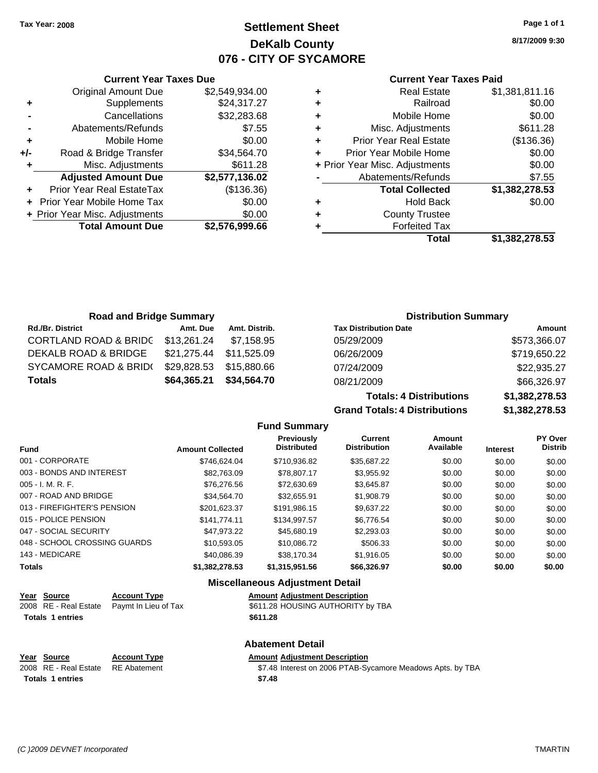**Current Year Taxes Due** Original Amount Due \$2,549,934.00

**Adjusted Amount Due \$2,577,136.02**

**Total Amount Due \$2,576,999.66**

**+** Supplements \$24,317.27 **-** Cancellations \$32,283.68 **-** Abatements/Refunds \$7.55 **+** Mobile Home \$0.00 **+/-** Road & Bridge Transfer \$34,564.70 **+** Misc. Adjustments \$611.28

**+** Prior Year Real EstateTax (\$136.36) **+** Prior Year Mobile Home Tax \$0.00 **+ Prior Year Misc. Adjustments**  $$0.00$ 

## **Settlement Sheet Tax Year: 2008 Page 1 of 1 DeKalb County 076 - CITY OF SYCAMORE**

**8/17/2009 9:30**

### **Current Year Taxes Paid**

| ٠ | <b>Real Estate</b>             | \$1,381,811.16 |
|---|--------------------------------|----------------|
| ٠ | Railroad                       | \$0.00         |
| ٠ | Mobile Home                    | \$0.00         |
| ٠ | Misc. Adjustments              | \$611.28       |
| ٠ | <b>Prior Year Real Estate</b>  | (\$136.36)     |
|   | Prior Year Mobile Home         | \$0.00         |
|   | + Prior Year Misc. Adjustments | \$0.00         |
|   | Abatements/Refunds             | \$7.55         |
|   | <b>Total Collected</b>         | \$1,382,278.53 |
| ٠ | <b>Hold Back</b>               | \$0.00         |
| ٠ | <b>County Trustee</b>          |                |
| ٠ | <b>Forfeited Tax</b>           |                |
|   | Total                          | \$1,382,278.53 |

| <b>Road and Bridge Summary</b>   |             |               | <b>Distribution Summary</b>  |              |
|----------------------------------|-------------|---------------|------------------------------|--------------|
| <b>Rd./Br. District</b>          | Amt. Due    | Amt. Distrib. | <b>Tax Distribution Date</b> | Amount       |
| <b>CORTLAND ROAD &amp; BRIDC</b> | \$13,261.24 | \$7.158.95    | 05/29/2009                   | \$573,366.07 |
| <b>DEKALB ROAD &amp; BRIDGE</b>  | \$21,275.44 | \$11,525.09   | 06/26/2009                   | \$719,650.22 |
| SYCAMORE ROAD & BRID(            | \$29,828.53 | \$15,880.66   | 07/24/2009                   | \$22,935.27  |
| <b>Totals</b>                    | \$64,365.21 | \$34,564.70   | 08/21/2009                   | \$66,326.97  |

**Totals: 4 Distributions \$1,382,278.53 Grand Totals: 4 Distributions \$1,382,278.53**

| <b>Fund Summary</b>         |                         |                                         |                                |                     |                 |                                  |
|-----------------------------|-------------------------|-----------------------------------------|--------------------------------|---------------------|-----------------|----------------------------------|
| <b>Fund</b>                 | <b>Amount Collected</b> | <b>Previously</b><br><b>Distributed</b> | Current<br><b>Distribution</b> | Amount<br>Available | <b>Interest</b> | <b>PY Over</b><br><b>Distrib</b> |
| 001 - CORPORATE             | \$746.624.04            | \$710,936.82                            | \$35,687.22                    | \$0.00              | \$0.00          | \$0.00                           |
| 003 - BONDS AND INTEREST    | \$82,763,09             | \$78,807.17                             | \$3,955.92                     | \$0.00              | \$0.00          | \$0.00                           |
| $005 - I. M. R. F.$         | \$76,276.56             | \$72,630.69                             | \$3,645.87                     | \$0.00              | \$0.00          | \$0.00                           |
| 007 - ROAD AND BRIDGE       | \$34,564.70             | \$32,655.91                             | \$1,908.79                     | \$0.00              | \$0.00          | \$0.00                           |
| 013 - FIREFIGHTER'S PENSION | \$201,623.37            | \$191,986.15                            | \$9,637.22                     | \$0.00              | \$0.00          | \$0.00                           |
| 015 - POLICE PENSION        | \$141.774.11            | \$134,997.57                            | \$6,776.54                     | \$0.00              | \$0.00          | \$0.00                           |
| 047 - SOCIAL SECURITY       | \$47.973.22             | \$45,680.19                             | \$2,293.03                     | \$0.00              | \$0.00          | \$0.00                           |

## 143 - MEDICARE \$40,086.39 \$38,170.34 \$1,916.05 \$0.00 \$0.00 \$0.00 **Totals \$1,382,278.53 \$1,315,951.56 \$66,326.97 \$0.00 \$0.00 \$0.00 Miscellaneous Adjustment Detail**

| Year Source             | <b>Account Type</b>                        | <b>Amount Adiustment Description</b> |
|-------------------------|--------------------------------------------|--------------------------------------|
|                         | 2008 RE - Real Estate Paymt In Lieu of Tax | \$611.28 HOUSING AUTHORITY by TBA    |
| <b>Totals 1 entries</b> |                                            | \$611.28                             |

## **Abatement Detail**

048 - SCHOOL CROSSING GUARDS \$10,593.05 \$10,086.72 \$506.33 \$0.00 \$0.00 \$0.00 \$0.00

### **Year Source Account Type Amount Adjustment Description** 2008 RE - Real Estate RE Abatement ST.48 Interest on 2006 PTAB-Sycamore Meadows Apts. by TBA **Totals \$7.48 1 entries**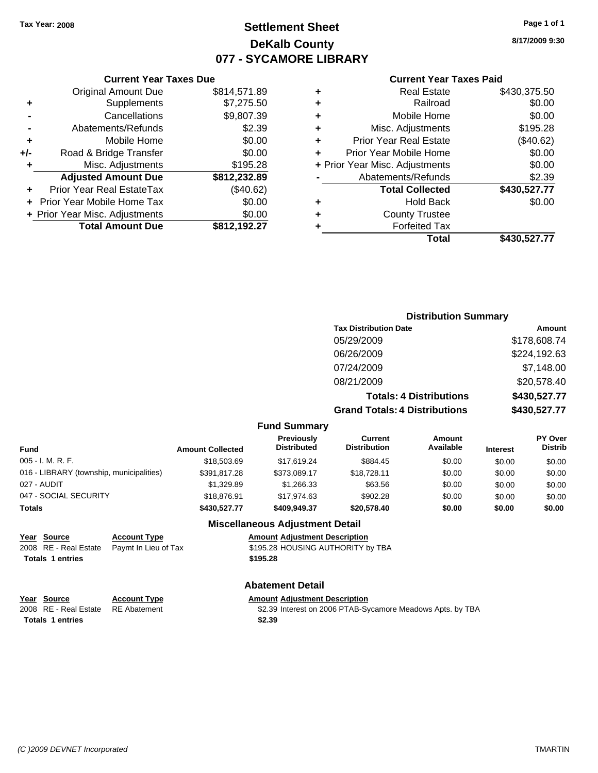## **Settlement Sheet Tax Year: 2008 Page 1 of 1 DeKalb County 077 - SYCAMORE LIBRARY**

**8/17/2009 9:30**

## **Current Year Taxes Paid**

| <b>Current Yea</b>            |   |              | <b>Current Year Taxes Due</b>  |     |
|-------------------------------|---|--------------|--------------------------------|-----|
| <b>Real Estat</b>             | ÷ | \$814,571.89 | Original Amount Due            |     |
| Railroa                       | ÷ | \$7,275.50   | <b>Supplements</b>             |     |
| Mobile Hom                    | ٠ | \$9,807.39   | Cancellations                  |     |
| Misc. Adjustment              | ÷ | \$2.39       | Abatements/Refunds             |     |
| <b>Prior Year Real Estat</b>  | ÷ | \$0.00       | Mobile Home                    | ÷   |
| Prior Year Mobile Hom         | ÷ | \$0.00       | Road & Bridge Transfer         | +/- |
| + Prior Year Misc. Adjustment |   | \$195.28     | Misc. Adjustments              |     |
| Abatements/Refund             |   | \$812,232.89 | <b>Adjusted Amount Due</b>     |     |
| <b>Total Collecte</b>         |   | (\$40.62)    | Prior Year Real EstateTax      |     |
| <b>Hold Bac</b>               | ٠ | \$0.00       | + Prior Year Mobile Home Tax   |     |
| <b>County Truste</b>          | ÷ | \$0.00       | + Prior Year Misc. Adjustments |     |
| <b>Forfeited Ta</b>           | ٠ | \$812,192.27 | <b>Total Amount Due</b>        |     |
| $T_{\alpha}$                  |   |              |                                |     |

| Total                          | \$430,527.77 |
|--------------------------------|--------------|
| <b>Forfeited Tax</b>           |              |
| <b>County Trustee</b>          |              |
| <b>Hold Back</b>               | \$0.00       |
| <b>Total Collected</b>         | \$430,527.77 |
| Abatements/Refunds             | \$2.39       |
| + Prior Year Misc. Adjustments | \$0.00       |
| Prior Year Mobile Home         | \$0.00       |
| <b>Prior Year Real Estate</b>  | (\$40.62)    |
| Misc. Adjustments              | \$195.28     |
| Mobile Home                    | \$0.00       |
| Railroad                       | \$0.00       |
| <b>Real Estate</b>             | \$430,375.50 |
| Gullell I cal Taxes Falu       |              |

## **Distribution Summary Tax Distribution Date Amount** 05/29/2009 \$178,608.74 06/26/2009 \$224,192.63 07/24/2009 \$7,148.00 08/21/2009 \$20,578.40 **Totals: 4 Distributions \$430,527.77 Grand Totals: 4 Distributions \$430,527.77**

### **Fund Summary**

| <b>Fund</b>                              | <b>Amount Collected</b> | Previously<br><b>Distributed</b> | Current<br><b>Distribution</b> | Amount<br>Available | <b>Interest</b> | <b>PY Over</b><br><b>Distrib</b> |
|------------------------------------------|-------------------------|----------------------------------|--------------------------------|---------------------|-----------------|----------------------------------|
| 005 - I. M. R. F.                        | \$18,503.69             | \$17.619.24                      | \$884.45                       | \$0.00              | \$0.00          | \$0.00                           |
| 016 - LIBRARY (township, municipalities) | \$391,817.28            | \$373,089.17                     | \$18,728.11                    | \$0.00              | \$0.00          | \$0.00                           |
| 027 - AUDIT                              | \$1.329.89              | \$1,266,33                       | \$63.56                        | \$0.00              | \$0.00          | \$0.00                           |
| 047 - SOCIAL SECURITY                    | \$18,876.91             | \$17.974.63                      | \$902.28                       | \$0.00              | \$0.00          | \$0.00                           |
| Totals                                   | \$430,527.77            | \$409,949.37                     | \$20,578.40                    | \$0.00              | \$0.00          | \$0.00                           |

### **Miscellaneous Adjustment Detail**

| Year Source             | <b>Account Type</b>                        | <b>Amount Adjustment Description</b> |
|-------------------------|--------------------------------------------|--------------------------------------|
|                         | 2008 RE - Real Estate Paymt In Lieu of Tax | \$195.28 HOUSING AUTHORITY by TBA    |
| <b>Totals 1 entries</b> |                                            | \$195.28                             |

## **Abatement Detail**

|                         | Year Source                        | <b>Account Type</b> | <b>Amount Adiustment Description</b>                       |
|-------------------------|------------------------------------|---------------------|------------------------------------------------------------|
|                         | 2008 RE - Real Estate RE Abatement |                     | \$2.39 Interest on 2006 PTAB-Sycamore Meadows Apts. by TBA |
| <b>Totals 1 entries</b> |                                    |                     | \$2.39                                                     |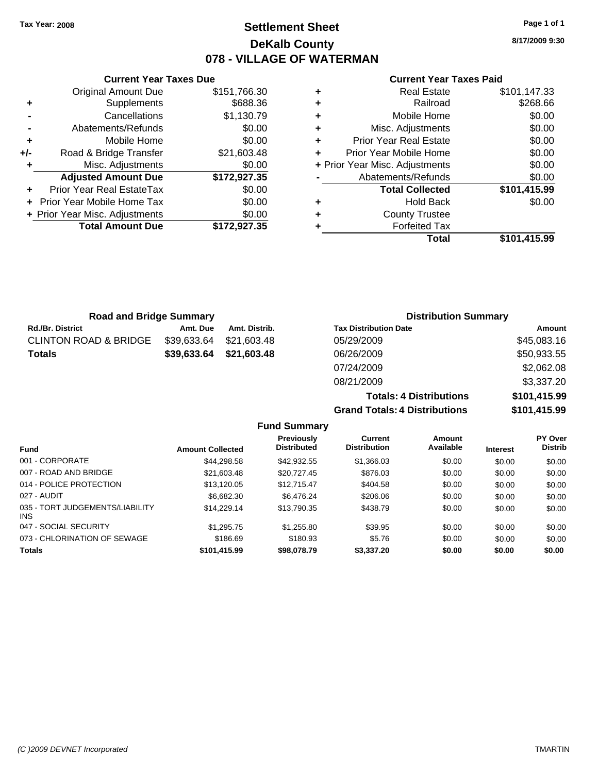## **Settlement Sheet Tax Year: 2008 Page 1 of 1 DeKalb County 078 - VILLAGE OF WATERMAN**

**8/17/2009 9:30**

## **Current Year Taxes Paid**

| <b>Currer</b>            |   |              | <b>Current Year Taxes Due</b>  |       |
|--------------------------|---|--------------|--------------------------------|-------|
| Real                     | ÷ | \$151,766.30 | Original Amount Due            |       |
| R                        | ٠ | \$688.36     | Supplements                    | ٠     |
| Mobile                   | ٠ | \$1,130.79   | Cancellations                  |       |
| Misc. Adjus              | ٠ | \$0.00       | Abatements/Refunds             |       |
| <b>Prior Year Real</b>   | ÷ | \$0.00       | Mobile Home                    | ٠     |
| Prior Year Mobile        |   | \$21,603.48  | Road & Bridge Transfer         | $+/-$ |
| + Prior Year Misc. Adjus |   | \$0.00       | Misc. Adjustments              | ٠     |
| Abatements/R             |   | \$172,927.35 | <b>Adjusted Amount Due</b>     |       |
| <b>Total Co</b>          |   | \$0.00       | Prior Year Real EstateTax      |       |
| Hol                      | ٠ | \$0.00       | + Prior Year Mobile Home Tax   |       |
| County <sup>-</sup>      | ٠ | \$0.00       | + Prior Year Misc. Adjustments |       |
| Forfeit                  |   | \$172,927.35 | <b>Total Amount Due</b>        |       |
|                          |   |              |                                |       |

|   | Total                          | \$101,415.99 |
|---|--------------------------------|--------------|
|   | <b>Forfeited Tax</b>           |              |
| ٠ | <b>County Trustee</b>          |              |
|   | <b>Hold Back</b>               | \$0.00       |
|   | <b>Total Collected</b>         | \$101,415.99 |
|   | Abatements/Refunds             | \$0.00       |
|   | + Prior Year Misc. Adjustments | \$0.00       |
| ÷ | Prior Year Mobile Home         | \$0.00       |
| ٠ | <b>Prior Year Real Estate</b>  | \$0.00       |
| ٠ | Misc. Adjustments              | \$0.00       |
| ٠ | Mobile Home                    | \$0.00       |
|   | Railroad                       | \$268.66     |
| ٠ | <b>Real Estate</b>             | \$101,147.33 |

| <b>Road and Bridge Summary</b>   |             |               | <b>Distribution Summary</b>  |             |  |
|----------------------------------|-------------|---------------|------------------------------|-------------|--|
| <b>Rd./Br. District</b>          | Amt. Due    | Amt. Distrib. | <b>Tax Distribution Date</b> | Amount      |  |
| <b>CLINTON ROAD &amp; BRIDGE</b> | \$39,633.64 | \$21.603.48   | 05/29/2009                   | \$45,083.16 |  |
| <b>Totals</b>                    | \$39,633.64 | \$21,603.48   | 06/26/2009                   | \$50,933.55 |  |
|                                  |             |               | 07/24/2009                   | \$2,062.08  |  |
|                                  |             |               | 08/21/2009                   | \$3,337.20  |  |

| <b>Grand Totals: 4 Distributions</b> | \$101,415.99 |
|--------------------------------------|--------------|
| <b>Totals: 4 Distributions</b>       | \$101,415.99 |
| 08/21/2009                           | \$3,337.20   |
| 07/24/2009                           | \$2,062.08   |
| 06/26/2009                           | \$50,933.55  |

|                                         |                         | <b>Fund Summary</b>              |                                |                     |                 |                                  |
|-----------------------------------------|-------------------------|----------------------------------|--------------------------------|---------------------|-----------------|----------------------------------|
| <b>Fund</b>                             | <b>Amount Collected</b> | Previously<br><b>Distributed</b> | Current<br><b>Distribution</b> | Amount<br>Available | <b>Interest</b> | <b>PY Over</b><br><b>Distrib</b> |
| 001 - CORPORATE                         | \$44.298.58             | \$42.932.55                      | \$1,366.03                     | \$0.00              | \$0.00          | \$0.00                           |
| 007 - ROAD AND BRIDGE                   | \$21,603.48             | \$20.727.45                      | \$876.03                       | \$0.00              | \$0.00          | \$0.00                           |
| 014 - POLICE PROTECTION                 | \$13.120.05             | \$12,715,47                      | \$404.58                       | \$0.00              | \$0.00          | \$0.00                           |
| 027 - AUDIT                             | \$6.682.30              | \$6,476.24                       | \$206.06                       | \$0.00              | \$0.00          | \$0.00                           |
| 035 - TORT JUDGEMENTS/LIABILITY<br>INS. | \$14.229.14             | \$13.790.35                      | \$438.79                       | \$0.00              | \$0.00          | \$0.00                           |
| 047 - SOCIAL SECURITY                   | \$1.295.75              | \$1,255.80                       | \$39.95                        | \$0.00              | \$0.00          | \$0.00                           |
| 073 - CHLORINATION OF SEWAGE            | \$186.69                | \$180.93                         | \$5.76                         | \$0.00              | \$0.00          | \$0.00                           |
| <b>Totals</b>                           | \$101,415.99            | \$98,078.79                      | \$3,337.20                     | \$0.00              | \$0.00          | \$0.00                           |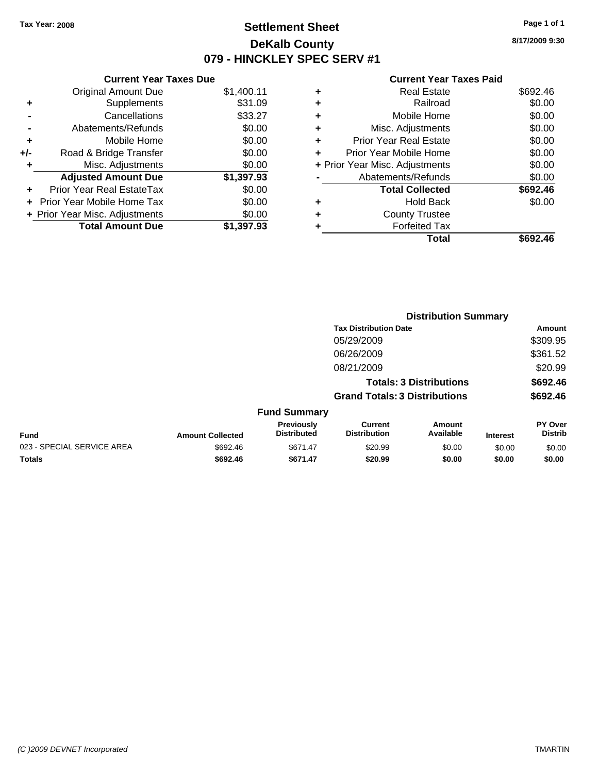# **Settlement Sheet Tax Year: 2008 Page 1 of 1 DeKalb County 079 - HINCKLEY SPEC SERV #1**

**Current Year Taxes Due**

|       | <b>Original Amount Due</b>     | \$1,400.11 |
|-------|--------------------------------|------------|
| ٠     | Supplements                    | \$31.09    |
|       | Cancellations                  | \$33.27    |
|       | Abatements/Refunds             | \$0.00     |
| ٠     | Mobile Home                    | \$0.00     |
| $+/-$ | Road & Bridge Transfer         | \$0.00     |
| ٠     | Misc. Adjustments              | \$0.00     |
|       | <b>Adjusted Amount Due</b>     | \$1,397.93 |
|       | Prior Year Real EstateTax      | \$0.00     |
|       | + Prior Year Mobile Home Tax   | \$0.00     |
|       | + Prior Year Misc. Adjustments | \$0.00     |
|       | <b>Total Amount Due</b>        | \$1,397.93 |

#### **Current Year Taxes Paid**

|   | <b>Real Estate</b>             | \$692.46 |
|---|--------------------------------|----------|
| ٠ | Railroad                       | \$0.00   |
| ٠ | Mobile Home                    | \$0.00   |
| ٠ | Misc. Adjustments              | \$0.00   |
| ٠ | <b>Prior Year Real Estate</b>  | \$0.00   |
|   | Prior Year Mobile Home         | \$0.00   |
|   | + Prior Year Misc. Adjustments | \$0.00   |
|   | Abatements/Refunds             | \$0.00   |
|   | <b>Total Collected</b>         | \$692.46 |
| ٠ | <b>Hold Back</b>               | \$0.00   |
| ٠ | <b>County Trustee</b>          |          |
|   | <b>Forfeited Tax</b>           |          |
|   | Total                          | \$692.46 |
|   |                                |          |

|                            |                         |                                  |                                       | <b>Distribution Summary</b>    |                 |                                  |
|----------------------------|-------------------------|----------------------------------|---------------------------------------|--------------------------------|-----------------|----------------------------------|
|                            |                         |                                  | <b>Tax Distribution Date</b>          |                                |                 | Amount                           |
|                            |                         |                                  | 05/29/2009                            |                                |                 | \$309.95                         |
|                            |                         |                                  | 06/26/2009                            |                                |                 | \$361.52                         |
|                            |                         |                                  | 08/21/2009                            |                                |                 | \$20.99                          |
|                            |                         |                                  |                                       | <b>Totals: 3 Distributions</b> |                 | \$692.46                         |
|                            |                         |                                  | <b>Grand Totals: 3 Distributions</b>  |                                |                 | \$692.46                         |
|                            |                         | <b>Fund Summary</b>              |                                       |                                |                 |                                  |
| <b>Fund</b>                | <b>Amount Collected</b> | Previously<br><b>Distributed</b> | <b>Current</b><br><b>Distribution</b> | Amount<br>Available            | <b>Interest</b> | <b>PY Over</b><br><b>Distrib</b> |
| 023 - SPECIAL SERVICE AREA | \$692.46                | \$671.47                         | \$20.99                               | \$0.00                         | \$0.00          | \$0.00                           |
| Totals                     | \$692.46                | \$671.47                         | \$20.99                               | \$0.00                         | \$0.00          | \$0.00                           |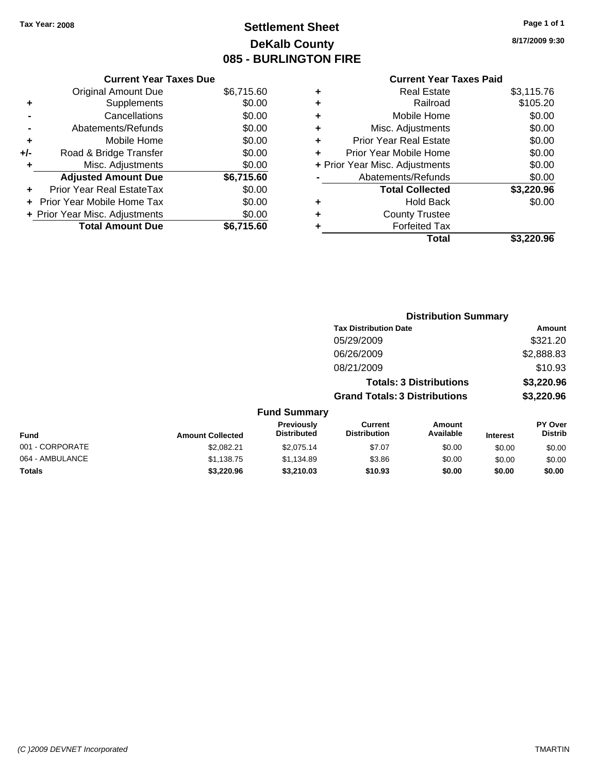# **Settlement Sheet Tax Year: 2008 Page 1 of 1 DeKalb County 085 - BURLINGTON FIRE**

**8/17/2009 9:30**

### **Current Year Taxes Paid**

|       | <b>Current Year Taxes Due</b>  |            |
|-------|--------------------------------|------------|
|       | <b>Original Amount Due</b>     | \$6,715.60 |
| ٠     | Supplements                    | \$0.00     |
|       | Cancellations                  | \$0.00     |
|       | Abatements/Refunds             | \$0.00     |
| ٠     | Mobile Home                    | \$0.00     |
| $+/-$ | Road & Bridge Transfer         | \$0.00     |
| ٠     | Misc. Adjustments              | \$0.00     |
|       | <b>Adjusted Amount Due</b>     | \$6,715.60 |
| ÷     | Prior Year Real EstateTax      | \$0.00     |
|       | Prior Year Mobile Home Tax     | \$0.00     |
|       | + Prior Year Misc. Adjustments | \$0.00     |
|       | <b>Total Amount Due</b>        | \$6,715.60 |

| ٠ | <b>Real Estate</b>             | \$3,115.76 |
|---|--------------------------------|------------|
|   |                                |            |
| ÷ | Railroad                       | \$105.20   |
|   |                                |            |
| ÷ | Mobile Home                    | \$0.00     |
|   |                                |            |
| ٠ | Misc. Adjustments              | \$0.00     |
| ÷ | <b>Prior Year Real Estate</b>  | \$0.00     |
|   |                                |            |
| ٠ | Prior Year Mobile Home         | \$0.00     |
|   | + Prior Year Misc. Adjustments | \$0.00     |
|   |                                |            |
|   | Abatements/Refunds             | \$0.00     |
|   | <b>Total Collected</b>         | \$3,220.96 |
| ٠ | <b>Hold Back</b>               | \$0.00     |
| ٠ | <b>County Trustee</b>          |            |
|   |                                |            |
| ٠ | <b>Forfeited Tax</b>           |            |
|   |                                |            |
|   | Total                          | \$3,220.96 |

|                 |                         |                                  |                                       | <b>Distribution Summary</b>    |                 |                                  |
|-----------------|-------------------------|----------------------------------|---------------------------------------|--------------------------------|-----------------|----------------------------------|
|                 |                         |                                  | <b>Tax Distribution Date</b>          |                                |                 | Amount                           |
|                 |                         |                                  | 05/29/2009                            |                                |                 | \$321.20                         |
|                 |                         |                                  | 06/26/2009                            |                                |                 | \$2,888.83                       |
|                 |                         |                                  | 08/21/2009                            |                                |                 | \$10.93                          |
|                 |                         |                                  |                                       | <b>Totals: 3 Distributions</b> |                 | \$3,220.96                       |
|                 |                         |                                  | <b>Grand Totals: 3 Distributions</b>  |                                |                 | \$3,220.96                       |
|                 |                         | <b>Fund Summary</b>              |                                       |                                |                 |                                  |
| <b>Fund</b>     | <b>Amount Collected</b> | Previously<br><b>Distributed</b> | <b>Current</b><br><b>Distribution</b> | Amount<br>Available            | <b>Interest</b> | <b>PY Over</b><br><b>Distrib</b> |
| 001 - CORPORATE | \$2.082.21              | \$2,075.14                       | \$7.07                                | \$0.00                         | \$0.00          | \$0.00                           |
| 064 - AMBULANCE | \$1,138.75              | \$1,134.89                       | \$3.86                                | \$0.00                         | \$0.00          | \$0.00                           |
| Totals          | \$3,220.96              | \$3,210.03                       | \$10.93                               | \$0.00                         | \$0.00          | \$0.00                           |
|                 |                         |                                  |                                       |                                |                 |                                  |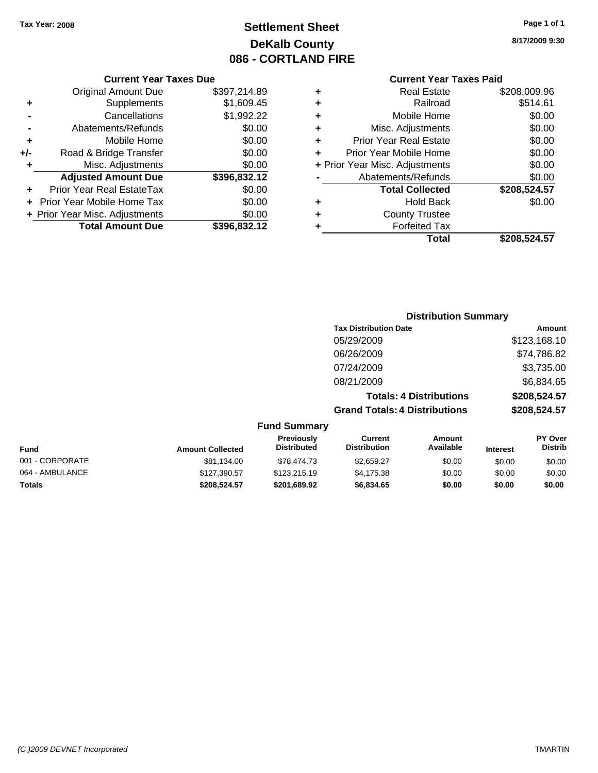# **Settlement Sheet Tax Year: 2008 Page 1 of 1 DeKalb County 086 - CORTLAND FIRE**

**8/17/2009 9:30**

### **Current Year Taxes Paid**

|   | <b>Real Estate</b>             | \$208,009.96 |
|---|--------------------------------|--------------|
| ٠ | Railroad                       | \$514.61     |
| ٠ | Mobile Home                    | \$0.00       |
| ٠ | Misc. Adjustments              | \$0.00       |
| ٠ | <b>Prior Year Real Estate</b>  | \$0.00       |
| ÷ | Prior Year Mobile Home         | \$0.00       |
|   | + Prior Year Misc. Adjustments | \$0.00       |
|   | Abatements/Refunds             | \$0.00       |
|   | <b>Total Collected</b>         | \$208,524.57 |
| ٠ | Hold Back                      | \$0.00       |
| ٠ | <b>County Trustee</b>          |              |
|   | <b>Forfeited Tax</b>           |              |
|   | Total                          | \$208.524.57 |

|     | <b>Current Year Taxes Due</b>     |              |
|-----|-----------------------------------|--------------|
|     | <b>Original Amount Due</b>        | \$397,214.89 |
| ٠   | Supplements                       | \$1,609.45   |
|     | Cancellations                     | \$1,992.22   |
|     | Abatements/Refunds                | \$0.00       |
| ٠   | Mobile Home                       | \$0.00       |
| +/- | Road & Bridge Transfer            | \$0.00       |
| ٠   | Misc. Adjustments                 | \$0.00       |
|     | <b>Adjusted Amount Due</b>        | \$396,832.12 |
|     | <b>Prior Year Real EstateTax</b>  | \$0.00       |
|     | <b>Prior Year Mobile Home Tax</b> | \$0.00       |
|     | + Prior Year Misc. Adjustments    | \$0.00       |
|     | <b>Total Amount Due</b>           | \$396,832.12 |

### **Distribution Summary**

| \$123,168.10 |
|--------------|
| \$74,786.82  |
| \$3,735.00   |
| \$6,834.65   |
| \$208,524.57 |
| \$208,524.57 |
|              |

| Fund            | <b>Amount Collected</b> | <b>Previously</b><br><b>Distributed</b> | Current<br><b>Distribution</b> | Amount<br>Available | <b>Interest</b> | PY Over<br><b>Distrib</b> |
|-----------------|-------------------------|-----------------------------------------|--------------------------------|---------------------|-----------------|---------------------------|
| 001 - CORPORATE | \$81,134.00             | \$78,474.73                             | \$2,659.27                     | \$0.00              | \$0.00          | \$0.00                    |
| 064 - AMBULANCE | \$127,390.57            | \$123,215.19                            | \$4.175.38                     | \$0.00              | \$0.00          | \$0.00                    |
| Totals          | \$208.524.57            | \$201.689.92                            | \$6,834.65                     | \$0.00              | \$0.00          | \$0.00                    |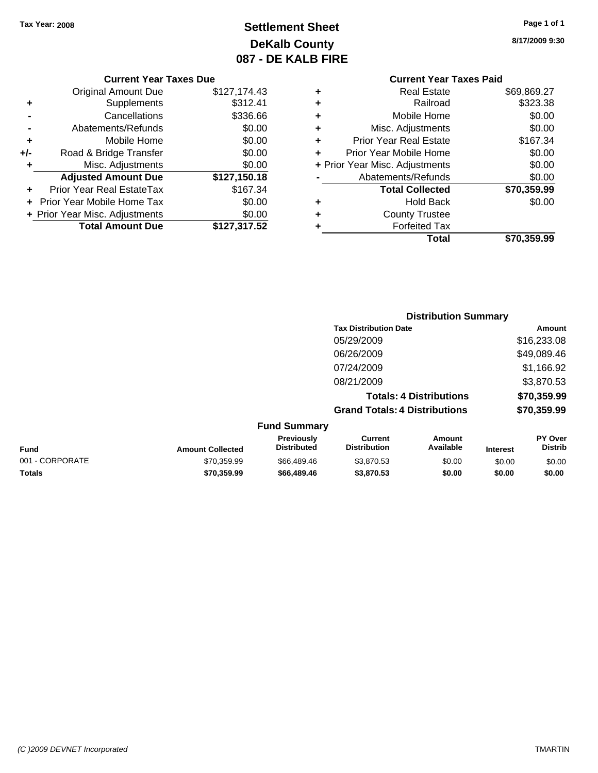# **Settlement Sheet Tax Year: 2008 Page 1 of 1 DeKalb County 087 - DE KALB FIRE**

**8/17/2009 9:30**

| <b>Current Year Taxes Due</b> |
|-------------------------------|
|-------------------------------|

|     | <b>Original Amount Due</b>     | \$127,174.43 |
|-----|--------------------------------|--------------|
| ٠   | Supplements                    | \$312.41     |
|     | Cancellations                  | \$336.66     |
|     | Abatements/Refunds             | \$0.00       |
| ٠   | Mobile Home                    | \$0.00       |
| +/- | Road & Bridge Transfer         | \$0.00       |
| ٠   | Misc. Adjustments              | \$0.00       |
|     | <b>Adjusted Amount Due</b>     | \$127,150.18 |
|     | Prior Year Real EstateTax      | \$167.34     |
|     | Prior Year Mobile Home Tax     | \$0.00       |
|     | + Prior Year Misc. Adjustments | \$0.00       |
|     |                                |              |
|     | <b>Total Amount Due</b>        | \$127,317.52 |

### **Current Year Taxes Paid +** Real Estate \$69,869.27

|   | Total                          | \$70,359.99 |
|---|--------------------------------|-------------|
| ٠ | <b>Forfeited Tax</b>           |             |
| ٠ | <b>County Trustee</b>          |             |
| ٠ | <b>Hold Back</b>               | \$0.00      |
|   | <b>Total Collected</b>         | \$70,359.99 |
|   | Abatements/Refunds             | \$0.00      |
|   | + Prior Year Misc. Adjustments | \$0.00      |
| ٠ | Prior Year Mobile Home         | \$0.00      |
| ٠ | <b>Prior Year Real Estate</b>  | \$167.34    |
| ٠ | Misc. Adjustments              | \$0.00      |
| ٠ | Mobile Home                    | \$0.00      |
| ÷ | Railroad                       | \$323.38    |
| Ŧ | ngal Lolal <del>c</del>        | ມບວ,ບບວ.∠≢  |

#### **Distribution Summary Tax Distribution Date Amount** 05/29/2009 \$16,233.08 06/26/2009 \$49,089.46 07/24/2009 \$1,166.92 08/21/2009 \$3,870.53 **Totals: 4 Distributions \$70,359.99 Grand Totals: 4 Distributions \$70,359.99 Fund Summary PY Over Distrib Amount Available Current Distribution Previously Amount Collected Distributed**

| <b>Fund</b>     | <b>Amount Collected</b> | <b>Distributed</b> | <b>Distribution</b> | Available | <b>Interest</b> | Distrib |
|-----------------|-------------------------|--------------------|---------------------|-----------|-----------------|---------|
| 001 - CORPORATE | \$70.359.99             | \$66,489,46        | \$3.870.53          | \$0.00    | \$0.00          | \$0.00  |
| <b>Totals</b>   | \$70.359.99             | \$66,489,46        | \$3,870.53          | \$0.00    | \$0.00          | \$0.00  |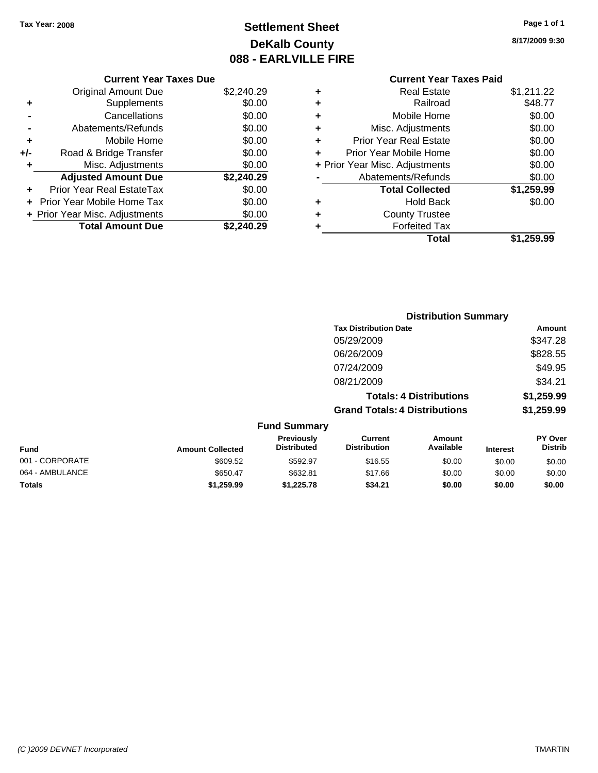# **Settlement Sheet Tax Year: 2008 Page 1 of 1 DeKalb County 088 - EARLVILLE FIRE**

**8/17/2009 9:30**

| \$2,240.29 |
|------------|
|            |

| ٠   | Supplements                    | \$0.00     |
|-----|--------------------------------|------------|
|     | Cancellations                  | \$0.00     |
|     | Abatements/Refunds             | \$0.00     |
| ٠   | Mobile Home                    | \$0.00     |
| +/- | Road & Bridge Transfer         | \$0.00     |
| ÷   | Misc. Adjustments              | \$0.00     |
|     | <b>Adjusted Amount Due</b>     | \$2,240.29 |
| ÷   | Prior Year Real EstateTax      | \$0.00     |
|     | + Prior Year Mobile Home Tax   | \$0.00     |
|     | + Prior Year Misc. Adjustments | \$0.00     |
|     | <b>Total Amount Due</b>        | \$2,240.29 |

# **Current Year Taxes Paid**

|   | <b>Real Estate</b>             | \$1,211.22 |
|---|--------------------------------|------------|
|   | Railroad                       | \$48.77    |
| ٠ | Mobile Home                    | \$0.00     |
| ٠ | Misc. Adjustments              | \$0.00     |
| ٠ | <b>Prior Year Real Estate</b>  | \$0.00     |
| ٠ | Prior Year Mobile Home         | \$0.00     |
|   | + Prior Year Misc. Adjustments | \$0.00     |
|   | Abatements/Refunds             | \$0.00     |
|   | <b>Total Collected</b>         | \$1,259.99 |
| ٠ | <b>Hold Back</b>               | \$0.00     |
| ٠ | <b>County Trustee</b>          |            |
| ٠ | <b>Forfeited Tax</b>           |            |
|   | Total                          | \$1,259.99 |
|   |                                |            |

|                         |                                  |                                       |                     |                                                                                                        | Amount                      |
|-------------------------|----------------------------------|---------------------------------------|---------------------|--------------------------------------------------------------------------------------------------------|-----------------------------|
|                         |                                  | 05/29/2009                            |                     |                                                                                                        | \$347.28                    |
|                         |                                  | 06/26/2009                            |                     |                                                                                                        | \$828.55                    |
|                         |                                  | 07/24/2009                            |                     |                                                                                                        | \$49.95                     |
|                         |                                  | 08/21/2009                            |                     |                                                                                                        | \$34.21                     |
|                         |                                  |                                       |                     |                                                                                                        | \$1,259.99                  |
|                         |                                  |                                       |                     |                                                                                                        | \$1,259.99                  |
|                         |                                  |                                       |                     |                                                                                                        |                             |
| <b>Amount Collected</b> | Previously<br><b>Distributed</b> | <b>Current</b><br><b>Distribution</b> | Amount<br>Available | <b>Interest</b>                                                                                        | PY Over<br><b>Distrib</b>   |
| \$609.52                | \$592.97                         | \$16.55                               | \$0.00              | \$0.00                                                                                                 | \$0.00                      |
|                         |                                  |                                       | <b>Fund Summary</b> | <b>Tax Distribution Date</b><br><b>Totals: 4 Distributions</b><br><b>Grand Totals: 4 Distributions</b> | <b>Distribution Summary</b> |

064 - AMBULANCE \$650.47 \$632.81 \$17.66 \$0.00 \$0.00 \$0.00 **Totals \$1,259.99 \$1,225.78 \$34.21 \$0.00 \$0.00 \$0.00**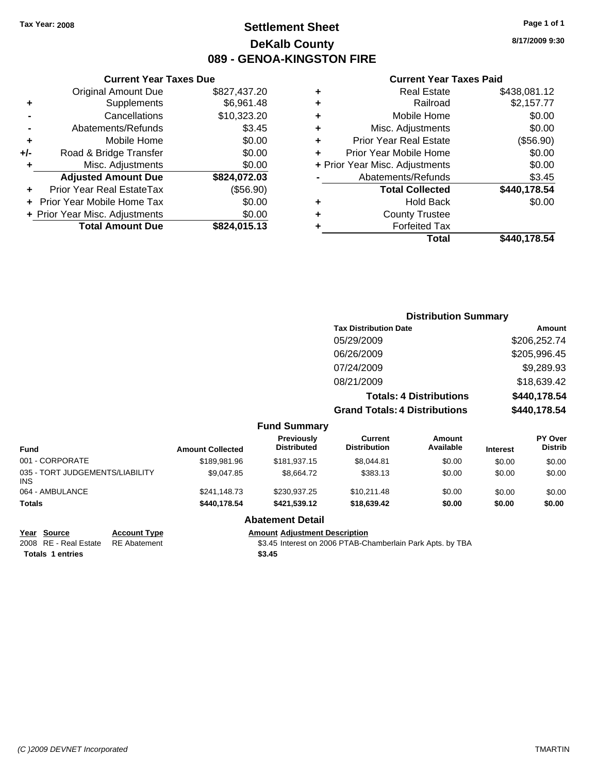# **Settlement Sheet Tax Year: 2008 Page 1 of 1 DeKalb County 089 - GENOA-KINGSTON FIRE**

**8/17/2009 9:30**

#### **Current Year Taxes Paid**

| <b>Prior Year Real Estate</b><br>Prior Year Mobile Home<br>+ Prior Year Misc. Adjustments<br>Abatements/Refunds<br><b>Total Collected</b><br><b>Hold Back</b><br><b>County Trustee</b><br><b>Forfeited Tax</b> | \$0.00<br>\$0.00<br>\$3.45<br>\$440,178.54<br>\$0.00 |
|----------------------------------------------------------------------------------------------------------------------------------------------------------------------------------------------------------------|------------------------------------------------------|
|                                                                                                                                                                                                                |                                                      |
|                                                                                                                                                                                                                |                                                      |
|                                                                                                                                                                                                                |                                                      |
|                                                                                                                                                                                                                |                                                      |
|                                                                                                                                                                                                                |                                                      |
|                                                                                                                                                                                                                |                                                      |
|                                                                                                                                                                                                                |                                                      |
|                                                                                                                                                                                                                | (\$56.90)                                            |
| Misc. Adjustments                                                                                                                                                                                              | \$0.00                                               |
| Mobile Home                                                                                                                                                                                                    | \$0.00                                               |
| Railroad                                                                                                                                                                                                       | \$2,157.77                                           |
| <b>Real Estate</b>                                                                                                                                                                                             | \$438,081.12                                         |
|                                                                                                                                                                                                                |                                                      |

|     | <b>Current Year Taxes Due</b>     |              |
|-----|-----------------------------------|--------------|
|     | <b>Original Amount Due</b>        | \$827,437.20 |
| ٠   | Supplements                       | \$6,961.48   |
|     | Cancellations                     | \$10,323.20  |
|     | Abatements/Refunds                | \$3.45       |
| ÷   | Mobile Home                       | \$0.00       |
| +/- | Road & Bridge Transfer            | \$0.00       |
| ٠   | Misc. Adjustments                 | \$0.00       |
|     | <b>Adjusted Amount Due</b>        | \$824,072.03 |
|     | Prior Year Real EstateTax         | (\$56.90)    |
|     | <b>Prior Year Mobile Home Tax</b> | \$0.00       |
|     | + Prior Year Misc. Adjustments    | \$0.00       |
|     | <b>Total Amount Due</b>           | \$824,015.13 |

| <b>Distribution Summary</b>          |              |
|--------------------------------------|--------------|
| <b>Tax Distribution Date</b>         | Amount       |
| 05/29/2009                           | \$206,252.74 |
| 06/26/2009                           | \$205,996.45 |
| 07/24/2009                           | \$9,289.93   |
| 08/21/2009                           | \$18,639.42  |
| <b>Totals: 4 Distributions</b>       | \$440,178.54 |
| <b>Grand Totals: 4 Distributions</b> | \$440,178.54 |

|  | <b>Fund Summary</b> |
|--|---------------------|
|--|---------------------|

| <b>Fund</b>                                   | <b>Amount Collected</b> | Previously<br><b>Distributed</b> | Current<br><b>Distribution</b> | Amount<br>Available | <b>Interest</b> | <b>PY Over</b><br><b>Distrib</b> |
|-----------------------------------------------|-------------------------|----------------------------------|--------------------------------|---------------------|-----------------|----------------------------------|
| 001 - CORPORATE                               | \$189,981.96            | \$181.937.15                     | \$8.044.81                     | \$0.00              | \$0.00          | \$0.00                           |
| 035 - TORT JUDGEMENTS/LIABILITY<br><b>INS</b> | \$9.047.85              | \$8.664.72                       | \$383.13                       | \$0.00              | \$0.00          | \$0.00                           |
| 064 - AMBULANCE                               | \$241,148.73            | \$230,937.25                     | \$10.211.48                    | \$0.00              | \$0.00          | \$0.00                           |
| <b>Totals</b>                                 | \$440,178.54            | \$421.539.12                     | \$18,639.42                    | \$0.00              | \$0.00          | \$0.00                           |

#### **Abatement Detail**

#### **Year Source Account Type Amount Adjustment Description**

2008 RE - Real Estate RE Abatement S3.45 Interest on 2006 PTAB-Chamberlain Park Apts. by TBA **Totals \$3.45 1 entries**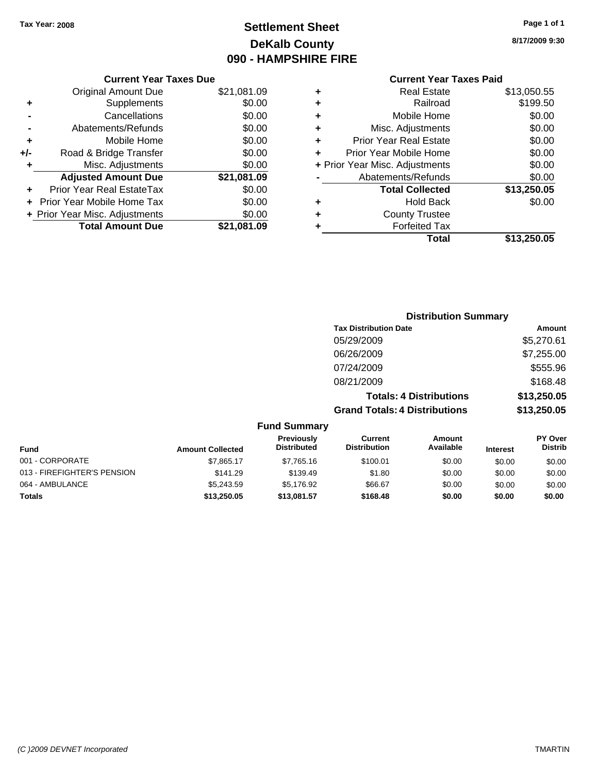# **Settlement Sheet Tax Year: 2008 Page 1 of 1 DeKalb County 090 - HAMPSHIRE FIRE**

**8/17/2009 9:30**

|       | <b>Current Year Taxes Due</b>     |             |  |  |  |
|-------|-----------------------------------|-------------|--|--|--|
|       | <b>Original Amount Due</b>        | \$21,081.09 |  |  |  |
| ٠     | Supplements                       | \$0.00      |  |  |  |
|       | Cancellations                     | \$0.00      |  |  |  |
|       | Abatements/Refunds                | \$0.00      |  |  |  |
| ÷     | Mobile Home                       | \$0.00      |  |  |  |
| $+/-$ | Road & Bridge Transfer            | \$0.00      |  |  |  |
| ٠     | Misc. Adjustments                 | \$0.00      |  |  |  |
|       | <b>Adjusted Amount Due</b>        | \$21,081.09 |  |  |  |
|       | Prior Year Real EstateTax         | \$0.00      |  |  |  |
|       | <b>Prior Year Mobile Home Tax</b> | \$0.00      |  |  |  |
|       | + Prior Year Misc. Adjustments    | \$0.00      |  |  |  |
|       | <b>Total Amount Due</b>           | \$21,081.09 |  |  |  |
|       |                                   |             |  |  |  |

# **Current Year Taxes Paid**

| ٠ | <b>Real Estate</b>             | \$13,050.55 |
|---|--------------------------------|-------------|
| ÷ | Railroad                       | \$199.50    |
| ÷ | Mobile Home                    | \$0.00      |
| ٠ | Misc. Adjustments              | \$0.00      |
| ٠ | <b>Prior Year Real Estate</b>  | \$0.00      |
| ÷ | Prior Year Mobile Home         | \$0.00      |
|   | + Prior Year Misc. Adjustments | \$0.00      |
|   | Abatements/Refunds             | \$0.00      |
|   | <b>Total Collected</b>         | \$13,250.05 |
| ٠ | <b>Hold Back</b>               | \$0.00      |
| ٠ | <b>County Trustee</b>          |             |
| ٠ | <b>Forfeited Tax</b>           |             |
|   | Total                          | \$13,250.05 |
|   |                                |             |

#### **Distribution Summary Tax Distribution Date Amount** 05/29/2009 \$5,270.61 06/26/2009 \$7,255.00 07/24/2009 \$555.96 08/21/2009 \$168.48 **Totals: 4 Distributions \$13,250.05 Grand Totals: 4 Distributions \$13,250.05 Fund Summary PY Over Amount Current Previously**

| <b>Fund</b>                 | <b>Amount Collected</b> | <b>FIGVIOUSIV</b><br><b>Distributed</b> | <b>Gunen</b><br><b>Distribution</b> | AIIIUUIIL<br>Available | <b>Interest</b> | FI UVEI<br><b>Distrib</b> |
|-----------------------------|-------------------------|-----------------------------------------|-------------------------------------|------------------------|-----------------|---------------------------|
| 001 - CORPORATE             | \$7.865.17              | \$7.765.16                              | \$100.01                            | \$0.00                 | \$0.00          | \$0.00                    |
| 013 - FIREFIGHTER'S PENSION | \$141.29                | \$139.49                                | \$1.80                              | \$0.00                 | \$0.00          | \$0.00                    |
| 064 - AMBULANCE             | \$5,243.59              | \$5.176.92                              | \$66.67                             | \$0.00                 | \$0.00          | \$0.00                    |
| <b>Totals</b>               | \$13,250.05             | \$13,081.57                             | \$168.48                            | \$0.00                 | \$0.00          | \$0.00                    |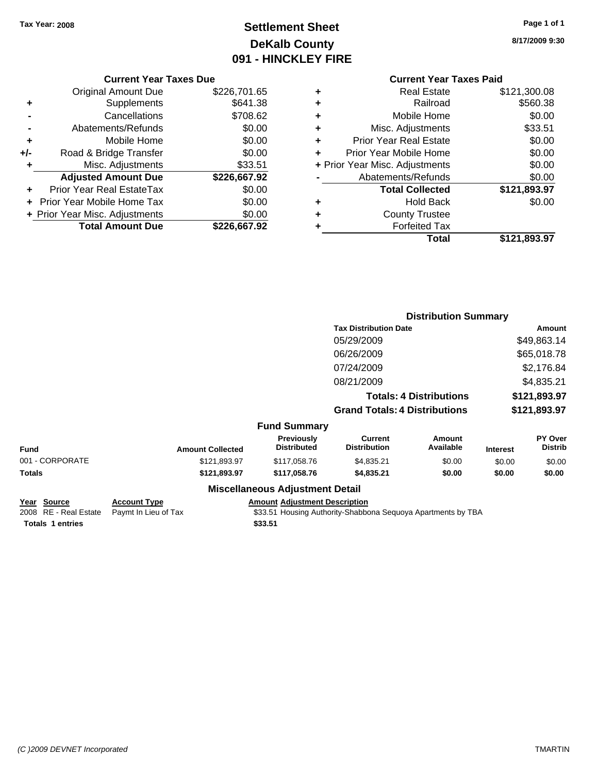# **Settlement Sheet Tax Year: 2008 Page 1 of 1 DeKalb County 091 - HINCKLEY FIRE**

**8/17/2009 9:30**

# **Current Year Taxes Paid**

|     | <b>Current Year Taxes Due</b>  |              |           |
|-----|--------------------------------|--------------|-----------|
|     | <b>Original Amount Due</b>     | \$226,701.65 | ٠         |
|     | <b>Supplements</b>             | \$641.38     | ٠         |
|     | Cancellations                  | \$708.62     | ٠         |
|     | Abatements/Refunds             | \$0.00       |           |
|     | Mobile Home                    | \$0.00       |           |
| +/- | Road & Bridge Transfer         | \$0.00       |           |
|     | Misc. Adjustments              | \$33.51      | + Prior Y |
|     | <b>Adjusted Amount Due</b>     | \$226,667.92 |           |
|     | Prior Year Real EstateTax      | \$0.00       |           |
|     | Prior Year Mobile Home Tax     | \$0.00       |           |
|     | + Prior Year Misc. Adjustments | \$0.00       |           |
|     | <b>Total Amount Due</b>        | \$226,667.92 |           |
|     |                                |              |           |

| ٠                              | <b>Real Estate</b>            | \$121,300.08 |
|--------------------------------|-------------------------------|--------------|
| ٠                              | Railroad                      | \$560.38     |
| ٠                              | Mobile Home                   | \$0.00       |
| ٠                              | Misc. Adjustments             | \$33.51      |
| ٠                              | <b>Prior Year Real Estate</b> | \$0.00       |
| ÷                              | Prior Year Mobile Home        | \$0.00       |
| + Prior Year Misc. Adjustments |                               | \$0.00       |
|                                | Abatements/Refunds            | \$0.00       |
|                                | <b>Total Collected</b>        | \$121,893.97 |
| ٠                              | <b>Hold Back</b>              | \$0.00       |
| ٠                              | <b>County Trustee</b>         |              |
| ٠                              | <b>Forfeited Tax</b>          |              |
|                                | Total                         | \$121,893.97 |

|                 |                         |                                  |                                       | <b>Distribution Summary</b>    |                 |                           |
|-----------------|-------------------------|----------------------------------|---------------------------------------|--------------------------------|-----------------|---------------------------|
|                 |                         |                                  | <b>Tax Distribution Date</b>          |                                |                 | Amount                    |
|                 |                         |                                  | 05/29/2009                            |                                |                 | \$49,863.14               |
|                 |                         |                                  | 06/26/2009                            |                                |                 | \$65,018.78               |
|                 |                         |                                  | 07/24/2009                            |                                |                 | \$2,176.84                |
|                 |                         |                                  | 08/21/2009                            |                                |                 | \$4,835.21                |
|                 |                         |                                  |                                       | <b>Totals: 4 Distributions</b> |                 | \$121,893.97              |
|                 |                         |                                  | <b>Grand Totals: 4 Distributions</b>  |                                |                 | \$121,893.97              |
|                 |                         | <b>Fund Summary</b>              |                                       |                                |                 |                           |
| <b>Fund</b>     | <b>Amount Collected</b> | Previously<br><b>Distributed</b> | <b>Current</b><br><b>Distribution</b> | Amount<br>Available            | <b>Interest</b> | PY Over<br><b>Distrib</b> |
| 001 - CORPORATE | \$121,893.97            | \$117,058.76                     | \$4,835.21                            | \$0.00                         | \$0.00          | \$0.00                    |
| Totals          | \$121,893.97            | \$117,058.76                     | \$4,835.21                            | \$0.00                         | \$0.00          | \$0.00                    |
|                 | --- --                  |                                  |                                       |                                |                 |                           |

#### **Miscellaneous Adjustment Detail**

| Year Source             | <b>Account Type</b>  | <b>Amount Adiustment Description</b>                         |
|-------------------------|----------------------|--------------------------------------------------------------|
| 2008 RE - Real Estate   | Pavmt In Lieu of Tax | \$33.51 Housing Authority-Shabbona Seguoya Apartments by TBA |
| <b>Totals 1 entries</b> |                      | \$33.51                                                      |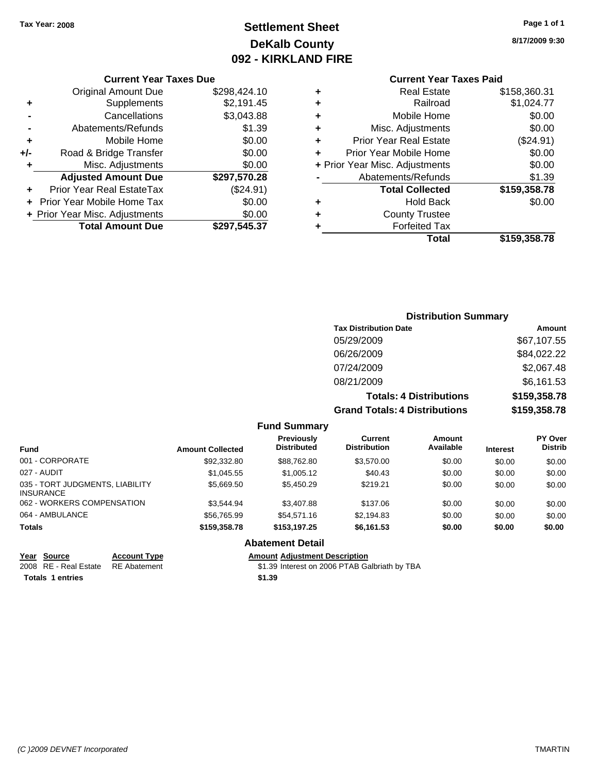# **Settlement Sheet Tax Year: 2008 Page 1 of 1 DeKalb County 092 - KIRKLAND FIRE**

#### **Current Year Taxes Due**

|     | Prior Year Real EstateTax  | (\$24.91)    |
|-----|----------------------------|--------------|
|     |                            |              |
|     | <b>Adjusted Amount Due</b> | \$297,570.28 |
| ٠   | Misc. Adjustments          | \$0.00       |
| +/- | Road & Bridge Transfer     | \$0.00       |
| ٠   | Mobile Home                | \$0.00       |
|     | Abatements/Refunds         | \$1.39       |
|     | Cancellations              | \$3,043.88   |
| ٠   | Supplements                | \$2,191.45   |
|     | <b>Original Amount Due</b> | \$298,424.10 |

## **Current Year Taxes Paid**

| ٠                              | <b>Real Estate</b>            | \$158,360.31 |
|--------------------------------|-------------------------------|--------------|
| ٠                              | Railroad                      | \$1,024.77   |
| ٠                              | Mobile Home                   | \$0.00       |
| ٠                              | Misc. Adjustments             | \$0.00       |
| ٠                              | <b>Prior Year Real Estate</b> | (\$24.91)    |
| ÷                              | Prior Year Mobile Home        | \$0.00       |
| + Prior Year Misc. Adjustments |                               | \$0.00       |
|                                | Abatements/Refunds            | \$1.39       |
|                                | <b>Total Collected</b>        | \$159,358.78 |
| ٠                              | <b>Hold Back</b>              | \$0.00       |
| ٠                              | <b>County Trustee</b>         |              |
| ٠                              | <b>Forfeited Tax</b>          |              |
|                                | Total                         | \$159.358.78 |
|                                |                               |              |

## **Distribution Summary Tax Distribution Date Amount** 05/29/2009 \$67,107.55 06/26/2009 \$84,022.22 07/24/2009 \$2,067.48 08/21/2009 \$6,161.53 **Totals: 4 Distributions \$159,358.78**

**Grand Totals: 4 Distributions \$159,358.78**

| <b>Fund</b>                                         | <b>Amount Collected</b> | <b>Previously</b><br><b>Distributed</b> | Current<br><b>Distribution</b> | Amount<br>Available | <b>Interest</b> | PY Over<br><b>Distrib</b> |
|-----------------------------------------------------|-------------------------|-----------------------------------------|--------------------------------|---------------------|-----------------|---------------------------|
| 001 - CORPORATE                                     | \$92,332.80             | \$88.762.80                             | \$3,570.00                     | \$0.00              | \$0.00          | \$0.00                    |
| 027 - AUDIT                                         | \$1,045.55              | \$1,005.12                              | \$40.43                        | \$0.00              | \$0.00          | \$0.00                    |
| 035 - TORT JUDGMENTS, LIABILITY<br><b>INSURANCE</b> | \$5.669.50              | \$5,450.29                              | \$219.21                       | \$0.00              | \$0.00          | \$0.00                    |
| 062 - WORKERS COMPENSATION                          | \$3.544.94              | \$3,407.88                              | \$137.06                       | \$0.00              | \$0.00          | \$0.00                    |
| 064 - AMBULANCE                                     | \$56,765.99             | \$54.571.16                             | \$2,194.83                     | \$0.00              | \$0.00          | \$0.00                    |
| <b>Totals</b>                                       | \$159,358.78            | \$153.197.25                            | \$6,161.53                     | \$0.00              | \$0.00          | \$0.00                    |
|                                                     |                         | Ahatamant Datail                        |                                |                     |                 |                           |

**Fund Summary**

#### **Abatement Detail**

#### **Year Source Account Type Amount Adjustment Description**

2008 RE - Real Estate \$1.39 Interest on 2006 PTAB Galbriath by TBA RE Abatement

**Totals 1 entries** \$1.39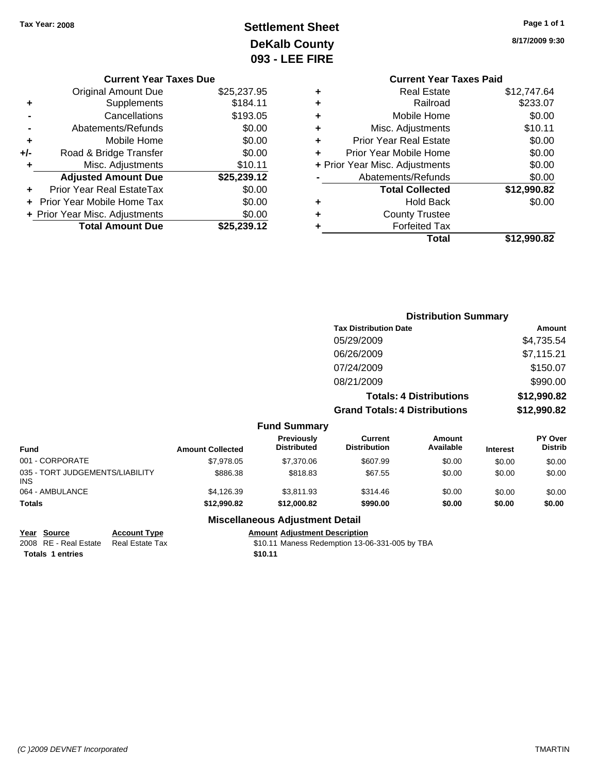# **Settlement Sheet Tax Year: 2008 Page 1 of 1 DeKalb County 093 - LEE FIRE**

**8/17/2009 9:30**

| <b>Current Year Taxes Paid</b> |             |  |  |  |
|--------------------------------|-------------|--|--|--|
| <b>Real Estate</b>             | \$12,747.64 |  |  |  |
| Railroad<br>٠                  |             |  |  |  |
| Mobile Home                    | \$0.00      |  |  |  |
| Misc. Adjustments              | \$10.11     |  |  |  |
| <b>Prior Year Real Estate</b>  | \$0.00      |  |  |  |
| Prior Year Mobile Home         | \$0.00      |  |  |  |
| + Prior Year Misc. Adjustments |             |  |  |  |
| Abatements/Refunds             |             |  |  |  |
| <b>Total Collected</b>         | \$12,990.82 |  |  |  |
| <b>Hold Back</b>               | \$0.00      |  |  |  |
| <b>County Trustee</b><br>٠     |             |  |  |  |
| <b>Forfeited Tax</b>           |             |  |  |  |
| Total                          | \$12.990.82 |  |  |  |
|                                |             |  |  |  |

|     | <b>Current Year Taxes Due</b>  |             |  |  |  |  |
|-----|--------------------------------|-------------|--|--|--|--|
|     | <b>Original Amount Due</b>     | \$25,237.95 |  |  |  |  |
| ٠   | Supplements                    | \$184.11    |  |  |  |  |
|     | Cancellations                  | \$193.05    |  |  |  |  |
|     | Abatements/Refunds             | \$0.00      |  |  |  |  |
| ٠   | Mobile Home                    | \$0.00      |  |  |  |  |
| +/- | Road & Bridge Transfer         | \$0.00      |  |  |  |  |
| ٠   | Misc. Adjustments              | \$10.11     |  |  |  |  |
|     | <b>Adjusted Amount Due</b>     | \$25,239.12 |  |  |  |  |
|     | Prior Year Real EstateTax      | \$0.00      |  |  |  |  |
|     | Prior Year Mobile Home Tax     | \$0.00      |  |  |  |  |
|     | + Prior Year Misc. Adjustments | \$0.00      |  |  |  |  |
|     | <b>Total Amount Due</b>        | \$25,239.12 |  |  |  |  |

|                                           |                                  |                                      | <b>Distribution Summary</b>    |                                        |
|-------------------------------------------|----------------------------------|--------------------------------------|--------------------------------|----------------------------------------|
|                                           |                                  | <b>Tax Distribution Date</b>         |                                | Amount                                 |
|                                           |                                  | 05/29/2009                           |                                | \$4,735.54                             |
|                                           |                                  | 06/26/2009                           |                                | \$7,115.21                             |
|                                           |                                  | 07/24/2009                           |                                | \$150.07                               |
|                                           |                                  | 08/21/2009                           |                                | \$990.00                               |
|                                           |                                  |                                      | <b>Totals: 4 Distributions</b> | \$12,990.82                            |
|                                           |                                  | <b>Grand Totals: 4 Distributions</b> |                                | \$12,990.82                            |
|                                           | <b>Fund Summary</b>              |                                      |                                |                                        |
| $\sim$ $\sim$ $\sim$ $\sim$ $\sim$ $\sim$ | <b>Previously</b><br>Dietributod | Current<br>Dietribution              | Amount<br>Avoilabla            | <b>PY Over</b><br>Dietrik.<br>$\cdots$ |

| Fund                                    | <b>Amount Collected</b> | <b>Previously</b><br><b>Distributed</b> | Current<br><b>Distribution</b> | Amount<br>Available | <b>Interest</b> | <b>PT OVER</b><br><b>Distrib</b> |
|-----------------------------------------|-------------------------|-----------------------------------------|--------------------------------|---------------------|-----------------|----------------------------------|
| 001 - CORPORATE                         | \$7,978.05              | \$7,370.06                              | \$607.99                       | \$0.00              | \$0.00          | \$0.00                           |
| 035 - TORT JUDGEMENTS/LIABILITY<br>INS. | \$886.38                | \$818.83                                | \$67.55                        | \$0.00              | \$0.00          | \$0.00                           |
| 064 - AMBULANCE                         | \$4.126.39              | \$3.811.93                              | \$314.46                       | \$0.00              | \$0.00          | \$0.00                           |
| Totals                                  | \$12,990.82             | \$12,000.82                             | \$990.00                       | \$0.00              | \$0.00          | \$0.00                           |

**Totals 1 entries** \$10.11

### **Miscellaneous Adjustment Detail**

### **Year Source Account Type Amount Adjustment Description**

2008 RE - Real Estate Real Estate Tax St0.11 Maness Redemption 13-06-331-005 by TBA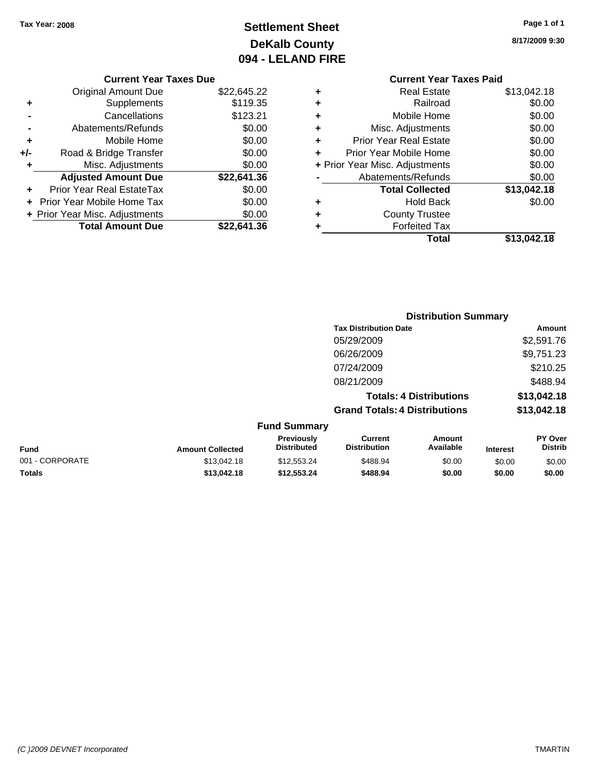# **Settlement Sheet Tax Year: 2008 Page 1 of 1 DeKalb County 094 - LELAND FIRE**

**8/17/2009 9:30**

# **Current Year Taxes Paid**

|   | Total                          | \$13,042.18 |
|---|--------------------------------|-------------|
| ٠ | <b>Forfeited Tax</b>           |             |
| ٠ | <b>County Trustee</b>          |             |
| ٠ | <b>Hold Back</b>               | \$0.00      |
|   | <b>Total Collected</b>         | \$13,042.18 |
|   | Abatements/Refunds             | \$0.00      |
|   | + Prior Year Misc. Adjustments | \$0.00      |
| ٠ | Prior Year Mobile Home         | \$0.00      |
| ÷ | <b>Prior Year Real Estate</b>  | \$0.00      |
| ٠ | Misc. Adjustments              | \$0.00      |
| ٠ | Mobile Home                    | \$0.00      |
| ٠ | Railroad                       | \$0.00      |
| ٠ | <b>Real Estate</b>             | \$13,042.18 |
|   |                                |             |

|     | <b>Current Year Taxes Due</b>  |             |
|-----|--------------------------------|-------------|
|     | Original Amount Due            | \$22,645.22 |
| ٠   | Supplements                    | \$119.35    |
|     | Cancellations                  | \$123.21    |
|     | Abatements/Refunds             | \$0.00      |
| ٠   | Mobile Home                    | \$0.00      |
| +/- | Road & Bridge Transfer         | \$0.00      |
|     | Misc. Adjustments              | \$0.00      |
|     | <b>Adjusted Amount Due</b>     | \$22,641.36 |
|     | Prior Year Real EstateTax      | \$0.00      |
|     | Prior Year Mobile Home Tax     | \$0.00      |
|     | + Prior Year Misc. Adjustments | \$0.00      |
|     | <b>Total Amount Due</b>        | \$22.641.36 |
|     |                                |             |

|                     | <b>Distribution Summary</b>          |             |
|---------------------|--------------------------------------|-------------|
|                     | <b>Tax Distribution Date</b>         | Amount      |
|                     | 05/29/2009                           | \$2,591.76  |
|                     | 06/26/2009                           | \$9,751.23  |
|                     | 07/24/2009                           | \$210.25    |
|                     | 08/21/2009                           | \$488.94    |
|                     | <b>Totals: 4 Distributions</b>       | \$13,042.18 |
|                     | <b>Grand Totals: 4 Distributions</b> | \$13,042.18 |
| <b>Fund Summary</b> |                                      |             |
|                     |                                      |             |

| <b>Fund</b>     | <b>Amount Collected</b> | <b>Previously</b><br><b>Distributed</b> | Current<br><b>Distribution</b> | Amount<br>Available | <b>Interest</b> | <b>PY Over</b><br><b>Distrib</b> |
|-----------------|-------------------------|-----------------------------------------|--------------------------------|---------------------|-----------------|----------------------------------|
| 001 - CORPORATE | \$13,042.18             | \$12.553.24                             | \$488.94                       | \$0.00              | \$0.00          | \$0.00                           |
| <b>Totals</b>   | \$13.042.18             | \$12,553,24                             | \$488.94                       | \$0.00              | \$0.00          | \$0.00                           |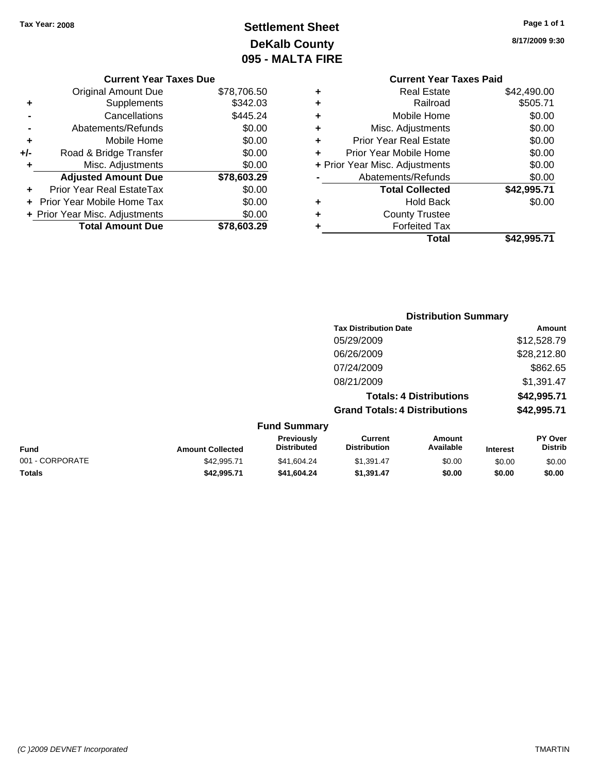# **Settlement Sheet Tax Year: 2008 Page 1 of 1 DeKalb County 095 - MALTA FIRE**

**8/17/2009 9:30**

| <b>Current Year Taxes Paid</b> |             |
|--------------------------------|-------------|
| <b>Real Estate</b>             | \$42,490.00 |
| Railroad                       | \$505.71    |
| Mobile Home                    | \$0.00      |
| Misc. Adjustments              | \$0.00      |
| <b>Prior Year Real Estate</b>  | \$0.00      |
| Prior Year Mobile Home         | \$0.00      |
| + Prior Year Misc. Adjustments | \$0.00      |
| Abatements/Refunds             | \$0.00      |
| <b>Total Collected</b>         | \$42,995.71 |
| <b>Hold Back</b>               | \$0.00      |
| <b>County Trustee</b>          |             |
| <b>Forfeited Tax</b>           |             |
| Total                          | \$42.995.71 |
|                                |             |

|     | <b>Current Year Taxes Due</b>  |             |
|-----|--------------------------------|-------------|
|     | Original Amount Due            | \$78,706.50 |
| ٠   | Supplements                    | \$342.03    |
|     | Cancellations                  | \$445.24    |
|     | Abatements/Refunds             | \$0.00      |
| ٠   | Mobile Home                    | \$0.00      |
| +/- | Road & Bridge Transfer         | \$0.00      |
| ٠   | Misc. Adjustments              | \$0.00      |
|     | <b>Adjusted Amount Due</b>     | \$78,603.29 |
|     | Prior Year Real EstateTax      | \$0.00      |
|     | Prior Year Mobile Home Tax     | \$0.00      |
|     | + Prior Year Misc. Adjustments | \$0.00      |
|     | <b>Total Amount Due</b>        | \$78.603.29 |

|                 |                         |                                  |                                       | <b>Distribution Summary</b>    |                 |                           |
|-----------------|-------------------------|----------------------------------|---------------------------------------|--------------------------------|-----------------|---------------------------|
|                 |                         |                                  | <b>Tax Distribution Date</b>          |                                |                 | Amount                    |
|                 |                         |                                  | 05/29/2009                            |                                |                 | \$12,528.79               |
|                 |                         |                                  | 06/26/2009                            |                                |                 | \$28,212.80               |
|                 |                         |                                  | 07/24/2009                            |                                |                 | \$862.65                  |
|                 |                         |                                  | 08/21/2009                            |                                |                 | \$1,391.47                |
|                 |                         |                                  |                                       | <b>Totals: 4 Distributions</b> |                 | \$42,995.71               |
|                 |                         |                                  | <b>Grand Totals: 4 Distributions</b>  |                                |                 | \$42,995.71               |
|                 |                         | <b>Fund Summary</b>              |                                       |                                |                 |                           |
| <b>Fund</b>     | <b>Amount Collected</b> | Previously<br><b>Distributed</b> | <b>Current</b><br><b>Distribution</b> | Amount<br>Available            | <b>Interest</b> | PY Over<br><b>Distrib</b> |
| 001 - CORPORATE | \$42,995.71             | \$41,604.24                      | \$1,391.47                            | \$0.00                         | \$0.00          | \$0.00                    |

**Totals \$42,995.71 \$41,604.24 \$1,391.47 \$0.00 \$0.00 \$0.00**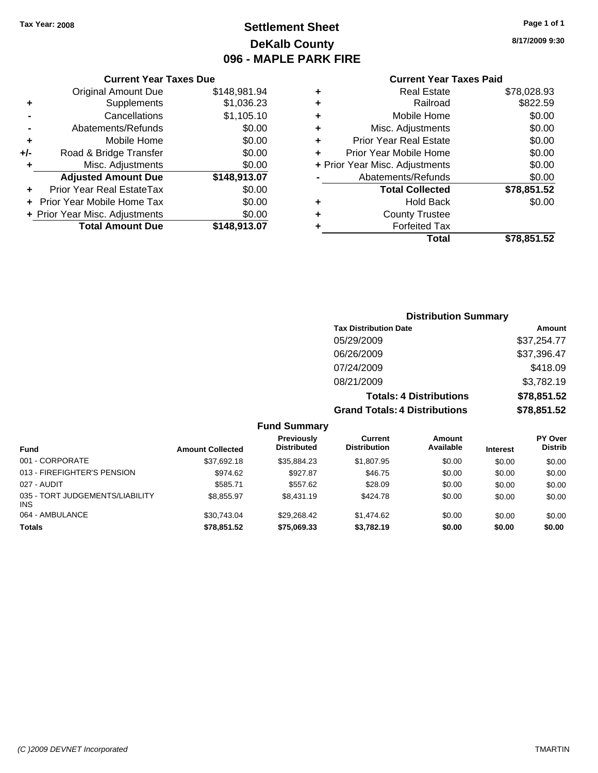# **Settlement Sheet Tax Year: 2008 Page 1 of 1 DeKalb County 096 - MAPLE PARK FIRE**

**8/17/2009 9:30**

| <b>Current Year Taxes Paid</b> |  |  |
|--------------------------------|--|--|
|                                |  |  |

| <b>Current Year Taxes Due</b> |  |  |  |  |
|-------------------------------|--|--|--|--|
| \$148,981.94                  |  |  |  |  |
| \$1,036.23                    |  |  |  |  |
| \$1,105.10                    |  |  |  |  |
| \$0.00                        |  |  |  |  |
| \$0.00                        |  |  |  |  |
| \$0.00                        |  |  |  |  |
| \$0.00                        |  |  |  |  |
| \$148,913.07                  |  |  |  |  |
| \$0.00                        |  |  |  |  |
| \$0.00                        |  |  |  |  |
| \$0.00                        |  |  |  |  |
| \$148,913.07                  |  |  |  |  |
|                               |  |  |  |  |

|   | <b>Real Estate</b>             | \$78,028.93 |
|---|--------------------------------|-------------|
| ٠ | Railroad                       | \$822.59    |
| ٠ | Mobile Home                    | \$0.00      |
| ٠ | Misc. Adjustments              | \$0.00      |
| ٠ | <b>Prior Year Real Estate</b>  | \$0.00      |
| ٠ | Prior Year Mobile Home         | \$0.00      |
|   | + Prior Year Misc. Adjustments | \$0.00      |
|   | Abatements/Refunds             | \$0.00      |
|   | <b>Total Collected</b>         | \$78,851.52 |
| ٠ | Hold Back                      | \$0.00      |
|   |                                |             |
| ٠ | <b>County Trustee</b>          |             |
|   | <b>Forfeited Tax</b>           |             |
|   | Total                          | \$78,851.52 |

| <b>Distribution Summary</b>          |             |
|--------------------------------------|-------------|
| <b>Tax Distribution Date</b>         | Amount      |
| 05/29/2009                           | \$37,254.77 |
| 06/26/2009                           | \$37,396.47 |
| 07/24/2009                           | \$418.09    |
| 08/21/2009                           | \$3,782.19  |
| <b>Totals: 4 Distributions</b>       | \$78,851.52 |
| <b>Grand Totals: 4 Distributions</b> | \$78,851.52 |

| <b>Fund</b>                                   | <b>Amount Collected</b> | Previously<br><b>Distributed</b> | Current<br><b>Distribution</b> | Amount<br>Available | <b>Interest</b> | <b>PY Over</b><br><b>Distrib</b> |
|-----------------------------------------------|-------------------------|----------------------------------|--------------------------------|---------------------|-----------------|----------------------------------|
| 001 - CORPORATE                               | \$37.692.18             | \$35.884.23                      | \$1,807.95                     | \$0.00              | \$0.00          | \$0.00                           |
| 013 - FIREFIGHTER'S PENSION                   | \$974.62                | \$927.87                         | \$46.75                        | \$0.00              | \$0.00          | \$0.00                           |
| 027 - AUDIT                                   | \$585.71                | \$557.62                         | \$28.09                        | \$0.00              | \$0.00          | \$0.00                           |
| 035 - TORT JUDGEMENTS/LIABILITY<br><b>INS</b> | \$8.855.97              | \$8,431.19                       | \$424.78                       | \$0.00              | \$0.00          | \$0.00                           |
| 064 - AMBULANCE                               | \$30.743.04             | \$29.268.42                      | \$1,474.62                     | \$0.00              | \$0.00          | \$0.00                           |
| <b>Totals</b>                                 | \$78.851.52             | \$75,069,33                      | \$3.782.19                     | \$0.00              | \$0.00          | \$0.00                           |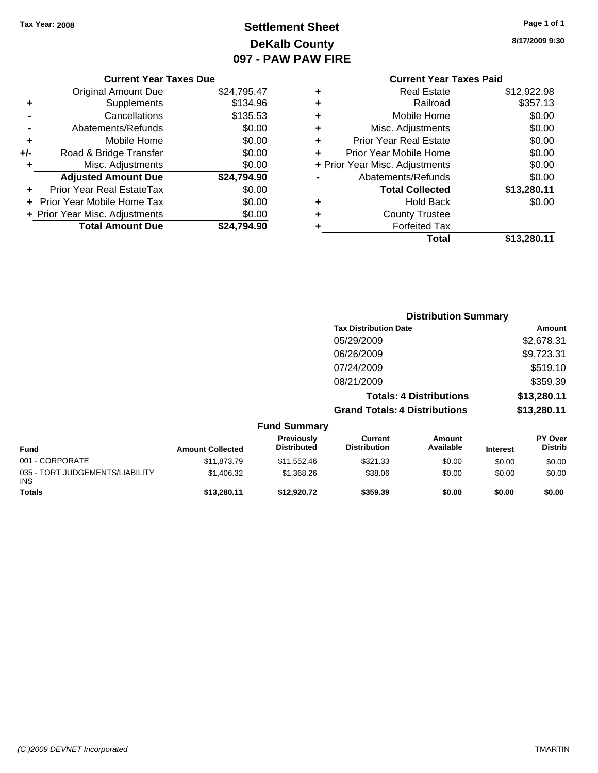# **Settlement Sheet Tax Year: 2008 Page 1 of 1 DeKalb County 097 - PAW PAW FIRE**

**8/17/2009 9:30**

| <b>Current Year Taxes Due</b> |  |  |
|-------------------------------|--|--|
|                               |  |  |

|       | + Prior Year Misc. Adjustments<br><b>Total Amount Due</b> | \$0.00<br>\$24,794.90 |
|-------|-----------------------------------------------------------|-----------------------|
|       | Prior Year Mobile Home Tax                                | \$0.00                |
|       | <b>Prior Year Real EstateTax</b>                          | \$0.00                |
|       | <b>Adjusted Amount Due</b>                                | \$24,794.90           |
| ٠     | Misc. Adjustments                                         | \$0.00                |
| $+/-$ | Road & Bridge Transfer                                    | \$0.00                |
| ÷     | Mobile Home                                               | \$0.00                |
|       | Abatements/Refunds                                        | \$0.00                |
|       | Cancellations                                             | \$135.53              |
| ٠     | Supplements                                               | \$134.96              |
|       | <b>Original Amount Due</b>                                | \$24,795.47           |

|   | <b>Current Year Taxes Paid</b> |             |
|---|--------------------------------|-------------|
| ٠ | Real Estate                    | \$12,922.98 |
| ٠ | Railroad                       | \$357.13    |
| ٠ | Mobile Home                    | \$0.00      |
| ٠ | Misc. Adjustments              | \$0.00      |
| ÷ | <b>Prior Year Real Estate</b>  | \$0.00      |
| ÷ | Prior Year Mobile Home         | \$0.00      |
|   | + Prior Year Misc. Adjustments | \$0.00      |
|   | Abatements/Refunds             | \$0.00      |
|   | <b>Total Collected</b>         | \$13,280.11 |
| ٠ | Hold Back                      | \$0.00      |
|   | <b>County Trustee</b>          |             |
| ٠ | <b>Forfeited Tax</b>           |             |
|   | Total                          | \$13,280.11 |
|   |                                |             |

|                                         |                         |                                         |                                       | <b>Distribution Summary</b>    |                 |                                  |
|-----------------------------------------|-------------------------|-----------------------------------------|---------------------------------------|--------------------------------|-----------------|----------------------------------|
|                                         |                         |                                         | <b>Tax Distribution Date</b>          |                                |                 | <b>Amount</b>                    |
|                                         |                         |                                         | 05/29/2009                            |                                |                 | \$2,678.31                       |
|                                         |                         |                                         | 06/26/2009                            |                                |                 | \$9,723.31                       |
|                                         |                         |                                         | 07/24/2009                            |                                |                 | \$519.10                         |
|                                         |                         |                                         | 08/21/2009                            |                                |                 | \$359.39                         |
|                                         |                         |                                         |                                       | <b>Totals: 4 Distributions</b> |                 | \$13,280.11                      |
|                                         |                         |                                         | <b>Grand Totals: 4 Distributions</b>  |                                |                 | \$13,280.11                      |
|                                         |                         | <b>Fund Summary</b>                     |                                       |                                |                 |                                  |
| <b>Fund</b>                             | <b>Amount Collected</b> | <b>Previously</b><br><b>Distributed</b> | <b>Current</b><br><b>Distribution</b> | <b>Amount</b><br>Available     | <b>Interest</b> | <b>PY Over</b><br><b>Distrib</b> |
| 001 - CORPORATE                         | \$11,873.79             | \$11,552.46                             | \$321.33                              | \$0.00                         | \$0.00          | \$0.00                           |
| 035 - TORT JUDGEMENTS/LIABILITY<br>INS. | \$1,406.32              | \$1,368.26                              | \$38.06                               | \$0.00                         | \$0.00          | \$0.00                           |
| Totals                                  | \$13,280.11             | \$12,920.72                             | \$359.39                              | \$0.00                         | \$0.00          | \$0.00                           |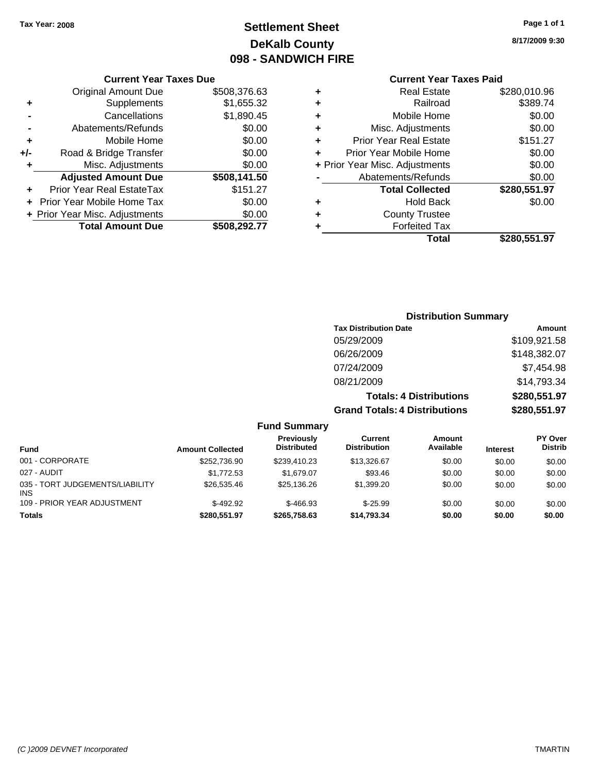# **Settlement Sheet Tax Year: 2008 Page 1 of 1 DeKalb County 098 - SANDWICH FIRE**

## **8/17/2009 9:30**

### **Current Year Taxes Paid**

| ٠ | <b>Real Estate</b>             | \$280,010.96 |
|---|--------------------------------|--------------|
| ٠ | Railroad                       | \$389.74     |
| ٠ | Mobile Home                    | \$0.00       |
| ٠ | Misc. Adjustments              | \$0.00       |
| ٠ | <b>Prior Year Real Estate</b>  | \$151.27     |
| ÷ | Prior Year Mobile Home         | \$0.00       |
|   | + Prior Year Misc. Adjustments | \$0.00       |
|   | Abatements/Refunds             | \$0.00       |
|   | <b>Total Collected</b>         | \$280,551.97 |
| ٠ | <b>Hold Back</b>               | \$0.00       |
| ÷ | <b>County Trustee</b>          |              |
| ٠ | <b>Forfeited Tax</b>           |              |
|   | Total                          | \$280,551.97 |

|     | <b>Current Year Taxes Due</b>  |              |  |
|-----|--------------------------------|--------------|--|
|     | <b>Original Amount Due</b>     | \$508,376.63 |  |
| ٠   | Supplements                    | \$1,655.32   |  |
|     | Cancellations                  | \$1,890.45   |  |
|     | Abatements/Refunds             | \$0.00       |  |
| ٠   | Mobile Home                    | \$0.00       |  |
| +/- | Road & Bridge Transfer         | \$0.00       |  |
| ٠   | Misc. Adjustments              | \$0.00       |  |
|     | <b>Adjusted Amount Due</b>     | \$508,141.50 |  |
|     | Prior Year Real EstateTax      | \$151.27     |  |
|     | Prior Year Mobile Home Tax     | \$0.00       |  |
|     | + Prior Year Misc. Adjustments | \$0.00       |  |
|     | <b>Total Amount Due</b>        | \$508,292.77 |  |

### **Distribution Summary**

| <b>Tax Distribution Date</b>         | Amount       |
|--------------------------------------|--------------|
| 05/29/2009                           | \$109,921.58 |
| 06/26/2009                           | \$148,382.07 |
| 07/24/2009                           | \$7,454.98   |
| 08/21/2009                           | \$14,793.34  |
| <b>Totals: 4 Distributions</b>       | \$280,551.97 |
| <b>Grand Totals: 4 Distributions</b> | \$280,551.97 |

| <b>Fund</b>                            | <b>Amount Collected</b> | <b>Previously</b><br><b>Distributed</b> | Current<br><b>Distribution</b> | Amount<br>Available | <b>Interest</b> | <b>PY Over</b><br><b>Distrib</b> |
|----------------------------------------|-------------------------|-----------------------------------------|--------------------------------|---------------------|-----------------|----------------------------------|
| 001 - CORPORATE                        | \$252,736.90            | \$239.410.23                            | \$13,326.67                    | \$0.00              | \$0.00          | \$0.00                           |
| 027 - AUDIT                            | \$1,772.53              | \$1,679.07                              | \$93.46                        | \$0.00              | \$0.00          | \$0.00                           |
| 035 - TORT JUDGEMENTS/LIABILITY<br>INS | \$26,535.46             | \$25.136.26                             | \$1,399.20                     | \$0.00              | \$0.00          | \$0.00                           |
| 109 - PRIOR YEAR ADJUSTMENT            | $$-492.92$              | $$-466.93$                              | $$-25.99$                      | \$0.00              | \$0.00          | \$0.00                           |
| <b>Totals</b>                          | \$280.551.97            | \$265.758.63                            | \$14,793.34                    | \$0.00              | \$0.00          | \$0.00                           |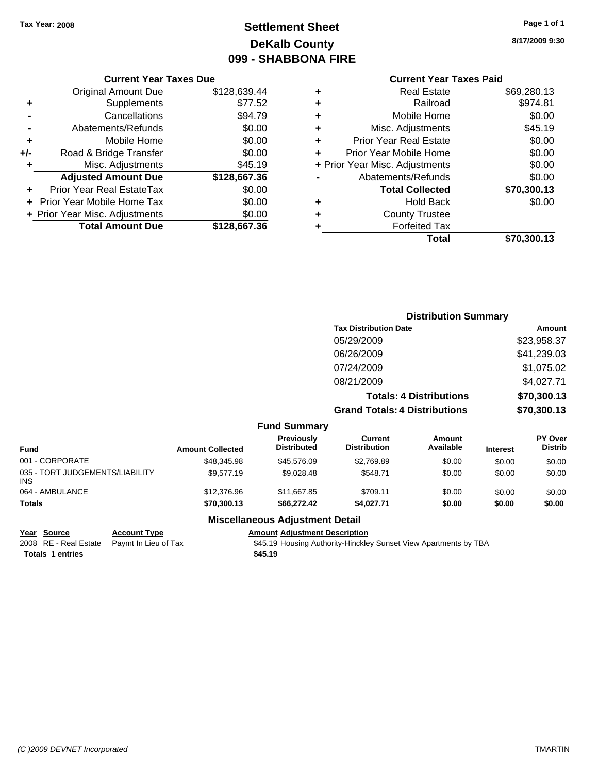# **Settlement Sheet Tax Year: 2008 Page 1 of 1 DeKalb County 099 - SHABBONA FIRE**

#### **Current Year Taxes Due**

|     | <b>Original Amount Due</b>       | \$128,639.44 |
|-----|----------------------------------|--------------|
| ٠   | Supplements                      | \$77.52      |
|     | Cancellations                    | \$94.79      |
|     | Abatements/Refunds               | \$0.00       |
| ٠   | Mobile Home                      | \$0.00       |
| +/- | Road & Bridge Transfer           | \$0.00       |
| ٠   | Misc. Adjustments                | \$45.19      |
|     | <b>Adjusted Amount Due</b>       | \$128,667.36 |
|     | <b>Prior Year Real EstateTax</b> | \$0.00       |
|     | Prior Year Mobile Home Tax       | \$0.00       |
|     | + Prior Year Misc. Adjustments   | \$0.00       |
|     | <b>Total Amount Due</b>          | \$128,667.36 |

# **Current Year Taxes Paid**

| ٠ | <b>Real Estate</b>             | \$69,280.13 |
|---|--------------------------------|-------------|
| ٠ | Railroad                       | \$974.81    |
| ٠ | Mobile Home                    | \$0.00      |
| ٠ | Misc. Adjustments              | \$45.19     |
| ٠ | <b>Prior Year Real Estate</b>  | \$0.00      |
| ÷ | Prior Year Mobile Home         | \$0.00      |
|   | + Prior Year Misc. Adjustments | \$0.00      |
|   | Abatements/Refunds             | \$0.00      |
|   | <b>Total Collected</b>         | \$70,300.13 |
| ٠ | Hold Back                      | \$0.00      |
| ٠ | <b>County Trustee</b>          |             |
| ٠ | <b>Forfeited Tax</b>           |             |
|   | Total                          | \$70,300.13 |
|   |                                |             |

# **Distribution Summary Tax Distribution Date Amount** 05/29/2009 \$23,958.37 06/26/2009 \$41,239.03 07/24/2009 \$1,075.02 08/21/2009 \$4,027.71 **Totals: 4 Distributions \$70,300.13**

**Grand Totals: 4 Distributions \$70,300.13**

|  | <b>Fund Summary</b> |
|--|---------------------|
|--|---------------------|

| <b>Fund</b>                             | <b>Amount Collected</b> | <b>Previously</b><br><b>Distributed</b> | Current<br><b>Distribution</b> | Amount<br>Available | <b>Interest</b> | <b>PY Over</b><br><b>Distrib</b> |
|-----------------------------------------|-------------------------|-----------------------------------------|--------------------------------|---------------------|-----------------|----------------------------------|
| 001 - CORPORATE                         | \$48,345.98             | \$45,576.09                             | \$2.769.89                     | \$0.00              | \$0.00          | \$0.00                           |
| 035 - TORT JUDGEMENTS/LIABILITY<br>INS. | \$9,577.19              | \$9.028.48                              | \$548.71                       | \$0.00              | \$0.00          | \$0.00                           |
| 064 - AMBULANCE                         | \$12,376.96             | \$11,667.85                             | \$709.11                       | \$0.00              | \$0.00          | \$0.00                           |
| <b>Totals</b>                           | \$70,300.13             | \$66,272.42                             | \$4,027.71                     | \$0.00              | \$0.00          | \$0.00                           |

**Totals 1 entries 1.19 1.19 1.19 1.19 1.19 1.19 1.19 1.19** 

#### **Miscellaneous Adjustment Detail**

#### **Year Source Account Type Amount Adjustment Description**

2008 RE - Real Estate Paymt In Lieu of Tax \$45.19 Housing Authority-Hinckley Sunset View Apartments by TBA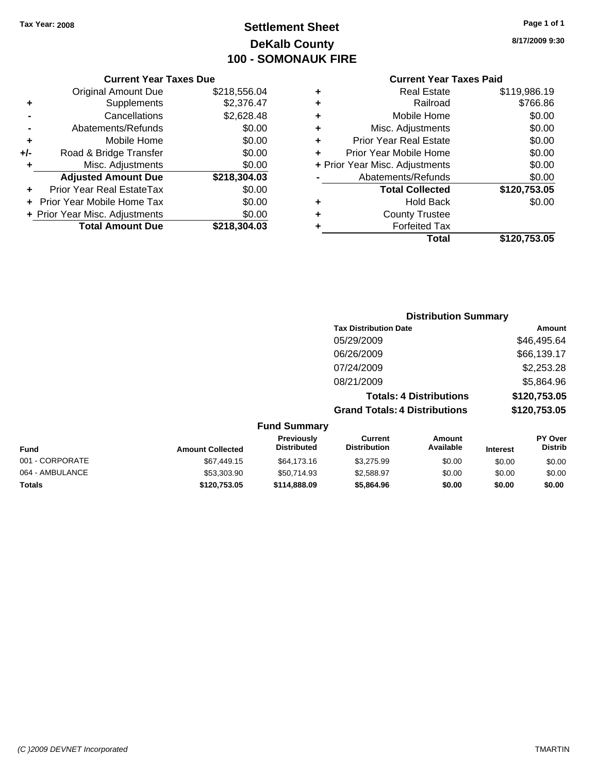# **Settlement Sheet Tax Year: 2008 Page 1 of 1 DeKalb County 100 - SOMONAUK FIRE**

**8/17/2009 9:30**

#### **Current Year Taxes Paid**

|     | <b>Current Year Taxes Due</b>  |              |  |  |  |  |  |
|-----|--------------------------------|--------------|--|--|--|--|--|
|     | <b>Original Amount Due</b>     | \$218,556.04 |  |  |  |  |  |
| ٠   | Supplements                    | \$2,376.47   |  |  |  |  |  |
|     | Cancellations                  | \$2,628.48   |  |  |  |  |  |
|     | Abatements/Refunds             | \$0.00       |  |  |  |  |  |
| ٠   | Mobile Home                    | \$0.00       |  |  |  |  |  |
| +/- | Road & Bridge Transfer         | \$0.00       |  |  |  |  |  |
| ٠   | Misc. Adjustments              | \$0.00       |  |  |  |  |  |
|     | <b>Adjusted Amount Due</b>     | \$218,304.03 |  |  |  |  |  |
| ÷   | Prior Year Real EstateTax      | \$0.00       |  |  |  |  |  |
|     | Prior Year Mobile Home Tax     | \$0.00       |  |  |  |  |  |
|     | + Prior Year Misc. Adjustments | \$0.00       |  |  |  |  |  |
|     | <b>Total Amount Due</b>        | \$218,304.03 |  |  |  |  |  |
|     |                                |              |  |  |  |  |  |

|   | <b>Real Estate</b>             | \$119,986.19 |
|---|--------------------------------|--------------|
| ٠ | Railroad                       | \$766.86     |
| ٠ | Mobile Home                    | \$0.00       |
| ٠ | Misc. Adjustments              | \$0.00       |
| ÷ | <b>Prior Year Real Estate</b>  | \$0.00       |
| ÷ | Prior Year Mobile Home         | \$0.00       |
|   | + Prior Year Misc. Adjustments | \$0.00       |
|   | Abatements/Refunds             | \$0.00       |
|   | <b>Total Collected</b>         | \$120,753.05 |
| ٠ | <b>Hold Back</b>               | \$0.00       |
| ٠ | <b>County Trustee</b>          |              |
| ٠ | <b>Forfeited Tax</b>           |              |
|   | Total                          | \$120,753.05 |
|   |                                |              |

## **Distribution Summary Tax Distribution Date Amount** 05/29/2009 \$46,495.64 06/26/2009 \$66,139.17 07/24/2009 \$2,253.28 08/21/2009 \$5,864.96 **Totals: 4 Distributions \$120,753.05 Grand Totals: 4 Distributions \$120,753.05**

| <b>Fund Summary</b> |                         |                                  |                                |                     |                 |                                  |
|---------------------|-------------------------|----------------------------------|--------------------------------|---------------------|-----------------|----------------------------------|
| <b>Fund</b>         | <b>Amount Collected</b> | Previously<br><b>Distributed</b> | Current<br><b>Distribution</b> | Amount<br>Available | <b>Interest</b> | <b>PY Over</b><br><b>Distrib</b> |
| 001 - CORPORATE     | \$67,449.15             | \$64,173.16                      | \$3,275.99                     | \$0.00              | \$0.00          | \$0.00                           |
| 064 - AMBULANCE     | \$53,303.90             | \$50,714.93                      | \$2,588.97                     | \$0.00              | \$0.00          | \$0.00                           |
| <b>Totals</b>       | \$120,753.05            | \$114,888,09                     | \$5,864.96                     | \$0.00              | \$0.00          | \$0.00                           |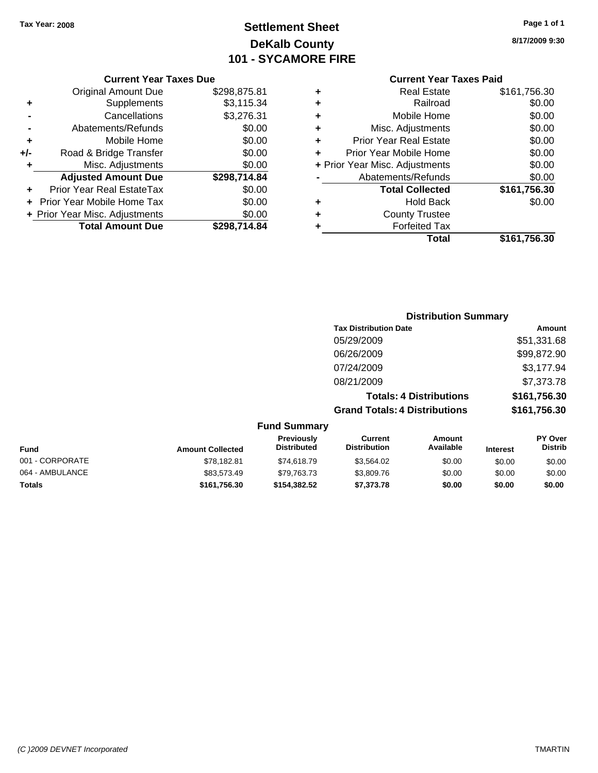# **Settlement Sheet Tax Year: 2008 Page 1 of 1 DeKalb County 101 - SYCAMORE FIRE**

**8/17/2009 9:30**

#### **Current Year Taxes Due**

|     | <b>Original Amount Due</b>        | \$298,875.81 |
|-----|-----------------------------------|--------------|
| ٠   | Supplements                       | \$3,115.34   |
|     | Cancellations                     | \$3,276.31   |
|     | Abatements/Refunds                | \$0.00       |
| ٠   | Mobile Home                       | \$0.00       |
| +/- | Road & Bridge Transfer            | \$0.00       |
| ٠   | Misc. Adjustments                 | \$0.00       |
|     | <b>Adjusted Amount Due</b>        | \$298,714.84 |
|     | <b>Prior Year Real EstateTax</b>  | \$0.00       |
|     | <b>Prior Year Mobile Home Tax</b> | \$0.00       |
|     | + Prior Year Misc. Adjustments    | \$0.00       |
|     | <b>Total Amount Due</b>           | \$298.714.84 |

### **Current Year Taxes Paid**

|   | <b>Real Estate</b>             | \$161,756.30 |
|---|--------------------------------|--------------|
| ٠ | Railroad                       | \$0.00       |
| ٠ | Mobile Home                    | \$0.00       |
| ٠ | Misc. Adjustments              | \$0.00       |
| ٠ | <b>Prior Year Real Estate</b>  | \$0.00       |
| ÷ | Prior Year Mobile Home         | \$0.00       |
|   | + Prior Year Misc. Adjustments | \$0.00       |
|   | Abatements/Refunds             | \$0.00       |
|   | <b>Total Collected</b>         | \$161,756.30 |
| ٠ | <b>Hold Back</b>               | \$0.00       |
| ٠ | <b>County Trustee</b>          |              |
| ٠ | <b>Forfeited Tax</b>           |              |
|   | Total                          | \$161,756.30 |
|   |                                |              |

## **Distribution Summary Tax Distribution Date Amount** 05/29/2009 \$51,331.68 06/26/2009 \$99,872.90 07/24/2009 \$3,177.94 08/21/2009 \$7,373.78 **Totals: 4 Distributions \$161,756.30 Grand Totals: 4 Distributions \$161,756.30**

| <b>Fund Summary</b> |                         |                                  |                                       |                     |                 |                                  |
|---------------------|-------------------------|----------------------------------|---------------------------------------|---------------------|-----------------|----------------------------------|
| <b>Fund</b>         | <b>Amount Collected</b> | Previously<br><b>Distributed</b> | <b>Current</b><br><b>Distribution</b> | Amount<br>Available | <b>Interest</b> | <b>PY Over</b><br><b>Distrib</b> |
| 001 - CORPORATE     | \$78,182.81             | \$74,618.79                      | \$3.564.02                            | \$0.00              | \$0.00          | \$0.00                           |
| 064 - AMBULANCE     | \$83.573.49             | \$79,763.73                      | \$3,809.76                            | \$0.00              | \$0.00          | \$0.00                           |
| Totals              | \$161,756.30            | \$154,382.52                     | \$7,373.78                            | \$0.00              | \$0.00          | \$0.00                           |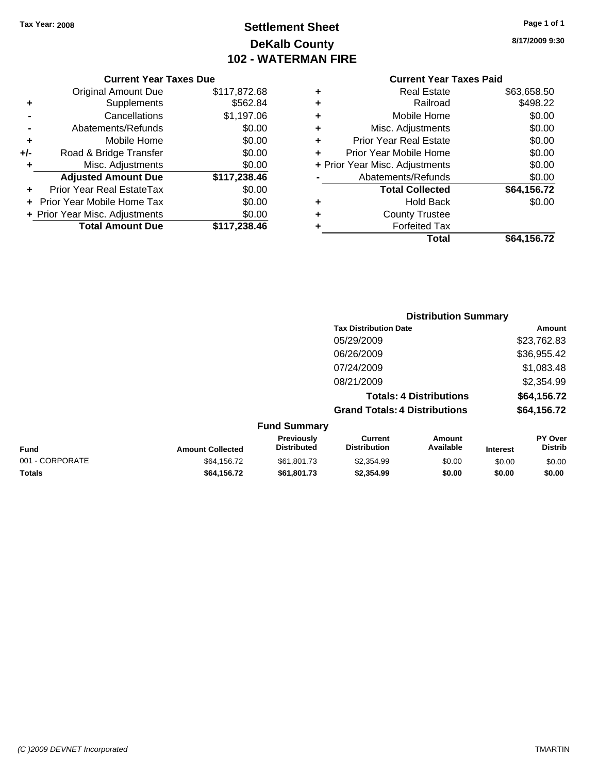# **Settlement Sheet Tax Year: 2008 Page 1 of 1 DeKalb County 102 - WATERMAN FIRE**

**8/17/2009 9:30**

|     | <b>Original Amount Due</b>     | \$117,872.68 |
|-----|--------------------------------|--------------|
| ٠   | Supplements                    | \$562.84     |
|     | Cancellations                  | \$1,197.06   |
|     | Abatements/Refunds             | \$0.00       |
| ٠   | Mobile Home                    | \$0.00       |
| +/- | Road & Bridge Transfer         | \$0.00       |
| ٠   | Misc. Adjustments              | \$0.00       |
|     | <b>Adjusted Amount Due</b>     | \$117,238.46 |
|     | Prior Year Real EstateTax      | \$0.00       |
|     | Prior Year Mobile Home Tax     | \$0.00       |
|     | + Prior Year Misc. Adjustments | \$0.00       |
|     | <b>Total Amount Due</b>        | \$117,238.46 |

## **Current Year Taxes Paid**

| ٠ | <b>Real Estate</b>             | \$63,658.50 |
|---|--------------------------------|-------------|
| ٠ | Railroad                       | \$498.22    |
| ٠ | Mobile Home                    | \$0.00      |
| ٠ | Misc. Adjustments              | \$0.00      |
| ٠ | <b>Prior Year Real Estate</b>  | \$0.00      |
| ÷ | Prior Year Mobile Home         | \$0.00      |
|   | + Prior Year Misc. Adjustments | \$0.00      |
|   | Abatements/Refunds             | \$0.00      |
|   | <b>Total Collected</b>         | \$64,156.72 |
| ٠ | <b>Hold Back</b>               | \$0.00      |
| ٠ | <b>County Trustee</b>          |             |
| ٠ | <b>Forfeited Tax</b>           |             |
|   | Total                          | \$64,156.72 |
|   |                                |             |

|                 |                         |                                         | <b>Distribution Summary</b>           |                                |                 |                           |  |
|-----------------|-------------------------|-----------------------------------------|---------------------------------------|--------------------------------|-----------------|---------------------------|--|
|                 |                         |                                         | <b>Tax Distribution Date</b>          |                                |                 | <b>Amount</b>             |  |
|                 |                         |                                         | 05/29/2009                            |                                |                 | \$23,762.83               |  |
|                 |                         |                                         | 06/26/2009                            |                                |                 | \$36,955.42               |  |
|                 |                         |                                         | 07/24/2009                            |                                |                 | \$1,083.48                |  |
|                 |                         |                                         | 08/21/2009                            |                                |                 | \$2,354.99                |  |
|                 |                         |                                         |                                       | <b>Totals: 4 Distributions</b> |                 | \$64,156.72               |  |
|                 |                         |                                         | <b>Grand Totals: 4 Distributions</b>  |                                |                 | \$64,156.72               |  |
|                 |                         | <b>Fund Summary</b>                     |                                       |                                |                 |                           |  |
| <b>Fund</b>     | <b>Amount Collected</b> | <b>Previously</b><br><b>Distributed</b> | <b>Current</b><br><b>Distribution</b> | Amount<br>Available            | <b>Interest</b> | PY Over<br><b>Distrib</b> |  |
| 001 - CORPORATE | \$64,156.72             | \$61,801.73                             | \$2,354.99                            | \$0.00                         | \$0.00          | \$0.00                    |  |

**Totals \$64,156.72 \$61,801.73 \$2,354.99 \$0.00 \$0.00 \$0.00**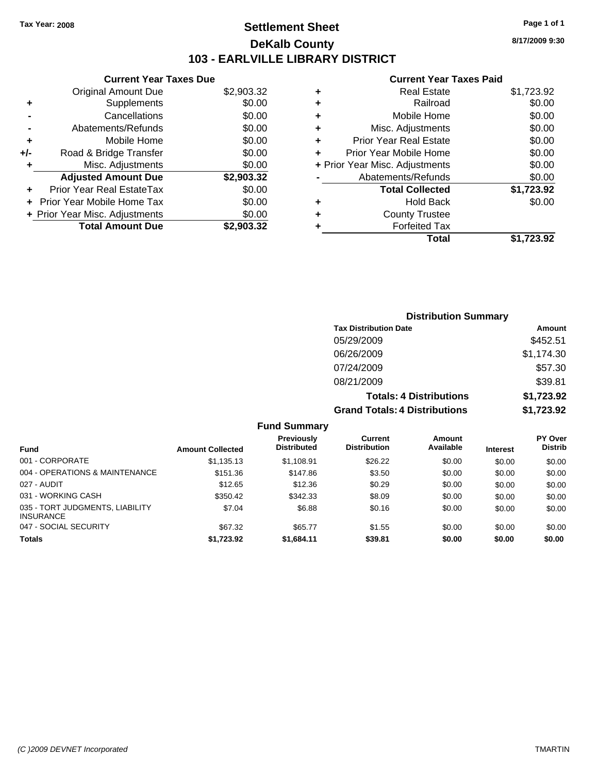# **Settlement Sheet Tax Year: 2008 Page 1 of 1 DeKalb County 103 - EARLVILLE LIBRARY DISTRICT**

**8/17/2009 9:30**

#### **Current Year Taxes Paid**

|     | <b>Current Year Taxes Due</b>     |            |
|-----|-----------------------------------|------------|
|     | <b>Original Amount Due</b>        | \$2,903.32 |
| ٠   | Supplements                       | \$0.00     |
|     | Cancellations                     | \$0.00     |
|     | Abatements/Refunds                | \$0.00     |
| ٠   | Mobile Home                       | \$0.00     |
| +/- | Road & Bridge Transfer            | \$0.00     |
|     | Misc. Adjustments                 | \$0.00     |
|     | <b>Adjusted Amount Due</b>        | \$2,903.32 |
| ÷   | Prior Year Real EstateTax         | \$0.00     |
|     | <b>Prior Year Mobile Home Tax</b> | \$0.00     |
|     | + Prior Year Misc. Adjustments    | \$0.00     |
|     | <b>Total Amount Due</b>           | \$2.903.32 |
|     |                                   |            |

| \$1,723.92 |
|------------|
| \$0.00     |
| \$0.00     |
| \$0.00     |
| \$0.00     |
| \$0.00     |
| \$0.00     |
| \$0.00     |
| \$1,723.92 |
| \$0.00     |
|            |
|            |
| \$1.723.92 |
|            |

| <b>Distribution Summary</b>          |            |  |  |  |  |
|--------------------------------------|------------|--|--|--|--|
| <b>Tax Distribution Date</b>         | Amount     |  |  |  |  |
| 05/29/2009                           | \$452.51   |  |  |  |  |
| 06/26/2009                           | \$1,174.30 |  |  |  |  |
| 07/24/2009                           | \$57.30    |  |  |  |  |
| 08/21/2009                           | \$39.81    |  |  |  |  |
| <b>Totals: 4 Distributions</b>       | \$1,723.92 |  |  |  |  |
| <b>Grand Totals: 4 Distributions</b> | \$1,723.92 |  |  |  |  |

| <b>Fund Summary</b> |  |
|---------------------|--|
|---------------------|--|

| <b>Fund</b>                                         | <b>Amount Collected</b> | <b>Previously</b><br><b>Distributed</b> | Current<br><b>Distribution</b> | Amount<br>Available | <b>Interest</b> | <b>PY Over</b><br><b>Distrib</b> |
|-----------------------------------------------------|-------------------------|-----------------------------------------|--------------------------------|---------------------|-----------------|----------------------------------|
|                                                     |                         |                                         |                                |                     |                 |                                  |
| 001 - CORPORATE                                     | \$1,135.13              | \$1,108.91                              | \$26.22                        | \$0.00              | \$0.00          | \$0.00                           |
| 004 - OPERATIONS & MAINTENANCE                      | \$151.36                | \$147.86                                | \$3.50                         | \$0.00              | \$0.00          | \$0.00                           |
| 027 - AUDIT                                         | \$12.65                 | \$12.36                                 | \$0.29                         | \$0.00              | \$0.00          | \$0.00                           |
| 031 - WORKING CASH                                  | \$350.42                | \$342.33                                | \$8.09                         | \$0.00              | \$0.00          | \$0.00                           |
| 035 - TORT JUDGMENTS, LIABILITY<br><b>INSURANCE</b> | \$7.04                  | \$6.88                                  | \$0.16                         | \$0.00              | \$0.00          | \$0.00                           |
| 047 - SOCIAL SECURITY                               | \$67.32                 | \$65.77                                 | \$1.55                         | \$0.00              | \$0.00          | \$0.00                           |
| <b>Totals</b>                                       | \$1,723.92              | \$1.684.11                              | \$39.81                        | \$0.00              | \$0.00          | \$0.00                           |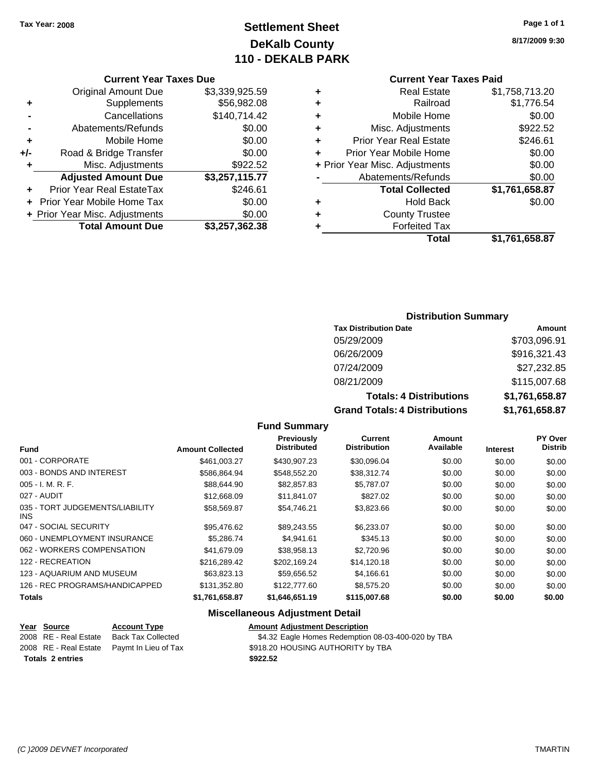# **Settlement Sheet Tax Year: 2008 Page 1 of 1 DeKalb County 110 - DEKALB PARK**

#### **8/17/2009 9:30**

**Current Year Taxes Paid**

| ٠ | <b>Real Estate</b>             | \$1,758,713.20 |
|---|--------------------------------|----------------|
| ٠ | Railroad                       | \$1,776.54     |
| ٠ | Mobile Home                    | \$0.00         |
| ٠ | Misc. Adjustments              | \$922.52       |
| ÷ | <b>Prior Year Real Estate</b>  | \$246.61       |
| ٠ | Prior Year Mobile Home         | \$0.00         |
|   | + Prior Year Misc. Adjustments | \$0.00         |
|   | Abatements/Refunds             | \$0.00         |
|   | <b>Total Collected</b>         | \$1,761,658.87 |
| ٠ | <b>Hold Back</b>               | \$0.00         |
| ٠ | <b>County Trustee</b>          |                |
| ٠ | <b>Forfeited Tax</b>           |                |
|   | Total                          | \$1,761,658.87 |
|   |                                |                |

## **Current Year Taxes Due**<br>Il Amount Due \$3,339,925.59 Original Amount Due

|       | <b>Total Amount Due</b>          | \$3,257,362.38 |
|-------|----------------------------------|----------------|
|       | + Prior Year Misc. Adjustments   | \$0.00         |
|       | + Prior Year Mobile Home Tax     | \$0.00         |
|       | <b>Prior Year Real EstateTax</b> | \$246.61       |
|       | <b>Adjusted Amount Due</b>       | \$3,257,115.77 |
| ÷     | Misc. Adjustments                | \$922.52       |
| $+/-$ | Road & Bridge Transfer           | \$0.00         |
| ٠     | Mobile Home                      | \$0.00         |
|       | Abatements/Refunds               | \$0.00         |
|       | Cancellations                    | \$140,714.42   |
| ٠     | Supplements                      | \$56,982.08    |
|       |                                  |                |

### **Distribution Summary**

| <b>Tax Distribution Date</b>         | Amount         |
|--------------------------------------|----------------|
| 05/29/2009                           | \$703,096.91   |
| 06/26/2009                           | \$916,321.43   |
| 07/24/2009                           | \$27,232.85    |
| 08/21/2009                           | \$115,007.68   |
| <b>Totals: 4 Distributions</b>       | \$1,761,658.87 |
| <b>Grand Totals: 4 Distributions</b> | \$1,761,658.87 |

#### **Fund Summary**

|                                         |                         | Previously         | Current             | Amount    |                 | PY Over        |
|-----------------------------------------|-------------------------|--------------------|---------------------|-----------|-----------------|----------------|
| <b>Fund</b>                             | <b>Amount Collected</b> | <b>Distributed</b> | <b>Distribution</b> | Available | <b>Interest</b> | <b>Distrib</b> |
| 001 - CORPORATE                         | \$461.003.27            | \$430,907.23       | \$30,096.04         | \$0.00    | \$0.00          | \$0.00         |
| 003 - BONDS AND INTEREST                | \$586,864.94            | \$548,552.20       | \$38,312.74         | \$0.00    | \$0.00          | \$0.00         |
| $005 - I. M. R. F.$                     | \$88,644.90             | \$82,857.83        | \$5,787.07          | \$0.00    | \$0.00          | \$0.00         |
| 027 - AUDIT                             | \$12,668.09             | \$11,841.07        | \$827.02            | \$0.00    | \$0.00          | \$0.00         |
| 035 - TORT JUDGEMENTS/LIABILITY<br>INS. | \$58,569.87             | \$54.746.21        | \$3,823.66          | \$0.00    | \$0.00          | \$0.00         |
| 047 - SOCIAL SECURITY                   | \$95,476.62             | \$89,243.55        | \$6,233.07          | \$0.00    | \$0.00          | \$0.00         |
| 060 - UNEMPLOYMENT INSURANCE            | \$5.286.74              | \$4.941.61         | \$345.13            | \$0.00    | \$0.00          | \$0.00         |
| 062 - WORKERS COMPENSATION              | \$41,679.09             | \$38,958.13        | \$2,720.96          | \$0.00    | \$0.00          | \$0.00         |
| 122 - RECREATION                        | \$216,289.42            | \$202.169.24       | \$14,120.18         | \$0.00    | \$0.00          | \$0.00         |
| 123 - AQUARIUM AND MUSEUM               | \$63,823.13             | \$59,656.52        | \$4,166.61          | \$0.00    | \$0.00          | \$0.00         |
| 126 - REC PROGRAMS/HANDICAPPED          | \$131,352.80            | \$122,777.60       | \$8,575.20          | \$0.00    | \$0.00          | \$0.00         |
| <b>Totals</b>                           | \$1,761,658.87          | \$1,646,651.19     | \$115,007.68        | \$0.00    | \$0.00          | \$0.00         |

#### **Miscellaneous Adjustment Detail**

# **Year Source Account Type Amount Adjustment Description Totals \$922.52 2 entries**

2008 RE - Real Estate Back Tax Collected \$4.32 Eagle Homes Redemption 08-03-400-020 by TBA 2008 RE - Real Estate Paymt In Lieu of Tax S918.20 HOUSING AUTHORITY by TBA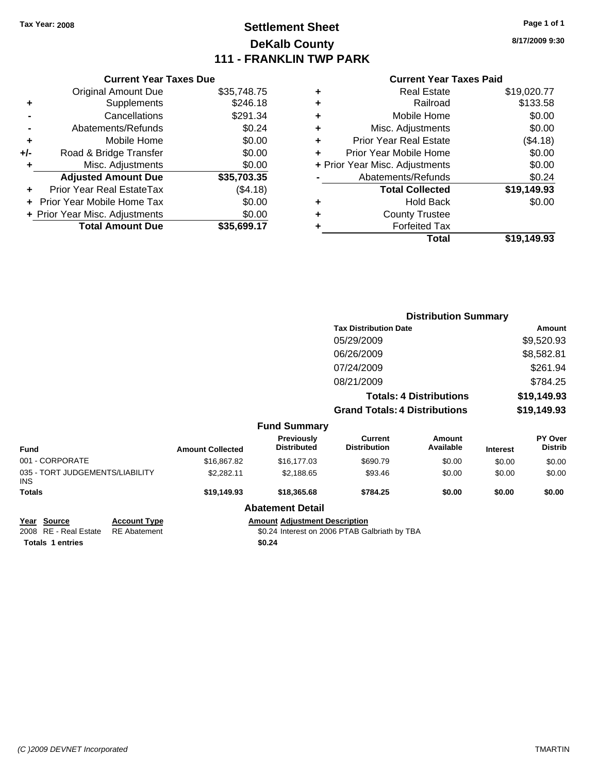# **Settlement Sheet Tax Year: 2008 Page 1 of 1 DeKalb County 111 - FRANKLIN TWP PARK**

**8/17/2009 9:30**

#### **Current Year Taxes Paid**

|     | <b>Current Year Taxes Due</b>     |             |
|-----|-----------------------------------|-------------|
|     | <b>Original Amount Due</b>        | \$35,748.75 |
| ٠   | Supplements                       | \$246.18    |
|     | Cancellations                     | \$291.34    |
|     | Abatements/Refunds                | \$0.24      |
| ٠   | Mobile Home                       | \$0.00      |
| +/- | Road & Bridge Transfer            | \$0.00      |
|     | Misc. Adjustments                 | \$0.00      |
|     | <b>Adjusted Amount Due</b>        | \$35,703.35 |
|     | Prior Year Real EstateTax         | (\$4.18)    |
|     | <b>Prior Year Mobile Home Tax</b> | \$0.00      |
|     | + Prior Year Misc. Adjustments    | \$0.00      |
|     | <b>Total Amount Due</b>           | \$35,699.17 |
|     |                                   |             |

| ٠ | <b>Real Estate</b>             | \$19,020.77 |
|---|--------------------------------|-------------|
| ٠ | Railroad                       | \$133.58    |
| ٠ | Mobile Home                    | \$0.00      |
| ٠ | Misc. Adjustments              | \$0.00      |
| ٠ | <b>Prior Year Real Estate</b>  | (\$4.18)    |
| ÷ | Prior Year Mobile Home         | \$0.00      |
|   | + Prior Year Misc. Adjustments | \$0.00      |
|   | Abatements/Refunds             | \$0.24      |
|   | <b>Total Collected</b>         | \$19,149.93 |
| ٠ | <b>Hold Back</b>               | \$0.00      |
| ٠ | <b>County Trustee</b>          |             |
| ٠ | <b>Forfeited Tax</b>           |             |
|   | Total                          | \$19,149.93 |
|   |                                |             |

|                                               |                     |                         |                                               | <b>Distribution Summary</b>           |                                |                 |                                  |
|-----------------------------------------------|---------------------|-------------------------|-----------------------------------------------|---------------------------------------|--------------------------------|-----------------|----------------------------------|
|                                               |                     |                         |                                               | <b>Tax Distribution Date</b>          |                                |                 | Amount                           |
|                                               |                     |                         |                                               | 05/29/2009                            |                                |                 | \$9,520.93                       |
|                                               |                     |                         |                                               | 06/26/2009                            |                                |                 | \$8,582.81                       |
|                                               |                     |                         |                                               | 07/24/2009                            |                                |                 | \$261.94                         |
|                                               |                     |                         |                                               | 08/21/2009                            |                                |                 | \$784.25                         |
|                                               |                     |                         |                                               |                                       | <b>Totals: 4 Distributions</b> |                 | \$19,149.93                      |
|                                               |                     |                         |                                               | <b>Grand Totals: 4 Distributions</b>  |                                |                 | \$19,149.93                      |
|                                               |                     |                         | <b>Fund Summary</b>                           |                                       |                                |                 |                                  |
| <b>Fund</b>                                   |                     | <b>Amount Collected</b> | <b>Previously</b><br><b>Distributed</b>       | <b>Current</b><br><b>Distribution</b> | Amount<br>Available            | <b>Interest</b> | <b>PY Over</b><br><b>Distrib</b> |
| 001 - CORPORATE                               |                     | \$16,867.82             | \$16,177.03                                   | \$690.79                              | \$0.00                         | \$0.00          | \$0.00                           |
| 035 - TORT JUDGEMENTS/LIABILITY<br><b>INS</b> |                     | \$2,282.11              | \$2,188.65                                    | \$93.46                               | \$0.00                         | \$0.00          | \$0.00                           |
| <b>Totals</b>                                 |                     | \$19,149.93             | \$18,365.68                                   | \$784.25                              | \$0.00                         | \$0.00          | \$0.00                           |
|                                               |                     |                         | <b>Abatement Detail</b>                       |                                       |                                |                 |                                  |
| <b>Source</b><br>Year                         | <b>Account Type</b> |                         | <b>Amount Adjustment Description</b>          |                                       |                                |                 |                                  |
| RE - Real Estate<br>2008                      | <b>RE</b> Abatement |                         | \$0.24 Interest on 2006 PTAB Galbriath by TBA |                                       |                                |                 |                                  |

**Totals \$0.24 1 entries**

\$0.24 Interest on 2006 PTAB Galbriath by TBA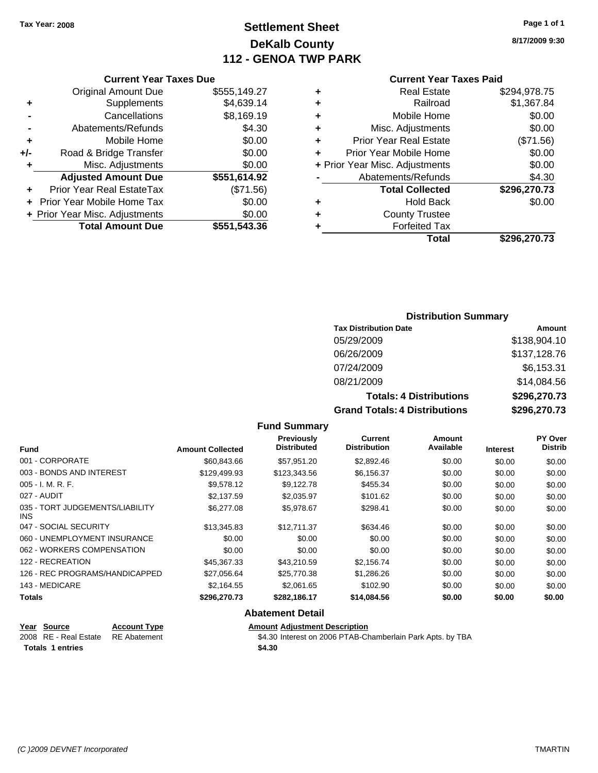Original Amount Due

**Adjusted Amount Due** 

**Total Amount Due** 

**+** Supplements **-** Cancellations **-** Abatements/Refunds **+** Mobile Home **+/-** Road & Bridge Transfer **+** Misc. Adjustments

**+** Prior Year Real EstateTax **+** Prior Year Mobile Home Tax \$0.00 **+ Prior Year Misc. Adjustments** 

# **Settlement Sheet Tax Year: 2008 Page 1 of 1 DeKalb County 112 - GENOA TWP PARK**

**8/17/2009 9:30**

### **Current Year Taxes Paid**

| <b>Current Year Taxes Due</b> |              | <b>Current Year Taxes Paid</b> |                                |              |
|-------------------------------|--------------|--------------------------------|--------------------------------|--------------|
| ıl Amount Due                 | \$555,149.27 | ٠                              | <b>Real Estate</b>             | \$294,978.75 |
| Supplements                   | \$4,639.14   | ٠                              | Railroad                       | \$1,367.84   |
| Cancellations                 | \$8,169.19   | ٠                              | Mobile Home                    | \$0.00       |
| าents/Refunds                 | \$4.30       | ÷                              | Misc. Adjustments              | \$0.00       |
| Mobile Home                   | \$0.00       | ÷                              | <b>Prior Year Real Estate</b>  | (\$71.56)    |
| ridge Transfer                | \$0.00       | ٠                              | Prior Year Mobile Home         | \$0.00       |
| . Adjustments                 | \$0.00       |                                | + Prior Year Misc. Adjustments | \$0.00       |
| <b>Amount Due</b>             | \$551,614.92 |                                | Abatements/Refunds             | \$4.30       |
| eal EstateTax                 | (\$71.56)    |                                | <b>Total Collected</b>         | \$296,270.73 |
| pile Home Tax                 | \$0.00       | ٠                              | <b>Hold Back</b>               | \$0.00       |
| . Adjustments                 | \$0.00       | ٠                              | <b>County Trustee</b>          |              |
| <b>Amount Due</b>             | \$551,543.36 |                                | <b>Forfeited Tax</b>           |              |
|                               |              |                                | Total                          | \$296,270.73 |

#### **Distribution Summary**

| <b>Tax Distribution Date</b>         | Amount       |
|--------------------------------------|--------------|
| 05/29/2009                           | \$138,904.10 |
| 06/26/2009                           | \$137,128.76 |
| 07/24/2009                           | \$6,153.31   |
| 08/21/2009                           | \$14,084.56  |
| <b>Totals: 4 Distributions</b>       | \$296,270.73 |
| <b>Grand Totals: 4 Distributions</b> | \$296,270.73 |

#### **Fund Summary**

| <b>Fund</b>                             | <b>Amount Collected</b> | Previously<br><b>Distributed</b> | Current<br><b>Distribution</b> | Amount<br>Available | <b>Interest</b> | PY Over<br><b>Distrib</b> |
|-----------------------------------------|-------------------------|----------------------------------|--------------------------------|---------------------|-----------------|---------------------------|
| 001 - CORPORATE                         | \$60,843.66             | \$57.951.20                      | \$2,892.46                     | \$0.00              | \$0.00          | \$0.00                    |
| 003 - BONDS AND INTEREST                | \$129,499.93            | \$123,343,56                     | \$6,156.37                     | \$0.00              | \$0.00          | \$0.00                    |
| $005 - I. M. R. F.$                     | \$9,578.12              | \$9,122.78                       | \$455.34                       | \$0.00              | \$0.00          | \$0.00                    |
| 027 - AUDIT                             | \$2,137.59              | \$2,035.97                       | \$101.62                       | \$0.00              | \$0.00          | \$0.00                    |
| 035 - TORT JUDGEMENTS/LIABILITY<br>INS. | \$6,277.08              | \$5,978.67                       | \$298.41                       | \$0.00              | \$0.00          | \$0.00                    |
| 047 - SOCIAL SECURITY                   | \$13,345.83             | \$12.711.37                      | \$634.46                       | \$0.00              | \$0.00          | \$0.00                    |
| 060 - UNEMPLOYMENT INSURANCE            | \$0.00                  | \$0.00                           | \$0.00                         | \$0.00              | \$0.00          | \$0.00                    |
| 062 - WORKERS COMPENSATION              | \$0.00                  | \$0.00                           | \$0.00                         | \$0.00              | \$0.00          | \$0.00                    |
| 122 - RECREATION                        | \$45,367.33             | \$43.210.59                      | \$2,156.74                     | \$0.00              | \$0.00          | \$0.00                    |
| 126 - REC PROGRAMS/HANDICAPPED          | \$27,056.64             | \$25,770.38                      | \$1,286.26                     | \$0.00              | \$0.00          | \$0.00                    |
| 143 - MEDICARE                          | \$2.164.55              | \$2.061.65                       | \$102.90                       | \$0.00              | \$0.00          | \$0.00                    |
| <b>Totals</b>                           | \$296,270.73            | \$282,186.17                     | \$14,084.56                    | \$0.00              | \$0.00          | \$0.00                    |

#### **Abatement Detail**

# **Year Source Account Type Amount Adjustment Description** Totals 1 entries \$4.30

2008 RE - Real Estate RE Abatement \$4.30 Interest on 2006 PTAB-Chamberlain Park Apts. by TBA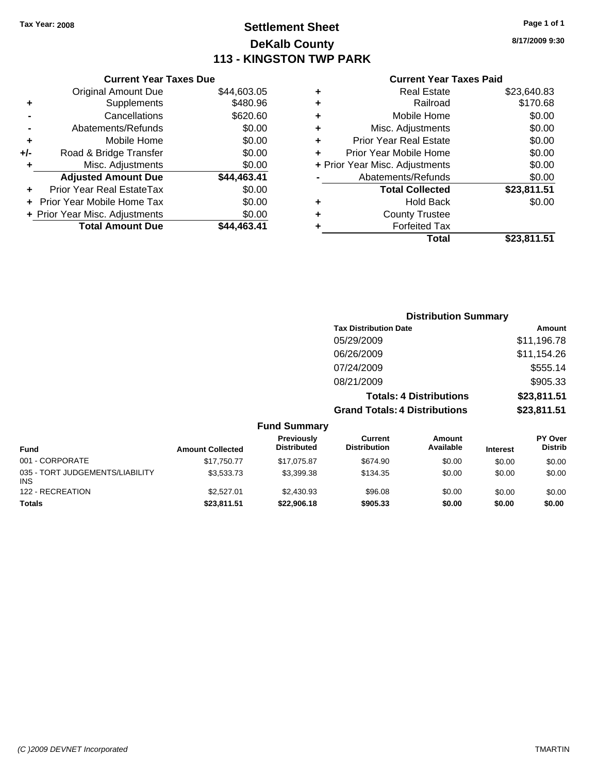# **Settlement Sheet Tax Year: 2008 Page 1 of 1 DeKalb County 113 - KINGSTON TWP PARK**

**8/17/2009 9:30**

#### **Current Year Taxes Paid**

|     | <b>Current Year Taxes Due</b>  |             |
|-----|--------------------------------|-------------|
|     | <b>Original Amount Due</b>     | \$44,603.05 |
| ٠   | Supplements                    | \$480.96    |
|     | Cancellations                  | \$620.60    |
|     | Abatements/Refunds             | \$0.00      |
| ٠   | Mobile Home                    | \$0.00      |
| +/- | Road & Bridge Transfer         | \$0.00      |
| ٠   | Misc. Adjustments              | \$0.00      |
|     | <b>Adjusted Amount Due</b>     | \$44,463.41 |
| ٠   | Prior Year Real EstateTax      | \$0.00      |
|     | Prior Year Mobile Home Tax     | \$0.00      |
|     | + Prior Year Misc. Adjustments | \$0.00      |
|     | <b>Total Amount Due</b>        | \$44.463.41 |
|     |                                |             |

|   | Total                          | \$23,811.51 |
|---|--------------------------------|-------------|
| ٠ | <b>Forfeited Tax</b>           |             |
| ٠ | <b>County Trustee</b>          |             |
| ٠ | <b>Hold Back</b>               | \$0.00      |
|   | <b>Total Collected</b>         | \$23,811.51 |
|   | Abatements/Refunds             | \$0.00      |
|   | + Prior Year Misc. Adjustments | \$0.00      |
| ٠ | Prior Year Mobile Home         | \$0.00      |
| ÷ | <b>Prior Year Real Estate</b>  | \$0.00      |
| ٠ | Misc. Adjustments              | \$0.00      |
| ÷ | Mobile Home                    | \$0.00      |
| ÷ | Railroad                       | \$170.68    |
| ٠ | <b>Real Estate</b>             | \$23,640.83 |
|   |                                |             |

|                          | <b>Distribution Summary</b>          |             |
|--------------------------|--------------------------------------|-------------|
|                          | <b>Tax Distribution Date</b>         | Amount      |
|                          | 05/29/2009                           | \$11,196.78 |
|                          | 06/26/2009                           | \$11,154.26 |
|                          | 07/24/2009                           | \$555.14    |
|                          | 08/21/2009                           | \$905.33    |
|                          | <b>Totals: 4 Distributions</b>       | \$23,811.51 |
|                          | <b>Grand Totals: 4 Distributions</b> | \$23,811.51 |
| <b>Fund Summary</b><br>. |                                      |             |

| <b>Fund</b>                                   | <b>Amount Collected</b> | Previously<br><b>Distributed</b> | Current<br><b>Distribution</b> | Amount<br>Available | <b>Interest</b> | <b>PY Over</b><br><b>Distrib</b> |
|-----------------------------------------------|-------------------------|----------------------------------|--------------------------------|---------------------|-----------------|----------------------------------|
| 001 - CORPORATE                               | \$17,750.77             | \$17.075.87                      | \$674.90                       | \$0.00              | \$0.00          | \$0.00                           |
| 035 - TORT JUDGEMENTS/LIABILITY<br><b>INS</b> | \$3.533.73              | \$3,399.38                       | \$134.35                       | \$0.00              | \$0.00          | \$0.00                           |
| 122 - RECREATION                              | \$2,527.01              | \$2,430.93                       | \$96.08                        | \$0.00              | \$0.00          | \$0.00                           |
| <b>Totals</b>                                 | \$23,811.51             | \$22,906,18                      | \$905.33                       | \$0.00              | \$0.00          | \$0.00                           |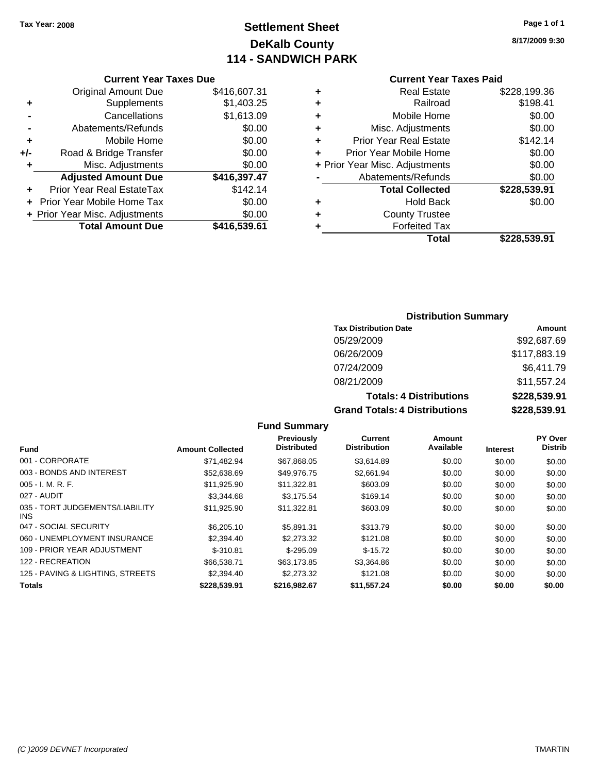# **Settlement Sheet Tax Year: 2008 Page 1 of 1 DeKalb County 114 - SANDWICH PARK**

**8/17/2009 9:30**

|     | <b>Current Year Taxes Due</b>     |              |
|-----|-----------------------------------|--------------|
|     | <b>Original Amount Due</b>        | \$416,607.31 |
| ٠   | Supplements                       | \$1,403.25   |
|     | Cancellations                     | \$1,613.09   |
|     | Abatements/Refunds                | \$0.00       |
| ٠   | Mobile Home                       | \$0.00       |
| +/- | Road & Bridge Transfer            | \$0.00       |
|     | Misc. Adjustments                 | \$0.00       |
|     | <b>Adjusted Amount Due</b>        | \$416,397.47 |
|     | Prior Year Real EstateTax         | \$142.14     |
|     | <b>Prior Year Mobile Home Tax</b> | \$0.00       |
|     | + Prior Year Misc. Adjustments    | \$0.00       |
|     | <b>Total Amount Due</b>           | \$416,539.61 |
|     |                                   |              |

|                                | <b>Current Year Taxes Paid</b> |              |
|--------------------------------|--------------------------------|--------------|
| ٠                              | <b>Real Estate</b>             | \$228,199.36 |
| ٠                              | Railroad                       | \$198.41     |
| ٠                              | Mobile Home                    | \$0.00       |
| ٠                              | Misc. Adjustments              | \$0.00       |
| ٠                              | <b>Prior Year Real Estate</b>  | \$142.14     |
| ٠                              | Prior Year Mobile Home         | \$0.00       |
| + Prior Year Misc. Adjustments |                                | \$0.00       |
|                                | Abatements/Refunds             | \$0.00       |
|                                | <b>Total Collected</b>         | \$228,539.91 |
| ٠                              | <b>Hold Back</b>               | \$0.00       |
| ٠                              | <b>County Trustee</b>          |              |
| ٠                              | <b>Forfeited Tax</b>           |              |
|                                | Total                          | \$228,539.91 |

### **Distribution Summary**

| <b>Tax Distribution Date</b>         | Amount       |
|--------------------------------------|--------------|
| 05/29/2009                           | \$92,687.69  |
| 06/26/2009                           | \$117,883.19 |
| 07/24/2009                           | \$6,411.79   |
| 08/21/2009                           | \$11,557.24  |
| <b>Totals: 4 Distributions</b>       | \$228,539.91 |
| <b>Grand Totals: 4 Distributions</b> | \$228,539.91 |

|                                         |                         | <b>Previously</b>  | Current             | Amount    |                 | PY Over        |
|-----------------------------------------|-------------------------|--------------------|---------------------|-----------|-----------------|----------------|
| <b>Fund</b>                             | <b>Amount Collected</b> | <b>Distributed</b> | <b>Distribution</b> | Available | <b>Interest</b> | <b>Distrib</b> |
| 001 - CORPORATE                         | \$71.482.94             | \$67,868.05        | \$3.614.89          | \$0.00    | \$0.00          | \$0.00         |
| 003 - BONDS AND INTEREST                | \$52,638.69             | \$49,976.75        | \$2,661.94          | \$0.00    | \$0.00          | \$0.00         |
| $005 - I. M. R. F.$                     | \$11,925.90             | \$11,322.81        | \$603.09            | \$0.00    | \$0.00          | \$0.00         |
| 027 - AUDIT                             | \$3,344.68              | \$3.175.54         | \$169.14            | \$0.00    | \$0.00          | \$0.00         |
| 035 - TORT JUDGEMENTS/LIABILITY<br>INS. | \$11,925.90             | \$11,322.81        | \$603.09            | \$0.00    | \$0.00          | \$0.00         |
| 047 - SOCIAL SECURITY                   | \$6,205.10              | \$5.891.31         | \$313.79            | \$0.00    | \$0.00          | \$0.00         |
| 060 - UNEMPLOYMENT INSURANCE            | \$2,394.40              | \$2,273,32         | \$121.08            | \$0.00    | \$0.00          | \$0.00         |
| 109 - PRIOR YEAR ADJUSTMENT             | $$-310.81$              | $$-295.09$         | $$-15.72$           | \$0.00    | \$0.00          | \$0.00         |
| 122 - RECREATION                        | \$66,538.71             | \$63.173.85        | \$3,364.86          | \$0.00    | \$0.00          | \$0.00         |
| 125 - PAVING & LIGHTING, STREETS        | \$2,394.40              | \$2,273,32         | \$121.08            | \$0.00    | \$0.00          | \$0.00         |
| <b>Totals</b>                           | \$228.539.91            | \$216,982.67       | \$11,557.24         | \$0.00    | \$0.00          | \$0.00         |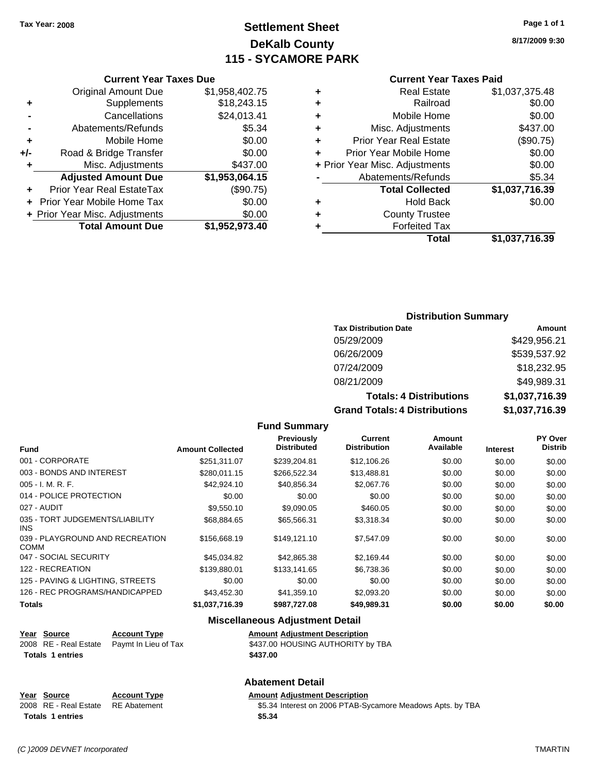# **Settlement Sheet Tax Year: 2008 Page 1 of 1 DeKalb County 115 - SYCAMORE PARK**

**8/17/2009 9:30**

#### **Current Year Taxes Paid**

| ٠ | <b>Real Estate</b>             | \$1,037,375.48 |
|---|--------------------------------|----------------|
| ٠ | Railroad                       | \$0.00         |
| ٠ | Mobile Home                    | \$0.00         |
| ٠ | Misc. Adjustments              | \$437.00       |
| ٠ | <b>Prior Year Real Estate</b>  | (\$90.75)      |
| ٠ | Prior Year Mobile Home         | \$0.00         |
|   | + Prior Year Misc. Adjustments | \$0.00         |
|   | Abatements/Refunds             | \$5.34         |
|   | <b>Total Collected</b>         | \$1,037,716.39 |
| ٠ | <b>Hold Back</b>               | \$0.00         |
|   | <b>County Trustee</b>          |                |
|   | <b>Forfeited Tax</b>           |                |
|   | Total                          | \$1,037,716.39 |

### **Current Year Taxes Due** Original Amount Due \$1,958,402.75

|     | Unginal Amuunii Duc            | <b>UI, JUU, TUL.IU</b> |
|-----|--------------------------------|------------------------|
| ٠   | Supplements                    | \$18,243.15            |
|     | Cancellations                  | \$24,013.41            |
|     | Abatements/Refunds             | \$5.34                 |
| ÷   | Mobile Home                    | \$0.00                 |
| +/- | Road & Bridge Transfer         | \$0.00                 |
| ٠   | Misc. Adjustments              | \$437.00               |
|     | <b>Adjusted Amount Due</b>     | \$1,953,064.15         |
|     | Prior Year Real EstateTax      | (\$90.75)              |
|     | + Prior Year Mobile Home Tax   | \$0.00                 |
|     | + Prior Year Misc. Adjustments | \$0.00                 |
|     | <b>Total Amount Due</b>        | \$1,952,973.40         |

### **Distribution Summary**

| <b>Tax Distribution Date</b>         | Amount         |
|--------------------------------------|----------------|
| 05/29/2009                           | \$429,956.21   |
| 06/26/2009                           | \$539,537.92   |
| 07/24/2009                           | \$18,232.95    |
| 08/21/2009                           | \$49,989.31    |
| <b>Totals: 4 Distributions</b>       | \$1,037,716.39 |
| <b>Grand Totals: 4 Distributions</b> | \$1,037,716.39 |

#### **Fund Summary**

| <b>Fund</b>                                    | <b>Amount Collected</b> | <b>Previously</b><br><b>Distributed</b> | Current<br><b>Distribution</b> | <b>Amount</b><br>Available | <b>Interest</b> | <b>PY Over</b><br><b>Distrib</b> |
|------------------------------------------------|-------------------------|-----------------------------------------|--------------------------------|----------------------------|-----------------|----------------------------------|
| 001 - CORPORATE                                | \$251.311.07            | \$239,204.81                            | \$12,106.26                    | \$0.00                     | \$0.00          | \$0.00                           |
| 003 - BONDS AND INTEREST                       | \$280.011.15            | \$266,522.34                            | \$13,488.81                    | \$0.00                     | \$0.00          | \$0.00                           |
| 005 - I. M. R. F.                              | \$42,924.10             | \$40,856.34                             | \$2,067.76                     | \$0.00                     | \$0.00          | \$0.00                           |
| 014 - POLICE PROTECTION                        | \$0.00                  | \$0.00                                  | \$0.00                         | \$0.00                     | \$0.00          | \$0.00                           |
| 027 - AUDIT                                    | \$9,550.10              | \$9,090.05                              | \$460.05                       | \$0.00                     | \$0.00          | \$0.00                           |
| 035 - TORT JUDGEMENTS/LIABILITY<br>INS.        | \$68,884.65             | \$65,566.31                             | \$3,318.34                     | \$0.00                     | \$0.00          | \$0.00                           |
| 039 - PLAYGROUND AND RECREATION<br><b>COMM</b> | \$156,668.19            | \$149,121.10                            | \$7,547.09                     | \$0.00                     | \$0.00          | \$0.00                           |
| 047 - SOCIAL SECURITY                          | \$45,034.82             | \$42,865.38                             | \$2,169.44                     | \$0.00                     | \$0.00          | \$0.00                           |
| 122 - RECREATION                               | \$139,880.01            | \$133,141.65                            | \$6,738.36                     | \$0.00                     | \$0.00          | \$0.00                           |
| 125 - PAVING & LIGHTING, STREETS               | \$0.00                  | \$0.00                                  | \$0.00                         | \$0.00                     | \$0.00          | \$0.00                           |
| 126 - REC PROGRAMS/HANDICAPPED                 | \$43,452.30             | \$41,359.10                             | \$2,093.20                     | \$0.00                     | \$0.00          | \$0.00                           |
| <b>Totals</b>                                  | \$1,037,716.39          | \$987,727.08                            | \$49,989.31                    | \$0.00                     | \$0.00          | \$0.00                           |

#### **Miscellaneous Adjustment Detail**

| Year Source             | <b>Account Type</b>                        | <b>Amount Adiustment Description</b> |
|-------------------------|--------------------------------------------|--------------------------------------|
|                         | 2008 RE - Real Estate Paymt In Lieu of Tax | \$437.00 HOUSING AUTHORITY by TBA    |
| <b>Totals 1 entries</b> |                                            | \$437.00                             |

#### **Abatement Detail**

| Year Source                        | <b>Account Type</b> | <b>Amount Adiustment Description</b>                       |
|------------------------------------|---------------------|------------------------------------------------------------|
| 2008 RE - Real Estate RE Abatement |                     | \$5.34 Interest on 2006 PTAB-Sycamore Meadows Apts. by TBA |
| <b>Totals 1 entries</b>            |                     | \$5.34                                                     |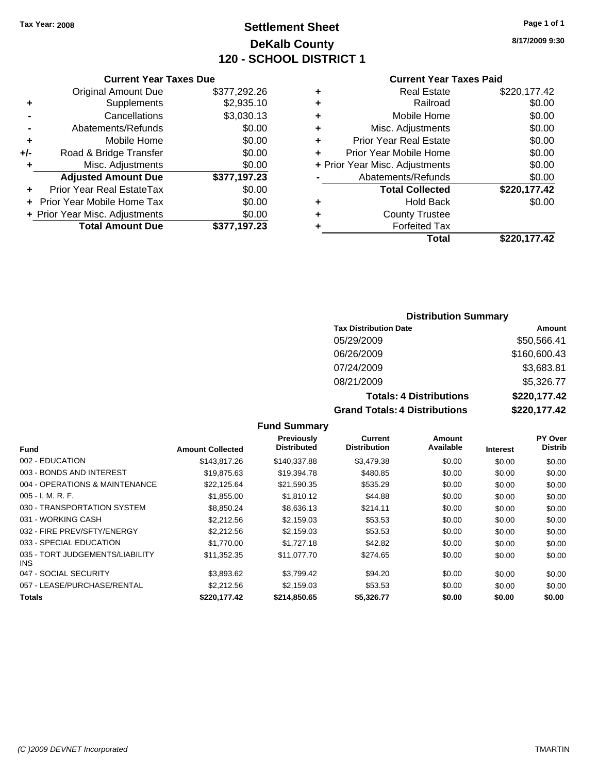# **Settlement Sheet Tax Year: 2008 Page 1 of 1 DeKalb County 120 - SCHOOL DISTRICT 1**

**8/17/2009 9:30**

#### **Current Year Taxes Paid**

|     | OUITUR TUUT TUAUS DUU          |              |
|-----|--------------------------------|--------------|
|     | <b>Original Amount Due</b>     | \$377,292.26 |
| ٠   | Supplements                    | \$2,935.10   |
|     | Cancellations                  | \$3,030.13   |
|     | Abatements/Refunds             | \$0.00       |
| ٠   | Mobile Home                    | \$0.00       |
| +/- | Road & Bridge Transfer         | \$0.00       |
| ٠   | Misc. Adjustments              | \$0.00       |
|     | <b>Adjusted Amount Due</b>     | \$377,197.23 |
|     | Prior Year Real EstateTax      | \$0.00       |
|     | Prior Year Mobile Home Tax     | \$0.00       |
|     | + Prior Year Misc. Adjustments | \$0.00       |
|     | <b>Total Amount Due</b>        | \$377,197.23 |
|     |                                |              |

**Current Year Taxes Due**

| <b>Real Estate</b>             | \$220,177.42 |
|--------------------------------|--------------|
| Railroad                       | \$0.00       |
| Mobile Home                    | \$0.00       |
| Misc. Adjustments              | \$0.00       |
| <b>Prior Year Real Estate</b>  | \$0.00       |
| Prior Year Mobile Home         | \$0.00       |
| + Prior Year Misc. Adjustments | \$0.00       |
| Abatements/Refunds             | \$0.00       |
| <b>Total Collected</b>         | \$220,177.42 |
| <b>Hold Back</b>               | \$0.00       |
| <b>County Trustee</b>          |              |
| <b>Forfeited Tax</b>           |              |
| Total                          | \$220.177.42 |
|                                |              |

#### **Distribution Summary**

| <b>Tax Distribution Date</b>         | Amount       |
|--------------------------------------|--------------|
| 05/29/2009                           | \$50,566.41  |
| 06/26/2009                           | \$160,600.43 |
| 07/24/2009                           | \$3,683.81   |
| 08/21/2009                           | \$5,326.77   |
| <b>Totals: 4 Distributions</b>       | \$220,177.42 |
| <b>Grand Totals: 4 Distributions</b> | \$220,177.42 |

#### **Fund Summary Fund Interest Amount Collected Distributed PY Over Distrib Amount Available Current Distribution Previously** 002 - EDUCATION \$143,817.26 \$140,337.88 \$0.00 \$0.00 \$0.00 \$0.00 003 - BONDS AND INTEREST 63 \$19,875.63 \$19,394.78 \$480.85 \$0.00 \$0.00 \$0.00 \$0.00 004 - OPERATIONS & MAINTENANCE  $$22,125.64$   $$21,590.35$   $$535.29$   $$0.00$   $$0.00$   $$0.00$ 005 - I. M. R. F. \$1,855.00 \$1,810.12 \$44.88 \$0.00 \$0.00 \$0.00 030 - TRANSPORTATION SYSTEM \$8,850.24 \$8,636.13 \$214.11 \$0.00 \$0.00 \$0.00 \$0.00 031 - WORKING CASH \$2,212.56 \$2,159.03 \$53.53 \$0.00 \$0.00 \$0.00 032 - FIRE PREV/SFTY/ENERGY  $$2,212.56$   $$2,159.03$   $$53.53$   $$0.00$   $$0.00$   $$0.00$ 033 - SPECIAL EDUCATION \$1,770.00 \$1,727.18 \$42.82 \$0.00 \$0.00 \$0.00 \$0.00 035 - TORT JUDGEMENTS/LIABILITY \$11,352.35 \$11,077.70 \$274.65 \$0.00 \$0.00 \$0.00 \$0.00 047 - SOCIAL SECURITY \$3,893.62 \$3,799.42 \$0.00 \$0.00 \$0.00 \$0.00 057 - LEASE/PURCHASE/RENTAL  $$2,212.56$   $$2,159.03$   $$53.53$   $$0.00$   $$0.00$   $$0.00$

**Totals \$220,177.42 \$214,850.65 \$5,326.77 \$0.00 \$0.00 \$0.00**

INS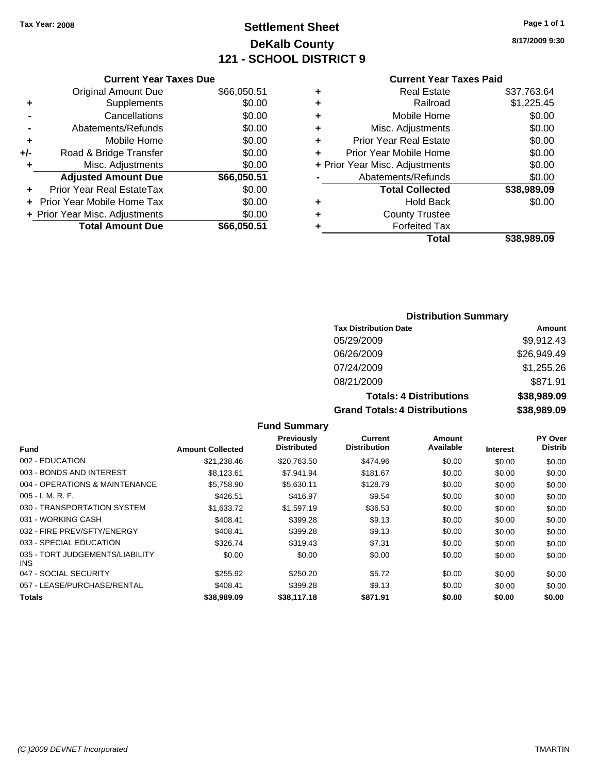# **Settlement Sheet Tax Year: 2008 Page 1 of 1 DeKalb County 121 - SCHOOL DISTRICT 9**

**8/17/2009 9:30**

|--|

|     | <b>Current Year Taxes Due</b>  |             |
|-----|--------------------------------|-------------|
|     | <b>Original Amount Due</b>     | \$66,050.51 |
| ٠   | Supplements                    | \$0.00      |
|     | Cancellations                  | \$0.00      |
|     | Abatements/Refunds             | \$0.00      |
| ٠   | Mobile Home                    | \$0.00      |
| +/- | Road & Bridge Transfer         | \$0.00      |
| ٠   | Misc. Adjustments              | \$0.00      |
|     | <b>Adjusted Amount Due</b>     | \$66,050.51 |
|     | Prior Year Real EstateTax      | \$0.00      |
|     | Prior Year Mobile Home Tax     | \$0.00      |
|     | + Prior Year Misc. Adjustments | \$0.00      |
|     | <b>Total Amount Due</b>        | \$66,050.51 |

### **Distribution Summary**

| <b>Tax Distribution Date</b>         | Amount      |
|--------------------------------------|-------------|
| 05/29/2009                           | \$9,912.43  |
| 06/26/2009                           | \$26,949.49 |
| 07/24/2009                           | \$1,255.26  |
| 08/21/2009                           | \$871.91    |
| <b>Totals: 4 Distributions</b>       | \$38,989.09 |
| <b>Grand Totals: 4 Distributions</b> | \$38,989.09 |

|                                               |                         | Previously<br><b>Distributed</b> | Current<br><b>Distribution</b> | Amount<br>Available |          | PY Over<br><b>Distrib</b> |
|-----------------------------------------------|-------------------------|----------------------------------|--------------------------------|---------------------|----------|---------------------------|
| <b>Fund</b>                                   | <b>Amount Collected</b> |                                  |                                |                     | Interest |                           |
| 002 - EDUCATION                               | \$21,238.46             | \$20,763.50                      | \$474.96                       | \$0.00              | \$0.00   | \$0.00                    |
| 003 - BONDS AND INTEREST                      | \$8.123.61              | \$7.941.94                       | \$181.67                       | \$0.00              | \$0.00   | \$0.00                    |
| 004 - OPERATIONS & MAINTENANCE                | \$5,758.90              | \$5,630.11                       | \$128.79                       | \$0.00              | \$0.00   | \$0.00                    |
| $005 - I. M. R. F.$                           | \$426.51                | \$416.97                         | \$9.54                         | \$0.00              | \$0.00   | \$0.00                    |
| 030 - TRANSPORTATION SYSTEM                   | \$1,633.72              | \$1,597.19                       | \$36.53                        | \$0.00              | \$0.00   | \$0.00                    |
| 031 - WORKING CASH                            | \$408.41                | \$399.28                         | \$9.13                         | \$0.00              | \$0.00   | \$0.00                    |
| 032 - FIRE PREV/SFTY/ENERGY                   | \$408.41                | \$399.28                         | \$9.13                         | \$0.00              | \$0.00   | \$0.00                    |
| 033 - SPECIAL EDUCATION                       | \$326.74                | \$319.43                         | \$7.31                         | \$0.00              | \$0.00   | \$0.00                    |
| 035 - TORT JUDGEMENTS/LIABILITY<br><b>INS</b> | \$0.00                  | \$0.00                           | \$0.00                         | \$0.00              | \$0.00   | \$0.00                    |
| 047 - SOCIAL SECURITY                         | \$255.92                | \$250.20                         | \$5.72                         | \$0.00              | \$0.00   | \$0.00                    |
| 057 - LEASE/PURCHASE/RENTAL                   | \$408.41                | \$399.28                         | \$9.13                         | \$0.00              | \$0.00   | \$0.00                    |
| Totals                                        | \$38,989.09             | \$38,117.18                      | \$871.91                       | \$0.00              | \$0.00   | \$0.00                    |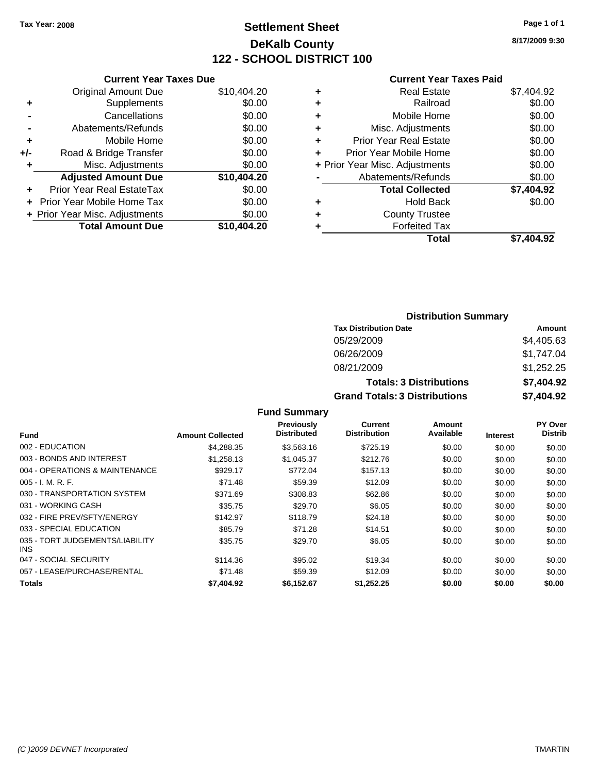# **Settlement Sheet Tax Year: 2008 Page 1 of 1 DeKalb County 122 - SCHOOL DISTRICT 100**

**8/17/2009 9:30**

#### **Current Year Taxes Paid**

|       | <b>Current Year Taxes Due</b>  |             |
|-------|--------------------------------|-------------|
|       | <b>Original Amount Due</b>     | \$10,404.20 |
| ٠     | Supplements                    | \$0.00      |
|       | Cancellations                  | \$0.00      |
|       | Abatements/Refunds             | \$0.00      |
| ٠     | Mobile Home                    | \$0.00      |
| $+/-$ | Road & Bridge Transfer         | \$0.00      |
| ٠     | Misc. Adjustments              | \$0.00      |
|       | <b>Adjusted Amount Due</b>     | \$10,404.20 |
| ٠     | Prior Year Real EstateTax      | \$0.00      |
|       | Prior Year Mobile Home Tax     | \$0.00      |
|       | + Prior Year Misc. Adjustments | \$0.00      |
|       | <b>Total Amount Due</b>        | \$10,404.20 |
|       |                                |             |

| ٠ | <b>Real Estate</b>             | \$7,404.92 |
|---|--------------------------------|------------|
| ٠ | Railroad                       | \$0.00     |
| ٠ | Mobile Home                    | \$0.00     |
| ٠ | Misc. Adjustments              | \$0.00     |
| ÷ | <b>Prior Year Real Estate</b>  | \$0.00     |
| ÷ | Prior Year Mobile Home         | \$0.00     |
|   | + Prior Year Misc. Adjustments | \$0.00     |
|   | Abatements/Refunds             | \$0.00     |
|   | <b>Total Collected</b>         | \$7,404.92 |
| ٠ | Hold Back                      | \$0.00     |
| ٠ | <b>County Trustee</b>          |            |
| ٠ | <b>Forfeited Tax</b>           |            |
|   | Total                          | \$7.404.92 |
|   |                                |            |

### **Distribution Summary Tax Distribution Date Amount** 05/29/2009 \$4,405.63 06/26/2009 \$1,747.04 08/21/2009 \$1,252.25 **Totals: 3 Distributions \$7,404.92 Grand Totals: 3 Distributions \$7,404.92**

| <b>Fund</b>                             | <b>Amount Collected</b> | <b>Previously</b><br><b>Distributed</b> | Current<br><b>Distribution</b> | Amount<br>Available | <b>Interest</b> | <b>PY Over</b><br><b>Distrib</b> |
|-----------------------------------------|-------------------------|-----------------------------------------|--------------------------------|---------------------|-----------------|----------------------------------|
|                                         |                         |                                         |                                |                     |                 |                                  |
| 002 - EDUCATION                         | \$4,288,35              | \$3,563.16                              | \$725.19                       | \$0.00              | \$0.00          | \$0.00                           |
| 003 - BONDS AND INTEREST                | \$1,258.13              | \$1,045.37                              | \$212.76                       | \$0.00              | \$0.00          | \$0.00                           |
| 004 - OPERATIONS & MAINTENANCE          | \$929.17                | \$772.04                                | \$157.13                       | \$0.00              | \$0.00          | \$0.00                           |
| $005 - I. M. R. F.$                     | \$71.48                 | \$59.39                                 | \$12.09                        | \$0.00              | \$0.00          | \$0.00                           |
| 030 - TRANSPORTATION SYSTEM             | \$371.69                | \$308.83                                | \$62.86                        | \$0.00              | \$0.00          | \$0.00                           |
| 031 - WORKING CASH                      | \$35.75                 | \$29.70                                 | \$6.05                         | \$0.00              | \$0.00          | \$0.00                           |
| 032 - FIRE PREV/SFTY/ENERGY             | \$142.97                | \$118.79                                | \$24.18                        | \$0.00              | \$0.00          | \$0.00                           |
| 033 - SPECIAL EDUCATION                 | \$85.79                 | \$71.28                                 | \$14.51                        | \$0.00              | \$0.00          | \$0.00                           |
| 035 - TORT JUDGEMENTS/LIABILITY<br>INS. | \$35.75                 | \$29.70                                 | \$6.05                         | \$0.00              | \$0.00          | \$0.00                           |
| 047 - SOCIAL SECURITY                   | \$114.36                | \$95.02                                 | \$19.34                        | \$0.00              | \$0.00          | \$0.00                           |
| 057 - LEASE/PURCHASE/RENTAL             | \$71.48                 | \$59.39                                 | \$12.09                        | \$0.00              | \$0.00          | \$0.00                           |
| Totals                                  | \$7,404.92              | \$6.152.67                              | \$1.252.25                     | \$0.00              | \$0.00          | \$0.00                           |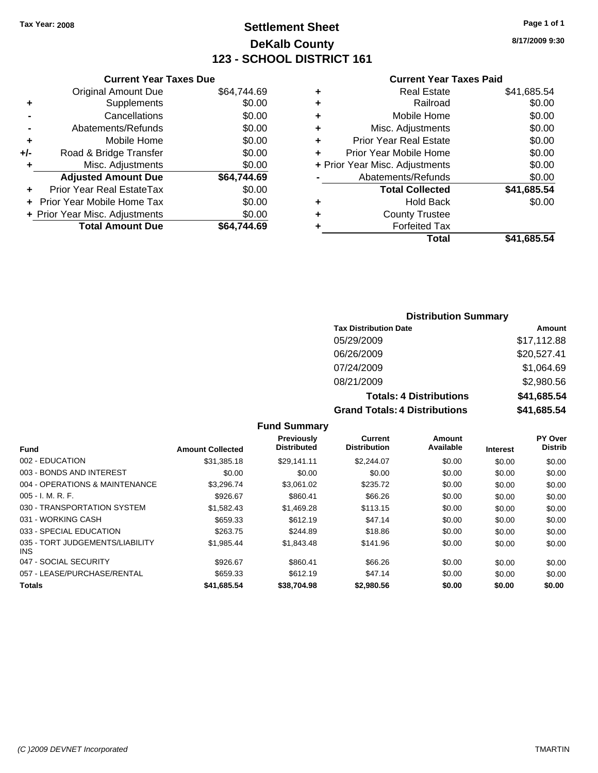# **Settlement Sheet Tax Year: 2008 Page 1 of 1 DeKalb County 123 - SCHOOL DISTRICT 161**

**8/17/2009 9:30**

#### **Current Year Taxes Paid**

|     | <b>Current Year Taxes Due</b>     |             |  |
|-----|-----------------------------------|-------------|--|
|     | <b>Original Amount Due</b>        | \$64,744.69 |  |
| ٠   | Supplements                       | \$0.00      |  |
|     | Cancellations                     | \$0.00      |  |
|     | Abatements/Refunds                | \$0.00      |  |
| ٠   | Mobile Home                       | \$0.00      |  |
| +/- | Road & Bridge Transfer            | \$0.00      |  |
| ٠   | Misc. Adjustments                 | \$0.00      |  |
|     | <b>Adjusted Amount Due</b>        | \$64.744.69 |  |
| ٠   | Prior Year Real EstateTax         | \$0.00      |  |
|     | <b>Prior Year Mobile Home Tax</b> | \$0.00      |  |
|     | + Prior Year Misc. Adjustments    | \$0.00      |  |
|     | <b>Total Amount Due</b>           | \$64.744.69 |  |
|     |                                   |             |  |

|   | <b>Real Estate</b>             | \$41,685.54 |
|---|--------------------------------|-------------|
| ٠ | Railroad                       | \$0.00      |
| ٠ | Mobile Home                    | \$0.00      |
| ٠ | Misc. Adjustments              | \$0.00      |
| ÷ | <b>Prior Year Real Estate</b>  | \$0.00      |
| ٠ | Prior Year Mobile Home         | \$0.00      |
|   | + Prior Year Misc. Adjustments | \$0.00      |
|   | Abatements/Refunds             | \$0.00      |
|   | <b>Total Collected</b>         | \$41,685.54 |
| ٠ | Hold Back                      | \$0.00      |
| ٠ | <b>County Trustee</b>          |             |
| ٠ | <b>Forfeited Tax</b>           |             |
|   | Total                          | \$41,685.54 |
|   |                                |             |

### **Distribution Summary**

| <b>Tax Distribution Date</b>         | Amount      |
|--------------------------------------|-------------|
| 05/29/2009                           | \$17,112.88 |
| 06/26/2009                           | \$20,527.41 |
| 07/24/2009                           | \$1,064.69  |
| 08/21/2009                           | \$2,980.56  |
| <b>Totals: 4 Distributions</b>       | \$41,685.54 |
| <b>Grand Totals: 4 Distributions</b> | \$41,685.54 |

|                                               |                         | Previously         | Current             | <b>Amount</b> |                 | PY Over        |
|-----------------------------------------------|-------------------------|--------------------|---------------------|---------------|-----------------|----------------|
| <b>Fund</b>                                   | <b>Amount Collected</b> | <b>Distributed</b> | <b>Distribution</b> | Available     | <b>Interest</b> | <b>Distrib</b> |
| 002 - EDUCATION                               | \$31,385.18             | \$29.141.11        | \$2,244.07          | \$0.00        | \$0.00          | \$0.00         |
| 003 - BONDS AND INTEREST                      | \$0.00                  | \$0.00             | \$0.00              | \$0.00        | \$0.00          | \$0.00         |
| 004 - OPERATIONS & MAINTENANCE                | \$3.296.74              | \$3.061.02         | \$235.72            | \$0.00        | \$0.00          | \$0.00         |
| $005 - I. M. R. F.$                           | \$926.67                | \$860.41           | \$66.26             | \$0.00        | \$0.00          | \$0.00         |
| 030 - TRANSPORTATION SYSTEM                   | \$1.582.43              | \$1,469.28         | \$113.15            | \$0.00        | \$0.00          | \$0.00         |
| 031 - WORKING CASH                            | \$659.33                | \$612.19           | \$47.14             | \$0.00        | \$0.00          | \$0.00         |
| 033 - SPECIAL EDUCATION                       | \$263.75                | \$244.89           | \$18.86             | \$0.00        | \$0.00          | \$0.00         |
| 035 - TORT JUDGEMENTS/LIABILITY<br><b>INS</b> | \$1,985.44              | \$1,843.48         | \$141.96            | \$0.00        | \$0.00          | \$0.00         |
| 047 - SOCIAL SECURITY                         | \$926.67                | \$860.41           | \$66.26             | \$0.00        | \$0.00          | \$0.00         |
| 057 - LEASE/PURCHASE/RENTAL                   | \$659.33                | \$612.19           | \$47.14             | \$0.00        | \$0.00          | \$0.00         |
| <b>Totals</b>                                 | \$41,685.54             | \$38,704.98        | \$2,980.56          | \$0.00        | \$0.00          | \$0.00         |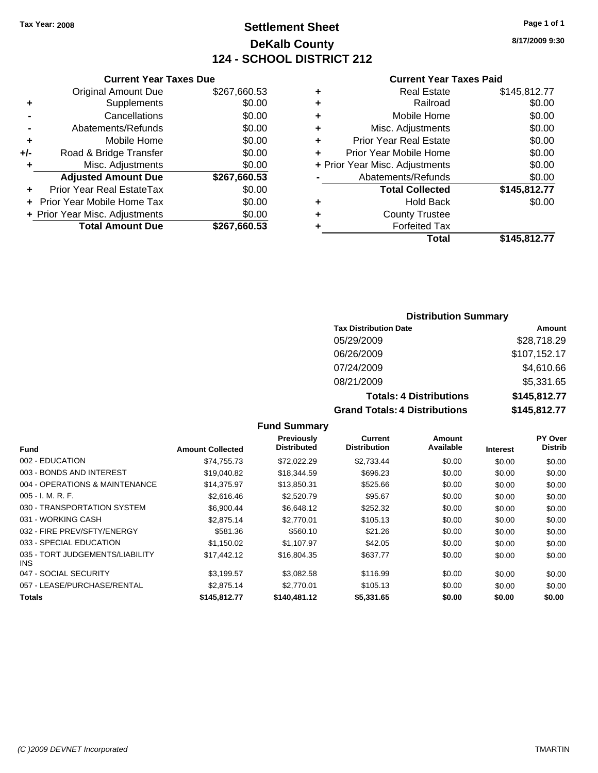# **Settlement Sheet Tax Year: 2008 Page 1 of 1 DeKalb County 124 - SCHOOL DISTRICT 212**

**8/17/2009 9:30**

#### **Current Year Taxes Paid**

|     | <b>Current Year Taxes Due</b>     |              |  |  |  |  |  |  |
|-----|-----------------------------------|--------------|--|--|--|--|--|--|
|     | <b>Original Amount Due</b>        | \$267,660.53 |  |  |  |  |  |  |
| ٠   | Supplements                       | \$0.00       |  |  |  |  |  |  |
|     | Cancellations                     | \$0.00       |  |  |  |  |  |  |
|     | Abatements/Refunds                | \$0.00       |  |  |  |  |  |  |
| ٠   | Mobile Home                       | \$0.00       |  |  |  |  |  |  |
| +/- | Road & Bridge Transfer            | \$0.00       |  |  |  |  |  |  |
| ٠   | Misc. Adjustments                 | \$0.00       |  |  |  |  |  |  |
|     | <b>Adjusted Amount Due</b>        | \$267,660.53 |  |  |  |  |  |  |
|     | Prior Year Real EstateTax         | \$0.00       |  |  |  |  |  |  |
|     | <b>Prior Year Mobile Home Tax</b> | \$0.00       |  |  |  |  |  |  |
|     | + Prior Year Misc. Adjustments    | \$0.00       |  |  |  |  |  |  |
|     | <b>Total Amount Due</b>           | \$267.660.53 |  |  |  |  |  |  |
|     |                                   |              |  |  |  |  |  |  |

| ٠ | <b>Real Estate</b>             | \$145,812.77 |
|---|--------------------------------|--------------|
| ٠ | Railroad                       | \$0.00       |
| ٠ | Mobile Home                    | \$0.00       |
| ٠ | Misc. Adjustments              | \$0.00       |
| ٠ | <b>Prior Year Real Estate</b>  | \$0.00       |
| ÷ | Prior Year Mobile Home         | \$0.00       |
|   | + Prior Year Misc. Adjustments | \$0.00       |
|   | Abatements/Refunds             | \$0.00       |
|   | <b>Total Collected</b>         | \$145,812.77 |
| ٠ | <b>Hold Back</b>               | \$0.00       |
| ٠ | <b>County Trustee</b>          |              |
| ٠ | <b>Forfeited Tax</b>           |              |
|   | Total                          | \$145,812.77 |
|   |                                |              |

### **Distribution Summary**

| <b>Tax Distribution Date</b>         | Amount       |
|--------------------------------------|--------------|
| 05/29/2009                           | \$28,718.29  |
| 06/26/2009                           | \$107,152.17 |
| 07/24/2009                           | \$4,610.66   |
| 08/21/2009                           | \$5,331.65   |
| <b>Totals: 4 Distributions</b>       | \$145,812.77 |
| <b>Grand Totals: 4 Distributions</b> | \$145,812.77 |

|                                         |                         | Previously         | Current             | Amount    |                 | PY Over        |
|-----------------------------------------|-------------------------|--------------------|---------------------|-----------|-----------------|----------------|
| <b>Fund</b>                             | <b>Amount Collected</b> | <b>Distributed</b> | <b>Distribution</b> | Available | <b>Interest</b> | <b>Distrib</b> |
| 002 - EDUCATION                         | \$74,755.73             | \$72,022.29        | \$2,733.44          | \$0.00    | \$0.00          | \$0.00         |
| 003 - BONDS AND INTEREST                | \$19,040.82             | \$18,344.59        | \$696.23            | \$0.00    | \$0.00          | \$0.00         |
| 004 - OPERATIONS & MAINTENANCE          | \$14.375.97             | \$13,850.31        | \$525.66            | \$0.00    | \$0.00          | \$0.00         |
| $005 - I. M. R. F.$                     | \$2,616.46              | \$2,520.79         | \$95.67             | \$0.00    | \$0.00          | \$0.00         |
| 030 - TRANSPORTATION SYSTEM             | \$6,900.44              | \$6,648.12         | \$252.32            | \$0.00    | \$0.00          | \$0.00         |
| 031 - WORKING CASH                      | \$2,875.14              | \$2,770.01         | \$105.13            | \$0.00    | \$0.00          | \$0.00         |
| 032 - FIRE PREV/SFTY/ENERGY             | \$581.36                | \$560.10           | \$21.26             | \$0.00    | \$0.00          | \$0.00         |
| 033 - SPECIAL EDUCATION                 | \$1,150.02              | \$1.107.97         | \$42.05             | \$0.00    | \$0.00          | \$0.00         |
| 035 - TORT JUDGEMENTS/LIABILITY<br>INS. | \$17,442.12             | \$16,804.35        | \$637.77            | \$0.00    | \$0.00          | \$0.00         |
| 047 - SOCIAL SECURITY                   | \$3.199.57              | \$3.082.58         | \$116.99            | \$0.00    | \$0.00          | \$0.00         |
| 057 - LEASE/PURCHASE/RENTAL             | \$2,875.14              | \$2,770.01         | \$105.13            | \$0.00    | \$0.00          | \$0.00         |
| Totals                                  | \$145,812.77            | \$140,481.12       | \$5,331.65          | \$0.00    | \$0.00          | \$0.00         |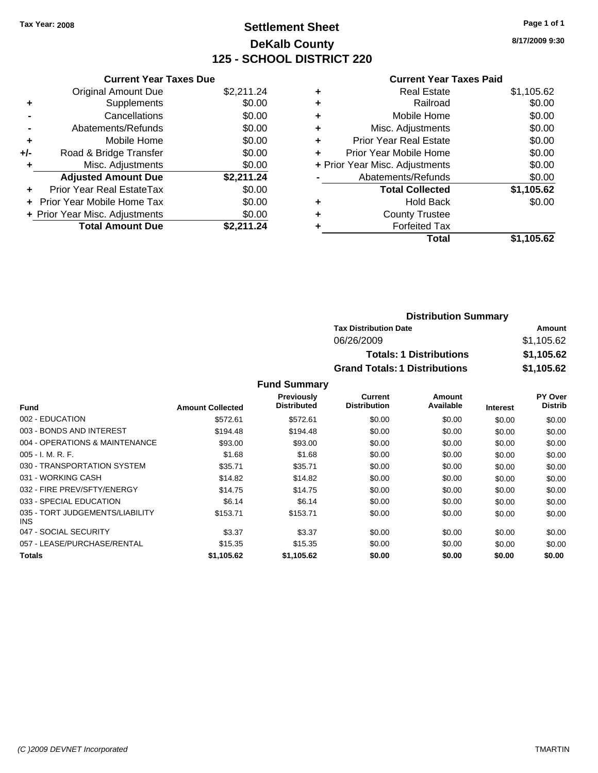# **Settlement Sheet Tax Year: 2008 Page 1 of 1 DeKalb County 125 - SCHOOL DISTRICT 220**

**8/17/2009 9:30**

#### **Current Year Taxes Paid**

|     | <b>Current Year Taxes Due</b>  |            |
|-----|--------------------------------|------------|
|     | <b>Original Amount Due</b>     | \$2,211.24 |
| ٠   | Supplements                    | \$0.00     |
|     | Cancellations                  | \$0.00     |
|     | Abatements/Refunds             | \$0.00     |
| ٠   | Mobile Home                    | \$0.00     |
| +/- | Road & Bridge Transfer         | \$0.00     |
|     | Misc. Adjustments              | \$0.00     |
|     | <b>Adjusted Amount Due</b>     | \$2,211.24 |
| ÷   | Prior Year Real EstateTax      | \$0.00     |
|     | Prior Year Mobile Home Tax     | \$0.00     |
|     | + Prior Year Misc. Adjustments | \$0.00     |
|     | <b>Total Amount Due</b>        | \$2,211.24 |

| ٠ | <b>Real Estate</b>             | \$1,105.62 |
|---|--------------------------------|------------|
| ٠ | Railroad                       | \$0.00     |
| ٠ | Mobile Home                    | \$0.00     |
| ٠ | Misc. Adjustments              | \$0.00     |
| ÷ | Prior Year Real Estate         | \$0.00     |
| ÷ | Prior Year Mobile Home         | \$0.00     |
|   | + Prior Year Misc. Adjustments | \$0.00     |
|   | Abatements/Refunds             | \$0.00     |
|   | <b>Total Collected</b>         | \$1,105.62 |
| ٠ | <b>Hold Back</b>               | \$0.00     |
| ٠ | <b>County Trustee</b>          |            |
|   | <b>Forfeited Tax</b>           |            |
|   | Total                          | \$1,105.62 |

| <b>Distribution Summary</b>          |            |
|--------------------------------------|------------|
| <b>Tax Distribution Date</b>         | Amount     |
| 06/26/2009                           | \$1.105.62 |
| <b>Totals: 1 Distributions</b>       | \$1,105.62 |
| <b>Grand Totals: 1 Distributions</b> | \$1,105.62 |

|                                         |                         | <b>Previously</b>  | Current             | Amount    |                 | <b>PY Over</b> |
|-----------------------------------------|-------------------------|--------------------|---------------------|-----------|-----------------|----------------|
| <b>Fund</b>                             | <b>Amount Collected</b> | <b>Distributed</b> | <b>Distribution</b> | Available | <b>Interest</b> | <b>Distrib</b> |
| 002 - EDUCATION                         | \$572.61                | \$572.61           | \$0.00              | \$0.00    | \$0.00          | \$0.00         |
| 003 - BONDS AND INTEREST                | \$194.48                | \$194.48           | \$0.00              | \$0.00    | \$0.00          | \$0.00         |
| 004 - OPERATIONS & MAINTENANCE          | \$93.00                 | \$93.00            | \$0.00              | \$0.00    | \$0.00          | \$0.00         |
| $005 - I. M. R. F.$                     | \$1.68                  | \$1.68             | \$0.00              | \$0.00    | \$0.00          | \$0.00         |
| 030 - TRANSPORTATION SYSTEM             | \$35.71                 | \$35.71            | \$0.00              | \$0.00    | \$0.00          | \$0.00         |
| 031 - WORKING CASH                      | \$14.82                 | \$14.82            | \$0.00              | \$0.00    | \$0.00          | \$0.00         |
| 032 - FIRE PREV/SFTY/ENERGY             | \$14.75                 | \$14.75            | \$0.00              | \$0.00    | \$0.00          | \$0.00         |
| 033 - SPECIAL EDUCATION                 | \$6.14                  | \$6.14             | \$0.00              | \$0.00    | \$0.00          | \$0.00         |
| 035 - TORT JUDGEMENTS/LIABILITY<br>INS. | \$153.71                | \$153.71           | \$0.00              | \$0.00    | \$0.00          | \$0.00         |
| 047 - SOCIAL SECURITY                   | \$3.37                  | \$3.37             | \$0.00              | \$0.00    | \$0.00          | \$0.00         |
| 057 - LEASE/PURCHASE/RENTAL             | \$15.35                 | \$15.35            | \$0.00              | \$0.00    | \$0.00          | \$0.00         |
| <b>Totals</b>                           | \$1,105.62              | \$1.105.62         | \$0.00              | \$0.00    | \$0.00          | \$0.00         |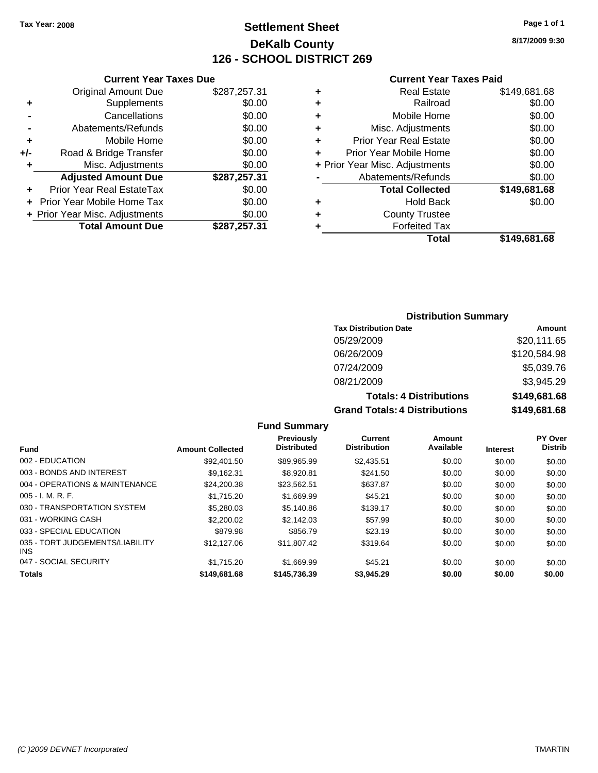**Original Amount Due** 

**Adjusted Amount Due** 

**Total Amount Due** 

**+** Supplements **-** Cancellations **-** Abatements/Refunds **+** Mobile Home **+/-** Road & Bridge Transfer **+** Misc. Adjustments

**+** Prior Year Real EstateTax \$0.00 **+** Prior Year Mobile Home Tax **+ Prior Year Misc. Adjustments** 

# **Settlement Sheet Tax Year: 2008 Page 1 of 1 DeKalb County 126 - SCHOOL DISTRICT 269**

**8/17/2009 9:30**

#### **Current Year Taxes Paid**

| <b>Current Year Taxes Due</b> |              |   | <b>Current Year Taxes</b>      |  |
|-------------------------------|--------------|---|--------------------------------|--|
| ıl Amount Due                 | \$287,257.31 | ÷ | <b>Real Estate</b>             |  |
| Supplements                   | \$0.00       | ٠ | Railroad                       |  |
| Cancellations                 | \$0.00       | ٠ | Mobile Home                    |  |
| าents/Refunds                 | \$0.00       | ٠ | Misc. Adjustments              |  |
| Mobile Home                   | \$0.00       | ٠ | <b>Prior Year Real Estate</b>  |  |
| ridge Transfer                | \$0.00       |   | Prior Year Mobile Home         |  |
| . Adjustments                 | \$0.00       |   | + Prior Year Misc. Adjustments |  |
| <b>Amount Due</b>             | \$287,257.31 |   | Abatements/Refunds             |  |
| leal EstateTax                | \$0.00       |   | <b>Total Collected</b>         |  |
| pile Home Tax                 | \$0.00       | ٠ | <b>Hold Back</b>               |  |
| . Adjustments                 | \$0.00       | ٠ | <b>County Trustee</b>          |  |
| <b>Amount Due</b>             | \$287,257.31 |   | <b>Forfeited Tax</b>           |  |
|                               |              |   | Total                          |  |

| ÷  | <b>Real Estate</b>             | \$149,681.68 |
|----|--------------------------------|--------------|
| Ŧ. | Railroad                       | \$0.00       |
| ÷  | Mobile Home                    | \$0.00       |
| ÷  | Misc. Adjustments              | \$0.00       |
| ÷. | <b>Prior Year Real Estate</b>  | \$0.00       |
| ÷  | Prior Year Mobile Home         | \$0.00       |
|    | + Prior Year Misc. Adjustments | \$0.00       |
|    | Abatements/Refunds             | \$0.00       |
|    | <b>Total Collected</b>         | \$149,681.68 |
| ÷  | <b>Hold Back</b>               | \$0.00       |
| ÷  | <b>County Trustee</b>          |              |
| ÷  | <b>Forfeited Tax</b>           |              |

**Total \$149,681.68**

#### **Distribution Summary**

| <b>Tax Distribution Date</b>         | Amount       |
|--------------------------------------|--------------|
| 05/29/2009                           | \$20,111.65  |
| 06/26/2009                           | \$120,584.98 |
| 07/24/2009                           | \$5,039.76   |
| 08/21/2009                           | \$3,945.29   |
| <b>Totals: 4 Distributions</b>       | \$149,681.68 |
| <b>Grand Totals: 4 Distributions</b> | \$149,681.68 |

| <b>Fund</b>                                   | <b>Amount Collected</b> | <b>Previously</b><br><b>Distributed</b> | <b>Current</b><br><b>Distribution</b> | Amount<br>Available | <b>Interest</b> | PY Over<br><b>Distrib</b> |
|-----------------------------------------------|-------------------------|-----------------------------------------|---------------------------------------|---------------------|-----------------|---------------------------|
| 002 - EDUCATION                               | \$92,401.50             | \$89.965.99                             | \$2,435.51                            | \$0.00              | \$0.00          | \$0.00                    |
| 003 - BONDS AND INTEREST                      | \$9.162.31              | \$8,920.81                              | \$241.50                              | \$0.00              | \$0.00          | \$0.00                    |
| 004 - OPERATIONS & MAINTENANCE                | \$24,200.38             | \$23.562.51                             | \$637.87                              | \$0.00              | \$0.00          | \$0.00                    |
| $005 - I. M. R. F.$                           | \$1,715.20              | \$1,669.99                              | \$45.21                               | \$0.00              | \$0.00          | \$0.00                    |
| 030 - TRANSPORTATION SYSTEM                   | \$5,280.03              | \$5,140.86                              | \$139.17                              | \$0.00              | \$0.00          | \$0.00                    |
| 031 - WORKING CASH                            | \$2,200.02              | \$2.142.03                              | \$57.99                               | \$0.00              | \$0.00          | \$0.00                    |
| 033 - SPECIAL EDUCATION                       | \$879.98                | \$856.79                                | \$23.19                               | \$0.00              | \$0.00          | \$0.00                    |
| 035 - TORT JUDGEMENTS/LIABILITY<br><b>INS</b> | \$12,127.06             | \$11.807.42                             | \$319.64                              | \$0.00              | \$0.00          | \$0.00                    |
| 047 - SOCIAL SECURITY                         | \$1,715.20              | \$1,669.99                              | \$45.21                               | \$0.00              | \$0.00          | \$0.00                    |
| <b>Totals</b>                                 | \$149,681.68            | \$145,736.39                            | \$3,945.29                            | \$0.00              | \$0.00          | \$0.00                    |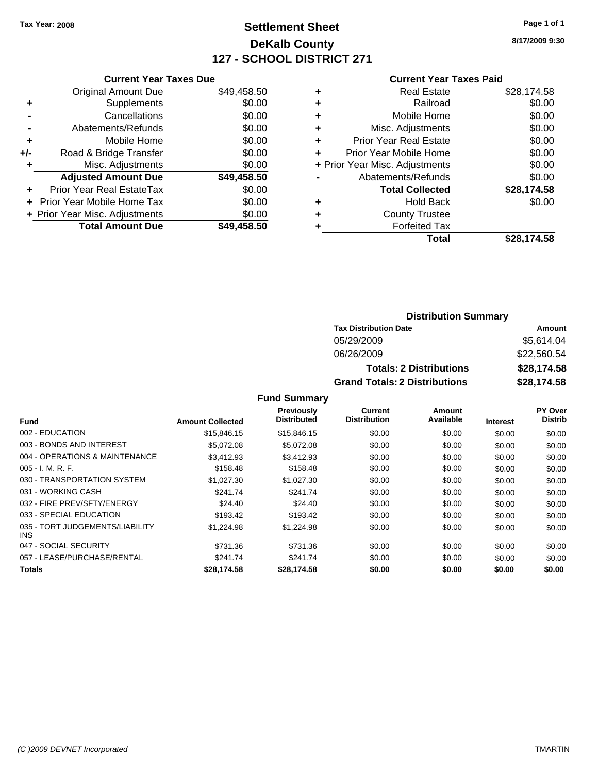# **Settlement Sheet Tax Year: 2008 Page 1 of 1 DeKalb County 127 - SCHOOL DISTRICT 271**

**8/17/2009 9:30**

#### **Current Year Taxes Paid**

|       | <b>Current Year Taxes Due</b>  |             |  |  |  |  |
|-------|--------------------------------|-------------|--|--|--|--|
|       | <b>Original Amount Due</b>     | \$49,458.50 |  |  |  |  |
| ٠     | Supplements                    | \$0.00      |  |  |  |  |
|       | Cancellations                  | \$0.00      |  |  |  |  |
|       | Abatements/Refunds             | \$0.00      |  |  |  |  |
| ٠     | Mobile Home                    | \$0.00      |  |  |  |  |
| $+/-$ | Road & Bridge Transfer         | \$0.00      |  |  |  |  |
| ٠     | Misc. Adjustments              | \$0.00      |  |  |  |  |
|       | <b>Adjusted Amount Due</b>     | \$49,458.50 |  |  |  |  |
| ٠     | Prior Year Real EstateTax      | \$0.00      |  |  |  |  |
|       | Prior Year Mobile Home Tax     | \$0.00      |  |  |  |  |
|       | + Prior Year Misc. Adjustments | \$0.00      |  |  |  |  |
|       | <b>Total Amount Due</b>        | \$49,458.50 |  |  |  |  |
|       |                                |             |  |  |  |  |

|                                | <b>Real Estate</b>     | \$28,174.58 |
|--------------------------------|------------------------|-------------|
| ٠                              | Railroad               | \$0.00      |
| ٠                              | Mobile Home            | \$0.00      |
| ٠                              | Misc. Adjustments      | \$0.00      |
| ÷                              | Prior Year Real Estate | \$0.00      |
| ٠                              | Prior Year Mobile Home | \$0.00      |
| + Prior Year Misc. Adjustments |                        | \$0.00      |
|                                | Abatements/Refunds     | \$0.00      |
|                                | <b>Total Collected</b> | \$28,174.58 |
| ٠                              | <b>Hold Back</b>       | \$0.00      |
| ٠                              | <b>County Trustee</b>  |             |
|                                | <b>Forfeited Tax</b>   |             |
|                                | Total                  | \$28.174.58 |

### **Distribution Summary**

| <b>Tax Distribution Date</b>         | Amount      |  |  |
|--------------------------------------|-------------|--|--|
| 05/29/2009                           | \$5,614.04  |  |  |
| 06/26/2009                           | \$22,560.54 |  |  |
| <b>Totals: 2 Distributions</b>       | \$28,174.58 |  |  |
| <b>Grand Totals: 2 Distributions</b> | \$28,174.58 |  |  |

|                                         |                         | <b>Previously</b>  | <b>Current</b>      | Amount    |                 | <b>PY Over</b> |
|-----------------------------------------|-------------------------|--------------------|---------------------|-----------|-----------------|----------------|
| <b>Fund</b>                             | <b>Amount Collected</b> | <b>Distributed</b> | <b>Distribution</b> | Available | <b>Interest</b> | <b>Distrib</b> |
| 002 - EDUCATION                         | \$15,846.15             | \$15,846.15        | \$0.00              | \$0.00    | \$0.00          | \$0.00         |
| 003 - BONDS AND INTEREST                | \$5,072.08              | \$5,072.08         | \$0.00              | \$0.00    | \$0.00          | \$0.00         |
| 004 - OPERATIONS & MAINTENANCE          | \$3.412.93              | \$3.412.93         | \$0.00              | \$0.00    | \$0.00          | \$0.00         |
| $005 - I. M. R. F.$                     | \$158.48                | \$158.48           | \$0.00              | \$0.00    | \$0.00          | \$0.00         |
| 030 - TRANSPORTATION SYSTEM             | \$1,027.30              | \$1,027.30         | \$0.00              | \$0.00    | \$0.00          | \$0.00         |
| 031 - WORKING CASH                      | \$241.74                | \$241.74           | \$0.00              | \$0.00    | \$0.00          | \$0.00         |
| 032 - FIRE PREV/SFTY/ENERGY             | \$24.40                 | \$24.40            | \$0.00              | \$0.00    | \$0.00          | \$0.00         |
| 033 - SPECIAL EDUCATION                 | \$193.42                | \$193.42           | \$0.00              | \$0.00    | \$0.00          | \$0.00         |
| 035 - TORT JUDGEMENTS/LIABILITY<br>INS. | \$1,224.98              | \$1,224.98         | \$0.00              | \$0.00    | \$0.00          | \$0.00         |
| 047 - SOCIAL SECURITY                   | \$731.36                | \$731.36           | \$0.00              | \$0.00    | \$0.00          | \$0.00         |
| 057 - LEASE/PURCHASE/RENTAL             | \$241.74                | \$241.74           | \$0.00              | \$0.00    | \$0.00          | \$0.00         |
| <b>Totals</b>                           | \$28,174.58             | \$28,174.58        | \$0.00              | \$0.00    | \$0.00          | \$0.00         |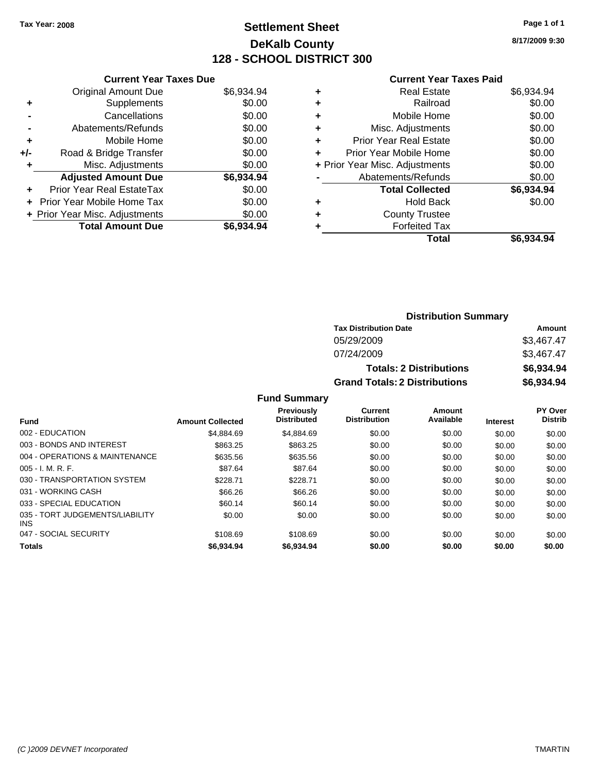# **Settlement Sheet Tax Year: 2008 Page 1 of 1 DeKalb County 128 - SCHOOL DISTRICT 300**

**8/17/2009 9:30**

#### **Current Year Taxes Paid**

| <b>Current Year Taxes Due</b>  |            |
|--------------------------------|------------|
| <b>Original Amount Due</b>     | \$6,934.94 |
| Supplements                    | \$0.00     |
| Cancellations                  | \$0.00     |
| Abatements/Refunds             | \$0.00     |
| Mobile Home                    | \$0.00     |
| Road & Bridge Transfer         | \$0.00     |
| Misc. Adjustments              | \$0.00     |
| <b>Adjusted Amount Due</b>     | \$6,934.94 |
| Prior Year Real EstateTax      | \$0.00     |
| Prior Year Mobile Home Tax     | \$0.00     |
| + Prior Year Misc. Adjustments | \$0.00     |
| <b>Total Amount Due</b>        | \$6.934.94 |
|                                |            |

|   | Total                          | \$6.934.94 |
|---|--------------------------------|------------|
| ٠ | <b>Forfeited Tax</b>           |            |
| ٠ | <b>County Trustee</b>          |            |
| ٠ | <b>Hold Back</b>               | \$0.00     |
|   | <b>Total Collected</b>         | \$6,934.94 |
|   | Abatements/Refunds             | \$0.00     |
|   | + Prior Year Misc. Adjustments | \$0.00     |
| ٠ | Prior Year Mobile Home         | \$0.00     |
| ÷ | Prior Year Real Estate         | \$0.00     |
| ٠ | Misc. Adjustments              | \$0.00     |
| ٠ | Mobile Home                    | \$0.00     |
| ٠ | Railroad                       | \$0.00     |
| ٠ | <b>Real Estate</b>             | \$6,934.94 |
|   |                                |            |

### **Distribution Summary Tax Distribution Date Amount** 05/29/2009 \$3,467.47 07/24/2009 \$3,467.47 **Totals: 2 Distributions \$6,934.94 Grand Totals: 2 Distributions \$6,934.94**

|                                               |                         | <b>Previously</b>  | Current             | Amount    |                 | <b>PY Over</b> |
|-----------------------------------------------|-------------------------|--------------------|---------------------|-----------|-----------------|----------------|
| <b>Fund</b>                                   | <b>Amount Collected</b> | <b>Distributed</b> | <b>Distribution</b> | Available | <b>Interest</b> | <b>Distrib</b> |
| 002 - EDUCATION                               | \$4,884.69              | \$4.884.69         | \$0.00              | \$0.00    | \$0.00          | \$0.00         |
| 003 - BONDS AND INTEREST                      | \$863.25                | \$863.25           | \$0.00              | \$0.00    | \$0.00          | \$0.00         |
| 004 - OPERATIONS & MAINTENANCE                | \$635.56                | \$635.56           | \$0.00              | \$0.00    | \$0.00          | \$0.00         |
| $005 - I. M. R. F.$                           | \$87.64                 | \$87.64            | \$0.00              | \$0.00    | \$0.00          | \$0.00         |
| 030 - TRANSPORTATION SYSTEM                   | \$228.71                | \$228.71           | \$0.00              | \$0.00    | \$0.00          | \$0.00         |
| 031 - WORKING CASH                            | \$66.26                 | \$66.26            | \$0.00              | \$0.00    | \$0.00          | \$0.00         |
| 033 - SPECIAL EDUCATION                       | \$60.14                 | \$60.14            | \$0.00              | \$0.00    | \$0.00          | \$0.00         |
| 035 - TORT JUDGEMENTS/LIABILITY<br><b>INS</b> | \$0.00                  | \$0.00             | \$0.00              | \$0.00    | \$0.00          | \$0.00         |
| 047 - SOCIAL SECURITY                         | \$108.69                | \$108.69           | \$0.00              | \$0.00    | \$0.00          | \$0.00         |
| <b>Totals</b>                                 | \$6,934.94              | \$6,934.94         | \$0.00              | \$0.00    | \$0.00          | \$0.00         |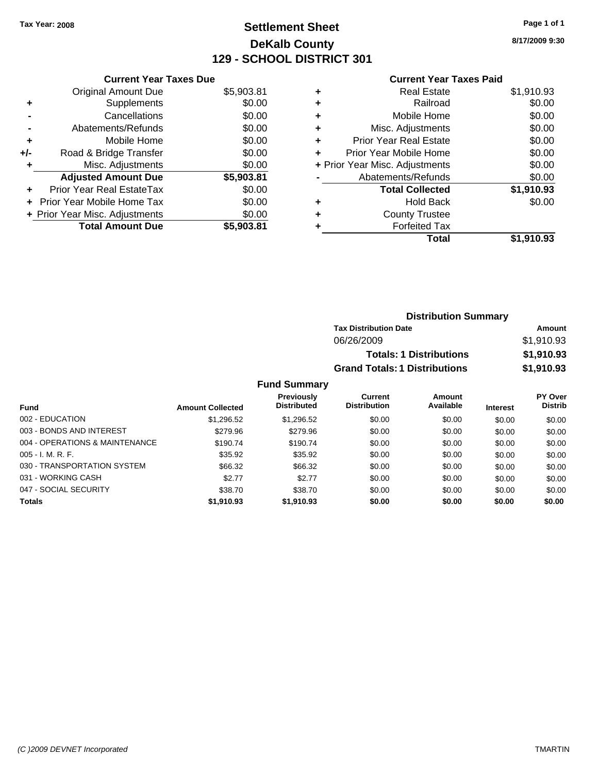# **Settlement Sheet Tax Year: 2008 Page 1 of 1 DeKalb County 129 - SCHOOL DISTRICT 301**

**8/17/2009 9:30**

#### **Current Year Taxes Paid**

|     | <b>Current Year Taxes Due</b>  |            |
|-----|--------------------------------|------------|
|     | <b>Original Amount Due</b>     | \$5,903.81 |
| ٠   | Supplements                    | \$0.00     |
|     | Cancellations                  | \$0.00     |
|     | Abatements/Refunds             | \$0.00     |
| ٠   | Mobile Home                    | \$0.00     |
| +/- | Road & Bridge Transfer         | \$0.00     |
| ٠   | Misc. Adjustments              | \$0.00     |
|     | <b>Adjusted Amount Due</b>     | \$5,903.81 |
| ٠   | Prior Year Real EstateTax      | \$0.00     |
| ÷   | Prior Year Mobile Home Tax     | \$0.00     |
|     | + Prior Year Misc. Adjustments | \$0.00     |
|     | <b>Total Amount Due</b>        | \$5.903.81 |

| ٠ | <b>Real Estate</b>             | \$1,910.93 |
|---|--------------------------------|------------|
| ٠ | Railroad                       | \$0.00     |
| ٠ | Mobile Home                    | \$0.00     |
| ٠ | Misc. Adjustments              | \$0.00     |
| ٠ | <b>Prior Year Real Estate</b>  | \$0.00     |
| ٠ | Prior Year Mobile Home         | \$0.00     |
|   | + Prior Year Misc. Adjustments | \$0.00     |
|   | Abatements/Refunds             | \$0.00     |
|   | <b>Total Collected</b>         | \$1,910.93 |
| ٠ | <b>Hold Back</b>               | \$0.00     |
| ٠ | <b>County Trustee</b>          |            |
| ٠ | <b>Forfeited Tax</b>           |            |
|   | Total                          | \$1,910.93 |
|   |                                |            |

| <b>Distribution Summary</b>          |            |
|--------------------------------------|------------|
| <b>Tax Distribution Date</b>         | Amount     |
| 06/26/2009                           | \$1,910.93 |
| <b>Totals: 1 Distributions</b>       | \$1,910.93 |
| <b>Grand Totals: 1 Distributions</b> | \$1,910.93 |

|                                |                         | <b>Previously</b>  | Current             | <b>Amount</b> |                 | <b>PY Over</b> |
|--------------------------------|-------------------------|--------------------|---------------------|---------------|-----------------|----------------|
| Fund                           | <b>Amount Collected</b> | <b>Distributed</b> | <b>Distribution</b> | Available     | <b>Interest</b> | <b>Distrib</b> |
| 002 - EDUCATION                | \$1,296.52              | \$1,296.52         | \$0.00              | \$0.00        | \$0.00          | \$0.00         |
| 003 - BONDS AND INTEREST       | \$279.96                | \$279.96           | \$0.00              | \$0.00        | \$0.00          | \$0.00         |
| 004 - OPERATIONS & MAINTENANCE | \$190.74                | \$190.74           | \$0.00              | \$0.00        | \$0.00          | \$0.00         |
| $005 - I. M. R. F.$            | \$35.92                 | \$35.92            | \$0.00              | \$0.00        | \$0.00          | \$0.00         |
| 030 - TRANSPORTATION SYSTEM    | \$66.32                 | \$66.32            | \$0.00              | \$0.00        | \$0.00          | \$0.00         |
| 031 - WORKING CASH             | \$2.77                  | \$2.77             | \$0.00              | \$0.00        | \$0.00          | \$0.00         |
| 047 - SOCIAL SECURITY          | \$38.70                 | \$38.70            | \$0.00              | \$0.00        | \$0.00          | \$0.00         |
| <b>Totals</b>                  | \$1,910.93              | \$1,910.93         | \$0.00              | \$0.00        | \$0.00          | \$0.00         |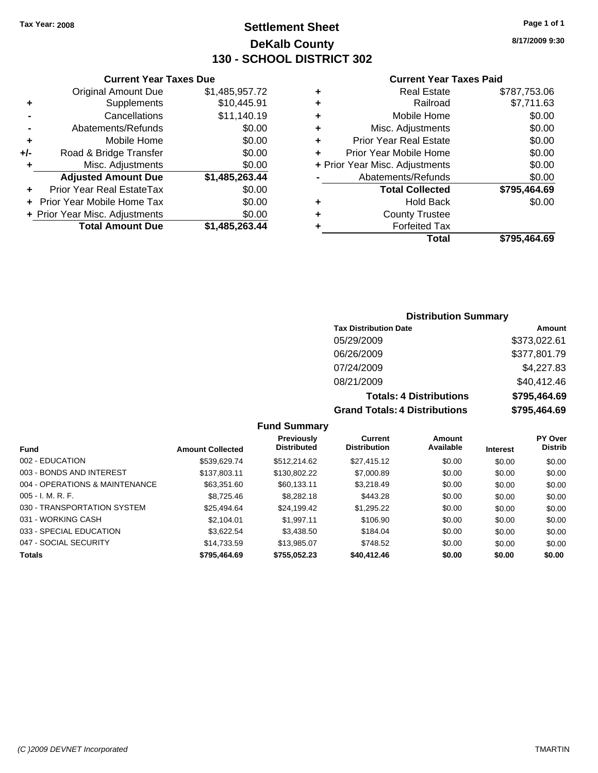## **Settlement Sheet Tax Year: 2008 Page 1 of 1 DeKalb County 130 - SCHOOL DISTRICT 302**

**8/17/2009 9:30**

### **Current Year Taxes Paid**

|   | Total                          | \$795.464.69 |
|---|--------------------------------|--------------|
| ٠ | <b>Forfeited Tax</b>           |              |
| ٠ | <b>County Trustee</b>          |              |
| ٠ | <b>Hold Back</b>               | \$0.00       |
|   | <b>Total Collected</b>         | \$795,464.69 |
|   | Abatements/Refunds             | \$0.00       |
|   | + Prior Year Misc. Adjustments | \$0.00       |
| ÷ | Prior Year Mobile Home         | \$0.00       |
| ÷ | <b>Prior Year Real Estate</b>  | \$0.00       |
| ٠ | Misc. Adjustments              | \$0.00       |
| ÷ | Mobile Home                    | \$0.00       |
| ÷ | Railroad                       | \$7,711.63   |
| ٠ | Real Estate                    | \$787,753.06 |

|     | <b>Current Year Taxes Due</b>     |                |
|-----|-----------------------------------|----------------|
|     | <b>Original Amount Due</b>        | \$1,485,957.72 |
| ٠   | Supplements                       | \$10,445.91    |
|     | Cancellations                     | \$11,140.19    |
|     | Abatements/Refunds                | \$0.00         |
| ٠   | Mobile Home                       | \$0.00         |
| +/- | Road & Bridge Transfer            | \$0.00         |
| ٠   | Misc. Adjustments                 | \$0.00         |
|     | <b>Adjusted Amount Due</b>        | \$1,485,263.44 |
|     | Prior Year Real EstateTax         | \$0.00         |
|     | <b>Prior Year Mobile Home Tax</b> | \$0.00         |
|     | + Prior Year Misc. Adjustments    | \$0.00         |
|     | <b>Total Amount Due</b>           | \$1,485,263.44 |

### **Distribution Summary**

| <b>Tax Distribution Date</b>         | Amount       |
|--------------------------------------|--------------|
| 05/29/2009                           | \$373,022.61 |
| 06/26/2009                           | \$377,801.79 |
| 07/24/2009                           | \$4,227.83   |
| 08/21/2009                           | \$40,412.46  |
| <b>Totals: 4 Distributions</b>       | \$795,464.69 |
| <b>Grand Totals: 4 Distributions</b> | \$795,464.69 |

### **Fund Summary**

|                                |                         | Previously         | Current             | Amount    |                 | <b>PY Over</b> |
|--------------------------------|-------------------------|--------------------|---------------------|-----------|-----------------|----------------|
| <b>Fund</b>                    | <b>Amount Collected</b> | <b>Distributed</b> | <b>Distribution</b> | Available | <b>Interest</b> | <b>Distrib</b> |
| 002 - EDUCATION                | \$539.629.74            | \$512.214.62       | \$27,415.12         | \$0.00    | \$0.00          | \$0.00         |
| 003 - BONDS AND INTEREST       | \$137,803.11            | \$130,802.22       | \$7,000.89          | \$0.00    | \$0.00          | \$0.00         |
| 004 - OPERATIONS & MAINTENANCE | \$63,351.60             | \$60,133.11        | \$3,218.49          | \$0.00    | \$0.00          | \$0.00         |
| $005 - I. M. R. F.$            | \$8.725.46              | \$8,282.18         | \$443.28            | \$0.00    | \$0.00          | \$0.00         |
| 030 - TRANSPORTATION SYSTEM    | \$25.494.64             | \$24.199.42        | \$1,295.22          | \$0.00    | \$0.00          | \$0.00         |
| 031 - WORKING CASH             | \$2,104.01              | \$1.997.11         | \$106.90            | \$0.00    | \$0.00          | \$0.00         |
| 033 - SPECIAL EDUCATION        | \$3.622.54              | \$3,438.50         | \$184.04            | \$0.00    | \$0.00          | \$0.00         |
| 047 - SOCIAL SECURITY          | \$14.733.59             | \$13,985.07        | \$748.52            | \$0.00    | \$0.00          | \$0.00         |
| <b>Totals</b>                  | \$795,464.69            | \$755.052.23       | \$40,412.46         | \$0.00    | \$0.00          | \$0.00         |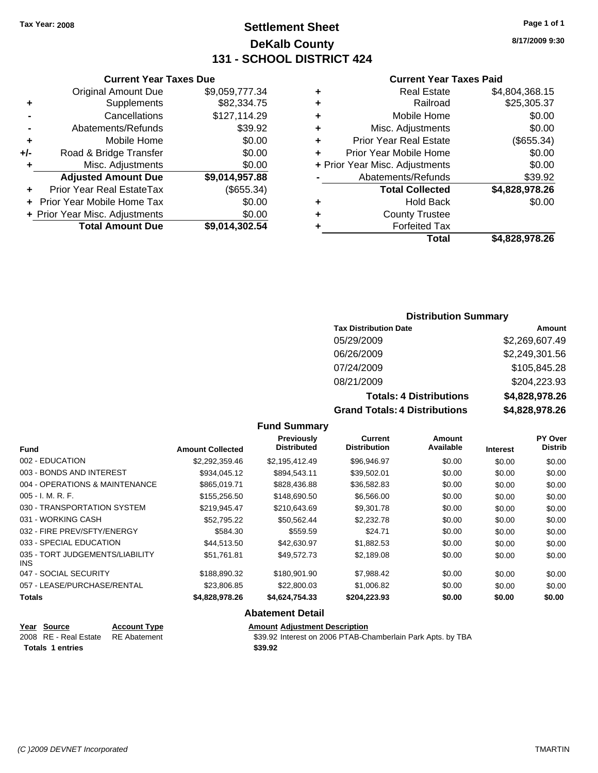## **Settlement Sheet Tax Year: 2008 Page 1 of 1 DeKalb County 131 - SCHOOL DISTRICT 424**

**8/17/2009 9:30**

### **Current Year Taxes Paid**

| ٠ | <b>Real Estate</b>             | \$4,804,368.15 |
|---|--------------------------------|----------------|
| ٠ | Railroad                       | \$25,305.37    |
| ٠ | Mobile Home                    | \$0.00         |
| ٠ | Misc. Adjustments              | \$0.00         |
| ٠ | <b>Prior Year Real Estate</b>  | (\$655.34)     |
| ٠ | Prior Year Mobile Home         | \$0.00         |
|   | + Prior Year Misc. Adjustments | \$0.00         |
|   | Abatements/Refunds             | \$39.92        |
|   | <b>Total Collected</b>         | \$4,828,978.26 |
| ٠ | <b>Hold Back</b>               | \$0.00         |
| ٠ | <b>County Trustee</b>          |                |
|   | <b>Forfeited Tax</b>           |                |
|   | Total                          | \$4.828.978.26 |

### **Current Year Taxes Due** Original Amount Due \$9,059,777.34 **+** Supplements \$82,334.75 **-** Cancellations \$127,114.29 **-** Abatements/Refunds \$39.92 **+** Mobile Home \$0.00 **+/-** Road & Bridge Transfer \$0.00 **+** Misc. Adjustments \$0.00 **Adjusted Amount Due \$9,014,957.88 +** Prior Year Real EstateTax (\$655.34) **+** Prior Year Mobile Home Tax \$0.00 **+ Prior Year Misc. Adjustments**  $$0.00$ **Total Amount Due \$9,014,302.54**

### **Distribution Summary**

| <b>Tax Distribution Date</b>         | Amount         |
|--------------------------------------|----------------|
| 05/29/2009                           | \$2,269,607.49 |
| 06/26/2009                           | \$2,249,301.56 |
| 07/24/2009                           | \$105,845.28   |
| 08/21/2009                           | \$204,223.93   |
| <b>Totals: 4 Distributions</b>       | \$4,828,978.26 |
| <b>Grand Totals: 4 Distributions</b> | \$4,828,978.26 |

### **Fund Summary**

| <b>Fund</b>                             | <b>Amount Collected</b> | Previously<br><b>Distributed</b> | <b>Current</b><br><b>Distribution</b> | Amount<br>Available | <b>Interest</b> | PY Over<br><b>Distrib</b> |
|-----------------------------------------|-------------------------|----------------------------------|---------------------------------------|---------------------|-----------------|---------------------------|
|                                         |                         |                                  |                                       |                     |                 |                           |
| 002 - EDUCATION                         | \$2,292,359.46          | \$2,195,412.49                   | \$96,946.97                           | \$0.00              | \$0.00          | \$0.00                    |
| 003 - BONDS AND INTEREST                | \$934,045.12            | \$894,543.11                     | \$39,502.01                           | \$0.00              | \$0.00          | \$0.00                    |
| 004 - OPERATIONS & MAINTENANCE          | \$865,019.71            | \$828,436.88                     | \$36,582.83                           | \$0.00              | \$0.00          | \$0.00                    |
| $005 - I. M. R. F.$                     | \$155,256.50            | \$148,690.50                     | \$6,566.00                            | \$0.00              | \$0.00          | \$0.00                    |
| 030 - TRANSPORTATION SYSTEM             | \$219,945.47            | \$210,643.69                     | \$9,301.78                            | \$0.00              | \$0.00          | \$0.00                    |
| 031 - WORKING CASH                      | \$52,795.22             | \$50,562.44                      | \$2,232.78                            | \$0.00              | \$0.00          | \$0.00                    |
| 032 - FIRE PREV/SFTY/ENERGY             | \$584.30                | \$559.59                         | \$24.71                               | \$0.00              | \$0.00          | \$0.00                    |
| 033 - SPECIAL EDUCATION                 | \$44,513,50             | \$42,630.97                      | \$1,882.53                            | \$0.00              | \$0.00          | \$0.00                    |
| 035 - TORT JUDGEMENTS/LIABILITY<br>INS. | \$51.761.81             | \$49.572.73                      | \$2,189.08                            | \$0.00              | \$0.00          | \$0.00                    |
| 047 - SOCIAL SECURITY                   | \$188,890.32            | \$180,901.90                     | \$7,988.42                            | \$0.00              | \$0.00          | \$0.00                    |
| 057 - LEASE/PURCHASE/RENTAL             | \$23,806.85             | \$22,800.03                      | \$1,006.82                            | \$0.00              | \$0.00          | \$0.00                    |
| <b>Totals</b>                           | \$4,828,978.26          | \$4,624,754.33                   | \$204,223.93                          | \$0.00              | \$0.00          | \$0.00                    |

### **Abatement Detail**

| Year Source                        | <b>Account Type</b> | Amount  |
|------------------------------------|---------------------|---------|
| 2008 RE - Real Estate RE Abatement |                     | \$39.92 |
| Totals 1 entries                   |                     | \$39.92 |

**Year Source Account Type Amount Adjustment Description**

2 Interest on 2006 PTAB-Chamberlain Park Apts. by TBA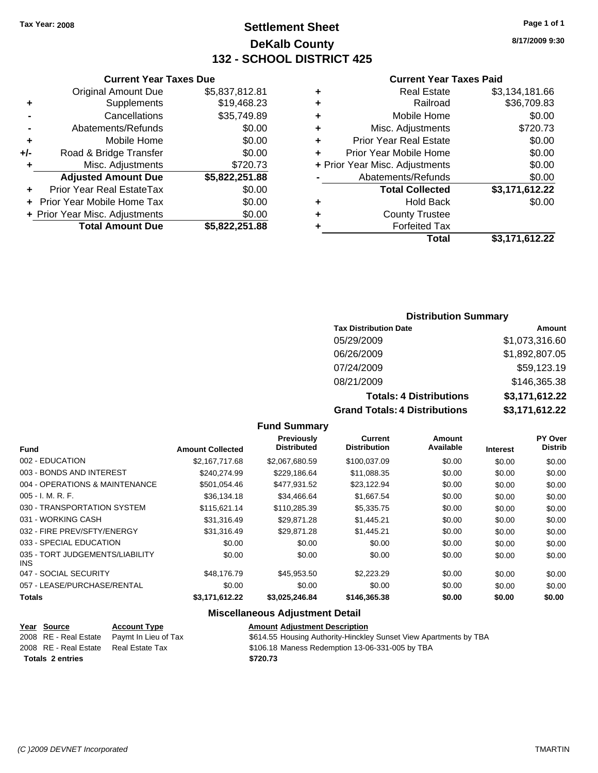## **Settlement Sheet Tax Year: 2008 Page 1 of 1 DeKalb County 132 - SCHOOL DISTRICT 425**

**8/17/2009 9:30**

### **Current Year Taxes Paid**

| ٠ | <b>Real Estate</b>             | \$3,134,181.66 |
|---|--------------------------------|----------------|
| ٠ | Railroad                       | \$36,709.83    |
| ٠ | Mobile Home                    | \$0.00         |
| ٠ | Misc. Adjustments              | \$720.73       |
| ٠ | <b>Prior Year Real Estate</b>  | \$0.00         |
| ٠ | Prior Year Mobile Home         | \$0.00         |
|   | + Prior Year Misc. Adjustments | \$0.00         |
|   | Abatements/Refunds             | \$0.00         |
|   | <b>Total Collected</b>         | \$3,171,612.22 |
| ٠ | Hold Back                      | \$0.00         |
| ٠ | <b>County Trustee</b>          |                |
| ۰ | <b>Forfeited Tax</b>           |                |
|   | Total                          | \$3,171,612.22 |
|   |                                |                |

### **Distribution Summary**

| <b>Tax Distribution Date</b>         | Amount         |
|--------------------------------------|----------------|
| 05/29/2009                           | \$1,073,316.60 |
| 06/26/2009                           | \$1,892,807.05 |
| 07/24/2009                           | \$59,123.19    |
| 08/21/2009                           | \$146,365.38   |
| <b>Totals: 4 Distributions</b>       | \$3,171,612.22 |
| <b>Grand Totals: 4 Distributions</b> | \$3,171,612.22 |

### **Fund Summary**

| <b>Fund</b>                             | <b>Amount Collected</b> | Previously<br><b>Distributed</b> | Current<br><b>Distribution</b> | Amount<br>Available | <b>Interest</b> | PY Over<br><b>Distrib</b> |
|-----------------------------------------|-------------------------|----------------------------------|--------------------------------|---------------------|-----------------|---------------------------|
| 002 - EDUCATION                         | \$2,167,717.68          | \$2,067,680.59                   | \$100,037.09                   | \$0.00              | \$0.00          | \$0.00                    |
| 003 - BONDS AND INTEREST                | \$240.274.99            | \$229.186.64                     | \$11,088.35                    | \$0.00              | \$0.00          | \$0.00                    |
| 004 - OPERATIONS & MAINTENANCE          | \$501,054.46            | \$477,931.52                     | \$23,122.94                    | \$0.00              | \$0.00          | \$0.00                    |
| $005 - I. M. R. F.$                     | \$36,134.18             | \$34,466.64                      | \$1,667.54                     | \$0.00              | \$0.00          | \$0.00                    |
| 030 - TRANSPORTATION SYSTEM             | \$115.621.14            | \$110.285.39                     | \$5,335.75                     | \$0.00              | \$0.00          | \$0.00                    |
| 031 - WORKING CASH                      | \$31,316.49             | \$29,871.28                      | \$1,445.21                     | \$0.00              | \$0.00          | \$0.00                    |
| 032 - FIRE PREV/SFTY/ENERGY             | \$31,316.49             | \$29.871.28                      | \$1,445.21                     | \$0.00              | \$0.00          | \$0.00                    |
| 033 - SPECIAL EDUCATION                 | \$0.00                  | \$0.00                           | \$0.00                         | \$0.00              | \$0.00          | \$0.00                    |
| 035 - TORT JUDGEMENTS/LIABILITY<br>INS. | \$0.00                  | \$0.00                           | \$0.00                         | \$0.00              | \$0.00          | \$0.00                    |
| 047 - SOCIAL SECURITY                   | \$48,176.79             | \$45,953.50                      | \$2,223.29                     | \$0.00              | \$0.00          | \$0.00                    |
| 057 - LEASE/PURCHASE/RENTAL             | \$0.00                  | \$0.00                           | \$0.00                         | \$0.00              | \$0.00          | \$0.00                    |
| <b>Totals</b>                           | \$3,171,612.22          | \$3,025,246.84                   | \$146,365.38                   | \$0.00              | \$0.00          | \$0.00                    |

### **Miscellaneous Adjustment Detail**

| Year Source                           | <b>Account Type</b>                        | Amount   |
|---------------------------------------|--------------------------------------------|----------|
|                                       | 2008 RE - Real Estate Paymt In Lieu of Tax | \$614.55 |
| 2008 RE - Real Estate Real Estate Tax |                                            | \$106.18 |
| <b>Totals 2 entries</b>               |                                            | \$720.73 |

### **Amount Adjustment Description**

2008 3614.55 Housing Authority-Hinckley Sunset View Apartments by TBA

2008 x 5106.18 Maness Redemption 13-06-331-005 by TBA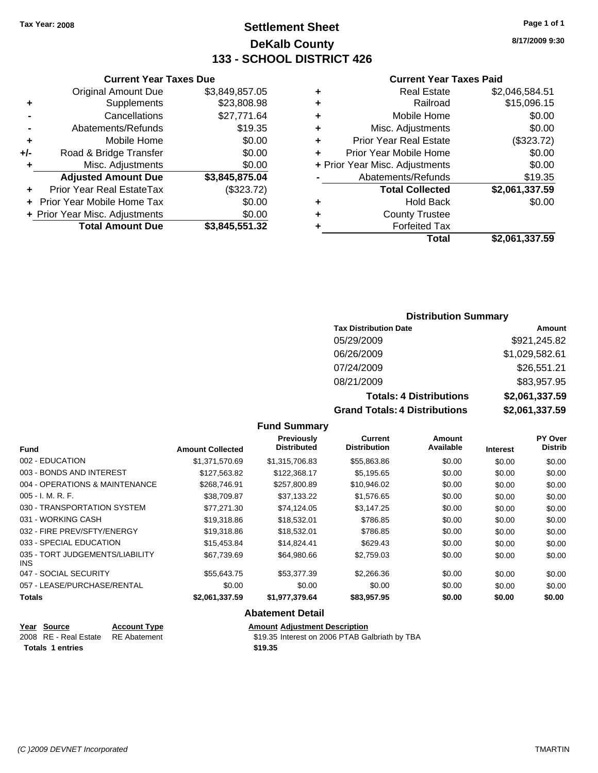## **Settlement Sheet Tax Year: 2008 Page 1 of 1 DeKalb County 133 - SCHOOL DISTRICT 426**

**8/17/2009 9:30**

### **Current Year Taxes Paid**

| ٠ | <b>Real Estate</b>             | \$2,046,584.51 |
|---|--------------------------------|----------------|
| ٠ | Railroad                       | \$15,096.15    |
| ٠ | Mobile Home                    | \$0.00         |
| ٠ | Misc. Adjustments              | \$0.00         |
| ٠ | <b>Prior Year Real Estate</b>  | (\$323.72)     |
|   | Prior Year Mobile Home         | \$0.00         |
|   | + Prior Year Misc. Adjustments | \$0.00         |
|   | Abatements/Refunds             | \$19.35        |
|   | <b>Total Collected</b>         | \$2,061,337.59 |
| ٠ | <b>Hold Back</b>               | \$0.00         |
| ٠ | <b>County Trustee</b>          |                |
|   | <b>Forfeited Tax</b>           |                |
|   | Total                          | \$2,061,337.59 |

|     | <b>Current Year Taxes Due</b>    |                |
|-----|----------------------------------|----------------|
|     | <b>Original Amount Due</b>       | \$3,849,857.05 |
| ٠   | Supplements                      | \$23,808.98    |
|     | Cancellations                    | \$27,771.64    |
|     | Abatements/Refunds               | \$19.35        |
| ٠   | Mobile Home                      | \$0.00         |
| +/- | Road & Bridge Transfer           | \$0.00         |
| ٠   | Misc. Adjustments                | \$0.00         |
|     | <b>Adjusted Amount Due</b>       | \$3,845,875.04 |
|     | <b>Prior Year Real EstateTax</b> | (\$323.72)     |
|     | Prior Year Mobile Home Tax       | \$0.00         |
|     | + Prior Year Misc. Adjustments   | \$0.00         |
|     | <b>Total Amount Due</b>          | \$3,845,551.32 |

### **Distribution Summary**

| <b>Tax Distribution Date</b>         | Amount         |
|--------------------------------------|----------------|
| 05/29/2009                           | \$921,245.82   |
| 06/26/2009                           | \$1,029,582.61 |
| 07/24/2009                           | \$26,551.21    |
| 08/21/2009                           | \$83,957.95    |
| <b>Totals: 4 Distributions</b>       | \$2,061,337.59 |
| <b>Grand Totals: 4 Distributions</b> | \$2,061,337.59 |

### **Fund Summary**

| <b>Fund</b>                             | <b>Amount Collected</b> | Previously<br><b>Distributed</b> | Current<br><b>Distribution</b> | Amount<br>Available | <b>Interest</b> | PY Over<br><b>Distrib</b> |
|-----------------------------------------|-------------------------|----------------------------------|--------------------------------|---------------------|-----------------|---------------------------|
| 002 - EDUCATION                         | \$1.371.570.69          | \$1,315,706.83                   | \$55,863.86                    | \$0.00              | \$0.00          | \$0.00                    |
| 003 - BONDS AND INTEREST                | \$127,563.82            | \$122,368.17                     | \$5,195.65                     | \$0.00              | \$0.00          | \$0.00                    |
| 004 - OPERATIONS & MAINTENANCE          | \$268,746.91            | \$257,800.89                     | \$10,946.02                    | \$0.00              | \$0.00          | \$0.00                    |
| $005 - I. M. R. F.$                     | \$38,709.87             | \$37,133.22                      | \$1,576.65                     | \$0.00              | \$0.00          | \$0.00                    |
| 030 - TRANSPORTATION SYSTEM             | \$77,271.30             | \$74,124.05                      | \$3,147.25                     | \$0.00              | \$0.00          | \$0.00                    |
| 031 - WORKING CASH                      | \$19,318.86             | \$18,532.01                      | \$786.85                       | \$0.00              | \$0.00          | \$0.00                    |
| 032 - FIRE PREV/SFTY/ENERGY             | \$19,318.86             | \$18,532.01                      | \$786.85                       | \$0.00              | \$0.00          | \$0.00                    |
| 033 - SPECIAL EDUCATION                 | \$15,453.84             | \$14,824.41                      | \$629.43                       | \$0.00              | \$0.00          | \$0.00                    |
| 035 - TORT JUDGEMENTS/LIABILITY<br>INS. | \$67.739.69             | \$64,980.66                      | \$2.759.03                     | \$0.00              | \$0.00          | \$0.00                    |
| 047 - SOCIAL SECURITY                   | \$55.643.75             | \$53.377.39                      | \$2,266,36                     | \$0.00              | \$0.00          | \$0.00                    |
| 057 - LEASE/PURCHASE/RENTAL             | \$0.00                  | \$0.00                           | \$0.00                         | \$0.00              | \$0.00          | \$0.00                    |
| <b>Totals</b>                           | \$2,061,337.59          | \$1,977,379.64                   | \$83,957.95                    | \$0.00              | \$0.00          | \$0.00                    |

### **Abatement Detail**

| Year Source                        | <b>Account Type</b> | <b>Amount Adiustment Description</b>           |
|------------------------------------|---------------------|------------------------------------------------|
| 2008 RE - Real Estate RE Abatement |                     | \$19.35 Interest on 2006 PTAB Galbriath by TBA |
| <b>Totals 1 entries</b>            |                     | \$19.35                                        |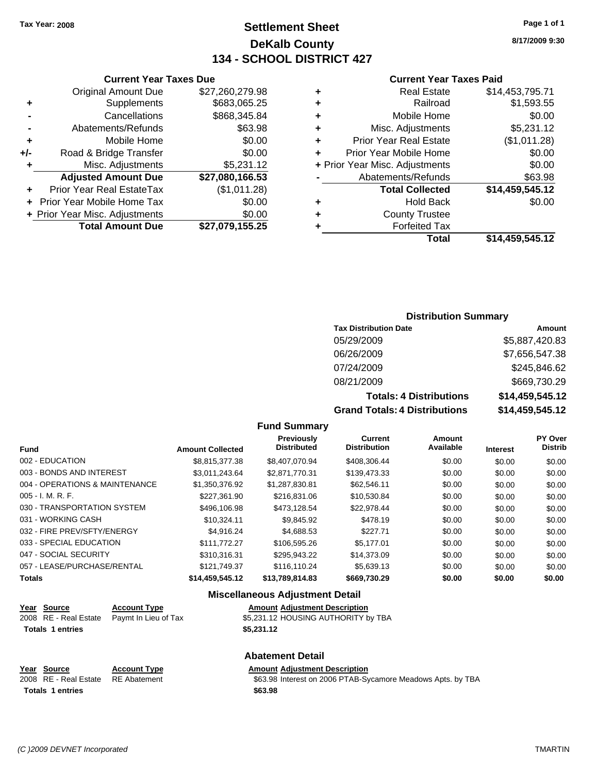## **Settlement Sheet Tax Year: 2008 Page 1 of 1 DeKalb County 134 - SCHOOL DISTRICT 427**

**8/17/2009 9:30**

### **Current Year Taxes Paid**

|   | Total                          | \$14.459.545.12 |
|---|--------------------------------|-----------------|
|   | <b>Forfeited Tax</b>           |                 |
| ٠ | <b>County Trustee</b>          |                 |
| ٠ | <b>Hold Back</b>               | \$0.00          |
|   | <b>Total Collected</b>         | \$14,459,545.12 |
|   | Abatements/Refunds             | \$63.98         |
|   | + Prior Year Misc. Adjustments | \$0.00          |
| ÷ | Prior Year Mobile Home         | \$0.00          |
| ÷ | <b>Prior Year Real Estate</b>  | (\$1,011.28)    |
| ÷ | Misc. Adjustments              | \$5,231.12      |
| ٠ | Mobile Home                    | \$0.00          |
| ٠ | Railroad                       | \$1,593.55      |
| ٠ | <b>Real Estate</b>             | \$14,453,795.71 |
|   |                                |                 |

### **Current Year Taxes Due** Original Amount Due \$27,260,279.98 **+** Supplements \$683,065.25 **-** Cancellations \$868,345.84 **-** Abatements/Refunds \$63.98 **+** Mobile Home \$0.00 **+/-** Road & Bridge Transfer \$0.00 **+** Misc. Adjustments \$5,231.12 **Adjusted Amount Due \$27,080,166.53 +** Prior Year Real EstateTax (\$1,011.28)

| <b>Total Amount Due</b>        | \$27,079,155.25 |
|--------------------------------|-----------------|
| + Prior Year Misc. Adjustments | \$0.00          |
| + Prior Year Mobile Home Tax   | \$0.00          |

### **Distribution Summary**

| <b>Tax Distribution Date</b>   | Amount          |
|--------------------------------|-----------------|
| 05/29/2009                     | \$5,887,420.83  |
| 06/26/2009                     | \$7,656,547.38  |
| 07/24/2009                     | \$245,846.62    |
| 08/21/2009                     | \$669,730.29    |
| <b>Totals: 4 Distributions</b> | \$14,459,545.12 |
|                                |                 |

**Grand Totals: 4 Distributions \$14,459,545.12**

### **Fund Summary**

| <b>Fund</b>                    | <b>Amount Collected</b> | <b>Previously</b><br><b>Distributed</b> | <b>Current</b><br><b>Distribution</b> | Amount<br>Available | <b>Interest</b> | <b>PY Over</b><br><b>Distrib</b> |
|--------------------------------|-------------------------|-----------------------------------------|---------------------------------------|---------------------|-----------------|----------------------------------|
| 002 - EDUCATION                | \$8,815,377.38          | \$8,407,070,94                          | \$408,306,44                          | \$0.00              | \$0.00          | \$0.00                           |
| 003 - BONDS AND INTEREST       | \$3.011.243.64          | \$2.871.770.31                          | \$139,473.33                          | \$0.00              | \$0.00          | \$0.00                           |
| 004 - OPERATIONS & MAINTENANCE | \$1,350,376.92          | \$1.287.830.81                          | \$62.546.11                           | \$0.00              | \$0.00          | \$0.00                           |
| 005 - I. M. R. F.              | \$227.361.90            | \$216,831,06                            | \$10,530.84                           | \$0.00              | \$0.00          | \$0.00                           |
| 030 - TRANSPORTATION SYSTEM    | \$496,106.98            | \$473.128.54                            | \$22.978.44                           | \$0.00              | \$0.00          | \$0.00                           |
| 031 - WORKING CASH             | \$10.324.11             | \$9.845.92                              | \$478.19                              | \$0.00              | \$0.00          | \$0.00                           |
| 032 - FIRE PREV/SFTY/ENERGY    | \$4.916.24              | \$4.688.53                              | \$227.71                              | \$0.00              | \$0.00          | \$0.00                           |
| 033 - SPECIAL EDUCATION        | \$111,772,27            | \$106,595.26                            | \$5.177.01                            | \$0.00              | \$0.00          | \$0.00                           |
| 047 - SOCIAL SECURITY          | \$310.316.31            | \$295,943.22                            | \$14,373.09                           | \$0.00              | \$0.00          | \$0.00                           |
| 057 - LEASE/PURCHASE/RENTAL    | \$121.749.37            | \$116.110.24                            | \$5,639.13                            | \$0.00              | \$0.00          | \$0.00                           |
| Totals                         | \$14,459,545.12         | \$13,789,814.83                         | \$669,730.29                          | \$0.00              | \$0.00          | \$0.00                           |
|                                |                         |                                         |                                       |                     |                 |                                  |

### **Miscellaneous Adjustment Detail**

**Abatement Detail**

| <u>Year Source</u>      | <b>Account Type</b>                        | <b>Amount Adjustment Description</b> |
|-------------------------|--------------------------------------------|--------------------------------------|
|                         | 2008 RE - Real Estate Paymt In Lieu of Tax | \$5,231.12 HOUSING AUTHORITY by TBA  |
| <b>Totals 1 entries</b> |                                            | \$5.231.12                           |

| Year Source                        | <b>Account Type</b> | <b>Amount Adiustment Description</b>                        |
|------------------------------------|---------------------|-------------------------------------------------------------|
| 2008 RE - Real Estate RE Abatement |                     | \$63.98 Interest on 2006 PTAB-Sycamore Meadows Apts. by TBA |
| <b>Totals 1 entries</b>            |                     | \$63.98                                                     |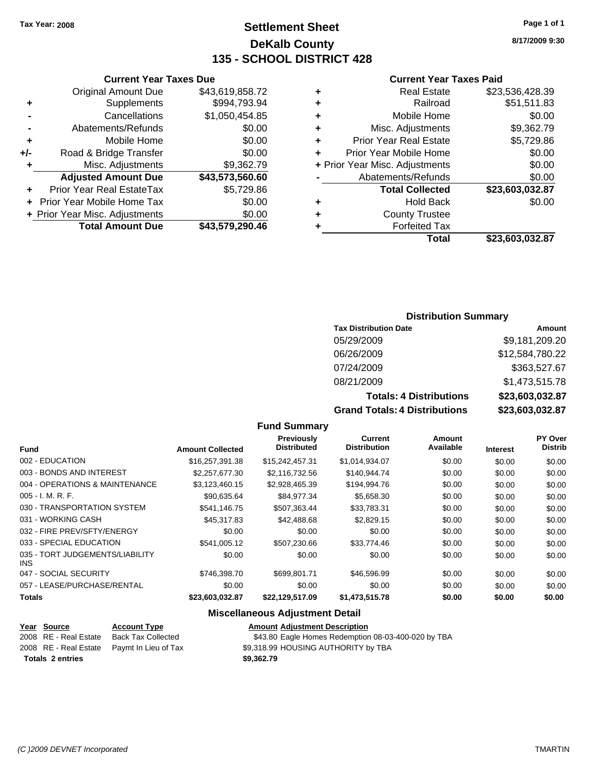## **Settlement Sheet Tax Year: 2008 Page 1 of 1 DeKalb County 135 - SCHOOL DISTRICT 428**

**8/17/2009 9:30**

### **Current Year Taxes Paid**

|   | Total                          | \$23,603,032.87 |
|---|--------------------------------|-----------------|
|   | <b>Forfeited Tax</b>           |                 |
| ٠ | <b>County Trustee</b>          |                 |
| ٠ | <b>Hold Back</b>               | \$0.00          |
|   | <b>Total Collected</b>         | \$23,603,032.87 |
|   | Abatements/Refunds             | \$0.00          |
|   | + Prior Year Misc. Adjustments | \$0.00          |
| ٠ | Prior Year Mobile Home         | \$0.00          |
| ÷ | <b>Prior Year Real Estate</b>  | \$5,729.86      |
| ÷ | Misc. Adjustments              | \$9,362.79      |
| ٠ | Mobile Home                    | \$0.00          |
| ٠ | Railroad                       | \$51,511.83     |
| ٠ | <b>Real Estate</b>             | \$23,536,428.39 |
|   |                                |                 |

### **Current Year Taxes Due** Original Amount Due \$43,619,858.72 **+** Supplements \$994,793.94 **-** Cancellations \$1,050,454.85 **-** Abatements/Refunds \$0.00 **+** Mobile Home \$0.00 **+/-** Road & Bridge Transfer \$0.00 **+** Misc. Adjustments \$9,362.79 **Adjusted Amount Due \$43,573,560.60 +** Prior Year Real EstateTax \$5,729.86 **+** Prior Year Mobile Home Tax \$0.00 **+ Prior Year Misc. Adjustments**  $$0.00$

**Total Amount Due \$43,579,290.46**

### **Distribution Summary**

| <b>Tax Distribution Date</b>   | Amount          |
|--------------------------------|-----------------|
| 05/29/2009                     | \$9,181,209.20  |
| 06/26/2009                     | \$12,584,780.22 |
| 07/24/2009                     | \$363,527.67    |
| 08/21/2009                     | \$1,473,515.78  |
| <b>Totals: 4 Distributions</b> | \$23,603,032.87 |
| Crond Totolou & Diotributions  |                 |

**Grand Totals: 4 Distributions \$23,603,032.87**

| <b>Fund</b>                             | <b>Amount Collected</b> | <b>Previously</b><br><b>Distributed</b> | <b>Current</b><br><b>Distribution</b> | <b>Amount</b><br>Available | <b>Interest</b> | PY Over<br><b>Distrib</b> |
|-----------------------------------------|-------------------------|-----------------------------------------|---------------------------------------|----------------------------|-----------------|---------------------------|
| 002 - EDUCATION                         | \$16,257,391,38         | \$15,242,457.31                         | \$1,014,934.07                        | \$0.00                     | \$0.00          | \$0.00                    |
| 003 - BONDS AND INTEREST                | \$2,257,677.30          | \$2,116,732.56                          | \$140.944.74                          | \$0.00                     | \$0.00          | \$0.00                    |
| 004 - OPERATIONS & MAINTENANCE          | \$3,123,460.15          | \$2,928,465.39                          | \$194,994.76                          | \$0.00                     | \$0.00          | \$0.00                    |
| $005 - I. M. R. F.$                     | \$90.635.64             | \$84.977.34                             | \$5.658.30                            | \$0.00                     | \$0.00          | \$0.00                    |
| 030 - TRANSPORTATION SYSTEM             | \$541.146.75            | \$507.363.44                            | \$33,783.31                           | \$0.00                     | \$0.00          | \$0.00                    |
| 031 - WORKING CASH                      | \$45,317.83             | \$42,488.68                             | \$2,829.15                            | \$0.00                     | \$0.00          | \$0.00                    |
| 032 - FIRE PREV/SFTY/ENERGY             | \$0.00                  | \$0.00                                  | \$0.00                                | \$0.00                     | \$0.00          | \$0.00                    |
| 033 - SPECIAL EDUCATION                 | \$541.005.12            | \$507,230.66                            | \$33,774.46                           | \$0.00                     | \$0.00          | \$0.00                    |
| 035 - TORT JUDGEMENTS/LIABILITY<br>INS. | \$0.00                  | \$0.00                                  | \$0.00                                | \$0.00                     | \$0.00          | \$0.00                    |
| 047 - SOCIAL SECURITY                   | \$746,398.70            | \$699.801.71                            | \$46,596.99                           | \$0.00                     | \$0.00          | \$0.00                    |
| 057 - LEASE/PURCHASE/RENTAL             | \$0.00                  | \$0.00                                  | \$0.00                                | \$0.00                     | \$0.00          | \$0.00                    |
| <b>Totals</b>                           | \$23,603,032.87         | \$22,129,517.09                         | \$1,473,515.78                        | \$0.00                     | \$0.00          | \$0.00                    |

**Fund Summary**

### **Miscellaneous Adjustment Detail**

# **Totals \$9,362.79 2 entries**

**Year Source Account Type Amount Adjustment Description** 2008 RE - Real Estate Back Tax Collected \$43.80 Eagle Homes Redemption 08-03-400-020 by TBA 2008 RE - Real Estate Paymt In Lieu of Tax §9,318.99 HOUSING AUTHORITY by TBA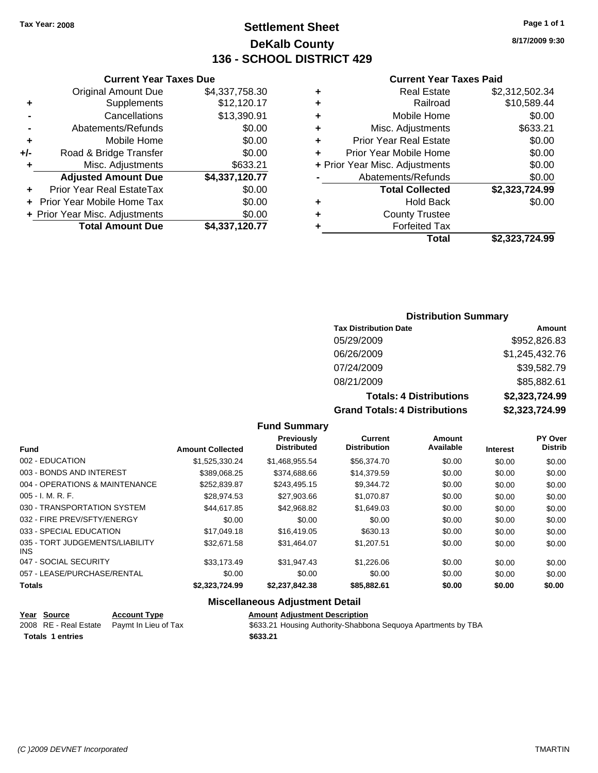**Current Year Taxes Due** Original Amount Due \$4,337,758.30

**Adjusted Amount Due \$4,337,120.77**

**Total Amount Due \$4,337,120.77**

**+** Supplements \$12,120.17 **-** Cancellations \$13,390.91 **-** Abatements/Refunds \$0.00 **+** Mobile Home \$0.00 **+/-** Road & Bridge Transfer \$0.00 **+** Misc. Adjustments \$633.21

**+** Prior Year Real EstateTax \$0.00 **+** Prior Year Mobile Home Tax \$0.00 **+ Prior Year Misc. Adjustments**  $$0.00$ 

## **Settlement Sheet Tax Year: 2008 Page 1 of 1 DeKalb County 136 - SCHOOL DISTRICT 429**

**8/17/2009 9:30**

### **Current Year Taxes Paid**

|   | Total                          | \$2,323,724.99 |
|---|--------------------------------|----------------|
|   | <b>Forfeited Tax</b>           |                |
|   | <b>County Trustee</b>          |                |
| ٠ | <b>Hold Back</b>               | \$0.00         |
|   | <b>Total Collected</b>         | \$2,323,724.99 |
|   | Abatements/Refunds             | \$0.00         |
|   | + Prior Year Misc. Adjustments | \$0.00         |
| ÷ | Prior Year Mobile Home         | \$0.00         |
| ÷ | <b>Prior Year Real Estate</b>  | \$0.00         |
| ٠ | Misc. Adjustments              | \$633.21       |
| ٠ | Mobile Home                    | \$0.00         |
| ٠ | Railroad                       | \$10,589.44    |
| ٠ | <b>Real Estate</b>             | \$2,312,502.34 |
|   |                                |                |

### **Distribution Summary**

| <b>Tax Distribution Date</b>         | Amount         |
|--------------------------------------|----------------|
| 05/29/2009                           | \$952,826.83   |
| 06/26/2009                           | \$1,245,432.76 |
| 07/24/2009                           | \$39,582.79    |
| 08/21/2009                           | \$85,882.61    |
| <b>Totals: 4 Distributions</b>       | \$2,323,724.99 |
| <b>Grand Totals: 4 Distributions</b> | \$2,323,724.99 |

**Fund Summary**

| <b>Fund</b>                             | <b>Amount Collected</b> | Previously<br><b>Distributed</b> | Current<br><b>Distribution</b> | Amount<br>Available | <b>Interest</b> | <b>PY Over</b><br><b>Distrib</b> |
|-----------------------------------------|-------------------------|----------------------------------|--------------------------------|---------------------|-----------------|----------------------------------|
| 002 - EDUCATION                         | \$1.525.330.24          | \$1,468,955.54                   | \$56,374.70                    | \$0.00              | \$0.00          | \$0.00                           |
| 003 - BONDS AND INTEREST                | \$389.068.25            | \$374,688,66                     | \$14,379.59                    | \$0.00              | \$0.00          | \$0.00                           |
| 004 - OPERATIONS & MAINTENANCE          | \$252,839.87            | \$243.495.15                     | \$9.344.72                     | \$0.00              | \$0.00          | \$0.00                           |
| $005 - I. M. R. F.$                     | \$28,974.53             | \$27,903.66                      | \$1.070.87                     | \$0.00              | \$0.00          | \$0.00                           |
| 030 - TRANSPORTATION SYSTEM             | \$44.617.85             | \$42.968.82                      | \$1,649.03                     | \$0.00              | \$0.00          | \$0.00                           |
| 032 - FIRE PREV/SFTY/ENERGY             | \$0.00                  | \$0.00                           | \$0.00                         | \$0.00              | \$0.00          | \$0.00                           |
| 033 - SPECIAL EDUCATION                 | \$17,049.18             | \$16,419.05                      | \$630.13                       | \$0.00              | \$0.00          | \$0.00                           |
| 035 - TORT JUDGEMENTS/LIABILITY<br>INS. | \$32.671.58             | \$31.464.07                      | \$1.207.51                     | \$0.00              | \$0.00          | \$0.00                           |
| 047 - SOCIAL SECURITY                   | \$33,173.49             | \$31.947.43                      | \$1,226.06                     | \$0.00              | \$0.00          | \$0.00                           |
| 057 - LEASE/PURCHASE/RENTAL             | \$0.00                  | \$0.00                           | \$0.00                         | \$0.00              | \$0.00          | \$0.00                           |
| <b>Totals</b>                           | \$2,323,724.99          | \$2,237,842.38                   | \$85,882.61                    | \$0.00              | \$0.00          | \$0.00                           |

### **Miscellaneous Adjustment Detail**

| Year Source             | <b>Account Type</b>                        | <b>Amount Adiustment Description</b>                          |
|-------------------------|--------------------------------------------|---------------------------------------------------------------|
|                         | 2008 RE - Real Estate Paymt In Lieu of Tax | \$633.21 Housing Authority-Shabbona Sequoya Apartments by TBA |
| <b>Totals 1 entries</b> |                                            | \$633.21                                                      |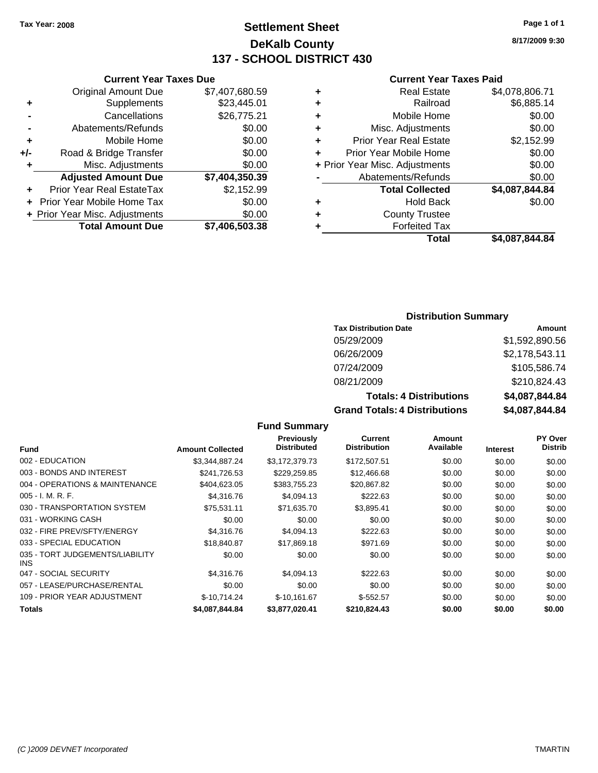## **Settlement Sheet Tax Year: 2008 Page 1 of 1 DeKalb County 137 - SCHOOL DISTRICT 430**

### **Current Year Taxes Due**

| <b>Original Amount Due</b> | \$7,407,680.59                 |
|----------------------------|--------------------------------|
| Supplements                | \$23,445.01                    |
| Cancellations              | \$26,775.21                    |
| Abatements/Refunds         | \$0.00                         |
| Mobile Home                | \$0.00                         |
| Road & Bridge Transfer     | \$0.00                         |
| Misc. Adjustments          | \$0.00                         |
| <b>Adjusted Amount Due</b> | \$7,404,350.39                 |
| Prior Year Real EstateTax  | \$2,152.99                     |
| Prior Year Mobile Home Tax | \$0.00                         |
|                            | \$0.00                         |
| <b>Total Amount Due</b>    | \$7,406,503.38                 |
|                            | + Prior Year Misc. Adjustments |

### **Current Year Taxes Paid**

| ٠ | <b>Real Estate</b>             | \$4,078,806.71 |
|---|--------------------------------|----------------|
| ٠ | Railroad                       | \$6,885.14     |
| ٠ | Mobile Home                    | \$0.00         |
| ٠ | Misc. Adjustments              | \$0.00         |
| ÷ | <b>Prior Year Real Estate</b>  | \$2,152.99     |
|   | Prior Year Mobile Home         | \$0.00         |
|   | + Prior Year Misc. Adjustments | \$0.00         |
|   | Abatements/Refunds             | \$0.00         |
|   | <b>Total Collected</b>         | \$4,087,844.84 |
| ٠ | <b>Hold Back</b>               | \$0.00         |
| ٠ | <b>County Trustee</b>          |                |
| ٠ | <b>Forfeited Tax</b>           |                |
|   | Total                          | \$4,087,844.84 |
|   |                                |                |

### **Distribution Summary**

| <b>Tax Distribution Date</b>         | Amount         |
|--------------------------------------|----------------|
| 05/29/2009                           | \$1,592,890.56 |
| 06/26/2009                           | \$2,178,543.11 |
| 07/24/2009                           | \$105,586.74   |
| 08/21/2009                           | \$210,824.43   |
| <b>Totals: 4 Distributions</b>       | \$4,087,844.84 |
| <b>Grand Totals: 4 Distributions</b> | \$4,087,844.84 |

### **Fund Summary**

|                                         |                         | <b>Previously</b>  | Current             | Amount    |                 | <b>PY Over</b> |
|-----------------------------------------|-------------------------|--------------------|---------------------|-----------|-----------------|----------------|
| <b>Fund</b>                             | <b>Amount Collected</b> | <b>Distributed</b> | <b>Distribution</b> | Available | <b>Interest</b> | <b>Distrib</b> |
| 002 - EDUCATION                         | \$3,344,887.24          | \$3,172,379.73     | \$172,507.51        | \$0.00    | \$0.00          | \$0.00         |
| 003 - BONDS AND INTEREST                | \$241,726.53            | \$229,259.85       | \$12,466.68         | \$0.00    | \$0.00          | \$0.00         |
| 004 - OPERATIONS & MAINTENANCE          | \$404,623.05            | \$383,755.23       | \$20,867.82         | \$0.00    | \$0.00          | \$0.00         |
| $005 - I. M. R. F.$                     | \$4,316.76              | \$4,094.13         | \$222.63            | \$0.00    | \$0.00          | \$0.00         |
| 030 - TRANSPORTATION SYSTEM             | \$75.531.11             | \$71,635.70        | \$3,895.41          | \$0.00    | \$0.00          | \$0.00         |
| 031 - WORKING CASH                      | \$0.00                  | \$0.00             | \$0.00              | \$0.00    | \$0.00          | \$0.00         |
| 032 - FIRE PREV/SFTY/ENERGY             | \$4,316,76              | \$4,094.13         | \$222.63            | \$0.00    | \$0.00          | \$0.00         |
| 033 - SPECIAL EDUCATION                 | \$18,840.87             | \$17,869.18        | \$971.69            | \$0.00    | \$0.00          | \$0.00         |
| 035 - TORT JUDGEMENTS/LIABILITY<br>INS. | \$0.00                  | \$0.00             | \$0.00              | \$0.00    | \$0.00          | \$0.00         |
| 047 - SOCIAL SECURITY                   | \$4,316,76              | \$4,094.13         | \$222.63            | \$0.00    | \$0.00          | \$0.00         |
| 057 - LEASE/PURCHASE/RENTAL             | \$0.00                  | \$0.00             | \$0.00              | \$0.00    | \$0.00          | \$0.00         |
| 109 - PRIOR YEAR ADJUSTMENT             | $$-10.714.24$           | $$-10,161.67$      | $$-552.57$          | \$0.00    | \$0.00          | \$0.00         |
| <b>Totals</b>                           | \$4.087.844.84          | \$3,877,020.41     | \$210.824.43        | \$0.00    | \$0.00          | \$0.00         |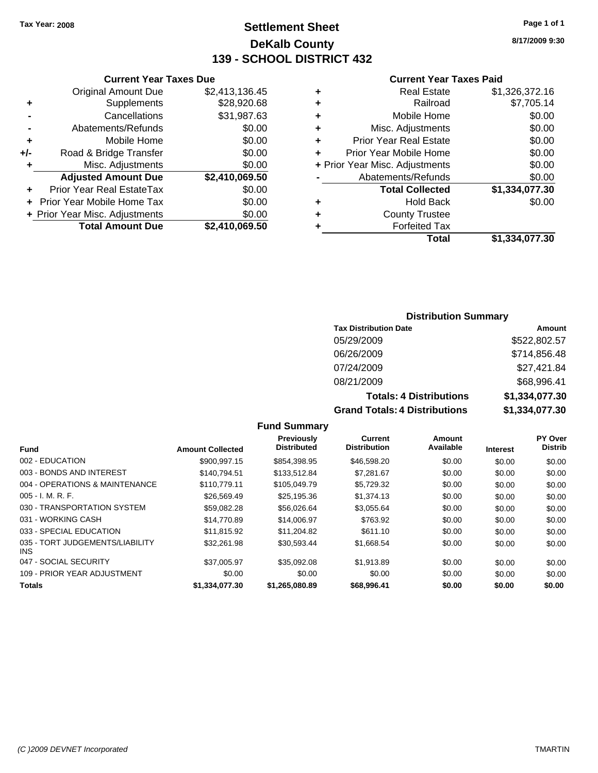**Current Year Taxes Due** Original Amount Due \$2,413,136.45

**Adjusted Amount Due \$2,410,069.50**

**Total Amount Due \$2,410,069.50**

**+** Supplements \$28,920.68 **-** Cancellations \$31,987.63 **-** Abatements/Refunds \$0.00 **+** Mobile Home \$0.00 **+/-** Road & Bridge Transfer \$0.00 **+** Misc. Adjustments \$0.00

**+** Prior Year Real EstateTax \$0.00 **+** Prior Year Mobile Home Tax \$0.00 **+ Prior Year Misc. Adjustments**  $$0.00$ 

## **Settlement Sheet Tax Year: 2008 Page 1 of 1 DeKalb County 139 - SCHOOL DISTRICT 432**

**8/17/2009 9:30**

### **Current Year Taxes Paid**

| <b>County Trustee</b><br><b>Forfeited Tax</b> |                |
|-----------------------------------------------|----------------|
|                                               |                |
|                                               |                |
| <b>Hold Back</b>                              | \$0.00         |
| <b>Total Collected</b>                        | \$1,334,077.30 |
| Abatements/Refunds                            | \$0.00         |
| + Prior Year Misc. Adjustments                | \$0.00         |
| Prior Year Mobile Home                        | \$0.00         |
| <b>Prior Year Real Estate</b>                 | \$0.00         |
| Misc. Adjustments                             | \$0.00         |
| Mobile Home                                   | \$0.00         |
| Railroad                                      | \$7,705.14     |
| <b>Real Estate</b>                            | \$1,326,372.16 |
|                                               |                |

### **Distribution Summary**

| <b>Tax Distribution Date</b>         | Amount         |
|--------------------------------------|----------------|
| 05/29/2009                           | \$522,802.57   |
| 06/26/2009                           | \$714,856.48   |
| 07/24/2009                           | \$27,421.84    |
| 08/21/2009                           | \$68,996.41    |
| <b>Totals: 4 Distributions</b>       | \$1,334,077.30 |
| <b>Grand Totals: 4 Distributions</b> | \$1,334,077.30 |

### **Fund Summary**

|                                               |                         | Previously<br><b>Distributed</b> | Current<br><b>Distribution</b> | Amount<br>Available |                 | PY Over<br><b>Distrib</b> |
|-----------------------------------------------|-------------------------|----------------------------------|--------------------------------|---------------------|-----------------|---------------------------|
| <b>Fund</b>                                   | <b>Amount Collected</b> |                                  |                                |                     | <b>Interest</b> |                           |
| 002 - EDUCATION                               | \$900.997.15            | \$854.398.95                     | \$46,598.20                    | \$0.00              | \$0.00          | \$0.00                    |
| 003 - BONDS AND INTEREST                      | \$140.794.51            | \$133,512.84                     | \$7,281.67                     | \$0.00              | \$0.00          | \$0.00                    |
| 004 - OPERATIONS & MAINTENANCE                | \$110.779.11            | \$105.049.79                     | \$5,729.32                     | \$0.00              | \$0.00          | \$0.00                    |
| $005 - I. M. R. F.$                           | \$26,569.49             | \$25.195.36                      | \$1,374.13                     | \$0.00              | \$0.00          | \$0.00                    |
| 030 - TRANSPORTATION SYSTEM                   | \$59,082.28             | \$56,026.64                      | \$3,055.64                     | \$0.00              | \$0.00          | \$0.00                    |
| 031 - WORKING CASH                            | \$14,770.89             | \$14,006.97                      | \$763.92                       | \$0.00              | \$0.00          | \$0.00                    |
| 033 - SPECIAL EDUCATION                       | \$11.815.92             | \$11.204.82                      | \$611.10                       | \$0.00              | \$0.00          | \$0.00                    |
| 035 - TORT JUDGEMENTS/LIABILITY<br><b>INS</b> | \$32.261.98             | \$30,593.44                      | \$1,668.54                     | \$0.00              | \$0.00          | \$0.00                    |
| 047 - SOCIAL SECURITY                         | \$37,005.97             | \$35,092.08                      | \$1,913.89                     | \$0.00              | \$0.00          | \$0.00                    |
| 109 - PRIOR YEAR ADJUSTMENT                   | \$0.00                  | \$0.00                           | \$0.00                         | \$0.00              | \$0.00          | \$0.00                    |
| <b>Totals</b>                                 | \$1.334.077.30          | \$1,265,080.89                   | \$68,996.41                    | \$0.00              | \$0.00          | \$0.00                    |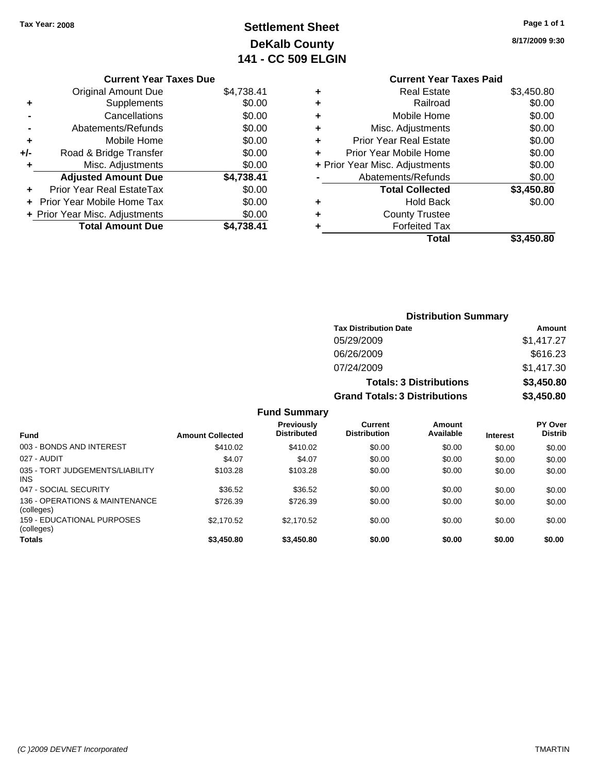## **Settlement Sheet Tax Year: 2008 Page 1 of 1 DeKalb County 141 - CC 509 ELGIN**

**8/17/2009 9:30**

## **Current Year Taxes Due**

|       | <b>Original Amount Due</b>       | \$4,738.41 |
|-------|----------------------------------|------------|
| ٠     | Supplements                      | \$0.00     |
|       | Cancellations                    | \$0.00     |
|       | Abatements/Refunds               | \$0.00     |
| ٠     | Mobile Home                      | \$0.00     |
| $+/-$ | Road & Bridge Transfer           | \$0.00     |
| ٠     | Misc. Adjustments                | \$0.00     |
|       | <b>Adjusted Amount Due</b>       | \$4,738.41 |
|       | <b>Prior Year Real EstateTax</b> | \$0.00     |
|       | Prior Year Mobile Home Tax       | \$0.00     |
|       |                                  |            |
|       | + Prior Year Misc. Adjustments   | \$0.00     |
|       | <b>Total Amount Due</b>          | \$4,738.41 |

|   | <b>Current Year Taxes Paid</b> |            |
|---|--------------------------------|------------|
| ٠ | <b>Real Estate</b>             | \$3,450.80 |
| ٠ | Railroad                       | \$0.00     |
| ÷ | Mobile Home                    | \$0.00     |
| ٠ | Misc. Adjustments              | \$0.00     |
| ÷ | <b>Prior Year Real Estate</b>  | \$0.00     |
| ÷ | Prior Year Mobile Home         | \$0.00     |
|   | + Prior Year Misc. Adjustments | \$0.00     |
|   | Abatements/Refunds             | \$0.00     |
|   | <b>Total Collected</b>         | \$3,450.80 |
| ÷ | Hold Back                      | \$0.00     |
|   | <b>County Trustee</b>          |            |
|   | <b>Forfeited Tax</b>           |            |
|   | Total                          | \$3,450.80 |
|   |                                |            |

|                                               |                         |                                         |                                       | <b>Distribution Summary</b>    |                 |                           |
|-----------------------------------------------|-------------------------|-----------------------------------------|---------------------------------------|--------------------------------|-----------------|---------------------------|
|                                               |                         |                                         | <b>Tax Distribution Date</b>          |                                |                 | Amount                    |
|                                               |                         |                                         | 05/29/2009                            |                                |                 | \$1,417.27                |
|                                               |                         |                                         | 06/26/2009                            |                                |                 | \$616.23                  |
|                                               |                         |                                         | 07/24/2009                            |                                |                 | \$1,417.30                |
|                                               |                         |                                         |                                       | <b>Totals: 3 Distributions</b> |                 | \$3,450.80                |
|                                               |                         |                                         | <b>Grand Totals: 3 Distributions</b>  |                                |                 | \$3,450.80                |
|                                               |                         | <b>Fund Summary</b>                     |                                       |                                |                 |                           |
| <b>Fund</b>                                   | <b>Amount Collected</b> | <b>Previously</b><br><b>Distributed</b> | <b>Current</b><br><b>Distribution</b> | Amount<br>Available            | <b>Interest</b> | PY Over<br><b>Distrib</b> |
| 003 - BONDS AND INTEREST                      | \$410.02                | \$410.02                                | \$0.00                                | \$0.00                         | \$0.00          | \$0.00                    |
| 027 - AUDIT                                   | \$4.07                  | \$4.07                                  | \$0.00                                | \$0.00                         | \$0.00          | \$0.00                    |
| 035 - TORT JUDGEMENTS/LIABILITY<br><b>INS</b> | \$103.28                | \$103.28                                | \$0.00                                | \$0.00                         | \$0.00          | \$0.00                    |
| 047 - SOCIAL SECURITY                         | \$36.52                 | \$36.52                                 | \$0.00                                | \$0.00                         | \$0.00          | \$0.00                    |
| 136 - OPERATIONS & MAINTENANCE                | \$726.39                | \$726.39                                | \$0.00                                | \$0.00                         | \$0.00          | \$0.00                    |

**Totals \$3,450.80 \$3,450.80 \$0.00 \$0.00 \$0.00 \$0.00**

\$726.39 \$726.39 \$0.00 \$0.00 \$0.00 \$0.00

\$2,170.52 \$2,170.52 \$0.00 \$0.00 \$0.00 \$0.00 \$0.00

(colleges)

(colleges)

159 - EDUCATIONAL PURPOSES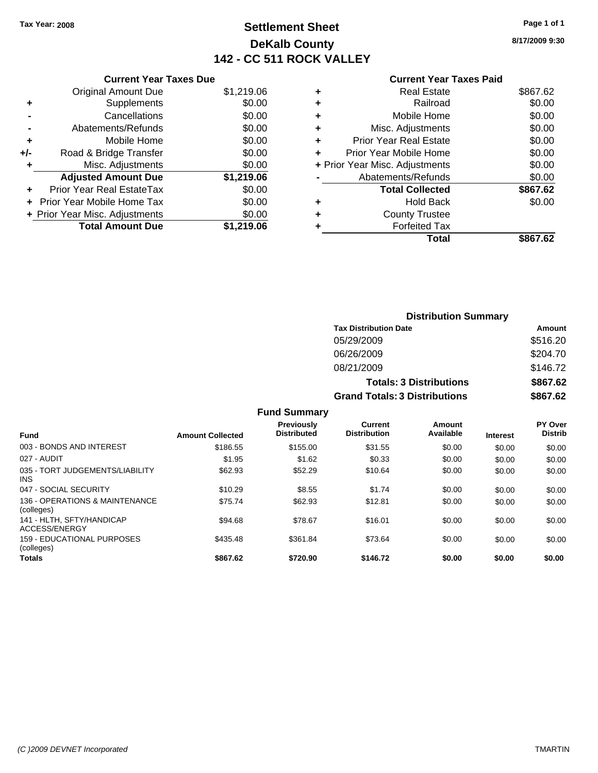## **Settlement Sheet Tax Year: 2008 Page 1 of 1 DeKalb County 142 - CC 511 ROCK VALLEY**

**8/17/2009 9:30**

|     | <b>Original Amount Due</b>       | \$1,219.06 |
|-----|----------------------------------|------------|
| ٠   | Supplements                      | \$0.00     |
|     | Cancellations                    | \$0.00     |
|     | Abatements/Refunds               | \$0.00     |
| ٠   | Mobile Home                      | \$0.00     |
| +/- | Road & Bridge Transfer           | \$0.00     |
| ٠   | Misc. Adjustments                | \$0.00     |
|     | <b>Adjusted Amount Due</b>       | \$1,219.06 |
|     | <b>Prior Year Real EstateTax</b> | \$0.00     |
|     | Prior Year Mobile Home Tax       | \$0.00     |
|     | + Prior Year Misc. Adjustments   | \$0.00     |
|     | <b>Total Amount Due</b>          | \$1,219.06 |

|   | <b>Real Estate</b>             | \$867.62 |
|---|--------------------------------|----------|
| ٠ | Railroad                       | \$0.00   |
| ٠ | Mobile Home                    | \$0.00   |
| ٠ | Misc. Adjustments              | \$0.00   |
| ٠ | <b>Prior Year Real Estate</b>  | \$0.00   |
|   | Prior Year Mobile Home         | \$0.00   |
|   | + Prior Year Misc. Adjustments | \$0.00   |
|   | Abatements/Refunds             | \$0.00   |
|   | <b>Total Collected</b>         | \$867.62 |
| ٠ | <b>Hold Back</b>               | \$0.00   |
| ٠ | <b>County Trustee</b>          |          |
| ٠ | <b>Forfeited Tax</b>           |          |
|   | Total                          | \$867.62 |
|   |                                |          |

|                          |                         |                                  |                                       | <b>Distribution Summary</b>    |                 |                                  |
|--------------------------|-------------------------|----------------------------------|---------------------------------------|--------------------------------|-----------------|----------------------------------|
|                          |                         |                                  | <b>Tax Distribution Date</b>          |                                |                 | Amount                           |
|                          |                         |                                  | 05/29/2009                            |                                |                 | \$516.20                         |
|                          |                         |                                  | 06/26/2009                            |                                |                 | \$204.70                         |
|                          |                         |                                  | 08/21/2009                            |                                |                 | \$146.72                         |
|                          |                         |                                  |                                       | <b>Totals: 3 Distributions</b> |                 | \$867.62                         |
|                          |                         |                                  | <b>Grand Totals: 3 Distributions</b>  |                                |                 | \$867.62                         |
|                          |                         | <b>Fund Summary</b>              |                                       |                                |                 |                                  |
| Fund                     | <b>Amount Collected</b> | Previously<br><b>Distributed</b> | <b>Current</b><br><b>Distribution</b> | Amount<br>Available            | <b>Interest</b> | <b>PY Over</b><br><b>Distrib</b> |
| 003 - BONDS AND INTEREST | \$186.55                | \$155.00                         | \$31.55                               | \$0.00                         | \$0.00          | \$0.00                           |
| 027 - AUDIT              | \$1.95                  | \$1.62                           | \$0.33                                | \$0.00                         | \$0.00          | \$0.00                           |

| .                                             | Allivant Ochectea |          |          |        |        |        |
|-----------------------------------------------|-------------------|----------|----------|--------|--------|--------|
| 003 - BONDS AND INTEREST                      | \$186.55          | \$155.00 | \$31.55  | \$0.00 | \$0.00 | \$0.00 |
| 027 - AUDIT                                   | \$1.95            | \$1.62   | \$0.33   | \$0.00 | \$0.00 | \$0.00 |
| 035 - TORT JUDGEMENTS/LIABILITY<br><b>INS</b> | \$62.93           | \$52.29  | \$10.64  | \$0.00 | \$0.00 | \$0.00 |
| 047 - SOCIAL SECURITY                         | \$10.29           | \$8.55   | \$1.74   | \$0.00 | \$0.00 | \$0.00 |
| 136 - OPERATIONS & MAINTENANCE<br>(colleges)  | \$75.74           | \$62.93  | \$12.81  | \$0.00 | \$0.00 | \$0.00 |
| 141 - HLTH, SFTY/HANDICAP<br>ACCESS/ENERGY    | \$94.68           | \$78.67  | \$16.01  | \$0.00 | \$0.00 | \$0.00 |
| 159 - EDUCATIONAL PURPOSES<br>(colleges)      | \$435.48          | \$361.84 | \$73.64  | \$0.00 | \$0.00 | \$0.00 |
| <b>Totals</b>                                 | \$867.62          | \$720.90 | \$146.72 | \$0.00 | \$0.00 | \$0.00 |
|                                               |                   |          |          |        |        |        |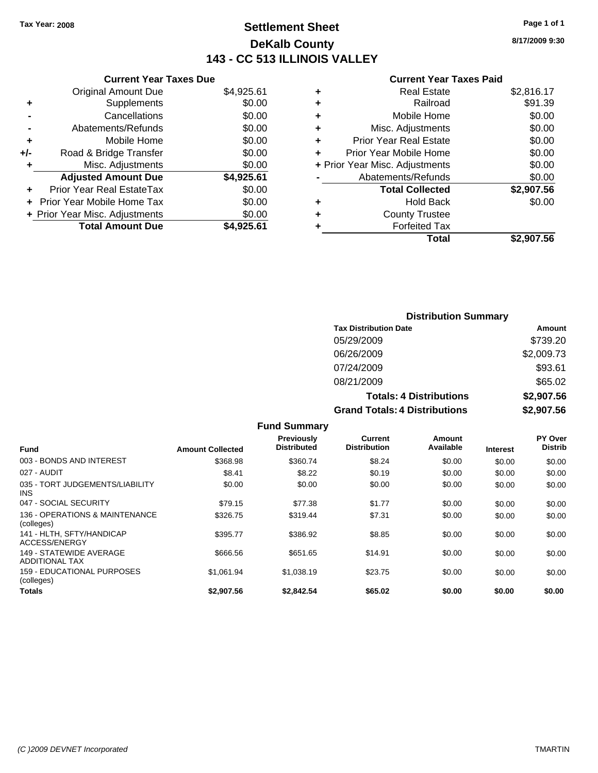## **Settlement Sheet Tax Year: 2008 Page 1 of 1 DeKalb County 143 - CC 513 ILLINOIS VALLEY**

**Current Year Taxes Due**

|     | <b>Total Amount Due</b>          | \$4,925.61 |
|-----|----------------------------------|------------|
|     | + Prior Year Misc. Adjustments   | \$0.00     |
|     | Prior Year Mobile Home Tax       | \$0.00     |
|     | <b>Prior Year Real EstateTax</b> | \$0.00     |
|     | <b>Adjusted Amount Due</b>       | \$4,925.61 |
| ٠   | Misc. Adjustments                | \$0.00     |
| +/- | Road & Bridge Transfer           | \$0.00     |
| ٠   | Mobile Home                      | \$0.00     |
|     | Abatements/Refunds               | \$0.00     |
|     | Cancellations                    | \$0.00     |
| ٠   | Supplements                      | \$0.00     |
|     | <b>Original Amount Due</b>       | \$4,925.61 |
|     |                                  |            |

|   | <b>Real Estate</b>             | \$2,816.17 |
|---|--------------------------------|------------|
| ٠ | Railroad                       | \$91.39    |
| ٠ | Mobile Home                    | \$0.00     |
| ٠ | Misc. Adjustments              | \$0.00     |
| ٠ | <b>Prior Year Real Estate</b>  | \$0.00     |
|   | Prior Year Mobile Home         | \$0.00     |
|   | + Prior Year Misc. Adjustments | \$0.00     |
|   | Abatements/Refunds             | \$0.00     |
|   | <b>Total Collected</b>         | \$2,907.56 |
| ٠ | Hold Back                      | \$0.00     |
| ٠ | <b>County Trustee</b>          |            |
| ٠ | <b>Forfeited Tax</b>           |            |
|   | Total                          | \$2,907.56 |
|   |                                |            |

| <b>Distribution Summary</b>          |            |
|--------------------------------------|------------|
| <b>Tax Distribution Date</b>         | Amount     |
| 05/29/2009                           | \$739.20   |
| 06/26/2009                           | \$2,009.73 |
| 07/24/2009                           | \$93.61    |
| 08/21/2009                           | \$65.02    |
| <b>Totals: 4 Distributions</b>       | \$2,907.56 |
| <b>Grand Totals: 4 Distributions</b> | \$2,907.56 |

| <b>Fund Summary</b>                              |                         |                                  |                                |                     |                 |                                  |
|--------------------------------------------------|-------------------------|----------------------------------|--------------------------------|---------------------|-----------------|----------------------------------|
| <b>Fund</b>                                      | <b>Amount Collected</b> | Previously<br><b>Distributed</b> | Current<br><b>Distribution</b> | Amount<br>Available | <b>Interest</b> | <b>PY Over</b><br><b>Distrib</b> |
| 003 - BONDS AND INTEREST                         | \$368.98                | \$360.74                         | \$8.24                         | \$0.00              | \$0.00          | \$0.00                           |
| 027 - AUDIT                                      | \$8.41                  | \$8.22                           | \$0.19                         | \$0.00              | \$0.00          | \$0.00                           |
| 035 - TORT JUDGEMENTS/LIABILITY<br>INS.          | \$0.00                  | \$0.00                           | \$0.00                         | \$0.00              | \$0.00          | \$0.00                           |
| 047 - SOCIAL SECURITY                            | \$79.15                 | \$77.38                          | \$1.77                         | \$0.00              | \$0.00          | \$0.00                           |
| 136 - OPERATIONS & MAINTENANCE<br>(colleges)     | \$326.75                | \$319.44                         | \$7.31                         | \$0.00              | \$0.00          | \$0.00                           |
| 141 - HLTH. SFTY/HANDICAP<br>ACCESS/ENERGY       | \$395.77                | \$386.92                         | \$8.85                         | \$0.00              | \$0.00          | \$0.00                           |
| 149 - STATEWIDE AVERAGE<br><b>ADDITIONAL TAX</b> | \$666.56                | \$651.65                         | \$14.91                        | \$0.00              | \$0.00          | \$0.00                           |
| 159 - EDUCATIONAL PURPOSES<br>(colleges)         | \$1.061.94              | \$1,038.19                       | \$23.75                        | \$0.00              | \$0.00          | \$0.00                           |
| Totals                                           | \$2.907.56              | \$2.842.54                       | \$65.02                        | \$0.00              | \$0.00          | \$0.00                           |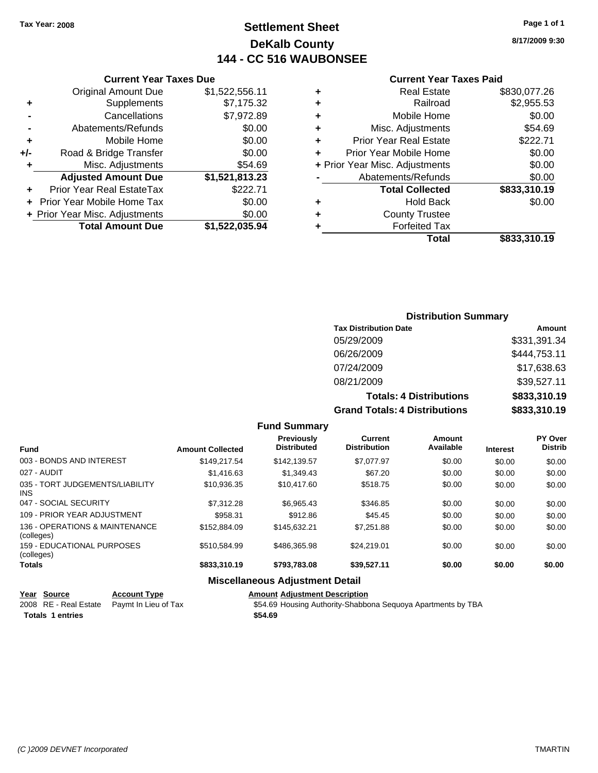## **Settlement Sheet Tax Year: 2008 Page 1 of 1 DeKalb County 144 - CC 516 WAUBONSEE**

### **Current Year Taxes Due**

|     | <b>Original Amount Due</b>       | \$1,522,556.11 |
|-----|----------------------------------|----------------|
| ٠   | Supplements                      | \$7,175.32     |
|     | Cancellations                    | \$7,972.89     |
|     | Abatements/Refunds               | \$0.00         |
| ٠   | Mobile Home                      | \$0.00         |
| +/- | Road & Bridge Transfer           | \$0.00         |
| ٠   | Misc. Adjustments                | \$54.69        |
|     | <b>Adjusted Amount Due</b>       | \$1,521,813.23 |
|     | <b>Prior Year Real EstateTax</b> | \$222.71       |
|     | Prior Year Mobile Home Tax       | \$0.00         |
|     | + Prior Year Misc. Adjustments   | \$0.00         |
|     | <b>Total Amount Due</b>          | \$1,522,035.94 |

### **Current Year Taxes Paid**

|   | <b>Real Estate</b>             | \$830,077.26 |
|---|--------------------------------|--------------|
| ٠ | Railroad                       | \$2,955.53   |
| ٠ | Mobile Home                    | \$0.00       |
| ٠ | Misc. Adjustments              | \$54.69      |
| ٠ | <b>Prior Year Real Estate</b>  | \$222.71     |
|   | Prior Year Mobile Home         | \$0.00       |
|   | + Prior Year Misc. Adjustments | \$0.00       |
|   | Abatements/Refunds             | \$0.00       |
|   | <b>Total Collected</b>         | \$833,310.19 |
| ٠ | Hold Back                      | \$0.00       |
| ٠ | <b>County Trustee</b>          |              |
| ۰ | <b>Forfeited Tax</b>           |              |
|   | Total                          | \$833,310.19 |
|   |                                |              |

### **8/17/2009 9:30**

| <b>Distribution Summary</b>          |              |
|--------------------------------------|--------------|
| <b>Tax Distribution Date</b>         | Amount       |
| 05/29/2009                           | \$331,391.34 |
| 06/26/2009                           | \$444.753.11 |
| 07/24/2009                           | \$17,638.63  |
| 08/21/2009                           | \$39,527.11  |
| <b>Totals: 4 Distributions</b>       | \$833,310.19 |
| <b>Grand Totals: 4 Distributions</b> | \$833,310.19 |

|  | <b>Fund Summary</b> |
|--|---------------------|
|--|---------------------|

|                                              |                         | <b>Previously</b><br><b>Distributed</b> | Current<br><b>Distribution</b> | Amount<br>Available |                 | PY Over<br><b>Distrib</b> |
|----------------------------------------------|-------------------------|-----------------------------------------|--------------------------------|---------------------|-----------------|---------------------------|
| <b>Fund</b>                                  | <b>Amount Collected</b> |                                         |                                |                     | <b>Interest</b> |                           |
| 003 - BONDS AND INTEREST                     | \$149.217.54            | \$142.139.57                            | \$7.077.97                     | \$0.00              | \$0.00          | \$0.00                    |
| 027 - AUDIT                                  | \$1,416.63              | \$1.349.43                              | \$67.20                        | \$0.00              | \$0.00          | \$0.00                    |
| 035 - TORT JUDGEMENTS/LIABILITY<br>INS.      | \$10,936.35             | \$10.417.60                             | \$518.75                       | \$0.00              | \$0.00          | \$0.00                    |
| 047 - SOCIAL SECURITY                        | \$7,312.28              | \$6.965.43                              | \$346.85                       | \$0.00              | \$0.00          | \$0.00                    |
| 109 - PRIOR YEAR ADJUSTMENT                  | \$958.31                | \$912.86                                | \$45.45                        | \$0.00              | \$0.00          | \$0.00                    |
| 136 - OPERATIONS & MAINTENANCE<br>(colleges) | \$152,884.09            | \$145.632.21                            | \$7.251.88                     | \$0.00              | \$0.00          | \$0.00                    |
| 159 - EDUCATIONAL PURPOSES<br>(colleges)     | \$510.584.99            | \$486,365,98                            | \$24.219.01                    | \$0.00              | \$0.00          | \$0.00                    |
| <b>Totals</b>                                | \$833,310.19            | \$793,783,08                            | \$39.527.11                    | \$0.00              | \$0.00          | \$0.00                    |
|                                              |                         | <b>Miscellaneous Adjustment Detail</b>  |                                |                     |                 |                           |

## **Year Source Account Type Amount Adjustment Description**

|  | <u>rear</u> Source      | ACCOUNT TYPE                               | Allioulit Adjustment Description                             |
|--|-------------------------|--------------------------------------------|--------------------------------------------------------------|
|  |                         | 2008 RE - Real Estate Paymt In Lieu of Tax | \$54.69 Housing Authority-Shabbona Sequoya Apartments by TBA |
|  | <b>Totals 1 entries</b> |                                            | \$54.69                                                      |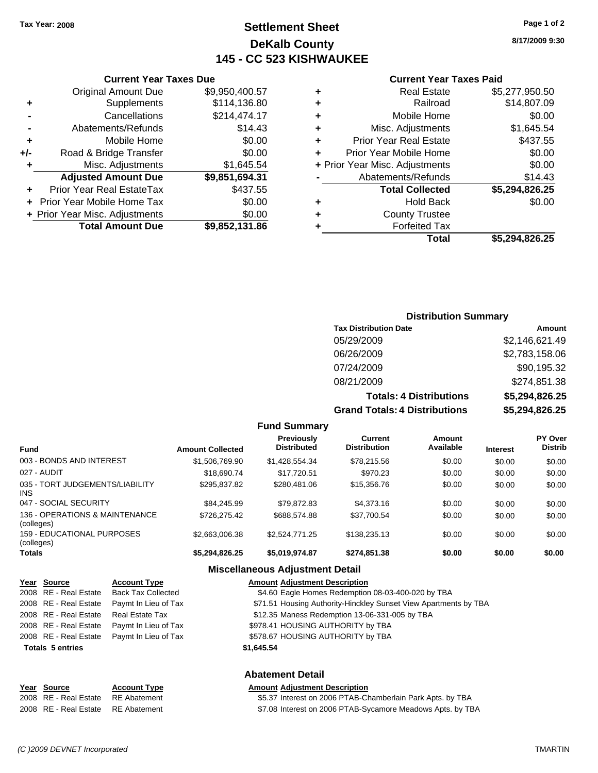## **Settlement Sheet Tax Year: 2008 Page 1 of 2 DeKalb County 145 - CC 523 KISHWAUKEE**

**8/17/2009 9:30**

|       | <b>Current Year Taxes Due</b>     |                |  |  |  |
|-------|-----------------------------------|----------------|--|--|--|
|       | <b>Original Amount Due</b>        | \$9,950,400.57 |  |  |  |
| ٠     | Supplements                       | \$114,136.80   |  |  |  |
|       | Cancellations                     | \$214,474.17   |  |  |  |
|       | Abatements/Refunds                | \$14.43        |  |  |  |
| ÷     | Mobile Home                       | \$0.00         |  |  |  |
| $+/-$ | Road & Bridge Transfer            | \$0.00         |  |  |  |
| ٠     | Misc. Adjustments                 | \$1,645.54     |  |  |  |
|       | <b>Adjusted Amount Due</b>        | \$9,851,694.31 |  |  |  |
| ÷     | Prior Year Real EstateTax         | \$437.55       |  |  |  |
|       | <b>Prior Year Mobile Home Tax</b> | \$0.00         |  |  |  |
|       | + Prior Year Misc. Adjustments    | \$0.00         |  |  |  |
|       | <b>Total Amount Due</b>           | \$9,852,131.86 |  |  |  |
|       |                                   |                |  |  |  |

### **Current Year Taxes Paid +** Real Estate \$5,277,950.50 **+** Railroad \$14,807.09 **+** Mobile Home \$0.00 **+** Misc. Adjustments \$1,645.54 **+** Prior Year Real Estate \$437.55 **+** Prior Year Mobile Home \$0.00

|           | + Prior Year Misc. Adjustments | \$0.00         |
|-----------|--------------------------------|----------------|
|           | Abatements/Refunds             | \$14.43        |
|           | <b>Total Collected</b>         | \$5,294,826.25 |
| $\ddot{}$ | <b>Hold Back</b>               | \$0.00         |
|           | <b>County Trustee</b>          |                |
|           | <b>Forfeited Tax</b>           |                |
|           | Total                          | \$5,294,826.25 |

### **Distribution Summary**

| <b>Tax Distribution Date</b>         | Amount         |
|--------------------------------------|----------------|
| 05/29/2009                           | \$2,146,621.49 |
| 06/26/2009                           | \$2,783,158.06 |
| 07/24/2009                           | \$90,195.32    |
| 08/21/2009                           | \$274,851.38   |
| <b>Totals: 4 Distributions</b>       | \$5,294,826.25 |
| <b>Grand Totals: 4 Distributions</b> | \$5,294,826.25 |

### **Fund Summary**

| <b>Fund</b>                                  | <b>Amount Collected</b> | <b>Previously</b><br><b>Distributed</b> | Current<br><b>Distribution</b> | Amount<br>Available | <b>Interest</b> | PY Over<br><b>Distrib</b> |
|----------------------------------------------|-------------------------|-----------------------------------------|--------------------------------|---------------------|-----------------|---------------------------|
| 003 - BONDS AND INTEREST                     | \$1,506,769.90          | \$1,428,554.34                          | \$78,215.56                    | \$0.00              | \$0.00          | \$0.00                    |
| 027 - AUDIT                                  | \$18,690.74             | \$17,720.51                             | \$970.23                       | \$0.00              | \$0.00          | \$0.00                    |
| 035 - TORT JUDGEMENTS/LIABILITY<br>INS.      | \$295,837.82            | \$280,481.06                            | \$15,356,76                    | \$0.00              | \$0.00          | \$0.00                    |
| 047 - SOCIAL SECURITY                        | \$84,245.99             | \$79.872.83                             | \$4,373.16                     | \$0.00              | \$0.00          | \$0.00                    |
| 136 - OPERATIONS & MAINTENANCE<br>(colleges) | \$726,275.42            | \$688,574.88                            | \$37,700.54                    | \$0.00              | \$0.00          | \$0.00                    |
| 159 - EDUCATIONAL PURPOSES<br>(colleges)     | \$2,663,006.38          | \$2,524,771,25                          | \$138,235.13                   | \$0.00              | \$0.00          | \$0.00                    |
| <b>Totals</b>                                | \$5,294,826.25          | \$5,019,974.87                          | \$274.851.38                   | \$0.00              | \$0.00          | \$0.00                    |

### **Miscellaneous Adjustment Detail**

|                         | Year Source           | <b>Account Type</b>       | <b>Amount Adjustment Description</b>                             |
|-------------------------|-----------------------|---------------------------|------------------------------------------------------------------|
|                         | 2008 RE - Real Estate | <b>Back Tax Collected</b> | \$4.60 Eagle Homes Redemption 08-03-400-020 by TBA               |
|                         | 2008 RE - Real Estate | Paymt In Lieu of Tax      | \$71.51 Housing Authority-Hinckley Sunset View Apartments by TBA |
|                         | 2008 RE - Real Estate | Real Estate Tax           | \$12.35 Maness Redemption 13-06-331-005 by TBA                   |
|                         | 2008 RE - Real Estate | Paymt In Lieu of Tax      | \$978.41 HOUSING AUTHORITY by TBA                                |
|                         | 2008 RE - Real Estate | Paymt In Lieu of Tax      | \$578.67 HOUSING AUTHORITY by TBA                                |
| <b>Totals 5 entries</b> |                       |                           | \$1,645.54                                                       |
|                         |                       |                           | <b>Abatement Detail</b>                                          |

### **Year Source Account Type Amount Adjustment Description** 2008 RE - Real Estate RE Abatement S5.37 Interest on 2006 PTAB-Chamberlain Park Apts. by TBA 2008 RE - Real Estate RE Abatement S7.08 Interest on 2006 PTAB-Sycamore Meadows Apts. by TBA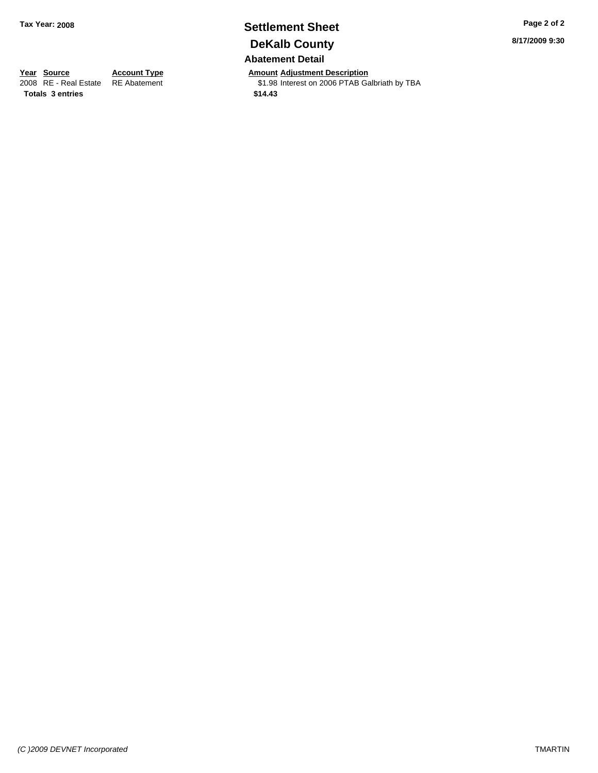## **Settlement Sheet Tax Year: 2008 Page 2 of 2 DeKalb County Abatement Detail**

**Year Source Account Type Amount Adjustment Description**<br>2008 RE - Real Estate RE Abatement **Adjustment** \$1.98 Interest on 2006 PTAB Ga \$1.98 Interest on 2006 PTAB Galbriath by TBA

**Totals \$14.43 3 entries**

**8/17/2009 9:30**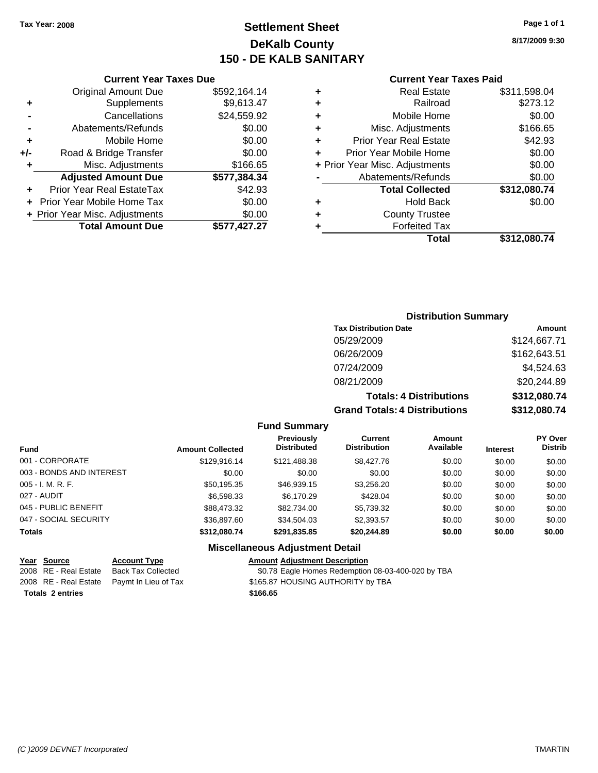## **Settlement Sheet Tax Year: 2008 Page 1 of 1 DeKalb County 150 - DE KALB SANITARY**

### **Current Year Taxes Due**

|       | <b>Original Amount Due</b>       | \$592,164.14 |
|-------|----------------------------------|--------------|
| ٠     | Supplements                      | \$9,613.47   |
|       | Cancellations                    | \$24,559.92  |
|       | Abatements/Refunds               | \$0.00       |
| ÷     | Mobile Home                      | \$0.00       |
| $+/-$ | Road & Bridge Transfer           | \$0.00       |
|       | Misc. Adjustments                | \$166.65     |
|       | <b>Adjusted Amount Due</b>       | \$577,384.34 |
|       | <b>Prior Year Real EstateTax</b> | \$42.93      |
|       | Prior Year Mobile Home Tax       | \$0.00       |
|       | + Prior Year Misc. Adjustments   | \$0.00       |
|       | <b>Total Amount Due</b>          | \$577,427.27 |

### **Current Year Taxes Paid**

|   | <b>Real Estate</b>             | \$311,598.04 |
|---|--------------------------------|--------------|
| ٠ | Railroad                       | \$273.12     |
| ٠ | Mobile Home                    | \$0.00       |
| ٠ | Misc. Adjustments              | \$166.65     |
| ٠ | <b>Prior Year Real Estate</b>  | \$42.93      |
|   | Prior Year Mobile Home         | \$0.00       |
|   | + Prior Year Misc. Adjustments | \$0.00       |
|   | Abatements/Refunds             | \$0.00       |
|   | <b>Total Collected</b>         | \$312,080.74 |
| ٠ | <b>Hold Back</b>               | \$0.00       |
| ٠ | <b>County Trustee</b>          |              |
| ٠ | <b>Forfeited Tax</b>           |              |
|   | Total                          | \$312,080.74 |
|   |                                |              |

### **Distribution Summary**

| <b>Tax Distribution Date</b>         | Amount       |
|--------------------------------------|--------------|
| 05/29/2009                           | \$124,667.71 |
| 06/26/2009                           | \$162,643.51 |
| 07/24/2009                           | \$4,524.63   |
| 08/21/2009                           | \$20,244.89  |
| <b>Totals: 4 Distributions</b>       | \$312,080.74 |
| <b>Grand Totals: 4 Distributions</b> | \$312,080.74 |

**Fund Summary**

| <b>Fund</b>              | <b>Amount Collected</b> | <b>Previously</b><br><b>Distributed</b> | Current<br><b>Distribution</b> | Amount<br>Available | <b>Interest</b> | <b>PY Over</b><br><b>Distrib</b> |
|--------------------------|-------------------------|-----------------------------------------|--------------------------------|---------------------|-----------------|----------------------------------|
| 001 - CORPORATE          | \$129,916.14            | \$121,488.38                            | \$8,427.76                     | \$0.00              | \$0.00          | \$0.00                           |
| 003 - BONDS AND INTEREST | \$0.00                  | \$0.00                                  | \$0.00                         | \$0.00              | \$0.00          | \$0.00                           |
| $005 - I. M. R. F.$      | \$50,195.35             | \$46,939.15                             | \$3,256.20                     | \$0.00              | \$0.00          | \$0.00                           |
| 027 - AUDIT              | \$6,598.33              | \$6,170.29                              | \$428.04                       | \$0.00              | \$0.00          | \$0.00                           |
| 045 - PUBLIC BENEFIT     | \$88,473.32             | \$82,734,00                             | \$5,739.32                     | \$0.00              | \$0.00          | \$0.00                           |
| 047 - SOCIAL SECURITY    | \$36,897.60             | \$34.504.03                             | \$2,393.57                     | \$0.00              | \$0.00          | \$0.00                           |
| <b>Totals</b>            | \$312,080.74            | \$291,835.85                            | \$20,244.89                    | \$0.00              | \$0.00          | \$0.00                           |

### **Miscellaneous Adjustment Detail**

## **Year Source Account Type Amount Adjustment Description**<br>2008 RE - Real Estate Back Tax Collected **1998** \$0.78 Eagle Homes Redemption

\$0.78 Eagle Homes Redemption 08-03-400-020 by TBA 2008 RE - Real Estate Paymt In Lieu of Tax \$165.87 HOUSING AUTHORITY by TBA

**Totals \$166.65 2 entries**

**8/17/2009 9:30**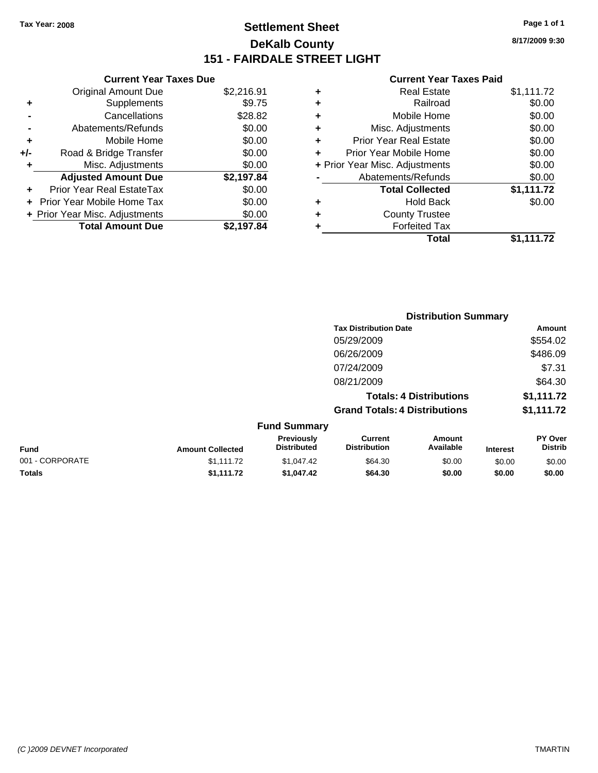## **Settlement Sheet Tax Year: 2008 Page 1 of 1 DeKalb County 151 - FAIRDALE STREET LIGHT**

**8/17/2009 9:30**

|     | <b>Current Year Taxes Due</b>     |            |
|-----|-----------------------------------|------------|
|     | <b>Original Amount Due</b>        | \$2,216.91 |
| ÷   | Supplements                       | \$9.75     |
|     | Cancellations                     | \$28.82    |
|     | Abatements/Refunds                | \$0.00     |
| ٠   | Mobile Home                       | \$0.00     |
| +/- | Road & Bridge Transfer            | \$0.00     |
|     | Misc. Adjustments                 | \$0.00     |
|     | <b>Adjusted Amount Due</b>        | \$2,197.84 |
| ÷   | Prior Year Real EstateTax         | \$0.00     |
|     | <b>Prior Year Mobile Home Tax</b> | \$0.00     |
|     | + Prior Year Misc. Adjustments    | \$0.00     |
|     | <b>Total Amount Due</b>           | \$2.197.84 |

|   | <b>Real Estate</b>             | \$1,111.72 |
|---|--------------------------------|------------|
| ٠ | Railroad                       | \$0.00     |
| ٠ | Mobile Home                    | \$0.00     |
| ٠ | Misc. Adjustments              | \$0.00     |
| ÷ | <b>Prior Year Real Estate</b>  | \$0.00     |
|   | Prior Year Mobile Home         | \$0.00     |
|   | + Prior Year Misc. Adjustments | \$0.00     |
|   | Abatements/Refunds             | \$0.00     |
|   | <b>Total Collected</b>         | \$1,111.72 |
| ٠ | <b>Hold Back</b>               | \$0.00     |
| ٠ | <b>County Trustee</b>          |            |
| ٠ | <b>Forfeited Tax</b>           |            |
|   | Total                          | \$1,111.72 |
|   |                                |            |

|                 |                         |                                  | <b>Distribution Summary</b>           |                                |                 |                           |
|-----------------|-------------------------|----------------------------------|---------------------------------------|--------------------------------|-----------------|---------------------------|
|                 |                         |                                  | <b>Tax Distribution Date</b>          |                                |                 | <b>Amount</b>             |
|                 |                         |                                  | 05/29/2009                            |                                |                 | \$554.02                  |
|                 |                         |                                  | 06/26/2009                            |                                |                 | \$486.09                  |
|                 |                         |                                  | 07/24/2009                            |                                |                 | \$7.31                    |
|                 |                         |                                  | 08/21/2009                            |                                |                 | \$64.30                   |
|                 |                         |                                  |                                       | <b>Totals: 4 Distributions</b> |                 | \$1,111.72                |
|                 |                         |                                  | <b>Grand Totals: 4 Distributions</b>  |                                |                 | \$1,111.72                |
|                 |                         | <b>Fund Summary</b>              |                                       |                                |                 |                           |
| <b>Fund</b>     | <b>Amount Collected</b> | Previously<br><b>Distributed</b> | <b>Current</b><br><b>Distribution</b> | Amount<br>Available            | <b>Interest</b> | PY Over<br><b>Distrib</b> |
| 001 - CORPORATE | \$1,111.72              | \$1,047.42                       | \$64.30                               | \$0.00                         | \$0.00          | \$0.00                    |
| Totals          | \$1,111.72              | \$1,047.42                       | \$64.30                               | \$0.00                         | \$0.00          | \$0.00                    |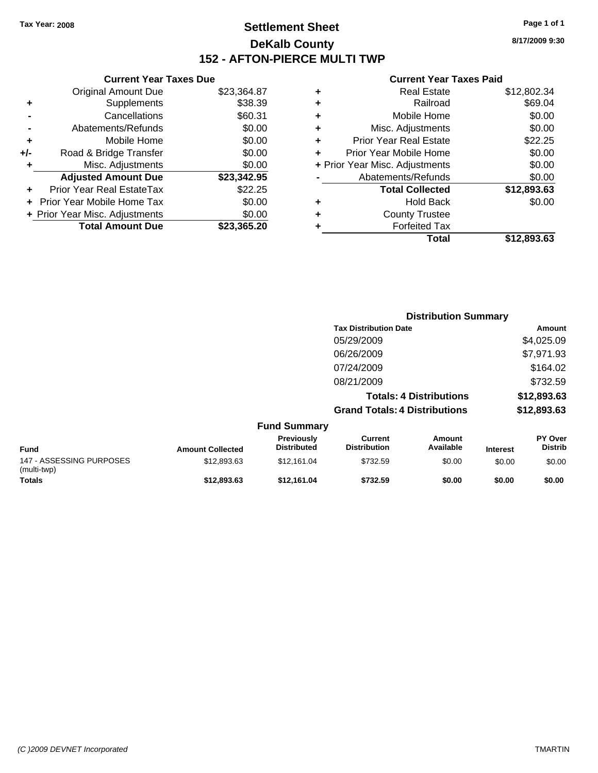**Current Year Taxes Due** Original Amount Due \$23,364.87

**Adjusted Amount Due \$23,342.95**

**Total Amount Due \$23,365.20**

**+** Supplements \$38.39 **-** Cancellations \$60.31 **-** Abatements/Refunds \$0.00 **+** Mobile Home \$0.00 **+/-** Road & Bridge Transfer \$0.00 **+** Misc. Adjustments \$0.00

**+** Prior Year Real EstateTax \$22.25 **+** Prior Year Mobile Home Tax \$0.00 **+ Prior Year Misc. Adjustments**  $$0.00$ 

## **Settlement Sheet Tax Year: 2008 Page 1 of 1 DeKalb County 152 - AFTON-PIERCE MULTI TWP**

**8/17/2009 9:30**

|   | Total                          | \$12.893.63 |
|---|--------------------------------|-------------|
|   | <b>Forfeited Tax</b>           |             |
| ٠ | <b>County Trustee</b>          |             |
| ٠ | <b>Hold Back</b>               | \$0.00      |
|   | <b>Total Collected</b>         | \$12,893.63 |
|   | Abatements/Refunds             | \$0.00      |
|   | + Prior Year Misc. Adjustments | \$0.00      |
| ÷ | Prior Year Mobile Home         | \$0.00      |
| ٠ | <b>Prior Year Real Estate</b>  | \$22.25     |
| ٠ | Misc. Adjustments              | \$0.00      |
| ٠ | Mobile Home                    | \$0.00      |
| ٠ | Railroad                       | \$69.04     |
| ٠ | <b>Real Estate</b>             | \$12,802.34 |

|                                         |                         |                                  | <b>Distribution Summary</b>           |                                |                 |                                  |
|-----------------------------------------|-------------------------|----------------------------------|---------------------------------------|--------------------------------|-----------------|----------------------------------|
|                                         |                         |                                  | <b>Tax Distribution Date</b>          |                                |                 | <b>Amount</b>                    |
|                                         |                         |                                  | 05/29/2009                            |                                |                 | \$4,025.09                       |
|                                         |                         |                                  | 06/26/2009                            |                                |                 | \$7,971.93                       |
|                                         |                         |                                  | 07/24/2009                            |                                |                 | \$164.02                         |
|                                         |                         |                                  | 08/21/2009                            |                                |                 | \$732.59                         |
|                                         |                         |                                  |                                       | <b>Totals: 4 Distributions</b> |                 | \$12,893.63                      |
|                                         |                         |                                  | <b>Grand Totals: 4 Distributions</b>  |                                |                 | \$12,893.63                      |
|                                         |                         | <b>Fund Summary</b>              |                                       |                                |                 |                                  |
| <b>Fund</b>                             | <b>Amount Collected</b> | Previously<br><b>Distributed</b> | <b>Current</b><br><b>Distribution</b> | Amount<br>Available            | <b>Interest</b> | <b>PY Over</b><br><b>Distrib</b> |
| 147 - ASSESSING PURPOSES<br>(multi-twp) | \$12,893.63             | \$12,161.04                      | \$732.59                              | \$0.00                         | \$0.00          | \$0.00                           |
| Totals                                  | \$12,893.63             | \$12,161.04                      | \$732.59                              | \$0.00                         | \$0.00          | \$0.00                           |

| (C)2009 DEVNET Incorporated |
|-----------------------------|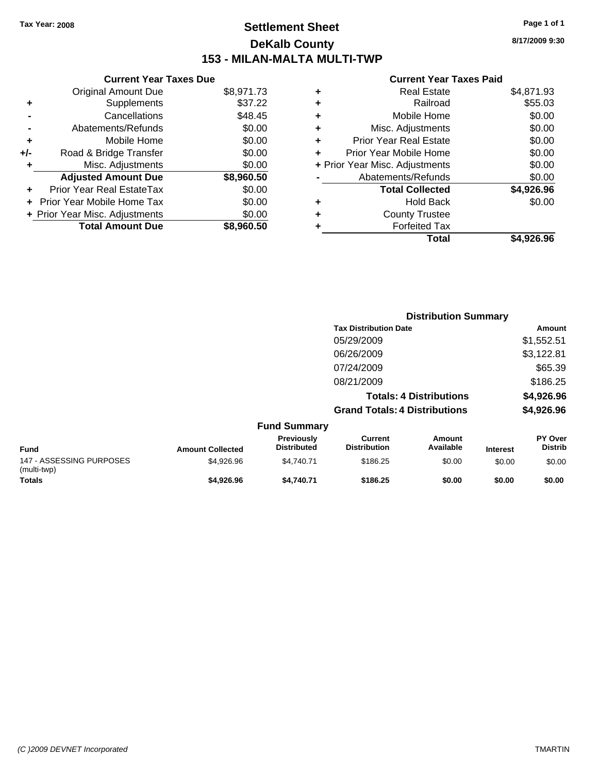**Current Year Taxes Due** Original Amount Due \$8,971.73

**Adjusted Amount Due \$8,960.50**

**Total Amount Due \$8,960.50**

**+** Supplements \$37.22 **-** Cancellations \$48.45 **-** Abatements/Refunds \$0.00 **+** Mobile Home \$0.00 **+/-** Road & Bridge Transfer \$0.00 **+** Misc. Adjustments \$0.00

**+** Prior Year Real EstateTax \$0.00 **+** Prior Year Mobile Home Tax \$0.00 **+ Prior Year Misc. Adjustments**  $$0.00$ 

## **Settlement Sheet Tax Year: 2008 Page 1 of 1 DeKalb County 153 - MILAN-MALTA MULTI-TWP**

**8/17/2009 9:30**

| Total                          | \$4,926.96 |
|--------------------------------|------------|
| <b>Forfeited Tax</b>           |            |
| <b>County Trustee</b>          |            |
| <b>Hold Back</b>               | \$0.00     |
| <b>Total Collected</b>         | \$4,926.96 |
| Abatements/Refunds             | \$0.00     |
| + Prior Year Misc. Adjustments | \$0.00     |
| Prior Year Mobile Home         | \$0.00     |
| <b>Prior Year Real Estate</b>  | \$0.00     |
| Misc. Adjustments<br>٠         | \$0.00     |
| Mobile Home                    | \$0.00     |
| Railroad<br>٠                  | \$55.03    |
| <b>Real Estate</b><br>٠        | \$4,871.93 |
|                                |            |

|                                         |                         |                                         |                                       | <b>Distribution Summary</b>    |                 |                           |
|-----------------------------------------|-------------------------|-----------------------------------------|---------------------------------------|--------------------------------|-----------------|---------------------------|
|                                         |                         |                                         | <b>Tax Distribution Date</b>          |                                |                 | <b>Amount</b>             |
|                                         |                         |                                         | 05/29/2009                            |                                |                 | \$1,552.51                |
|                                         |                         |                                         | 06/26/2009                            |                                |                 | \$3,122.81                |
|                                         |                         |                                         | 07/24/2009                            |                                |                 | \$65.39                   |
|                                         |                         |                                         | 08/21/2009                            |                                |                 | \$186.25                  |
|                                         |                         |                                         |                                       | <b>Totals: 4 Distributions</b> |                 | \$4,926.96                |
|                                         |                         |                                         | <b>Grand Totals: 4 Distributions</b>  |                                |                 | \$4,926.96                |
|                                         |                         | <b>Fund Summary</b>                     |                                       |                                |                 |                           |
| <b>Fund</b>                             | <b>Amount Collected</b> | <b>Previously</b><br><b>Distributed</b> | <b>Current</b><br><b>Distribution</b> | <b>Amount</b><br>Available     | <b>Interest</b> | PY Over<br><b>Distrib</b> |
| 147 - ASSESSING PURPOSES<br>(multi-twp) | \$4,926.96              | \$4,740.71                              | \$186.25                              | \$0.00                         | \$0.00          | \$0.00                    |
| Totals                                  | \$4,926.96              | \$4,740.71                              | \$186.25                              | \$0.00                         | \$0.00          | \$0.00                    |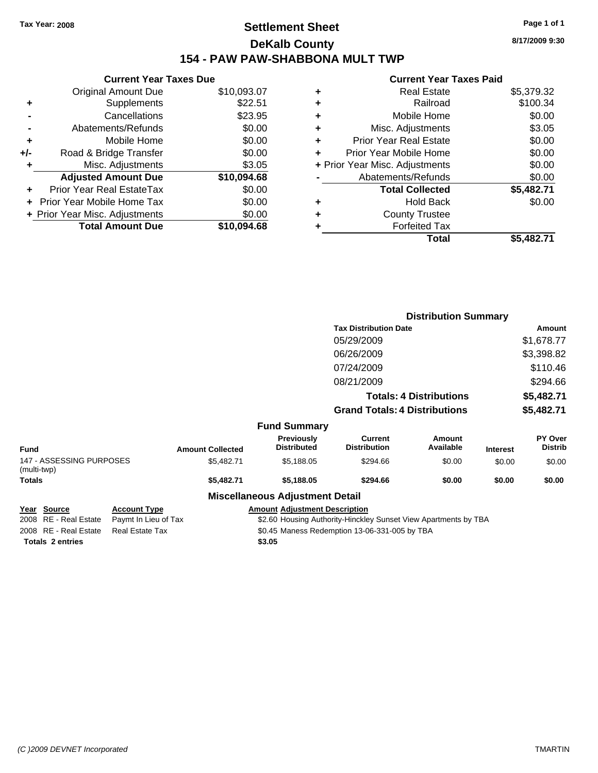## **Settlement Sheet Tax Year: 2008 Page 1 of 1 DeKalb County 154 - PAW PAW-SHABBONA MULT TWP**

### **Current Year Taxes Due** Original Amount Due \$10,093.07 **+** Supplements \$22.51 **-** Cancellations \$23.95 **-** Abatements/Refunds \$0.00 **+** Mobile Home \$0.00 **+/-** Road & Bridge Transfer \$0.00 **+** Misc. Adjustments \$3.05 **Adjusted Amount Due \$10,094.68 +** Prior Year Real EstateTax \$0.00 **+** Prior Year Mobile Home Tax \$0.00 **+ Prior Year Misc. Adjustments**  $$0.00$ **Total Amount Due \$10,094.68**

### **Current Year Taxes Paid**

| <b>Real Estate</b>             | \$5,379.32 |
|--------------------------------|------------|
| Railroad<br>٠                  | \$100.34   |
| Mobile Home<br>٠               | \$0.00     |
| Misc. Adjustments<br>٠         | \$3.05     |
| Prior Year Real Estate<br>٠    | \$0.00     |
| Prior Year Mobile Home<br>٠    | \$0.00     |
| + Prior Year Misc. Adjustments | \$0.00     |
| Abatements/Refunds             | \$0.00     |
| <b>Total Collected</b>         | \$5,482.71 |
| <b>Hold Back</b><br>٠          | \$0.00     |
| <b>County Trustee</b><br>٠     |            |
| <b>Forfeited Tax</b>           |            |
| Total                          | \$5.482.71 |

|                                         |                         |                                  |                                       | <b>Distribution Summary</b>    |                 |                           |
|-----------------------------------------|-------------------------|----------------------------------|---------------------------------------|--------------------------------|-----------------|---------------------------|
|                                         |                         |                                  | <b>Tax Distribution Date</b>          |                                |                 | Amount                    |
|                                         |                         |                                  | 05/29/2009                            |                                |                 | \$1,678.77                |
|                                         |                         |                                  | 06/26/2009                            |                                |                 | \$3,398.82                |
|                                         |                         |                                  | 07/24/2009                            |                                |                 | \$110.46                  |
|                                         |                         |                                  | 08/21/2009                            |                                |                 | \$294.66                  |
|                                         |                         |                                  |                                       | <b>Totals: 4 Distributions</b> |                 | \$5,482.71                |
|                                         |                         |                                  | <b>Grand Totals: 4 Distributions</b>  |                                |                 | \$5,482.71                |
|                                         |                         | <b>Fund Summary</b>              |                                       |                                |                 |                           |
| <b>Fund</b>                             | <b>Amount Collected</b> | Previously<br><b>Distributed</b> | <b>Current</b><br><b>Distribution</b> | Amount<br>Available            | <b>Interest</b> | PY Over<br><b>Distrib</b> |
| 147 - ASSESSING PURPOSES<br>(multi-twp) | \$5,482.71              | \$5,188.05                       | \$294.66                              | \$0.00                         | \$0.00          | \$0.00                    |
| <b>Totals</b>                           | \$5,482.71              | \$5,188.05                       | \$294.66                              | \$0.00                         | \$0.00          | \$0.00                    |
|                                         | --- --                  | . <u>.</u>                       |                                       |                                |                 |                           |

### **Miscellaneous Adjustment Detail**

| Year Source             | <b>Account Type</b>  | <b>Amount Adiustment Description</b>                            |
|-------------------------|----------------------|-----------------------------------------------------------------|
| 2008 RE - Real Estate   | Paymt In Lieu of Tax | \$2.60 Housing Authority-Hinckley Sunset View Apartments by TBA |
| 2008 RE - Real Estate   | Real Estate Tax      | \$0.45 Maness Redemption 13-06-331-005 by TBA                   |
| <b>Totals 2 entries</b> |                      | \$3.05                                                          |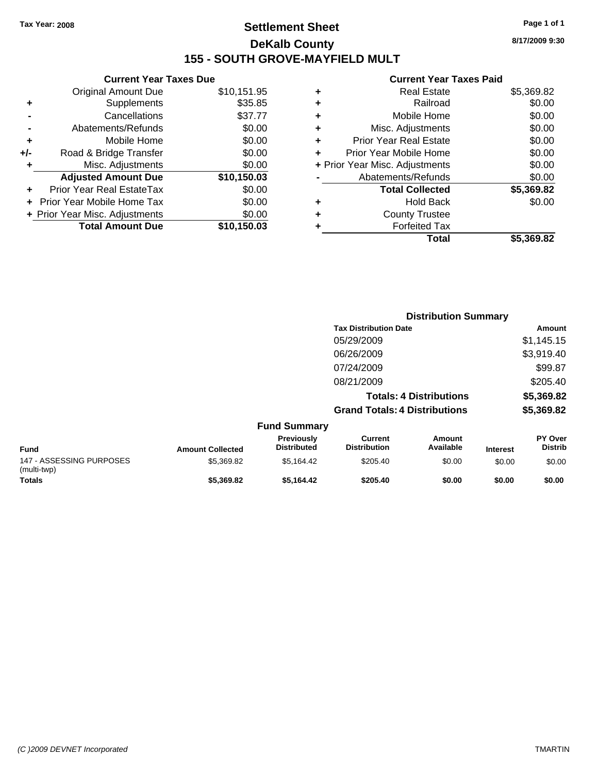## **Settlement Sheet Tax Year: 2008 Page 1 of 1 DeKalb County 155 - SOUTH GROVE-MAYFIELD MULT**

**8/17/2009 9:30**

|     | <b>Current Year Taxes Due</b>  |             |
|-----|--------------------------------|-------------|
|     | <b>Original Amount Due</b>     | \$10,151.95 |
| ٠   | Supplements                    | \$35.85     |
|     | Cancellations                  | \$37.77     |
|     | Abatements/Refunds             | \$0.00      |
| ٠   | Mobile Home                    | \$0.00      |
| +/- | Road & Bridge Transfer         | \$0.00      |
| ٠   | Misc. Adjustments              | \$0.00      |
|     | <b>Adjusted Amount Due</b>     | \$10,150.03 |
| ٠   | Prior Year Real EstateTax      | \$0.00      |
|     | Prior Year Mobile Home Tax     | \$0.00      |
|     | + Prior Year Misc. Adjustments | \$0.00      |
|     | <b>Total Amount Due</b>        | \$10.150.03 |
|     |                                |             |

|   | Total                          | \$5,369.82 |
|---|--------------------------------|------------|
| ٠ | <b>Forfeited Tax</b>           |            |
| ٠ | <b>County Trustee</b>          |            |
| ٠ | <b>Hold Back</b>               | \$0.00     |
|   | <b>Total Collected</b>         | \$5,369.82 |
|   | Abatements/Refunds             | \$0.00     |
|   | + Prior Year Misc. Adjustments | \$0.00     |
|   | Prior Year Mobile Home         | \$0.00     |
| ÷ | Prior Year Real Estate         | \$0.00     |
| ٠ | Misc. Adjustments              | \$0.00     |
| ٠ | Mobile Home                    | \$0.00     |
| ٠ | Railroad                       | \$0.00     |
| ٠ | <b>Real Estate</b>             | \$5,369.82 |
|   |                                |            |

|                                         |                         |                                  |                                       | <b>Distribution Summary</b>    |                 |                                  |
|-----------------------------------------|-------------------------|----------------------------------|---------------------------------------|--------------------------------|-----------------|----------------------------------|
|                                         |                         |                                  | <b>Tax Distribution Date</b>          |                                |                 | Amount                           |
|                                         |                         |                                  | 05/29/2009                            |                                |                 | \$1,145.15                       |
|                                         |                         |                                  | 06/26/2009                            |                                |                 | \$3,919.40                       |
|                                         |                         |                                  | 07/24/2009                            |                                |                 | \$99.87                          |
|                                         |                         |                                  | 08/21/2009                            |                                |                 | \$205.40                         |
|                                         |                         |                                  |                                       | <b>Totals: 4 Distributions</b> |                 | \$5,369.82                       |
|                                         |                         |                                  | <b>Grand Totals: 4 Distributions</b>  |                                |                 | \$5,369.82                       |
|                                         |                         | <b>Fund Summary</b>              |                                       |                                |                 |                                  |
| <b>Fund</b>                             | <b>Amount Collected</b> | Previously<br><b>Distributed</b> | <b>Current</b><br><b>Distribution</b> | Amount<br>Available            | <b>Interest</b> | <b>PY Over</b><br><b>Distrib</b> |
| 147 - ASSESSING PURPOSES<br>(multi-twp) | \$5,369.82              | \$5,164.42                       | \$205.40                              | \$0.00                         | \$0.00          | \$0.00                           |
| <b>Totals</b>                           | \$5,369.82              | \$5,164.42                       | \$205.40                              | \$0.00                         | \$0.00          | \$0.00                           |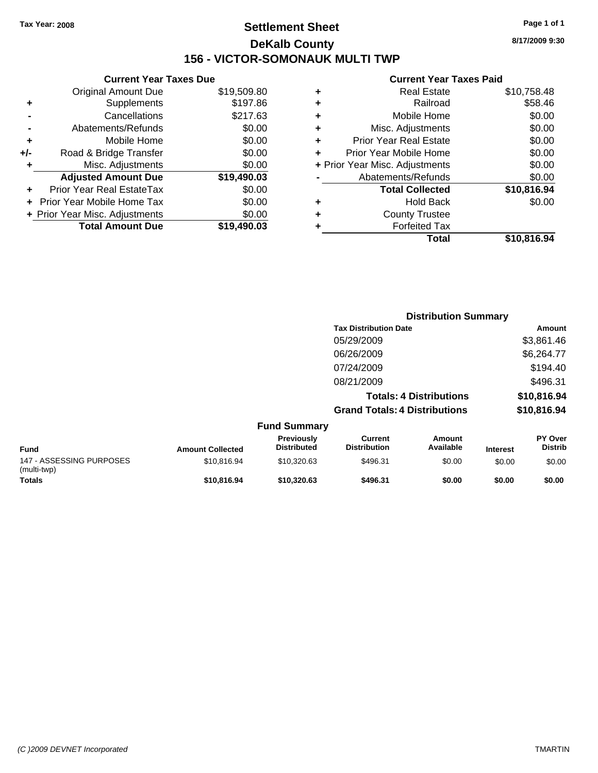## **Settlement Sheet Tax Year: 2008 Page 1 of 1 DeKalb County 156 - VICTOR-SOMONAUK MULTI TWP**

**8/17/2009 9:30**

### **Current Year Taxes Paid**

|     | <b>Current Year Taxes Due</b>     |             |
|-----|-----------------------------------|-------------|
|     | <b>Original Amount Due</b>        | \$19,509.80 |
| ٠   | Supplements                       | \$197.86    |
|     | Cancellations                     | \$217.63    |
|     | Abatements/Refunds                | \$0.00      |
| ٠   | Mobile Home                       | \$0.00      |
| +/- | Road & Bridge Transfer            | \$0.00      |
| ٠   | Misc. Adjustments                 | \$0.00      |
|     | <b>Adjusted Amount Due</b>        | \$19,490.03 |
| ٠   | Prior Year Real EstateTax         | \$0.00      |
|     | <b>Prior Year Mobile Home Tax</b> | \$0.00      |
|     | + Prior Year Misc. Adjustments    | \$0.00      |
|     | <b>Total Amount Due</b>           | \$19,490.03 |
|     |                                   |             |

| ٠ | <b>Real Estate</b>             | \$10,758.48 |
|---|--------------------------------|-------------|
| ٠ | Railroad                       | \$58.46     |
| ٠ | Mobile Home                    | \$0.00      |
| ٠ | Misc. Adjustments              | \$0.00      |
| ٠ | Prior Year Real Estate         | \$0.00      |
|   | Prior Year Mobile Home         | \$0.00      |
|   | + Prior Year Misc. Adjustments | \$0.00      |
|   | Abatements/Refunds             | \$0.00      |
|   | <b>Total Collected</b>         | \$10,816.94 |
| ٠ | <b>Hold Back</b>               | \$0.00      |
| ٠ | <b>County Trustee</b>          |             |
| ٠ | <b>Forfeited Tax</b>           |             |
|   | Total                          | \$10,816.94 |
|   |                                |             |

|                                         |                         |                                  |                                       | <b>Distribution Summary</b>    |                 |                                  |
|-----------------------------------------|-------------------------|----------------------------------|---------------------------------------|--------------------------------|-----------------|----------------------------------|
|                                         |                         |                                  | <b>Tax Distribution Date</b>          |                                |                 | Amount                           |
|                                         |                         |                                  | 05/29/2009                            |                                |                 | \$3,861.46                       |
|                                         |                         |                                  | 06/26/2009                            |                                |                 | \$6,264.77                       |
|                                         |                         |                                  | 07/24/2009                            |                                |                 | \$194.40                         |
|                                         |                         |                                  | 08/21/2009                            |                                |                 | \$496.31                         |
|                                         |                         |                                  |                                       | <b>Totals: 4 Distributions</b> |                 | \$10,816.94                      |
|                                         |                         |                                  | <b>Grand Totals: 4 Distributions</b>  |                                |                 | \$10,816.94                      |
|                                         |                         | <b>Fund Summary</b>              |                                       |                                |                 |                                  |
| Fund                                    | <b>Amount Collected</b> | Previously<br><b>Distributed</b> | <b>Current</b><br><b>Distribution</b> | <b>Amount</b><br>Available     | <b>Interest</b> | <b>PY Over</b><br><b>Distrib</b> |
| 147 - ASSESSING PURPOSES<br>(multi-twp) | \$10,816.94             | \$10,320.63                      | \$496.31                              | \$0.00                         | \$0.00          | \$0.00                           |
| <b>Totals</b>                           | \$10,816.94             | \$10,320.63                      | \$496.31                              | \$0.00                         | \$0.00          | \$0.00                           |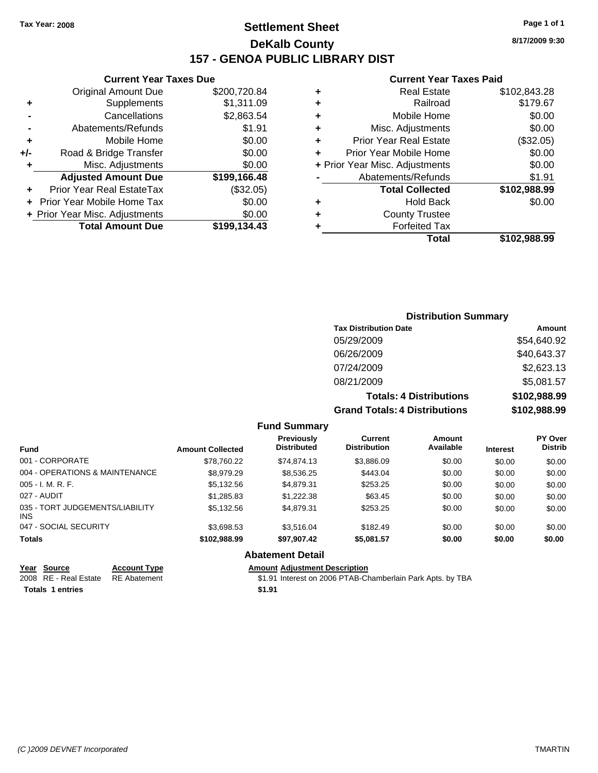## **Settlement Sheet Tax Year: 2008 Page 1 of 1 DeKalb County 157 - GENOA PUBLIC LIBRARY DIST**

### **Current Year Taxes Due**

|       | <b>Original Amount Due</b>     | \$200,720.84 |
|-------|--------------------------------|--------------|
| ٠     | Supplements                    | \$1,311.09   |
|       | Cancellations                  | \$2,863.54   |
|       | Abatements/Refunds             | \$1.91       |
| ٠     | Mobile Home                    | \$0.00       |
| $+/-$ | Road & Bridge Transfer         | \$0.00       |
| ٠     | Misc. Adjustments              | \$0.00       |
|       | <b>Adjusted Amount Due</b>     | \$199,166.48 |
| ÷     | Prior Year Real EstateTax      | (\$32.05)    |
|       | Prior Year Mobile Home Tax     | \$0.00       |
|       | + Prior Year Misc. Adjustments | \$0.00       |
|       | <b>Total Amount Due</b>        | \$199,134.43 |
|       |                                |              |

### **Current Year Taxes Paid**

| ٠ | <b>Real Estate</b>             | \$102,843.28 |
|---|--------------------------------|--------------|
| ٠ | Railroad                       | \$179.67     |
| ٠ | Mobile Home                    | \$0.00       |
| ٠ | Misc. Adjustments              | \$0.00       |
| ٠ | <b>Prior Year Real Estate</b>  | (\$32.05)    |
| ÷ | Prior Year Mobile Home         | \$0.00       |
|   | + Prior Year Misc. Adjustments | \$0.00       |
|   | Abatements/Refunds             | \$1.91       |
|   | <b>Total Collected</b>         | \$102,988.99 |
| ٠ | <b>Hold Back</b>               | \$0.00       |
| ٠ | <b>County Trustee</b>          |              |
|   | <b>Forfeited Tax</b>           |              |
|   | Total                          | \$102,988.99 |
|   |                                |              |

### **Distribution Summary Tax Distribution Date Amount** 05/29/2009 \$54,640.92 06/26/2009 \$40,643.37 07/24/2009 \$2,623.13 08/21/2009 \$5,081.57 **Totals: 4 Distributions \$102,988.99 Grand Totals: 4 Distributions \$102,988.99**

**Fund Summary**

| <b>Fund</b>                             | <b>Amount Collected</b> | <b>Previously</b><br><b>Distributed</b> | Current<br><b>Distribution</b> | Amount<br>Available | <b>Interest</b> | <b>PY Over</b><br><b>Distrib</b> |
|-----------------------------------------|-------------------------|-----------------------------------------|--------------------------------|---------------------|-----------------|----------------------------------|
| 001 - CORPORATE                         | \$78.760.22             | \$74.874.13                             | \$3,886.09                     | \$0.00              | \$0.00          | \$0.00                           |
| 004 - OPERATIONS & MAINTENANCE          | \$8,979.29              | \$8,536.25                              | \$443.04                       | \$0.00              | \$0.00          | \$0.00                           |
| $005 - I. M. R. F.$                     | \$5.132.56              | \$4.879.31                              | \$253.25                       | \$0.00              | \$0.00          | \$0.00                           |
| 027 - AUDIT                             | \$1,285.83              | \$1,222,38                              | \$63.45                        | \$0.00              | \$0.00          | \$0.00                           |
| 035 - TORT JUDGEMENTS/LIABILITY<br>INS. | \$5.132.56              | \$4.879.31                              | \$253.25                       | \$0.00              | \$0.00          | \$0.00                           |
| 047 - SOCIAL SECURITY                   | \$3,698.53              | \$3.516.04                              | \$182.49                       | \$0.00              | \$0.00          | \$0.00                           |
| <b>Totals</b>                           | \$102,988.99            | \$97,907.42                             | \$5,081.57                     | \$0.00              | \$0.00          | \$0.00                           |
|                                         |                         | Ahatamant Datail                        |                                |                     |                 |                                  |

### **Abatement Detail**

| Year Source                         | <b>Account Type</b> | Amount |
|-------------------------------------|---------------------|--------|
| 2008 RE - Real Estate  RE Abatement |                     | \$1.91 |
| <b>Totals 1 entries</b>             |                     | \$1.91 |

**Amount Adjustment Description** 

\$1.91 Interest on 2006 PTAB-Chamberlain Park Apts. by TBA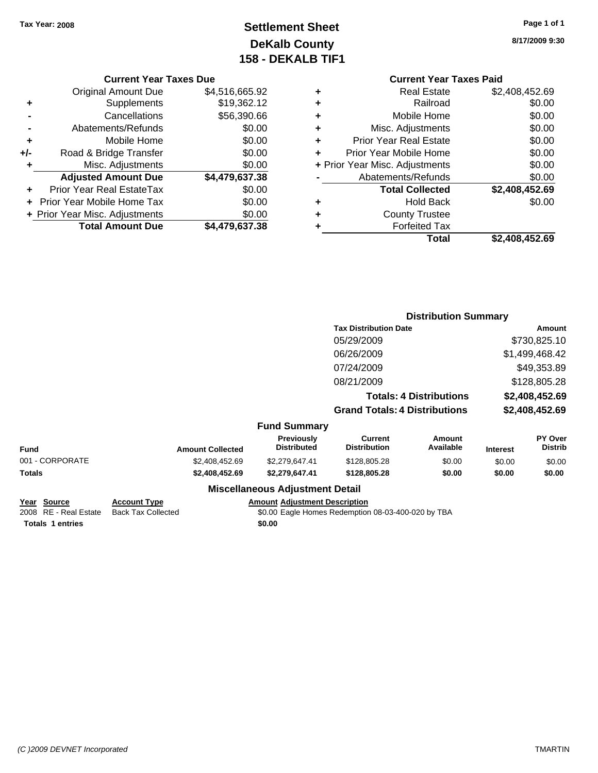## **Settlement Sheet Tax Year: 2008 Page 1 of 1 DeKalb County 158 - DEKALB TIF1**

**8/17/2009 9:30**

### **Current Year Taxes Due**

|     | <b>Original Amount Due</b>       | \$4,516,665.92 |
|-----|----------------------------------|----------------|
| ٠   | Supplements                      | \$19,362.12    |
|     | Cancellations                    | \$56,390.66    |
|     | Abatements/Refunds               | \$0.00         |
| ÷   | Mobile Home                      | \$0.00         |
| +/- | Road & Bridge Transfer           | \$0.00         |
| ٠   | Misc. Adjustments                | \$0.00         |
|     | <b>Adjusted Amount Due</b>       | \$4,479,637.38 |
|     | <b>Prior Year Real EstateTax</b> | \$0.00         |
|     | Prior Year Mobile Home Tax       | \$0.00         |
|     | + Prior Year Misc. Adjustments   | \$0.00         |
|     | <b>Total Amount Due</b>          | \$4,479,637.38 |

### **Current Year Taxes Paid +** Real Estate \$2,408,452.69 **+** Railroad \$0.00 **+** Mobile Home \$0.00 **+** Misc. Adjustments \$0.00 **+** Prior Year Real Estate \$0.00 **+** Prior Year Mobile Home \$0.00 **+** Prior Year Misc. Adjustments  $$0.00$ Abatements/Refunds \$0.00 **Total Collected \$2,408,452.69 +** Hold Back \$0.00 **+** County Trustee

**Total \$2,408,452.69**

**+** Forfeited Tax

|                 |                         |                                  | <b>Distribution Summary</b>           |                                |                 |                           |
|-----------------|-------------------------|----------------------------------|---------------------------------------|--------------------------------|-----------------|---------------------------|
|                 |                         |                                  | <b>Tax Distribution Date</b>          |                                |                 | Amount                    |
|                 |                         |                                  | 05/29/2009                            |                                |                 | \$730,825.10              |
|                 |                         |                                  | 06/26/2009                            |                                |                 | \$1,499,468.42            |
|                 |                         |                                  | 07/24/2009                            |                                |                 | \$49,353.89               |
|                 |                         |                                  | 08/21/2009                            |                                |                 | \$128,805.28              |
|                 |                         |                                  |                                       | <b>Totals: 4 Distributions</b> |                 | \$2,408,452.69            |
|                 |                         |                                  | <b>Grand Totals: 4 Distributions</b>  |                                |                 | \$2,408,452.69            |
|                 |                         | <b>Fund Summary</b>              |                                       |                                |                 |                           |
| Fund            | <b>Amount Collected</b> | Previously<br><b>Distributed</b> | <b>Current</b><br><b>Distribution</b> | Amount<br>Available            | <b>Interest</b> | PY Over<br><b>Distrib</b> |
| 001 - CORPORATE | \$2,408,452.69          | \$2,279,647.41                   | \$128,805.28                          | \$0.00                         | \$0.00          | \$0.00                    |
| Totals          | \$2,408,452.69          | \$2,279,647.41                   | \$128,805.28                          | \$0.00                         | \$0.00          | \$0.00                    |
|                 |                         |                                  |                                       |                                |                 |                           |

### **Miscellaneous Adjustment Detail**

**Year Source Account Type Amount Adjustment Description Totals \$0.00 1 entries**

2008 RE - Real Estate Back Tax Collected \$0.00 Eagle Homes Redemption 08-03-400-020 by TBA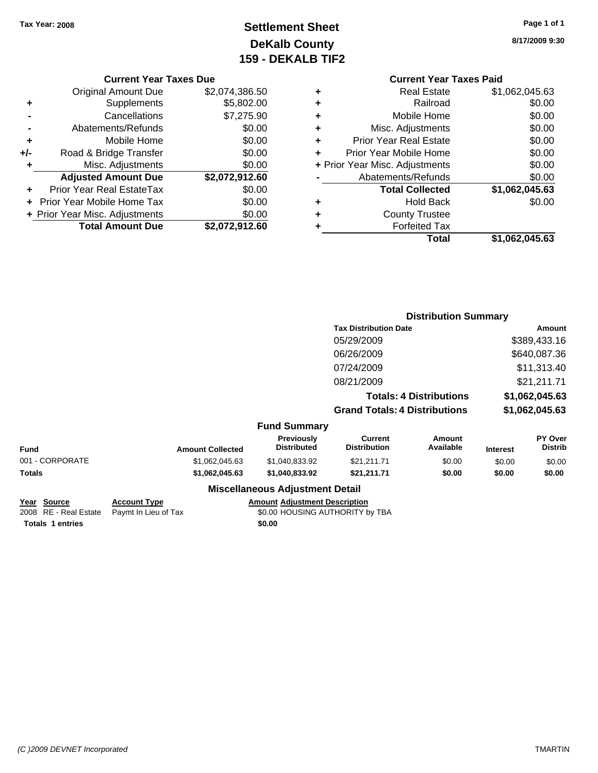## **Settlement Sheet Tax Year: 2008 Page 1 of 1 DeKalb County 159 - DEKALB TIF2**

### **8/17/2009 9:30**

|  |  | <b>Current Year Taxes Due</b> |  |
|--|--|-------------------------------|--|
|--|--|-------------------------------|--|

|     | <b>Original Amount Due</b>       | \$2,074,386.50 |
|-----|----------------------------------|----------------|
| ٠   | Supplements                      | \$5,802.00     |
|     | Cancellations                    | \$7,275.90     |
|     | Abatements/Refunds               | \$0.00         |
| ٠   | Mobile Home                      | \$0.00         |
| +/- | Road & Bridge Transfer           | \$0.00         |
| ٠   | Misc. Adjustments                | \$0.00         |
|     | <b>Adjusted Amount Due</b>       | \$2,072,912.60 |
|     | <b>Prior Year Real EstateTax</b> | \$0.00         |
|     | + Prior Year Mobile Home Tax     | \$0.00         |
|     | + Prior Year Misc. Adjustments   | \$0.00         |
|     | <b>Total Amount Due</b>          | \$2,072,912.60 |

### **Current Year Taxes Paid +** Real Estate \$1,062,045.63 **+** Railroad \$0.00 **+** Mobile Home \$0.00 **+** Misc. Adjustments \$0.00 **+** Prior Year Real Estate \$0.00 **+** Prior Year Mobile Home \$0.00 **+ Prior Year Misc. Adjustments \$0.00 -** Abatements/Refunds **\$0.00**

| Total                  | \$1,062,045.63 |
|------------------------|----------------|
| <b>Forfeited Tax</b>   |                |
| <b>County Trustee</b>  |                |
| <b>Hold Back</b>       | \$0.00         |
| <b>Total Collected</b> | \$1,062,045.63 |
|                        |                |

|                 |                         |                                  | <b>Distribution Summary</b>           |                                |                 |                                  |
|-----------------|-------------------------|----------------------------------|---------------------------------------|--------------------------------|-----------------|----------------------------------|
|                 |                         |                                  | <b>Tax Distribution Date</b>          |                                |                 | Amount                           |
|                 |                         |                                  | 05/29/2009                            |                                |                 | \$389,433.16                     |
|                 |                         |                                  | 06/26/2009                            |                                |                 | \$640,087.36                     |
|                 |                         |                                  | 07/24/2009                            |                                |                 | \$11,313.40                      |
|                 |                         |                                  | 08/21/2009                            |                                |                 | \$21,211.71                      |
|                 |                         |                                  |                                       | <b>Totals: 4 Distributions</b> |                 | \$1,062,045.63                   |
|                 |                         |                                  | <b>Grand Totals: 4 Distributions</b>  |                                |                 | \$1,062,045.63                   |
|                 |                         | <b>Fund Summary</b>              |                                       |                                |                 |                                  |
| Fund            | <b>Amount Collected</b> | Previously<br><b>Distributed</b> | <b>Current</b><br><b>Distribution</b> | <b>Amount</b><br>Available     | <b>Interest</b> | <b>PY Over</b><br><b>Distrib</b> |
| 001 - CORPORATE | \$1,062,045.63          | \$1,040,833.92                   | \$21,211.71                           | \$0.00                         | \$0.00          | \$0.00                           |
| Totals          | \$1,062,045.63          | \$1,040,833.92                   | \$21,211.71                           | \$0.00                         | \$0.00          | \$0.00                           |
|                 |                         | Miccollanceus Adjustment Detail  |                                       |                                |                 |                                  |

### **Miscellaneous Adjustment Detail**

| Year Source             | <b>Account Type</b>                        | <b>Amount Adjustment Description</b> |
|-------------------------|--------------------------------------------|--------------------------------------|
|                         | 2008 RE - Real Estate Paymt In Lieu of Tax | \$0.00 HOUSING AUTHORITY by TBA      |
| <b>Totals 1 entries</b> |                                            | \$0.00                               |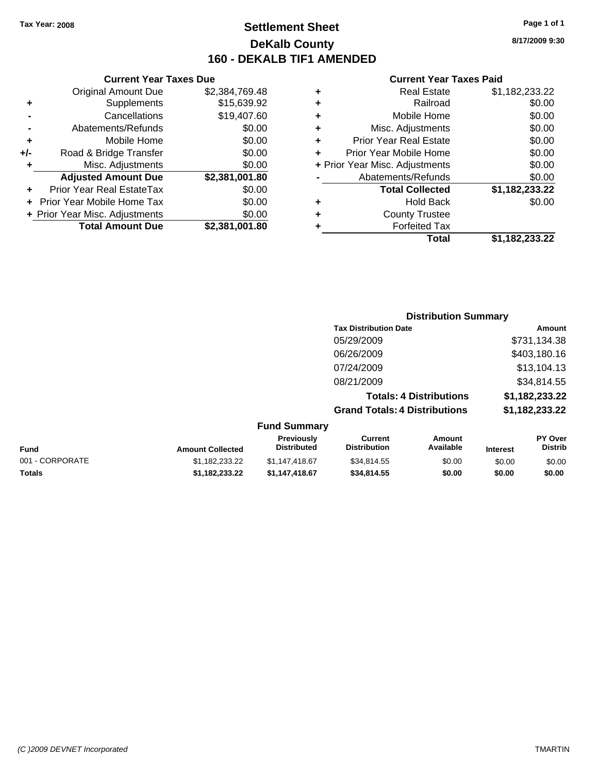## **Settlement Sheet Tax Year: 2008 Page 1 of 1 DeKalb County 160 - DEKALB TIF1 AMENDED**

**8/17/2009 9:30**

### **Current Year Taxes Paid**

08/21/2009 \$34,814.55

**Grand Totals: 4 Distributions \$1,182,233.22**

**Totals: 4 Distributions \$1,182,233.22**

| Prior Year Real EstateTax      | \$0.00         |                              | <b>Total Collected</b>      | \$1,182,233.22 |
|--------------------------------|----------------|------------------------------|-----------------------------|----------------|
| + Prior Year Mobile Home Tax   | \$0.00         | $\ddot{}$                    | Hold Back                   | \$0.00         |
| + Prior Year Misc. Adjustments | \$0.00         | ÷                            | <b>County Trustee</b>       |                |
| <b>Total Amount Due</b>        | \$2,381,001.80 | ٠                            | <b>Forfeited Tax</b>        |                |
|                                |                |                              | <b>Total</b>                | \$1,182,233.22 |
|                                |                |                              | <b>Distribution Summary</b> |                |
|                                |                | <b>Tax Distribution Date</b> |                             | Amount         |
|                                |                | 05/29/2009                   |                             | \$731,134.38   |
|                                |                | 06/26/2009                   |                             | \$403,180.16   |
|                                |                | 07/24/2009                   |                             | \$13,104.13    |

**Current Year Taxes Due** Original Amount Due \$2,384,769.48

**Adjusted Amount Due \$2,381,001.80**

**+** Supplements \$15,639.92 **-** Cancellations \$19,407.60 **-** Abatements/Refunds \$0.00 **+** Mobile Home \$0.00 **+/-** Road & Bridge Transfer \$0.00 **+** Misc. Adjustments \$0.00

### **Fund Summary Fund Interest Amount Collected Distributed PY Over Distrib Amount Available Current Distribution Previously** 001 - CORPORATE 6 \$1,182,233.22 \$1,147,418.67 \$34,814.55 \$0.00 \$0.00 \$0.00 \$0.00 \$0.00 \$0.00 \$0.00 \$0.00 \$0.00 \$0. **Totals \$1,182,233.22 \$1,147,418.67 \$34,814.55 \$0.00 \$0.00 \$0.00**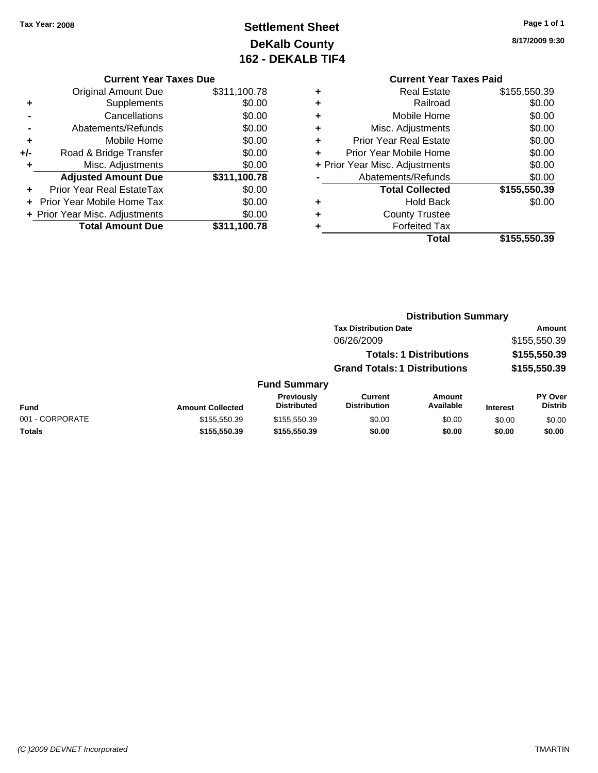## **Settlement Sheet Tax Year: 2008 Page 1 of 1 DeKalb County 162 - DEKALB TIF4**

**8/17/2009 9:30**

### **Current Year Taxes Due**

| <b>Original Amount Due</b>       | \$311,100.78 |
|----------------------------------|--------------|
| Supplements                      | \$0.00       |
| Cancellations                    | \$0.00       |
| Abatements/Refunds               | \$0.00       |
| Mobile Home                      | \$0.00       |
| Road & Bridge Transfer           | \$0.00       |
| Misc. Adjustments                | \$0.00       |
| <b>Adjusted Amount Due</b>       | \$311,100.78 |
| <b>Prior Year Real EstateTax</b> | \$0.00       |
| Prior Year Mobile Home Tax       | \$0.00       |
| + Prior Year Misc. Adjustments   | \$0.00       |
| <b>Total Amount Due</b>          | \$311,100.78 |
|                                  |              |

## **Current Year Taxes Paid**

|   | <b>Real Estate</b>             | \$155,550.39 |
|---|--------------------------------|--------------|
| ٠ | Railroad                       | \$0.00       |
| ٠ | Mobile Home                    | \$0.00       |
| ٠ | Misc. Adjustments              | \$0.00       |
| ٠ | <b>Prior Year Real Estate</b>  | \$0.00       |
|   | Prior Year Mobile Home         | \$0.00       |
|   | + Prior Year Misc. Adjustments | \$0.00       |
|   | Abatements/Refunds             | \$0.00       |
|   | <b>Total Collected</b>         | \$155,550.39 |
| ٠ | <b>Hold Back</b>               | \$0.00       |
| ٠ | <b>County Trustee</b>          |              |
|   | <b>Forfeited Tax</b>           |              |
|   | Total                          | \$155,550.39 |
|   |                                |              |

### **Distribution Summary Tax Distribution Date Amount** 06/26/2009 \$155,550.39 **Totals: 1 Distributions \$155,550.39 Grand Totals: 1 Distributions \$155,550.39 Fund Summary Fund Interest Amount Collected Distributed PY Over Distrib Amount Available Current Distribution Previously** 001 - CORPORATE \$155,550.39 \$155,550.39 \$155,550.39 \$0.00 \$0.00 \$0.00 \$0.00 \$0.00 **Totals \$155,550.39 \$155,550.39 \$0.00 \$0.00 \$0.00 \$0.00**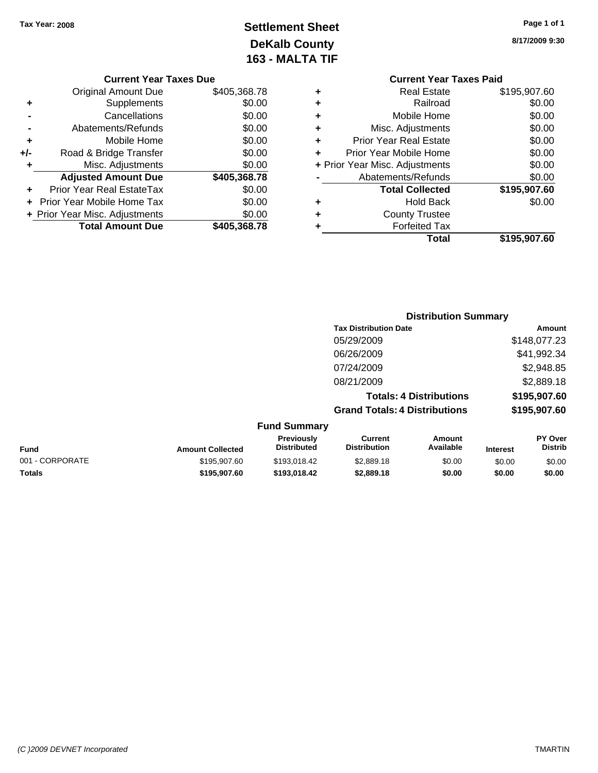## **Settlement Sheet Tax Year: 2008 Page 1 of 1 DeKalb County 163 - MALTA TIF**

**8/17/2009 9:30**

|   | <b>Current Year Taxes Paid</b> |              |
|---|--------------------------------|--------------|
| ٠ | <b>Real Estate</b>             | \$195,907.60 |
| ٠ | Railroad                       | \$0.00       |
| ٠ | Mobile Home                    | \$0.00       |
| ٠ | Misc. Adjustments              | \$0.00       |
| ٠ | Prior Year Real Estate         | \$0.00       |
| ÷ | Prior Year Mobile Home         | \$0.00       |
|   | + Prior Year Misc. Adjustments | \$0.00       |
|   | Abatements/Refunds             | \$0.00       |
|   | <b>Total Collected</b>         | \$195,907.60 |
|   | <b>Hold Back</b>               | \$0.00       |
|   | <b>County Trustee</b>          |              |
|   | <b>Forfeited Tax</b>           |              |
|   | <b>Total</b>                   | \$195,907.60 |
|   |                                |              |

### **Current Year Taxes Due** Original Amount Due \$405,368.78 **+** Supplements \$0.00 **-** Cancellations \$0.00 **-** Abatements/Refunds \$0.00 **+** Mobile Home \$0.00 **+/-** Road & Bridge Transfer \$0.00 **+** Misc. Adjustments \$0.00 **Adjusted Amount Due \$405,368.78 +** Prior Year Real EstateTax \$0.00 **+** Prior Year Mobile Home Tax \$0.00 **+ Prior Year Misc. Adjustments \$0.00<br>Total Amount Due \$405,368.78 Total Amount Due**

### **Distribution Summary**

| <b>Tax Distribution Date</b>         | Amount       |
|--------------------------------------|--------------|
| 05/29/2009                           | \$148,077.23 |
| 06/26/2009                           | \$41,992.34  |
| 07/24/2009                           | \$2,948.85   |
| 08/21/2009                           | \$2,889.18   |
| <b>Totals: 4 Distributions</b>       | \$195,907.60 |
| <b>Grand Totals: 4 Distributions</b> | \$195,907.60 |
|                                      |              |

| <b>Fund Summary</b> |                         |                                         |                                |                     |                 |                                  |
|---------------------|-------------------------|-----------------------------------------|--------------------------------|---------------------|-----------------|----------------------------------|
| <b>Fund</b>         | <b>Amount Collected</b> | <b>Previously</b><br><b>Distributed</b> | Current<br><b>Distribution</b> | Amount<br>Available | <b>Interest</b> | <b>PY Over</b><br><b>Distrib</b> |
| 001 - CORPORATE     | \$195,907.60            | \$193.018.42                            | \$2,889.18                     | \$0.00              | \$0.00          | \$0.00                           |
| <b>Totals</b>       | \$195,907.60            | \$193,018,42                            | \$2,889.18                     | \$0.00              | \$0.00          | \$0.00                           |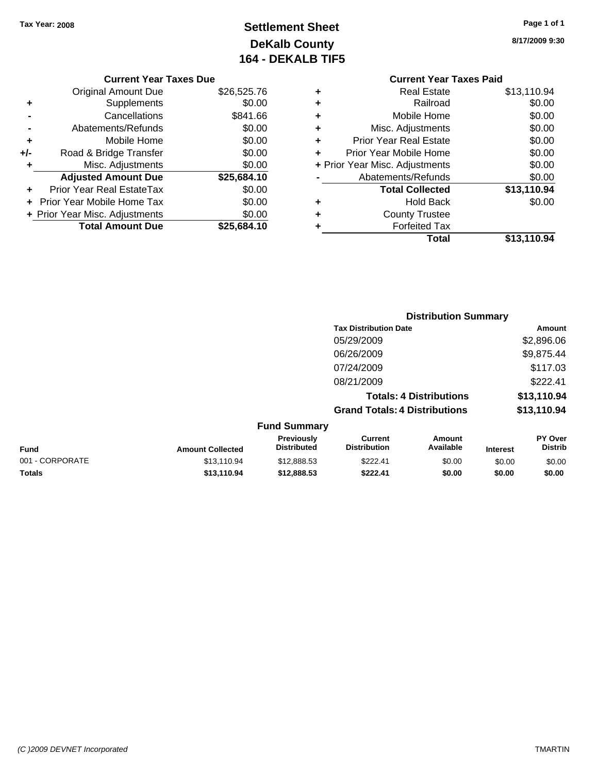## **Settlement Sheet Tax Year: 2008 Page 1 of 1 DeKalb County 164 - DEKALB TIF5**

**8/17/2009 9:30**

|                          | <b>Current Year Taxes Due</b> |             |  |
|--------------------------|-------------------------------|-------------|--|
|                          | <b>Original Amount Due</b>    | \$26,525.76 |  |
| ٠                        | <b>Supplements</b>            | \$0.00      |  |
| $\overline{\phantom{0}}$ | Cancellations                 | \$841.66    |  |
|                          | Abatements/Refunds            | \$0.00      |  |
|                          | $M$ obilo Homo                | 0000        |  |

| ٠   | MODIIE HOME                    | \$0.00      |
|-----|--------------------------------|-------------|
| +/- | Road & Bridge Transfer         | \$0.00      |
| ÷   | Misc. Adjustments              | \$0.00      |
|     | <b>Adjusted Amount Due</b>     | \$25,684.10 |
| ÷   | Prior Year Real EstateTax      | \$0.00      |
|     | + Prior Year Mobile Home Tax   | \$0.00      |
|     | + Prior Year Misc. Adjustments | \$0.00      |
|     | <b>Total Amount Due</b>        | \$25,684.10 |

### **Current Year Taxes Paid +** Real Estate \$13,110.94 **+** Railroad \$0.00 **+** Mobile Home \$0.00 **+** Misc. Adjustments \$0.00 **+** Prior Year Real Estate \$0.00 **+** Prior Year Mobile Home \$0.00 **+** Prior Year Misc. Adjustments  $$0.00$ **-** Abatements/Refunds \$0.00 **Total Collected \$13,110.94 +** Hold Back \$0.00 **+** County Trustee

**Total \$13,110.94**

**+** Forfeited Tax

|                 |                         |                                         |                                       | <b>Distribution Summary</b>    |                 |                           |
|-----------------|-------------------------|-----------------------------------------|---------------------------------------|--------------------------------|-----------------|---------------------------|
|                 |                         |                                         | <b>Tax Distribution Date</b>          |                                |                 | Amount                    |
|                 |                         |                                         | 05/29/2009                            |                                |                 | \$2,896.06                |
|                 |                         |                                         | 06/26/2009                            |                                |                 | \$9,875.44                |
|                 |                         |                                         | 07/24/2009                            |                                |                 | \$117.03                  |
|                 |                         |                                         | 08/21/2009                            |                                |                 | \$222.41                  |
|                 |                         |                                         |                                       | <b>Totals: 4 Distributions</b> |                 | \$13,110.94               |
|                 |                         |                                         | <b>Grand Totals: 4 Distributions</b>  |                                |                 | \$13,110.94               |
|                 |                         | <b>Fund Summary</b>                     |                                       |                                |                 |                           |
| <b>Fund</b>     | <b>Amount Collected</b> | <b>Previously</b><br><b>Distributed</b> | <b>Current</b><br><b>Distribution</b> | Amount<br>Available            | <b>Interest</b> | PY Over<br><b>Distrib</b> |
| 001 - CORPORATE | \$13,110.94             | \$12,888.53                             | \$222.41                              | \$0.00                         | \$0.00          | \$0.00                    |

**Totals \$13,110.94 \$12,888.53 \$222.41 \$0.00 \$0.00 \$0.00**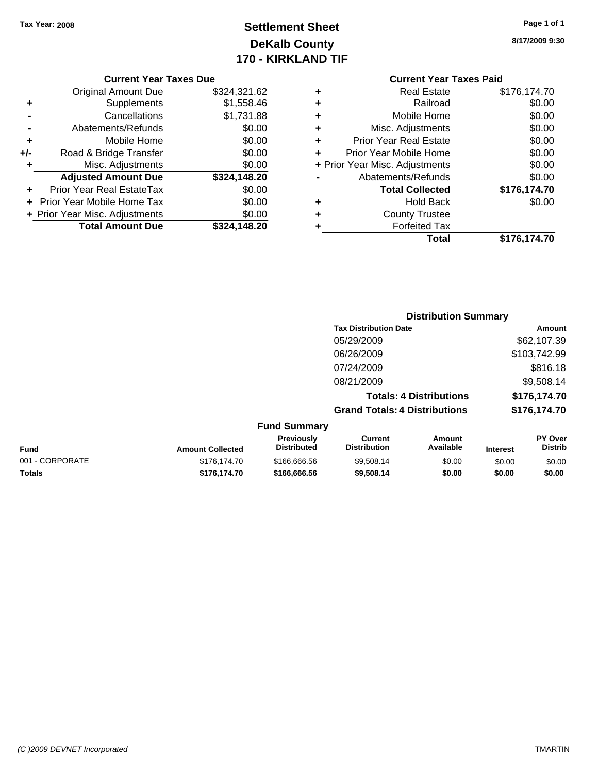## **Settlement Sheet Tax Year: 2008 Page 1 of 1 DeKalb County 170 - KIRKLAND TIF**

**8/17/2009 9:30**

### **Current Year Taxes Due**

|       | <b>Original Amount Due</b>       | \$324,321.62 |
|-------|----------------------------------|--------------|
| ٠     | Supplements                      | \$1,558.46   |
|       | Cancellations                    | \$1,731.88   |
|       | Abatements/Refunds               | \$0.00       |
| ÷     | Mobile Home                      | \$0.00       |
| $+/-$ | Road & Bridge Transfer           | \$0.00       |
| ٠     | Misc. Adjustments                | \$0.00       |
|       | <b>Adjusted Amount Due</b>       | \$324,148.20 |
|       | <b>Prior Year Real EstateTax</b> | \$0.00       |
|       | Prior Year Mobile Home Tax       | \$0.00       |
|       | + Prior Year Misc. Adjustments   | \$0.00       |
|       | <b>Total Amount Due</b>          | \$324,148.20 |

## **Current Year Taxes Paid**

| ٠ | <b>Real Estate</b>             | \$176,174.70 |
|---|--------------------------------|--------------|
| ٠ | Railroad                       | \$0.00       |
| ٠ | Mobile Home                    | \$0.00       |
| ٠ | Misc. Adjustments              | \$0.00       |
| ٠ | <b>Prior Year Real Estate</b>  | \$0.00       |
| ٠ | Prior Year Mobile Home         | \$0.00       |
|   | + Prior Year Misc. Adjustments | \$0.00       |
|   | Abatements/Refunds             | \$0.00       |
|   | <b>Total Collected</b>         | \$176,174.70 |
| ٠ | <b>Hold Back</b>               | \$0.00       |
| ٠ | <b>County Trustee</b>          |              |
| ٠ | <b>Forfeited Tax</b>           |              |
|   | Total                          | \$176,174.70 |
|   |                                |              |

## **Distribution Summary Tax Distribution Date Amount** 05/29/2009 \$62,107.39 06/26/2009 \$103,742.99 07/24/2009 \$816.18 08/21/2009 \$9,508.14 **Totals: 4 Distributions \$176,174.70 Grand Totals: 4 Distributions \$176,174.70 Fund Summary**

| <b>Fund</b>     | <b>Amount Collected</b> | <b>Previously</b><br><b>Distributed</b> | Current<br><b>Distribution</b> | Amount<br>Available | <b>Interest</b> | <b>PY Over</b><br><b>Distrib</b> |
|-----------------|-------------------------|-----------------------------------------|--------------------------------|---------------------|-----------------|----------------------------------|
| 001 - CORPORATE | \$176,174.70            | \$166,666,56                            | \$9,508.14                     | \$0.00              | \$0.00          | \$0.00                           |
| <b>Totals</b>   | \$176,174.70            | \$166,666.56                            | \$9,508.14                     | \$0.00              | \$0.00          | \$0.00                           |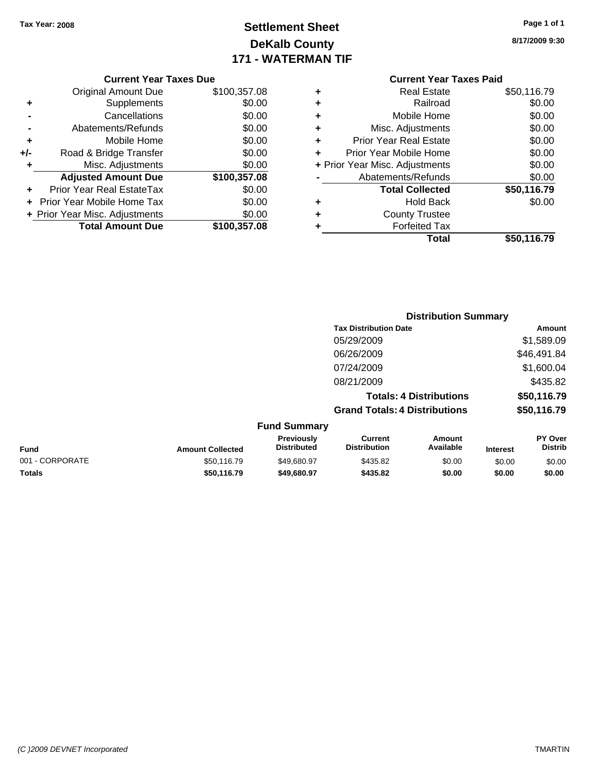## **Settlement Sheet Tax Year: 2008 Page 1 of 1 DeKalb County 171 - WATERMAN TIF**

**8/17/2009 9:30**

| <b>Current Year Taxes Due</b> |  |  |
|-------------------------------|--|--|
|                               |  |  |

|     | <b>Original Amount Due</b>        | \$100,357.08 |
|-----|-----------------------------------|--------------|
| ٠   | Supplements                       | \$0.00       |
|     | Cancellations                     | \$0.00       |
|     | Abatements/Refunds                | \$0.00       |
| ٠   | Mobile Home                       | \$0.00       |
| +/- | Road & Bridge Transfer            | \$0.00       |
| ٠   | Misc. Adjustments                 | \$0.00       |
|     | <b>Adjusted Amount Due</b>        | \$100,357.08 |
|     | Prior Year Real EstateTax         | \$0.00       |
|     | <b>Prior Year Mobile Home Tax</b> | \$0.00       |
|     | + Prior Year Misc. Adjustments    | \$0.00       |
|     | <b>Total Amount Due</b>           | \$100,357.08 |

| ٠ | <b>Real Estate</b>             | \$50,116.79 |
|---|--------------------------------|-------------|
| ÷ | Railroad                       | \$0.00      |
| ÷ | Mobile Home                    | \$0.00      |
| ٠ | Misc. Adjustments              | \$0.00      |
| ٠ | <b>Prior Year Real Estate</b>  | \$0.00      |
| ÷ | Prior Year Mobile Home         | \$0.00      |
|   | + Prior Year Misc. Adjustments | \$0.00      |
|   | Abatements/Refunds             | \$0.00      |
|   | <b>Total Collected</b>         | \$50,116.79 |
| ٠ | <b>Hold Back</b>               | \$0.00      |
| ٠ | <b>County Trustee</b>          |             |
| ٠ | <b>Forfeited Tax</b>           |             |
|   | Total                          | \$50,116.79 |
|   |                                |             |

|                         |                                         |                                       | <b>Distribution Summary</b>    |                 |                           |
|-------------------------|-----------------------------------------|---------------------------------------|--------------------------------|-----------------|---------------------------|
|                         |                                         | <b>Tax Distribution Date</b>          |                                |                 | <b>Amount</b>             |
|                         |                                         | 05/29/2009                            |                                |                 | \$1,589.09                |
|                         |                                         | 06/26/2009                            |                                |                 | \$46,491.84               |
|                         |                                         | 07/24/2009                            |                                |                 | \$1,600.04                |
|                         |                                         | 08/21/2009                            |                                |                 | \$435.82                  |
|                         |                                         |                                       | <b>Totals: 4 Distributions</b> |                 | \$50,116.79               |
|                         |                                         | <b>Grand Totals: 4 Distributions</b>  |                                |                 | \$50,116.79               |
|                         | <b>Fund Summary</b>                     |                                       |                                |                 |                           |
| <b>Amount Collected</b> | <b>Previously</b><br><b>Distributed</b> | <b>Current</b><br><b>Distribution</b> | Amount<br>Available            | <b>Interest</b> | PY Over<br><b>Distrib</b> |

| Fund            | <b>Amount Collected</b> | Previously<br><b>Distributed</b> | Current<br><b>Distribution</b> | Amount<br>Available | <b>Interest</b> | PY Over<br>Distrib |
|-----------------|-------------------------|----------------------------------|--------------------------------|---------------------|-----------------|--------------------|
| 001 - CORPORATE | \$50.116.79             | \$49.680.97                      | \$435.82                       | \$0.00              | \$0.00          | \$0.00             |
| <b>Totals</b>   | \$50.116.79             | \$49,680.97                      | \$435.82                       | \$0.00              | \$0.00          | \$0.00             |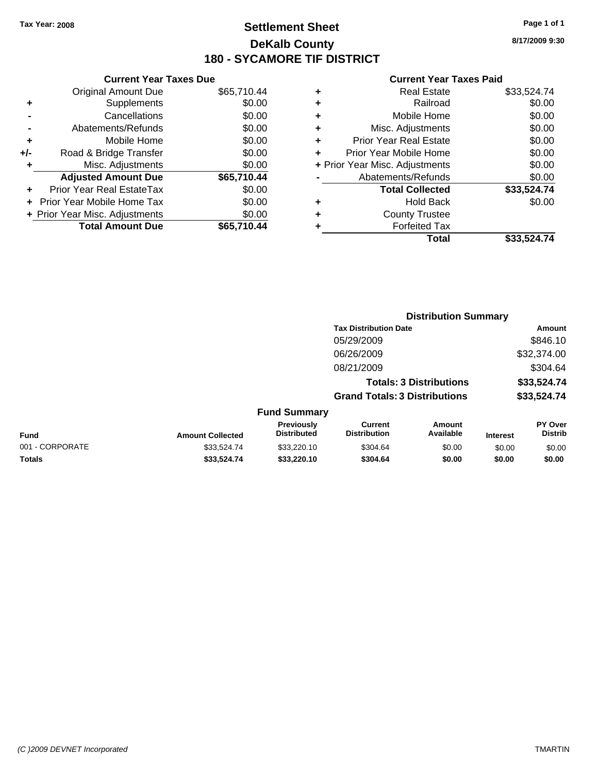## **Settlement Sheet Tax Year: 2008 Page 1 of 1 DeKalb County 180 - SYCAMORE TIF DISTRICT**

**8/17/2009 9:30**

|     | <b>Current Year Taxes Due</b>  |             |  |  |  |  |
|-----|--------------------------------|-------------|--|--|--|--|
|     | Original Amount Due            | \$65,710.44 |  |  |  |  |
| ٠   | Supplements                    | \$0.00      |  |  |  |  |
|     | Cancellations                  | \$0.00      |  |  |  |  |
|     | Abatements/Refunds             | \$0.00      |  |  |  |  |
| ٠   | Mobile Home                    | \$0.00      |  |  |  |  |
| +/- | Road & Bridge Transfer         | \$0.00      |  |  |  |  |
| ٠   | Misc. Adjustments              | \$0.00      |  |  |  |  |
|     | <b>Adjusted Amount Due</b>     | \$65,710.44 |  |  |  |  |
|     | Prior Year Real EstateTax      | \$0.00      |  |  |  |  |
|     | Prior Year Mobile Home Tax     | \$0.00      |  |  |  |  |
|     | + Prior Year Misc. Adjustments | \$0.00      |  |  |  |  |
|     | <b>Total Amount Due</b>        | \$65,710.44 |  |  |  |  |
|     |                                |             |  |  |  |  |

|   | <b>Real Estate</b>             | \$33,524.74 |
|---|--------------------------------|-------------|
| ٠ | Railroad                       | \$0.00      |
| ٠ | Mobile Home                    | \$0.00      |
| ٠ | Misc. Adjustments              | \$0.00      |
| ٠ | <b>Prior Year Real Estate</b>  | \$0.00      |
|   | Prior Year Mobile Home         | \$0.00      |
|   | + Prior Year Misc. Adjustments | \$0.00      |
|   | Abatements/Refunds             | \$0.00      |
|   | <b>Total Collected</b>         | \$33,524.74 |
| ٠ | <b>Hold Back</b>               | \$0.00      |
| ٠ | <b>County Trustee</b>          |             |
| ٠ | <b>Forfeited Tax</b>           |             |
|   | Total                          | \$33,524.74 |
|   |                                |             |

|                 |                         |                                  | <b>Distribution Summary</b><br><b>Tax Distribution Date</b> |                                |                 |                                  |
|-----------------|-------------------------|----------------------------------|-------------------------------------------------------------|--------------------------------|-----------------|----------------------------------|
|                 |                         |                                  |                                                             |                                |                 | Amount                           |
|                 |                         |                                  | 05/29/2009                                                  |                                |                 | \$846.10                         |
|                 |                         |                                  | 06/26/2009                                                  |                                |                 | \$32,374.00                      |
|                 |                         |                                  | 08/21/2009                                                  |                                |                 | \$304.64                         |
|                 |                         |                                  |                                                             | <b>Totals: 3 Distributions</b> |                 | \$33,524.74                      |
|                 |                         |                                  | <b>Grand Totals: 3 Distributions</b>                        |                                |                 | \$33,524.74                      |
|                 |                         | <b>Fund Summary</b>              |                                                             |                                |                 |                                  |
| Fund            | <b>Amount Collected</b> | Previously<br><b>Distributed</b> | <b>Current</b><br><b>Distribution</b>                       | Amount<br>Available            | <b>Interest</b> | <b>PY Over</b><br><b>Distrib</b> |
| 001 - CORPORATE | \$33.524.74             | \$33,220.10                      | \$304.64                                                    | \$0.00                         | \$0.00          | \$0.00                           |
| Totals          | \$33,524.74             | \$33,220.10                      | \$304.64                                                    | \$0.00                         | \$0.00          | \$0.00                           |
|                 |                         |                                  |                                                             |                                |                 |                                  |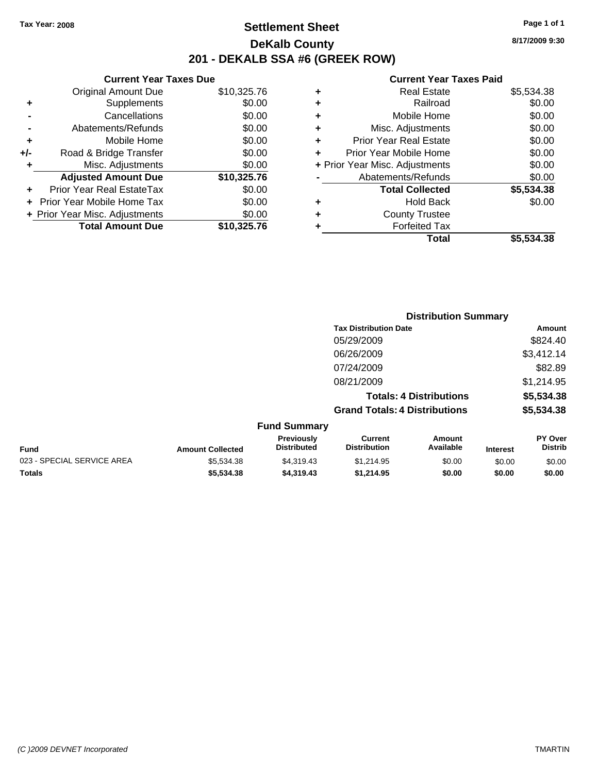Original Amount Due

**Adjusted Amount Due** 

**Total Amount Due** 

**+** Supplements **-** Cancellations **-** Abatements/Refunds **+** Mobile Home **+/-** Road & Bridge Transfer **+** Misc. Adjustments

**+** Prior Year Real EstateTax \$0.00 **+** Prior Year Mobile Home Tax **+ Prior Year Misc. Adjustments** 

## **Settlement Sheet Tax Year: 2008 Page 1 of 1 DeKalb County 201 - DEKALB SSA #6 (GREEK ROW)**

**8/17/2009 9:30**

\$5,534.38

### **Current Year Taxes Paid**

| <b>Current Year Taxes Due</b><br><b>Current Year Taxes Paid</b> |             |   |                                |            |
|-----------------------------------------------------------------|-------------|---|--------------------------------|------------|
| ıl Amount Due                                                   | \$10,325.76 | ٠ | <b>Real Estate</b>             | \$5,534.38 |
| Supplements                                                     | \$0.00      | ٠ | Railroad                       | \$0.00     |
| Cancellations                                                   | \$0.00      | ٠ | Mobile Home                    | \$0.00     |
| าents/Refunds                                                   | \$0.00      | ٠ | Misc. Adjustments              | \$0.00     |
| Mobile Home                                                     | \$0.00      | ٠ | <b>Prior Year Real Estate</b>  | \$0.00     |
| ridge Transfer                                                  | \$0.00      | ٠ | Prior Year Mobile Home         | \$0.00     |
| :. Adjustments                                                  | \$0.00      |   | + Prior Year Misc. Adjustments | \$0.00     |
| <b>Amount Due</b>                                               | \$10,325.76 |   | Abatements/Refunds             | \$0.00     |
| eal EstateTax                                                   | \$0.00      |   | <b>Total Collected</b>         | \$5,534.38 |
| pile Home Tax                                                   | \$0.00      | ٠ | <b>Hold Back</b>               | \$0.00     |
| . Adjustments                                                   | \$0.00      | ÷ | <b>County Trustee</b>          |            |
| <b>Amount Due</b>                                               | \$10,325.76 |   | <b>Forfeited Tax</b>           |            |
|                                                                 |             |   | Total                          | \$5,534,38 |

|                            |                         |                                  | <b>Distribution Summary</b>           |                                |                 |                                  |
|----------------------------|-------------------------|----------------------------------|---------------------------------------|--------------------------------|-----------------|----------------------------------|
|                            |                         |                                  | <b>Tax Distribution Date</b>          |                                |                 | Amount                           |
|                            |                         |                                  | 05/29/2009                            |                                |                 | \$824.40                         |
|                            |                         |                                  | 06/26/2009                            |                                |                 | \$3,412.14                       |
|                            |                         |                                  | 07/24/2009                            |                                |                 | \$82.89                          |
|                            |                         |                                  | 08/21/2009                            |                                |                 | \$1,214.95                       |
|                            |                         |                                  |                                       | <b>Totals: 4 Distributions</b> |                 | \$5,534.38                       |
|                            |                         |                                  | <b>Grand Totals: 4 Distributions</b>  |                                |                 | \$5,534.38                       |
|                            |                         | <b>Fund Summary</b>              |                                       |                                |                 |                                  |
| Fund                       | <b>Amount Collected</b> | Previously<br><b>Distributed</b> | <b>Current</b><br><b>Distribution</b> | <b>Amount</b><br>Available     | <b>Interest</b> | <b>PY Over</b><br><b>Distrib</b> |
| 023 - SPECIAL SERVICE AREA | \$5,534.38              | \$4,319.43                       | \$1,214.95                            | \$0.00                         | \$0.00          | \$0.00                           |
| Totals                     | \$5,534.38              | \$4,319.43                       | \$1,214.95                            | \$0.00                         | \$0.00          | \$0.00                           |

### *(C )2009 DEVNET Incorporated* TMARTIN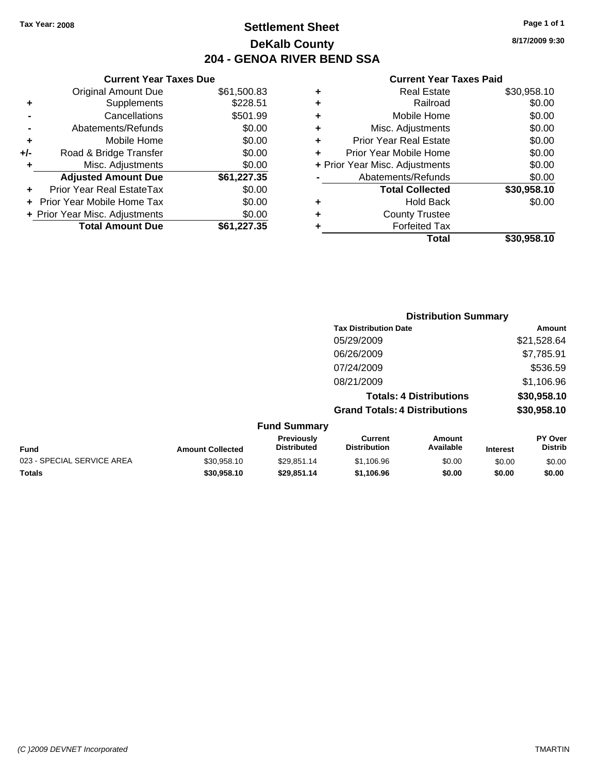## **Settlement Sheet Tax Year: 2008 Page 1 of 1 DeKalb County 204 - GENOA RIVER BEND SSA**

### **Current Year Taxes Due**

|     | <b>Original Amount Due</b>        | \$61,500.83 |
|-----|-----------------------------------|-------------|
|     | Supplements                       | \$228.51    |
|     | Cancellations                     | \$501.99    |
|     | Abatements/Refunds                | \$0.00      |
| ÷   | Mobile Home                       | \$0.00      |
| +/- | Road & Bridge Transfer            | \$0.00      |
| ٠   | Misc. Adjustments                 | \$0.00      |
|     | <b>Adjusted Amount Due</b>        | \$61,227.35 |
|     | <b>Prior Year Real EstateTax</b>  | \$0.00      |
|     | <b>Prior Year Mobile Home Tax</b> | \$0.00      |
|     | + Prior Year Misc. Adjustments    | \$0.00      |
|     | <b>Total Amount Due</b>           | \$61,227.35 |

### **Current Year Taxes Paid**

| ٠ | <b>Real Estate</b>             | \$30,958.10 |
|---|--------------------------------|-------------|
| ٠ | Railroad                       | \$0.00      |
| ٠ | Mobile Home                    | \$0.00      |
| ٠ | Misc. Adjustments              | \$0.00      |
| ٠ | <b>Prior Year Real Estate</b>  | \$0.00      |
| ٠ | Prior Year Mobile Home         | \$0.00      |
|   | + Prior Year Misc. Adjustments | \$0.00      |
|   | Abatements/Refunds             | \$0.00      |
|   | <b>Total Collected</b>         | \$30,958.10 |
| ٠ | Hold Back                      | \$0.00      |
| ٠ | <b>County Trustee</b>          |             |
| ٠ | <b>Forfeited Tax</b>           |             |
|   | Total                          | \$30,958.10 |
|   |                                |             |

### **Distribution Summary Tax Distribution Date Amount** 05/29/2009 \$21,528.64 06/26/2009 \$7,785.91 07/24/2009 \$536.59 08/21/2009 \$1,106.96 **Totals: 4 Distributions \$30,958.10 Grand Totals: 4 Distributions \$30,958.10 Fund Summary PY Over Amount Current Previously**

| Fund                       | <b>Amount Collected</b> | <b>Previously</b><br><b>Distributed</b> | ∪urrent<br><b>Distribution</b> | Amount<br>Available | Interest | PΥ<br>Over<br>Distrib |
|----------------------------|-------------------------|-----------------------------------------|--------------------------------|---------------------|----------|-----------------------|
| 023 - SPECIAL SERVICE AREA | \$30.958.10             | \$29.851.14                             | \$1.106.96                     | \$0.00              | \$0.00   | \$0.00                |
| Totals                     | \$30.958.10             | \$29.851.14                             | \$1.106.96                     | \$0.00              | \$0.00   | \$0.00                |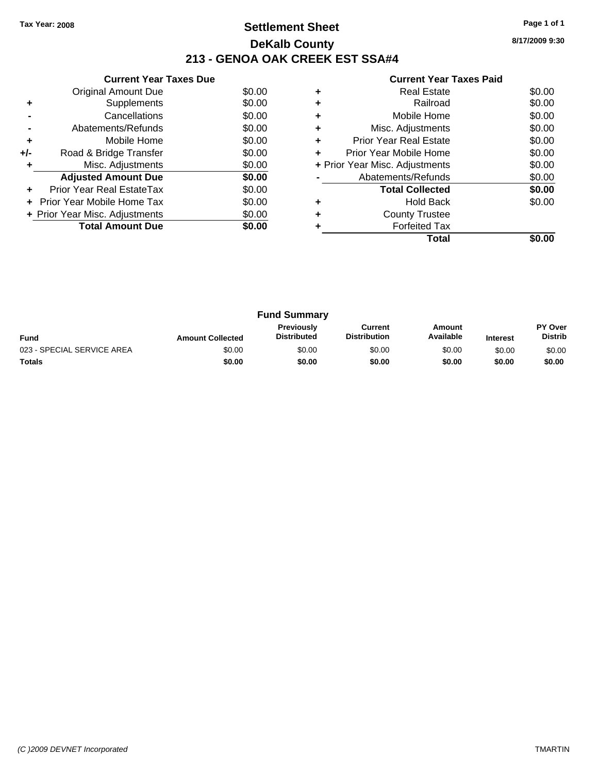## **Settlement Sheet Tax Year: 2008 Page 1 of 1 DeKalb County 213 - GENOA OAK CREEK EST SSA#4**

**8/17/2009 9:30**

|     | <b>Current Year Taxes Due</b>  |        |
|-----|--------------------------------|--------|
|     | Original Amount Due            | \$0.00 |
| ٠   | Supplements                    | \$0.00 |
|     | Cancellations                  | \$0.00 |
|     | Abatements/Refunds             | \$0.00 |
| ٠   | Mobile Home                    | \$0.00 |
| +/- | Road & Bridge Transfer         | \$0.00 |
| ٠   | Misc. Adjustments              | \$0.00 |
|     | <b>Adjusted Amount Due</b>     | \$0.00 |
|     | Prior Year Real EstateTax      | \$0.00 |
|     | Prior Year Mobile Home Tax     | \$0.00 |
|     | + Prior Year Misc. Adjustments | \$0.00 |
|     | <b>Total Amount Due</b>        | \$0.00 |
|     |                                |        |

| ٠ | <b>Real Estate</b>             | \$0.00 |
|---|--------------------------------|--------|
| ٠ | Railroad                       | \$0.00 |
| ٠ | Mobile Home                    | \$0.00 |
| ٠ | Misc. Adjustments              | \$0.00 |
| ٠ | <b>Prior Year Real Estate</b>  | \$0.00 |
| ÷ | Prior Year Mobile Home         | \$0.00 |
|   | + Prior Year Misc. Adjustments | \$0.00 |
|   | Abatements/Refunds             | \$0.00 |
|   | <b>Total Collected</b>         | \$0.00 |
| ٠ | <b>Hold Back</b>               | \$0.00 |
| ÷ | <b>County Trustee</b>          |        |
|   | <b>Forfeited Tax</b>           |        |
|   | Total                          |        |

|                            |                         | <b>Fund Summary</b>                     |                                |                     |                 |                                  |
|----------------------------|-------------------------|-----------------------------------------|--------------------------------|---------------------|-----------------|----------------------------------|
| <b>Fund</b>                | <b>Amount Collected</b> | <b>Previously</b><br><b>Distributed</b> | Current<br><b>Distribution</b> | Amount<br>Available | <b>Interest</b> | <b>PY Over</b><br><b>Distrib</b> |
| 023 - SPECIAL SERVICE AREA | \$0.00                  | \$0.00                                  | \$0.00                         | \$0.00              | \$0.00          | \$0.00                           |
| Totals                     | \$0.00                  | \$0.00                                  | \$0.00                         | \$0.00              | \$0.00          | \$0.00                           |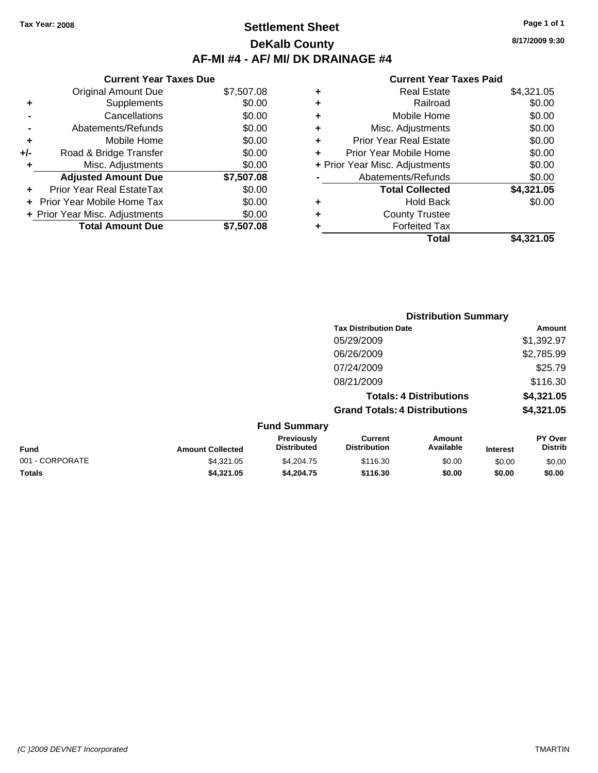## **Settlement Sheet Tax Year: 2008 Page 1 of 1 DeKalb County AF-MI #4 - AF/ MI/ DK DRAINAGE #4**

**8/17/2009 9:30**

|     | <b>Current Year Taxes Due</b>  |            |
|-----|--------------------------------|------------|
|     | <b>Original Amount Due</b>     | \$7,507.08 |
| ٠   | Supplements                    | \$0.00     |
|     | Cancellations                  | \$0.00     |
|     | Abatements/Refunds             | \$0.00     |
| ۰   | Mobile Home                    | \$0.00     |
| +/- | Road & Bridge Transfer         | \$0.00     |
| ٠   | Misc. Adjustments              | \$0.00     |
|     | <b>Adjusted Amount Due</b>     | \$7,507.08 |
| ٠   | Prior Year Real EstateTax      | \$0.00     |
|     | Prior Year Mobile Home Tax     | \$0.00     |
|     | + Prior Year Misc. Adjustments | \$0.00     |
|     | <b>Total Amount Due</b>        | \$7.507.08 |

| ٠ | <b>Real Estate</b>             | \$4,321.05 |
|---|--------------------------------|------------|
| ٠ | Railroad                       | \$0.00     |
| ٠ | Mobile Home                    | \$0.00     |
| ٠ | Misc. Adjustments              | \$0.00     |
| ÷ | <b>Prior Year Real Estate</b>  | \$0.00     |
| ٠ | Prior Year Mobile Home         | \$0.00     |
|   | + Prior Year Misc. Adjustments | \$0.00     |
|   | Abatements/Refunds             | \$0.00     |
|   | <b>Total Collected</b>         | \$4,321.05 |
| ٠ | <b>Hold Back</b>               | \$0.00     |
| ٠ | <b>County Trustee</b>          |            |
| ٠ | <b>Forfeited Tax</b>           |            |
|   | Total                          | \$4,321.05 |
|   |                                |            |

|                 |                         |                                  | <b>Distribution Summary</b>           |                                |                 |                                  |
|-----------------|-------------------------|----------------------------------|---------------------------------------|--------------------------------|-----------------|----------------------------------|
|                 |                         |                                  | <b>Tax Distribution Date</b>          |                                |                 | Amount                           |
|                 |                         |                                  | 05/29/2009                            |                                |                 | \$1,392.97                       |
|                 |                         |                                  | 06/26/2009                            |                                |                 | \$2,785.99                       |
|                 |                         |                                  | 07/24/2009                            |                                |                 | \$25.79                          |
|                 |                         |                                  | 08/21/2009                            |                                |                 | \$116.30                         |
|                 |                         |                                  |                                       | <b>Totals: 4 Distributions</b> |                 | \$4,321.05                       |
|                 |                         |                                  | <b>Grand Totals: 4 Distributions</b>  |                                |                 | \$4,321.05                       |
|                 |                         | <b>Fund Summary</b>              |                                       |                                |                 |                                  |
| Fund            | <b>Amount Collected</b> | Previously<br><b>Distributed</b> | <b>Current</b><br><b>Distribution</b> | Amount<br>Available            | <b>Interest</b> | <b>PY Over</b><br><b>Distrib</b> |
| 001 - CORPORATE | \$4,321.05              | \$4,204.75                       | \$116.30                              | \$0.00                         | \$0.00          | \$0.00                           |
| Totals          | \$4,321.05              | \$4,204.75                       | \$116.30                              | \$0.00                         | \$0.00          | \$0.00                           |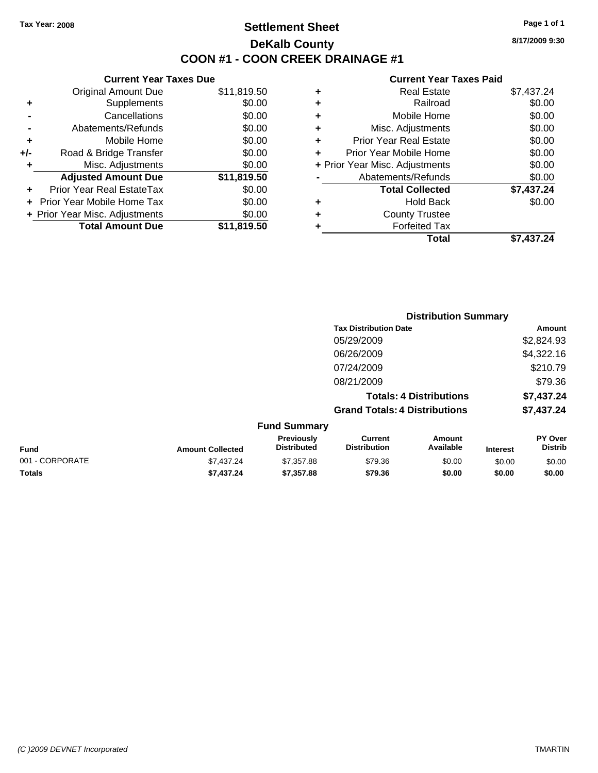# **Settlement Sheet Tax Year: 2008 Page 1 of 1 DeKalb County COON #1 - COON CREEK DRAINAGE #1**

**8/17/2009 9:30**

### **Current Year Taxes Paid**

|     | <b>Current Year Taxes Due</b>  |             |  |  |  |  |
|-----|--------------------------------|-------------|--|--|--|--|
|     | <b>Original Amount Due</b>     | \$11,819.50 |  |  |  |  |
| ÷   | Supplements                    | \$0.00      |  |  |  |  |
|     | Cancellations                  | \$0.00      |  |  |  |  |
|     | Abatements/Refunds             | \$0.00      |  |  |  |  |
| ٠   | Mobile Home                    | \$0.00      |  |  |  |  |
| +/- | Road & Bridge Transfer         | \$0.00      |  |  |  |  |
|     | Misc. Adjustments              | \$0.00      |  |  |  |  |
|     | <b>Adjusted Amount Due</b>     | \$11,819.50 |  |  |  |  |
| ÷   | Prior Year Real EstateTax      | \$0.00      |  |  |  |  |
|     | Prior Year Mobile Home Tax     | \$0.00      |  |  |  |  |
|     | + Prior Year Misc. Adjustments | \$0.00      |  |  |  |  |
|     | <b>Total Amount Due</b>        | \$11,819.50 |  |  |  |  |
|     |                                |             |  |  |  |  |

| ٠ | <b>Real Estate</b>             | \$7,437.24 |
|---|--------------------------------|------------|
| ٠ | Railroad                       | \$0.00     |
| ٠ | Mobile Home                    | \$0.00     |
| ٠ | Misc. Adjustments              | \$0.00     |
| ÷ | <b>Prior Year Real Estate</b>  | \$0.00     |
| ÷ | Prior Year Mobile Home         | \$0.00     |
|   | + Prior Year Misc. Adjustments | \$0.00     |
|   | Abatements/Refunds             | \$0.00     |
|   | <b>Total Collected</b>         | \$7,437.24 |
| ٠ | Hold Back                      | \$0.00     |
| ٠ | <b>County Trustee</b>          |            |
| ٠ | <b>Forfeited Tax</b>           |            |
|   | Total                          | \$7,437.24 |
|   |                                |            |

|                 |                         |                                  |                                       | <b>Distribution Summary</b>    |                 |                           |
|-----------------|-------------------------|----------------------------------|---------------------------------------|--------------------------------|-----------------|---------------------------|
|                 |                         |                                  | <b>Tax Distribution Date</b>          |                                |                 | Amount                    |
|                 |                         |                                  | 05/29/2009                            |                                |                 | \$2,824.93                |
|                 |                         |                                  | 06/26/2009                            |                                |                 | \$4,322.16                |
|                 |                         |                                  | 07/24/2009                            |                                |                 | \$210.79                  |
|                 |                         |                                  | 08/21/2009                            |                                |                 | \$79.36                   |
|                 |                         |                                  |                                       | <b>Totals: 4 Distributions</b> |                 | \$7,437.24                |
|                 |                         |                                  | <b>Grand Totals: 4 Distributions</b>  |                                |                 | \$7,437.24                |
|                 |                         | <b>Fund Summary</b>              |                                       |                                |                 |                           |
| <b>Fund</b>     | <b>Amount Collected</b> | Previously<br><b>Distributed</b> | <b>Current</b><br><b>Distribution</b> | Amount<br>Available            | <b>Interest</b> | PY Over<br><b>Distrib</b> |
| 001 - CORPORATE | \$7,437.24              | \$7,357.88                       | \$79.36                               | \$0.00                         | \$0.00          | \$0.00                    |

**Totals \$7,437.24 \$7,357.88 \$79.36 \$0.00 \$0.00 \$0.00**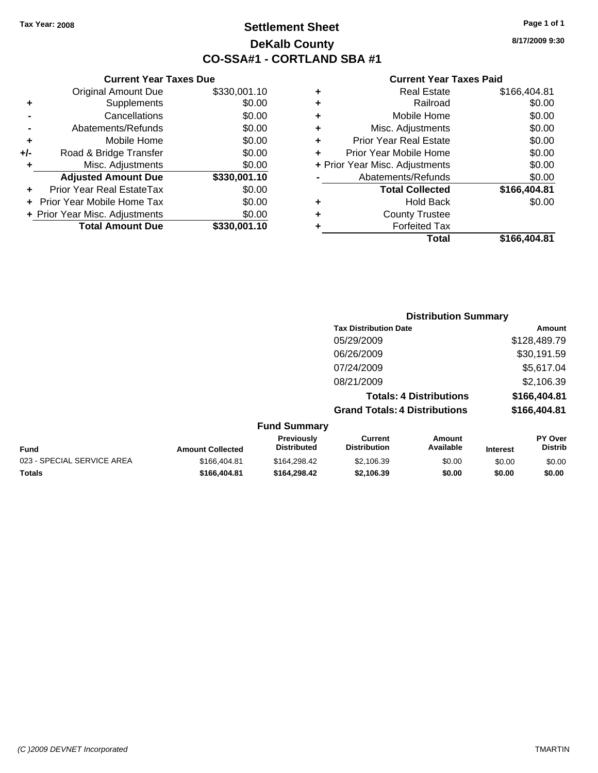**+** Supplements **-** Cancellations **-** Abatements/Refunds **+** Mobile Home **+/-** Road & Bridge Transfer **+** Misc. Adjustments

**+** Prior Year Real EstateTax **+** Prior Year Mobile Home Tax \$0.00 **+ Prior Year Misc. Adjustments** 

**Current Year Taxes Due**

# **Settlement Sheet Tax Year: 2008 Page 1 of 1 DeKalb County CO-SSA#1 - CORTLAND SBA #1**

**8/17/2009 9:30**

#### **Current Year Taxes Paid**

| \$330,001.10 | ٠                    | <b>Real Estate</b>            | \$166,404.81                                           |
|--------------|----------------------|-------------------------------|--------------------------------------------------------|
| \$0.00       | ٠                    | Railroad                      | \$0.00                                                 |
| \$0.00       | ٠                    | Mobile Home                   | \$0.00                                                 |
| \$0.00       | ٠                    | Misc. Adjustments             | \$0.00                                                 |
| \$0.00       | ÷                    | <b>Prior Year Real Estate</b> | \$0.00                                                 |
| \$0.00       | ÷                    | Prior Year Mobile Home        | \$0.00                                                 |
| \$0.00       |                      |                               | \$0.00                                                 |
| \$330,001.10 |                      | Abatements/Refunds            | \$0.00                                                 |
| \$0.00       |                      | <b>Total Collected</b>        | \$166,404.81                                           |
| \$0.00       | ٠                    | <b>Hold Back</b>              | \$0.00                                                 |
| \$0.00       | ٠                    | <b>County Trustee</b>         |                                                        |
| \$330,001.10 |                      | <b>Forfeited Tax</b>          |                                                        |
|              |                      | <b>Total</b>                  | \$166,404.81                                           |
|              | OGNOM TOGI TUACO DUC |                               | омпонстом талоо гана<br>+ Prior Year Misc. Adjustments |

#### **Distribution Summary Tax Distribution Date Amount** 05/29/2009 \$128,489.79 06/26/2009 \$30,191.59 07/24/2009 \$5,617.04 08/21/2009 \$2,106.39 **Totals: 4 Distributions \$166,404.81 Grand Totals: 4 Distributions \$166,404.81 Fund Summary Fund Interest Amount Collected Distributed PY Over Amount Available Current Distribution Previously** 023 - SPECIAL SERVICE AREA  $$166,404.81$   $$164,298.42$   $$2,106.39$   $$0.00$   $$0.00$   $$0.00$

**Totals \$166,404.81 \$164,298.42 \$2,106.39 \$0.00 \$0.00 \$0.00**

**Distrib**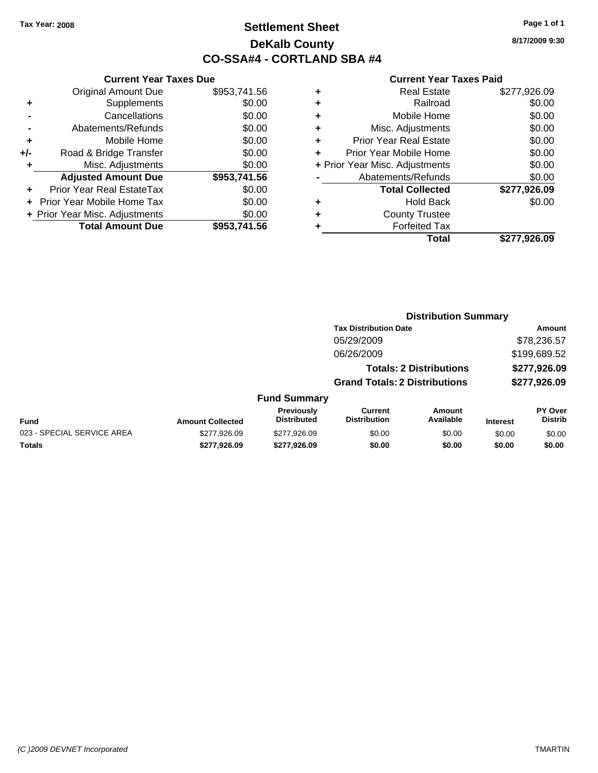# **Settlement Sheet Tax Year: 2008 Page 1 of 1 DeKalb County CO-SSA#4 - CORTLAND SBA #4**

**8/17/2009 9:30**

|     | <b>Current Year Taxes Due</b>  |              |  |
|-----|--------------------------------|--------------|--|
|     | <b>Original Amount Due</b>     | \$953,741.56 |  |
| ٠   | Supplements                    | \$0.00       |  |
|     | Cancellations                  | \$0.00       |  |
|     | Abatements/Refunds             | \$0.00       |  |
| ٠   | Mobile Home                    | \$0.00       |  |
| +/- | Road & Bridge Transfer         | \$0.00       |  |
| ٠   | Misc. Adjustments              | \$0.00       |  |
|     | <b>Adjusted Amount Due</b>     | \$953,741.56 |  |
| ٠   | Prior Year Real EstateTax      | \$0.00       |  |
|     | Prior Year Mobile Home Tax     | \$0.00       |  |
|     | + Prior Year Misc. Adjustments | \$0.00       |  |
|     | <b>Total Amount Due</b>        | \$953.741.56 |  |
|     |                                |              |  |

|   | <b>Real Estate</b>             | \$277,926.09 |
|---|--------------------------------|--------------|
| ٠ | Railroad                       | \$0.00       |
| ٠ | Mobile Home                    | \$0.00       |
| ٠ | Misc. Adjustments              | \$0.00       |
| ٠ | Prior Year Real Estate         | \$0.00       |
|   | Prior Year Mobile Home         | \$0.00       |
|   | + Prior Year Misc. Adjustments | \$0.00       |
|   | Abatements/Refunds             | \$0.00       |
|   | <b>Total Collected</b>         | \$277,926.09 |
| ٠ | <b>Hold Back</b>               | \$0.00       |
|   | <b>County Trustee</b>          |              |
| ٠ | <b>Forfeited Tax</b>           |              |
|   | Total                          | \$277,926.09 |
|   |                                |              |

|                            |                         |                                         | <b>Distribution Summary</b>           |                                |                 |                                  |
|----------------------------|-------------------------|-----------------------------------------|---------------------------------------|--------------------------------|-----------------|----------------------------------|
|                            |                         |                                         | <b>Tax Distribution Date</b>          |                                |                 | Amount                           |
|                            |                         |                                         | 05/29/2009                            |                                |                 | \$78,236.57                      |
|                            |                         |                                         | 06/26/2009                            |                                |                 | \$199,689.52                     |
|                            |                         |                                         |                                       | <b>Totals: 2 Distributions</b> |                 | \$277,926.09                     |
|                            |                         |                                         | <b>Grand Totals: 2 Distributions</b>  |                                |                 | \$277,926.09                     |
|                            |                         | <b>Fund Summary</b>                     |                                       |                                |                 |                                  |
| Fund                       | <b>Amount Collected</b> | <b>Previously</b><br><b>Distributed</b> | <b>Current</b><br><b>Distribution</b> | Amount<br>Available            | <b>Interest</b> | <b>PY Over</b><br><b>Distrib</b> |
| 023 - SPECIAL SERVICE AREA | \$277,926.09            | \$277.926.09                            | \$0.00                                | \$0.00                         | \$0.00          | \$0.00                           |
| Totals                     | \$277.926.09            | \$277.926.09                            | \$0.00                                | \$0.00                         | \$0.00          | \$0.00                           |
|                            |                         |                                         |                                       |                                |                 |                                  |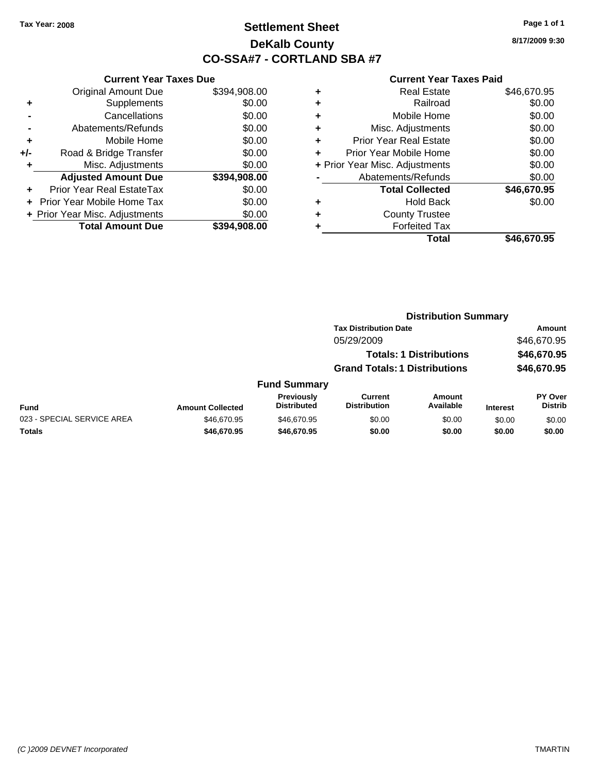# **Settlement Sheet Tax Year: 2008 Page 1 of 1 DeKalb County CO-SSA#7 - CORTLAND SBA #7**

**8/17/2009 9:30**

|       | <b>Current Year Taxes Due</b>  |              |  |  |  |
|-------|--------------------------------|--------------|--|--|--|
|       | <b>Original Amount Due</b>     | \$394,908.00 |  |  |  |
| ٠     | Supplements                    | \$0.00       |  |  |  |
|       | Cancellations                  | \$0.00       |  |  |  |
|       | Abatements/Refunds             | \$0.00       |  |  |  |
| ٠     | Mobile Home                    | \$0.00       |  |  |  |
| $+/-$ | Road & Bridge Transfer         | \$0.00       |  |  |  |
|       | Misc. Adjustments              | \$0.00       |  |  |  |
|       | <b>Adjusted Amount Due</b>     | \$394,908.00 |  |  |  |
| ÷     | Prior Year Real EstateTax      | \$0.00       |  |  |  |
|       | Prior Year Mobile Home Tax     | \$0.00       |  |  |  |
|       | + Prior Year Misc. Adjustments | \$0.00       |  |  |  |
|       | <b>Total Amount Due</b>        | \$394,908.00 |  |  |  |
|       |                                |              |  |  |  |

| ٠ | <b>Real Estate</b>             | \$46,670.95 |
|---|--------------------------------|-------------|
| ٠ | Railroad                       | \$0.00      |
| ٠ | Mobile Home                    | \$0.00      |
| ٠ | Misc. Adjustments              | \$0.00      |
| ٠ | <b>Prior Year Real Estate</b>  | \$0.00      |
| ٠ | Prior Year Mobile Home         | \$0.00      |
|   | + Prior Year Misc. Adjustments | \$0.00      |
|   | Abatements/Refunds             | \$0.00      |
|   | <b>Total Collected</b>         | \$46,670.95 |
| ٠ | <b>Hold Back</b>               | \$0.00      |
| ٠ | <b>County Trustee</b>          |             |
| ٠ | <b>Forfeited Tax</b>           |             |
|   | Total                          | \$46,670.95 |
|   |                                |             |

|                            |                         |                                         | <b>Distribution Summary</b>           |                                |                 |                           |
|----------------------------|-------------------------|-----------------------------------------|---------------------------------------|--------------------------------|-----------------|---------------------------|
|                            |                         |                                         | <b>Tax Distribution Date</b>          |                                |                 | <b>Amount</b>             |
|                            |                         |                                         | 05/29/2009                            |                                |                 | \$46,670.95               |
|                            |                         |                                         |                                       | <b>Totals: 1 Distributions</b> |                 | \$46,670.95               |
|                            |                         |                                         | <b>Grand Totals: 1 Distributions</b>  |                                |                 | \$46,670.95               |
|                            |                         | <b>Fund Summary</b>                     |                                       |                                |                 |                           |
| <b>Fund</b>                | <b>Amount Collected</b> | <b>Previously</b><br><b>Distributed</b> | <b>Current</b><br><b>Distribution</b> | Amount<br>Available            | <b>Interest</b> | PY Over<br><b>Distrib</b> |
| 023 - SPECIAL SERVICE AREA | \$46,670.95             | \$46,670.95                             | \$0.00                                | \$0.00                         | \$0.00          | \$0.00                    |
| Totals                     | \$46,670.95             | \$46,670.95                             | \$0.00                                | \$0.00                         | \$0.00          | \$0.00                    |
|                            |                         |                                         |                                       |                                |                 |                           |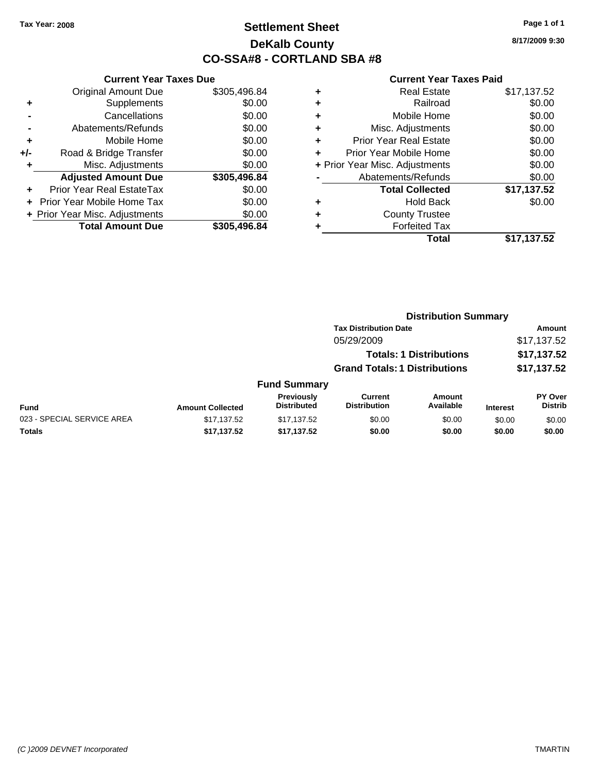# **Settlement Sheet Tax Year: 2008 Page 1 of 1 DeKalb County CO-SSA#8 - CORTLAND SBA #8**

**8/17/2009 9:30**

|     | <b>Current Year Taxes Due</b>  |              |  |  |  |  |
|-----|--------------------------------|--------------|--|--|--|--|
|     | <b>Original Amount Due</b>     | \$305,496.84 |  |  |  |  |
| ÷   | Supplements                    | \$0.00       |  |  |  |  |
|     | Cancellations                  | \$0.00       |  |  |  |  |
|     | Abatements/Refunds             | \$0.00       |  |  |  |  |
| ٠   | Mobile Home                    | \$0.00       |  |  |  |  |
| +/- | Road & Bridge Transfer         | \$0.00       |  |  |  |  |
|     | Misc. Adjustments              | \$0.00       |  |  |  |  |
|     | <b>Adjusted Amount Due</b>     | \$305,496.84 |  |  |  |  |
| ٠   | Prior Year Real EstateTax      | \$0.00       |  |  |  |  |
|     | Prior Year Mobile Home Tax     | \$0.00       |  |  |  |  |
|     | + Prior Year Misc. Adjustments | \$0.00       |  |  |  |  |
|     | <b>Total Amount Due</b>        | \$305,496.84 |  |  |  |  |
|     |                                |              |  |  |  |  |

| ٠ | <b>Real Estate</b>             | \$17,137.52 |
|---|--------------------------------|-------------|
| ٠ | Railroad                       | \$0.00      |
| ٠ | Mobile Home                    | \$0.00      |
| ٠ | Misc. Adjustments              | \$0.00      |
| ٠ | <b>Prior Year Real Estate</b>  | \$0.00      |
| ٠ | Prior Year Mobile Home         | \$0.00      |
|   | + Prior Year Misc. Adjustments | \$0.00      |
|   | Abatements/Refunds             | \$0.00      |
|   | <b>Total Collected</b>         | \$17,137.52 |
| ٠ | <b>Hold Back</b>               | \$0.00      |
| ٠ | <b>County Trustee</b>          |             |
| ٠ | <b>Forfeited Tax</b>           |             |
|   | Total                          | \$17,137.52 |
|   |                                |             |

|                            |                         |                                  | <b>Distribution Summary</b>           |                                |                 |                                  |  |
|----------------------------|-------------------------|----------------------------------|---------------------------------------|--------------------------------|-----------------|----------------------------------|--|
|                            |                         |                                  | <b>Tax Distribution Date</b>          |                                |                 | Amount                           |  |
|                            |                         |                                  | 05/29/2009                            |                                |                 | \$17,137.52                      |  |
|                            |                         |                                  |                                       | <b>Totals: 1 Distributions</b> |                 | \$17,137.52                      |  |
|                            |                         |                                  | <b>Grand Totals: 1 Distributions</b>  |                                |                 | \$17,137.52                      |  |
|                            |                         | <b>Fund Summary</b>              |                                       |                                |                 |                                  |  |
| Fund                       | <b>Amount Collected</b> | Previously<br><b>Distributed</b> | <b>Current</b><br><b>Distribution</b> | <b>Amount</b><br>Available     | <b>Interest</b> | <b>PY Over</b><br><b>Distrib</b> |  |
| 023 - SPECIAL SERVICE AREA | \$17,137.52             | \$17,137.52                      | \$0.00                                | \$0.00                         | \$0.00          | \$0.00                           |  |
| Totals                     | \$17,137.52             | \$17,137.52                      | \$0.00                                | \$0.00                         | \$0.00          | \$0.00                           |  |
|                            |                         |                                  |                                       |                                |                 |                                  |  |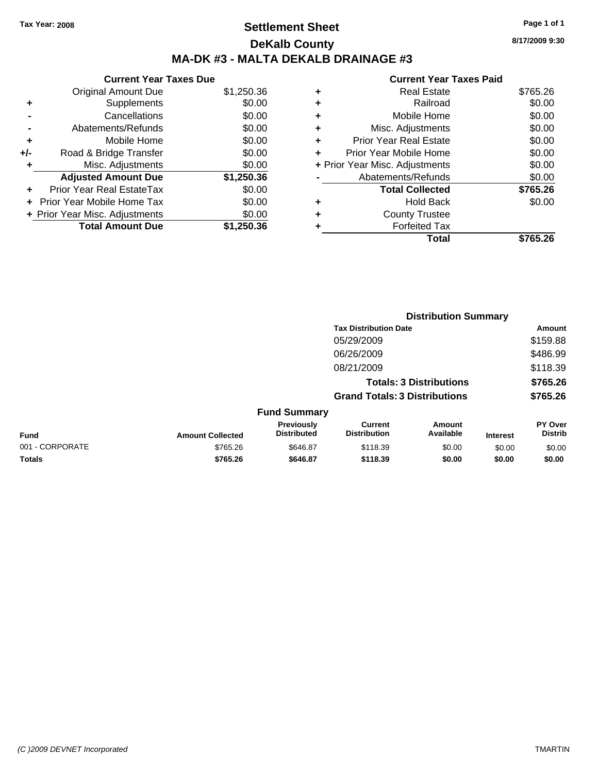# **Settlement Sheet Tax Year: 2008 Page 1 of 1 DeKalb County MA-DK #3 - MALTA DEKALB DRAINAGE #3**

**8/17/2009 9:30**

| \$1,250.36 |
|------------|
| \$0.00     |
| \$0.00     |
| \$0.00     |
| \$0.00     |
| \$0.00     |
| \$0.00     |
| \$1,250.36 |
| \$0.00     |
| \$0.00     |
| \$0.00     |
| \$1,250.36 |
|            |

| <b>Real Estate</b>             | \$765.26 |
|--------------------------------|----------|
| Railroad                       | \$0.00   |
| Mobile Home                    | \$0.00   |
| Misc. Adjustments              | \$0.00   |
| <b>Prior Year Real Estate</b>  | \$0.00   |
| Prior Year Mobile Home         | \$0.00   |
| + Prior Year Misc. Adjustments | \$0.00   |
| Abatements/Refunds             | \$0.00   |
| <b>Total Collected</b>         | \$765.26 |
| Hold Back                      | \$0.00   |
| <b>County Trustee</b>          |          |
| <b>Forfeited Tax</b>           |          |
| Total                          | \$765.26 |
|                                |          |

|                 |                         |                                  |                                       | <b>Distribution Summary</b>    |                 |                                  |
|-----------------|-------------------------|----------------------------------|---------------------------------------|--------------------------------|-----------------|----------------------------------|
|                 |                         |                                  | <b>Tax Distribution Date</b>          |                                |                 | Amount                           |
|                 |                         |                                  | 05/29/2009                            |                                |                 | \$159.88                         |
|                 |                         |                                  | 06/26/2009                            |                                |                 | \$486.99                         |
|                 |                         |                                  | 08/21/2009                            |                                |                 | \$118.39                         |
|                 |                         |                                  |                                       | <b>Totals: 3 Distributions</b> |                 | \$765.26                         |
|                 |                         |                                  | <b>Grand Totals: 3 Distributions</b>  |                                |                 | \$765.26                         |
|                 |                         | <b>Fund Summary</b>              |                                       |                                |                 |                                  |
| Fund            | <b>Amount Collected</b> | Previously<br><b>Distributed</b> | <b>Current</b><br><b>Distribution</b> | Amount<br>Available            | <b>Interest</b> | <b>PY Over</b><br><b>Distrib</b> |
| 001 - CORPORATE | \$765.26                | \$646.87                         | \$118.39                              | \$0.00                         | \$0.00          | \$0.00                           |
| Totals          | \$765.26                | \$646.87                         | \$118.39                              | \$0.00                         | \$0.00          | \$0.00                           |
|                 |                         |                                  |                                       |                                |                 |                                  |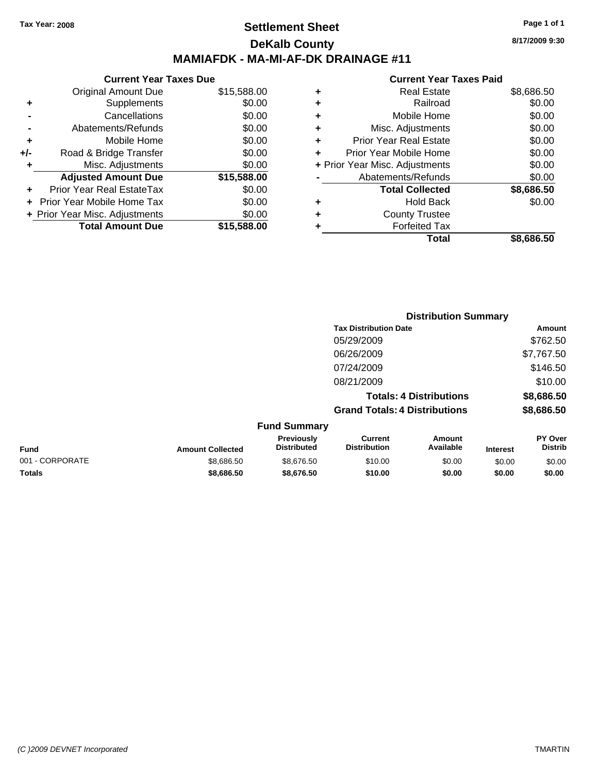## **Settlement Sheet Tax Year: 2008 Page 1 of 1 DeKalb County MAMIAFDK - MA-MI-AF-DK DRAINAGE #11**

### **Current Year Taxes Due** Original Amount Due \$15,588.00 **+** Supplements \$0.00 **-** Cancellations \$0.00 **-** Abatements/Refunds \$0.00 **+** Mobile Home \$0.00 **+/-** Road & Bridge Transfer \$0.00 **+** Misc. Adjustments \$0.00 **Adjusted Amount Due \$15,588.00 +** Prior Year Real EstateTax \$0.00 **+** Prior Year Mobile Home Tax \$0.00 **+ Prior Year Misc. Adjustments**  $$0.00$ **Total Amount Due \$15,588.00**

#### **Current Year Taxes Paid**

|   | <b>Real Estate</b>             | \$8,686.50 |
|---|--------------------------------|------------|
| ٠ | Railroad                       | \$0.00     |
| ٠ | Mobile Home                    | \$0.00     |
| ٠ | Misc. Adjustments              | \$0.00     |
| ٠ | <b>Prior Year Real Estate</b>  | \$0.00     |
| ÷ | Prior Year Mobile Home         | \$0.00     |
|   | + Prior Year Misc. Adjustments | \$0.00     |
|   | Abatements/Refunds             | \$0.00     |
|   | <b>Total Collected</b>         | \$8,686.50 |
| ٠ | <b>Hold Back</b>               | \$0.00     |
| ٠ | <b>County Trustee</b>          |            |
| ٠ | <b>Forfeited Tax</b>           |            |
|   | Total                          | \$8,686.50 |
|   |                                |            |

|                 |                         |                                  | <b>Distribution Summary</b>           |                                |                 |                                  |
|-----------------|-------------------------|----------------------------------|---------------------------------------|--------------------------------|-----------------|----------------------------------|
|                 |                         |                                  | <b>Tax Distribution Date</b>          |                                |                 | Amount                           |
|                 |                         |                                  | 05/29/2009                            |                                |                 | \$762.50                         |
|                 |                         |                                  | 06/26/2009                            |                                |                 | \$7,767.50                       |
|                 |                         |                                  | 07/24/2009                            |                                |                 | \$146.50                         |
|                 |                         |                                  | 08/21/2009                            |                                |                 | \$10.00                          |
|                 |                         |                                  |                                       | <b>Totals: 4 Distributions</b> |                 | \$8,686.50                       |
|                 |                         |                                  | <b>Grand Totals: 4 Distributions</b>  |                                |                 | \$8,686.50                       |
|                 |                         | <b>Fund Summary</b>              |                                       |                                |                 |                                  |
| Fund            | <b>Amount Collected</b> | Previously<br><b>Distributed</b> | <b>Current</b><br><b>Distribution</b> | <b>Amount</b><br>Available     | <b>Interest</b> | <b>PY Over</b><br><b>Distrib</b> |
| 001 - CORPORATE | \$8,686.50              | \$8,676.50                       | \$10.00                               | \$0.00                         | \$0.00          | \$0.00                           |
| Totals          | \$8,686.50              | \$8,676.50                       | \$10.00                               | \$0.00                         | \$0.00          | \$0.00                           |

**8/17/2009 9:30**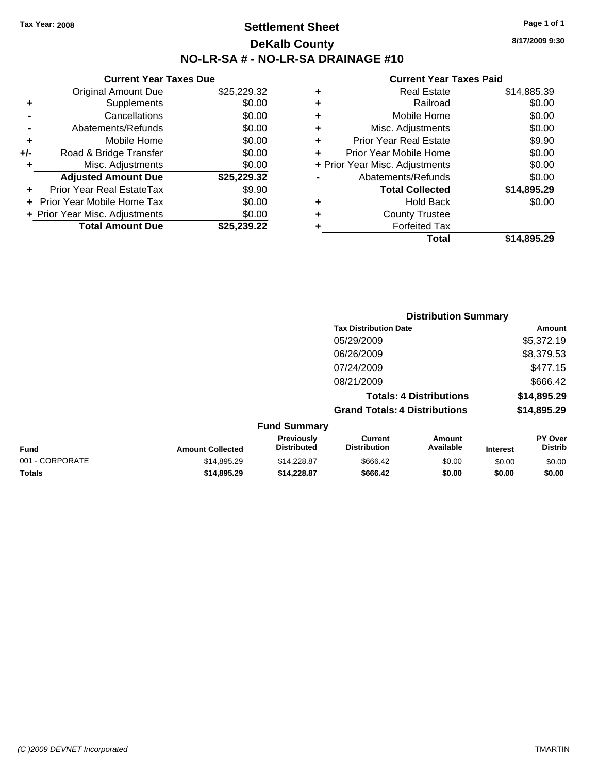## **Settlement Sheet Tax Year: 2008 Page 1 of 1 DeKalb County NO-LR-SA # - NO-LR-SA DRAINAGE #10**

**8/17/2009 9:30**

|   | Total                          | \$14.895.29 |
|---|--------------------------------|-------------|
|   | <b>Forfeited Tax</b>           |             |
| ٠ | <b>County Trustee</b>          |             |
| ٠ | <b>Hold Back</b>               | \$0.00      |
|   | <b>Total Collected</b>         | \$14,895.29 |
|   | Abatements/Refunds             | \$0.00      |
|   | + Prior Year Misc. Adjustments | \$0.00      |
| ÷ | Prior Year Mobile Home         | \$0.00      |
| ٠ | <b>Prior Year Real Estate</b>  | \$9.90      |
| ٠ | Misc. Adjustments              | \$0.00      |
| ٠ | Mobile Home                    | \$0.00      |
| ÷ | Railroad                       | \$0.00      |
| ٠ | <b>Real Estate</b>             | \$14,885.39 |
|   |                                |             |

|     | <b>Current Year Taxes Due</b>  |             |
|-----|--------------------------------|-------------|
|     | <b>Original Amount Due</b>     | \$25,229.32 |
| ٠   | Supplements                    | \$0.00      |
|     | Cancellations                  | \$0.00      |
|     | Abatements/Refunds             | \$0.00      |
| ٠   | Mobile Home                    | \$0.00      |
| +/- | Road & Bridge Transfer         | \$0.00      |
| ٠   | Misc. Adjustments              | \$0.00      |
|     | <b>Adjusted Amount Due</b>     | \$25,229.32 |
|     | Prior Year Real EstateTax      | \$9.90      |
|     | Prior Year Mobile Home Tax     | \$0.00      |
|     | + Prior Year Misc. Adjustments | \$0.00      |
|     | <b>Total Amount Due</b>        | \$25,239.22 |
|     |                                |             |

|                     | <b>Distribution Summary</b>          |             |
|---------------------|--------------------------------------|-------------|
|                     | <b>Tax Distribution Date</b>         | Amount      |
|                     | 05/29/2009                           | \$5,372.19  |
|                     | 06/26/2009                           | \$8,379.53  |
|                     | 07/24/2009                           | \$477.15    |
|                     | 08/21/2009                           | \$666.42    |
|                     | <b>Totals: 4 Distributions</b>       | \$14,895.29 |
|                     | <b>Grand Totals: 4 Distributions</b> | \$14,895.29 |
| <b>Fund Summary</b> |                                      |             |

| Fund            | <b>Amount Collected</b> | <b>Previously</b><br><b>Distributed</b> | Current<br><b>Distribution</b> | Amount<br>Available | <b>Interest</b> | <b>PY Over</b><br><b>Distrib</b> |
|-----------------|-------------------------|-----------------------------------------|--------------------------------|---------------------|-----------------|----------------------------------|
| 001 - CORPORATE | \$14.895.29             | \$14,228.87                             | \$666.42                       | \$0.00              | \$0.00          | \$0.00                           |
| <b>Totals</b>   | \$14,895.29             | \$14,228,87                             | \$666.42                       | \$0.00              | \$0.00          | \$0.00                           |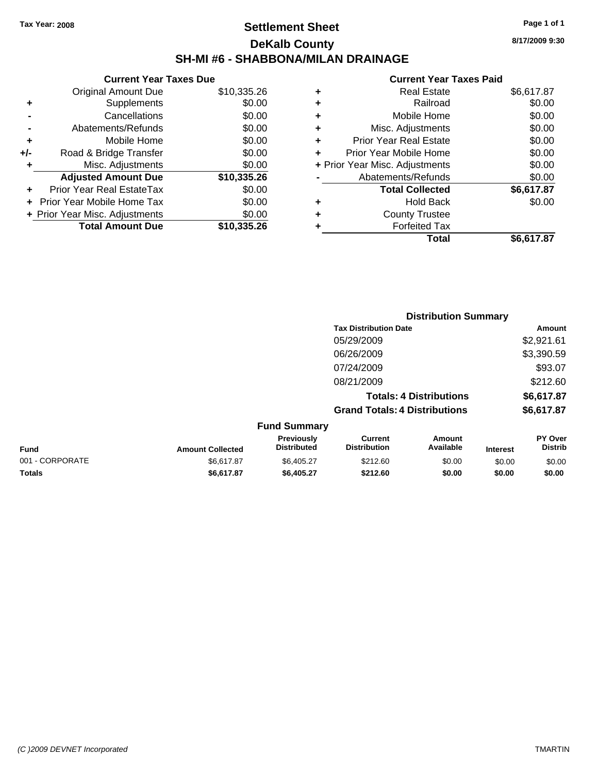## **Settlement Sheet Tax Year: 2008 Page 1 of 1 DeKalb County SH-MI #6 - SHABBONA/MILAN DRAINAGE**

**8/17/2009 9:30**

| <b>Current Year Taxes Due</b>     |                                |  |  |  |  |  |
|-----------------------------------|--------------------------------|--|--|--|--|--|
| <b>Original Amount Due</b>        | \$10,335.26                    |  |  |  |  |  |
| Supplements                       | \$0.00                         |  |  |  |  |  |
| Cancellations                     | \$0.00                         |  |  |  |  |  |
| Abatements/Refunds                | \$0.00                         |  |  |  |  |  |
| Mobile Home                       | \$0.00                         |  |  |  |  |  |
| Road & Bridge Transfer            | \$0.00                         |  |  |  |  |  |
| Misc. Adjustments                 | \$0.00                         |  |  |  |  |  |
| <b>Adjusted Amount Due</b>        | \$10,335.26                    |  |  |  |  |  |
| Prior Year Real EstateTax         | \$0.00                         |  |  |  |  |  |
| <b>Prior Year Mobile Home Tax</b> | \$0.00                         |  |  |  |  |  |
|                                   | \$0.00                         |  |  |  |  |  |
| <b>Total Amount Due</b>           | \$10,335,26                    |  |  |  |  |  |
|                                   | + Prior Year Misc. Adjustments |  |  |  |  |  |

|   | Total                          | \$6,617.87 |
|---|--------------------------------|------------|
|   | <b>Forfeited Tax</b>           |            |
| ٠ | <b>County Trustee</b>          |            |
| ٠ | <b>Hold Back</b>               | \$0.00     |
|   | <b>Total Collected</b>         | \$6,617.87 |
|   | Abatements/Refunds             | \$0.00     |
|   | + Prior Year Misc. Adjustments | \$0.00     |
| ٠ | Prior Year Mobile Home         | \$0.00     |
| ÷ | <b>Prior Year Real Estate</b>  | \$0.00     |
| ٠ | Misc. Adjustments              | \$0.00     |
| ÷ | Mobile Home                    | \$0.00     |
| ÷ | Railroad                       | \$0.00     |
| ٠ | <b>Real Estate</b>             | \$6,617.87 |
|   |                                |            |

|                 |                         |                                  | <b>Distribution Summary</b>          |                                |                 |                           |
|-----------------|-------------------------|----------------------------------|--------------------------------------|--------------------------------|-----------------|---------------------------|
|                 |                         |                                  | <b>Tax Distribution Date</b>         |                                |                 | Amount                    |
|                 |                         |                                  | 05/29/2009                           |                                |                 | \$2,921.61                |
|                 |                         |                                  | 06/26/2009                           |                                |                 | \$3,390.59                |
|                 |                         |                                  | 07/24/2009                           |                                |                 | \$93.07                   |
|                 |                         |                                  | 08/21/2009                           |                                |                 | \$212.60                  |
|                 |                         |                                  |                                      | <b>Totals: 4 Distributions</b> |                 | \$6,617.87                |
|                 |                         |                                  | <b>Grand Totals: 4 Distributions</b> |                                |                 | \$6,617.87                |
|                 |                         | <b>Fund Summary</b>              |                                      |                                |                 |                           |
| <b>Fund</b>     | <b>Amount Collected</b> | Previously<br><b>Distributed</b> | Current<br><b>Distribution</b>       | Amount<br>Available            | <b>Interest</b> | PY Over<br><b>Distrib</b> |
| 001 - CORPORATE | \$6,617.87              | \$6,405.27                       | \$212.60                             | \$0.00                         | \$0.00          | \$0.00                    |
| Totals          | \$6,617.87              | \$6,405.27                       | \$212.60                             | \$0.00                         | \$0.00          | \$0.00                    |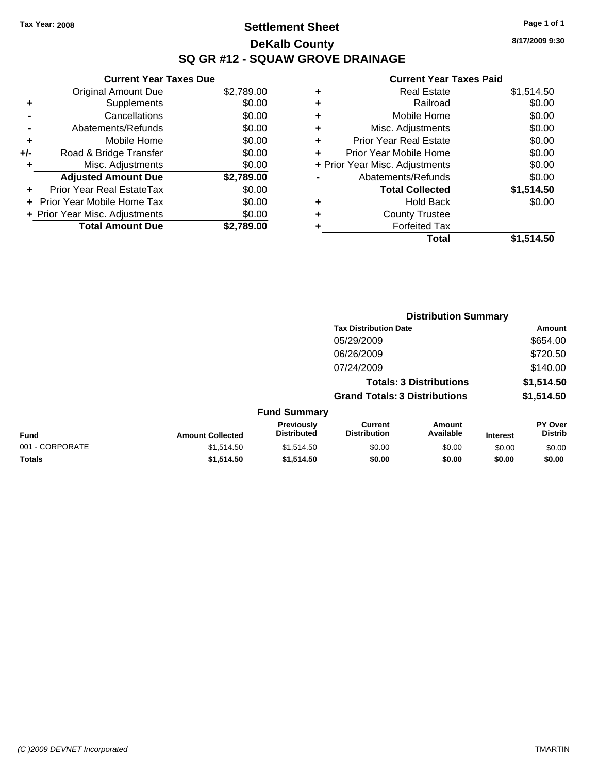# **Settlement Sheet Tax Year: 2008 Page 1 of 1 DeKalb County SQ GR #12 - SQUAW GROVE DRAINAGE**

**8/17/2009 9:30**

|     | <b>Current Year Taxes Due</b>     |            |
|-----|-----------------------------------|------------|
|     | <b>Original Amount Due</b>        | \$2,789.00 |
| ÷   | Supplements                       | \$0.00     |
|     | Cancellations                     | \$0.00     |
|     | Abatements/Refunds                | \$0.00     |
| ٠   | Mobile Home                       | \$0.00     |
| +/- | Road & Bridge Transfer            | \$0.00     |
| ٠   | Misc. Adjustments                 | \$0.00     |
|     | <b>Adjusted Amount Due</b>        | \$2,789.00 |
| ÷   | Prior Year Real EstateTax         | \$0.00     |
|     | <b>Prior Year Mobile Home Tax</b> | \$0.00     |
|     | + Prior Year Misc. Adjustments    | \$0.00     |
|     | <b>Total Amount Due</b>           | \$2.789.00 |

| ٠ | <b>Real Estate</b>             | \$1,514.50 |
|---|--------------------------------|------------|
| ٠ | Railroad                       | \$0.00     |
| ٠ | Mobile Home                    | \$0.00     |
| ٠ | Misc. Adjustments              | \$0.00     |
| ٠ | <b>Prior Year Real Estate</b>  | \$0.00     |
| ٠ | Prior Year Mobile Home         | \$0.00     |
|   | + Prior Year Misc. Adjustments | \$0.00     |
|   | Abatements/Refunds             | \$0.00     |
|   | <b>Total Collected</b>         | \$1,514.50 |
| ٠ | Hold Back                      | \$0.00     |
| ٠ | <b>County Trustee</b>          |            |
|   | <b>Forfeited Tax</b>           |            |
|   | Total                          | \$1,514.50 |

|                 |                         |                                  |                                       | <b>Distribution Summary</b>    |                 |                           |
|-----------------|-------------------------|----------------------------------|---------------------------------------|--------------------------------|-----------------|---------------------------|
|                 |                         |                                  | <b>Tax Distribution Date</b>          |                                |                 | Amount                    |
|                 |                         |                                  | 05/29/2009                            |                                |                 | \$654.00                  |
|                 |                         |                                  | 06/26/2009                            |                                |                 | \$720.50                  |
|                 |                         |                                  | 07/24/2009                            |                                |                 | \$140.00                  |
|                 |                         |                                  |                                       | <b>Totals: 3 Distributions</b> |                 | \$1,514.50                |
|                 |                         |                                  | <b>Grand Totals: 3 Distributions</b>  |                                |                 | \$1,514.50                |
|                 |                         | <b>Fund Summary</b>              |                                       |                                |                 |                           |
| Fund            | <b>Amount Collected</b> | Previously<br><b>Distributed</b> | <b>Current</b><br><b>Distribution</b> | Amount<br>Available            | <b>Interest</b> | PY Over<br><b>Distrib</b> |
| 001 - CORPORATE | \$1,514.50              | \$1,514.50                       | \$0.00                                | \$0.00                         | \$0.00          | \$0.00                    |
| Totals          | \$1,514.50              | \$1,514.50                       | \$0.00                                | \$0.00                         | \$0.00          | \$0.00                    |
|                 |                         |                                  |                                       |                                |                 |                           |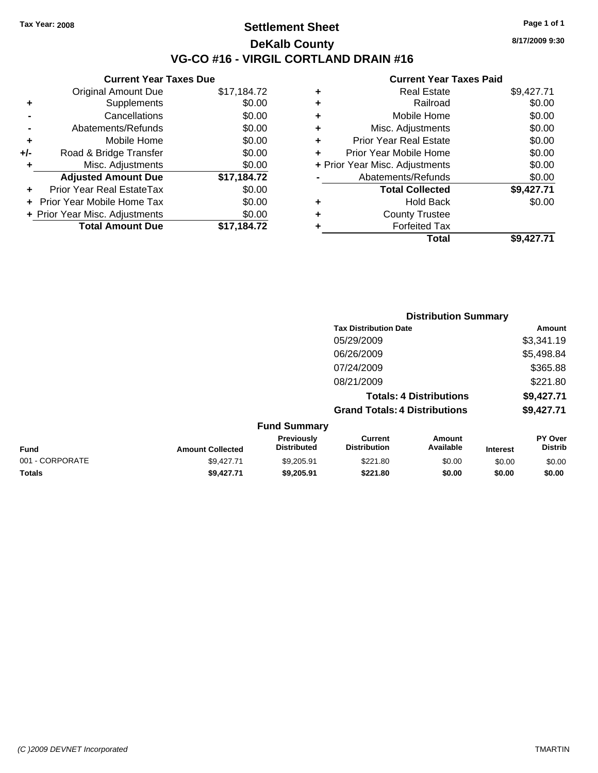## **Settlement Sheet Tax Year: 2008 Page 1 of 1 DeKalb County VG-CO #16 - VIRGIL CORTLAND DRAIN #16**

**8/17/2009 9:30**

| <b>Current Year Taxes Due</b>     |                                |
|-----------------------------------|--------------------------------|
| <b>Original Amount Due</b>        | \$17,184.72                    |
| Supplements                       | \$0.00                         |
| Cancellations                     | \$0.00                         |
| Abatements/Refunds                | \$0.00                         |
| Mobile Home                       | \$0.00                         |
| Road & Bridge Transfer            | \$0.00                         |
| Misc. Adjustments                 | \$0.00                         |
| <b>Adjusted Amount Due</b>        | \$17,184.72                    |
| Prior Year Real EstateTax         | \$0.00                         |
| <b>Prior Year Mobile Home Tax</b> | \$0.00                         |
|                                   | \$0.00                         |
| <b>Total Amount Due</b>           | \$17.184.72                    |
|                                   | + Prior Year Misc. Adjustments |

|   | <b>Real Estate</b>             | \$9,427.71 |
|---|--------------------------------|------------|
| ٠ | Railroad                       | \$0.00     |
| ٠ | Mobile Home                    | \$0.00     |
| ٠ | Misc. Adjustments              | \$0.00     |
| ÷ | <b>Prior Year Real Estate</b>  | \$0.00     |
|   | Prior Year Mobile Home         | \$0.00     |
|   | + Prior Year Misc. Adjustments | \$0.00     |
|   | Abatements/Refunds             | \$0.00     |
|   | <b>Total Collected</b>         | \$9,427.71 |
| ٠ | Hold Back                      | \$0.00     |
| ٠ | <b>County Trustee</b>          |            |
| ٠ | <b>Forfeited Tax</b>           |            |
|   | Total                          | \$9,427.71 |
|   |                                |            |

|                         |                                  |                                      | <b>Distribution Summary</b>    |                 |                                  |
|-------------------------|----------------------------------|--------------------------------------|--------------------------------|-----------------|----------------------------------|
|                         |                                  | <b>Tax Distribution Date</b>         |                                |                 | Amount                           |
|                         |                                  | 05/29/2009                           |                                |                 | \$3,341.19                       |
|                         |                                  | 06/26/2009                           |                                |                 | \$5,498.84                       |
|                         |                                  | 07/24/2009                           |                                |                 | \$365.88                         |
|                         |                                  | 08/21/2009                           |                                |                 | \$221.80                         |
|                         |                                  |                                      | <b>Totals: 4 Distributions</b> |                 | \$9,427.71                       |
|                         |                                  | <b>Grand Totals: 4 Distributions</b> |                                |                 | \$9,427.71                       |
|                         | <b>Fund Summary</b>              |                                      |                                |                 |                                  |
| <b>Amount Collected</b> | Previously<br><b>Distributed</b> | Current<br><b>Distribution</b>       | Amount<br>Available            | <b>Interest</b> | <b>PY Over</b><br><b>Distrib</b> |

| <b>Fund</b>     | <b>Amount Collected</b> | Previously<br><b>Distributed</b> | Current<br><b>Distribution</b> | Amount<br>Available | <b>Interest</b> | <b>PY Over</b><br><b>Distrib</b> |
|-----------------|-------------------------|----------------------------------|--------------------------------|---------------------|-----------------|----------------------------------|
| 001 - CORPORATE | \$9.427.71              | \$9.205.91                       | \$221.80                       | \$0.00              | \$0.00          | \$0.00                           |
| <b>Totals</b>   | \$9.427.71              | \$9.205.91                       | \$221.80                       | \$0.00              | \$0.00          | \$0.00                           |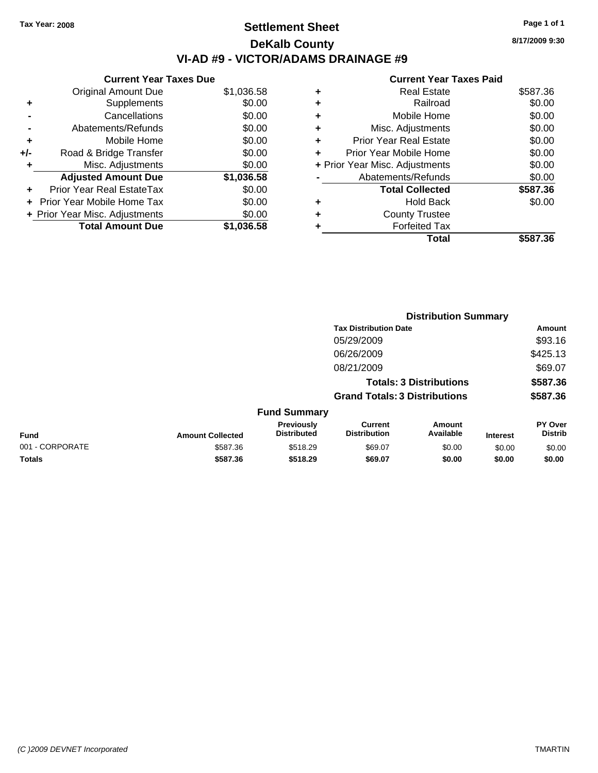# **Settlement Sheet Tax Year: 2008 Page 1 of 1 DeKalb County VI-AD #9 - VICTOR/ADAMS DRAINAGE #9**

**8/17/2009 9:30**

|     | <b>Current Year Taxes Due</b>     |            |
|-----|-----------------------------------|------------|
|     | <b>Original Amount Due</b>        | \$1,036.58 |
| ٠   | Supplements                       | \$0.00     |
|     | Cancellations                     | \$0.00     |
|     | Abatements/Refunds                | \$0.00     |
| ٠   | Mobile Home                       | \$0.00     |
| +/- | Road & Bridge Transfer            | \$0.00     |
| ٠   | Misc. Adjustments                 | \$0.00     |
|     | <b>Adjusted Amount Due</b>        | \$1,036.58 |
|     | Prior Year Real EstateTax         | \$0.00     |
|     | <b>Prior Year Mobile Home Tax</b> | \$0.00     |
|     | + Prior Year Misc. Adjustments    | \$0.00     |
|     | <b>Total Amount Due</b>           | \$1,036.58 |

| ٠ | Real Estate                    | \$587.36 |
|---|--------------------------------|----------|
| ٠ | Railroad                       | \$0.00   |
| ٠ | Mobile Home                    | \$0.00   |
| ÷ | Misc. Adjustments              | \$0.00   |
| ٠ | <b>Prior Year Real Estate</b>  | \$0.00   |
|   | Prior Year Mobile Home         | \$0.00   |
|   | + Prior Year Misc. Adjustments | \$0.00   |
|   | Abatements/Refunds             | \$0.00   |
|   | <b>Total Collected</b>         | \$587.36 |
| ٠ | Hold Back                      | \$0.00   |
| ٠ | <b>County Trustee</b>          |          |
| ٠ | <b>Forfeited Tax</b>           |          |
|   | Total                          | \$587.36 |
|   |                                |          |

|                 |                         |                                  | <b>Distribution Summary</b>           |                                |                 |                                  |  |
|-----------------|-------------------------|----------------------------------|---------------------------------------|--------------------------------|-----------------|----------------------------------|--|
|                 |                         |                                  | <b>Tax Distribution Date</b>          |                                |                 | Amount                           |  |
|                 |                         |                                  | 05/29/2009                            |                                |                 | \$93.16                          |  |
|                 |                         |                                  | 06/26/2009                            |                                |                 | \$425.13                         |  |
|                 |                         |                                  | 08/21/2009                            |                                |                 | \$69.07                          |  |
|                 |                         |                                  |                                       | <b>Totals: 3 Distributions</b> |                 | \$587.36                         |  |
|                 |                         |                                  | <b>Grand Totals: 3 Distributions</b>  |                                |                 | \$587.36                         |  |
|                 |                         | <b>Fund Summary</b>              |                                       |                                |                 |                                  |  |
| Fund            | <b>Amount Collected</b> | Previously<br><b>Distributed</b> | <b>Current</b><br><b>Distribution</b> | <b>Amount</b><br>Available     | <b>Interest</b> | <b>PY Over</b><br><b>Distrib</b> |  |
| 001 - CORPORATE | \$587.36                | \$518.29                         | \$69.07                               | \$0.00                         | \$0.00          | \$0.00                           |  |
| Totals          | \$587.36                | \$518.29                         | \$69.07                               | \$0.00                         | \$0.00          | \$0.00                           |  |
|                 |                         |                                  |                                       |                                |                 |                                  |  |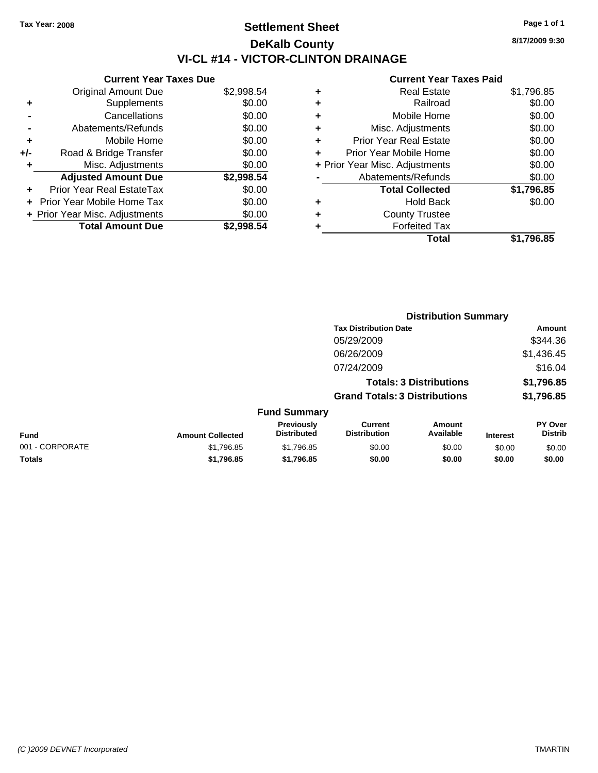# **Settlement Sheet Tax Year: 2008 Page 1 of 1 DeKalb County VI-CL #14 - VICTOR-CLINTON DRAINAGE**

**8/17/2009 9:30**

|     | <b>Current Year Taxes Due</b>     |            |
|-----|-----------------------------------|------------|
|     | <b>Original Amount Due</b>        | \$2,998.54 |
| ٠   | Supplements                       | \$0.00     |
|     | Cancellations                     | \$0.00     |
|     | Abatements/Refunds                | \$0.00     |
| ٠   | Mobile Home                       | \$0.00     |
| +/- | Road & Bridge Transfer            | \$0.00     |
| ٠   | Misc. Adjustments                 | \$0.00     |
|     | <b>Adjusted Amount Due</b>        | \$2,998.54 |
|     | Prior Year Real EstateTax         | \$0.00     |
|     | <b>Prior Year Mobile Home Tax</b> | \$0.00     |
|     | + Prior Year Misc. Adjustments    | \$0.00     |
|     | <b>Total Amount Due</b>           | \$2.998.54 |

| ٠ | <b>Real Estate</b>             | \$1,796.85 |
|---|--------------------------------|------------|
| ٠ | Railroad                       | \$0.00     |
| ٠ | Mobile Home                    | \$0.00     |
| ٠ | Misc. Adjustments              | \$0.00     |
| ÷ | <b>Prior Year Real Estate</b>  | \$0.00     |
| ٠ | Prior Year Mobile Home         | \$0.00     |
|   | + Prior Year Misc. Adjustments | \$0.00     |
|   | Abatements/Refunds             | \$0.00     |
|   | <b>Total Collected</b>         | \$1,796.85 |
| ٠ | <b>Hold Back</b>               | \$0.00     |
| ٠ | <b>County Trustee</b>          |            |
| ٠ | <b>Forfeited Tax</b>           |            |
|   | Total                          | \$1.796.85 |
|   |                                |            |

|                 |                                |                                  | <b>Distribution Summary</b>           |                     |                 |                           |
|-----------------|--------------------------------|----------------------------------|---------------------------------------|---------------------|-----------------|---------------------------|
|                 | <b>Tax Distribution Date</b>   |                                  |                                       | Amount              |                 |                           |
|                 |                                |                                  | 05/29/2009                            |                     |                 | \$344.36                  |
|                 |                                |                                  | 06/26/2009                            |                     |                 | \$1,436.45                |
|                 |                                |                                  | 07/24/2009                            |                     |                 | \$16.04                   |
|                 | <b>Totals: 3 Distributions</b> |                                  |                                       | \$1,796.85          |                 |                           |
|                 |                                |                                  | <b>Grand Totals: 3 Distributions</b>  |                     |                 | \$1,796.85                |
|                 |                                | <b>Fund Summary</b>              |                                       |                     |                 |                           |
| Fund            | <b>Amount Collected</b>        | Previously<br><b>Distributed</b> | <b>Current</b><br><b>Distribution</b> | Amount<br>Available | <b>Interest</b> | PY Over<br><b>Distrib</b> |
| 001 - CORPORATE | \$1,796.85                     | \$1,796.85                       | \$0.00                                | \$0.00              | \$0.00          | \$0.00                    |
| Totals          | \$1,796.85                     | \$1,796.85                       | \$0.00                                | \$0.00              | \$0.00          | \$0.00                    |
|                 |                                |                                  |                                       |                     |                 |                           |